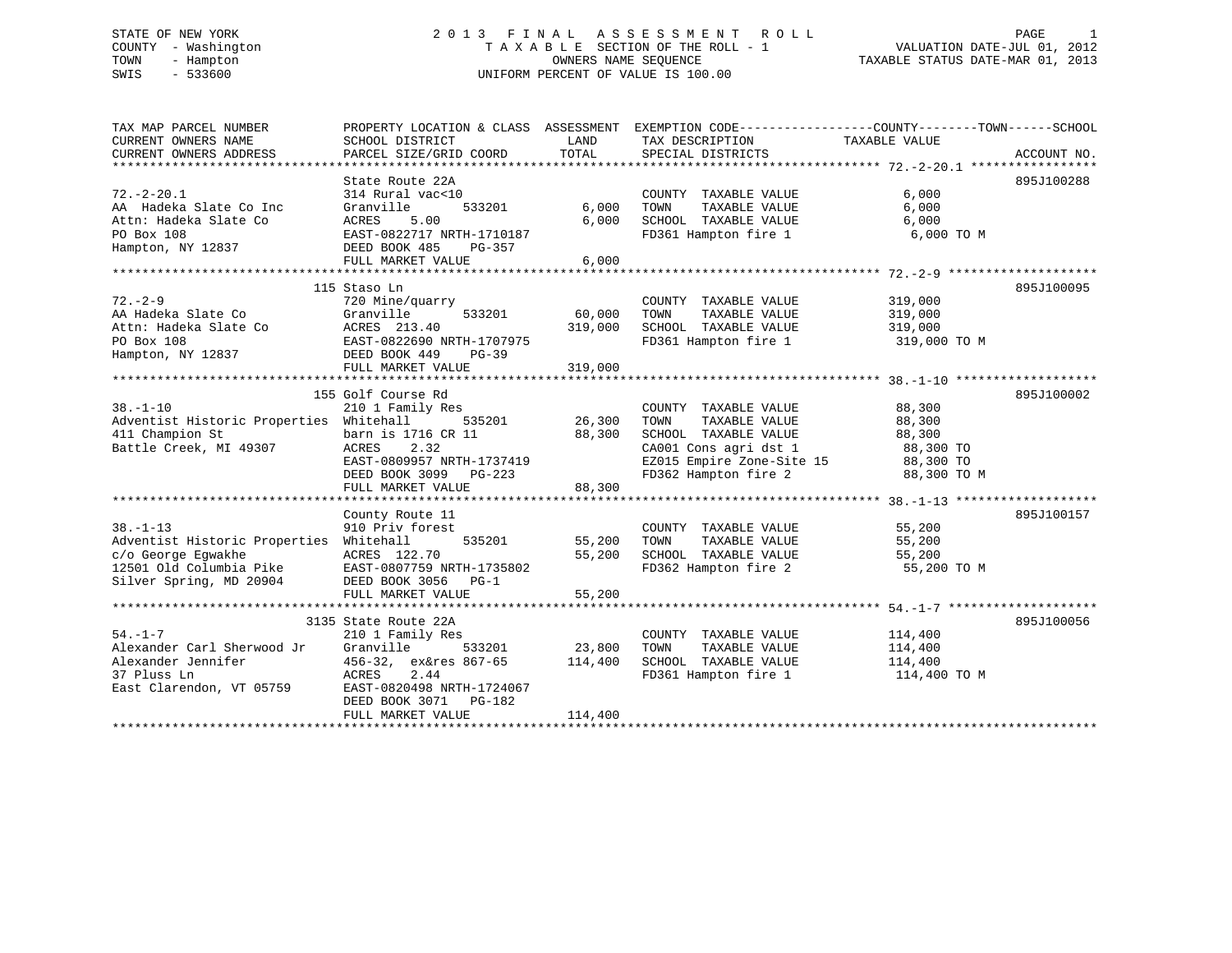# STATE OF NEW YORK 2 0 1 3 F I N A L A S S E S S M E N T R O L L PAGE 1 COUNTY - Washington T A X A B L E SECTION OF THE ROLL - 1 VALUATION DATE-JUL 01, 2012 TOWN - Hampton OWNERS NAME SEQUENCE TAXABLE STATUS DATE-MAR 01, 2013 SWIS - 533600 UNIFORM PERCENT OF VALUE IS 100.00

| TAX MAP PARCEL NUMBER                                                                                                                              |                                             |               |                                                                 | PROPERTY LOCATION & CLASS ASSESSMENT EXEMPTION CODE----------------COUNTY-------TOWN------SCHOOL            |             |
|----------------------------------------------------------------------------------------------------------------------------------------------------|---------------------------------------------|---------------|-----------------------------------------------------------------|-------------------------------------------------------------------------------------------------------------|-------------|
| CURRENT OWNERS NAME                                                                                                                                | SCHOOL DISTRICT                             | LAND<br>TOTAL | TAX DESCRIPTION TAXABLE VALUE                                   |                                                                                                             |             |
| CURRENT OWNERS ADDRESS                                                                                                                             | PARCEL SIZE/GRID COORD                      |               | SPECIAL DISTRICTS                                               |                                                                                                             | ACCOUNT NO. |
|                                                                                                                                                    | State Route 22A                             |               |                                                                 |                                                                                                             | 895J100288  |
| $72. - 2 - 20.1$                                                                                                                                   | 314 Rural vac<10                            |               | COUNTY TAXABLE VALUE                                            | 6,000                                                                                                       |             |
| AA Hadeka Slate Co Inc                                                                                                                             | 533201<br>Granville                         | 6,000         |                                                                 |                                                                                                             |             |
|                                                                                                                                                    |                                             | 6,000         |                                                                 |                                                                                                             |             |
|                                                                                                                                                    | EAST-0822717 NRTH-1710187                   |               | FD361 Hampton fire 1                                            | 6,000 TO M                                                                                                  |             |
| Attn: Hadeka Slate Co ACRES 5.00<br>PO Box 108 EAST-0822717 NRTH-1710187<br>Hampton, NY 12837 DEED BOOK 485 PG-357                                 |                                             |               |                                                                 |                                                                                                             |             |
|                                                                                                                                                    | FULL MARKET VALUE                           | 6,000         |                                                                 |                                                                                                             |             |
|                                                                                                                                                    |                                             |               |                                                                 |                                                                                                             |             |
|                                                                                                                                                    | 115 Staso Ln                                |               |                                                                 |                                                                                                             | 895J100095  |
| $72. - 2 - 9$                                                                                                                                      | 720 Mine/quarry                             |               | COUNTY TAXABLE VALUE                                            | 319,000                                                                                                     |             |
|                                                                                                                                                    | uarry<br>533201 60,000                      |               | TOWN<br>TAXABLE VALUE                                           | 319,000                                                                                                     |             |
|                                                                                                                                                    |                                             | 319,000       | SCHOOL TAXABLE VALUE 319,000                                    |                                                                                                             |             |
|                                                                                                                                                    |                                             |               |                                                                 | FD361 Hampton fire 1 319,000 TO M                                                                           |             |
| 72.-2-9<br>AA Hadeka Slate Co Granville 533201 60,000<br>Attn: Hadeka Slate Co ACRES 213.40<br>PO Box 108<br>Hampton, NY 12837 DEED BOOK 449 PG-39 |                                             |               |                                                                 |                                                                                                             |             |
|                                                                                                                                                    | FULL MARKET VALUE                           | 319,000       |                                                                 |                                                                                                             |             |
|                                                                                                                                                    |                                             |               |                                                                 |                                                                                                             |             |
|                                                                                                                                                    | 155 Golf Course Rd                          |               |                                                                 |                                                                                                             | 895J100002  |
| $38. - 1 - 10$                                                                                                                                     | 210 1 Family Res                            |               | COUNTY TAXABLE VALUE 88,300                                     |                                                                                                             |             |
| Adventist Historic Properties Whitehall                                                                                                            | $535201$ 26,300                             |               | TOWN<br>TAXABLE VALUE                                           | 88,300                                                                                                      |             |
| 411 Champion St                                                                                                                                    | barn is 1716 CR 11<br>ACRES 2.32            | 88,300        | SCHOOL TAXABLE VALUE 88,300                                     |                                                                                                             |             |
| Battle Creek, MI 49307                                                                                                                             | ACRES 2.32<br>EAST-0809957 NRTH-1737419     |               |                                                                 |                                                                                                             |             |
|                                                                                                                                                    |                                             |               |                                                                 |                                                                                                             |             |
|                                                                                                                                                    | DEED BOOK 3099 PG-223                       |               |                                                                 | CA001 Cons agri dst 1 588,300 TO<br>EZ015 Empire Zone-Site 15 88,300 TO<br>FD362 Hampton fire 2 88,300 TO M |             |
|                                                                                                                                                    | FULL MARKET VALUE                           | 88,300        |                                                                 |                                                                                                             |             |
|                                                                                                                                                    |                                             |               |                                                                 |                                                                                                             |             |
|                                                                                                                                                    | County Route 11                             |               |                                                                 |                                                                                                             | 895J100157  |
| $38. - 1 - 13$                                                                                                                                     | 910 Priv forest                             |               | COUNTY TAXABLE VALUE 55,200<br>TOWN TAXABLE VALUE 55,200        |                                                                                                             |             |
| Adventist Historic Properties Whitehall                                                                                                            | 535201 55,200 TOWN                          |               |                                                                 |                                                                                                             |             |
|                                                                                                                                                    | ACRES 122.70                                | 55,200        | SCHOOL TAXABLE VALUE 55,200<br>FD362 Hampton fire 2 55,200 TO M |                                                                                                             |             |
| c/o George Egwakhe<br>12501 Old Columbia Pike<br>Silver Spring, MD 20904                                                                           | EAST-0807759 NRTH-1735802                   |               |                                                                 |                                                                                                             |             |
|                                                                                                                                                    | DEED BOOK 3056 PG-1                         |               |                                                                 |                                                                                                             |             |
|                                                                                                                                                    | FULL MARKET VALUE                           | 55,200        |                                                                 |                                                                                                             |             |
|                                                                                                                                                    |                                             |               |                                                                 |                                                                                                             |             |
| $54. - 1 - 7$                                                                                                                                      | 3135 State Route 22A                        |               |                                                                 |                                                                                                             | 895J100056  |
| Alexander Carl Sherwood Jr Granville 533201 23,800                                                                                                 | 210 1 Family Res                            |               | COUNTY TAXABLE VALUE                                            | 114,400<br>114,400                                                                                          |             |
| Alexander Jennifer                                                                                                                                 |                                             |               | TOWN<br>TAXABLE VALUE                                           |                                                                                                             |             |
| 37 Pluss Ln                                                                                                                                        | 456-32, ex&res 867-65 114,400<br>ACRES 2.44 |               | SCHOOL TAXABLE VALUE 114,400                                    | FD361 Hampton fire 1 114,400 TO M                                                                           |             |
| East Clarendon, VT 05759 EAST-0820498 NRTH-1724067                                                                                                 |                                             |               |                                                                 |                                                                                                             |             |
|                                                                                                                                                    | DEED BOOK 3071 PG-182                       |               |                                                                 |                                                                                                             |             |
|                                                                                                                                                    | FULL MARKET VALUE                           | 114,400       |                                                                 |                                                                                                             |             |
|                                                                                                                                                    |                                             |               |                                                                 |                                                                                                             |             |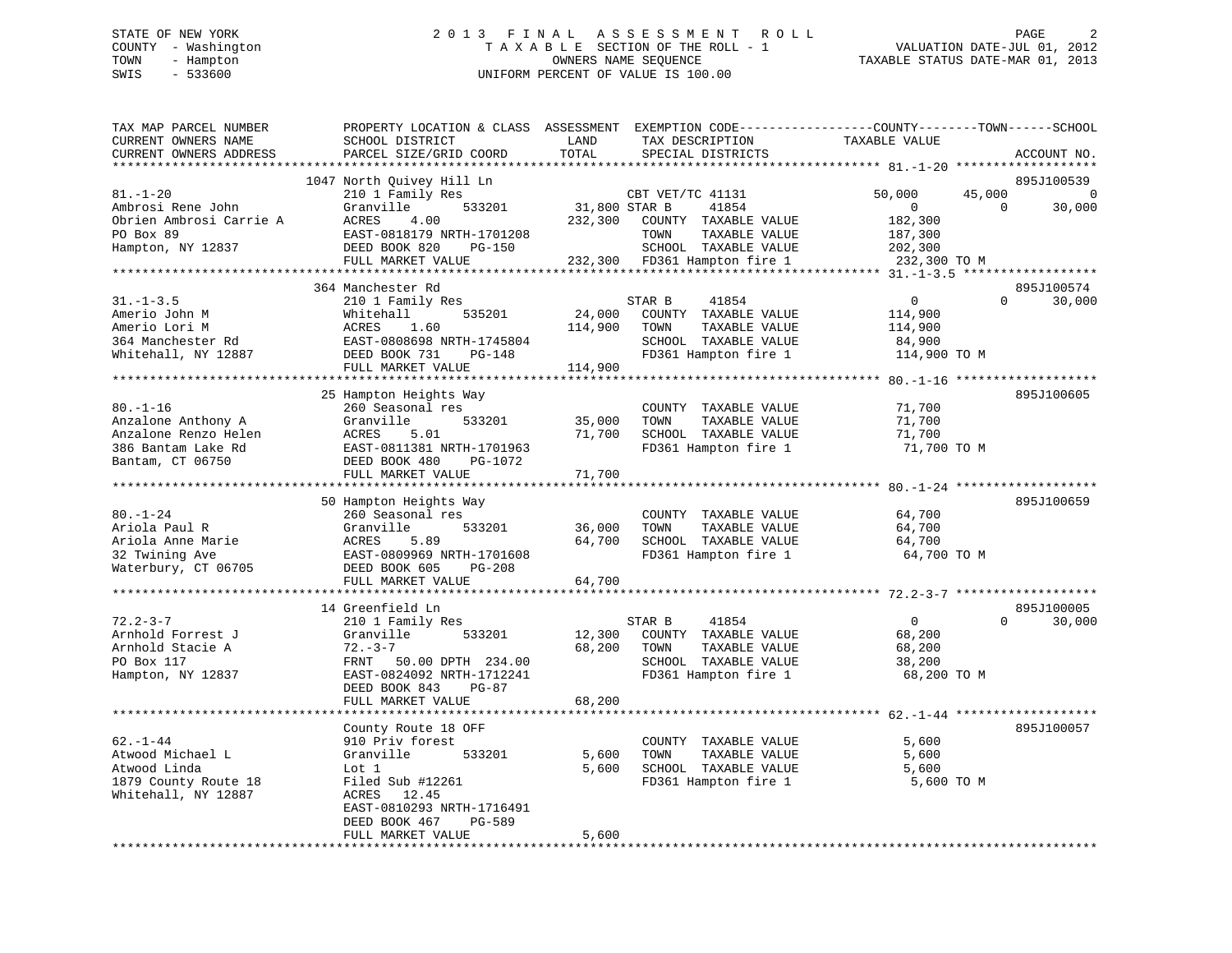# STATE OF NEW YORK 2 0 1 3 F I N A L A S S E S S M E N T R O L L PAGE 2 COUNTY - Washington T A X A B L E SECTION OF THE ROLL - 1 VALUATION DATE-JUL 01, 2012 TOWN - Hampton OWNERS NAME SEQUENCE TAXABLE STATUS DATE-MAR 01, 2013 SWIS - 533600 UNIFORM PERCENT OF VALUE IS 100.00

| TAX MAP PARCEL NUMBER     | PROPERTY LOCATION & CLASS ASSESSMENT |               | EXEMPTION CODE-----------------COUNTY-------TOWN------SCHOOL |                                                     |          |             |
|---------------------------|--------------------------------------|---------------|--------------------------------------------------------------|-----------------------------------------------------|----------|-------------|
| CURRENT OWNERS NAME       | SCHOOL DISTRICT                      | LAND          | TAX DESCRIPTION                                              | TAXABLE VALUE                                       |          |             |
| CURRENT OWNERS ADDRESS    | PARCEL SIZE/GRID COORD               | TOTAL         | SPECIAL DISTRICTS                                            |                                                     |          | ACCOUNT NO. |
|                           |                                      |               |                                                              |                                                     |          |             |
|                           | 1047 North Quivey Hill Ln            |               |                                                              |                                                     |          | 895J100539  |
| $81. - 1 - 20$            | 210 1 Family Res                     |               | CBT VET/TC 41131                                             | 50,000                                              | 45,000   | $\mathbf 0$ |
| Ambrosi Rene John         | Granville<br>533201                  | 31,800 STAR B | 41854                                                        | $\overline{0}$                                      | $\Omega$ | 30,000      |
| Obrien Ambrosi Carrie A   | ACRES<br>4.00                        | 232,300       | COUNTY TAXABLE VALUE                                         | 182,300                                             |          |             |
| PO Box 89                 | EAST-0818179 NRTH-1701208            |               | TOWN<br>TAXABLE VALUE                                        | 187,300                                             |          |             |
| Hampton, NY 12837         | DEED BOOK 820<br>PG-150              |               | SCHOOL TAXABLE VALUE<br>232,300 FD361 Hampton fire 1         | 202,300<br>232,300 TO M                             |          |             |
|                           | FULL MARKET VALUE                    |               |                                                              |                                                     |          |             |
|                           | 364 Manchester Rd                    |               |                                                              |                                                     |          | 895J100574  |
| $31. - 1 - 3.5$           | 210 1 Family Res                     |               | 41854<br>STAR B                                              | $\overline{0}$                                      | $\Omega$ | 30,000      |
| Amerio John M             | 535201<br>Whitehall                  | 24,000        | COUNTY TAXABLE VALUE                                         | 114,900                                             |          |             |
| Amerio Lori M             | ACRES<br>1.60                        | 114,900       | TOWN<br>TAXABLE VALUE                                        | 114,900                                             |          |             |
| 364 Manchester Rd         | EAST-0808698 NRTH-1745804            |               | SCHOOL TAXABLE VALUE                                         | 84,900                                              |          |             |
| Whitehall, NY 12887       | DEED BOOK 731<br>PG-148              |               | FD361 Hampton fire 1                                         | 114,900 TO M                                        |          |             |
|                           | FULL MARKET VALUE                    | 114,900       |                                                              |                                                     |          |             |
|                           | *********************************    |               | **************************                                   | ********************* 80.-1-16 ******************** |          |             |
|                           | 25 Hampton Heights Way               |               |                                                              |                                                     |          | 895J100605  |
| $80. - 1 - 16$            | 260 Seasonal res                     |               | COUNTY TAXABLE VALUE                                         | 71,700                                              |          |             |
| Anzalone Anthony A        | 533201<br>Granville                  | 35,000        | TAXABLE VALUE<br>TOWN                                        | 71,700                                              |          |             |
| Anzalone Renzo Helen      | ACRES<br>5.01                        | 71,700        | SCHOOL TAXABLE VALUE                                         | 71,700                                              |          |             |
| 386 Bantam Lake Rd        | EAST-0811381 NRTH-1701963            |               | FD361 Hampton fire 1                                         | 71,700 TO M                                         |          |             |
| Bantam, CT 06750          | DEED BOOK 480<br>PG-1072             |               |                                                              |                                                     |          |             |
|                           | FULL MARKET VALUE                    | 71,700        |                                                              |                                                     |          |             |
| **********************    |                                      |               |                                                              |                                                     |          |             |
|                           | 50 Hampton Heights Way               |               |                                                              |                                                     |          | 895J100659  |
| $80. - 1 - 24$            | 260 Seasonal res                     |               | COUNTY TAXABLE VALUE                                         | 64,700                                              |          |             |
| Ariola Paul R             | 533201<br>Granville                  | 36,000        | TOWN<br>TAXABLE VALUE                                        | 64,700                                              |          |             |
| Ariola Anne Marie         | ACRES<br>5.89                        | 64,700        | SCHOOL TAXABLE VALUE                                         | 64,700                                              |          |             |
| 32 Twining Ave            | EAST-0809969 NRTH-1701608            |               | FD361 Hampton fire 1                                         | 64,700 TO M                                         |          |             |
| Waterbury, CT 06705       | DEED BOOK 605<br>PG-208              |               |                                                              |                                                     |          |             |
|                           | FULL MARKET VALUE                    | 64,700        |                                                              |                                                     |          |             |
|                           |                                      |               |                                                              |                                                     |          |             |
|                           | 14 Greenfield Ln                     |               |                                                              |                                                     |          | 895J100005  |
| $72.2 - 3 - 7$            | 210 1 Family Res                     |               | 41854<br>STAR B                                              | $\overline{0}$                                      | $\Omega$ | 30,000      |
| Arnhold Forrest J         | Granville<br>533201                  | 12,300        | COUNTY TAXABLE VALUE                                         | 68,200                                              |          |             |
| Arnhold Stacie A          | $72 - 3 - 7$                         | 68,200        | TOWN<br>TAXABLE VALUE                                        | 68,200                                              |          |             |
| PO Box 117                | FRNT 50.00 DPTH 234.00               |               | SCHOOL TAXABLE VALUE                                         | 38,200                                              |          |             |
| Hampton, NY 12837         | EAST-0824092 NRTH-1712241            |               | FD361 Hampton fire 1                                         | 68,200 TO M                                         |          |             |
|                           | DEED BOOK 843<br>$PG-87$             |               |                                                              |                                                     |          |             |
|                           | FULL MARKET VALUE                    | 68,200        |                                                              |                                                     |          |             |
|                           |                                      |               |                                                              |                                                     |          |             |
|                           | County Route 18 OFF                  |               |                                                              |                                                     |          | 895J100057  |
| $62. - 1 - 44$            | 910 Priv forest                      |               | COUNTY TAXABLE VALUE                                         | 5,600                                               |          |             |
| Atwood Michael L          | Granville<br>533201                  | 5,600         | TAXABLE VALUE<br>TOWN                                        | 5,600                                               |          |             |
| Atwood Linda              | Lot 1                                | 5,600         | SCHOOL TAXABLE VALUE                                         | 5,600                                               |          |             |
| 1879 County Route 18      | Filed Sub #12261                     |               | FD361 Hampton fire 1                                         | 5,600 TO M                                          |          |             |
| Whitehall, NY 12887       | ACRES<br>12.45                       |               |                                                              |                                                     |          |             |
|                           | EAST-0810293 NRTH-1716491            |               |                                                              |                                                     |          |             |
|                           | DEED BOOK 467<br>PG-589              |               |                                                              |                                                     |          |             |
|                           | FULL MARKET VALUE                    | 5,600         |                                                              |                                                     |          |             |
| ************************* |                                      |               |                                                              |                                                     |          |             |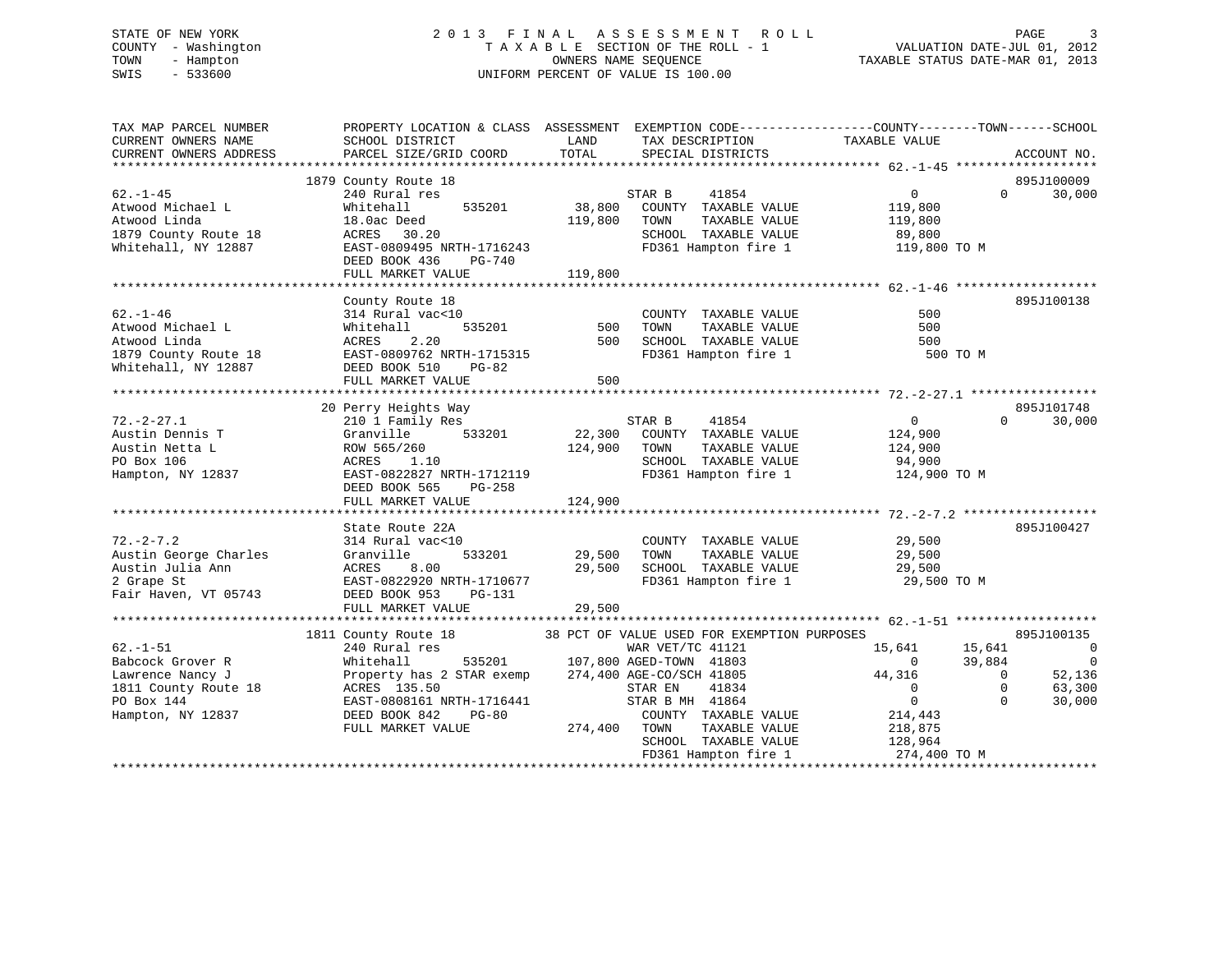# STATE OF NEW YORK 2 0 1 3 F I N A L A S S E S S M E N T R O L L PAGE 3 COUNTY - Washington T A X A B L E SECTION OF THE ROLL - 1 VALUATION DATE-JUL 01, 2012 TOWN - Hampton OWNERS NAME SEQUENCE TAXABLE STATUS DATE-MAR 01, 2013 SWIS - 533600 UNIFORM PERCENT OF VALUE IS 100.00

| TAX MAP PARCEL NUMBER<br>CURRENT OWNERS NAME<br>CURRENT OWNERS ADDRESS                                            | PROPERTY LOCATION & CLASS ASSESSMENT EXEMPTION CODE---------------COUNTY-------TOWN-----SCHOOL<br>SCHOOL DISTRICT<br>PARCEL SIZE/GRID COORD                                                                                                                                 | LAND<br>TOTAL    | TAX DESCRIPTION<br>SPECIAL DISTRICTS                                                                                                                                                              | TAXABLE VALUE                                                                                         |                                                       | ACCOUNT NO.                                                                                      |
|-------------------------------------------------------------------------------------------------------------------|-----------------------------------------------------------------------------------------------------------------------------------------------------------------------------------------------------------------------------------------------------------------------------|------------------|---------------------------------------------------------------------------------------------------------------------------------------------------------------------------------------------------|-------------------------------------------------------------------------------------------------------|-------------------------------------------------------|--------------------------------------------------------------------------------------------------|
|                                                                                                                   |                                                                                                                                                                                                                                                                             |                  |                                                                                                                                                                                                   |                                                                                                       |                                                       |                                                                                                  |
|                                                                                                                   | 1879 County Route 18                                                                                                                                                                                                                                                        |                  |                                                                                                                                                                                                   |                                                                                                       |                                                       | 895J100009                                                                                       |
| $62. -1 - 45$<br>Atwood Michael L<br>Atwood Linda<br>1879 County Route 18<br>Whitehall, NY 12887                  | 240 Rural res<br>535201<br>Whitehall<br>18.0ac Deed<br>ACRES 30.20<br>EAST-0809495 NRTH-1716243                                                                                                                                                                             | 119,800          | 41854<br>STAR B<br>38,800 COUNTY TAXABLE VALUE<br>TOWN<br>TAXABLE VALUE<br>SCHOOL TAXABLE VALUE<br>FD361 Hampton fire 1                                                                           | $0 \qquad \qquad$<br>119,800<br>119,800<br>89,800<br>119,800 TO M                                     | $\Omega$                                              | 30,000                                                                                           |
|                                                                                                                   | DEED BOOK 436<br>PG-740<br>FULL MARKET VALUE                                                                                                                                                                                                                                | 119,800          |                                                                                                                                                                                                   |                                                                                                       |                                                       |                                                                                                  |
|                                                                                                                   |                                                                                                                                                                                                                                                                             |                  |                                                                                                                                                                                                   |                                                                                                       |                                                       |                                                                                                  |
|                                                                                                                   | County Route 18                                                                                                                                                                                                                                                             |                  |                                                                                                                                                                                                   |                                                                                                       |                                                       | 895J100138                                                                                       |
| $62. - 1 - 46$<br>Atwood Michael L<br>Atwood Linda<br>1879 County Route 18<br>Whitehall, NY 12887                 | )<br>535201<br>314 Rural vac<10<br>Whitehall<br>2.20<br>ACRES<br>EAST-0809762 NRTH-1715315<br>DEED BOOK 510<br>PG-82                                                                                                                                                        | 500<br>500       | COUNTY TAXABLE VALUE<br>TOWN<br>TAXABLE VALUE<br>SCHOOL TAXABLE VALUE<br>FD361 Hampton fire 1                                                                                                     | 500<br>500<br>500<br>500 TO M                                                                         |                                                       |                                                                                                  |
|                                                                                                                   | FULL MARKET VALUE                                                                                                                                                                                                                                                           | 500              |                                                                                                                                                                                                   |                                                                                                       |                                                       |                                                                                                  |
|                                                                                                                   |                                                                                                                                                                                                                                                                             |                  |                                                                                                                                                                                                   |                                                                                                       |                                                       |                                                                                                  |
| $72. - 2 - 27.1$<br>Austin Dennis T<br>Austin Netta L                                                             | 20 Perry Heights Way<br>210 1 Family Res<br>533201<br>Granville<br>ROW 565/260                                                                                                                                                                                              | 124,900          | STAR B 41854<br>22,300 COUNTY TAXABLE VALUE<br>TOWN<br>TAXABLE VALUE                                                                                                                              | $\overline{0}$<br>124,900                                                                             | $\Omega$                                              | 895J101748<br>30,000                                                                             |
| PO Box 106<br>Hampton, NY 12837                                                                                   | ACRES 1.10<br>EAST-0822827 NRTH-1712119<br>DEED BOOK 565<br>PG-258                                                                                                                                                                                                          |                  | SCHOOL TAXABLE VALUE<br>FD361 Hampton fire 1                                                                                                                                                      | 124,900<br>94,900<br>124,900 TO M                                                                     |                                                       |                                                                                                  |
|                                                                                                                   | FULL MARKET VALUE                                                                                                                                                                                                                                                           | 124,900          |                                                                                                                                                                                                   |                                                                                                       |                                                       |                                                                                                  |
|                                                                                                                   |                                                                                                                                                                                                                                                                             |                  |                                                                                                                                                                                                   |                                                                                                       |                                                       |                                                                                                  |
| $72. - 2 - 7.2$<br>Austin George Charles<br>Austin Julia Ann<br>2 Grape St<br>Fair Haven, VT 05743                | State Route 22A<br>314 Rural vac<10<br>533201<br>Granville<br>ACRES<br>8.00<br>EAST-0822920 NRTH-1710677<br>DEED BOOK 953<br>PG-131<br>FULL MARKET VALUE                                                                                                                    | 29,500<br>29,500 | COUNTY TAXABLE VALUE<br>29,500 TOWN<br>TAXABLE VALUE<br>SCHOOL TAXABLE VALUE<br>FD361 Hampton fire 1                                                                                              | 29,500<br>29,500<br>29,500<br>29,500 TO M                                                             |                                                       | 895J100427                                                                                       |
|                                                                                                                   |                                                                                                                                                                                                                                                                             |                  |                                                                                                                                                                                                   |                                                                                                       |                                                       |                                                                                                  |
| $62. - 1 - 51$<br>Babcock Grover R<br>Lawrence Nancy J<br>1811 County Route 18<br>PO Box 144<br>Hampton, NY 12837 | 1811 County Route 18<br>38 PCT OF VALUE USED FOR EXEMPTION PURPOSES<br>240 Bural roc<br>240 Rural res<br>Whitehall<br>Property has 2 STAR exemp 274,400 AGE-CO/SCH 41805<br>ACRES 135.50<br>EAST-0808161 NRTH-1716441<br>DEED BOOK 842<br><b>PG-80</b><br>FULL MARKET VALUE | 274,400 TOWN     | WAR VET/TC 41121<br>535201 107,800 AGED-TOWN 41803<br>STAR exemp 274,400 AGE-CO/SCH 41805<br>STAR EN<br>41834<br>STAR B MH 41864<br>COUNTY TAXABLE VALUE<br>TAXABLE VALUE<br>SCHOOL TAXABLE VALUE | 15,641<br>$\mathbf{0}$<br>44,316<br>$\overline{0}$<br>$\overline{0}$<br>214,443<br>218,875<br>128,964 | 15,641<br>39,884<br>$\bigcirc$<br>$\circ$<br>$\Omega$ | 895J100135<br>$\overline{\phantom{0}}$<br>$\overline{\phantom{0}}$<br>52,136<br>63,300<br>30,000 |
|                                                                                                                   |                                                                                                                                                                                                                                                                             |                  | FD361 Hampton fire 1                                                                                                                                                                              | 274,400 TO M                                                                                          |                                                       |                                                                                                  |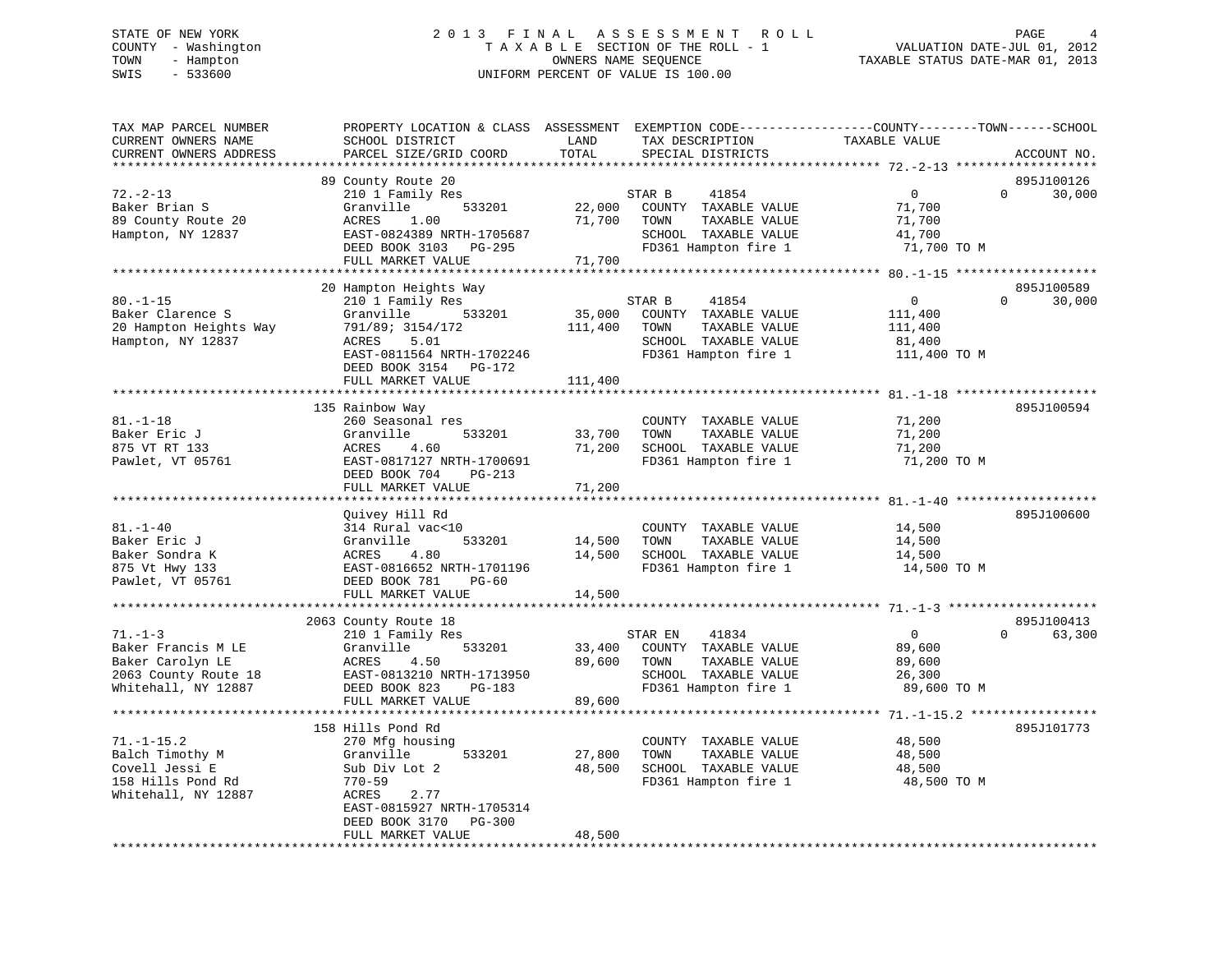# STATE OF NEW YORK 2 0 1 3 F I N A L A S S E S S M E N T R O L L PAGE 4 COUNTY - Washington T A X A B L E SECTION OF THE ROLL - 1 VALUATION DATE-JUL 01, 2012 TOWN - Hampton OWNERS NAME SEQUENCE TAXABLE STATUS DATE-MAR 01, 2013 SWIS - 533600 UNIFORM PERCENT OF VALUE IS 100.00

| TAX MAP PARCEL NUMBER<br>CURRENT OWNERS NAME<br>CURRENT OWNERS ADDRESS                                 | PROPERTY LOCATION & CLASS ASSESSMENT<br>SCHOOL DISTRICT<br>PARCEL SIZE/GRID COORD                                                                                                 | LAND<br>TOTAL                | EXEMPTION CODE-----------------COUNTY-------TOWN------SCHOOL<br>TAX DESCRIPTION<br>SPECIAL DISTRICTS              | TAXABLE VALUE                                                  | ACCOUNT NO.                      |
|--------------------------------------------------------------------------------------------------------|-----------------------------------------------------------------------------------------------------------------------------------------------------------------------------------|------------------------------|-------------------------------------------------------------------------------------------------------------------|----------------------------------------------------------------|----------------------------------|
| *******************                                                                                    |                                                                                                                                                                                   |                              |                                                                                                                   |                                                                |                                  |
| $72. - 2 - 13$<br>Baker Brian S<br>89 County Route 20<br>Hampton, NY 12837                             | 89 County Route 20<br>210 1 Family Res<br>Granville<br>533201<br>ACRES<br>1.00<br>EAST-0824389 NRTH-1705687<br>DEED BOOK 3103<br>PG-295<br>FULL MARKET VALUE                      | 22,000<br>71,700<br>71,700   | STAR B<br>41854<br>COUNTY TAXABLE VALUE<br>TOWN<br>TAXABLE VALUE<br>SCHOOL TAXABLE VALUE<br>FD361 Hampton fire 1  | $\mathbf 0$<br>71,700<br>71,700<br>41,700<br>71,700 TO M       | 895J100126<br>$\Omega$<br>30,000 |
|                                                                                                        | *********************                                                                                                                                                             |                              |                                                                                                                   |                                                                |                                  |
| $80. - 1 - 15$<br>Baker Clarence S<br>20 Hampton Heights Way<br>Hampton, NY 12837                      | 20 Hampton Heights Way<br>210 1 Family Res<br>Granville<br>533201<br>791/89; 3154/172<br>ACRES<br>5.01<br>EAST-0811564 NRTH-1702246<br>DEED BOOK 3154 PG-172<br>FULL MARKET VALUE | 35,000<br>111,400<br>111,400 | 41854<br>STAR B<br>COUNTY TAXABLE VALUE<br>TOWN<br>TAXABLE VALUE<br>SCHOOL TAXABLE VALUE<br>FD361 Hampton fire 1  | $\overline{0}$<br>111,400<br>111,400<br>81,400<br>111,400 TO M | 895J100589<br>$\Omega$<br>30,000 |
|                                                                                                        |                                                                                                                                                                                   |                              |                                                                                                                   |                                                                |                                  |
| $81. - 1 - 18$<br>Baker Eric J<br>875 VT RT 133<br>Pawlet, VT 05761                                    | 135 Rainbow Way<br>260 Seasonal res<br>Granville<br>533201<br>ACRES<br>4.60<br>EAST-0817127 NRTH-1700691<br>DEED BOOK 704<br>PG-213<br>FULL MARKET VALUE                          | 33,700<br>71,200<br>71,200   | COUNTY TAXABLE VALUE<br>TAXABLE VALUE<br>TOWN<br>SCHOOL TAXABLE VALUE<br>FD361 Hampton fire 1                     | 71,200<br>71,200<br>71,200<br>71,200 TO M                      | 895J100594                       |
|                                                                                                        |                                                                                                                                                                                   |                              |                                                                                                                   |                                                                |                                  |
| $81. - 1 - 40$<br>Baker Eric J<br>Baker Sondra K<br>875 Vt Hwy 133<br>Pawlet, VT 05761                 | Quivey Hill Rd<br>314 Rural vac<10<br>Granville<br>533201<br>ACRES<br>4.80<br>EAST-0816652 NRTH-1701196<br>DEED BOOK 781<br>$PG-60$                                               | 14,500<br>14,500             | COUNTY TAXABLE VALUE<br>TOWN<br>TAXABLE VALUE<br>SCHOOL TAXABLE VALUE<br>FD361 Hampton fire 1                     | 14,500<br>14,500<br>14,500<br>14,500 TO M                      | 895J100600                       |
|                                                                                                        | FULL MARKET VALUE                                                                                                                                                                 | 14,500                       |                                                                                                                   |                                                                |                                  |
| $71. - 1 - 3$<br>Baker Francis M LE<br>Baker Carolyn LE<br>2063 County Route 18<br>Whitehall, NY 12887 | 2063 County Route 18<br>210 1 Family Res<br>Granville<br>533201<br>ACRES<br>4.50<br>EAST-0813210 NRTH-1713950<br>DEED BOOK 823<br>PG-183<br>FULL MARKET VALUE                     | 33,400<br>89,600<br>89,600   | 41834<br>STAR EN<br>COUNTY TAXABLE VALUE<br>TOWN<br>TAXABLE VALUE<br>SCHOOL TAXABLE VALUE<br>FD361 Hampton fire 1 | $\overline{0}$<br>89,600<br>89,600<br>26,300<br>89,600 TO M    | 895J100413<br>$\Omega$<br>63,300 |
|                                                                                                        | 158 Hills Pond Rd                                                                                                                                                                 |                              |                                                                                                                   |                                                                | 895J101773                       |
| $71. - 1 - 15.2$<br>Balch Timothy M<br>Covell Jessi E<br>158 Hills Pond Rd<br>Whitehall, NY 12887      | 270 Mfg housing<br>533201<br>Granville<br>Sub Div Lot 2<br>770-59<br>2.77<br>ACRES<br>EAST-0815927 NRTH-1705314                                                                   | 27,800<br>48,500             | COUNTY TAXABLE VALUE<br>TAXABLE VALUE<br>TOWN<br>SCHOOL TAXABLE VALUE<br>FD361 Hampton fire 1                     | 48,500<br>48,500<br>48,500<br>48,500 TO M                      |                                  |
|                                                                                                        | PG-300<br>DEED BOOK 3170<br>FULL MARKET VALUE                                                                                                                                     | 48,500                       |                                                                                                                   |                                                                |                                  |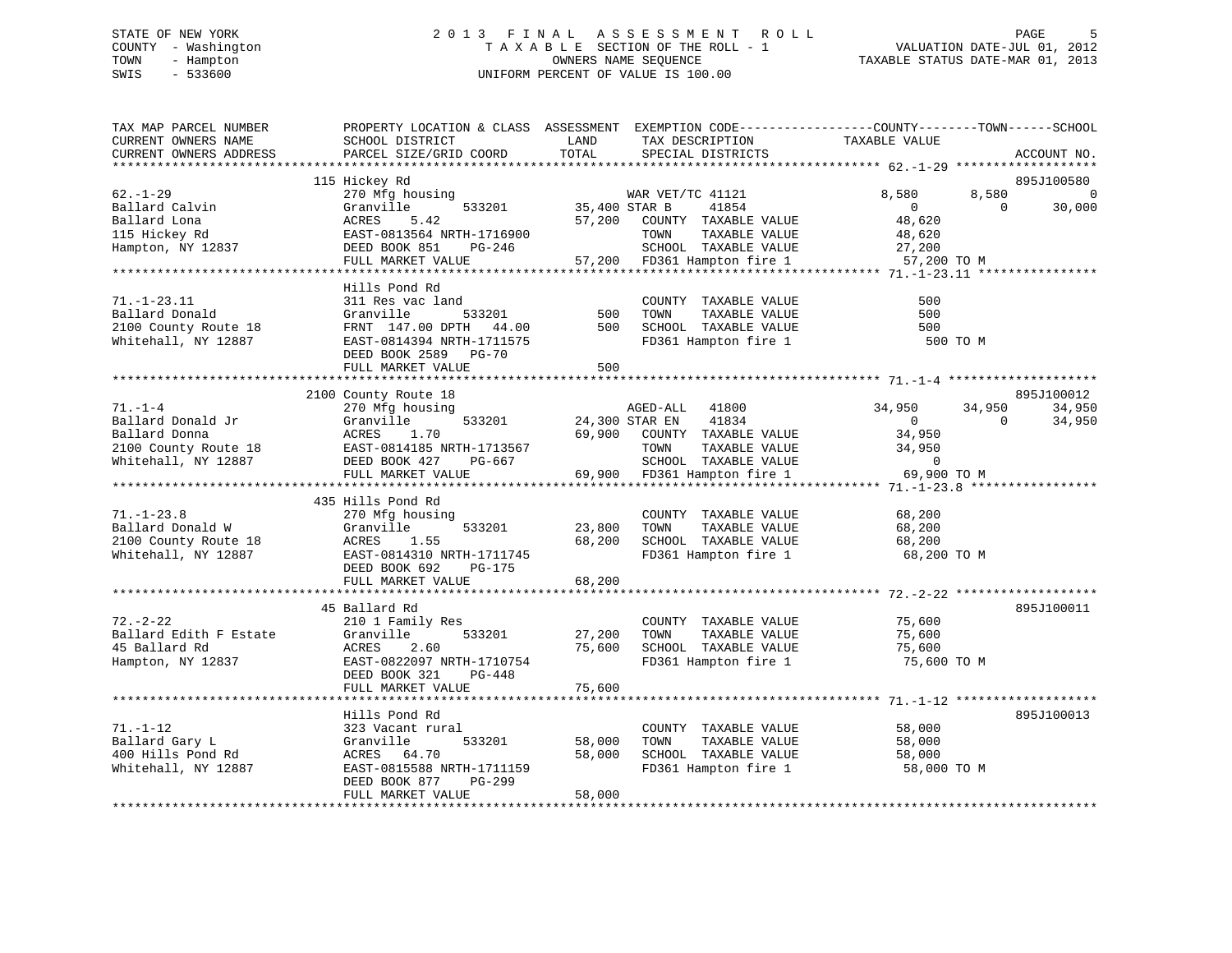# STATE OF NEW YORK 2 0 1 3 F I N A L A S S E S S M E N T R O L L PAGE 5 COUNTY - Washington T A X A B L E SECTION OF THE ROLL - 1 VALUATION DATE-JUL 01, 2012 TOWN - Hampton OWNERS NAME SEQUENCE TAXABLE STATUS DATE-MAR 01, 2013 SWIS - 533600 UNIFORM PERCENT OF VALUE IS 100.00

| TAX MAP PARCEL NUMBER<br>CURRENT OWNERS NAME<br>CURRENT OWNERS ADDRESS                 | PROPERTY LOCATION & CLASS ASSESSMENT EXEMPTION CODE----------------COUNTY-------TOWN------SCHOOL<br>SCHOOL DISTRICT<br>PARCEL SIZE/GRID COORD                                            | LAND<br>TOTAL              | TAX DESCRIPTION<br>SPECIAL DISTRICTS                                                                                              | TAXABLE VALUE                                                     | ACCOUNT NO.                               |
|----------------------------------------------------------------------------------------|------------------------------------------------------------------------------------------------------------------------------------------------------------------------------------------|----------------------------|-----------------------------------------------------------------------------------------------------------------------------------|-------------------------------------------------------------------|-------------------------------------------|
| *******************                                                                    |                                                                                                                                                                                          |                            |                                                                                                                                   |                                                                   |                                           |
| $62. - 1 - 29$<br>Ballard Calvin<br>Ballard Lona<br>115 Hickey Rd<br>Hampton, NY 12837 | 115 Hickey Rd<br>270 Mfg housing<br>Granville<br>533201<br>ACRES<br>5.42<br>EAST-0813564 NRTH-1716900<br>DEED BOOK 851<br>PG-246<br>FULL MARKET VALUE<br>******************************* | 35,400 STAR B<br>57,200    | WAR VET/TC 41121<br>41854<br>COUNTY TAXABLE VALUE<br>TOWN<br>TAXABLE VALUE<br>SCHOOL TAXABLE VALUE<br>57,200 FD361 Hampton fire 1 | 8,580<br>$\mathbf 0$<br>48,620<br>48,620<br>27,200<br>57,200 TO M | 895J100580<br>8,580<br>$\Omega$<br>30,000 |
|                                                                                        | Hills Pond Rd                                                                                                                                                                            |                            |                                                                                                                                   |                                                                   |                                           |
| $71. - 1 - 23.11$<br>Ballard Donald<br>2100 County Route 18<br>Whitehall, NY 12887     | 311 Res vac land<br>Granville<br>533201<br>FRNT 147.00 DPTH 44.00<br>EAST-0814394 NRTH-1711575<br>DEED BOOK 2589 PG-70                                                                   | 500<br>500                 | COUNTY TAXABLE VALUE<br>TOWN<br>TAXABLE VALUE<br>SCHOOL TAXABLE VALUE<br>FD361 Hampton fire 1                                     | 500<br>500<br>500<br>500 TO M                                     |                                           |
|                                                                                        | FULL MARKET VALUE                                                                                                                                                                        | 500                        |                                                                                                                                   |                                                                   |                                           |
| $71. - 1 - 4$                                                                          | 2100 County Route 18<br>270 Mfg housing                                                                                                                                                  |                            | AGED-ALL<br>41800                                                                                                                 | 34,950                                                            | 895J100012<br>34,950<br>34,950            |
| Ballard Donald Jr<br>Ballard Donna<br>2100 County Route 18<br>Whitehall, NY 12887      | Granville<br>533201<br>ACRES<br>1.70<br>EAST-0814185 NRTH-1713567<br>DEED BOOK 427<br>PG-667                                                                                             | 69,900                     | 24,300 STAR EN<br>41834<br>COUNTY TAXABLE VALUE<br>TOWN<br>TAXABLE VALUE<br>SCHOOL TAXABLE VALUE                                  | $\mathbf{0}$<br>34,950<br>34,950<br>$\overline{0}$                | $\Omega$<br>34,950                        |
|                                                                                        | FULL MARKET VALUE<br>**************************                                                                                                                                          |                            | 69,900 FD361 Hampton fire 1                                                                                                       | 69,900 TO M                                                       |                                           |
|                                                                                        | 435 Hills Pond Rd                                                                                                                                                                        |                            |                                                                                                                                   |                                                                   |                                           |
| $71. - 1 - 23.8$<br>Ballard Donald W<br>2100 County Route 18<br>Whitehall, NY 12887    | 270 Mfg housing<br>Granville<br>533201<br>ACRES<br>1.55<br>EAST-0814310 NRTH-1711745<br>DEED BOOK 692<br><b>PG-175</b><br>FULL MARKET VALUE                                              | 23,800<br>68,200<br>68,200 | COUNTY TAXABLE VALUE<br>TAXABLE VALUE<br>TOWN<br>SCHOOL TAXABLE VALUE<br>FD361 Hampton fire 1                                     | 68,200<br>68,200<br>68,200<br>68,200 TO M                         |                                           |
|                                                                                        | ****************************                                                                                                                                                             |                            |                                                                                                                                   |                                                                   |                                           |
| $72. - 2 - 22$<br>Ballard Edith F Estate<br>45 Ballard Rd<br>Hampton, NY 12837         | 45 Ballard Rd<br>210 1 Family Res<br>Granville<br>533201<br>ACRES<br>2.60<br>EAST-0822097 NRTH-1710754<br>DEED BOOK 321<br>PG-448                                                        | 27,200<br>75,600           | COUNTY TAXABLE VALUE<br>TAXABLE VALUE<br>TOWN<br>SCHOOL TAXABLE VALUE<br>FD361 Hampton fire 1                                     | 75,600<br>75,600<br>75,600<br>75,600 TO M                         | 895J100011                                |
|                                                                                        | FULL MARKET VALUE                                                                                                                                                                        | 75,600                     |                                                                                                                                   |                                                                   |                                           |
|                                                                                        | Hills Pond Rd                                                                                                                                                                            |                            |                                                                                                                                   |                                                                   | 895J100013                                |
| $71. - 1 - 12$<br>Ballard Gary L<br>400 Hills Pond Rd<br>Whitehall, NY 12887           | 323 Vacant rural<br>Granville<br>533201<br>ACRES 64.70<br>EAST-0815588 NRTH-1711159<br>DEED BOOK 877<br>PG-299<br>FULL MARKET VALUE                                                      | 58,000<br>58,000<br>58,000 | COUNTY TAXABLE VALUE<br>TAXABLE VALUE<br>TOWN<br>SCHOOL TAXABLE VALUE<br>FD361 Hampton fire 1                                     | 58,000<br>58,000<br>58,000<br>58,000 TO M                         |                                           |
|                                                                                        | ********************************                                                                                                                                                         |                            |                                                                                                                                   |                                                                   |                                           |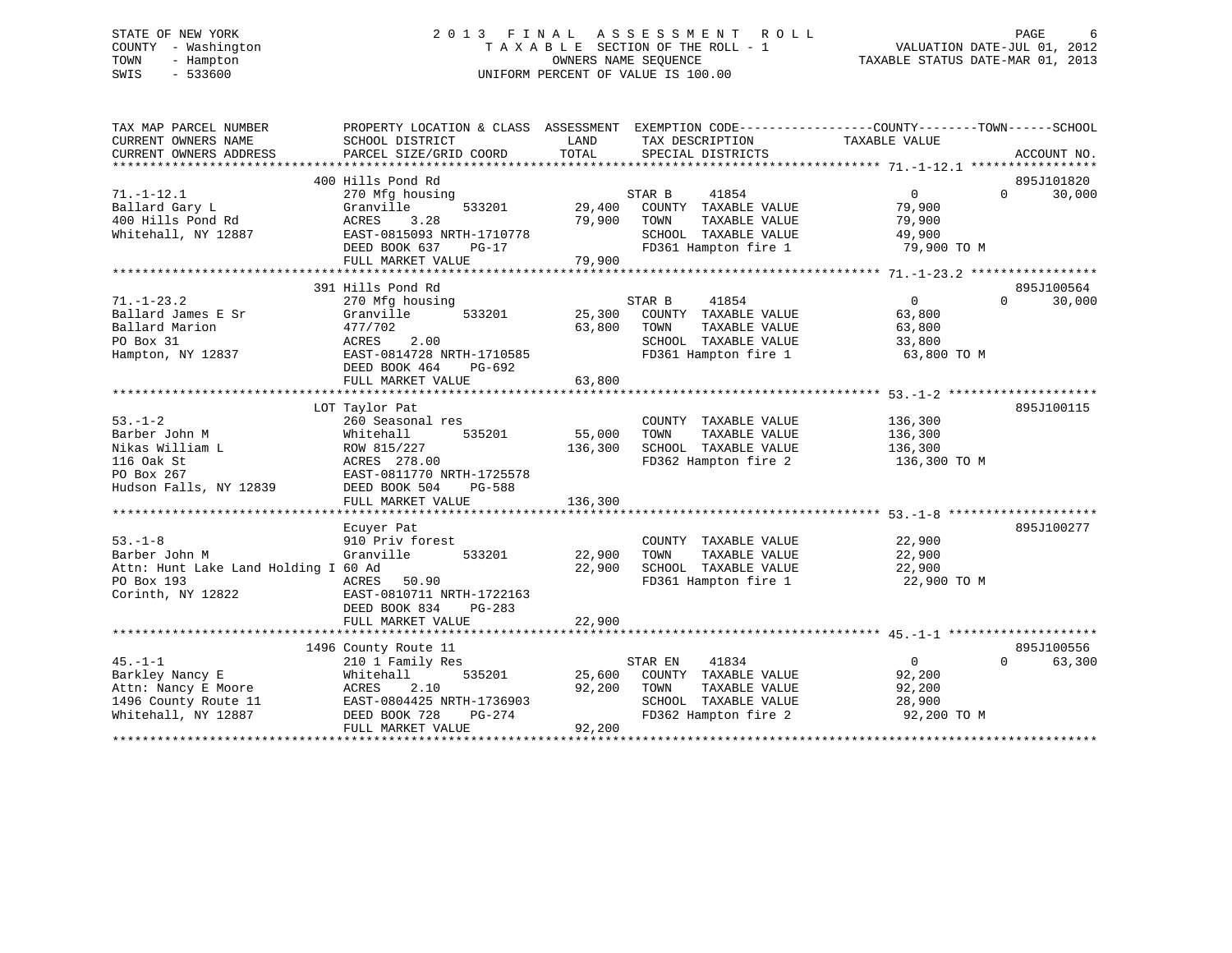# STATE OF NEW YORK 2 0 1 3 F I N A L A S S E S S M E N T R O L L PAGE 6 COUNTY - Washington T A X A B L E SECTION OF THE ROLL - 1 VALUATION DATE-JUL 01, 2012 TOWN - Hampton OWNERS NAME SEQUENCE TAXABLE STATUS DATE-MAR 01, 2013 SWIS - 533600 UNIFORM PERCENT OF VALUE IS 100.00

| TAX MAP PARCEL NUMBER<br>CURRENT OWNERS NAME | PROPERTY LOCATION & CLASS ASSESSMENT EXEMPTION CODE----------------COUNTY-------TOWN------SCHOOL<br>SCHOOL DISTRICT | LAND              | TAX DESCRIPTION                               | TAXABLE VALUE      |                    |
|----------------------------------------------|---------------------------------------------------------------------------------------------------------------------|-------------------|-----------------------------------------------|--------------------|--------------------|
| CURRENT OWNERS ADDRESS                       | PARCEL SIZE/GRID COORD                                                                                              | TOTAL             | SPECIAL DISTRICTS                             |                    | ACCOUNT NO.        |
|                                              |                                                                                                                     |                   |                                               |                    |                    |
|                                              | 400 Hills Pond Rd                                                                                                   |                   |                                               |                    | 895J101820         |
| $71. - 1 - 12.1$                             | 270 Mfg housing                                                                                                     |                   | STAR B<br>41854                               | $\overline{0}$     | 30,000<br>$\Omega$ |
| Ballard Gary L                               | Granville<br>533201                                                                                                 | 29,400            | COUNTY TAXABLE VALUE                          | 79,900             |                    |
| 400 Hills Pond Rd                            | ACRES<br>3.28                                                                                                       | 79,900            | TOWN<br>TAXABLE VALUE                         | 79,900             |                    |
| Whitehall, NY 12887                          | EAST-0815093 NRTH-1710778                                                                                           |                   | SCHOOL TAXABLE VALUE                          | 49,900             |                    |
|                                              | DEED BOOK 637<br>$PG-17$                                                                                            |                   | FD361 Hampton fire 1                          | 79,900 TO M        |                    |
|                                              | FULL MARKET VALUE                                                                                                   | 79,900            |                                               |                    |                    |
|                                              |                                                                                                                     |                   |                                               |                    |                    |
|                                              | 391 Hills Pond Rd                                                                                                   |                   |                                               |                    | 895J100564         |
| $71. - 1 - 23.2$                             | 270 Mfg housing                                                                                                     |                   | 41854<br>STAR B                               | $\mathbf{0}$       | $\Omega$<br>30,000 |
| Ballard James E Sr                           | Granville<br>533201                                                                                                 | 25,300            | COUNTY TAXABLE VALUE                          | 63,800             |                    |
| Ballard Marion                               | 477/702                                                                                                             | 63,800            | TOWN<br>TAXABLE VALUE                         | 63,800             |                    |
| PO Box 31                                    | 2.00<br>ACRES                                                                                                       |                   | SCHOOL TAXABLE VALUE                          | 33,800             |                    |
| Hampton, NY 12837                            | EAST-0814728 NRTH-1710585<br>DEED BOOK 464<br>PG-692                                                                |                   | FD361 Hampton fire 1                          | 63,800 TO M        |                    |
|                                              | FULL MARKET VALUE                                                                                                   | 63,800            |                                               |                    |                    |
|                                              |                                                                                                                     |                   |                                               |                    |                    |
|                                              | LOT Taylor Pat                                                                                                      |                   |                                               |                    | 895J100115         |
| $53. - 1 - 2$                                | 260 Seasonal res                                                                                                    |                   | COUNTY TAXABLE VALUE                          | 136,300            |                    |
| Barber John M<br>Nikas William L             | 535201<br>Whitehall<br>ROW 815/227                                                                                  | 55,000<br>136,300 | TOWN<br>TAXABLE VALUE<br>SCHOOL TAXABLE VALUE | 136,300<br>136,300 |                    |
| 116 Oak St                                   |                                                                                                                     |                   | FD362 Hampton fire 2                          |                    |                    |
| PO Box 267                                   | ACRES 278.00<br>EAST-0811770 NRTH-1725578                                                                           |                   |                                               | 136,300 TO M       |                    |
| Hudson Falls, NY 12839                       | DEED BOOK 504<br>PG-588                                                                                             |                   |                                               |                    |                    |
|                                              | FULL MARKET VALUE                                                                                                   | 136,300           |                                               |                    |                    |
|                                              |                                                                                                                     |                   |                                               |                    |                    |
|                                              | Ecuyer Pat                                                                                                          |                   |                                               |                    | 895J100277         |
| $53 - 1 - 8$                                 | 910 Priv forest                                                                                                     |                   | COUNTY TAXABLE VALUE                          | 22,900             |                    |
| Barber John M                                | Granville<br>533201                                                                                                 | 22,900            | TAXABLE VALUE<br>TOWN                         | 22,900             |                    |
| Attn: Hunt Lake Land Holding I 60 Ad         |                                                                                                                     | 22,900            | SCHOOL TAXABLE VALUE                          | 22,900             |                    |
| PO Box 193                                   | ACRES<br>50.90                                                                                                      |                   | FD361 Hampton fire 1                          | 22,900 TO M        |                    |
| Corinth, NY 12822                            | EAST-0810711 NRTH-1722163                                                                                           |                   |                                               |                    |                    |
|                                              | DEED BOOK 834<br>$PG-283$                                                                                           |                   |                                               |                    |                    |
|                                              | FULL MARKET VALUE                                                                                                   | 22,900            |                                               |                    |                    |
|                                              |                                                                                                                     |                   |                                               |                    |                    |
|                                              | 1496 County Route 11                                                                                                |                   |                                               |                    | 895J100556         |
| $45. -1 - 1$                                 | 210 1 Family Res                                                                                                    |                   | 41834<br>STAR EN                              | 0                  | 63,300<br>$\Omega$ |
| Barkley Nancy E                              | Whitehall<br>535201                                                                                                 | 25,600            | COUNTY TAXABLE VALUE                          | 92,200             |                    |
| Attn: Nancy E Moore                          | ACRES<br>2.10                                                                                                       | 92,200            | TOWN<br>TAXABLE VALUE                         | 92,200             |                    |
| 1496 County Route 11                         | EAST-0804425 NRTH-1736903                                                                                           |                   | SCHOOL TAXABLE VALUE                          | 28,900             |                    |
| Whitehall, NY 12887                          | DEED BOOK 728<br>PG-274                                                                                             |                   | FD362 Hampton fire 2                          | 92,200 TO M        |                    |
|                                              | FULL MARKET VALUE                                                                                                   | 92,200            |                                               |                    |                    |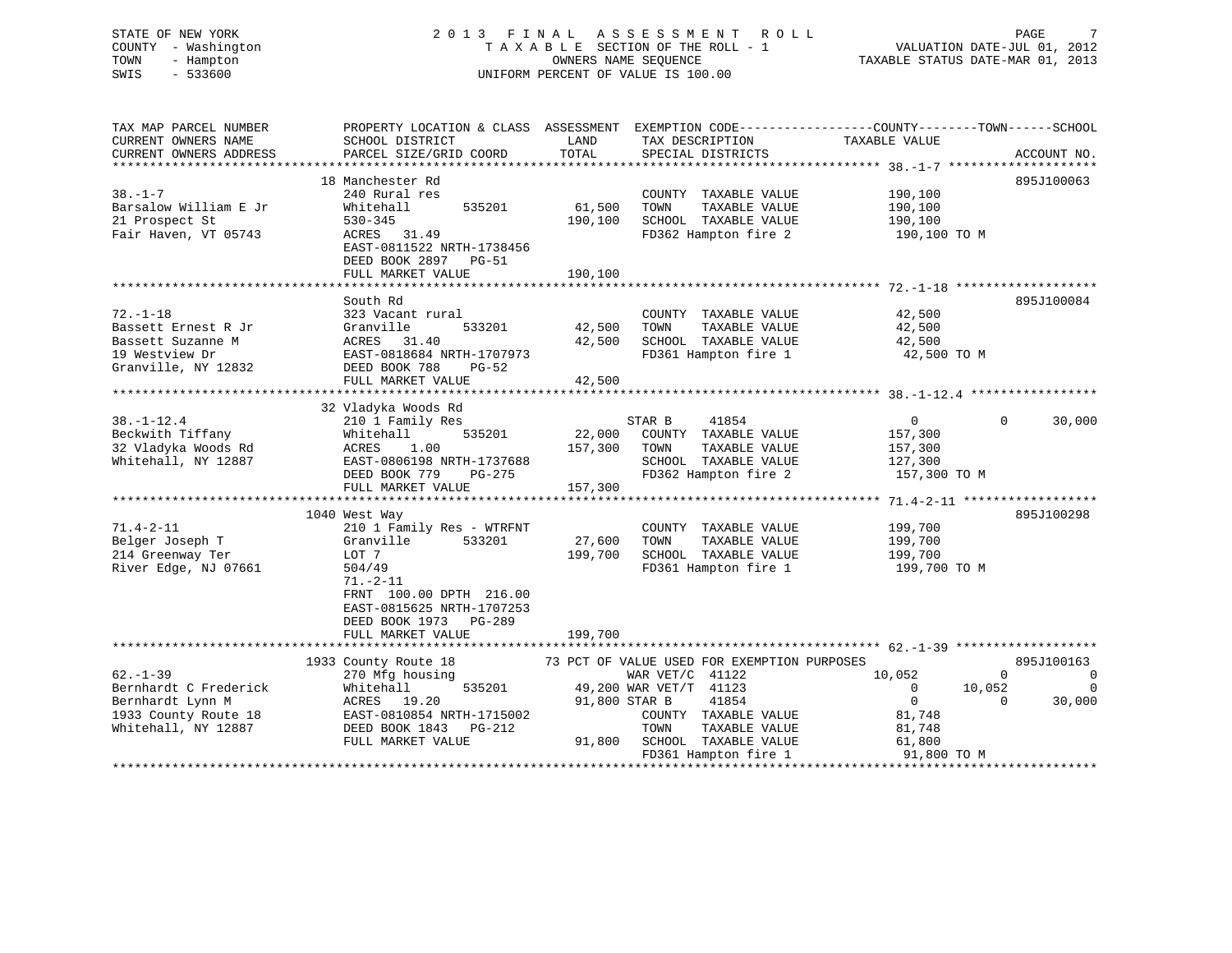### STATE OF NEW YORK 2 0 1 3 F I N A L A S S E S S M E N T R O L L PAGE 7COUNTY - Washington  $T A X A B L E$  SECTION OF THE ROLL - 1<br>TOWN - Hampton DWNERS NAME SEQUENCE TOWN - Hampton OWNERS NAME SEQUENCE TAXABLE STATUS DATE-MAR 01, 2013 SWIS - 533600 UNIFORM PERCENT OF VALUE IS 100.00

VALUATION DATE-JUL 01, 2012

| TAX MAP PARCEL NUMBER  | PROPERTY LOCATION & CLASS ASSESSMENT EXEMPTION CODE--------------COUNTY-------TOWN-----SCHOOL |               |                                             |                            |             |
|------------------------|-----------------------------------------------------------------------------------------------|---------------|---------------------------------------------|----------------------------|-------------|
| CURRENT OWNERS NAME    | SCHOOL DISTRICT                                                                               | LAND          | TAX DESCRIPTION                             | TAXABLE VALUE              |             |
| CURRENT OWNERS ADDRESS | PARCEL SIZE/GRID COORD                                                                        | TOTAL         | SPECIAL DISTRICTS                           |                            | ACCOUNT NO. |
|                        |                                                                                               |               |                                             |                            |             |
|                        | 18 Manchester Rd                                                                              |               |                                             |                            | 895J100063  |
| $38. - 1 - 7$          | 240 Rural res                                                                                 |               | COUNTY TAXABLE VALUE                        | 190,100                    |             |
| Barsalow William E Jr  | 535201<br>Whitehall                                                                           | 61,500        | TAXABLE VALUE<br>TOWN                       | 190,100                    |             |
| 21 Prospect St         | $530 - 345$                                                                                   | 190,100       | SCHOOL TAXABLE VALUE                        | 190,100                    |             |
| Fair Haven, VT 05743   | ACRES 31.49                                                                                   |               | FD362 Hampton fire 2                        | 190,100 TO M               |             |
|                        | EAST-0811522 NRTH-1738456                                                                     |               |                                             |                            |             |
|                        | DEED BOOK 2897 PG-51                                                                          |               |                                             |                            |             |
|                        | FULL MARKET VALUE                                                                             | 190,100       |                                             |                            |             |
|                        |                                                                                               |               |                                             |                            |             |
|                        | South Rd                                                                                      |               |                                             |                            | 895J100084  |
| $72. - 1 - 18$         | 323 Vacant rural                                                                              |               | COUNTY TAXABLE VALUE                        | 42,500                     |             |
| Bassett Ernest R Jr    | Granville<br>533201                                                                           | 42,500        | TOWN<br>TAXABLE VALUE                       | 42,500                     |             |
| Bassett Suzanne M      | ACRES 31.40                                                                                   | 42,500        | SCHOOL TAXABLE VALUE                        | 42,500                     |             |
| 19 Westview Dr         | EAST-0818684 NRTH-1707973                                                                     |               |                                             |                            |             |
|                        |                                                                                               |               | FD361 Hampton fire 1                        | 42,500 TO M                |             |
| Granville, NY 12832    | DEED BOOK 788<br>$PG-52$                                                                      |               |                                             |                            |             |
|                        | FULL MARKET VALUE                                                                             | 42,500        |                                             |                            |             |
|                        |                                                                                               |               |                                             |                            |             |
|                        | 32 Vladyka Woods Rd                                                                           |               |                                             |                            |             |
| $38. - 1 - 12.4$       | 210 1 Family Res                                                                              |               | STAR B<br>41854                             | $\overline{0}$<br>$\Omega$ | 30,000      |
| Beckwith Tiffany       | 535201<br>Whitehall                                                                           |               | 22,000 COUNTY TAXABLE VALUE                 | 157,300                    |             |
| 32 Vladyka Woods Rd    | 1.00<br>ACRES                                                                                 | 157,300       | TOWN<br>TAXABLE VALUE                       | 157,300                    |             |
| Whitehall, NY 12887    | EAST-0806198 NRTH-1737688                                                                     |               | SCHOOL TAXABLE VALUE                        | 127,300                    |             |
|                        | DEED BOOK 779<br>PG-275                                                                       |               | FD362 Hampton fire 2                        | 157,300 TO M               |             |
|                        | FULL MARKET VALUE                                                                             | 157,300       |                                             |                            |             |
|                        |                                                                                               |               |                                             |                            |             |
|                        | 1040 West Way                                                                                 |               |                                             |                            | 895J100298  |
| $71.4 - 2 - 11$        | 210 1 Family Res - WTRFNT                                                                     |               | COUNTY TAXABLE VALUE                        | 199,700                    |             |
| Belger Joseph T        | 533201<br>Granville                                                                           | 27,600        | TOWN<br>TAXABLE VALUE                       | 199,700                    |             |
| 214 Greenway Ter       | LOT 7                                                                                         | 199,700       | SCHOOL TAXABLE VALUE                        | 199,700                    |             |
| River Edge, NJ 07661   | 504/49                                                                                        |               | FD361 Hampton fire 1                        | 199,700 TO M               |             |
|                        | $71. - 2 - 11$                                                                                |               |                                             |                            |             |
|                        | FRNT 100.00 DPTH 216.00                                                                       |               |                                             |                            |             |
|                        | EAST-0815625 NRTH-1707253                                                                     |               |                                             |                            |             |
|                        | DEED BOOK 1973 PG-289                                                                         |               |                                             |                            |             |
|                        | FULL MARKET VALUE                                                                             | 199,700       |                                             |                            |             |
|                        |                                                                                               |               |                                             |                            |             |
|                        | 1933 County Route 18                                                                          |               | 73 PCT OF VALUE USED FOR EXEMPTION PURPOSES |                            | 895J100163  |
| $62. - 1 - 39$         | 270 Mfg housing                                                                               |               | WAR VET/C 41122                             | 10,052<br>$\Omega$         | $\mathbf 0$ |
| Bernhardt C Frederick  | Whitehall<br>535201                                                                           |               | 49,200 WAR VET/T 41123                      | $\overline{0}$<br>10,052   | 0           |
|                        |                                                                                               |               | 41854                                       | $\overline{0}$             | $\Omega$    |
| Bernhardt Lynn M       | ACRES 19.20                                                                                   | 91,800 STAR B |                                             |                            | 30,000      |
| 1933 County Route 18   | EAST-0810854 NRTH-1715002                                                                     |               | COUNTY TAXABLE VALUE                        | 81,748                     |             |
| Whitehall, NY 12887    | DEED BOOK 1843 PG-212                                                                         |               | TOWN<br>TAXABLE VALUE                       | 81,748                     |             |
|                        | FULL MARKET VALUE                                                                             |               | 91,800 SCHOOL TAXABLE VALUE                 | 61,800                     |             |
|                        |                                                                                               |               | FD361 Hampton fire 1                        | 91,800 TO M                |             |
|                        |                                                                                               |               |                                             |                            |             |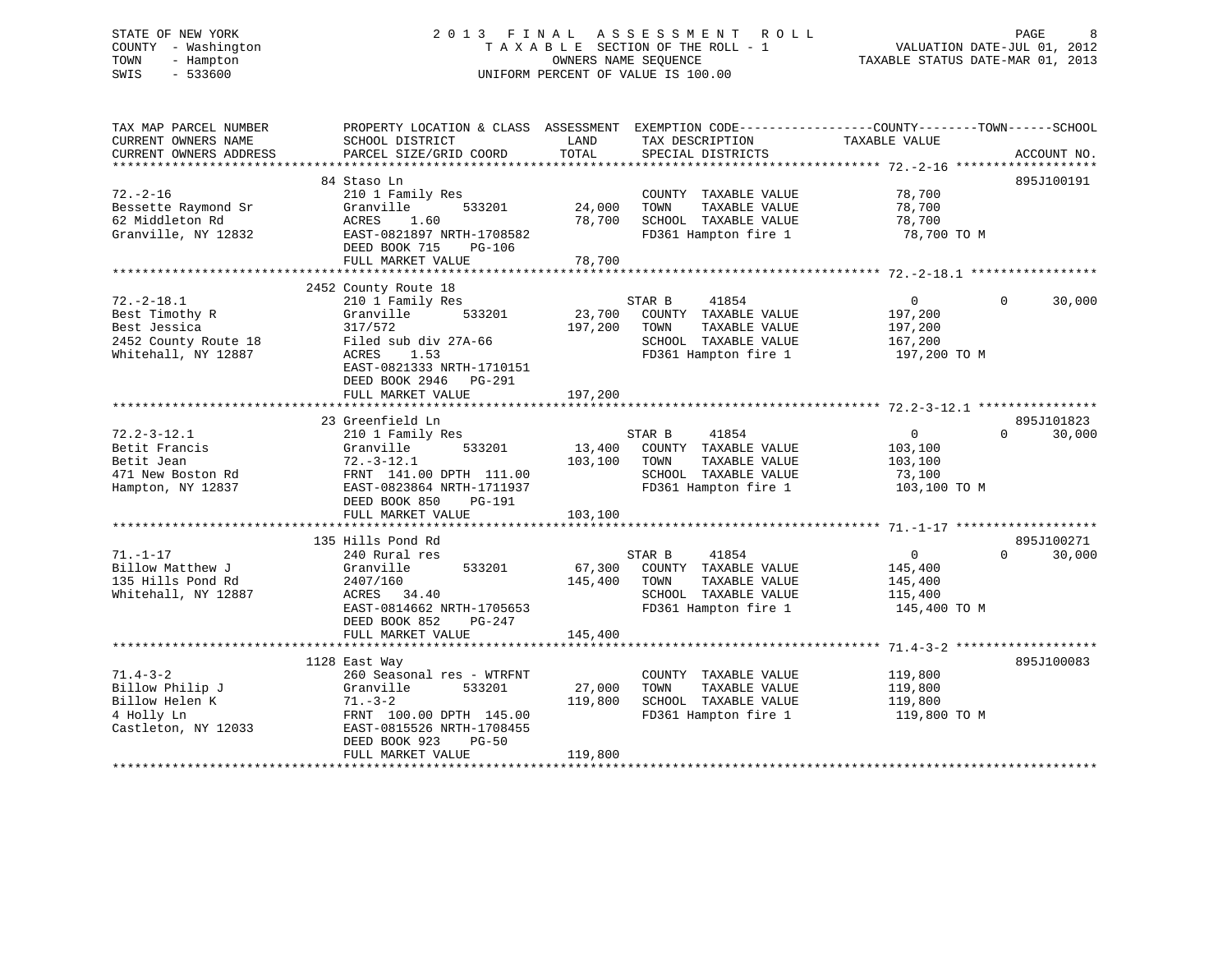# STATE OF NEW YORK 2 0 1 3 F I N A L A S S E S S M E N T R O L L PAGE 8 COUNTY - Washington T A X A B L E SECTION OF THE ROLL - 1 VALUATION DATE-JUL 01, 2012 TOWN - Hampton OWNERS NAME SEQUENCE TAXABLE STATUS DATE-MAR 01, 2013 SWIS - 533600 UNIFORM PERCENT OF VALUE IS 100.00

| TAX MAP PARCEL NUMBER<br>CURRENT OWNERS NAME<br>CURRENT OWNERS ADDRESS                            | PROPERTY LOCATION & CLASS ASSESSMENT<br>SCHOOL DISTRICT<br>PARCEL SIZE/GRID COORD                                                                                                              | LAND<br>TOTAL                | TAX DESCRIPTION<br>SPECIAL DISTRICTS                                                                             | EXEMPTION CODE-----------------COUNTY-------TOWN------SCHOOL<br>TAXABLE VALUE | ACCOUNT NO.                      |
|---------------------------------------------------------------------------------------------------|------------------------------------------------------------------------------------------------------------------------------------------------------------------------------------------------|------------------------------|------------------------------------------------------------------------------------------------------------------|-------------------------------------------------------------------------------|----------------------------------|
|                                                                                                   |                                                                                                                                                                                                |                              |                                                                                                                  |                                                                               |                                  |
| $72. - 2 - 16$<br>Bessette Raymond Sr<br>62 Middleton Rd<br>Granville, NY 12832                   | 84 Staso Ln<br>210 1 Family Res<br>Granville<br>533201<br>ACRES<br>1.60<br>EAST-0821897 NRTH-1708582<br>DEED BOOK 715<br>PG-106                                                                | 24,000<br>78,700             | COUNTY TAXABLE VALUE<br>TOWN<br>TAXABLE VALUE<br>SCHOOL TAXABLE VALUE<br>FD361 Hampton fire 1                    | 78,700<br>78,700<br>78,700<br>78,700 TO M                                     | 895J100191                       |
|                                                                                                   | FULL MARKET VALUE                                                                                                                                                                              | 78,700                       |                                                                                                                  |                                                                               |                                  |
|                                                                                                   |                                                                                                                                                                                                |                              |                                                                                                                  |                                                                               |                                  |
| $72. - 2 - 18.1$<br>Best Timothy R<br>Best Jessica<br>2452 County Route 18<br>Whitehall, NY 12887 | 2452 County Route 18<br>210 1 Family Res<br>Granville<br>533201<br>317/572<br>Filed sub div 27A-66<br>ACRES<br>1.53<br>EAST-0821333 NRTH-1710151<br>DEED BOOK 2946 PG-291<br>FULL MARKET VALUE | 23,700<br>197,200<br>197,200 | STAR B<br>41854<br>COUNTY TAXABLE VALUE<br>TOWN<br>TAXABLE VALUE<br>SCHOOL TAXABLE VALUE<br>FD361 Hampton fire 1 | $\overline{0}$<br>197,200<br>197,200<br>167,200<br>197,200 TO M               | $\Omega$<br>30,000               |
|                                                                                                   |                                                                                                                                                                                                |                              |                                                                                                                  |                                                                               |                                  |
|                                                                                                   | 23 Greenfield Ln                                                                                                                                                                               |                              |                                                                                                                  |                                                                               | 895J101823                       |
| $72.2 - 3 - 12.1$<br>Betit Francis<br>Betit Jean<br>471 New Boston Rd<br>Hampton, NY 12837        | 210 1 Family Res<br>Granville<br>533201<br>$72. - 3 - 12.1$<br>FRNT 141.00 DPTH 111.00<br>EAST-0823864 NRTH-1711937<br>DEED BOOK 850<br>PG-191                                                 | 13,400<br>103,100<br>103,100 | 41854<br>STAR B<br>COUNTY TAXABLE VALUE<br>TOWN<br>TAXABLE VALUE<br>SCHOOL TAXABLE VALUE<br>FD361 Hampton fire 1 | $\overline{0}$<br>$\Omega$<br>103,100<br>103,100<br>73,100<br>103,100 TO M    | 30,000                           |
|                                                                                                   | FULL MARKET VALUE                                                                                                                                                                              |                              |                                                                                                                  |                                                                               |                                  |
| $71. - 1 - 17$<br>Billow Matthew J<br>135 Hills Pond Rd<br>Whitehall, NY 12887                    | 135 Hills Pond Rd<br>240 Rural res<br>533201<br>Granville<br>2407/160<br>ACRES 34.40<br>EAST-0814662 NRTH-1705653<br>DEED BOOK 852<br>PG-247<br>FULL MARKET VALUE                              | 67,300<br>145,400<br>145,400 | 41854<br>STAR B<br>COUNTY TAXABLE VALUE<br>TOWN<br>TAXABLE VALUE<br>SCHOOL TAXABLE VALUE<br>FD361 Hampton fire 1 | $\mathbf{0}$<br>145,400<br>145,400<br>115,400<br>145,400 TO M                 | 895J100271<br>$\Omega$<br>30,000 |
|                                                                                                   |                                                                                                                                                                                                |                              |                                                                                                                  |                                                                               |                                  |
| $71.4 - 3 - 2$<br>Billow Philip J<br>Billow Helen K<br>4 Holly Ln<br>Castleton, NY 12033          | 1128 East Way<br>260 Seasonal res - WTRFNT<br>Granville<br>533201<br>$71. - 3 - 2$<br>FRNT 100.00 DPTH 145.00<br>EAST-0815526 NRTH-1708455<br>DEED BOOK 923<br>$PG-50$<br>FULL MARKET VALUE    | 27,000<br>119,800<br>119,800 | COUNTY TAXABLE VALUE<br>TAXABLE VALUE<br>TOWN<br>SCHOOL TAXABLE VALUE<br>FD361 Hampton fire 1                    | 119,800<br>119,800<br>119,800<br>119,800 TO M                                 | 895J100083                       |
|                                                                                                   |                                                                                                                                                                                                |                              |                                                                                                                  |                                                                               |                                  |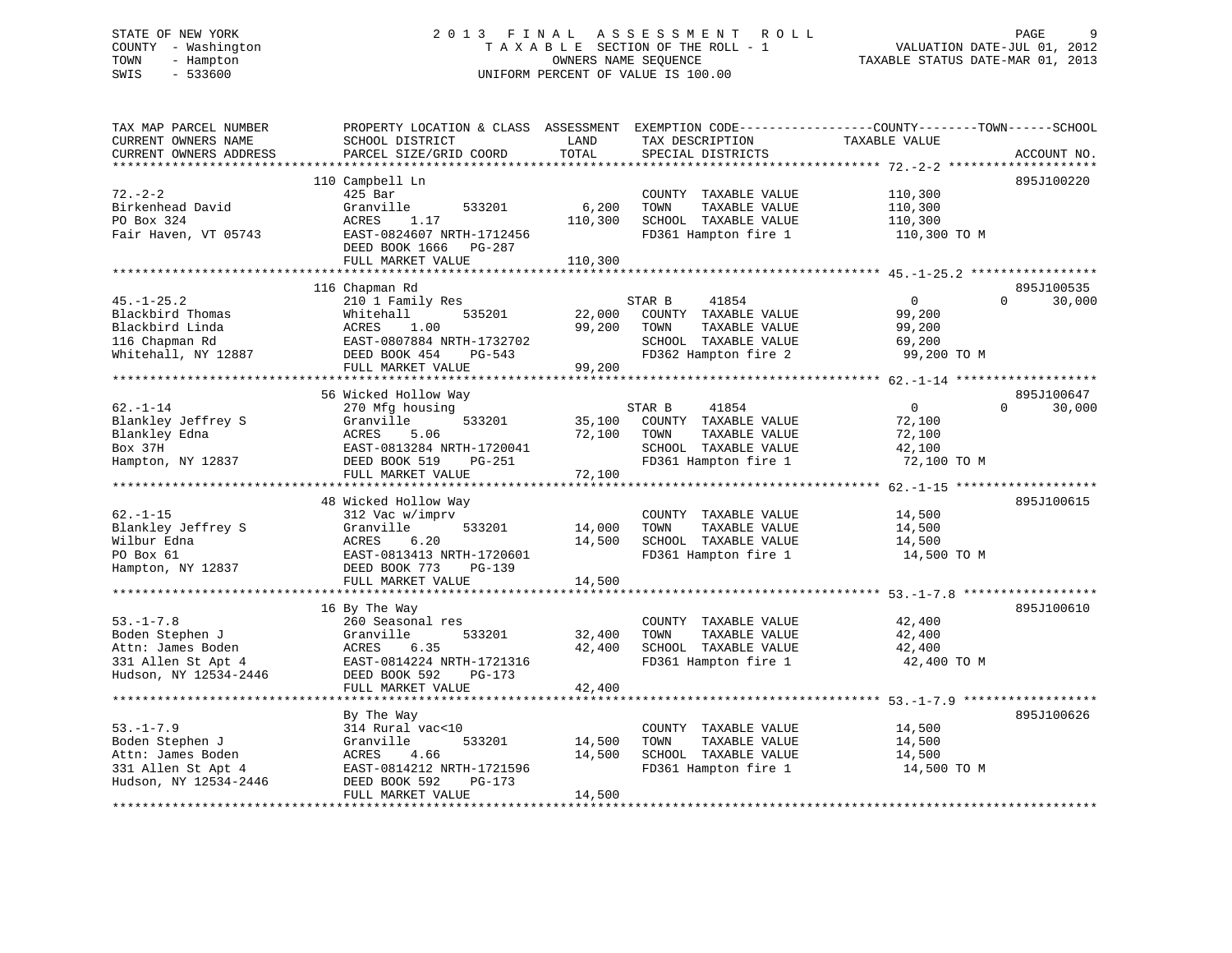# STATE OF NEW YORK 2 0 1 3 F I N A L A S S E S S M E N T R O L L PAGE 9 COUNTY - Washington T A X A B L E SECTION OF THE ROLL - 1 VALUATION DATE-JUL 01, 2012 TOWN - Hampton OWNERS NAME SEQUENCE TAXABLE STATUS DATE-MAR 01, 2013 SWIS - 533600 UNIFORM PERCENT OF VALUE IS 100.00

| TAX MAP PARCEL NUMBER<br>CURRENT OWNERS NAME                                                           | PROPERTY LOCATION & CLASS ASSESSMENT<br>SCHOOL DISTRICT                                                                                                                                   | LAND                                                    | TAX DESCRIPTION                                                                                                  | EXEMPTION CODE-----------------COUNTY-------TOWN------SCHOOL<br>TAXABLE VALUE |                    |
|--------------------------------------------------------------------------------------------------------|-------------------------------------------------------------------------------------------------------------------------------------------------------------------------------------------|---------------------------------------------------------|------------------------------------------------------------------------------------------------------------------|-------------------------------------------------------------------------------|--------------------|
| CURRENT OWNERS ADDRESS<br>***********************                                                      | PARCEL SIZE/GRID COORD                                                                                                                                                                    | TOTAL                                                   | SPECIAL DISTRICTS                                                                                                |                                                                               | ACCOUNT NO.        |
| $72. - 2 - 2$<br>Birkenhead David<br>PO Box 324<br>Fair Haven, VT 05743                                | 110 Campbell Ln<br>425 Bar<br>Granville<br>533201<br>ACRES<br>1.17<br>EAST-0824607 NRTH-1712456<br>DEED BOOK 1666<br>PG-287<br>FULL MARKET VALUE                                          | 6,200<br>110,300<br>110,300                             | COUNTY TAXABLE VALUE<br>TOWN<br>TAXABLE VALUE<br>SCHOOL TAXABLE VALUE<br>FD361 Hampton fire 1                    | 110,300<br>110,300<br>110,300<br>110,300 TO M                                 | 895J100220         |
|                                                                                                        | 116 Chapman Rd                                                                                                                                                                            |                                                         |                                                                                                                  |                                                                               | 895J100535         |
| $45. - 1 - 25.2$<br>Blackbird Thomas<br>Blackbird Linda<br>116 Chapman Rd<br>Whitehall, NY 12887       | 210 1 Family Res<br>Whitehall<br>535201<br>1.00<br>ACRES<br>EAST-0807884 NRTH-1732702<br>DEED BOOK 454<br>PG-543<br>FULL MARKET VALUE                                                     | 22,000<br>99,200<br>99,200                              | STAR B<br>41854<br>COUNTY TAXABLE VALUE<br>TOWN<br>TAXABLE VALUE<br>SCHOOL TAXABLE VALUE<br>FD362 Hampton fire 2 | $\mathbf 0$<br>99,200<br>99,200<br>69,200<br>99,200 TO M                      | $\Omega$<br>30,000 |
|                                                                                                        | 56 Wicked Hollow Way                                                                                                                                                                      |                                                         |                                                                                                                  |                                                                               | 895J100647         |
| $62. - 1 - 14$<br>Blankley Jeffrey S<br>Blankley Edna<br>Box 37H<br>Hampton, NY 12837                  | 270 Mfg housing<br>Granville<br>533201<br>ACRES<br>5.06<br>EAST-0813284 NRTH-1720041<br>DEED BOOK 519<br>PG-251<br>FULL MARKET VALUE                                                      | 35,100<br>72,100<br>72,100                              | STAR B<br>41854<br>COUNTY TAXABLE VALUE<br>TOWN<br>TAXABLE VALUE<br>SCHOOL TAXABLE VALUE<br>FD361 Hampton fire 1 | $\overline{0}$<br>72,100<br>72,100<br>42,100<br>72,100 TO M                   | $\Omega$<br>30,000 |
|                                                                                                        | ******************************                                                                                                                                                            |                                                         |                                                                                                                  |                                                                               |                    |
| $62. - 1 - 15$<br>Blankley Jeffrey S<br>Wilbur Edna<br>PO Box 61<br>Hampton, NY 12837                  | 48 Wicked Hollow Way<br>312 Vac w/imprv<br>Granville<br>533201<br>ACRES<br>6.20<br>EAST-0813413 NRTH-1720601<br>DEED BOOK 773<br>PG-139<br>FULL MARKET VALUE<br>************************* | 14,000<br>14,500<br>14,500<br>* * * * * * * * * * * * * | COUNTY TAXABLE VALUE<br>TOWN<br>TAXABLE VALUE<br>SCHOOL TAXABLE VALUE<br>FD361 Hampton fire 1                    | 14,500<br>14,500<br>14,500<br>14,500 TO M                                     | 895J100615         |
|                                                                                                        | 16 By The Way                                                                                                                                                                             |                                                         |                                                                                                                  |                                                                               | 895J100610         |
| $53. - 1 - 7.8$<br>Boden Stephen J<br>Attn: James Boden<br>331 Allen St Apt 4<br>Hudson, NY 12534-2446 | 260 Seasonal res<br>Granville<br>533201<br>ACRES<br>6.35<br>EAST-0814224 NRTH-1721316<br>DEED BOOK 592<br>PG-173                                                                          | 32,400<br>42,400                                        | COUNTY TAXABLE VALUE<br>TAXABLE VALUE<br>TOWN<br>SCHOOL TAXABLE VALUE<br>FD361 Hampton fire 1                    | 42,400<br>42,400<br>42,400<br>42,400 TO M                                     |                    |
|                                                                                                        | FULL MARKET VALUE                                                                                                                                                                         | 42,400                                                  |                                                                                                                  |                                                                               |                    |
| $53. - 1 - 7.9$<br>Boden Stephen J<br>Attn: James Boden<br>331 Allen St Apt 4                          | ***************************<br>By The Way<br>314 Rural vac<10<br>Granville<br>533201<br>ACRES<br>4.66<br>EAST-0814212 NRTH-1721596                                                        | 14,500<br>14,500                                        | COUNTY TAXABLE VALUE<br>TAXABLE VALUE<br>TOWN<br>SCHOOL TAXABLE VALUE<br>FD361 Hampton fire 1                    | 14,500<br>14,500<br>14,500<br>14,500 TO M                                     | 895J100626         |
| Hudson, NY 12534-2446                                                                                  | DEED BOOK 592<br>PG-173<br>FULL MARKET VALUE                                                                                                                                              | 14,500                                                  |                                                                                                                  |                                                                               |                    |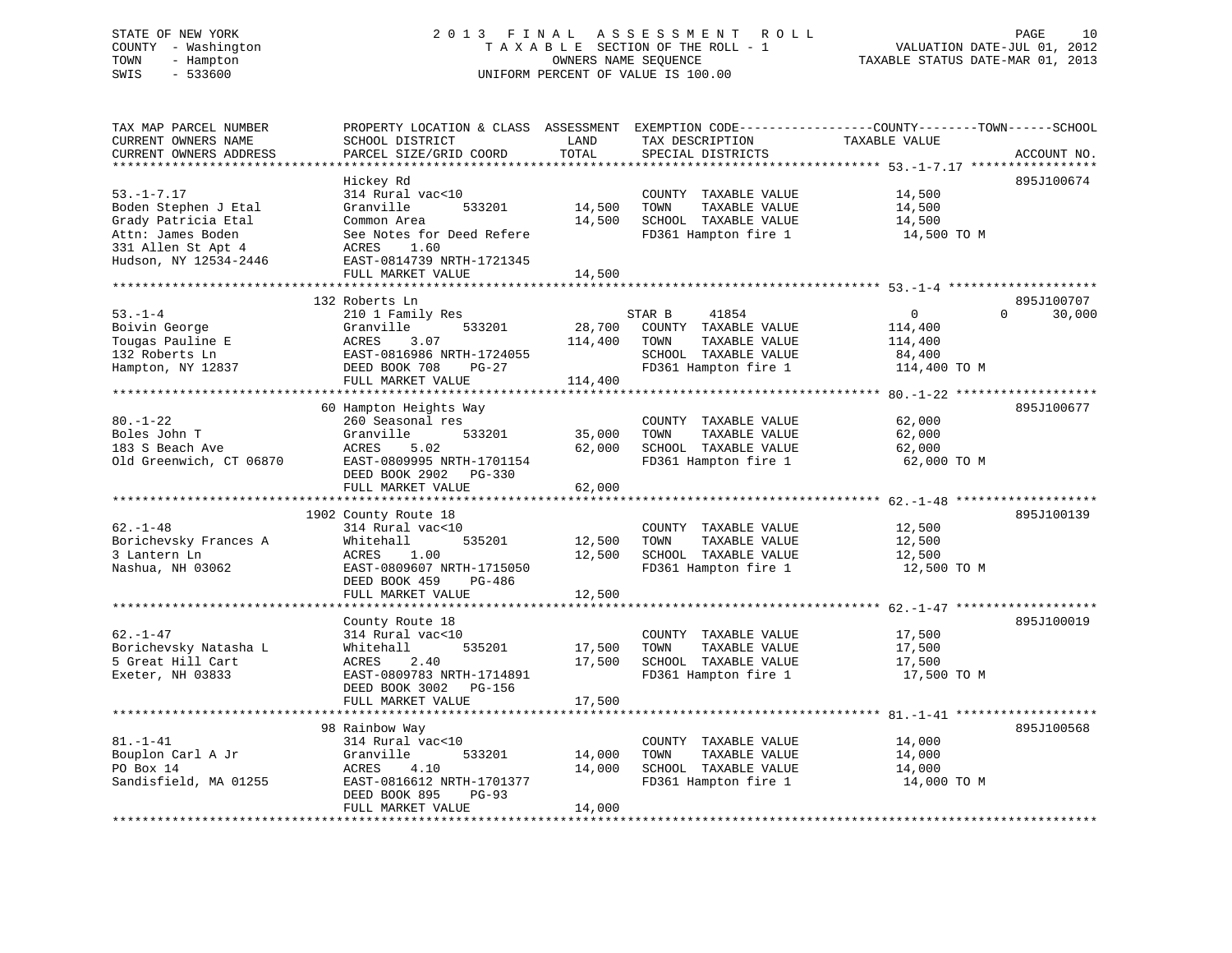# STATE OF NEW YORK 2 0 1 3 F I N A L A S S E S S M E N T R O L L PAGE 10 COUNTY - Washington T A X A B L E SECTION OF THE ROLL - 1 VALUATION DATE-JUL 01, 2012 TOWN - Hampton OWNERS NAME SEQUENCE TAXABLE STATUS DATE-MAR 01, 2013 SWIS - 533600 UNIFORM PERCENT OF VALUE IS 100.00

| TAX MAP PARCEL NUMBER<br>CURRENT OWNERS NAME<br>CURRENT OWNERS ADDRESS                                                                                       | PROPERTY LOCATION & CLASS ASSESSMENT<br>SCHOOL DISTRICT<br>PARCEL SIZE/GRID COORD                                                                                                              | LAND<br>TOTAL                | TAX DESCRIPTION<br>SPECIAL DISTRICTS                                                                             | EXEMPTION CODE-----------------COUNTY-------TOWN------SCHOOL<br>TAXABLE VALUE | ACCOUNT NO.        |
|--------------------------------------------------------------------------------------------------------------------------------------------------------------|------------------------------------------------------------------------------------------------------------------------------------------------------------------------------------------------|------------------------------|------------------------------------------------------------------------------------------------------------------|-------------------------------------------------------------------------------|--------------------|
| *********************<br>$53. - 1 - 7.17$<br>Boden Stephen J Etal<br>Grady Patricia Etal<br>Attn: James Boden<br>331 Allen St Apt 4<br>Hudson, NY 12534-2446 | ***********************<br>Hickey Rd<br>314 Rural vac<10<br>Granville<br>533201<br>Common Area<br>See Notes for Deed Refere<br>1.60<br>ACRES<br>EAST-0814739 NRTH-1721345<br>FULL MARKET VALUE | 14,500<br>14,500<br>14,500   | COUNTY TAXABLE VALUE<br>TOWN<br>TAXABLE VALUE<br>SCHOOL TAXABLE VALUE<br>FD361 Hampton fire 1                    | 14,500<br>14,500<br>14,500<br>14,500 TO M                                     | 895J100674         |
| *********************                                                                                                                                        | 132 Roberts Ln                                                                                                                                                                                 |                              |                                                                                                                  |                                                                               | 895J100707         |
| $53. - 1 - 4$<br>Boivin George<br>Tougas Pauline E<br>132 Roberts Ln<br>Hampton, NY 12837                                                                    | 210 1 Family Res<br>533201<br>Granville<br><b>ACRES</b><br>3.07<br>EAST-0816986 NRTH-1724055<br>DEED BOOK 708<br>PG-27<br>FULL MARKET VALUE<br>*************************                       | 28,700<br>114,400<br>114,400 | STAR B<br>41854<br>COUNTY TAXABLE VALUE<br>TOWN<br>TAXABLE VALUE<br>SCHOOL TAXABLE VALUE<br>FD361 Hampton fire 1 | $\overline{0}$<br>114,400<br>114,400<br>84,400<br>114,400 TO M                | 30,000<br>$\Omega$ |
|                                                                                                                                                              | 60 Hampton Heights Way                                                                                                                                                                         |                              |                                                                                                                  | $80, -1 - 22$ ********************                                            | 895J100677         |
| $80. - 1 - 22$<br>Boles John T<br>183 S Beach Ave<br>Old Greenwich, CT 06870                                                                                 | 260 Seasonal res<br>Granville<br>533201<br>ACRES<br>5.02<br>EAST-0809995 NRTH-1701154<br>DEED BOOK 2902<br>PG-330                                                                              | 35,000<br>62,000             | COUNTY TAXABLE VALUE<br>TOWN<br>TAXABLE VALUE<br>SCHOOL TAXABLE VALUE<br>FD361 Hampton fire 1                    | 62,000<br>62,000<br>62,000<br>62,000 TO M                                     |                    |
|                                                                                                                                                              | FULL MARKET VALUE<br>*****************************                                                                                                                                             | 62,000                       |                                                                                                                  |                                                                               |                    |
| $62. - 1 - 48$<br>Borichevsky Frances A<br>3 Lantern Ln<br>Nashua, NH 03062                                                                                  | 1902 County Route 18<br>314 Rural vac<10<br>535201<br>Whitehall<br>ACRES<br>1.00<br>EAST-0809607 NRTH-1715050<br>DEED BOOK 459<br>PG-486                                                       | 12,500<br>12,500             | COUNTY TAXABLE VALUE<br>TOWN<br>TAXABLE VALUE<br>SCHOOL TAXABLE VALUE<br>FD361 Hampton fire 1                    | 12,500<br>12,500<br>12,500<br>12,500 TO M                                     | 895J100139         |
|                                                                                                                                                              | FULL MARKET VALUE                                                                                                                                                                              | 12,500                       |                                                                                                                  |                                                                               |                    |
| $62. - 1 - 47$<br>Borichevsky Natasha L<br>5 Great Hill Cart<br>Exeter, NH 03833                                                                             | County Route 18<br>314 Rural vac<10<br>535201<br>Whitehall<br>ACRES<br>2.40<br>EAST-0809783 NRTH-1714891<br>DEED BOOK 3002<br><b>PG-156</b>                                                    | 17,500<br>17,500             | COUNTY TAXABLE VALUE<br>TAXABLE VALUE<br>TOWN<br>SCHOOL TAXABLE VALUE<br>FD361 Hampton fire 1                    | 17,500<br>17,500<br>17,500<br>17,500 TO M                                     | 895J100019         |
|                                                                                                                                                              | FULL MARKET VALUE<br>***************************                                                                                                                                               | 17,500                       |                                                                                                                  |                                                                               |                    |
| $81. - 1 - 41$<br>Bouplon Carl A Jr<br>PO Box 14<br>Sandisfield, MA 01255                                                                                    | 98 Rainbow Way<br>314 Rural vac<10<br>Granville<br>533201<br>ACRES<br>4.10<br>EAST-0816612 NRTH-1701377<br>DEED BOOK 895<br>$PG-93$<br>FULL MARKET VALUE                                       | 14,000<br>14,000<br>14,000   | COUNTY TAXABLE VALUE<br>TOWN<br>TAXABLE VALUE<br>SCHOOL TAXABLE VALUE<br>FD361 Hampton fire 1                    | 14,000<br>14,000<br>14,000<br>14,000 TO M                                     | 895J100568         |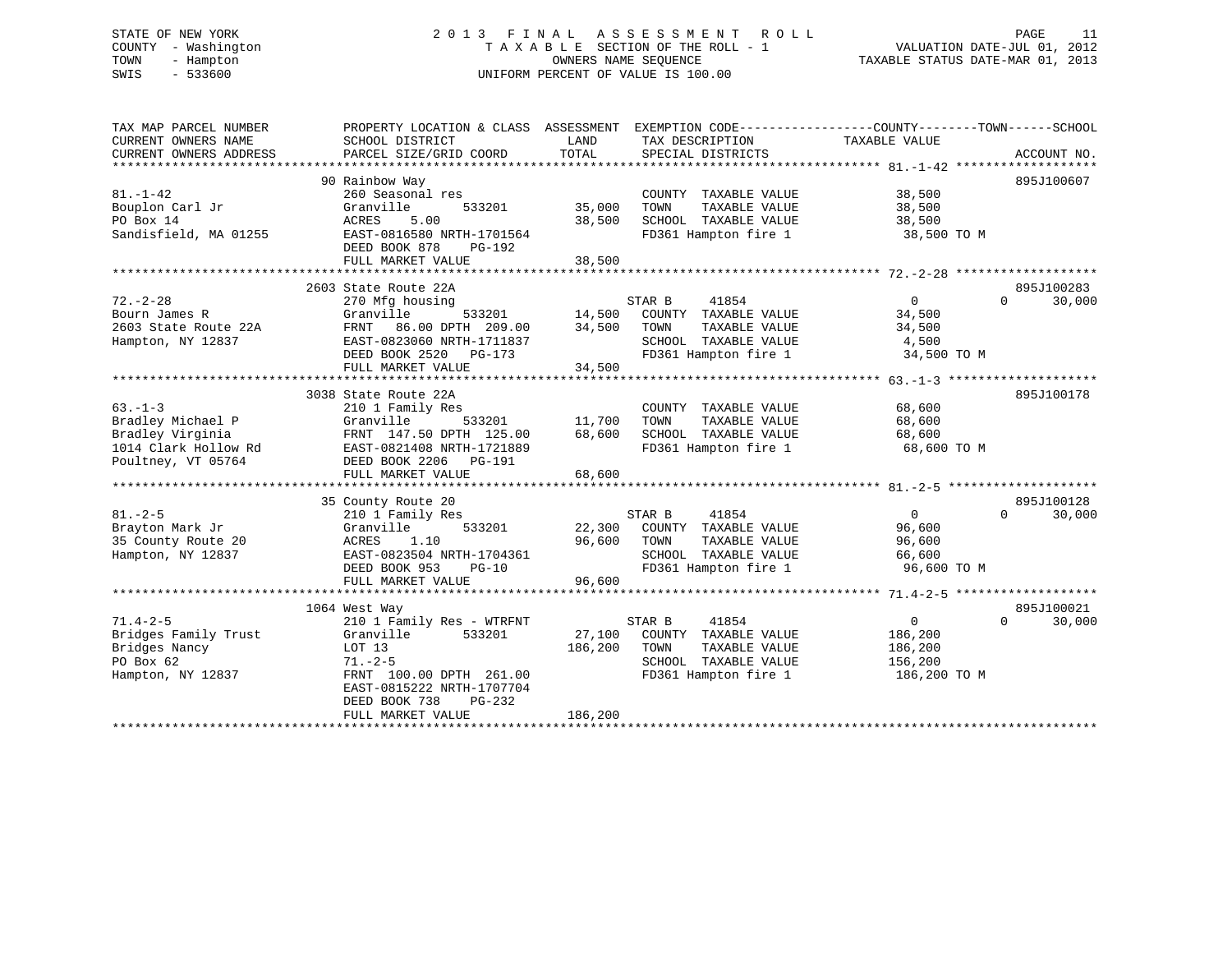# STATE OF NEW YORK 2 0 1 3 F I N A L A S S E S S M E N T R O L L PAGE 11 COUNTY - Washington T A X A B L E SECTION OF THE ROLL - 1 VALUATION DATE-JUL 01, 2012 TOWN - Hampton OWNERS NAME SEQUENCE TAXABLE STATUS DATE-MAR 01, 2013 SWIS - 533600 UNIFORM PERCENT OF VALUE IS 100.00

| TAX MAP PARCEL NUMBER<br>CURRENT OWNERS NAME<br>CURRENT OWNERS ADDRESS | PROPERTY LOCATION & CLASS ASSESSMENT EXEMPTION CODE----------------COUNTY-------TOWN-----SCHOOL<br>SCHOOL DISTRICT<br>PARCEL SIZE/GRID COORD | LAND<br>TOTAL         | TAX DESCRIPTION<br>SPECIAL DISTRICTS | TAXABLE VALUE  | ACCOUNT NO.        |
|------------------------------------------------------------------------|----------------------------------------------------------------------------------------------------------------------------------------------|-----------------------|--------------------------------------|----------------|--------------------|
|                                                                        |                                                                                                                                              |                       |                                      |                |                    |
|                                                                        | 90 Rainbow Way                                                                                                                               |                       |                                      |                | 895J100607         |
| $81. - 1 - 42$                                                         | 260 Seasonal res                                                                                                                             |                       | COUNTY TAXABLE VALUE                 | 38,500         |                    |
| Bouplon Carl Jr                                                        | 533201<br>Granville                                                                                                                          | 35,000                | TAXABLE VALUE<br>TOWN                | 38,500         |                    |
| PO Box 14                                                              | 5.00<br>ACRES                                                                                                                                | 38,500                | SCHOOL TAXABLE VALUE                 | 38,500         |                    |
| Sandisfield, MA 01255                                                  | EAST-0816580 NRTH-1701564                                                                                                                    |                       | FD361 Hampton fire 1 38,500 TO M     |                |                    |
|                                                                        | DEED BOOK 878<br>PG-192                                                                                                                      |                       |                                      |                |                    |
|                                                                        | FULL MARKET VALUE                                                                                                                            | 38,500                |                                      |                |                    |
|                                                                        |                                                                                                                                              |                       |                                      |                |                    |
|                                                                        | 2603 State Route 22A                                                                                                                         |                       |                                      |                | 895J100283         |
| $72. - 2 - 28$                                                         | 270 Mfg housing                                                                                                                              |                       | STAR B<br>41854                      | $\overline{0}$ | $\Omega$<br>30,000 |
| Bourn James R                                                          | Granville                                                                                                                                    |                       | 533201 14,500 COUNTY TAXABLE VALUE   | 34,500         |                    |
| 2603 State Route 22A                                                   | FRNT 86.00 DPTH 209.00                                                                                                                       | $\frac{11}{34}$ , 500 | TAXABLE VALUE<br>TOWN                | 34,500         |                    |
| Hampton, NY 12837                                                      | EAST-0823060 NRTH-1711837                                                                                                                    |                       | SCHOOL TAXABLE VALUE                 | 4,500          |                    |
|                                                                        | DEED BOOK 2520 PG-173                                                                                                                        |                       | FD361 Hampton fire 1                 | 34,500 TO M    |                    |
|                                                                        | FULL MARKET VALUE                                                                                                                            | 34,500                |                                      |                |                    |
|                                                                        |                                                                                                                                              |                       |                                      |                |                    |
|                                                                        | 3038 State Route 22A                                                                                                                         |                       |                                      |                | 895J100178         |
| $63 - 1 - 3$                                                           | 210 1 Family Res                                                                                                                             |                       | COUNTY TAXABLE VALUE                 | 68,600         |                    |
| Bradley Michael P                                                      | Granville<br>533201 11,700                                                                                                                   |                       | TOWN<br>TAXABLE VALUE                | 68,600         |                    |
| Bradley Virginia                                                       | FRNT 147.50 DPTH 125.00                                                                                                                      | 68,600                | SCHOOL TAXABLE VALUE                 | 68,600         |                    |
| 1014 Clark Hollow Rd                                                   | EAST-0821408 NRTH-1721889                                                                                                                    |                       | FD361 Hampton fire 1                 | 68,600 TO M    |                    |
| Poultney, VT 05764                                                     | DEED BOOK 2206 PG-191                                                                                                                        |                       |                                      |                |                    |
|                                                                        | FULL MARKET VALUE                                                                                                                            | 68,600                |                                      |                |                    |
|                                                                        |                                                                                                                                              |                       |                                      |                |                    |
|                                                                        | 35 County Route 20                                                                                                                           |                       |                                      |                | 895J100128         |
| $81. - 2 - 5$                                                          | 210 1 Family Res                                                                                                                             |                       | 41854<br>STAR B                      | $\overline{0}$ | $\Omega$<br>30,000 |
| Brayton Mark Jr                                                        | 533201<br>Granville                                                                                                                          |                       | 22,300 COUNTY TAXABLE VALUE          | 96,600         |                    |
| 35 County Route 20                                                     | 1.10<br>ACRES                                                                                                                                | 96,600 TOWN           | TAXABLE VALUE                        | 96,600         |                    |
| Hampton, NY 12837                                                      | EAST-0823504 NRTH-1704361                                                                                                                    |                       | SCHOOL TAXABLE VALUE                 | 66,600         |                    |
|                                                                        | DEED BOOK 953<br>$PG-10$                                                                                                                     |                       | FD361 Hampton fire 1                 | 96,600 TO M    |                    |
|                                                                        | FULL MARKET VALUE                                                                                                                            | 96,600                |                                      |                |                    |
|                                                                        |                                                                                                                                              |                       |                                      |                |                    |
|                                                                        | 1064 West Way                                                                                                                                |                       |                                      |                | 895J100021         |
| $71.4 - 2 - 5$                                                         | 210 1 Family Res - WTRFNT                                                                                                                    |                       | STAR B<br>41854                      | $\overline{0}$ | $\Omega$<br>30,000 |
| Bridges Family Trust                                                   | 533201<br>Granville                                                                                                                          |                       | 27,100 COUNTY TAXABLE VALUE          | 186,200        |                    |
| Bridges Nancy                                                          | LOT 13                                                                                                                                       | 186,200               | TAXABLE VALUE<br>TOWN                | 186,200        |                    |
| PO Box 62                                                              | $71. - 2 - 5$                                                                                                                                |                       | SCHOOL TAXABLE VALUE                 | 156, 200       |                    |
| Hampton, NY 12837                                                      | FRNT 100.00 DPTH 261.00                                                                                                                      |                       | FD361 Hampton fire 1                 | 186,200 TO M   |                    |
|                                                                        | EAST-0815222 NRTH-1707704                                                                                                                    |                       |                                      |                |                    |
|                                                                        | DEED BOOK 738<br>PG-232                                                                                                                      |                       |                                      |                |                    |
|                                                                        | FULL MARKET VALUE                                                                                                                            | 186,200               |                                      |                |                    |
|                                                                        |                                                                                                                                              |                       |                                      |                |                    |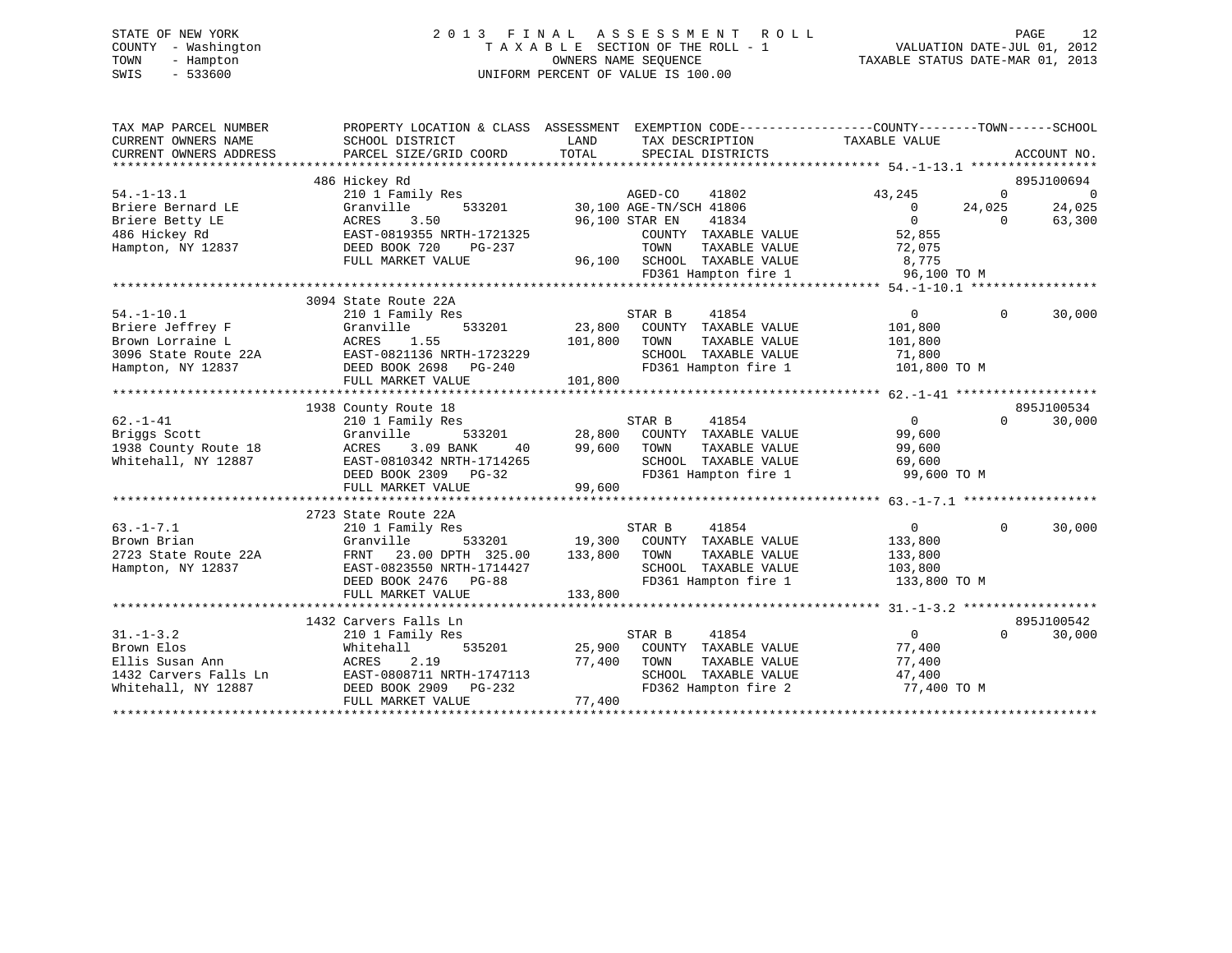# STATE OF NEW YORK 2 0 1 3 F I N A L A S S E S S M E N T R O L L PAGE 12 COUNTY - Washington T A X A B L E SECTION OF THE ROLL - 1 VALUATION DATE-JUL 01, 2012 TOWN - Hampton OWNERS NAME SEQUENCE TAXABLE STATUS DATE-MAR 01, 2013 SWIS - 533600 UNIFORM PERCENT OF VALUE IS 100.00

| TAX MAP PARCEL NUMBER<br>CURRENT OWNERS NAME | PROPERTY LOCATION & CLASS ASSESSMENT EXEMPTION CODE---------------COUNTY-------TOWN-----SCHOOL<br>SCHOOL DISTRICT | LAND           | TAX DESCRIPTION                         | TAXABLE VALUE            |          |                |
|----------------------------------------------|-------------------------------------------------------------------------------------------------------------------|----------------|-----------------------------------------|--------------------------|----------|----------------|
| CURRENT OWNERS ADDRESS                       | PARCEL SIZE/GRID COORD                                                                                            | TOTAL          | SPECIAL DISTRICTS                       |                          |          | ACCOUNT NO.    |
|                                              |                                                                                                                   |                |                                         |                          |          | 895J100694     |
| $54. - 1 - 13.1$                             | 486 Hickey Rd<br>210 1 Family Res                                                                                 |                | AGED-CO<br>41802                        | 43,245                   | $\Omega$ | $\overline{0}$ |
| Briere Bernard LE                            | 533201<br>Granville                                                                                               |                | 30,100 AGE-TN/SCH 41806                 | $\overline{0}$           | 24,025   | 24,025         |
| Briere Betty LE                              | 3.50<br>ACRES                                                                                                     | 96,100 STAR EN | 41834                                   | $\Omega$                 | $\Omega$ | 63,300         |
| 486 Hickey Rd                                | EAST-0819355 NRTH-1721325                                                                                         |                | COUNTY TAXABLE VALUE                    | 52,855                   |          |                |
| Hampton, NY 12837                            | DEED BOOK 720<br>PG-237                                                                                           |                | TAXABLE VALUE<br>TOWN                   | 72,075                   |          |                |
|                                              | FULL MARKET VALUE                                                                                                 |                | 96,100 SCHOOL TAXABLE VALUE             | 8,775                    |          |                |
|                                              |                                                                                                                   |                | FD361 Hampton fire 1                    | 96,100 TO M              |          |                |
|                                              |                                                                                                                   |                |                                         |                          |          |                |
|                                              | 3094 State Route 22A                                                                                              |                |                                         |                          |          |                |
| $54. -1 - 10.1$                              | 210 1 Family Res                                                                                                  |                | STAR B<br>41854                         | $\overline{0}$           | $\Omega$ | 30,000         |
| Briere Jeffrey F                             | 533201<br>Granville                                                                                               |                | 23,800 COUNTY TAXABLE VALUE             | 101,800                  |          |                |
| Brown Lorraine L                             | ACRES<br>1.55                                                                                                     | 101,800        | TOWN<br>TAXABLE VALUE                   | 101,800                  |          |                |
| 3096 State Route 22A                         | EAST-0821136 NRTH-1723229                                                                                         |                | SCHOOL TAXABLE VALUE                    | 71,800                   |          |                |
| Hampton, NY 12837                            | DEED BOOK 2698 PG-240                                                                                             |                | FD361 Hampton fire 1                    | 101,800 TO M             |          |                |
|                                              | FULL MARKET VALUE                                                                                                 | 101,800        |                                         |                          |          |                |
|                                              |                                                                                                                   |                |                                         |                          |          |                |
|                                              | 1938 County Route 18                                                                                              |                |                                         |                          |          | 895J100534     |
| $62. - 1 - 41$                               | 210 1 Family Res                                                                                                  |                | 41854<br>STAR B                         | $\Omega$                 | $\Omega$ | 30,000         |
| Briggs Scott                                 | Granville<br>533201                                                                                               | 28,800         | COUNTY TAXABLE VALUE                    | 99,600                   |          |                |
| 1938 County Route 18                         | 3.09 BANK<br>ACRES<br>40                                                                                          | 99,600         | TOWN<br>TAXABLE VALUE                   | 99,600                   |          |                |
| Whitehall, NY 12887                          | EAST-0810342 NRTH-1714265                                                                                         |                | SCHOOL TAXABLE VALUE                    | 69,600                   |          |                |
|                                              | DEED BOOK 2309 PG-32                                                                                              |                | FD361 Hampton fire 1                    | 99,600 TO M              |          |                |
|                                              | FULL MARKET VALUE                                                                                                 | 99,600         |                                         |                          |          |                |
|                                              |                                                                                                                   |                |                                         |                          |          |                |
|                                              | 2723 State Route 22A                                                                                              |                |                                         |                          |          |                |
| $63. -1 - 7.1$                               | 210 1 Family Res                                                                                                  |                | STAR B<br>41854                         | $\overline{0}$           | $\Omega$ | 30,000         |
| Brown Brian                                  | Granville<br>533201                                                                                               |                | 19,300 COUNTY TAXABLE VALUE             | 133,800                  |          |                |
| 2723 State Route 22A                         | 23.00 DPTH 325.00<br>FRNT                                                                                         | 133,800        | TAXABLE VALUE<br>TOWN                   | 133,800                  |          |                |
| Hampton, NY 12837                            | EAST-0823550 NRTH-1714427                                                                                         |                | SCHOOL TAXABLE VALUE                    | 103,800                  |          |                |
|                                              | DEED BOOK 2476 PG-88                                                                                              |                | FD361 Hampton fire 1                    | 133,800 TO M             |          |                |
|                                              | FULL MARKET VALUE                                                                                                 | 133,800        |                                         |                          |          |                |
|                                              |                                                                                                                   |                |                                         |                          |          | 895J100542     |
| $31. - 1 - 3.2$                              | 1432 Carvers Falls Ln                                                                                             |                |                                         |                          | $\Omega$ |                |
| Brown Elos                                   | 210 1 Family Res<br>535201<br>Whitehall                                                                           | 25,900         | STAR B<br>41854<br>COUNTY TAXABLE VALUE | $\overline{0}$<br>77,400 |          | 30,000         |
| Ellis Susan Ann                              | 2.19<br>ACRES                                                                                                     | 77,400         | TOWN<br>TAXABLE VALUE                   | 77,400                   |          |                |
| 1432 Carvers Falls Ln                        | EAST-0808711 NRTH-1747113                                                                                         |                | SCHOOL TAXABLE VALUE                    | 47,400                   |          |                |
| Whitehall, NY 12887                          | DEED BOOK 2909 PG-232                                                                                             |                | FD362 Hampton fire 2                    | 77,400 TO M              |          |                |
|                                              | FULL MARKET VALUE                                                                                                 | 77,400         |                                         |                          |          |                |
|                                              |                                                                                                                   |                |                                         |                          |          |                |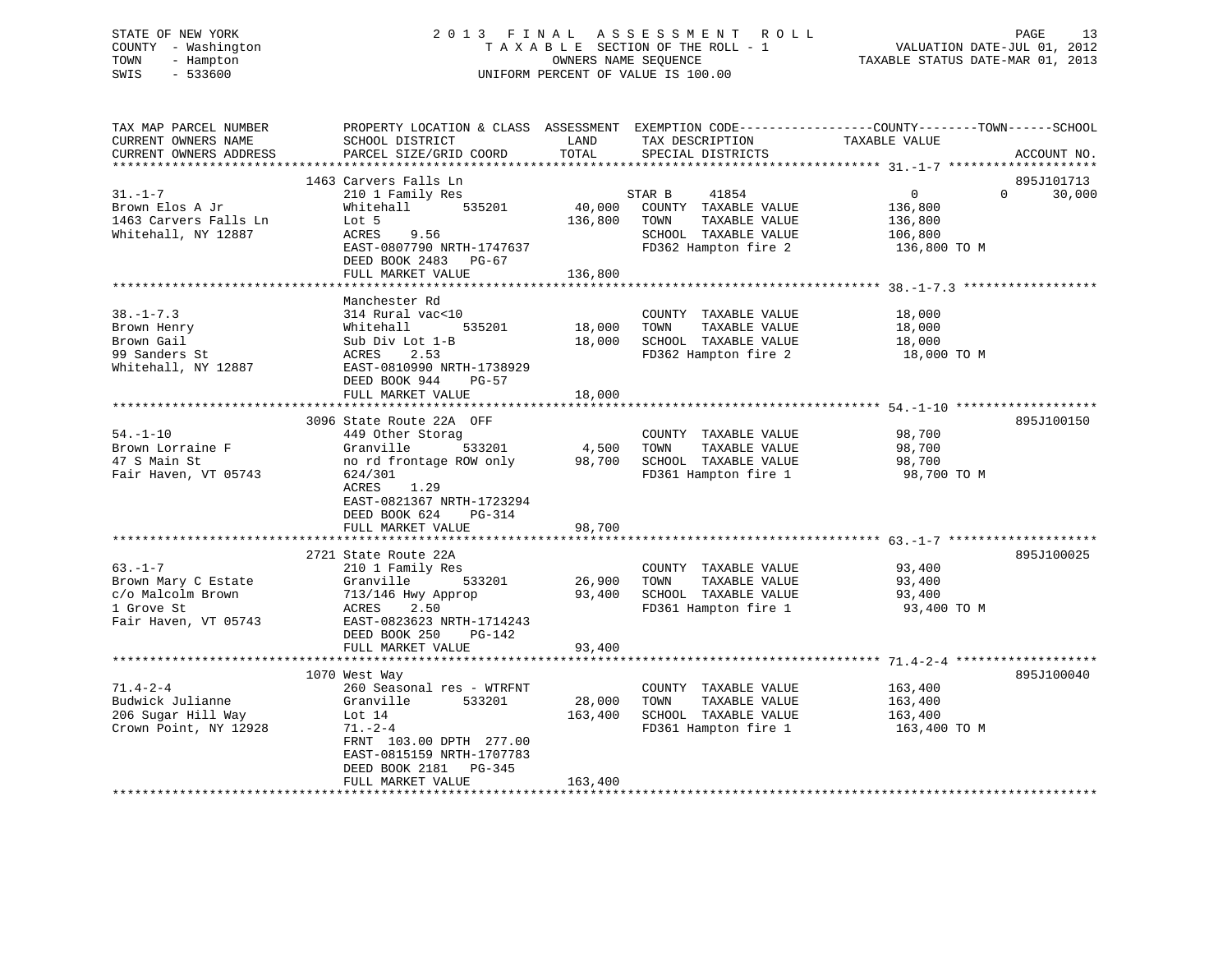# STATE OF NEW YORK 2 0 1 3 F I N A L A S S E S S M E N T R O L L PAGE 13 COUNTY - Washington T A X A B L E SECTION OF THE ROLL - 1 VALUATION DATE-JUL 01, 2012 TOWN - Hampton OWNERS NAME SEQUENCE TAXABLE STATUS DATE-MAR 01, 2013 SWIS - 533600 UNIFORM PERCENT OF VALUE IS 100.00

| TAX MAP PARCEL NUMBER<br>CURRENT OWNERS NAME<br>CURRENT OWNERS ADDRESS                         | PROPERTY LOCATION & CLASS ASSESSMENT<br>SCHOOL DISTRICT<br>PARCEL SIZE/GRID COORD                                                                                                                       | LAND<br>TOTAL                | EXEMPTION CODE-----------------COUNTY-------TOWN------SCHOOL<br>TAX DESCRIPTION<br>SPECIAL DISTRICTS             | TAXABLE VALUE                                                   | ACCOUNT NO.                      |
|------------------------------------------------------------------------------------------------|---------------------------------------------------------------------------------------------------------------------------------------------------------------------------------------------------------|------------------------------|------------------------------------------------------------------------------------------------------------------|-----------------------------------------------------------------|----------------------------------|
|                                                                                                |                                                                                                                                                                                                         |                              |                                                                                                                  |                                                                 |                                  |
| $31. - 1 - 7$<br>Brown Elos A Jr<br>1463 Carvers Falls Ln<br>Whitehall, NY 12887               | 1463 Carvers Falls Ln<br>210 1 Family Res<br>535201<br>Whitehall<br>Lot 5<br>ACRES<br>9.56<br>EAST-0807790 NRTH-1747637<br>DEED BOOK 2483 PG-67                                                         | 40,000<br>136,800            | STAR B<br>41854<br>COUNTY TAXABLE VALUE<br>TAXABLE VALUE<br>TOWN<br>SCHOOL TAXABLE VALUE<br>FD362 Hampton fire 2 | $\overline{0}$<br>136,800<br>136,800<br>106,800<br>136,800 TO M | 895J101713<br>30,000<br>$\Omega$ |
|                                                                                                | FULL MARKET VALUE                                                                                                                                                                                       | 136,800                      |                                                                                                                  |                                                                 |                                  |
|                                                                                                |                                                                                                                                                                                                         |                              |                                                                                                                  |                                                                 |                                  |
| $38. - 1 - 7.3$<br>Brown Henry<br>Brown Gail<br>99 Sanders St<br>Whitehall, NY 12887           | Manchester Rd<br>314 Rural vac<10<br>535201<br>Whitehall<br>Sub Div Lot 1-B<br>ACRES<br>2.53<br>EAST-0810990 NRTH-1738929<br>DEED BOOK 944<br>PG-57                                                     | 18,000<br>18,000             | COUNTY TAXABLE VALUE<br>TOWN<br>TAXABLE VALUE<br>SCHOOL TAXABLE VALUE<br>FD362 Hampton fire 2                    | 18,000<br>18,000<br>18,000<br>18,000 TO M                       |                                  |
|                                                                                                | FULL MARKET VALUE                                                                                                                                                                                       | 18,000                       |                                                                                                                  |                                                                 |                                  |
|                                                                                                |                                                                                                                                                                                                         |                              |                                                                                                                  |                                                                 |                                  |
| $54. - 1 - 10$<br>Brown Lorraine F<br>47 S Main St<br>Fair Haven, VT 05743                     | 3096 State Route 22A OFF<br>449 Other Storag<br>Granville<br>533201<br>no rd frontage ROW only<br>624/301<br>ACRES<br>1.29<br>EAST-0821367 NRTH-1723294<br>DEED BOOK 624<br>PG-314<br>FULL MARKET VALUE | 4,500<br>98,700<br>98,700    | COUNTY TAXABLE VALUE<br>TAXABLE VALUE<br>TOWN<br>SCHOOL TAXABLE VALUE<br>FD361 Hampton fire 1                    | 98,700<br>98,700<br>98,700<br>98,700 TO M                       | 895J100150                       |
|                                                                                                |                                                                                                                                                                                                         |                              |                                                                                                                  |                                                                 |                                  |
| $63. -1 - 7$<br>Brown Mary C Estate<br>c/o Malcolm Brown<br>1 Grove St<br>Fair Haven, VT 05743 | 2721 State Route 22A<br>210 1 Family Res<br>533201<br>Granville<br>713/146 Hwy Approp<br>2.50<br>ACRES<br>EAST-0823623 NRTH-1714243<br>DEED BOOK 250<br>PG-142                                          | 26,900<br>93,400             | COUNTY TAXABLE VALUE<br>TAXABLE VALUE<br>TOWN<br>SCHOOL TAXABLE VALUE<br>FD361 Hampton fire 1                    | 93,400<br>93,400<br>93,400<br>93,400 TO M                       | 895J100025                       |
|                                                                                                | FULL MARKET VALUE                                                                                                                                                                                       | 93,400                       |                                                                                                                  |                                                                 |                                  |
|                                                                                                |                                                                                                                                                                                                         |                              |                                                                                                                  |                                                                 |                                  |
| $71.4 - 2 - 4$<br>Budwick Julianne<br>206 Sugar Hill Way<br>Crown Point, NY 12928              | 1070 West Way<br>260 Seasonal res - WTRFNT<br>533201<br>Granville<br>Lot 14<br>$71. - 2 - 4$<br>FRNT 103.00 DPTH 277.00<br>EAST-0815159 NRTH-1707783<br>DEED BOOK 2181<br>PG-345<br>FULL MARKET VALUE   | 28,000<br>163,400<br>163,400 | COUNTY TAXABLE VALUE<br>TOWN<br>TAXABLE VALUE<br>SCHOOL TAXABLE VALUE<br>FD361 Hampton fire 1                    | 163,400<br>163,400<br>163,400<br>163,400 TO M                   | 895J100040                       |
|                                                                                                |                                                                                                                                                                                                         |                              |                                                                                                                  |                                                                 |                                  |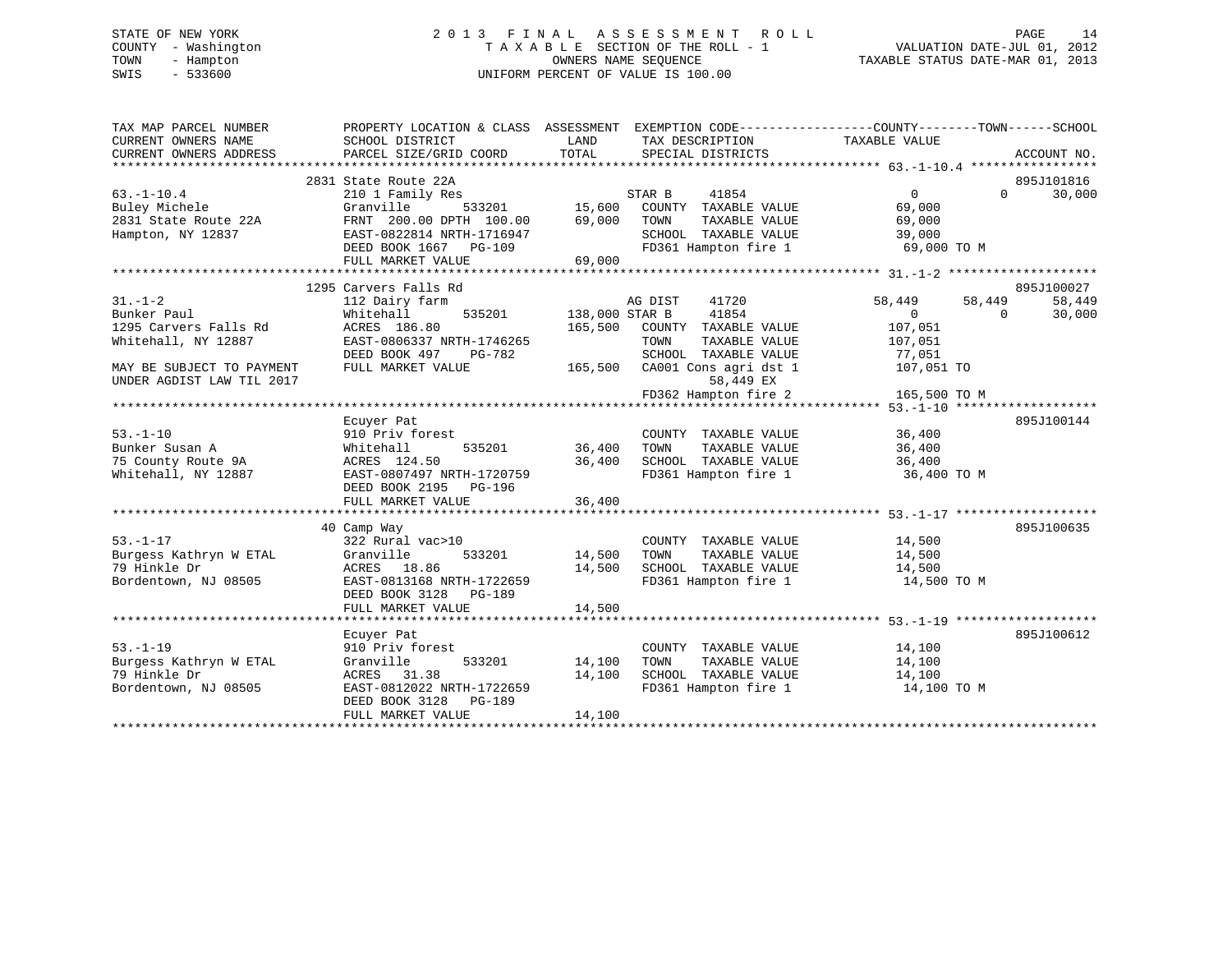# STATE OF NEW YORK 2 0 1 3 F I N A L A S S E S S M E N T R O L L PAGE 14 COUNTY - Washington T A X A B L E SECTION OF THE ROLL - 1 VALUATION DATE-JUL 01, 2012 TOWN - Hampton OWNERS NAME SEQUENCE TAXABLE STATUS DATE-MAR 01, 2013 SWIS - 533600 UNIFORM PERCENT OF VALUE IS 100.00

| TAX MAP PARCEL NUMBER<br>CURRENT OWNERS NAME<br>CURRENT OWNERS ADDRESS | PROPERTY LOCATION & CLASS ASSESSMENT EXEMPTION CODE---------------COUNTY-------TOWN------SCHOOL<br>SCHOOL DISTRICT<br>PARCEL SIZE/GRID COORD | LAND<br>TOTAL                     | TAX DESCRIPTION<br>SPECIAL DISTRICTS | TAXABLE VALUE | ACCOUNT NO.        |
|------------------------------------------------------------------------|----------------------------------------------------------------------------------------------------------------------------------------------|-----------------------------------|--------------------------------------|---------------|--------------------|
|                                                                        |                                                                                                                                              |                                   |                                      |               |                    |
|                                                                        | 2831 State Route 22A                                                                                                                         |                                   |                                      |               | 895J101816         |
| $63. -1 - 10.4$                                                        | 210 1 Family Res                                                                                                                             |                                   | STAR B<br>41854                      | $\Omega$      | $\Omega$<br>30,000 |
| Buley Michele                                                          | Granville                                                                                                                                    | 533201 15,600<br>TH 100.00 69.000 | COUNTY TAXABLE VALUE                 | 69,000        |                    |
| 2831 State Route 22A                                                   | FRNT 200.00 DPTH 100.00                                                                                                                      | 69,000                            | TAXABLE VALUE<br>TOWN                | 69,000        |                    |
| Hampton, NY 12837                                                      | EAST-0822814 NRTH-1716947                                                                                                                    |                                   | SCHOOL TAXABLE VALUE                 | 39,000        |                    |
|                                                                        | DEED BOOK 1667 PG-109                                                                                                                        |                                   | FD361 Hampton fire 1                 | 69,000 TO M   |                    |
|                                                                        | FULL MARKET VALUE                                                                                                                            | 69,000                            |                                      |               |                    |
|                                                                        |                                                                                                                                              |                                   |                                      |               |                    |
|                                                                        | 1295 Carvers Falls Rd                                                                                                                        |                                   |                                      |               | 895J100027         |
| $31. - 1 - 2$                                                          | 112 Dairy farm                                                                                                                               |                                   | AG DIST<br>41720                     | 58,449        | 58,449<br>58,449   |
| Bunker Paul                                                            | 535201<br>Whitehall                                                                                                                          | 138,000 STAR B                    | 41854                                | $\Omega$      | 30,000<br>$\Omega$ |
| 1295 Carvers Falls Rd                                                  | ACRES 186.80                                                                                                                                 | 165,500                           | COUNTY TAXABLE VALUE                 | 107,051       |                    |
| Whitehall, NY 12887                                                    | EAST-0806337 NRTH-1746265                                                                                                                    |                                   | TAXABLE VALUE<br>TOWN                | 107,051       |                    |
|                                                                        | DEED BOOK 497<br>PG-782                                                                                                                      |                                   | SCHOOL TAXABLE VALUE                 | 77,051        |                    |
| MAY BE SUBJECT TO PAYMENT                                              | FULL MARKET VALUE                                                                                                                            |                                   | 165,500 CA001 Cons agri dst 1        | 107,051 TO    |                    |
| UNDER AGDIST LAW TIL 2017                                              |                                                                                                                                              |                                   | 58,449 EX                            |               |                    |
|                                                                        |                                                                                                                                              |                                   | FD362 Hampton fire 2                 | 165,500 TO M  |                    |
|                                                                        |                                                                                                                                              |                                   |                                      |               |                    |
|                                                                        | Ecuyer Pat                                                                                                                                   |                                   |                                      |               | 895J100144         |
| $53. - 1 - 10$                                                         | 910 Priv forest                                                                                                                              |                                   | COUNTY TAXABLE VALUE                 | 36,400        |                    |
| Bunker Susan A                                                         | 535201<br>Whitehall                                                                                                                          | 36,400                            | TOWN<br>TAXABLE VALUE                | 36,400        |                    |
| 75 County Route 9A                                                     | ACRES 124.50                                                                                                                                 | 36,400                            | SCHOOL TAXABLE VALUE                 | 36,400        |                    |
| Whitehall, NY 12887                                                    | EAST-0807497 NRTH-1720759                                                                                                                    |                                   | FD361 Hampton fire 1                 | 36,400 TO M   |                    |
|                                                                        | DEED BOOK 2195 PG-196                                                                                                                        |                                   |                                      |               |                    |
|                                                                        | FULL MARKET VALUE                                                                                                                            | 36,400                            |                                      |               |                    |
|                                                                        |                                                                                                                                              |                                   |                                      |               |                    |
|                                                                        | 40 Camp Way                                                                                                                                  |                                   |                                      |               | 895J100635         |
| $53. - 1 - 17$                                                         | 322 Rural vac>10                                                                                                                             |                                   | COUNTY TAXABLE VALUE                 | 14,500        |                    |
| Burgess Kathryn W ETAL                                                 | Granville                                                                                                                                    | 533201 14,500                     | TOWN<br>TAXABLE VALUE                | 14,500        |                    |
| 79 Hinkle Dr                                                           | ACRES 18.86                                                                                                                                  | 14,500                            | SCHOOL TAXABLE VALUE                 | 14,500        |                    |
| Bordentown, NJ 08505                                                   | EAST-0813168 NRTH-1722659                                                                                                                    |                                   | FD361 Hampton fire 1 14,500 TO M     |               |                    |
|                                                                        | DEED BOOK 3128 PG-189                                                                                                                        |                                   |                                      |               |                    |
|                                                                        | FULL MARKET VALUE                                                                                                                            | 14,500                            |                                      |               |                    |
|                                                                        |                                                                                                                                              |                                   |                                      |               |                    |
|                                                                        |                                                                                                                                              |                                   |                                      |               | 895J100612         |
|                                                                        | Ecuyer Pat                                                                                                                                   |                                   |                                      |               |                    |
| $53. - 1 - 19$<br>Burgess Kathryn W ETAL                               | 910 Priv forest<br>533201                                                                                                                    |                                   | COUNTY TAXABLE VALUE                 | 14,100        |                    |
|                                                                        | Granville                                                                                                                                    | 14,100                            | TOWN<br>TAXABLE VALUE                | 14,100        |                    |
| 79 Hinkle Dr                                                           | ACRES 31.38                                                                                                                                  | 14,100                            | SCHOOL TAXABLE VALUE                 | 14,100        |                    |
| Bordentown, NJ 08505                                                   | EAST-0812022 NRTH-1722659                                                                                                                    |                                   | FD361 Hampton fire 1                 | 14,100 TO M   |                    |
|                                                                        | DEED BOOK 3128 PG-189                                                                                                                        |                                   |                                      |               |                    |
|                                                                        | FULL MARKET VALUE                                                                                                                            | 14,100                            |                                      |               |                    |
|                                                                        |                                                                                                                                              |                                   |                                      |               |                    |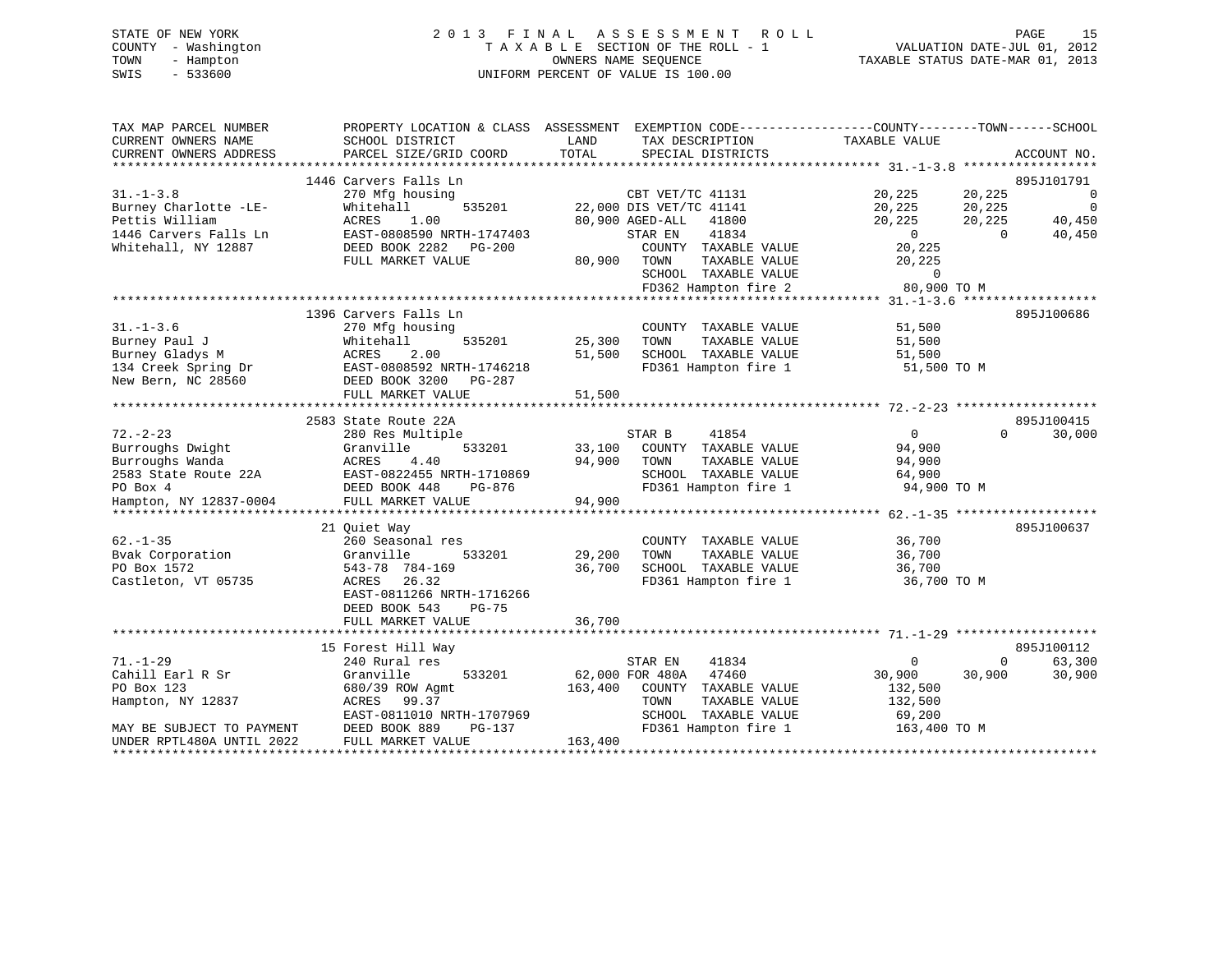# STATE OF NEW YORK 2 0 1 3 F I N A L A S S E S S M E N T R O L L PAGE 15 COUNTY - Washington T A X A B L E SECTION OF THE ROLL - 1 VALUATION DATE-JUL 01, 2012 TOWN - Hampton OWNERS NAME SEQUENCE TAXABLE STATUS DATE-MAR 01, 2013 SWIS - 533600 UNIFORM PERCENT OF VALUE IS 100.00

| TAX MAP PARCEL NUMBER<br>CURRENT OWNERS NAME<br>CURRENT OWNERS ADDRESS                                                          | PROPERTY LOCATION & CLASS ASSESSMENT<br>SCHOOL DISTRICT<br>PARCEL SIZE/GRID COORD                                                                                            | LAND<br>TAX DESCRIPTION<br>TOTAL<br>SPECIAL DISTRICTS                                                                                                               | EXEMPTION CODE-----------------COUNTY-------TOWN------SCHOOL<br>TAXABLE VALUE<br>ACCOUNT NO.                           |
|---------------------------------------------------------------------------------------------------------------------------------|------------------------------------------------------------------------------------------------------------------------------------------------------------------------------|---------------------------------------------------------------------------------------------------------------------------------------------------------------------|------------------------------------------------------------------------------------------------------------------------|
| $31. - 1 - 3.8$<br>Burney Charlotte -LE-                                                                                        | 1446 Carvers Falls Ln<br>270 Mfg housing<br>Whitehall<br>535201                                                                                                              | CBT VET/TC 41131<br>22,000 DIS VET/TC 41141                                                                                                                         | 895J101791<br>20,225<br>20,225<br>$\overline{0}$<br>20,225<br>20,225<br>$\overline{0}$                                 |
| Pettis William<br>1446 Carvers Falls Ln<br>Whitehall, NY 12887                                                                  | 1.00<br>ACRES<br>EAST-0808590 NRTH-1747403<br>DEED BOOK 2282<br>PG-200<br>FULL MARKET VALUE                                                                                  | 80,900 AGED-ALL<br>41800<br>41834<br>STAR EN<br>COUNTY TAXABLE VALUE<br>80,900<br>TOWN<br>TAXABLE VALUE<br>SCHOOL TAXABLE VALUE<br>FD362 Hampton fire 2             | 40,450<br>20,225<br>20,225<br>$\overline{0}$<br>$\Omega$<br>40,450<br>20,225<br>20,225<br>$\mathbf 0$<br>80,900 TO M   |
|                                                                                                                                 |                                                                                                                                                                              |                                                                                                                                                                     |                                                                                                                        |
| $31. - 1 - 3.6$<br>Burney Paul J<br>Burney Gladys M<br>134 Creek Spring Dr<br>New Bern, NC 28560                                | 1396 Carvers Falls Ln<br>270 Mfg housing<br>535201<br>Whitehall<br>2.00<br>ACRES<br>EAST-0808592 NRTH-1746218<br>DEED BOOK 3200 PG-287<br>FULL MARKET VALUE                  | COUNTY TAXABLE VALUE<br>25,300<br>TOWN<br>TAXABLE VALUE<br>51,500<br>SCHOOL TAXABLE VALUE<br>FD361 Hampton fire 1<br>51,500                                         | 895J100686<br>51,500<br>51,500<br>51,500<br>51,500 TO M                                                                |
|                                                                                                                                 |                                                                                                                                                                              |                                                                                                                                                                     |                                                                                                                        |
| $72. - 2 - 23$<br>Burroughs Dwight<br>Burroughs Wanda<br>2583 State Route 22A<br>PO Box 4<br>Hampton, NY 12837-0004             | 2583 State Route 22A<br>280 Res Multiple<br>Granville<br>533201<br>ACRES<br>4.40<br>EAST-0822455 NRTH-1710869<br>DEED BOOK 448<br>PG-876<br>FULL MARKET VALUE                | 41854<br>STAR B<br>33,100<br>COUNTY TAXABLE VALUE<br>94,900<br>TAXABLE VALUE<br>TOWN<br>SCHOOL TAXABLE VALUE<br>FD361 Hampton fire 1<br>94,900                      | 895J100415<br>$\Omega$<br>30,000<br>$\overline{0}$<br>94,900<br>94,900<br>64,900<br>94,900 TO M                        |
| $62. - 1 - 35$<br>Bvak Corporation<br>PO Box 1572<br>Castleton, VT 05735                                                        | 21 Ouiet Way<br>260 Seasonal res<br>Granville<br>533201<br>543-78 784-169<br>ACRES<br>26.32<br>EAST-0811266 NRTH-1716266<br>DEED BOOK 543<br>$PG-75$<br>FULL MARKET VALUE    | COUNTY TAXABLE VALUE<br>29,200<br>TOWN<br>TAXABLE VALUE<br>36,700<br>SCHOOL TAXABLE VALUE<br>FD361 Hampton fire 1<br>36,700                                         | 895J100637<br>36,700<br>36,700<br>36,700<br>36,700 TO M                                                                |
|                                                                                                                                 |                                                                                                                                                                              |                                                                                                                                                                     |                                                                                                                        |
| $71. - 1 - 29$<br>Cahill Earl R Sr<br>PO Box 123<br>Hampton, NY 12837<br>MAY BE SUBJECT TO PAYMENT<br>UNDER RPTL480A UNTIL 2022 | 15 Forest Hill Way<br>240 Rural res<br>Granville<br>533201<br>680/39 ROW Agmt<br>ACRES<br>99.37<br>EAST-0811010 NRTH-1707969<br>DEED BOOK 889<br>PG-137<br>FULL MARKET VALUE | STAR EN<br>41834<br>62,000 FOR 480A<br>47460<br>163,400<br>COUNTY TAXABLE VALUE<br>TOWN<br>TAXABLE VALUE<br>SCHOOL TAXABLE VALUE<br>FD361 Hampton fire 1<br>163,400 | 895J100112<br>63,300<br>$\mathbf 0$<br>0<br>30,900<br>30,900<br>30,900<br>132,500<br>132,500<br>69,200<br>163,400 TO M |
|                                                                                                                                 |                                                                                                                                                                              |                                                                                                                                                                     |                                                                                                                        |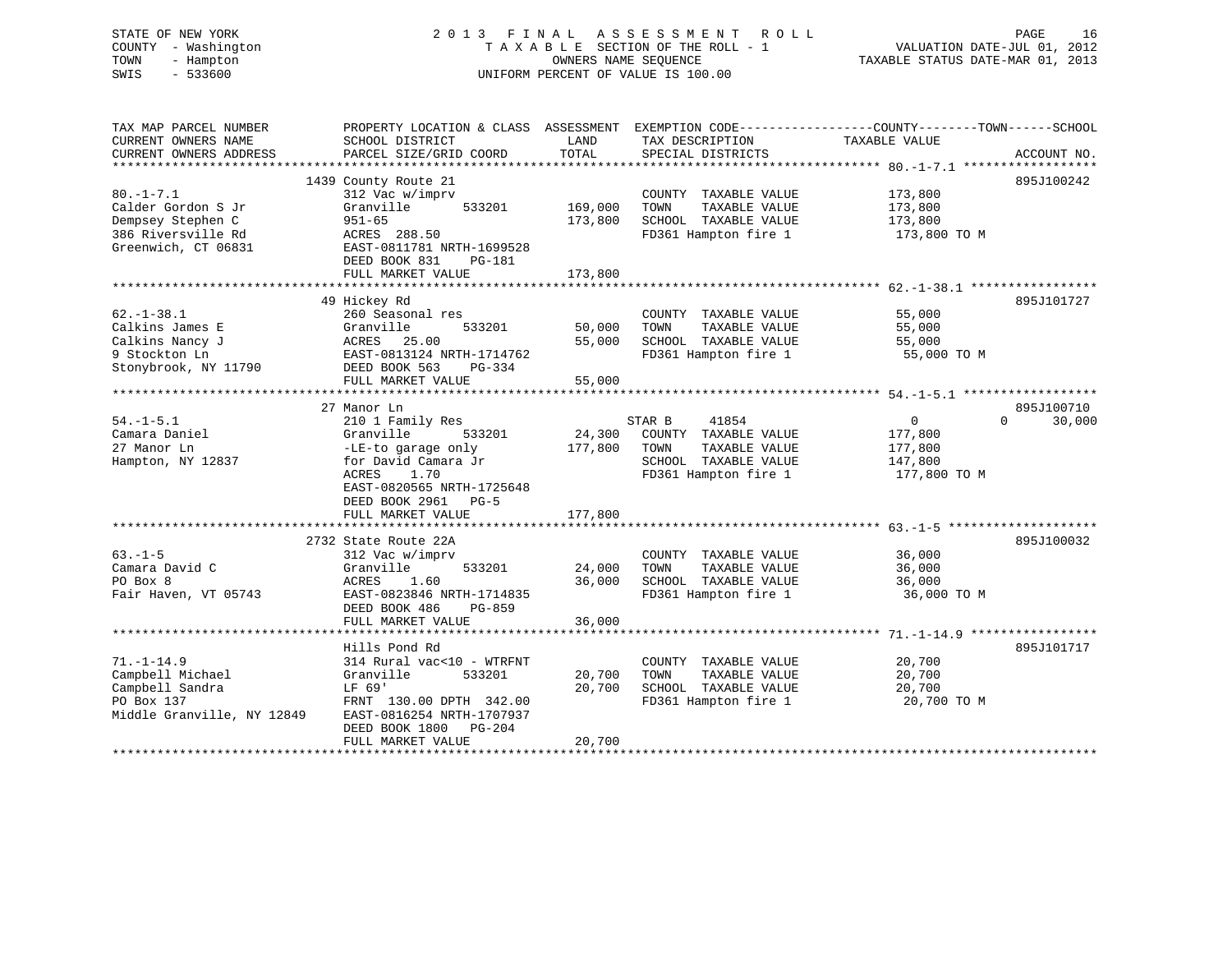STATE OF NEW YORK 2 0 1 3 F I N A L A S S E S S M E N T R O L L PAGE 16 COUNTY - Washington T A X A B L E SECTION OF THE ROLL - 1 VALUATION DATE-JUL 01, 2012 TOWN - Hampton OWNERS NAME SEQUENCE TAXABLE STATUS DATE-MAR 01, 2013 SWIS - 533600 UNIFORM PERCENT OF VALUE IS 100.00 TAX MAP PARCEL NUMBER PROPERTY LOCATION & CLASS ASSESSMENT EXEMPTION CODE------------------COUNTY--------TOWN------SCHOOL CURRENT OWNERS NAME SCHOOL DISTRICT LAND TAX DESCRIPTION TAXABLE VALUE CURRENT OWNERS ADDRESS PARCEL SIZE/GRID COORD TOTAL SPECIAL DISTRICTS ACCOUNT NO.

|                            | 1439 County Route 21              |         |                       | 895J100242               |
|----------------------------|-----------------------------------|---------|-----------------------|--------------------------|
| $80. -1 - 7.1$             | 312 Vac w/imprv                   |         | COUNTY TAXABLE VALUE  | 173,800                  |
| Calder Gordon S Jr         | Granville<br>533201               | 169,000 | TAXABLE VALUE<br>TOWN | 173,800                  |
| Dempsey Stephen C          | $951 - 65$                        | 173,800 | SCHOOL TAXABLE VALUE  | 173,800                  |
| 386 Riversville Rd         | ACRES 288.50                      |         | FD361 Hampton fire 1  | 173,800 TO M             |
| Greenwich, CT 06831        | EAST-0811781 NRTH-1699528         |         |                       |                          |
|                            | DEED BOOK 831<br><b>PG-181</b>    |         |                       |                          |
|                            | FULL MARKET VALUE                 | 173,800 |                       |                          |
|                            |                                   |         |                       |                          |
|                            | 49 Hickey Rd                      |         |                       | 895J101727               |
| $62. - 1 - 38.1$           | 260 Seasonal res                  |         | COUNTY TAXABLE VALUE  | 55,000                   |
| Calkins James E            | 533201<br>Granville               | 50,000  | TAXABLE VALUE<br>TOWN | 55,000                   |
| Calkins Nancy J            | ACRES<br>25.00                    | 55,000  | SCHOOL TAXABLE VALUE  | 55,000                   |
| 9 Stockton Ln              | EAST-0813124 NRTH-1714762         |         | FD361 Hampton fire 1  | 55,000 TO M              |
| Stonybrook, NY 11790       | DEED BOOK 563<br>PG-334           |         |                       |                          |
|                            | FULL MARKET VALUE                 | 55,000  |                       |                          |
|                            | ********************************* |         |                       |                          |
|                            | 27 Manor Ln                       |         |                       | 895J100710               |
|                            |                                   |         |                       | $\Omega$                 |
| $54. - 1 - 5.1$            | 210 1 Family Res                  |         | 41854<br>STAR B       | $\overline{0}$<br>30,000 |
| Camara Daniel              | Granville<br>533201               | 24,300  | COUNTY TAXABLE VALUE  | 177,800                  |
| 27 Manor Ln                | -LE-to garage only                | 177,800 | TOWN<br>TAXABLE VALUE | 177,800                  |
| Hampton, NY 12837          | for David Camara Jr               |         | SCHOOL TAXABLE VALUE  | 147,800                  |
|                            | ACRES<br>1.70                     |         | FD361 Hampton fire 1  | 177,800 TO M             |
|                            | EAST-0820565 NRTH-1725648         |         |                       |                          |
|                            | DEED BOOK 2961<br>$PG-5$          |         |                       |                          |
|                            | FULL MARKET VALUE                 | 177,800 |                       |                          |
|                            |                                   |         |                       |                          |
|                            | 2732 State Route 22A              |         |                       | 895J100032               |
| $63. -1 - 5$               | 312 Vac w/imprv                   |         | COUNTY TAXABLE VALUE  | 36,000                   |
| Camara David C             | Granville<br>533201               | 24,000  | TAXABLE VALUE<br>TOWN | 36,000                   |
| PO Box 8                   | 1.60<br>ACRES                     | 36,000  | SCHOOL TAXABLE VALUE  | 36,000                   |
| Fair Haven, VT 05743       | EAST-0823846 NRTH-1714835         |         | FD361 Hampton fire 1  | 36,000 TO M              |
|                            | DEED BOOK 486<br>PG-859           |         |                       |                          |
|                            | FULL MARKET VALUE                 | 36,000  |                       |                          |
|                            |                                   |         |                       |                          |
|                            | Hills Pond Rd                     |         |                       | 895J101717               |
| $71. - 1 - 14.9$           | 314 Rural vac<10 - WTRFNT         |         | COUNTY TAXABLE VALUE  | 20,700                   |
| Campbell Michael           | Granville<br>533201               | 20,700  | TAXABLE VALUE<br>TOWN | 20,700                   |
| Campbell Sandra            | LF 69'                            | 20,700  | SCHOOL TAXABLE VALUE  | 20,700                   |
| PO Box 137                 | FRNT 130.00 DPTH 342.00           |         | FD361 Hampton fire 1  | 20,700 TO M              |
| Middle Granville, NY 12849 | EAST-0816254 NRTH-1707937         |         |                       |                          |
|                            | DEED BOOK 1800<br>PG-204          |         |                       |                          |
|                            | FULL MARKET VALUE                 | 20,700  |                       |                          |
|                            |                                   |         |                       |                          |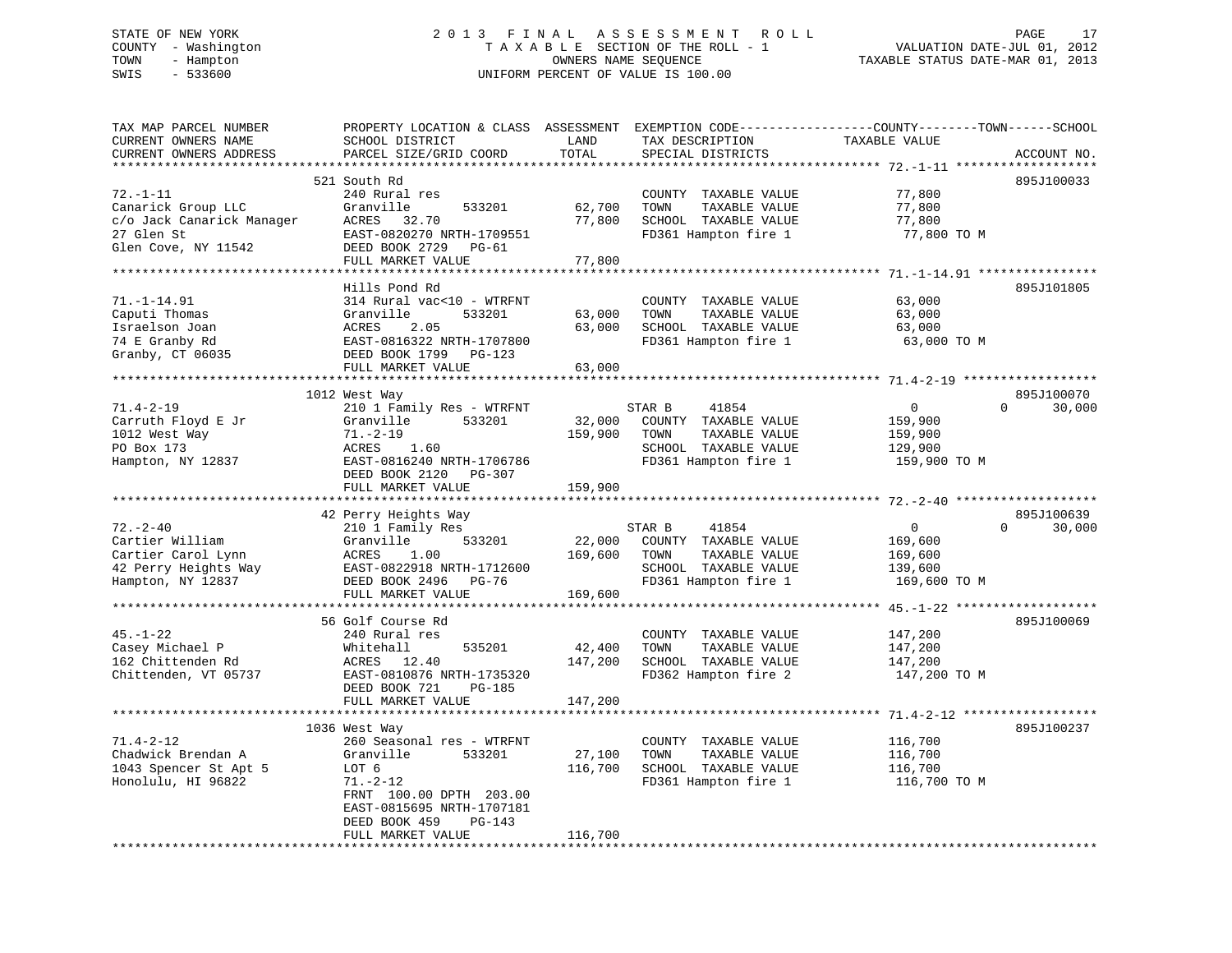# STATE OF NEW YORK 2 0 1 3 F I N A L A S S E S S M E N T R O L L PAGE 17 COUNTY - Washington T A X A B L E SECTION OF THE ROLL - 1 VALUATION DATE-JUL 01, 2012 TOWN - Hampton OWNERS NAME SEQUENCE TAXABLE STATUS DATE-MAR 01, 2013 SWIS - 533600 UNIFORM PERCENT OF VALUE IS 100.00

| TAX MAP PARCEL NUMBER<br>CURRENT OWNERS NAME                                                           | PROPERTY LOCATION & CLASS ASSESSMENT<br>SCHOOL DISTRICT                                                                                                           | LAND                         | TAX DESCRIPTION                                                                                                  | EXEMPTION CODE-----------------COUNTY-------TOWN------SCHOOL<br>TAXABLE VALUE |                                  |
|--------------------------------------------------------------------------------------------------------|-------------------------------------------------------------------------------------------------------------------------------------------------------------------|------------------------------|------------------------------------------------------------------------------------------------------------------|-------------------------------------------------------------------------------|----------------------------------|
| CURRENT OWNERS ADDRESS                                                                                 | PARCEL SIZE/GRID COORD                                                                                                                                            | TOTAL                        | SPECIAL DISTRICTS                                                                                                |                                                                               | ACCOUNT NO.                      |
|                                                                                                        |                                                                                                                                                                   | ******                       |                                                                                                                  |                                                                               |                                  |
| $72. - 1 - 11$<br>Canarick Group LLC<br>c/o Jack Canarick Manager<br>27 Glen St<br>Glen Cove, NY 11542 | 521 South Rd<br>240 Rural res<br>Granville<br>533201<br>ACRES<br>32.70<br>EAST-0820270 NRTH-1709551<br>DEED BOOK 2729<br>PG-61                                    | 62,700<br>77,800             | COUNTY TAXABLE VALUE<br>TOWN<br>TAXABLE VALUE<br>SCHOOL TAXABLE VALUE<br>FD361 Hampton fire 1                    | 77,800<br>77,800<br>77,800<br>77,800 TO M                                     | 895J100033                       |
|                                                                                                        | FULL MARKET VALUE                                                                                                                                                 | 77,800                       |                                                                                                                  |                                                                               |                                  |
|                                                                                                        |                                                                                                                                                                   |                              |                                                                                                                  |                                                                               |                                  |
| $71. - 1 - 14.91$<br>Caputi Thomas<br>Israelson Joan<br>74 E Granby Rd<br>Granby, CT 06035             | Hills Pond Rd<br>314 Rural vac<10 - WTRFNT<br>Granville<br>533201<br>2.05<br>ACRES<br>EAST-0816322 NRTH-1707800<br>DEED BOOK 1799 PG-123                          | 63,000<br>63,000             | COUNTY TAXABLE VALUE<br>TAXABLE VALUE<br>TOWN<br>SCHOOL TAXABLE VALUE<br>FD361 Hampton fire 1                    | 63,000<br>63,000<br>63,000<br>63,000 TO M                                     | 895J101805                       |
|                                                                                                        | FULL MARKET VALUE                                                                                                                                                 | 63,000                       |                                                                                                                  |                                                                               |                                  |
|                                                                                                        |                                                                                                                                                                   |                              |                                                                                                                  |                                                                               |                                  |
|                                                                                                        | 1012 West Way                                                                                                                                                     |                              |                                                                                                                  |                                                                               | 895J100070                       |
| 71.4-2-19<br>Carruth Floyd E Jr<br>1012 West Way<br>PO Box 173<br>Hampton, NY 12837                    | 210 1 Family Res - WTRFNT<br>Granville<br>533201<br>$71. - 2 - 19$<br>1.60<br>ACRES<br>EAST-0816240 NRTH-1706786<br>DEED BOOK 2120<br>PG-307<br>FULL MARKET VALUE | 32,000<br>159,900<br>159,900 | STAR B<br>41854<br>COUNTY TAXABLE VALUE<br>TOWN<br>TAXABLE VALUE<br>SCHOOL TAXABLE VALUE<br>FD361 Hampton fire 1 | $\circ$<br>159,900<br>159,900<br>129,900<br>159,900 TO M                      | $\Omega$<br>30,000               |
|                                                                                                        |                                                                                                                                                                   |                              |                                                                                                                  |                                                                               |                                  |
| $72. - 2 - 40$                                                                                         | 42 Perry Heights Way<br>210 1 Family Res                                                                                                                          |                              | STAR B<br>41854                                                                                                  | $\mathbf{0}$                                                                  | 895J100639<br>$\Omega$<br>30,000 |
| Cartier William<br>Cartier Carol Lynn<br>42 Perry Heights Way<br>Hampton, NY 12837                     | Granville<br>533201<br>ACRES<br>1.00<br>EAST-0822918 NRTH-1712600<br>DEED BOOK 2496<br>PG-76<br>FULL MARKET VALUE                                                 | 22,000<br>169,600<br>169,600 | COUNTY TAXABLE VALUE<br>TAXABLE VALUE<br>TOWN<br>SCHOOL TAXABLE VALUE<br>FD361 Hampton fire 1                    | 169,600<br>169,600<br>139,600<br>169,600 TO M                                 |                                  |
|                                                                                                        | **********************                                                                                                                                            |                              |                                                                                                                  | ************* $45,-1-22$                                                      |                                  |
| $45. - 1 - 22$<br>Casey Michael P<br>162 Chittenden Rd<br>Chittenden, VT 05737                         | 56 Golf Course Rd<br>240 Rural res<br>Whitehall<br>535201<br>ACRES 12.40<br>EAST-0810876 NRTH-1735320<br>DEED BOOK 721<br><b>PG-185</b><br>FULL MARKET VALUE      | 42,400<br>147,200<br>147,200 | COUNTY TAXABLE VALUE<br>TOWN<br>TAXABLE VALUE<br>SCHOOL TAXABLE VALUE<br>FD362 Hampton fire 2                    | 147,200<br>147,200<br>147,200<br>147,200 TO M                                 | 895J100069                       |
|                                                                                                        |                                                                                                                                                                   |                              |                                                                                                                  |                                                                               |                                  |
| $71.4 - 2 - 12$                                                                                        | 1036 West Way<br>260 Seasonal res - WTRFNT                                                                                                                        |                              | COUNTY TAXABLE VALUE                                                                                             | 116,700                                                                       | 895J100237                       |
| Chadwick Brendan A<br>1043 Spencer St Apt 5<br>Honolulu, HI 96822                                      | Granville<br>533201<br>LOT 6<br>$71. - 2 - 12$<br>FRNT 100.00 DPTH 203.00<br>EAST-0815695 NRTH-1707181<br>PG-143<br>DEED BOOK 459                                 | 27,100<br>116,700            | TOWN<br>TAXABLE VALUE<br>SCHOOL TAXABLE VALUE<br>FD361 Hampton fire 1                                            | 116,700<br>116,700<br>116,700 TO M                                            |                                  |
|                                                                                                        | FULL MARKET VALUE                                                                                                                                                 | 116,700                      |                                                                                                                  |                                                                               |                                  |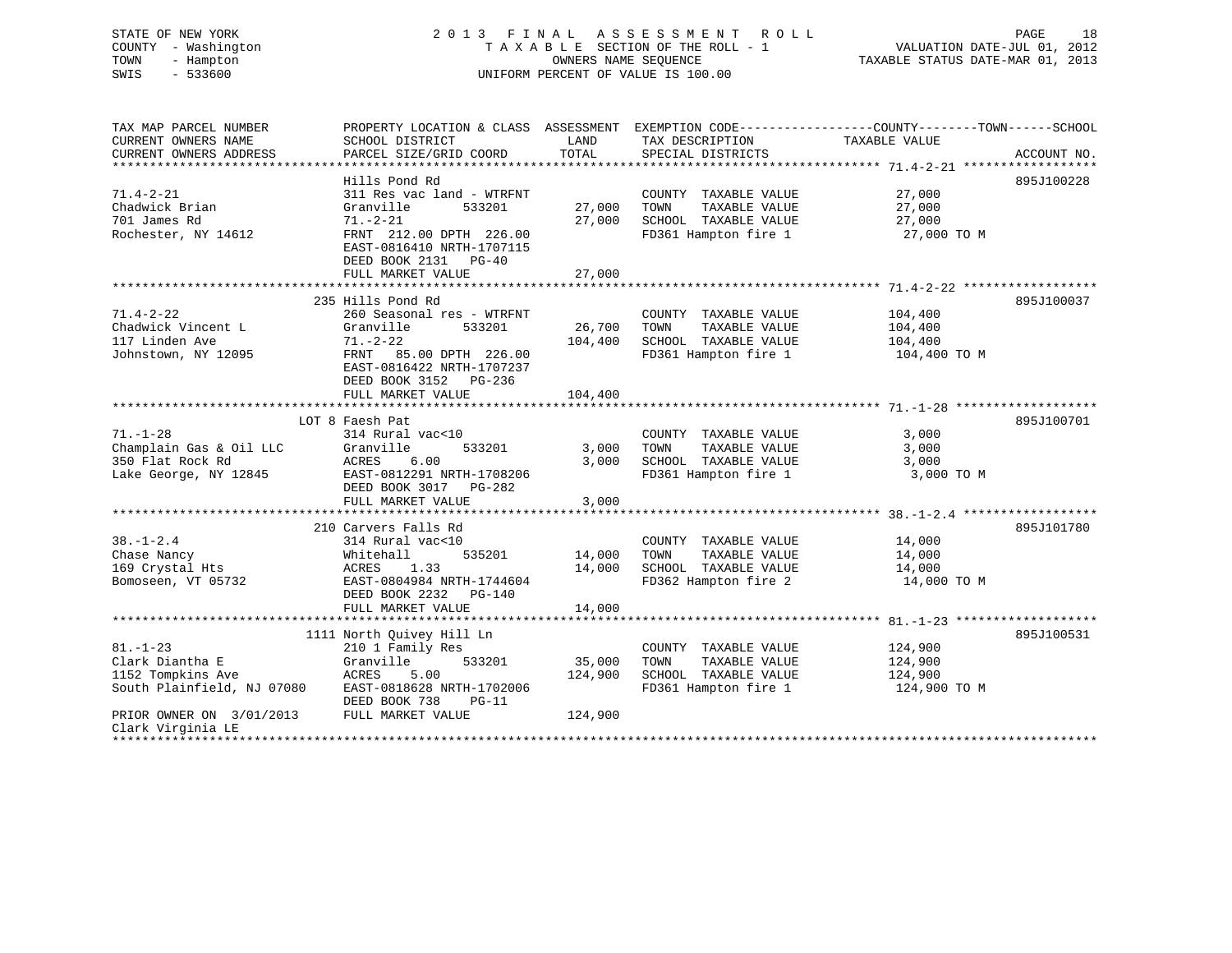# STATE OF NEW YORK 2 0 1 3 F I N A L A S S E S S M E N T R O L L PAGE 18 COUNTY - Washington T A X A B L E SECTION OF THE ROLL - 1 VALUATION DATE-JUL 01, 2012 TOWN - Hampton OWNERS NAME SEQUENCE TAXABLE STATUS DATE-MAR 01, 2013 SWIS - 533600 UNIFORM PERCENT OF VALUE IS 100.00

| TAX MAP PARCEL NUMBER                      |                                                 |                |                                  | PROPERTY LOCATION & CLASS ASSESSMENT EXEMPTION CODE---------------COUNTY-------TOWN-----SCHOOL |             |
|--------------------------------------------|-------------------------------------------------|----------------|----------------------------------|------------------------------------------------------------------------------------------------|-------------|
| CURRENT OWNERS NAME                        | SCHOOL DISTRICT                                 | LAND           | TAX DESCRIPTION                  | TAXABLE VALUE                                                                                  |             |
| CURRENT OWNERS ADDRESS                     | PARCEL SIZE/GRID COORD                          | TOTAL          | SPECIAL DISTRICTS                |                                                                                                | ACCOUNT NO. |
|                                            |                                                 |                |                                  |                                                                                                |             |
|                                            | Hills Pond Rd                                   |                |                                  |                                                                                                | 895J100228  |
| $71.4 - 2 - 21$                            | 311 Res vac land - WTRFNT                       |                | COUNTY TAXABLE VALUE             | 27,000                                                                                         |             |
| Chadwick Brian                             | Granville<br>533201                             | 27,000         | TOWN<br>TAXABLE VALUE            | 27,000                                                                                         |             |
| 701 James Rd                               | $71. - 2 - 21$                                  | 27,000         | SCHOOL TAXABLE VALUE             | 27,000                                                                                         |             |
| Rochester, NY 14612                        | FRNT 212.00 DPTH 226.00                         |                | FD361 Hampton fire 1 27,000 TO M |                                                                                                |             |
|                                            | EAST-0816410 NRTH-1707115                       |                |                                  |                                                                                                |             |
|                                            | DEED BOOK 2131 PG-40                            |                |                                  |                                                                                                |             |
|                                            | FULL MARKET VALUE                               | 27,000         |                                  |                                                                                                |             |
|                                            |                                                 |                |                                  |                                                                                                |             |
|                                            | 235 Hills Pond Rd                               |                |                                  |                                                                                                | 895J100037  |
| $71.4 - 2 - 22$                            | 260 Seasonal res - WTRFNT                       |                | COUNTY TAXABLE VALUE             | 104,400                                                                                        |             |
| Chadwick Vincent L                         | 533201<br>Granville                             | 26,700         | TAXABLE VALUE<br>TOWN            | 104,400                                                                                        |             |
| 117 Linden Ave                             | 71.–2–22                                        | 104,400        | SCHOOL TAXABLE VALUE             | 104,400                                                                                        |             |
| Johnstown, NY 12095                        | FRNT 85.00 DPTH 226.00                          |                | FD361 Hampton fire 1             | 104,400 TO M                                                                                   |             |
|                                            | EAST-0816422 NRTH-1707237                       |                |                                  |                                                                                                |             |
|                                            | DEED BOOK 3152 PG-236                           |                |                                  |                                                                                                |             |
|                                            | FULL MARKET VALUE                               | 104,400        |                                  |                                                                                                |             |
|                                            |                                                 |                |                                  |                                                                                                |             |
|                                            |                                                 |                |                                  |                                                                                                | 895J100701  |
| $71. - 1 - 28$                             | LOT 8 Faesh Pat                                 |                |                                  |                                                                                                |             |
|                                            | 314 Rural vac<10<br>533201                      |                | COUNTY TAXABLE VALUE             | 3,000                                                                                          |             |
| Champlain Gas & Oil LLC                    | Granvi.<br>ACRES<br>Granville                   | 3,000<br>3,000 | TOWN<br>TAXABLE VALUE            | 3,000                                                                                          |             |
| 350 Flat Rock Rd                           | 6.00                                            |                | SCHOOL TAXABLE VALUE             | 3,000                                                                                          |             |
|                                            | Lake George, NY 12845 EAST-0812291 NRTH-1708206 |                | FD361 Hampton fire 1             | 3,000 TO M                                                                                     |             |
|                                            | DEED BOOK 3017 PG-282                           |                |                                  |                                                                                                |             |
|                                            | FULL MARKET VALUE                               | 3,000          |                                  |                                                                                                |             |
|                                            |                                                 |                |                                  |                                                                                                |             |
|                                            | 210 Carvers Falls Rd                            |                |                                  |                                                                                                | 895J101780  |
| $38. - 1 - 2.4$                            | 314 Rural vac<10                                |                | COUNTY TAXABLE VALUE             | 14,000                                                                                         |             |
| Chase Nancy                                | 535201<br>Whitehall                             | 14,000         | TOWN<br>TAXABLE VALUE            | 14,000                                                                                         |             |
| 169 Crystal Hts                            | ACRES 1.33                                      | 14,000         | SCHOOL TAXABLE VALUE             | 14,000                                                                                         |             |
| Bomoseen, VT 05732                         | EAST-0804984 NRTH-1744604                       |                | FD362 Hampton fire 2             | 14,000 TO M                                                                                    |             |
|                                            | DEED BOOK 2232 PG-140                           |                |                                  |                                                                                                |             |
|                                            | FULL MARKET VALUE                               | 14,000         |                                  |                                                                                                |             |
|                                            |                                                 |                |                                  |                                                                                                |             |
|                                            | 1111 North Quivey Hill Ln                       |                |                                  |                                                                                                | 895J100531  |
| $81. - 1 - 23$                             | 210 1 Family Res                                |                | COUNTY TAXABLE VALUE             | 124,900                                                                                        |             |
| Clark Diantha E                            | Granville<br>533201                             | 35,000         | TAXABLE VALUE<br>TOWN            | 124,900                                                                                        |             |
| 1152 Tompkins Ave                          | ACRES<br>5.00                                   | 124,900        | SCHOOL TAXABLE VALUE             | 124,900                                                                                        |             |
| South Plainfield, NJ 07080                 | EAST-0818628 NRTH-1702006                       |                | FD361 Hampton fire 1             | 124,900 TO M                                                                                   |             |
|                                            | DEED BOOK 738<br>PG-11                          |                |                                  |                                                                                                |             |
| PRIOR OWNER ON 3/01/2013 FULL MARKET VALUE |                                                 | 124,900        |                                  |                                                                                                |             |
| Clark Virginia LE                          |                                                 |                |                                  |                                                                                                |             |
|                                            |                                                 |                |                                  |                                                                                                |             |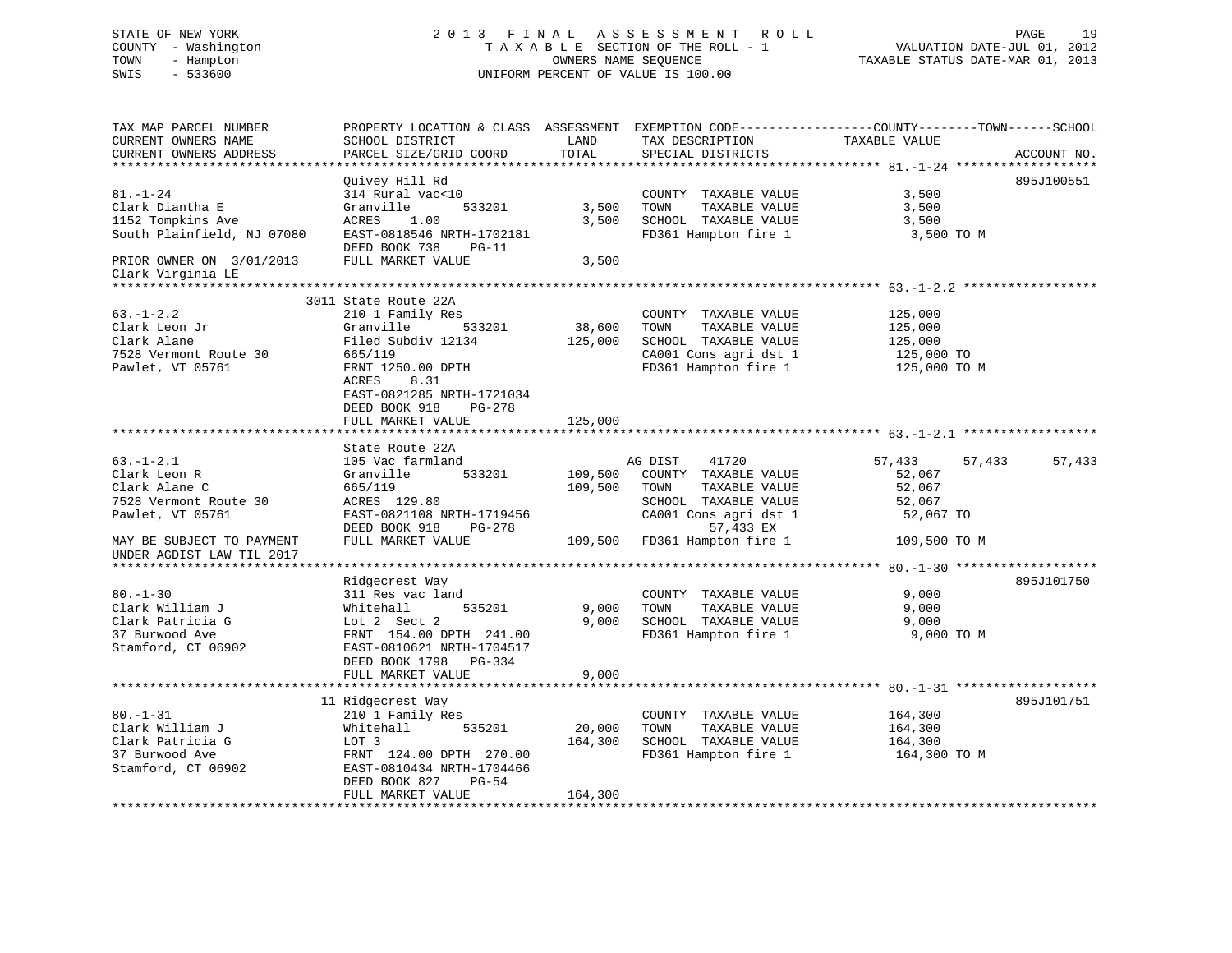# STATE OF NEW YORK 2 0 1 3 F I N A L A S S E S S M E N T R O L L PAGE 19 COUNTY - Washington T A X A B L E SECTION OF THE ROLL - 1 VALUATION DATE-JUL 01, 2012 TOWN - Hampton OWNERS NAME SEQUENCE TAXABLE STATUS DATE-MAR 01, 2013 SWIS - 533600 UNIFORM PERCENT OF VALUE IS 100.00

| TAX MAP PARCEL NUMBER<br>CURRENT OWNERS NAME<br>CURRENT OWNERS ADDRESS                                                     | PROPERTY LOCATION & CLASS ASSESSMENT EXEMPTION CODE----------------COUNTY-------TOWN------SCHOOL<br>SCHOOL DISTRICT<br>PARCEL SIZE/GRID COORD                                                                       | LAND<br>TOTAL                | TAX DESCRIPTION<br>SPECIAL DISTRICTS                                                                                                                         | TAXABLE VALUE                                                               | ACCOUNT NO. |
|----------------------------------------------------------------------------------------------------------------------------|---------------------------------------------------------------------------------------------------------------------------------------------------------------------------------------------------------------------|------------------------------|--------------------------------------------------------------------------------------------------------------------------------------------------------------|-----------------------------------------------------------------------------|-------------|
|                                                                                                                            |                                                                                                                                                                                                                     |                              |                                                                                                                                                              |                                                                             |             |
| $81. - 1 - 24$<br>Clark Diantha E<br>1152 Tompkins Ave<br>South Plainfield, NJ 07080<br>PRIOR OWNER ON 3/01/2013           | Quivey Hill Rd<br>314 Rural vac<10<br>533201<br>Granville<br>ACRES<br>1.00<br>EAST-0818546 NRTH-1702181<br>DEED BOOK 738<br>$PG-11$<br>FULL MARKET VALUE                                                            | 3,500<br>3,500<br>3,500      | COUNTY TAXABLE VALUE<br>TOWN<br>TAXABLE VALUE<br>SCHOOL TAXABLE VALUE<br>FD361 Hampton fire 1                                                                | 3,500<br>3,500<br>3,500<br>3,500 TO M                                       | 895J100551  |
| Clark Virginia LE                                                                                                          |                                                                                                                                                                                                                     |                              |                                                                                                                                                              |                                                                             |             |
|                                                                                                                            |                                                                                                                                                                                                                     |                              |                                                                                                                                                              |                                                                             |             |
| $63. - 1 - 2.2$<br>Clark Leon Jr<br>Clark Alane<br>7528 Vermont Route 30<br>Pawlet, VT 05761                               | 3011 State Route 22A<br>210 1 Family Res<br>Granville<br>533201<br>Filed Subdiv 12134<br>665/119<br>FRNT 1250.00 DPTH<br>ACRES<br>8.31<br>EAST-0821285 NRTH-1721034<br>DEED BOOK 918<br>PG-278<br>FULL MARKET VALUE | 38,600<br>125,000<br>125,000 | COUNTY TAXABLE VALUE<br>TAXABLE VALUE<br>TOWN<br>SCHOOL TAXABLE VALUE<br>CA001 Cons agri dst 1<br>FD361 Hampton fire 1                                       | 125,000<br>125,000<br>125,000<br>125,000 TO<br>125,000 TO M                 |             |
|                                                                                                                            |                                                                                                                                                                                                                     |                              |                                                                                                                                                              |                                                                             |             |
| $63. - 1 - 2.1$<br>Clark Leon R<br>Clark Alane C<br>7528 Vermont Route 30<br>Pawlet, VT 05761<br>MAY BE SUBJECT TO PAYMENT | State Route 22A<br>105 Vac farmland<br>533201<br>Granville<br>665/119<br>ACRES 129.80<br>EAST-0821108 NRTH-1719456<br>DEED BOOK 918<br>PG-278<br>FULL MARKET VALUE                                                  | 109,500<br>109,500           | AG DIST 41720<br>COUNTY TAXABLE VALUE<br>TOWN<br>TAXABLE VALUE<br>SCHOOL TAXABLE VALUE<br>CA001 Cons agri dst 1<br>57,433 EX<br>109,500 FD361 Hampton fire 1 | 57,433<br>57,433<br>52,067<br>52,067<br>52,067<br>52,067 TO<br>109,500 TO M | 57,433      |
| UNDER AGDIST LAW TIL 2017                                                                                                  |                                                                                                                                                                                                                     |                              |                                                                                                                                                              |                                                                             |             |
| $80. - 1 - 30$<br>Clark William J<br>Clark Patricia G<br>37 Burwood Ave<br>Stamford, CT 06902                              | Ridgecrest Way<br>311 Res vac land<br>535201<br>Whitehall<br>Lot 2 Sect 2<br>FRNT 154.00 DPTH 241.00<br>EAST-0810621 NRTH-1704517<br>DEED BOOK 1798 PG-334                                                          | 9,000<br>9,000               | COUNTY TAXABLE VALUE<br>TAXABLE VALUE<br>TOWN<br>SCHOOL TAXABLE VALUE<br>FD361 Hampton fire 1                                                                | 9,000<br>9,000<br>9,000<br>9,000 TO M                                       | 895J101750  |
|                                                                                                                            | FULL MARKET VALUE                                                                                                                                                                                                   | 9,000                        |                                                                                                                                                              |                                                                             |             |
| $80. - 1 - 31$<br>Clark William J<br>Clark Patricia G<br>37 Burwood Ave<br>Stamford, CT 06902                              | 11 Ridgecrest Way<br>210 1 Family Res<br>Whitehall<br>535201<br>LOT 3<br>FRNT 124.00 DPTH 270.00<br>EAST-0810434 NRTH-1704466<br>DEED BOOK 827<br>PG-54<br>FULL MARKET VALUE                                        | 20,000<br>164,300<br>164,300 | COUNTY TAXABLE VALUE<br>TAXABLE VALUE<br>TOWN<br>SCHOOL TAXABLE VALUE<br>FD361 Hampton fire 1                                                                | 164,300<br>164,300<br>164,300<br>164,300 TO M                               | 895J101751  |
|                                                                                                                            |                                                                                                                                                                                                                     |                              |                                                                                                                                                              |                                                                             |             |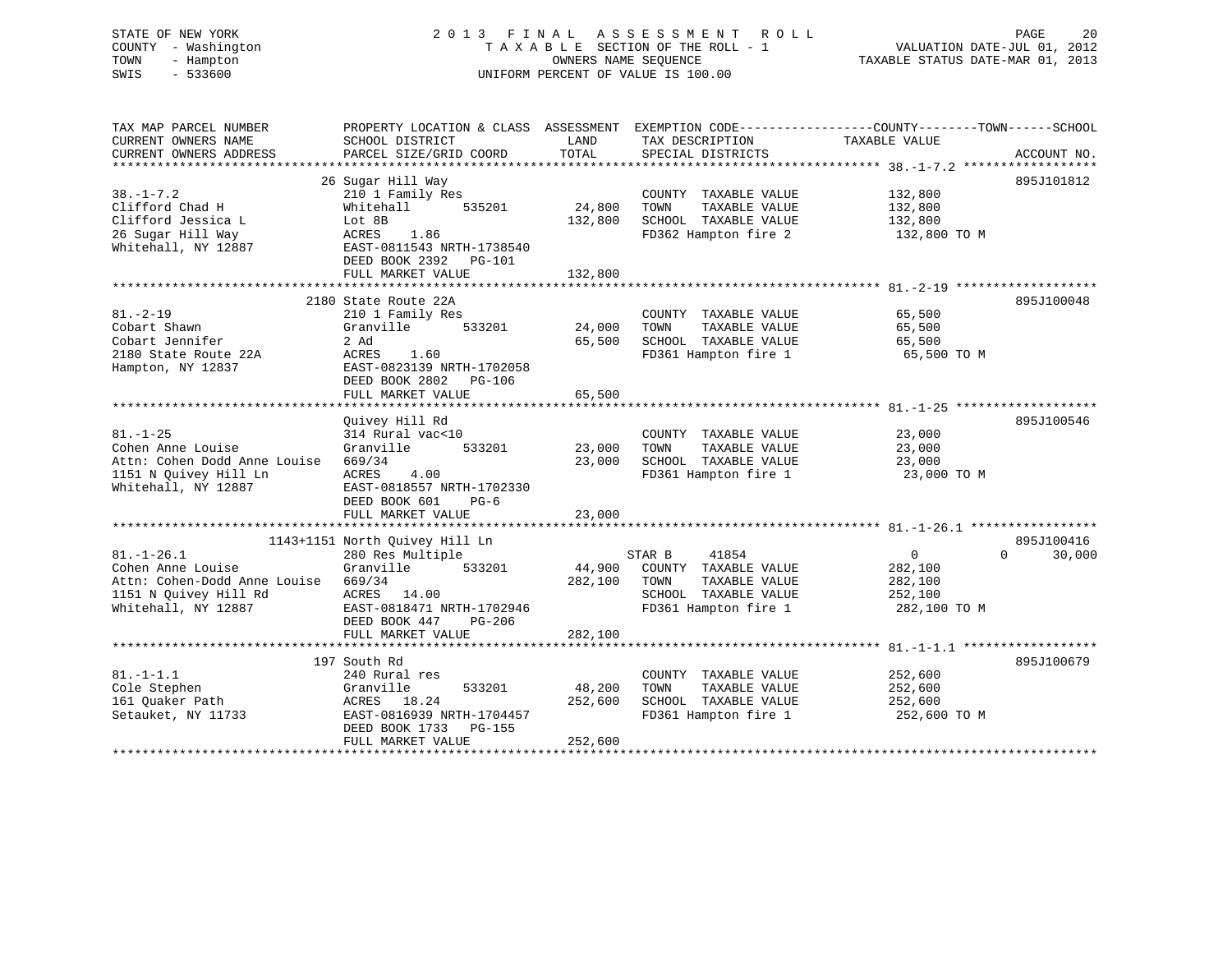# STATE OF NEW YORK 2 0 1 3 F I N A L A S S E S S M E N T R O L L PAGE 20 COUNTY - Washington T A X A B L E SECTION OF THE ROLL - 1 VALUATION DATE-JUL 01, 2012 TOWN - Hampton OWNERS NAME SEQUENCE TAXABLE STATUS DATE-MAR 01, 2013 SWIS - 533600 UNIFORM PERCENT OF VALUE IS 100.00

| TAX MAP PARCEL NUMBER<br>CURRENT OWNERS NAME<br>CURRENT OWNERS ADDRESS                                                | PROPERTY LOCATION & CLASS ASSESSMENT<br>SCHOOL DISTRICT<br>PARCEL SIZE/GRID COORD                                                                                               | LAND<br>TOTAL                | TAX DESCRIPTION<br>SPECIAL DISTRICTS                                                                             | EXEMPTION CODE-----------------COUNTY-------TOWN------SCHOOL<br>TAXABLE VALUE<br>ACCOUNT NO.  |
|-----------------------------------------------------------------------------------------------------------------------|---------------------------------------------------------------------------------------------------------------------------------------------------------------------------------|------------------------------|------------------------------------------------------------------------------------------------------------------|-----------------------------------------------------------------------------------------------|
| $38. - 1 - 7.2$<br>Clifford Chad H<br>Clifford Jessica L<br>26 Sugar Hill Way<br>Whitehall, NY 12887                  | 26 Sugar Hill Way<br>210 1 Family Res<br>Whitehall<br>535201<br>Lot 8B<br>ACRES<br>1.86<br>EAST-0811543 NRTH-1738540<br>DEED BOOK 2392 PG-101<br>FULL MARKET VALUE              | 24,800<br>132,800<br>132,800 | COUNTY TAXABLE VALUE<br>TOWN<br>TAXABLE VALUE<br>SCHOOL TAXABLE VALUE<br>FD362 Hampton fire 2                    | 895J101812<br>132,800<br>132,800<br>132,800<br>132,800 TO M                                   |
| $81. - 2 - 19$<br>Cobart Shawn<br>Cobart Jennifer<br>2180 State Route 22A<br>Hampton, NY 12837                        | 2180 State Route 22A<br>210 1 Family Res<br>533201<br>Granville<br>2 Ad<br>ACRES<br>1.60<br>EAST-0823139 NRTH-1702058<br>DEED BOOK 2802 PG-106<br>FULL MARKET VALUE             | 24,000<br>65,500<br>65,500   | COUNTY TAXABLE VALUE<br>TAXABLE VALUE<br>TOWN<br>SCHOOL TAXABLE VALUE<br>FD361 Hampton fire 1                    | 895J100048<br>65,500<br>65,500<br>65,500<br>65,500 TO M                                       |
| $81. - 1 - 25$<br>Cohen Anne Louise<br>Attn: Cohen Dodd Anne Louise<br>1151 N Quivey Hill Ln<br>Whitehall, NY 12887   | Ouivey Hill Rd<br>314 Rural vac<10<br>533201<br>Granville<br>669/34<br>ACRES<br>4.00<br>EAST-0818557 NRTH-1702330<br>DEED BOOK 601<br>$PG-6$<br>FULL MARKET VALUE               | 23,000<br>23,000<br>23,000   | COUNTY TAXABLE VALUE<br>TOWN<br>TAXABLE VALUE<br>SCHOOL TAXABLE VALUE<br>FD361 Hampton fire 1                    | 895J100546<br>23,000<br>23,000<br>23,000<br>23,000 TO M                                       |
| $81. - 1 - 26.1$<br>Cohen Anne Louise<br>Attn: Cohen-Dodd Anne Louise<br>1151 N Quivey Hill Rd<br>Whitehall, NY 12887 | 1143+1151 North Quivey Hill Ln<br>280 Res Multiple<br>533201<br>Granville<br>669/34<br>ACRES 14.00<br>EAST-0818471 NRTH-1702946<br>DEED BOOK 447<br>PG-206<br>FULL MARKET VALUE | 44,900<br>282,100<br>282,100 | STAR B<br>41854<br>COUNTY TAXABLE VALUE<br>TOWN<br>TAXABLE VALUE<br>SCHOOL TAXABLE VALUE<br>FD361 Hampton fire 1 | 895J100416<br>$\Omega$<br>$\Omega$<br>30,000<br>282,100<br>282,100<br>252,100<br>282,100 TO M |
| $81. - 1 - 1.1$<br>Cole Stephen<br>161 Ouaker Path<br>Setauket, NY 11733                                              | 197 South Rd<br>240 Rural res<br>533201<br>Granville<br>ACRES 18.24<br>EAST-0816939 NRTH-1704457<br>DEED BOOK 1733<br>PG-155<br>FULL MARKET VALUE                               | 48,200<br>252,600<br>252,600 | COUNTY TAXABLE VALUE<br>TAXABLE VALUE<br>TOWN<br>SCHOOL TAXABLE VALUE<br>FD361 Hampton fire 1                    | 895J100679<br>252,600<br>252,600<br>252,600<br>252,600 TO M                                   |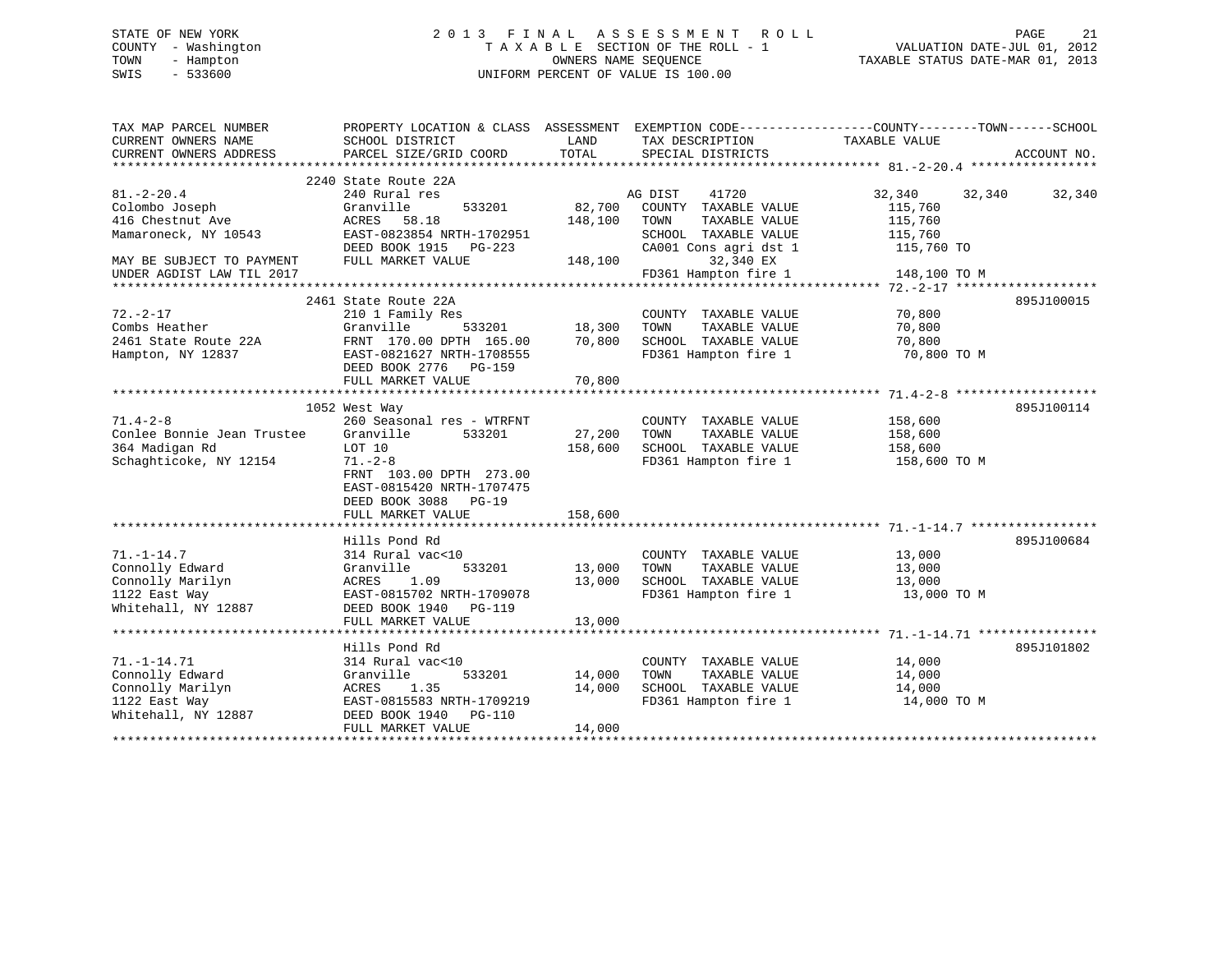# STATE OF NEW YORK 2 0 1 3 F I N A L A S S E S S M E N T R O L L PAGE 21 COUNTY - Washington T A X A B L E SECTION OF THE ROLL - 1 VALUATION DATE-JUL 01, 2012 TOWN - Hampton OWNERS NAME SEQUENCE TAXABLE STATUS DATE-MAR 01, 2013 SWIS - 533600 UNIFORM PERCENT OF VALUE IS 100.00

| TAX MAP PARCEL NUMBER<br>CURRENT OWNERS NAME<br>CURRENT OWNERS ADDRESS | PROPERTY LOCATION & CLASS ASSESSMENT EXEMPTION CODE---------------COUNTY-------TOWN-----SCHOOL<br>SCHOOL DISTRICT<br>PARCEL SIZE/GRID COORD | LAND<br>TOTAL | TAX DESCRIPTION<br>SPECIAL DISTRICTS | TAXABLE VALUE    | ACCOUNT NO. |
|------------------------------------------------------------------------|---------------------------------------------------------------------------------------------------------------------------------------------|---------------|--------------------------------------|------------------|-------------|
| $81. - 2 - 20.4$                                                       | 2240 State Route 22A<br>240 Rural res                                                                                                       |               | AG DIST<br>41720                     | 32,340<br>32,340 | 32,340      |
| Colombo Joseph                                                         | Granville<br>533201                                                                                                                         | 82,700        | COUNTY TAXABLE VALUE                 | 115,760          |             |
| 416 Chestnut Ave                                                       | ACRES<br>58.18                                                                                                                              | 148,100       | TAXABLE VALUE<br>TOWN                | 115,760          |             |
| Mamaroneck, NY 10543                                                   | EAST-0823854 NRTH-1702951                                                                                                                   |               | SCHOOL TAXABLE VALUE                 | 115,760          |             |
|                                                                        | DEED BOOK 1915 PG-223                                                                                                                       |               | CA001 Cons agri dst 1                | 115,760 TO       |             |
| MAY BE SUBJECT TO PAYMENT                                              | FULL MARKET VALUE                                                                                                                           | 148,100       | 32,340 EX                            |                  |             |
| UNDER AGDIST LAW TIL 2017                                              |                                                                                                                                             |               | FD361 Hampton fire 1                 | 148,100 TO M     |             |
|                                                                        |                                                                                                                                             |               |                                      |                  |             |
|                                                                        | 2461 State Route 22A                                                                                                                        |               |                                      |                  | 895J100015  |
| $72. - 2 - 17$                                                         | 210 1 Family Res                                                                                                                            |               | COUNTY TAXABLE VALUE                 | 70,800           |             |
| Combs Heather                                                          | Granville                                                                                                                                   | 533201 18,300 | TOWN<br>TAXABLE VALUE                | 70,800           |             |
| 2461 State Route 22A                                                   | FRNT 170.00 DPTH 165.00                                                                                                                     | 70,800        | SCHOOL TAXABLE VALUE                 | 70,800           |             |
| Hampton, NY 12837                                                      | EAST-0821627 NRTH-1708555                                                                                                                   |               | FD361 Hampton fire 1                 | 70,800 TO M      |             |
|                                                                        | DEED BOOK 2776 PG-159                                                                                                                       |               |                                      |                  |             |
|                                                                        | FULL MARKET VALUE                                                                                                                           | 70,800        |                                      |                  |             |
|                                                                        |                                                                                                                                             |               |                                      |                  |             |
|                                                                        | 1052 West Way                                                                                                                               |               |                                      |                  | 895J100114  |
| $71.4 - 2 - 8$                                                         | 260 Seasonal res - WTRFNT                                                                                                                   |               | COUNTY TAXABLE VALUE                 | 158,600          |             |
| Conlee Bonnie Jean Trustee                                             | Granville<br>533201                                                                                                                         | 27,200        | TAXABLE VALUE<br>TOWN                | 158,600          |             |
| 364 Madigan Rd                                                         | LOT 10                                                                                                                                      | 158,600       | SCHOOL TAXABLE VALUE                 | 158,600          |             |
| Schaghticoke, NY 12154                                                 | $71. - 2 - 8$                                                                                                                               |               | FD361 Hampton fire 1                 | 158,600 TO M     |             |
|                                                                        | FRNT 103.00 DPTH 273.00                                                                                                                     |               |                                      |                  |             |
|                                                                        | EAST-0815420 NRTH-1707475                                                                                                                   |               |                                      |                  |             |
|                                                                        | DEED BOOK 3088 PG-19                                                                                                                        |               |                                      |                  |             |
|                                                                        | FULL MARKET VALUE                                                                                                                           | 158,600       |                                      |                  |             |
|                                                                        |                                                                                                                                             |               |                                      |                  |             |
|                                                                        | Hills Pond Rd                                                                                                                               |               |                                      |                  | 895J100684  |
| $71. - 1 - 14.7$                                                       | 314 Rural vac<10                                                                                                                            |               | COUNTY TAXABLE VALUE                 | 13,000           |             |
| Connolly Edward                                                        | Granville<br>533201                                                                                                                         | 13,000        | TOWN<br>TAXABLE VALUE                | 13,000           |             |
| Connolly Marilyn                                                       | ACRES<br>1.09                                                                                                                               | 13,000        | SCHOOL TAXABLE VALUE                 | 13,000           |             |
| 1122 East Way                                                          | EAST-0815702 NRTH-1709078                                                                                                                   |               | FD361 Hampton fire 1                 | 13,000 TO M      |             |
| Whitehall, NY 12887                                                    | DEED BOOK 1940 PG-119                                                                                                                       |               |                                      |                  |             |
|                                                                        | FULL MARKET VALUE                                                                                                                           | 13,000        |                                      |                  |             |
|                                                                        |                                                                                                                                             |               |                                      |                  |             |
|                                                                        | Hills Pond Rd                                                                                                                               |               |                                      |                  | 895J101802  |
| $71. - 1 - 14.71$                                                      | 314 Rural vac<10                                                                                                                            |               | COUNTY TAXABLE VALUE                 | 14,000           |             |
| Connolly Edward                                                        | 533201<br>Granville                                                                                                                         | 14,000        | TAXABLE VALUE<br>TOWN                | 14,000           |             |
| Connolly Marilyn                                                       | ACRES<br>1.35                                                                                                                               | 14,000        | SCHOOL TAXABLE VALUE                 | 14,000           |             |
| 1122 East Way                                                          | EAST-0815583 NRTH-1709219                                                                                                                   |               | FD361 Hampton fire 1                 | 14,000 TO M      |             |
| Whitehall, NY 12887                                                    | DEED BOOK 1940 PG-110                                                                                                                       |               |                                      |                  |             |
|                                                                        | FULL MARKET VALUE                                                                                                                           | 14,000        |                                      |                  |             |
|                                                                        |                                                                                                                                             |               |                                      |                  |             |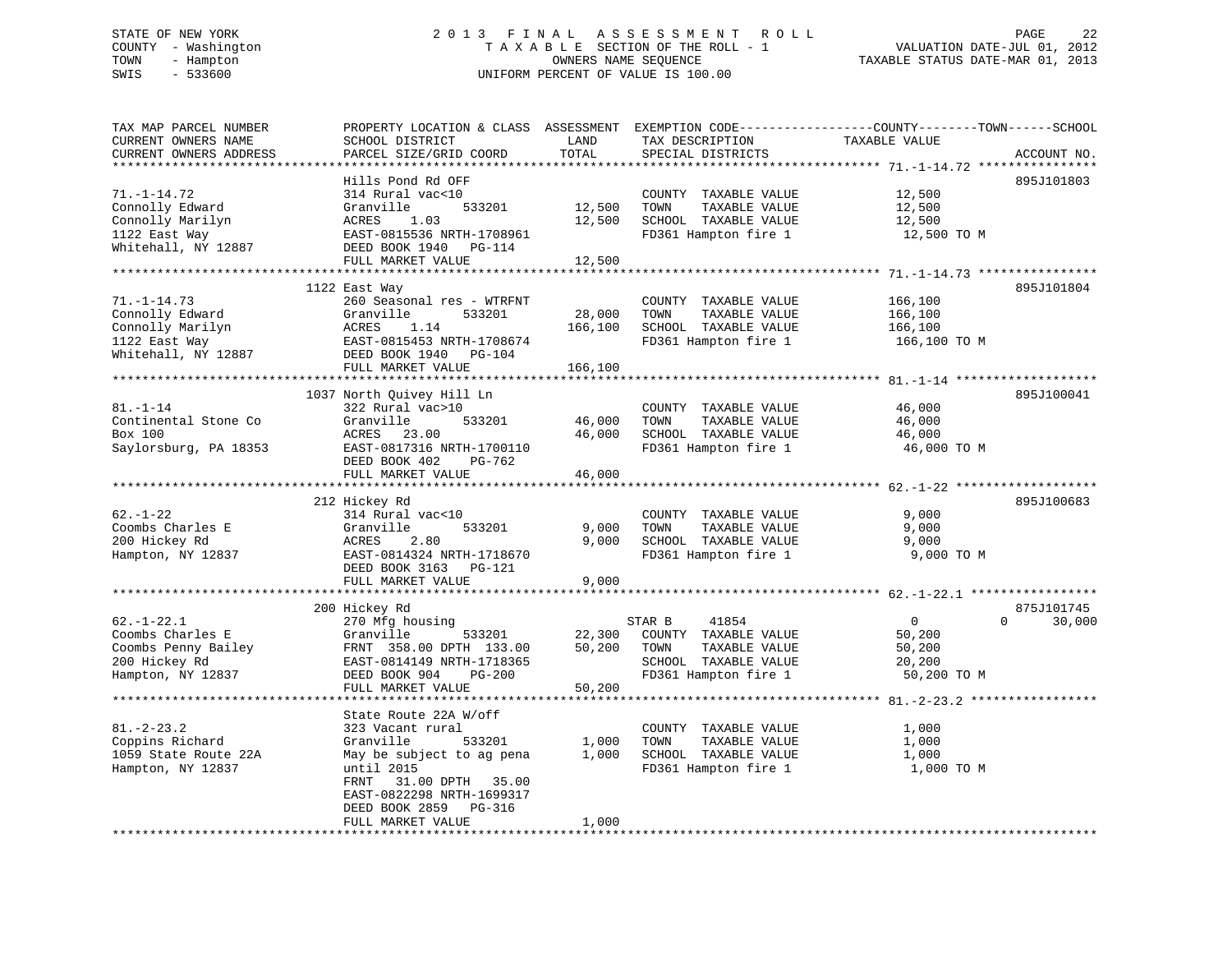# STATE OF NEW YORK 2 0 1 3 F I N A L A S S E S S M E N T R O L L PAGE 22 COUNTY - Washington T A X A B L E SECTION OF THE ROLL - 1 VALUATION DATE-JUL 01, 2012 TOWN - Hampton OWNERS NAME SEQUENCE TAXABLE STATUS DATE-MAR 01, 2013 SWIS - 533600 UNIFORM PERCENT OF VALUE IS 100.00

| TAX MAP PARCEL NUMBER<br>CURRENT OWNERS NAME | PROPERTY LOCATION & CLASS ASSESSMENT EXEMPTION CODE----------------COUNTY-------TOWN------SCHOOL<br>SCHOOL DISTRICT | LAND             | TAX DESCRIPTION                       | TAXABLE VALUE    |                    |
|----------------------------------------------|---------------------------------------------------------------------------------------------------------------------|------------------|---------------------------------------|------------------|--------------------|
| CURRENT OWNERS ADDRESS                       | PARCEL SIZE/GRID COORD                                                                                              | TOTAL            | SPECIAL DISTRICTS                     |                  | ACCOUNT NO.        |
|                                              |                                                                                                                     |                  |                                       |                  |                    |
| $71. - 1 - 14.72$                            | Hills Pond Rd OFF                                                                                                   |                  |                                       |                  | 895J101803         |
|                                              | 314 Rural vac<10<br>Granville                                                                                       |                  | COUNTY TAXABLE VALUE<br>TOWN          | 12,500           |                    |
| Connolly Edward<br>Connolly Marilyn          | 533201<br>1.03<br>ACRES                                                                                             | 12,500<br>12,500 | TAXABLE VALUE<br>SCHOOL TAXABLE VALUE | 12,500<br>12,500 |                    |
| 1122 East Way                                | EAST-0815536 NRTH-1708961                                                                                           |                  | FD361 Hampton fire 1                  | 12,500 TO M      |                    |
| Whitehall, NY 12887                          | DEED BOOK 1940 PG-114                                                                                               |                  |                                       |                  |                    |
|                                              | FULL MARKET VALUE                                                                                                   | 12,500           |                                       |                  |                    |
|                                              |                                                                                                                     |                  |                                       |                  |                    |
|                                              | 1122 East Way                                                                                                       |                  |                                       |                  | 895J101804         |
| $71. - 1 - 14.73$                            | 260 Seasonal res - WTRFNT                                                                                           |                  | COUNTY TAXABLE VALUE                  | 166,100          |                    |
| Connolly Edward                              | Granville<br>533201                                                                                                 | 28,000           | TOWN<br>TAXABLE VALUE                 | 166,100          |                    |
| Connolly Marilyn                             | ACRES<br>1.14                                                                                                       | 166,100          | SCHOOL TAXABLE VALUE                  | 166,100          |                    |
| 1122 East Way                                | EAST-0815453 NRTH-1708674                                                                                           |                  | FD361 Hampton fire 1                  | 166,100 TO M     |                    |
| Whitehall, NY 12887                          | DEED BOOK 1940 PG-104                                                                                               |                  |                                       |                  |                    |
|                                              | FULL MARKET VALUE                                                                                                   | 166,100          |                                       |                  |                    |
|                                              |                                                                                                                     | ***********      |                                       |                  |                    |
|                                              | 1037 North Quivey Hill Ln                                                                                           |                  |                                       |                  | 895J100041         |
| $81. - 1 - 14$                               | 322 Rural vac>10                                                                                                    |                  | COUNTY TAXABLE VALUE                  | 46,000           |                    |
| Continental Stone Co                         | Granville<br>533201                                                                                                 | 46,000           | TOWN<br>TAXABLE VALUE                 | 46,000           |                    |
| Box 100                                      | ACRES 23.00                                                                                                         | 46,000           | SCHOOL TAXABLE VALUE                  | 46,000           |                    |
| Saylorsburg, PA 18353                        | EAST-0817316 NRTH-1700110                                                                                           |                  | FD361 Hampton fire 1                  | 46,000 TO M      |                    |
|                                              | DEED BOOK 402<br>PG-762                                                                                             |                  |                                       |                  |                    |
|                                              | FULL MARKET VALUE                                                                                                   | 46,000           |                                       |                  |                    |
|                                              | 212 Hickey Rd                                                                                                       |                  |                                       |                  | 895J100683         |
| $62. - 1 - 22$                               | 314 Rural vac<10                                                                                                    |                  | COUNTY TAXABLE VALUE                  | 9,000            |                    |
| Coombs Charles E                             | 533201<br>Granville                                                                                                 | 9,000            | TAXABLE VALUE<br>TOWN                 | 9,000            |                    |
| 200 Hickey Rd                                | ACRES<br>2.80                                                                                                       | 9,000            | SCHOOL TAXABLE VALUE                  | 9,000            |                    |
| Hampton, NY 12837                            | EAST-0814324 NRTH-1718670                                                                                           |                  | FD361 Hampton fire 1                  | 9,000 TO M       |                    |
|                                              | DEED BOOK 3163 PG-121                                                                                               |                  |                                       |                  |                    |
|                                              | FULL MARKET VALUE                                                                                                   | 9,000            |                                       |                  |                    |
|                                              |                                                                                                                     |                  |                                       |                  |                    |
|                                              | 200 Hickey Rd                                                                                                       |                  |                                       |                  | 875J101745         |
| $62. - 1 - 22.1$                             | 270 Mfg housing                                                                                                     |                  | STAR B<br>41854                       | $\overline{0}$   | $\Omega$<br>30,000 |
| Coombs Charles E                             | 533201<br>Granville                                                                                                 | 22,300           | COUNTY TAXABLE VALUE                  | 50,200           |                    |
| Coombs Penny Bailey                          | FRNT 358.00 DPTH 133.00                                                                                             | 50,200           | TOWN<br>TAXABLE VALUE                 | 50,200           |                    |
| 200 Hickey Rd                                | EAST-0814149 NRTH-1718365                                                                                           |                  | SCHOOL TAXABLE VALUE                  | 20,200           |                    |
| Hampton, NY 12837                            | DEED BOOK 904<br>PG-200                                                                                             |                  | FD361 Hampton fire 1                  | 50,200 TO M      |                    |
|                                              | FULL MARKET VALUE                                                                                                   | 50,200           |                                       |                  |                    |
|                                              |                                                                                                                     |                  |                                       |                  |                    |
|                                              | State Route 22A W/off                                                                                               |                  |                                       |                  |                    |
| $81. - 2 - 23.2$                             | 323 Vacant rural                                                                                                    |                  | COUNTY TAXABLE VALUE                  | 1,000            |                    |
| Coppins Richard                              | Granville<br>533201                                                                                                 | 1,000            | TOWN<br>TAXABLE VALUE                 | 1,000            |                    |
| 1059 State Route 22A                         | May be subject to ag pena                                                                                           | 1,000            | SCHOOL TAXABLE VALUE                  | 1,000            |                    |
| Hampton, NY 12837                            | until 2015                                                                                                          |                  | FD361 Hampton fire 1                  | 1,000 TO M       |                    |
|                                              | 31.00 DPTH 35.00<br>FRNT<br>EAST-0822298 NRTH-1699317                                                               |                  |                                       |                  |                    |
|                                              | DEED BOOK 2859<br>PG-316                                                                                            |                  |                                       |                  |                    |
|                                              | FULL MARKET VALUE                                                                                                   | 1,000            |                                       |                  |                    |
|                                              | **************************************                                                                              |                  |                                       |                  |                    |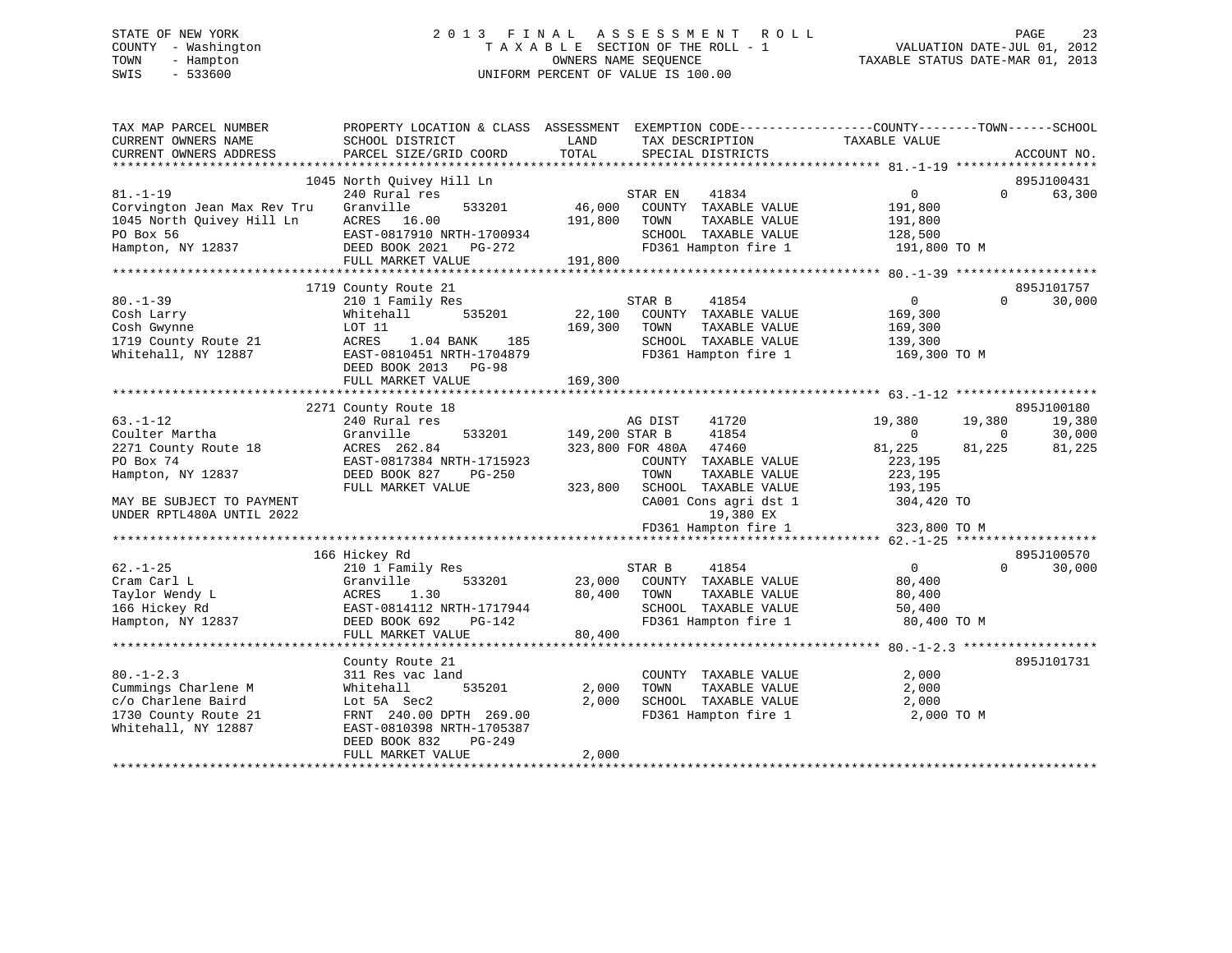# STATE OF NEW YORK 2 0 1 3 F I N A L A S S E S S M E N T R O L L PAGE 23 COUNTY - Washington T A X A B L E SECTION OF THE ROLL - 1 VALUATION DATE-JUL 01, 2012 TOWN - Hampton OWNERS NAME SEQUENCE TAXABLE STATUS DATE-MAR 01, 2013 SWIS - 533600 UNIFORM PERCENT OF VALUE IS 100.00

| TAX MAP PARCEL NUMBER<br>CURRENT OWNERS NAME<br>CURRENT OWNERS ADDRESS | PROPERTY LOCATION & CLASS ASSESSMENT<br>SCHOOL DISTRICT<br>PARCEL SIZE/GRID COORD | LAND<br>TOTAL  | EXEMPTION CODE-----------------COUNTY-------TOWN------SCHOOL<br>TAX DESCRIPTION<br>SPECIAL DISTRICTS | TAXABLE VALUE | ACCOUNT NO.              |
|------------------------------------------------------------------------|-----------------------------------------------------------------------------------|----------------|------------------------------------------------------------------------------------------------------|---------------|--------------------------|
|                                                                        |                                                                                   |                |                                                                                                      |               |                          |
|                                                                        | 1045 North Quivey Hill Ln                                                         |                |                                                                                                      |               | 895J100431               |
| $81. - 1 - 19$                                                         | 240 Rural res                                                                     |                | STAR EN<br>41834                                                                                     | $\mathbf{0}$  | 63,300<br>$\Omega$       |
| Corvington Jean Max Rev Tru                                            | Granville<br>533201                                                               | 46,000         | COUNTY TAXABLE VALUE                                                                                 | 191,800       |                          |
| 1045 North Quivey Hill Ln                                              | ACRES 16.00                                                                       | 191,800        | TOWN<br>TAXABLE VALUE                                                                                | 191,800       |                          |
| PO Box 56                                                              | EAST-0817910 NRTH-1700934                                                         |                | SCHOOL TAXABLE VALUE                                                                                 | 128,500       |                          |
| Hampton, NY 12837                                                      | DEED BOOK 2021    PG-272                                                          |                | FD361 Hampton fire 1                                                                                 | 191,800 TO M  |                          |
|                                                                        | FULL MARKET VALUE                                                                 | 191,800        |                                                                                                      |               |                          |
|                                                                        |                                                                                   |                |                                                                                                      |               |                          |
|                                                                        | 1719 County Route 21                                                              |                |                                                                                                      |               | 895J101757               |
| $80. - 1 - 39$                                                         | 210 1 Family Res                                                                  |                | STAR B<br>41854                                                                                      | 0             | 30,000<br>$\Omega$       |
| Cosh Larry                                                             | 535201<br>Whitehall                                                               | 22,100         | COUNTY TAXABLE VALUE                                                                                 | 169,300       |                          |
| Cosh Gwynne                                                            | LOT 11                                                                            | 169,300        | TOWN<br>TAXABLE VALUE                                                                                | 169,300       |                          |
| 1719 County Route 21                                                   | ACRES<br>1.04 BANK<br>185                                                         |                | SCHOOL TAXABLE VALUE                                                                                 | 139,300       |                          |
| Whitehall, NY 12887                                                    | EAST-0810451 NRTH-1704879                                                         |                | FD361 Hampton fire 1                                                                                 | 169,300 TO M  |                          |
|                                                                        | DEED BOOK 2013 PG-98                                                              |                |                                                                                                      |               |                          |
|                                                                        | FULL MARKET VALUE                                                                 | 169,300        |                                                                                                      |               |                          |
|                                                                        |                                                                                   |                |                                                                                                      |               |                          |
|                                                                        | 2271 County Route 18                                                              |                |                                                                                                      |               | 895J100180               |
| $63. - 1 - 12$                                                         | 240 Rural res                                                                     |                | 41720<br>AG DIST                                                                                     | 19,380        | 19,380<br>19,380         |
| Coulter Martha                                                         | Granville<br>533201                                                               | 149,200 STAR B | 41854                                                                                                | $\Omega$      | 30,000<br>$\overline{0}$ |
| 2271 County Route 18                                                   | ACRES 262.84                                                                      |                | 323,800 FOR 480A<br>47460                                                                            | 81,225        | 81,225<br>81,225         |
| PO Box 74                                                              | EAST-0817384 NRTH-1715923                                                         |                | COUNTY TAXABLE VALUE                                                                                 | 223,195       |                          |
| Hampton, NY 12837                                                      | DEED BOOK 827<br>PG-250                                                           |                | TOWN<br>TAXABLE VALUE                                                                                | 223,195       |                          |
|                                                                        | FULL MARKET VALUE                                                                 | 323,800        | SCHOOL TAXABLE VALUE                                                                                 | 193,195       |                          |
| MAY BE SUBJECT TO PAYMENT                                              |                                                                                   |                |                                                                                                      | 304,420 TO    |                          |
|                                                                        |                                                                                   |                | CA001 Cons agri dst 1                                                                                |               |                          |
| UNDER RPTL480A UNTIL 2022                                              |                                                                                   |                | 19,380 EX                                                                                            |               |                          |
|                                                                        |                                                                                   |                | FD361 Hampton fire 1                                                                                 | 323,800 TO M  |                          |
|                                                                        |                                                                                   |                |                                                                                                      |               |                          |
|                                                                        | 166 Hickey Rd                                                                     |                |                                                                                                      |               | 895J100570               |
| $62. - 1 - 25$                                                         | 210 1 Family Res                                                                  |                | STAR B<br>41854                                                                                      | $\Omega$      | $\Omega$<br>30,000       |
| Cram Carl L                                                            | Granville<br>533201                                                               | 23,000         | COUNTY TAXABLE VALUE                                                                                 | 80,400        |                          |
| Taylor Wendy L                                                         | 1.30<br>ACRES                                                                     | 80,400         | TAXABLE VALUE<br>TOWN                                                                                | 80,400        |                          |
| 166 Hickey Rd                                                          | EAST-0814112 NRTH-1717944                                                         |                | SCHOOL TAXABLE VALUE                                                                                 | 50,400        |                          |
| Hampton, NY 12837                                                      | DEED BOOK 692<br>PG-142                                                           |                | FD361 Hampton fire 1                                                                                 | 80,400 TO M   |                          |
|                                                                        | FULL MARKET VALUE                                                                 | 80,400         |                                                                                                      |               |                          |
|                                                                        |                                                                                   |                |                                                                                                      |               |                          |
|                                                                        | County Route 21                                                                   |                |                                                                                                      |               | 895J101731               |
| $80. -1 - 2.3$                                                         | 311 Res vac land                                                                  |                | COUNTY TAXABLE VALUE                                                                                 | 2,000         |                          |
| Cummings Charlene M                                                    | Whitehall<br>535201                                                               | 2,000          | TOWN<br>TAXABLE VALUE                                                                                | 2,000         |                          |
| c/o Charlene Baird                                                     | Lot 5A Sec2                                                                       | 2,000          | SCHOOL TAXABLE VALUE                                                                                 | 2,000         |                          |
| 1730 County Route 21                                                   | FRNT 240.00 DPTH 269.00                                                           |                | FD361 Hampton fire 1                                                                                 | 2,000 TO M    |                          |
| Whitehall, NY 12887                                                    | EAST-0810398 NRTH-1705387                                                         |                |                                                                                                      |               |                          |
|                                                                        | $PG-249$<br>DEED BOOK 832                                                         |                |                                                                                                      |               |                          |
|                                                                        | FULL MARKET VALUE                                                                 | 2,000          |                                                                                                      |               |                          |
|                                                                        |                                                                                   |                |                                                                                                      |               |                          |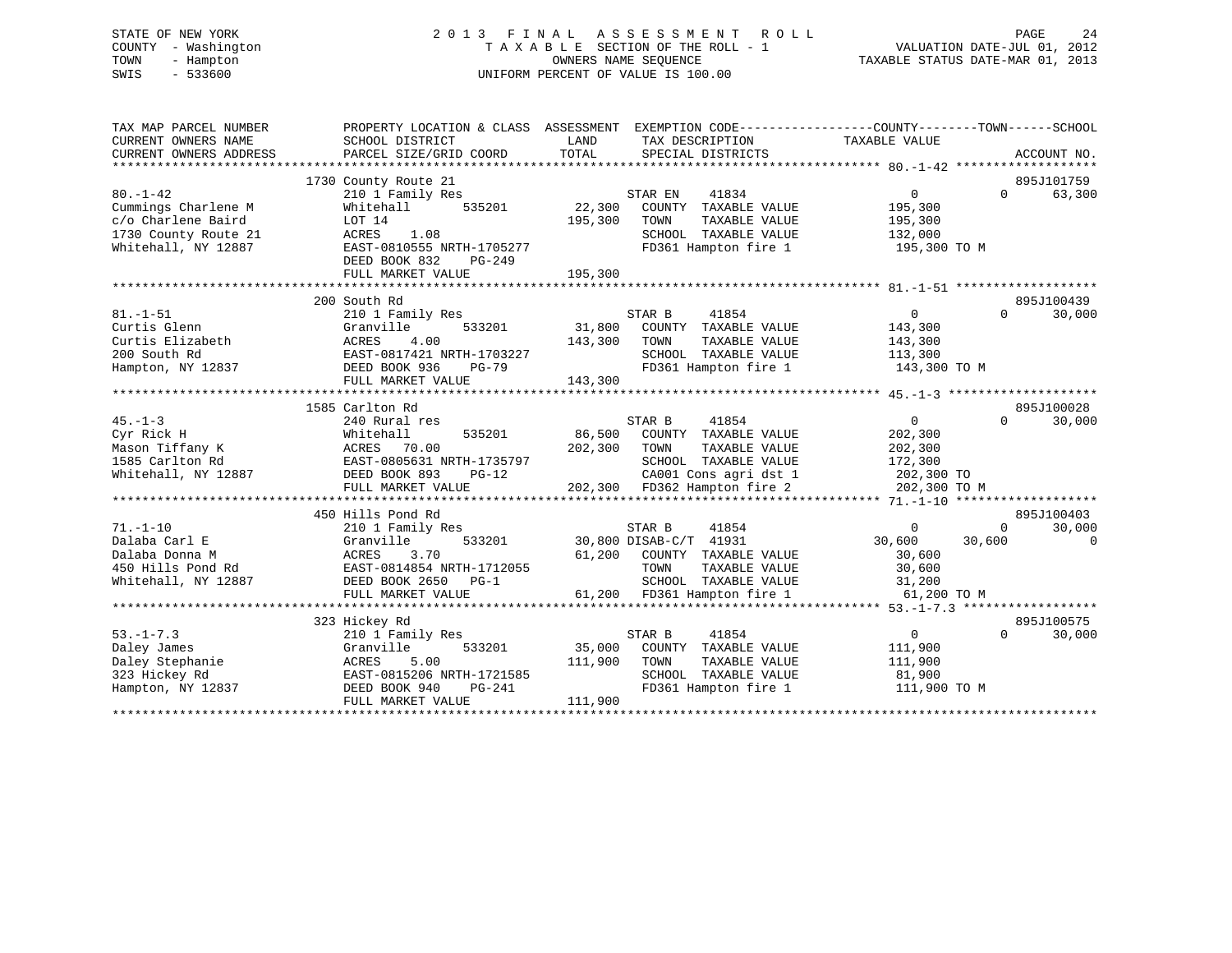# STATE OF NEW YORK 2 0 1 3 F I N A L A S S E S S M E N T R O L L PAGE 24 COUNTY - Washington T A X A B L E SECTION OF THE ROLL - 1 VALUATION DATE-JUL 01, 2012 TOWN - Hampton OWNERS NAME SEQUENCE TAXABLE STATUS DATE-MAR 01, 2013 SWIS - 533600 UNIFORM PERCENT OF VALUE IS 100.00

| TAX MAP PARCEL NUMBER<br>CURRENT OWNERS NAME | PROPERTY LOCATION & CLASS ASSESSMENT<br>SCHOOL DISTRICT | LAND    | EXEMPTION CODE-----------------COUNTY-------TOWN------SCHOOL<br>TAX DESCRIPTION | TAXABLE VALUE         |          |             |
|----------------------------------------------|---------------------------------------------------------|---------|---------------------------------------------------------------------------------|-----------------------|----------|-------------|
| CURRENT OWNERS ADDRESS                       | PARCEL SIZE/GRID COORD                                  | TOTAL   | SPECIAL DISTRICTS                                                               |                       |          | ACCOUNT NO. |
|                                              |                                                         |         |                                                                                 |                       |          |             |
| $80. - 1 - 42$                               | 1730 County Route 21                                    |         |                                                                                 | $\overline{0}$        | $\Omega$ | 895J101759  |
| Cummings Charlene M                          | 210 1 Family Res<br>535201<br>Whitehall                 | 22,300  | STAR EN<br>41834<br>COUNTY TAXABLE VALUE                                        | 195,300               |          | 63,300      |
| c/o Charlene Baird                           | LOT 14                                                  | 195,300 | TAXABLE VALUE<br>TOWN                                                           | 195,300               |          |             |
| 1730 County Route 21                         | ACRES<br>1.08                                           |         | SCHOOL TAXABLE VALUE                                                            | 132,000               |          |             |
| Whitehall, NY 12887                          | EAST-0810555 NRTH-1705277                               |         | FD361 Hampton fire 1                                                            | 195,300 TO M          |          |             |
|                                              | DEED BOOK 832<br>PG-249<br>FULL MARKET VALUE            | 195,300 |                                                                                 |                       |          |             |
|                                              |                                                         |         |                                                                                 |                       |          |             |
|                                              | 200 South Rd                                            |         |                                                                                 |                       |          | 895J100439  |
| $81. - 1 - 51$                               | 210 1 Family Res                                        |         | STAR B<br>41854                                                                 | $\overline{0}$        | $\Omega$ | 30,000      |
| Curtis Glenn                                 | 533201<br>Granville                                     |         | 31,800 COUNTY TAXABLE VALUE                                                     | 143,300               |          |             |
| Curtis Elizabeth                             | ACRES<br>4.00                                           | 143,300 | TOWN<br>TAXABLE VALUE                                                           | 143,300               |          |             |
| 200 South Rd                                 | EAST-0817421 NRTH-1703227                               |         | SCHOOL TAXABLE VALUE                                                            | 113,300               |          |             |
| Hampton, NY 12837                            | DEED BOOK 936<br><b>PG-79</b>                           |         | FD361 Hampton fire 1                                                            | 143,300 TO M          |          |             |
|                                              | FULL MARKET VALUE                                       | 143,300 |                                                                                 |                       |          |             |
|                                              |                                                         |         |                                                                                 |                       |          |             |
|                                              | 1585 Carlton Rd                                         |         |                                                                                 |                       |          | 895J100028  |
| $45. - 1 - 3$                                | 240 Rural res                                           |         | 41854<br>STAR B                                                                 | $\overline{0}$        | $\Omega$ | 30,000      |
| Cyr Rick H                                   | Whitehall<br>535201                                     | 86,500  | COUNTY TAXABLE VALUE                                                            | 202,300               |          |             |
| Mason Tiffany K                              | ACRES 70.00                                             | 202,300 | TOWN<br>TAXABLE VALUE                                                           | 202,300               |          |             |
| 1585 Carlton Rd<br>Whitehall, NY 12887       | EAST-0805631 NRTH-1735797                               |         | SCHOOL TAXABLE VALUE<br>CA001 Cons agri dst 1                                   | 172,300<br>202,300 TO |          |             |
|                                              | DEED BOOK 893<br>$PG-12$<br>FULL MARKET VALUE           |         | 202,300 FD362 Hampton fire 2                                                    | 202,300 TO M          |          |             |
|                                              |                                                         |         |                                                                                 |                       |          |             |
|                                              | 450 Hills Pond Rd                                       |         |                                                                                 |                       |          | 895J100403  |
| $71. - 1 - 10$                               | 210 1 Family Res                                        |         | STAR B<br>41854                                                                 | $\overline{0}$        | $\Omega$ | 30,000      |
| Dalaba Carl E                                | Granville<br>533201                                     |         | 30,800 DISAB-C/T 41931                                                          | 30,600                | 30,600   | $\Omega$    |
| Dalaba Donna M                               | ACRES<br>3.70                                           |         | 61,200 COUNTY TAXABLE VALUE                                                     | 30,600                |          |             |
| 450 Hills Pond Rd                            | EAST-0814854 NRTH-1712055                               |         | TOWN<br>TAXABLE VALUE                                                           | 30,600                |          |             |
| Whitehall, NY 12887                          | DEED BOOK 2650 PG-1                                     |         | SCHOOL TAXABLE VALUE                                                            | 31,200                |          |             |
|                                              | FULL MARKET VALUE                                       |         | 61,200 FD361 Hampton fire 1                                                     | 61,200 TO M           |          |             |
|                                              |                                                         |         |                                                                                 |                       |          |             |
|                                              | 323 Hickey Rd                                           |         |                                                                                 |                       |          | 895J100575  |
| $53. - 1 - 7.3$                              | 210 1 Family Res                                        |         | 41854<br>STAR B                                                                 | $\overline{0}$        | $\Omega$ | 30,000      |
| Daley James                                  | 533201<br>Granville                                     | 35,000  | COUNTY TAXABLE VALUE                                                            | 111,900               |          |             |
| Daley Stephanie                              | ACRES<br>5.00<br>EAST-0815206 NRTH-1721585              | 111,900 | TOWN<br>TAXABLE VALUE                                                           | 111,900<br>81,900     |          |             |
| 323 Hickey Rd<br>Hampton, NY 12837           | DEED BOOK 940<br>PG-241                                 |         | SCHOOL TAXABLE VALUE<br>FD361 Hampton fire 1                                    | 111,900 TO M          |          |             |
|                                              | FULL MARKET VALUE                                       | 111,900 |                                                                                 |                       |          |             |
|                                              |                                                         |         |                                                                                 |                       |          |             |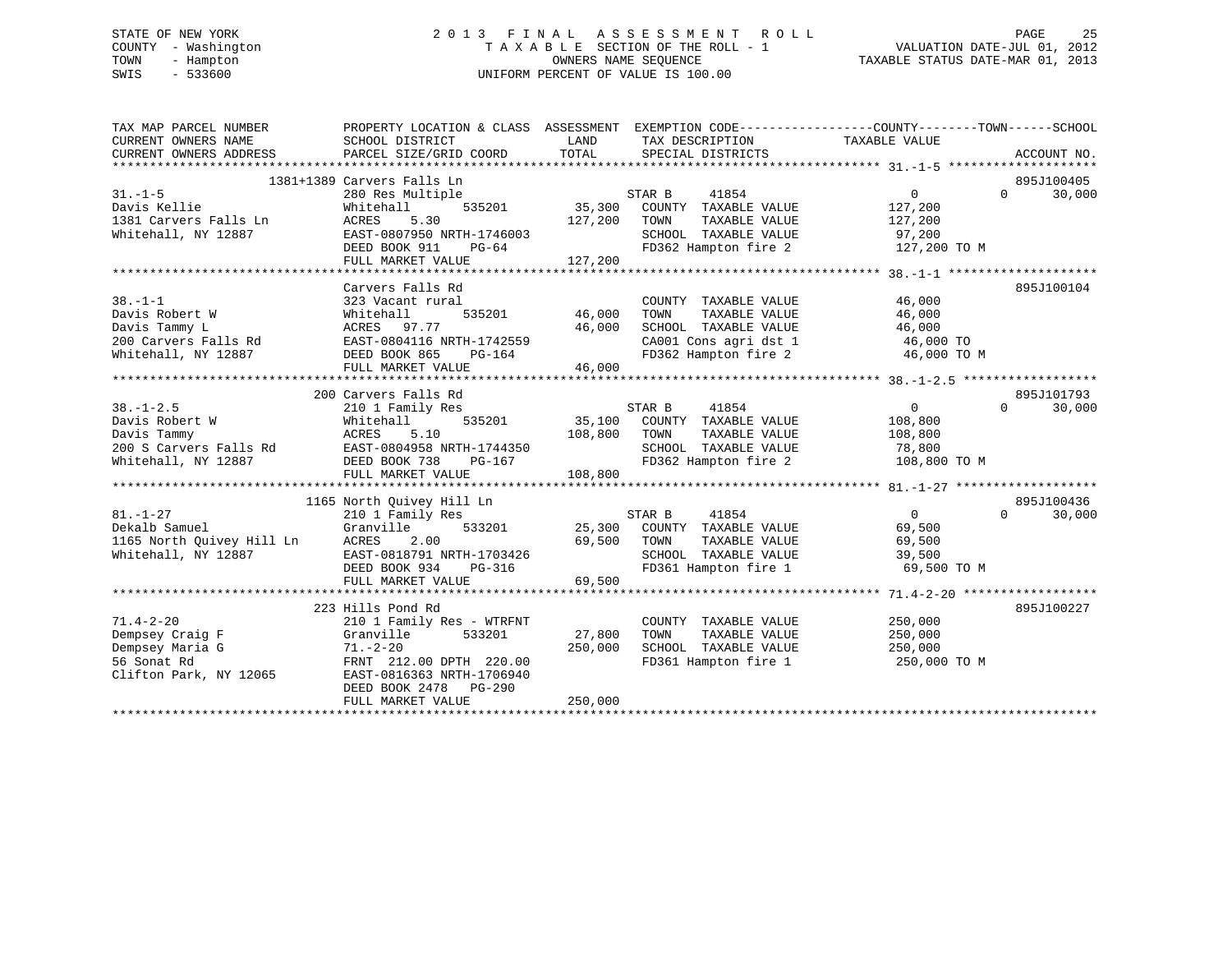# STATE OF NEW YORK 2 0 1 3 F I N A L A S S E S S M E N T R O L L PAGE 25 COUNTY - Washington T A X A B L E SECTION OF THE ROLL - 1 VALUATION DATE-JUL 01, 2012 TOWN - Hampton OWNERS NAME SEQUENCE TAXABLE STATUS DATE-MAR 01, 2013 SWIS - 533600 UNIFORM PERCENT OF VALUE IS 100.00

| TAX MAP PARCEL NUMBER<br>CURRENT OWNERS NAME<br>CURRENT OWNERS ADDRESS PARCEL SIZE/GRID COORD  | PROPERTY LOCATION & CLASS ASSESSMENT<br>SCHOOL DISTRICT                                                                                                                                       | LAND<br>TOTAL                | EXEMPTION CODE-----------------COUNTY-------TOWN------SCHOOL<br>TAX DESCRIPTION TAXABLE VALUE<br>SPECIAL DISTRICTS                           |                                                      | ACCOUNT NO.                      |
|------------------------------------------------------------------------------------------------|-----------------------------------------------------------------------------------------------------------------------------------------------------------------------------------------------|------------------------------|----------------------------------------------------------------------------------------------------------------------------------------------|------------------------------------------------------|----------------------------------|
| $31. -1 - 5$<br>Davis Kellie<br>1381 Carvers Falls Ln<br>Whitehall, NY 12887                   | 1381+1389 Carvers Falls Ln<br>280 Res Multiple<br>Whitehall<br>ACRES<br>5.30<br>EAST-0807950 NRTH-1746003<br>DEED BOOK 911<br>PG-64<br>FULL MARKET VALUE                                      | 127,200<br>127,200           | STAR B<br>41854<br>535201 35,300 COUNTY TAXABLE VALUE<br>TOWN<br>TAXABLE VALUE<br>SCHOOL TAXABLE VALUE<br>FD362 Hampton fire 2 127,200 TO M  | 0<br>127,200<br>127,200<br>97,200                    | 895J100405<br>$\Omega$<br>30,000 |
| $38. - 1 - 1$<br>Davis Robert W                                                                | Carvers Falls Rd<br>323 Vacant rural<br>Whitehall<br>FULL MARKET VALUE                                                                                                                        | 535201 46,000<br>46,000      | COUNTY TAXABLE VALUE<br>TOWN<br>TAXABLE VALUE<br>SCHOOL TAXABLE VALUE<br>CA001 Cons agri dst 1 46,000 TO<br>FD362 Hampton fire 2 46,000 TO M | 46,000<br>46,000<br>46,000                           | 895J100104                       |
|                                                                                                | 200 Carvers Falls Rd                                                                                                                                                                          |                              |                                                                                                                                              |                                                      | 895J101793                       |
| $38. - 1 - 2.5$<br>Davis Robert W<br>Davis Tammy                                               | 210 1 Family Res<br>535201<br>Whitehall<br>Whiteh<br>ACRES<br>5.10<br>FULL MARKET VALUE                                                                                                       | 108,800<br>108,800           | STAR B<br>41854<br>35,100 COUNTY TAXABLE VALUE<br>TAXABLE VALUE<br>TOWN<br>SCHOOL TAXABLE VALUE 78,800<br>FD362 Hampton fire 2               | $\overline{0}$<br>108,800<br>108,800<br>108,800 TO M | $\Omega$<br>30,000               |
|                                                                                                | 1165 North Quivey Hill Ln                                                                                                                                                                     |                              |                                                                                                                                              |                                                      | 895J100436                       |
| $81. - 1 - 27$<br>Dekalb Samuel                                                                | 210 1 Family Res<br>Granville<br>2.00<br>EAST-0818791 NRTH-1703426<br>DEED BOOK 934<br>PG-316                                                                                                 | 69,500                       | STAR B<br>41854<br>533201 25,300 COUNTY TAXABLE VALUE<br>TAXABLE VALUE<br>TOWN<br>SCHOOL TAXABLE VALUE<br>FD361 Hampton fire 1 69,500 TO M   | $0 \qquad \qquad$<br>69,500<br>69,500<br>39,500      | $\Omega$<br>30,000               |
|                                                                                                | FULL MARKET VALUE                                                                                                                                                                             | 69,500                       |                                                                                                                                              |                                                      |                                  |
| $71.4 - 2 - 20$<br>Dempsey Craig F<br>Dempsey Maria G<br>56 Sonat Rd<br>Clifton Park, NY 12065 | 223 Hills Pond Rd<br>210 1 Family Res - WTRFNT<br>Granville<br>533201<br>$71. - 2 - 20$<br>FRNT 212.00 DPTH 220.00<br>EAST-0816363 NRTH-1706940<br>DEED BOOK 2478 PG-290<br>FULL MARKET VALUE | 27,800<br>250,000<br>250,000 | COUNTY TAXABLE VALUE<br>TOWN<br>TAXABLE VALUE<br>SCHOOL TAXABLE VALUE<br>FD361 Hampton fire 1                                                | 250,000<br>250,000<br>250,000<br>250,000 TO M        | 895J100227                       |
|                                                                                                |                                                                                                                                                                                               |                              |                                                                                                                                              |                                                      |                                  |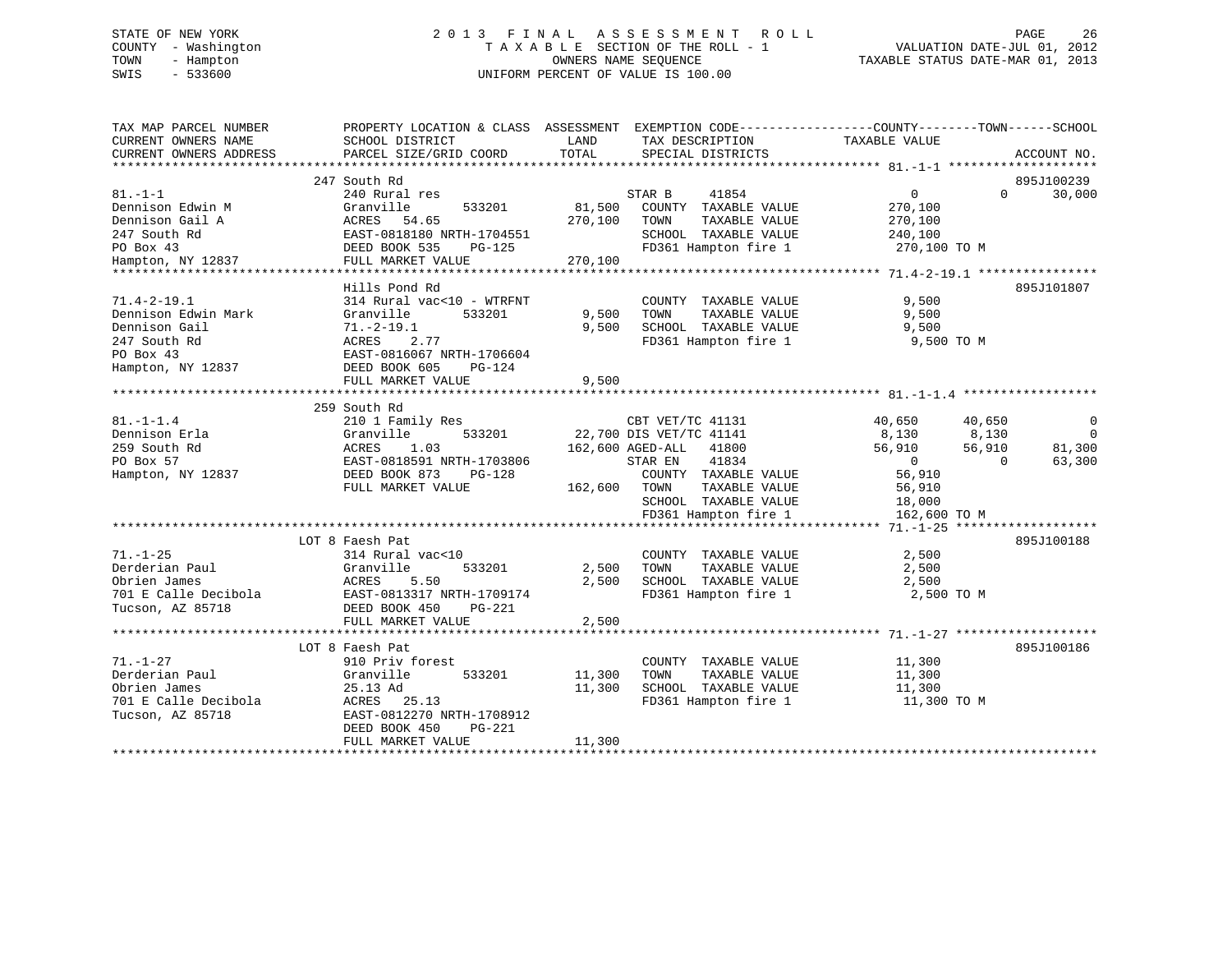# STATE OF NEW YORK 2 0 1 3 F I N A L A S S E S S M E N T R O L L PAGE 26 COUNTY - Washington T A X A B L E SECTION OF THE ROLL - 1 VALUATION DATE-JUL 01, 2012 TOWN - Hampton OWNERS NAME SEQUENCE TAXABLE STATUS DATE-MAR 01, 2013 SWIS - 533600 UNIFORM PERCENT OF VALUE IS 100.00

| TAX MAP PARCEL NUMBER<br>CURRENT OWNERS NAME<br>CURRENT OWNERS ADDRESS                                             | PROPERTY LOCATION & CLASS ASSESSMENT<br>SCHOOL DISTRICT<br>PARCEL SIZE/GRID COORD                                                                                                          | LAND<br>TOTAL                | TAX DESCRIPTION<br>SPECIAL DISTRICTS                                                                                                                                                                           | EXEMPTION CODE----------------COUNTY-------TOWN------SCHOOL<br>TAXABLE VALUE                                            | ACCOUNT NO.                             |
|--------------------------------------------------------------------------------------------------------------------|--------------------------------------------------------------------------------------------------------------------------------------------------------------------------------------------|------------------------------|----------------------------------------------------------------------------------------------------------------------------------------------------------------------------------------------------------------|-------------------------------------------------------------------------------------------------------------------------|-----------------------------------------|
| $81. -1 - 1$<br>Dennison Edwin M<br>Dennison Gail A<br>247 South Rd<br>PO Box 43<br>PO Box 43<br>Hampton, NY 12837 | 247 South Rd<br>240 Rural res<br>Granville<br>533201<br>ACRES<br>54.65<br>ACRES 94.05<br>EAST-0818180 NRTH-1704551<br>DEED BOOK 535<br>PG-125<br>FULL MARKET VALUE                         | 81,500<br>270,100<br>270,100 | STAR B<br>41854<br>COUNTY TAXABLE VALUE<br>TAXABLE VALUE<br>TOWN<br>SCHOOL TAXABLE VALUE<br>FD361 Hampton fire 1 270,100 TO M                                                                                  | $0 \qquad \qquad$<br>270,100<br>270,100<br>240,100                                                                      | 895J100239<br>$\Omega$<br>30,000        |
| $71.4 - 2 - 19.1$<br>Dennison Edwin Mark<br>Dennison Gail<br>247 South Rd<br>PO Box 43<br>Hampton, NY 12837        | Hills Pond Rd<br>314 Rural vac<10 - WTRFNT<br>Granville<br>533201<br>$71. - 2 - 19.1$<br>2.77<br>ACRES<br>EAST-0816067 NRTH-1706604<br>DEED BOOK 605<br><b>PG-124</b><br>FULL MARKET VALUE | 9,500<br>9,500<br>9,500      | COUNTY TAXABLE VALUE<br>TAXABLE VALUE<br>TOWN<br>SCHOOL TAXABLE VALUE<br>FD361 Hampton fire 1                                                                                                                  | 9,500<br>9,500<br>9,500<br>9,500 TO M                                                                                   | 895J101807                              |
| $81. - 1 - 1.4$<br>Dennison Erla<br>259 South Rd<br>PO Box 57<br>Hampton, NY 12837                                 | 259 South Rd<br>210 1 Family Res<br>533201<br>Granville<br>ACRES<br>1.03<br>EAST-0818591 NRTH-1703806<br>DEED BOOK 873<br>PG-128<br>FULL MARKET VALUE                                      | 162,600 TOWN                 | CBT VET/TC 41131<br>22,700 DIS VET/TC 41141<br>162,600 AGED-ALL<br>41800<br>STAR EN<br>41834<br>COUNTY TAXABLE VALUE<br>TAXABLE VALUE<br>SCHOOL TAXABLE VALUE<br>SCHOOL  TAXABLE VALUE<br>FD361 Hampton fire 1 | 40,650<br>40,650<br>8,130<br>8,130<br>56,910<br>56,910<br>$0$<br>56,910<br>$\Omega$<br>56,910<br>18,000<br>162,600 TO M | 0<br>$\overline{0}$<br>81,300<br>63,300 |
| $71. - 1 - 25$<br>Derderian Paul<br>Obrien James<br>701 E Calle Decibola<br>Tucson, AZ 85718                       | LOT 8 Faesh Pat<br>314 Rural vac<10<br>Granville<br>533201<br>ACRES<br>5.50<br>EAST-0813317 NRTH-1709174<br>DEED BOOK 450<br>PG-221<br>FULL MARKET VALUE                                   | 2,500<br>2,500<br>2,500      | COUNTY TAXABLE VALUE<br>TAXABLE VALUE<br>TOWN<br>SCHOOL TAXABLE VALUE 2,500<br>FD361 Hampton fire 1                                                                                                            | 2,500<br>2,500<br>2,500 TO M                                                                                            | 895J100188                              |
| $71. - 1 - 27$<br>Derderian Paul<br>Obrien James<br>701 E Calle Decibola<br>Tucson, AZ 85718                       | LOT 8 Faesh Pat<br>910 Priv forest<br>Granville<br>533201<br>25.13 Ad<br>ACRES 25.13<br>EAST-0812270 NRTH-1708912<br>DEED BOOK 450<br>PG-221<br>FULL MARKET VALUE                          | 11,300<br>11,300<br>11,300   | COUNTY TAXABLE VALUE<br>TAXABLE VALUE<br>TOWN<br>SCHOOL TAXABLE VALUE<br>FD361 Hampton fire 1                                                                                                                  | 11,300<br>11,300<br>11,300<br>11,300 TO M                                                                               | 895J100186                              |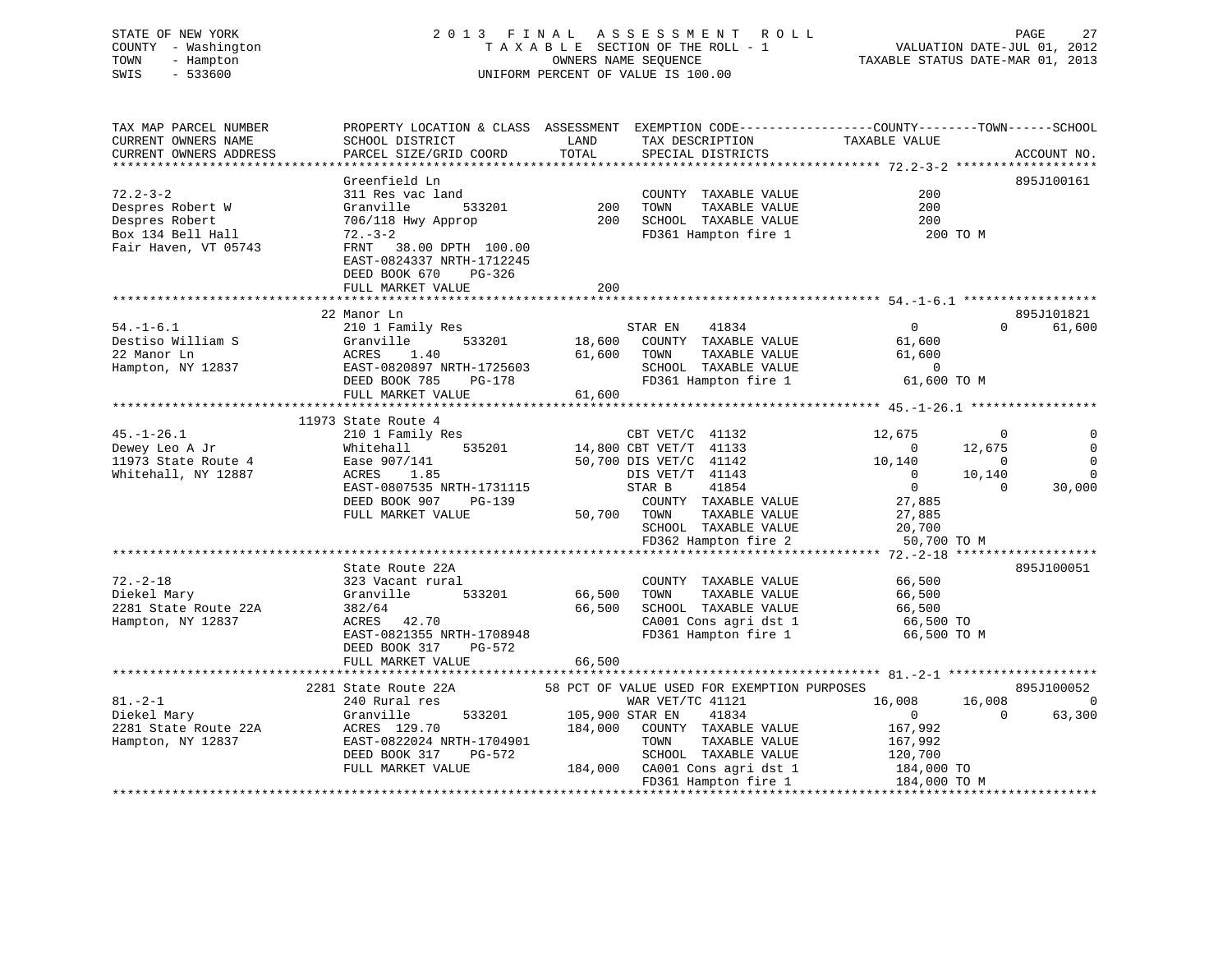# STATE OF NEW YORK 2 0 1 3 F I N A L A S S E S S M E N T R O L L PAGE 27 COUNTY - Washington T A X A B L E SECTION OF THE ROLL - 1 VALUATION DATE-JUL 01, 2012 TOWN - Hampton OWNERS NAME SEQUENCE TAXABLE STATUS DATE-MAR 01, 2013 SWIS - 533600 UNIFORM PERCENT OF VALUE IS 100.00

| TAX MAP PARCEL NUMBER<br>CURRENT OWNERS NAME<br>CURRENT OWNERS ADDRESS                            | SCHOOL DISTRICT<br>PARCEL SIZE/GRID COORD                                                                                                                                             | LAND<br>TOTAL              | TAX DESCRIPTION<br>SPECIAL DISTRICTS                                                                                                                                                                       | PROPERTY LOCATION & CLASS ASSESSMENT EXEMPTION CODE----------------COUNTY-------TOWN------SCHOOL<br>TAXABLE VALUE                                                            | ACCOUNT NO.                                               |
|---------------------------------------------------------------------------------------------------|---------------------------------------------------------------------------------------------------------------------------------------------------------------------------------------|----------------------------|------------------------------------------------------------------------------------------------------------------------------------------------------------------------------------------------------------|------------------------------------------------------------------------------------------------------------------------------------------------------------------------------|-----------------------------------------------------------|
|                                                                                                   | Greenfield Ln                                                                                                                                                                         |                            |                                                                                                                                                                                                            |                                                                                                                                                                              | 895J100161                                                |
| $72.2 - 3 - 2$<br>Despres Robert W<br>Despres Robert<br>Box 134 Bell Hall<br>Fair Haven, VT 05743 | 311 Res vac land<br>Granville<br>533201<br>706/118 Hwy Approp<br>$72. - 3 - 2$<br>FRNT 38.00 DPTH 100.00<br>EAST-0824337 NRTH-1712245<br>DEED BOOK 670<br>PG-326<br>FULL MARKET VALUE | 200<br>200<br>200          | COUNTY TAXABLE VALUE<br>TOWN<br>TAXABLE VALUE<br>SCHOOL TAXABLE VALUE<br>FD361 Hampton fire 1                                                                                                              | 200<br>200<br>200<br>200 TO M                                                                                                                                                |                                                           |
|                                                                                                   |                                                                                                                                                                                       |                            |                                                                                                                                                                                                            |                                                                                                                                                                              |                                                           |
| $54. - 1 - 6.1$<br>Destiso William S<br>22 Manor Ln<br>Hampton, NY 12837                          | 22 Manor Ln<br>210 1 Family Res<br>533201<br>Granville<br>ACRES<br>1.40<br>EAST-0820897 NRTH-1725603<br>DEED BOOK 785<br>PG-178<br>FULL MARKET VALUE                                  | 18,600<br>61,600<br>61,600 | STAR EN<br>41834<br>COUNTY TAXABLE VALUE<br>TOWN<br>TAXABLE VALUE<br>SCHOOL TAXABLE VALUE<br>FD361 Hampton fire 1                                                                                          | $\Omega$<br>$\Omega$<br>61,600<br>61,600<br>$\overline{0}$<br>61,600 TO M                                                                                                    | 895J101821<br>61,600                                      |
|                                                                                                   | 11973 State Route 4                                                                                                                                                                   |                            |                                                                                                                                                                                                            |                                                                                                                                                                              |                                                           |
| $45. - 1 - 26.1$<br>Dewey Leo A Jr<br>11973 State Route 4<br>Whitehall, NY 12887                  | 210 1 Family Res<br>535201<br>Whitehall<br>Ease 907/141<br>ACRES<br>1.85<br>EAST-0807535 NRTH-1731115<br>DEED BOOK 907<br>PG-139<br>FULL MARKET VALUE                                 | 50,700                     | CBT VET/C 41132<br>14,800 CBT VET/T 41133<br>50,700 DIS VET/C 41142<br>DIS VET/T 41143<br>STAR B<br>41854<br>COUNTY TAXABLE VALUE<br>TAXABLE VALUE<br>TOWN<br>SCHOOL TAXABLE VALUE<br>FD362 Hampton fire 2 | 12,675<br>$\mathbf 0$<br>12,675<br>$\overline{0}$<br>10,140<br>$\Omega$<br>$\overline{0}$<br>10,140<br>$\overline{0}$<br>$\cap$<br>27,885<br>27,885<br>20,700<br>50,700 TO M | $\Omega$<br>$\mathbf 0$<br>$\Omega$<br>$\Omega$<br>30,000 |
|                                                                                                   |                                                                                                                                                                                       |                            |                                                                                                                                                                                                            |                                                                                                                                                                              |                                                           |
| $72. - 2 - 18$<br>Diekel Mary<br>2281 State Route 22A<br>Hampton, NY 12837                        | State Route 22A<br>323 Vacant rural<br>533201<br>Granville<br>382/64<br>ACRES 42.70<br>EAST-0821355 NRTH-1708948<br>DEED BOOK 317<br>PG-572                                           | 66,500<br>66,500           | COUNTY TAXABLE VALUE<br>TOWN<br>TAXABLE VALUE<br>SCHOOL TAXABLE VALUE<br>CA001 Cons agri dst 1<br>FD361 Hampton fire 1                                                                                     | 66,500<br>66,500<br>66,500<br>66,500 TO<br>66,500 TO M                                                                                                                       | 895J100051                                                |
|                                                                                                   | FULL MARKET VALUE                                                                                                                                                                     | 66,500                     |                                                                                                                                                                                                            |                                                                                                                                                                              |                                                           |
| $81. - 2 - 1$<br>Diekel Mary<br>2281 State Route 22A<br>Hampton, NY 12837                         | 2281 State Route 22A<br>240 Rural res<br>Granville<br>533201<br>ACRES 129.70<br>EAST-0822024 NRTH-1704901<br>DEED BOOK 317<br>PG-572<br>FULL MARKET VALUE                             | 105,900 STAR EN<br>184,000 | 58 PCT OF VALUE USED FOR EXEMPTION PURPOSES<br>WAR VET/TC 41121<br>41834<br>COUNTY TAXABLE VALUE<br>TOWN<br>TAXABLE VALUE<br>SCHOOL TAXABLE VALUE<br>184,000 CA001 Cons agri dst 1<br>FD361 Hampton fire 1 | 16,008<br>16,008<br>$\overline{0}$<br>$\Omega$<br>167,992<br>167,992<br>120,700<br>184,000 TO<br>184,000 TO M                                                                | 895J100052<br>$\overline{0}$<br>63,300                    |
|                                                                                                   |                                                                                                                                                                                       |                            |                                                                                                                                                                                                            |                                                                                                                                                                              |                                                           |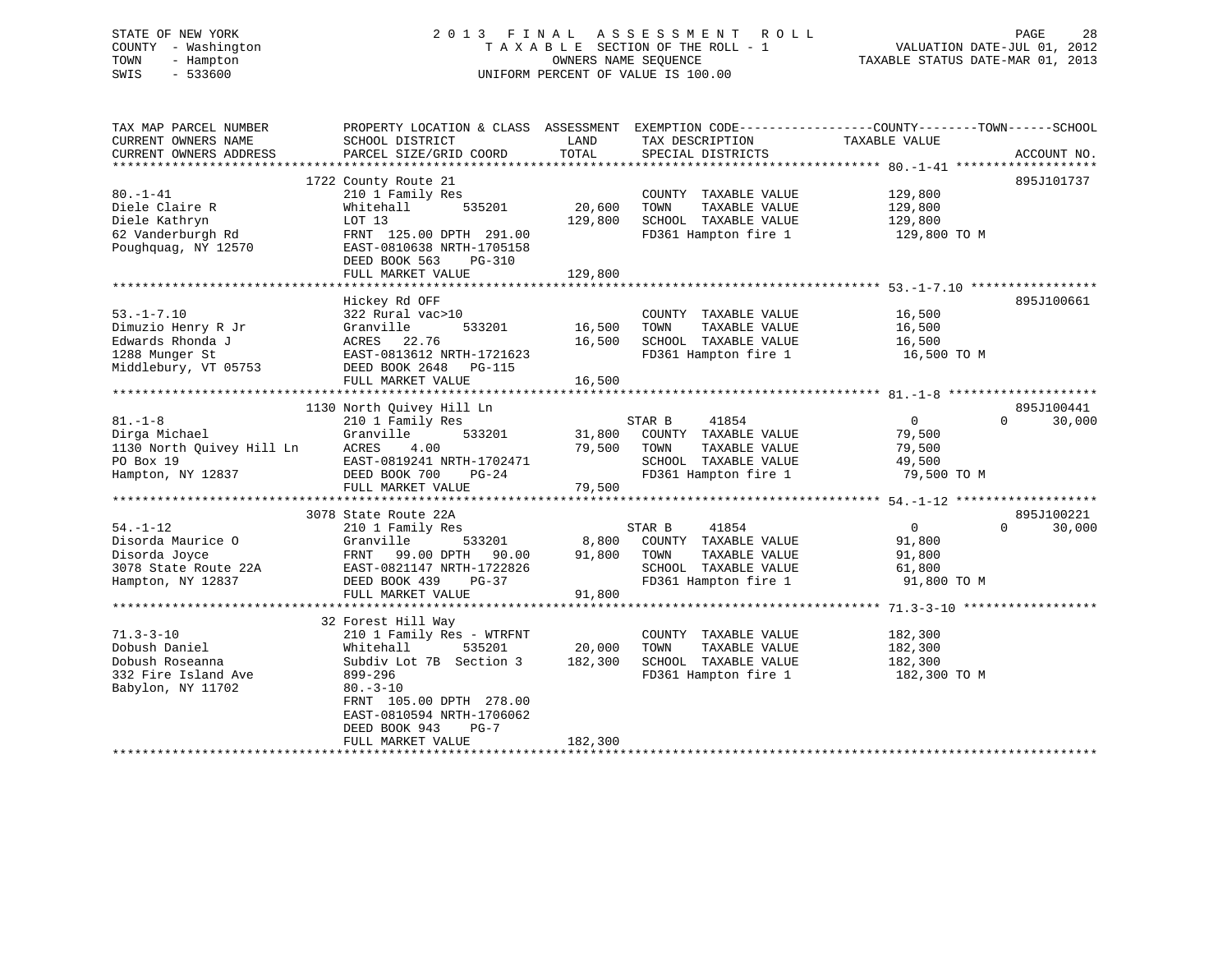# STATE OF NEW YORK 2 0 1 3 F I N A L A S S E S S M E N T R O L L PAGE 28 COUNTY - Washington T A X A B L E SECTION OF THE ROLL - 1 VALUATION DATE-JUL 01, 2012 TOWN - Hampton OWNERS NAME SEQUENCE TAXABLE STATUS DATE-MAR 01, 2013 SWIS - 533600 UNIFORM PERCENT OF VALUE IS 100.00

| TAX MAP PARCEL NUMBER<br>CURRENT OWNERS NAME<br>CURRENT OWNERS ADDRESS                               | PROPERTY LOCATION & CLASS ASSESSMENT<br>SCHOOL DISTRICT<br>PARCEL SIZE/GRID COORD                                                                                                                                                     | LAND<br>TOTAL                | TAX DESCRIPTION<br>SPECIAL DISTRICTS                                                                             | EXEMPTION CODE-----------------COUNTY-------TOWN------SCHOOL<br>TAXABLE VALUE | ACCOUNT NO.                      |
|------------------------------------------------------------------------------------------------------|---------------------------------------------------------------------------------------------------------------------------------------------------------------------------------------------------------------------------------------|------------------------------|------------------------------------------------------------------------------------------------------------------|-------------------------------------------------------------------------------|----------------------------------|
| $80. - 1 - 41$<br>Diele Claire R<br>Diele Kathryn<br>62 Vanderburgh Rd<br>Poughquag, NY 12570        | 1722 County Route 21<br>210 1 Family Res<br>535201<br>Whitehall<br>LOT 13<br>FRNT 125.00 DPTH 291.00<br>EAST-0810638 NRTH-1705158<br>DEED BOOK 563<br>$PG-310$<br>FULL MARKET VALUE                                                   | 20,600<br>129,800<br>129,800 | COUNTY TAXABLE VALUE<br>TOWN<br>TAXABLE VALUE<br>SCHOOL TAXABLE VALUE<br>FD361 Hampton fire 1                    | 129,800<br>129,800<br>129,800<br>129,800 TO M                                 | 895J101737                       |
| $53. - 1 - 7.10$<br>Dimuzio Henry R Jr<br>Edwards Rhonda J<br>1288 Munger St<br>Middlebury, VT 05753 | Hickey Rd OFF<br>322 Rural vac>10<br>533201<br>Granville<br>ACRES 22.76<br>EAST-0813612 NRTH-1721623<br>DEED BOOK 2648 PG-115<br>FULL MARKET VALUE                                                                                    | 16,500<br>16,500<br>16,500   | COUNTY TAXABLE VALUE<br>TOWN<br>TAXABLE VALUE<br>SCHOOL TAXABLE VALUE<br>FD361 Hampton fire 1                    | 16,500<br>16,500<br>16,500<br>16,500 TO M                                     | 895J100661                       |
| $81. - 1 - 8$<br>Dirga Michael<br>1130 North Quivey Hill Ln ACRES<br>PO Box 19<br>Hampton, NY 12837  | 1130 North Quivey Hill Ln<br>210 1 Family Res<br>Granville<br>533201<br>4.00<br>EAST-0819241 NRTH-1702471<br>DEED BOOK 700<br>$PG-24$<br>FULL MARKET VALUE                                                                            | 31,800<br>79,500<br>79,500   | STAR B<br>41854<br>COUNTY TAXABLE VALUE<br>TOWN<br>TAXABLE VALUE<br>SCHOOL TAXABLE VALUE<br>FD361 Hampton fire 1 | $\overline{0}$<br>79,500<br>79,500<br>49,500<br>79,500 TO M                   | 895J100441<br>$\Omega$<br>30,000 |
| $54. - 1 - 12$<br>Disorda Maurice O<br>Disorda Joyce<br>3078 State Route 22A<br>Hampton, NY 12837    | 3078 State Route 22A<br>210 1 Family Res<br>Granville<br>533201<br>FRNT 99.00 DPTH<br>90.00<br>EAST-0821147 NRTH-1722826<br>DEED BOOK 439<br>$PG-37$<br>FULL MARKET VALUE                                                             | 8,800<br>91,800<br>91,800    | STAR B<br>41854<br>COUNTY TAXABLE VALUE<br>TOWN<br>TAXABLE VALUE<br>SCHOOL TAXABLE VALUE<br>FD361 Hampton fire 1 | $\overline{0}$<br>91,800<br>91,800<br>61,800<br>91,800 TO M                   | 895J100221<br>$\Omega$<br>30,000 |
| $71.3 - 3 - 10$<br>Dobush Daniel<br>Dobush Roseanna<br>332 Fire Island Ave<br>Babylon, NY 11702      | 32 Forest Hill Way<br>210 1 Family Res - WTRFNT<br>Whitehall<br>535201<br>Subdiv Lot 7B Section 3<br>899-296<br>$80 - 3 - 10$<br>FRNT 105.00 DPTH 278.00<br>EAST-0810594 NRTH-1706062<br>DEED BOOK 943<br>$PG-7$<br>FULL MARKET VALUE | 20,000<br>182,300<br>182,300 | COUNTY TAXABLE VALUE<br>TOWN<br>TAXABLE VALUE<br>SCHOOL TAXABLE VALUE<br>FD361 Hampton fire 1                    | 182,300<br>182,300<br>182,300<br>182,300 TO M                                 |                                  |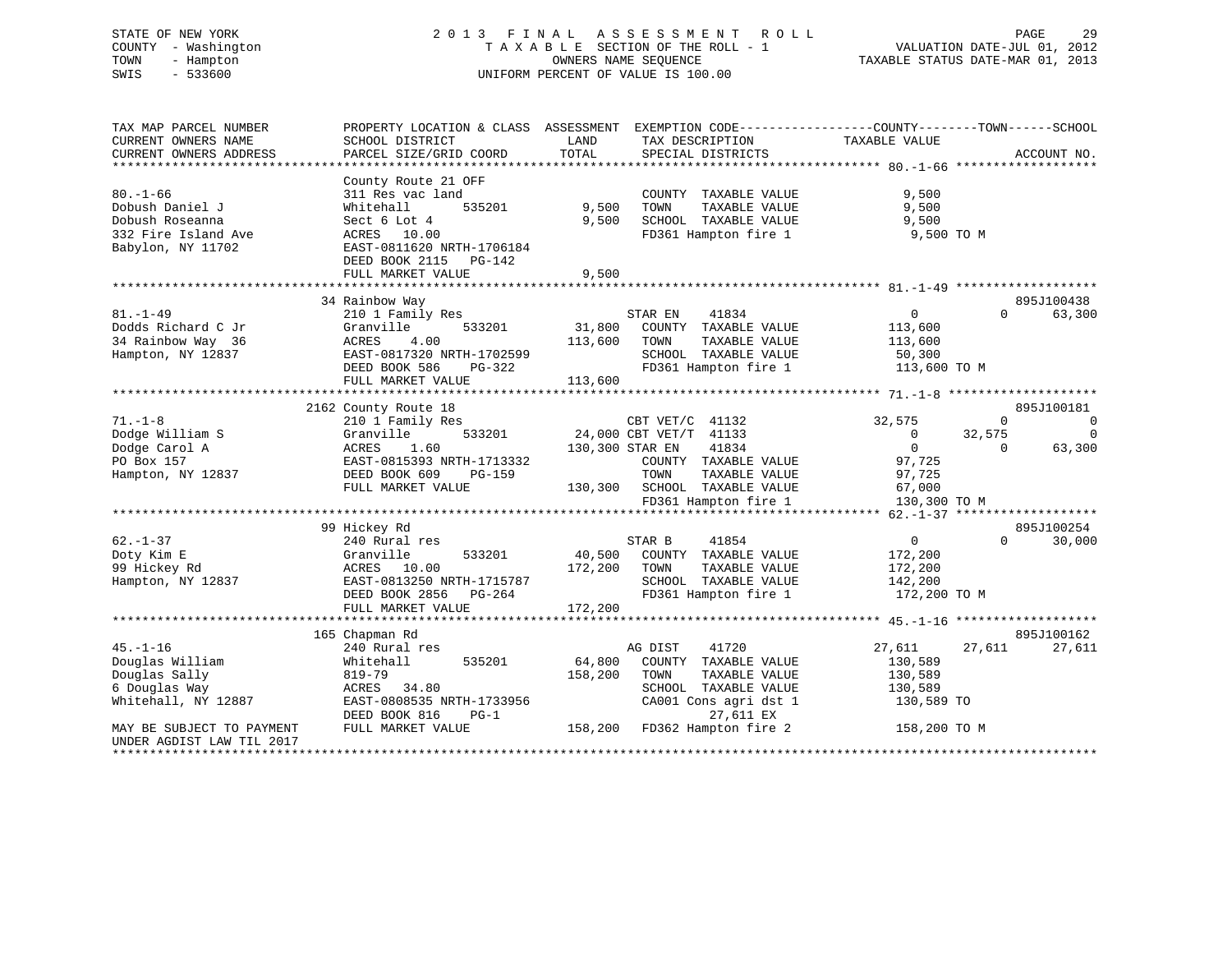# STATE OF NEW YORK 2 0 1 3 F I N A L A S S E S S M E N T R O L L PAGE 29 COUNTY - Washington T A X A B L E SECTION OF THE ROLL - 1 VALUATION DATE-JUL 01, 2012 TOWN - Hampton OWNERS NAME SEQUENCE TAXABLE STATUS DATE-MAR 01, 2013 SWIS - 533600 UNIFORM PERCENT OF VALUE IS 100.00

| TAX MAP PARCEL NUMBER<br>CURRENT OWNERS NAME       | PROPERTY LOCATION & CLASS ASSESSMENT<br>SCHOOL DISTRICT | LAND            | EXEMPTION CODE-----------------COUNTY-------TOWN------SCHOOL<br>TAX DESCRIPTION | TAXABLE VALUE  |             |                |
|----------------------------------------------------|---------------------------------------------------------|-----------------|---------------------------------------------------------------------------------|----------------|-------------|----------------|
| CURRENT OWNERS ADDRESS                             | PARCEL SIZE/GRID COORD                                  | TOTAL           | SPECIAL DISTRICTS                                                               |                |             | ACCOUNT NO.    |
|                                                    |                                                         |                 |                                                                                 |                |             |                |
|                                                    | County Route 21 OFF                                     |                 |                                                                                 |                |             |                |
| $80. - 1 - 66$                                     | 311 Res vac land                                        |                 | COUNTY TAXABLE VALUE                                                            | 9,500          |             |                |
| Dobush Daniel J                                    | 535201<br>Whitehall                                     | 9,500           | TAXABLE VALUE<br>TOWN                                                           | 9,500          |             |                |
| Dobush Roseanna                                    | Sect 6 Lot 4                                            | 9.500           | SCHOOL TAXABLE VALUE                                                            | 9,500          |             |                |
| 332 Fire Island Ave                                | ACRES 10.00                                             |                 | FD361 Hampton fire 1                                                            | 9,500 TO M     |             |                |
| Babylon, NY 11702                                  | EAST-0811620 NRTH-1706184                               |                 |                                                                                 |                |             |                |
|                                                    | DEED BOOK 2115 PG-142                                   |                 |                                                                                 |                |             |                |
|                                                    | FULL MARKET VALUE                                       | 9,500           |                                                                                 |                |             |                |
|                                                    |                                                         |                 |                                                                                 |                |             |                |
|                                                    | 34 Rainbow Way                                          |                 |                                                                                 |                |             |                |
|                                                    |                                                         |                 |                                                                                 |                |             | 895J100438     |
| $81. - 1 - 49$                                     | 210 1 Family Res                                        |                 | 41834<br>STAR EN                                                                | $\overline{0}$ | $\Omega$    | 63,300         |
| Dodds Richard C Jr                                 | Granville<br>533201                                     | 31,800          | COUNTY TAXABLE VALUE                                                            | 113,600        |             |                |
| 34 Rainbow Way 36                                  | <b>ACRES</b><br>4.00                                    | 113,600         | TOWN<br>TAXABLE VALUE                                                           | 113,600        |             |                |
| Hampton, NY 12837                                  | EAST-0817320 NRTH-1702599                               |                 | SCHOOL TAXABLE VALUE                                                            | 50,300         |             |                |
|                                                    | DEED BOOK 586<br>PG-322                                 |                 | FD361 Hampton fire 1                                                            | 113,600 TO M   |             |                |
|                                                    | FULL MARKET VALUE                                       | 113,600         |                                                                                 |                |             |                |
|                                                    |                                                         |                 |                                                                                 |                |             |                |
|                                                    | 2162 County Route 18                                    |                 |                                                                                 |                |             | 895J100181     |
| $71. - 1 - 8$                                      | 210 1 Family Res                                        |                 | CBT VET/C 41132                                                                 | 32,575         | $\mathbf 0$ | $\overline{0}$ |
| Dodge William S                                    | Granville<br>533201                                     |                 | 24,000 CBT VET/T 41133                                                          | $\mathbf 0$    | 32,575      | $\Omega$       |
| Dodge Carol A                                      | ACRES<br>1.60                                           | 130,300 STAR EN | 41834                                                                           | $\mathbf{0}$   | $\Omega$    | 63,300         |
| PO Box 157                                         | EAST-0815393 NRTH-1713332                               |                 | COUNTY TAXABLE VALUE                                                            | 97,725         |             |                |
| Hampton, NY 12837                                  | DEED BOOK 609<br>PG-159                                 |                 | TOWN<br>TAXABLE VALUE                                                           | 97,725         |             |                |
|                                                    |                                                         |                 |                                                                                 |                |             |                |
|                                                    | FULL MARKET VALUE                                       | 130,300         | SCHOOL TAXABLE VALUE                                                            | 67,000         |             |                |
|                                                    |                                                         |                 | FD361 Hampton fire 1                                                            | 130,300 TO M   |             |                |
|                                                    |                                                         |                 |                                                                                 |                |             |                |
|                                                    | 99 Hickey Rd                                            |                 |                                                                                 |                |             | 895J100254     |
| $62. - 1 - 37$                                     | 240 Rural res                                           |                 | 41854<br>STAR B                                                                 | $\overline{0}$ | $\Omega$    | 30,000         |
| Doty Kim E                                         | 533201<br>Granville                                     | 40,500          | COUNTY TAXABLE VALUE                                                            | 172,200        |             |                |
| 99 Hickey Rd                                       | ACRES 10.00                                             | 172,200         | TOWN<br>TAXABLE VALUE                                                           | 172,200        |             |                |
| Hampton, NY 12837                                  | EAST-0813250 NRTH-1715787                               |                 | SCHOOL TAXABLE VALUE                                                            | 142,200        |             |                |
|                                                    | DEED BOOK 2856<br>PG-264                                |                 | FD361 Hampton fire 1                                                            | 172,200 TO M   |             |                |
|                                                    | FULL MARKET VALUE                                       | 172,200         |                                                                                 |                |             |                |
|                                                    |                                                         |                 |                                                                                 |                |             |                |
|                                                    | 165 Chapman Rd                                          |                 |                                                                                 |                |             | 895J100162     |
| $45. - 1 - 16$                                     | 240 Rural res                                           |                 | AG DIST<br>41720                                                                | 27,611         | 27,611      | 27,611         |
| Douglas William                                    | 535201<br>Whitehall                                     | 64,800          | COUNTY TAXABLE VALUE                                                            | 130,589        |             |                |
| Douglas Sally                                      | $819 - 79$                                              | 158,200         | TOWN<br>TAXABLE VALUE                                                           | 130,589        |             |                |
| 6 Douglas Way                                      | ACRES 34.80                                             |                 | SCHOOL TAXABLE VALUE                                                            | 130,589        |             |                |
| Whitehall, NY 12887                                | EAST-0808535 NRTH-1733956                               |                 | CA001 Cons agri dst 1                                                           | 130,589 TO     |             |                |
|                                                    | DEED BOOK 816<br>$PG-1$                                 |                 | 27,611 EX                                                                       |                |             |                |
|                                                    |                                                         |                 |                                                                                 |                |             |                |
| MAY BE SUBJECT TO PAYMENT                          | FULL MARKET VALUE                                       | 158,200         | FD362 Hampton fire 2                                                            | 158,200 TO M   |             |                |
| UNDER AGDIST LAW TIL 2017<br>********************* |                                                         |                 |                                                                                 |                |             |                |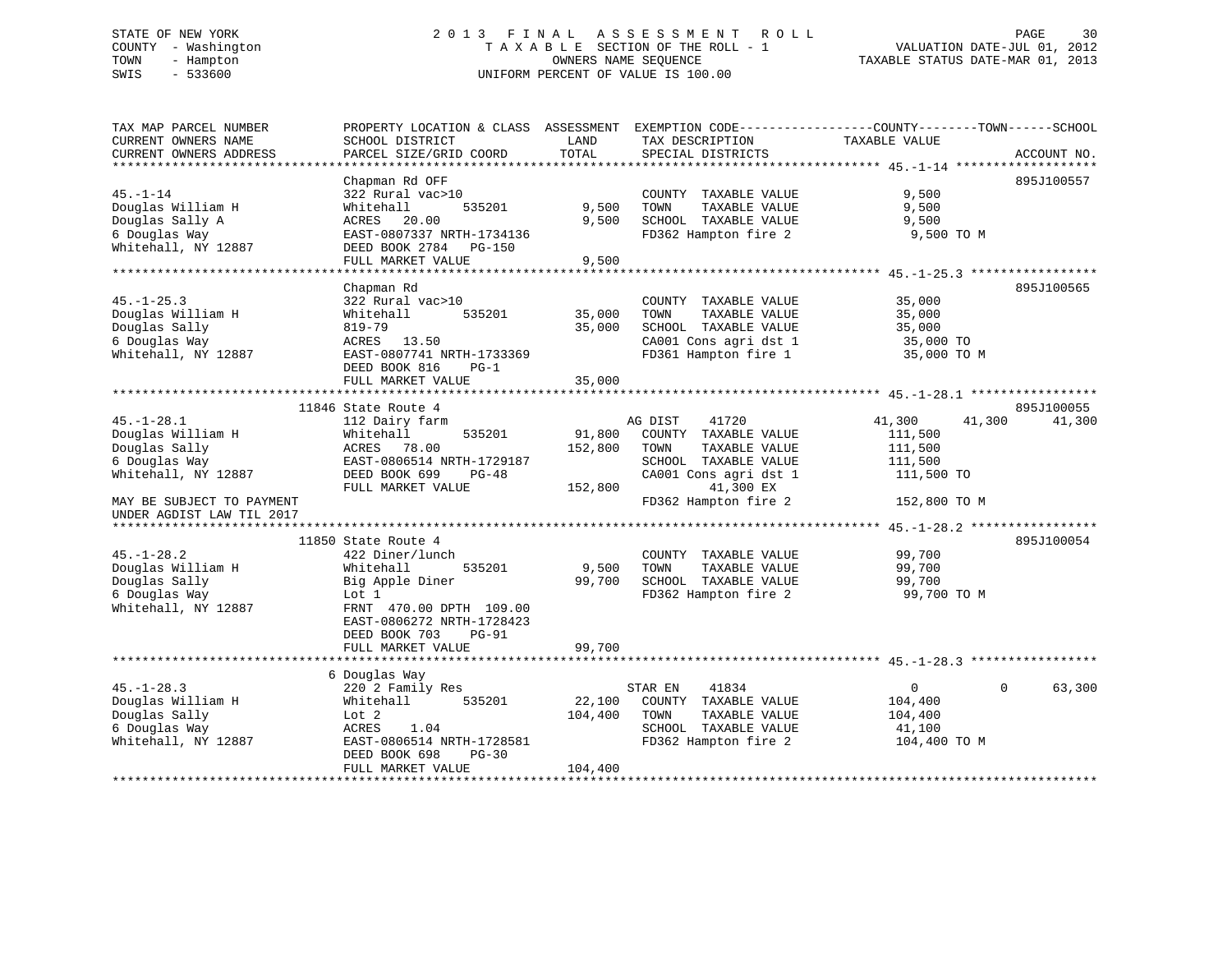# STATE OF NEW YORK 2 0 1 3 F I N A L A S S E S S M E N T R O L L PAGE 30 COUNTY - Washington T A X A B L E SECTION OF THE ROLL - 1 VALUATION DATE-JUL 01, 2012 TOWN - Hampton OWNERS NAME SEQUENCE TAXABLE STATUS DATE-MAR 01, 2013 SWIS - 533600 UNIFORM PERCENT OF VALUE IS 100.00

| TAX MAP PARCEL NUMBER                         | PROPERTY LOCATION & CLASS ASSESSMENT EXEMPTION CODE----------------COUNTY-------TOWN-----SCHOOL |               |                                      |                  |                    |
|-----------------------------------------------|-------------------------------------------------------------------------------------------------|---------------|--------------------------------------|------------------|--------------------|
| CURRENT OWNERS NAME<br>CURRENT OWNERS ADDRESS | SCHOOL DISTRICT<br>PARCEL SIZE/GRID COORD                                                       | LAND<br>TOTAL | TAX DESCRIPTION<br>SPECIAL DISTRICTS | TAXABLE VALUE    | ACCOUNT NO.        |
| **********************                        |                                                                                                 |               |                                      |                  |                    |
|                                               | Chapman Rd OFF                                                                                  |               |                                      |                  | 895J100557         |
| $45. - 1 - 14$                                | 322 Rural vac>10                                                                                |               | COUNTY TAXABLE VALUE                 | 9,500            |                    |
| Douglas William H                             | Whitehall<br>535201                                                                             | 9,500         | TOWN<br>TAXABLE VALUE                | 9,500            |                    |
| Douglas Sally A                               | ACRES 20.00                                                                                     | 9,500         | SCHOOL TAXABLE VALUE                 | 9,500            |                    |
| 6 Douglas Way                                 | EAST-0807337 NRTH-1734136                                                                       |               | FD362 Hampton fire 2                 | 9,500 TO M       |                    |
| Whitehall, NY 12887                           | DEED BOOK 2784 PG-150                                                                           |               |                                      |                  |                    |
|                                               | FULL MARKET VALUE                                                                               | 9,500         |                                      |                  |                    |
|                                               |                                                                                                 |               |                                      |                  |                    |
|                                               | Chapman Rd                                                                                      |               |                                      |                  | 895J100565         |
| $45. - 1 - 25.3$                              | 322 Rural vac>10                                                                                |               | COUNTY TAXABLE VALUE                 | 35,000           |                    |
| Douglas William H                             | Whitehall<br>535201                                                                             | 35,000        | TOWN<br>TAXABLE VALUE                | 35,000           |                    |
| Douglas Sally                                 | 819-79                                                                                          | 35,000        | SCHOOL TAXABLE VALUE                 | 35,000           |                    |
| 6 Douglas Way                                 | ACRES 13.50                                                                                     |               | CA001 Cons agri dst 1                | 35,000 TO        |                    |
| Whitehall, NY 12887                           | EAST-0807741 NRTH-1733369                                                                       |               | FD361 Hampton fire 1                 | 35,000 TO M      |                    |
|                                               | DEED BOOK 816<br>$PG-1$                                                                         |               |                                      |                  |                    |
|                                               | FULL MARKET VALUE                                                                               | 35,000        |                                      |                  |                    |
|                                               | 11846 State Route 4                                                                             |               |                                      |                  | 895J100055         |
| $45. - 1 - 28.1$                              | 112 Dairy farm                                                                                  |               | AG DIST<br>41720                     | 41,300<br>41,300 | 41,300             |
| Douglas William H                             | Whitehall<br>535201                                                                             | 91,800        | COUNTY TAXABLE VALUE                 | 111,500          |                    |
| Douglas Sally                                 | ACRES 78.00                                                                                     | 152,800       | TOWN<br>TAXABLE VALUE                | 111,500          |                    |
| 6 Douglas Way                                 | EAST-0806514 NRTH-1729187                                                                       |               | SCHOOL TAXABLE VALUE                 | 111,500          |                    |
| Whitehall, NY 12887                           | DEED BOOK 699<br>$PG-48$                                                                        |               | CA001 Cons agri dst 1                | 111,500 TO       |                    |
|                                               | FULL MARKET VALUE                                                                               | 152,800       | 41,300 EX                            |                  |                    |
| MAY BE SUBJECT TO PAYMENT                     |                                                                                                 |               | FD362 Hampton fire 2                 | 152,800 TO M     |                    |
| UNDER AGDIST LAW TIL 2017                     |                                                                                                 |               |                                      |                  |                    |
|                                               |                                                                                                 |               |                                      |                  |                    |
|                                               | 11850 State Route 4                                                                             |               |                                      |                  | 895J100054         |
| $45. - 1 - 28.2$                              | 422 Diner/lunch                                                                                 |               | COUNTY TAXABLE VALUE                 | 99,700           |                    |
| Douglas William H                             | 535201<br>Whitehall                                                                             | 9,500         | TOWN<br>TAXABLE VALUE                | 99,700           |                    |
| Douglas Sally                                 | Big Apple Diner                                                                                 | 99,700        | SCHOOL TAXABLE VALUE                 | 99,700           |                    |
| 6 Douglas Way                                 | Lot 1                                                                                           |               | FD362 Hampton fire 2                 | 99,700 TO M      |                    |
| Whitehall, NY 12887                           | FRNT 470.00 DPTH 109.00                                                                         |               |                                      |                  |                    |
|                                               | EAST-0806272 NRTH-1728423                                                                       |               |                                      |                  |                    |
|                                               | DEED BOOK 703<br><b>PG-91</b>                                                                   |               |                                      |                  |                    |
|                                               | FULL MARKET VALUE                                                                               | 99,700        |                                      |                  |                    |
|                                               | 6 Douglas Way                                                                                   |               |                                      |                  |                    |
| $45. - 1 - 28.3$                              | 220 2 Family Res                                                                                |               | 41834<br>STAR EN                     | $\overline{0}$   | $\Omega$<br>63,300 |
| Douglas William H                             | 535201<br>Whitehall                                                                             | 22,100        | COUNTY TAXABLE VALUE                 | 104,400          |                    |
| Douglas Sally                                 | Lot 2                                                                                           | 104,400       | TOWN<br>TAXABLE VALUE                | 104,400          |                    |
| 6 Douglas Way                                 | ACRES<br>1.04                                                                                   |               | SCHOOL TAXABLE VALUE                 | 41,100           |                    |
| Whitehall, NY 12887                           | EAST-0806514 NRTH-1728581                                                                       |               | FD362 Hampton fire 2                 | 104,400 TO M     |                    |
|                                               | DEED BOOK 698<br>$PG-30$                                                                        |               |                                      |                  |                    |
|                                               | FULL MARKET VALUE                                                                               | 104,400       |                                      |                  |                    |
|                                               |                                                                                                 |               |                                      |                  |                    |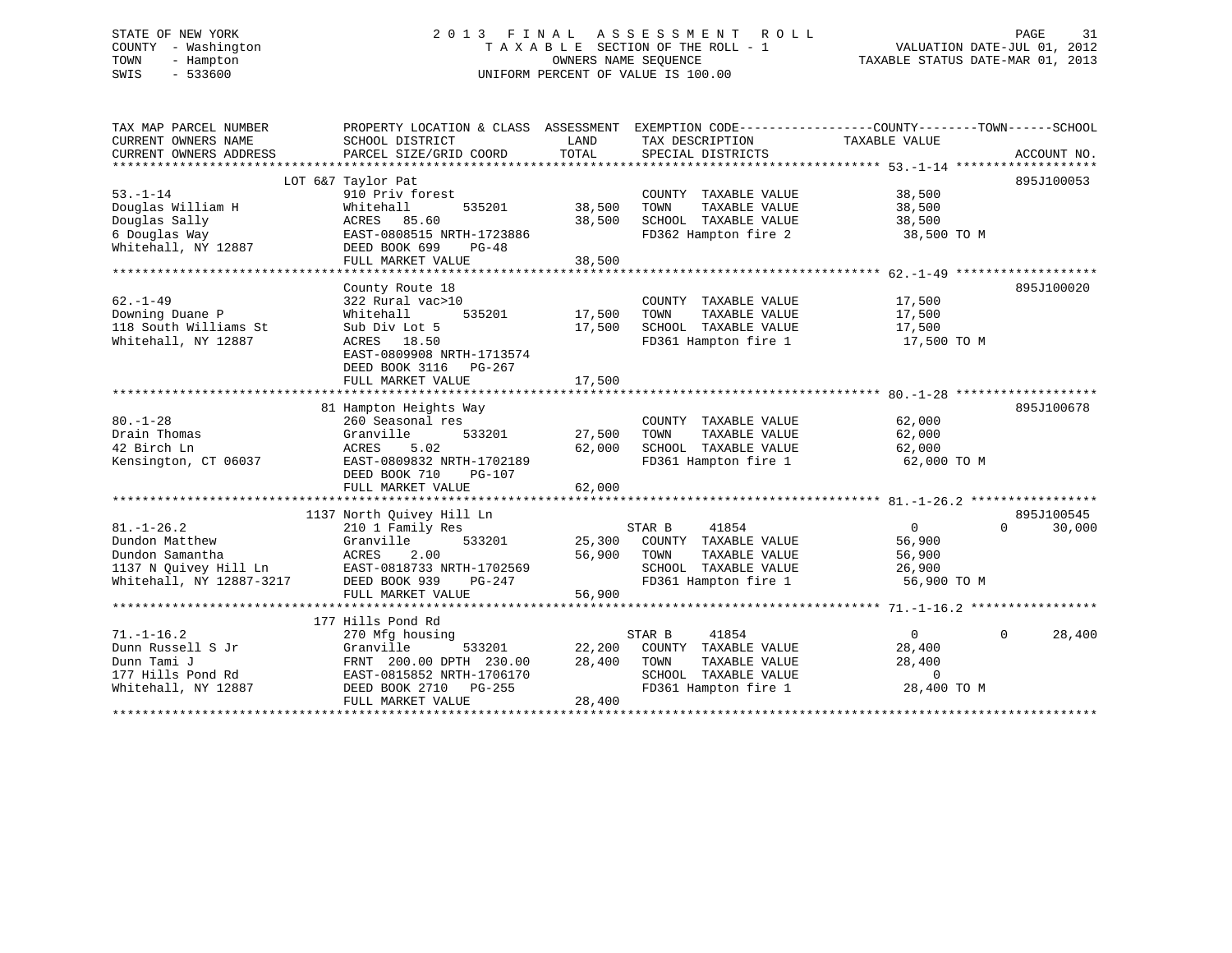# STATE OF NEW YORK 2 0 1 3 F I N A L A S S E S S M E N T R O L L PAGE 31 COUNTY - Washington T A X A B L E SECTION OF THE ROLL - 1 VALUATION DATE-JUL 01, 2012 TOWN - Hampton OWNERS NAME SEQUENCE TAXABLE STATUS DATE-MAR 01, 2013 SWIS - 533600 UNIFORM PERCENT OF VALUE IS 100.00

| TAX MAP PARCEL NUMBER<br>CURRENT OWNERS NAME<br>CURRENT OWNERS ADDRESS                                     | PROPERTY LOCATION & CLASS ASSESSMENT<br>SCHOOL DISTRICT<br>PARCEL SIZE/GRID COORD                                                                                     | LAND<br>TOTAL              | TAX DESCRIPTION<br>SPECIAL DISTRICTS                                                                             | EXEMPTION CODE-----------------COUNTY-------TOWN------SCHOOL<br>TAXABLE VALUE<br>ACCOUNT NO. |        |
|------------------------------------------------------------------------------------------------------------|-----------------------------------------------------------------------------------------------------------------------------------------------------------------------|----------------------------|------------------------------------------------------------------------------------------------------------------|----------------------------------------------------------------------------------------------|--------|
| $53. - 1 - 14$<br>Douglas William H<br>Douglas Sally<br>6 Douglas Way<br>Whitehall, NY 12887               | LOT 6&7 Taylor Pat<br>910 Priv forest<br>535201<br>Whitehall<br>ACRES 85.60<br>EAST-0808515 NRTH-1723886<br>DEED BOOK 699<br>PG-48<br>FULL MARKET VALUE               | 38,500<br>38,500<br>38,500 | COUNTY TAXABLE VALUE<br>TOWN<br>TAXABLE VALUE<br>SCHOOL TAXABLE VALUE<br>FD362 Hampton fire 2                    | 895J100053<br>38,500<br>38,500<br>38,500<br>38,500 TO M                                      |        |
| $62. - 1 - 49$<br>Downing Duane P<br>118 South Williams St<br>Whitehall, NY 12887                          | County Route 18<br>322 Rural vac>10<br>535201<br>Whitehall<br>Sub Div Lot 5<br>ACRES 18.50<br>EAST-0809908 NRTH-1713574<br>DEED BOOK 3116 PG-267<br>FULL MARKET VALUE | 17,500<br>17,500<br>17,500 | COUNTY TAXABLE VALUE<br>TOWN<br>TAXABLE VALUE<br>SCHOOL TAXABLE VALUE<br>FD361 Hampton fire 1                    | 895J100020<br>17,500<br>17,500<br>17,500<br>17,500 TO M                                      |        |
| $80. - 1 - 28$<br>Drain Thomas<br>42 Birch Ln<br>Kensington, CT 06037                                      | 81 Hampton Heights Way<br>260 Seasonal res<br>533201<br>Granville<br>ACRES<br>5.02<br>EAST-0809832 NRTH-1702189<br>DEED BOOK 710<br>PG-107<br>FULL MARKET VALUE       | 27,500<br>62,000<br>62,000 | COUNTY TAXABLE VALUE<br>TAXABLE VALUE<br>TOWN<br>SCHOOL TAXABLE VALUE<br>FD361 Hampton fire 1                    | 895J100678<br>62,000<br>62,000<br>62,000<br>62,000 TO M                                      |        |
| $81. - 1 - 26.2$<br>Dundon Matthew<br>Dundon Samantha<br>1137 N Quivey Hill Ln<br>Whitehall, NY 12887-3217 | 1137 North Quivey Hill Ln<br>210 1 Family Res<br>Granville<br>533201<br>ACRES<br>2.00<br>EAST-0818733 NRTH-1702569<br>DEED BOOK 939<br>PG-247<br>FULL MARKET VALUE    | 25,300<br>56,900<br>56,900 | STAR B<br>41854<br>COUNTY TAXABLE VALUE<br>TOWN<br>TAXABLE VALUE<br>SCHOOL TAXABLE VALUE<br>FD361 Hampton fire 1 | 895J100545<br>$\Omega$<br>$\Omega$<br>56,900<br>56,900<br>26,900<br>56,900 TO M              | 30,000 |
| $71. - 1 - 16.2$<br>Dunn Russell S Jr<br>Dunn Tami J<br>177 Hills Pond Rd<br>Whitehall, NY 12887           | 177 Hills Pond Rd<br>270 Mfg housing<br>Granville<br>533201<br>FRNT 200.00 DPTH 230.00<br>EAST-0815852 NRTH-1706170<br>DEED BOOK 2710 PG-255<br>FULL MARKET VALUE     | 22,200<br>28,400<br>28,400 | STAR B<br>41854<br>COUNTY TAXABLE VALUE<br>TOWN<br>TAXABLE VALUE<br>SCHOOL TAXABLE VALUE<br>FD361 Hampton fire 1 | $\Omega$<br>$\Omega$<br>28,400<br>28,400<br>$\Omega$<br>28,400 TO M                          | 28,400 |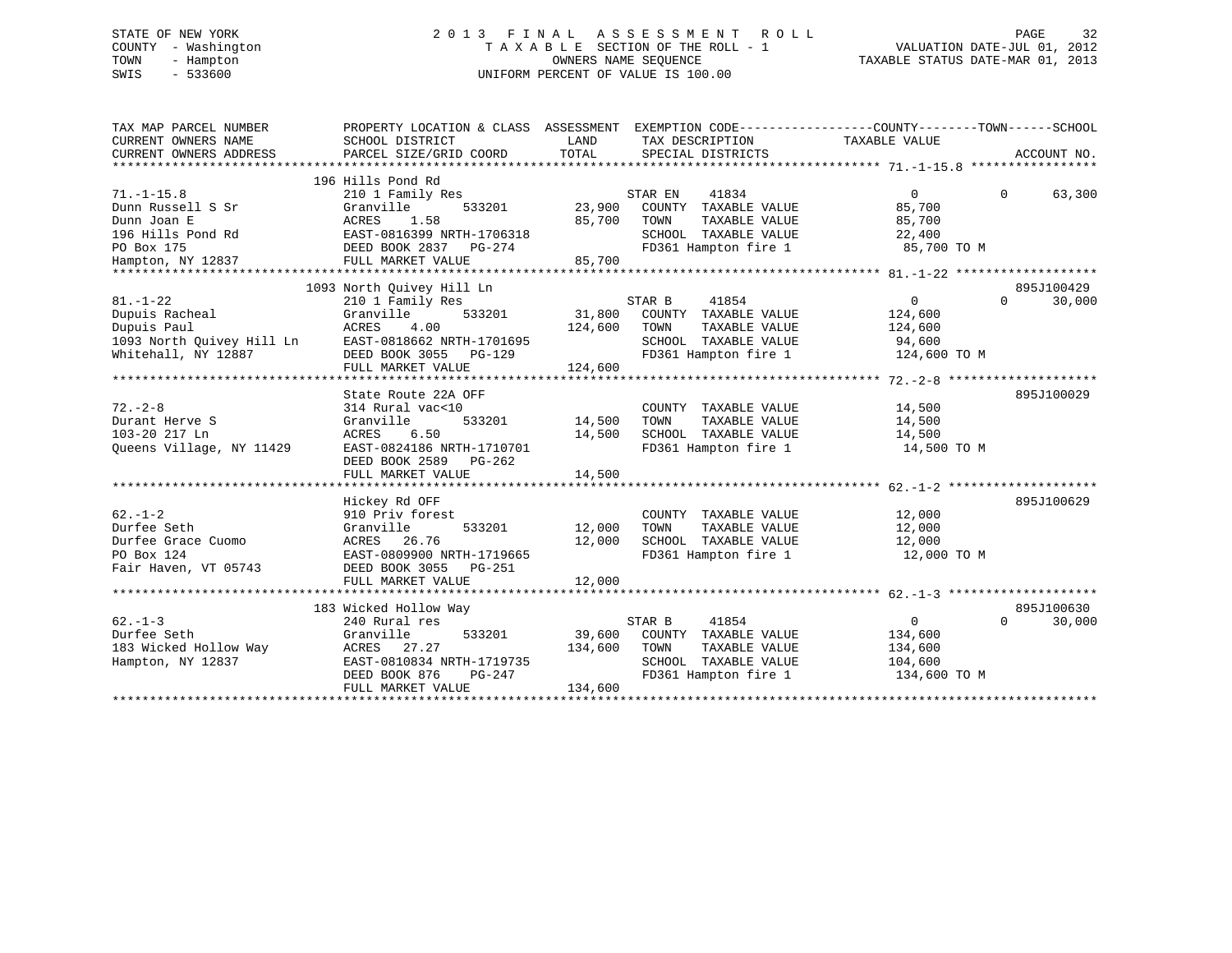# STATE OF NEW YORK 2 0 1 3 F I N A L A S S E S S M E N T R O L L PAGE 32 COUNTY - Washington T A X A B L E SECTION OF THE ROLL - 1 VALUATION DATE-JUL 01, 2012 TOWN - Hampton OWNERS NAME SEQUENCE TAXABLE STATUS DATE-MAR 01, 2013 SWIS - 533600 UNIFORM PERCENT OF VALUE IS 100.00

| SCHOOL DISTRICT<br>PARCEL SIZE/GRID COORD                                                                                        | LAND                                                                                                                                                                                                           | TAX DESCRIPTION<br>SPECIAL DISTRICTS                                                          |                                                            | ACCOUNT NO.                                                                                                                                                                                                                                                                                                                                                                                                                                                                                                                                                                                               |
|----------------------------------------------------------------------------------------------------------------------------------|----------------------------------------------------------------------------------------------------------------------------------------------------------------------------------------------------------------|-----------------------------------------------------------------------------------------------|------------------------------------------------------------|-----------------------------------------------------------------------------------------------------------------------------------------------------------------------------------------------------------------------------------------------------------------------------------------------------------------------------------------------------------------------------------------------------------------------------------------------------------------------------------------------------------------------------------------------------------------------------------------------------------|
| 210 1 Family Res<br>Granville<br>ACRES<br>1.58<br>EAST-0816399 NRTH-1706318<br>FULL MARKET VALUE                                 | 85,700                                                                                                                                                                                                         | 41834<br>TOWN<br>TAXABLE VALUE                                                                | $\overline{0}$<br>85,700<br>85,700                         | $\Omega$<br>63,300                                                                                                                                                                                                                                                                                                                                                                                                                                                                                                                                                                                        |
|                                                                                                                                  |                                                                                                                                                                                                                |                                                                                               |                                                            | 895J100429                                                                                                                                                                                                                                                                                                                                                                                                                                                                                                                                                                                                |
| 210 1 Family Res<br>Granville<br>ACRES<br>4.00<br>FULL MARKET VALUE                                                              | 124,600<br>124,600                                                                                                                                                                                             | 41854<br>TOWN<br>TAXABLE VALUE                                                                | $\overline{0}$<br>124,600<br>124,600                       | $\Omega$<br>30,000                                                                                                                                                                                                                                                                                                                                                                                                                                                                                                                                                                                        |
|                                                                                                                                  |                                                                                                                                                                                                                |                                                                                               |                                                            |                                                                                                                                                                                                                                                                                                                                                                                                                                                                                                                                                                                                           |
| 314 Rural vac<10<br>Granville<br>533201<br>6.50<br>ACRES<br>EAST-0824186 NRTH-1710701<br>DEED BOOK 2589 PG-262                   | 14,500<br>14,500                                                                                                                                                                                               | COUNTY TAXABLE VALUE<br>TOWN                                                                  | 14,500<br>14,500                                           | 895J100029                                                                                                                                                                                                                                                                                                                                                                                                                                                                                                                                                                                                |
| FULL MARKET VALUE                                                                                                                | 14,500                                                                                                                                                                                                         |                                                                                               |                                                            |                                                                                                                                                                                                                                                                                                                                                                                                                                                                                                                                                                                                           |
| Hickey Rd OFF<br>910 Priv forest<br>Granville<br>ACRES 26.76<br>EAST-0809900 NRTH-1719665<br>DEED BOOK 3055 PG-251               | 12,000                                                                                                                                                                                                         | TOWN<br>TAXABLE VALUE                                                                         | 12,000<br>12,000 TO M                                      | 895J100629                                                                                                                                                                                                                                                                                                                                                                                                                                                                                                                                                                                                |
| FULL MARKET VALUE                                                                                                                | 12,000                                                                                                                                                                                                         |                                                                                               |                                                            |                                                                                                                                                                                                                                                                                                                                                                                                                                                                                                                                                                                                           |
|                                                                                                                                  |                                                                                                                                                                                                                |                                                                                               |                                                            |                                                                                                                                                                                                                                                                                                                                                                                                                                                                                                                                                                                                           |
| 240 Rural res<br>533201<br>Granville<br>ACRES 27.27<br>EAST-0810834 NRTH-1719735<br>DEED BOOK 876<br>PG-247<br>FULL MARKET VALUE | 134,600                                                                                                                                                                                                        | 41854<br>TOWN                                                                                 | $\overline{0}$<br>134,600<br>134,600                       | 895J100630<br>$\Omega$<br>30,000                                                                                                                                                                                                                                                                                                                                                                                                                                                                                                                                                                          |
|                                                                                                                                  | 196 Hills Pond Rd<br>1093 North Quivey Hill Ln<br>Dupuis Racheal<br>Dupuis Paul<br>1093 North Quivey Hill Ln EAST-0818662 NRTH-1701695<br>State Route 22A OFF<br>Fair Haven, VT 05743<br>183 Wicked Hollow Way | TOTAL<br>DEED BOOK 2837 PG-274<br>85,700<br>DEED BOOK 3055 PG-129<br>533201 12,000<br>134,600 | STAR EN<br>STAR B<br>STAR B<br>39,600 COUNTY TAXABLE VALUE | PROPERTY LOCATION & CLASS ASSESSMENT EXEMPTION CODE----------------COUNTY-------TOWN------SCHOOL<br>TAXABLE VALUE<br>533201 23,900 COUNTY TAXABLE VALUE<br>SCHOOL TAXABLE VALUE $22,400$<br>FD361 Hampton fire 1 85,700 TO M<br>533201 31,800 COUNTY TAXABLE VALUE<br>SCHOOL TAXABLE VALUE 94,600<br>FD361 Hampton fire 1 124,600 TO M<br>TAXABLE VALUE<br>SCHOOL TAXABLE VALUE 14,500<br>FD361 Hampton fire 1 14,500 TO M<br>COUNTY TAXABLE VALUE<br>12,000<br>SCHOOL TAXABLE VALUE 12,000<br>FD361 Hampton fire 1<br>TAXABLE VALUE<br>SCHOOL TAXABLE VALUE 104,600<br>FD361 Hampton fire 1 134,600 TO M |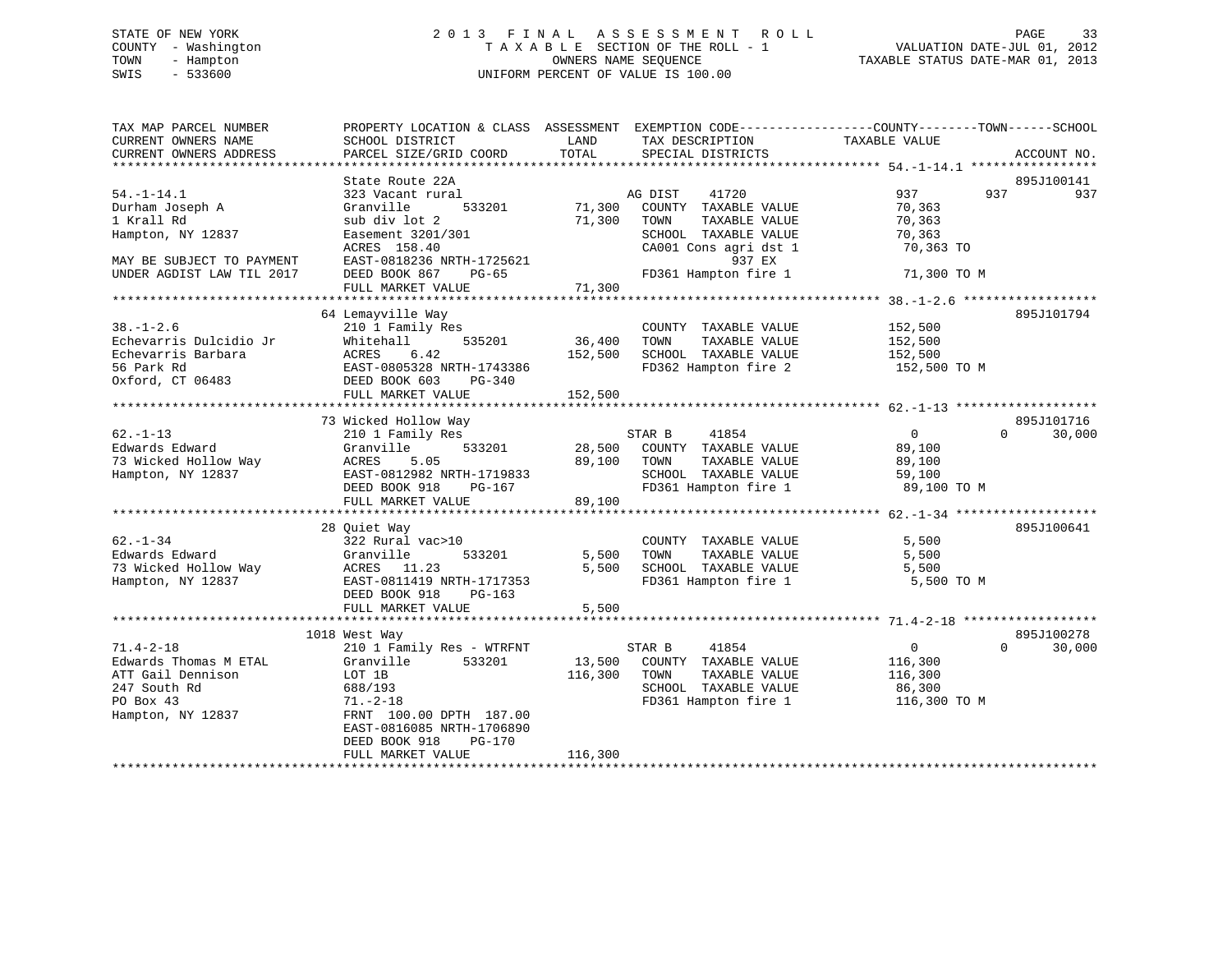# STATE OF NEW YORK 2 0 1 3 F I N A L A S S E S S M E N T R O L L PAGE 33 COUNTY - Washington T A X A B L E SECTION OF THE ROLL - 1 VALUATION DATE-JUL 01, 2012 TOWN - Hampton OWNERS NAME SEQUENCE TAXABLE STATUS DATE-MAR 01, 2013 SWIS - 533600 UNIFORM PERCENT OF VALUE IS 100.00

| TAX MAP PARCEL NUMBER<br>CURRENT OWNERS NAME<br>CURRENT OWNERS ADDRESS | PROPERTY LOCATION & CLASS ASSESSMENT<br>SCHOOL DISTRICT<br>PARCEL SIZE/GRID COORD | LAND<br>TOTAL | TAX DESCRIPTION<br>SPECIAL DISTRICTS | EXEMPTION CODE-----------------COUNTY-------TOWN------SCHOOL<br>TAXABLE VALUE<br>ACCOUNT NO. |     |
|------------------------------------------------------------------------|-----------------------------------------------------------------------------------|---------------|--------------------------------------|----------------------------------------------------------------------------------------------|-----|
|                                                                        |                                                                                   |               |                                      |                                                                                              |     |
|                                                                        | State Route 22A                                                                   |               |                                      | 895J100141                                                                                   |     |
| $54. - 1 - 14.1$                                                       | 323 Vacant rural                                                                  |               | AG DIST<br>41720                     | 937<br>937                                                                                   | 937 |
| Durham Joseph A                                                        | Granville<br>533201                                                               | 71,300        | COUNTY TAXABLE VALUE                 | 70,363                                                                                       |     |
| 1 Krall Rd                                                             | sub div lot 2                                                                     | 71,300        | TOWN<br>TAXABLE VALUE                | 70,363                                                                                       |     |
| Hampton, NY 12837                                                      | Easement 3201/301                                                                 |               | SCHOOL TAXABLE VALUE                 | 70,363                                                                                       |     |
|                                                                        | ACRES 158.40                                                                      |               | CA001 Cons agri dst 1                | 70,363 TO                                                                                    |     |
| MAY BE SUBJECT TO PAYMENT                                              | EAST-0818236 NRTH-1725621                                                         |               | 937 EX                               |                                                                                              |     |
| UNDER AGDIST LAW TIL 2017                                              | DEED BOOK 867<br>PG-65                                                            |               | FD361 Hampton fire 1                 | 71,300 TO M                                                                                  |     |
|                                                                        | FULL MARKET VALUE                                                                 | 71,300        |                                      |                                                                                              |     |
|                                                                        |                                                                                   |               |                                      |                                                                                              |     |
|                                                                        | 64 Lemayville Way                                                                 |               |                                      | 895J101794                                                                                   |     |
| $38. - 1 - 2.6$                                                        | 210 1 Family Res                                                                  |               | COUNTY TAXABLE VALUE                 | 152,500                                                                                      |     |
| Echevarris Dulcidio Jr                                                 | Whitehall<br>535201<br>ACRES                                                      | 36,400        | TOWN<br>TAXABLE VALUE                | 152,500                                                                                      |     |
| Echevarris Barbara                                                     | 6.42                                                                              | 152,500       | SCHOOL TAXABLE VALUE                 | 152,500                                                                                      |     |
| 56 Park Rd                                                             | EAST-0805328 NRTH-1743386                                                         |               | FD362 Hampton fire 2                 | 152,500 TO M                                                                                 |     |
| Oxford, CT 06483                                                       | DEED BOOK 603<br>$PG-340$                                                         |               |                                      |                                                                                              |     |
|                                                                        | FULL MARKET VALUE                                                                 | 152,500       |                                      |                                                                                              |     |
|                                                                        | 73 Wicked Hollow Way                                                              |               |                                      | 895J101716                                                                                   |     |
| $62 - 1 - 13$                                                          | 210 1 Family Res                                                                  |               | 41854<br>STAR B                      | $\overline{0}$<br>30,000<br>$\Omega$                                                         |     |
| Edwards Edward                                                         | Granville<br>533201                                                               | 28,500        | COUNTY TAXABLE VALUE                 | 89,100                                                                                       |     |
| 73 Wicked Hollow Way                                                   | ACRES<br>5.05                                                                     | 89,100        | TOWN<br>TAXABLE VALUE                | 89,100                                                                                       |     |
| Hampton, NY 12837                                                      | EAST-0812982 NRTH-1719833                                                         |               | SCHOOL TAXABLE VALUE                 | 59,100                                                                                       |     |
|                                                                        | DEED BOOK 918<br>PG-167                                                           |               | FD361 Hampton fire 1                 | 89,100 TO M                                                                                  |     |
|                                                                        | FULL MARKET VALUE                                                                 | 89,100        |                                      |                                                                                              |     |
|                                                                        |                                                                                   |               |                                      |                                                                                              |     |
|                                                                        | 28 Quiet Way                                                                      |               |                                      | 895J100641                                                                                   |     |
| $62. - 1 - 34$                                                         | 322 Rural vac>10                                                                  |               | COUNTY TAXABLE VALUE                 | 5,500                                                                                        |     |
| Edwards Edward                                                         | 533201<br>Granville                                                               | 5,500         | TOWN<br>TAXABLE VALUE                | 5,500                                                                                        |     |
| 73 Wicked Hollow Way                                                   | ACRES 11.23                                                                       | 5,500         | SCHOOL TAXABLE VALUE                 | 5,500                                                                                        |     |
| Hampton, NY 12837                                                      | EAST-0811419 NRTH-1717353                                                         |               | FD361 Hampton fire 1                 | 5,500 TO M                                                                                   |     |
|                                                                        | DEED BOOK 918<br>$PG-163$                                                         |               |                                      |                                                                                              |     |
|                                                                        | FULL MARKET VALUE                                                                 | 5,500         |                                      |                                                                                              |     |
|                                                                        |                                                                                   |               |                                      |                                                                                              |     |
|                                                                        | 1018 West Way                                                                     |               |                                      | 895J100278                                                                                   |     |
| $71.4 - 2 - 18$                                                        | 210 1 Family Res - WTRFNT                                                         |               | STAR B<br>41854                      | $\overline{0}$<br>$\Omega$<br>30,000                                                         |     |
| Edwards Thomas M ETAL                                                  | 533201<br>Granville                                                               | 13,500        | COUNTY TAXABLE VALUE                 | 116,300                                                                                      |     |
| ATT Gail Dennison                                                      | LOT 1B                                                                            | 116,300       | TOWN<br>TAXABLE VALUE                | 116,300                                                                                      |     |
| 247 South Rd                                                           | 688/193                                                                           |               | SCHOOL TAXABLE VALUE                 | 86,300                                                                                       |     |
| PO Box 43                                                              | $71. - 2 - 18$                                                                    |               | FD361 Hampton fire 1                 | 116,300 TO M                                                                                 |     |
| Hampton, NY 12837                                                      | FRNT 100.00 DPTH 187.00                                                           |               |                                      |                                                                                              |     |
|                                                                        | EAST-0816085 NRTH-1706890                                                         |               |                                      |                                                                                              |     |
|                                                                        | DEED BOOK 918<br>PG-170                                                           |               |                                      |                                                                                              |     |
|                                                                        | FULL MARKET VALUE                                                                 | 116,300       |                                      |                                                                                              |     |
|                                                                        |                                                                                   |               |                                      |                                                                                              |     |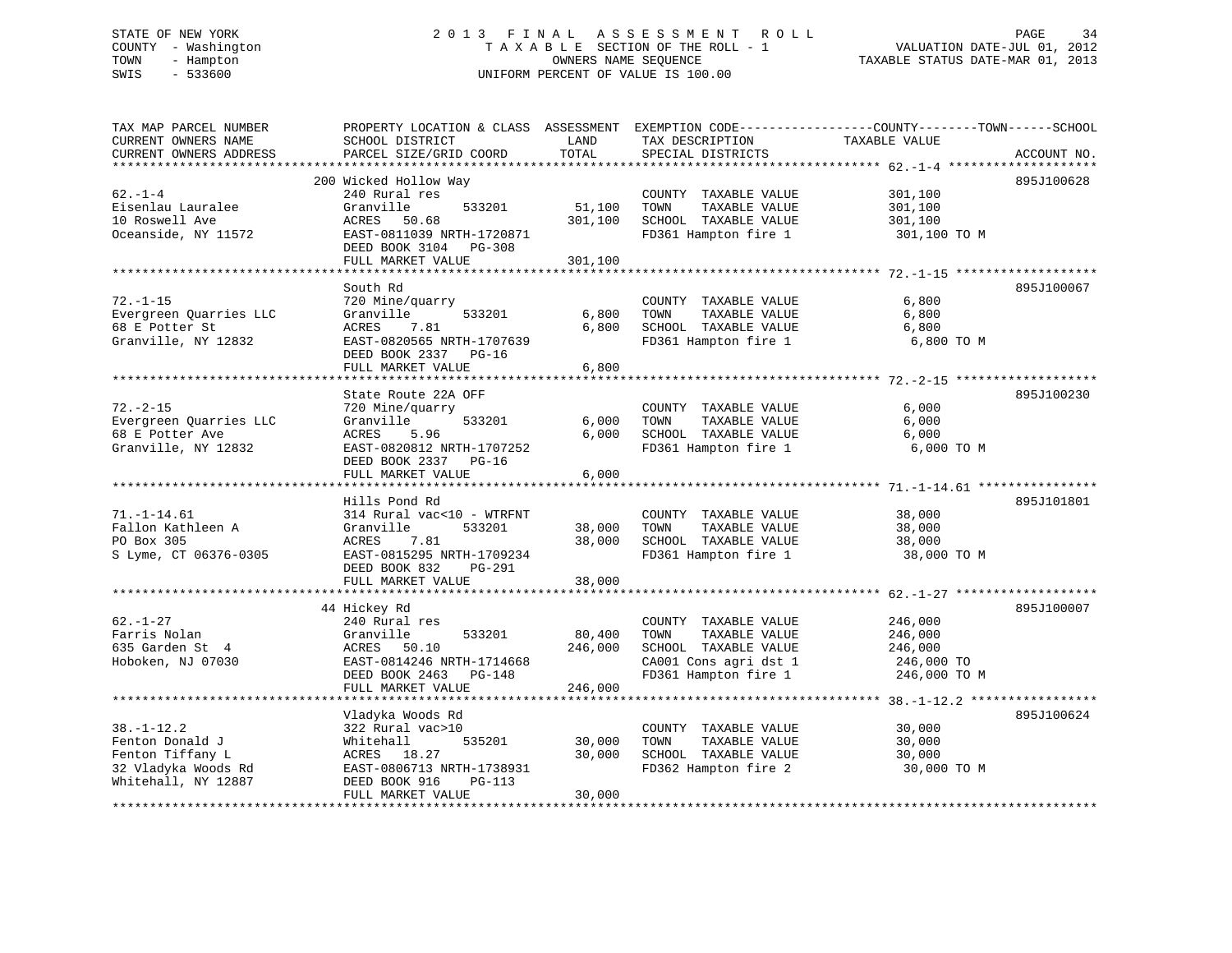# STATE OF NEW YORK 2 0 1 3 F I N A L A S S E S S M E N T R O L L PAGE 34 COUNTY - Washington T A X A B L E SECTION OF THE ROLL - 1 VALUATION DATE-JUL 01, 2012 TOWN - Hampton OWNERS NAME SEQUENCE TAXABLE STATUS DATE-MAR 01, 2013 SWIS - 533600 UNIFORM PERCENT OF VALUE IS 100.00

| TAX MAP PARCEL NUMBER<br>CURRENT OWNERS NAME<br>CURRENT OWNERS ADDRESS                                                       | PROPERTY LOCATION & CLASS ASSESSMENT<br>SCHOOL DISTRICT<br>PARCEL SIZE/GRID COORD                                                                               | LAND<br>TOTAL              | TAX DESCRIPTION<br>SPECIAL DISTRICTS                                                                                   | EXEMPTION CODE-----------------COUNTY-------TOWN------SCHOOL<br>TAXABLE VALUE<br>ACCOUNT NO. |
|------------------------------------------------------------------------------------------------------------------------------|-----------------------------------------------------------------------------------------------------------------------------------------------------------------|----------------------------|------------------------------------------------------------------------------------------------------------------------|----------------------------------------------------------------------------------------------|
| *******************                                                                                                          | **********************                                                                                                                                          |                            |                                                                                                                        |                                                                                              |
| $62. - 1 - 4$<br>Eisenlau Lauralee<br>10 Roswell Ave<br>Oceanside, NY 11572                                                  | 200 Wicked Hollow Way<br>240 Rural res<br>Granville<br>533201<br>ACRES<br>50.68<br>EAST-0811039 NRTH-1720871<br>DEED BOOK 3104<br>PG-308                        | 51,100<br>301,100          | COUNTY TAXABLE VALUE<br>TOWN<br>TAXABLE VALUE<br>SCHOOL TAXABLE VALUE<br>FD361 Hampton fire 1                          | 895J100628<br>301,100<br>301,100<br>301,100<br>301,100 TO M                                  |
|                                                                                                                              | FULL MARKET VALUE                                                                                                                                               | 301,100                    |                                                                                                                        |                                                                                              |
| $72. - 1 - 15$<br>Evergreen Quarries LLC<br>68 E Potter St<br>Granville, NY 12832                                            | South Rd<br>720 Mine/quarry<br>Granville<br>533201<br>ACRES<br>7.81<br>EAST-0820565 NRTH-1707639<br>DEED BOOK 2337<br>$PG-16$                                   | 6,800<br>6,800             | COUNTY TAXABLE VALUE<br>TOWN<br>TAXABLE VALUE<br>SCHOOL TAXABLE VALUE<br>FD361 Hampton fire 1                          | 895J100067<br>6,800<br>6,800<br>6,800<br>6,800 TO M                                          |
|                                                                                                                              | FULL MARKET VALUE                                                                                                                                               | 6,800                      |                                                                                                                        |                                                                                              |
|                                                                                                                              |                                                                                                                                                                 |                            |                                                                                                                        |                                                                                              |
| $72. - 2 - 15$<br>Evergreen Quarries LLC<br>68 E Potter Ave<br>Granville, NY 12832                                           | State Route 22A OFF<br>720 Mine/quarry<br>Granville<br>533201<br>ACRES<br>5.96<br>EAST-0820812 NRTH-1707252<br>DEED BOOK 2337 PG-16<br>FULL MARKET VALUE        | 6,000<br>6,000<br>6,000    | COUNTY TAXABLE VALUE<br>TAXABLE VALUE<br>TOWN<br>SCHOOL TAXABLE VALUE<br>FD361 Hampton fire 1                          | 895J100230<br>6,000<br>6,000<br>6,000<br>6,000 TO M                                          |
|                                                                                                                              |                                                                                                                                                                 |                            |                                                                                                                        |                                                                                              |
| $71. - 1 - 14.61$<br>Fallon Kathleen A<br>PO Box 305<br>S Lyme, CT 06376-0305                                                | Hills Pond Rd<br>314 Rural vac<10 - WTRFNT<br>Granville<br>533201<br>7.81<br>ACRES<br>EAST-0815295 NRTH-1709234<br>DEED BOOK 832<br>PG-291<br>FULL MARKET VALUE | 38,000<br>38,000<br>38,000 | COUNTY TAXABLE VALUE<br>TOWN<br>TAXABLE VALUE<br>SCHOOL TAXABLE VALUE<br>FD361 Hampton fire 1                          | 895J101801<br>38,000<br>38,000<br>38,000<br>38,000 TO M                                      |
|                                                                                                                              |                                                                                                                                                                 |                            |                                                                                                                        |                                                                                              |
| $62. - 1 - 27$<br>Farris Nolan<br>635 Garden St 4<br>Hoboken, NJ 07030                                                       | 44 Hickey Rd<br>240 Rural res<br>Granville<br>533201<br>50.10<br>ACRES<br>EAST-0814246 NRTH-1714668<br>DEED BOOK 2463<br>PG-148                                 | 80,400<br>246,000          | COUNTY TAXABLE VALUE<br>TOWN<br>TAXABLE VALUE<br>SCHOOL TAXABLE VALUE<br>CA001 Cons agri dst 1<br>FD361 Hampton fire 1 | 895J100007<br>246,000<br>246,000<br>246,000<br>246,000 TO<br>246,000 TO M                    |
|                                                                                                                              | FULL MARKET VALUE<br>.                                                                                                                                          | 246,000                    |                                                                                                                        | ******************* 38. -1-12.2 *****************                                            |
| $38. - 1 - 12.2$<br>Fenton Donald J<br>Fenton Tiffany L<br>32 Vladyka Woods Rd<br>Whitehall, NY 12887<br>******************* | Vladyka Woods Rd<br>322 Rural vac>10<br>535201<br>Whitehall<br>18.27<br>ACRES<br>EAST-0806713 NRTH-1738931<br>DEED BOOK 916<br>PG-113<br>FULL MARKET VALUE      | 30,000<br>30,000<br>30,000 | COUNTY TAXABLE VALUE<br>TOWN<br>TAXABLE VALUE<br>SCHOOL TAXABLE VALUE<br>FD362 Hampton fire 2                          | 895J100624<br>30,000<br>30,000<br>30,000<br>30,000 TO M                                      |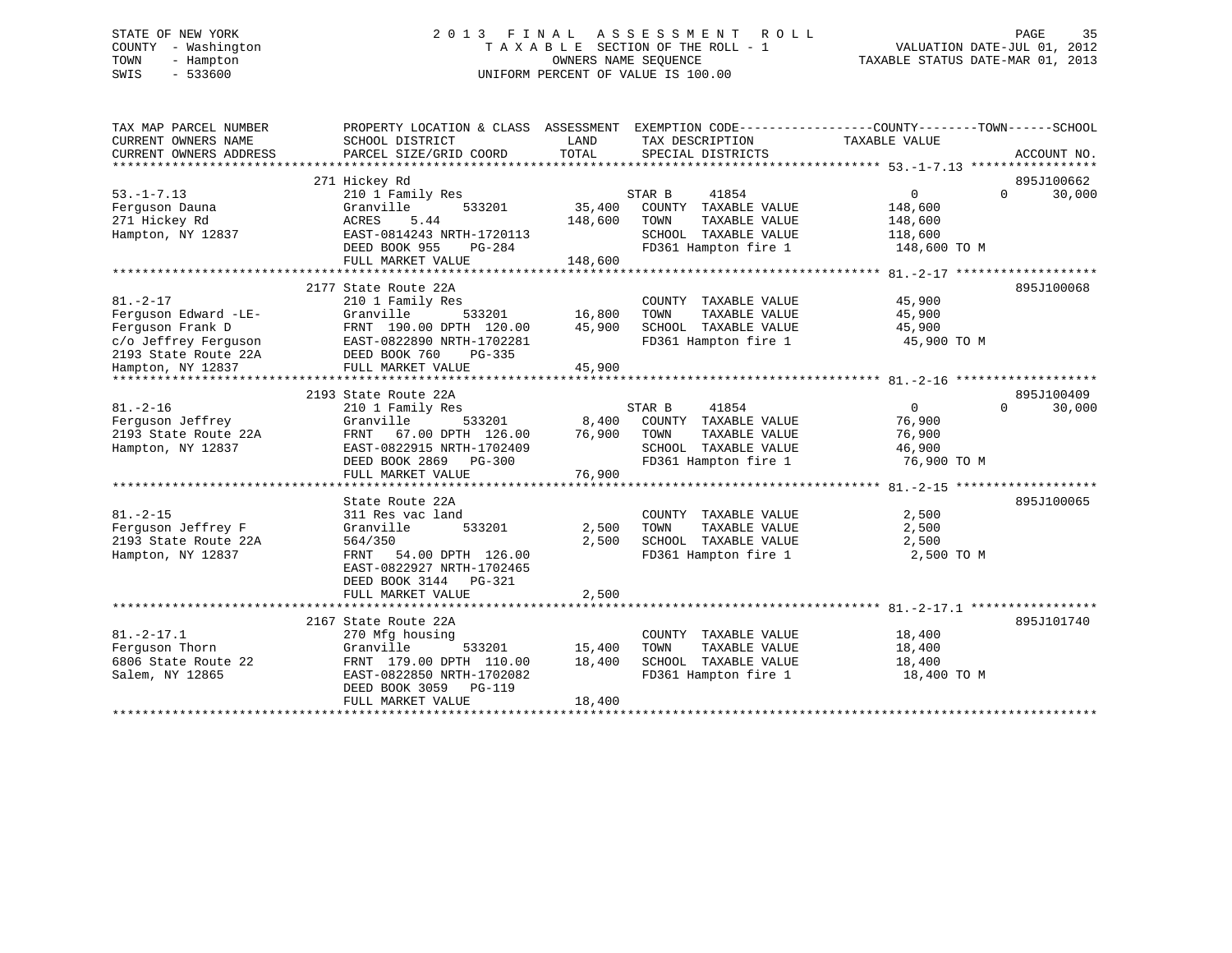# STATE OF NEW YORK 2 0 1 3 F I N A L A S S E S S M E N T R O L L PAGE 35 COUNTY - Washington T A X A B L E SECTION OF THE ROLL - 1 VALUATION DATE-JUL 01, 2012 TOWN - Hampton OWNERS NAME SEQUENCE TAXABLE STATUS DATE-MAR 01, 2013 SWIS - 533600 UNIFORM PERCENT OF VALUE IS 100.00

| TAX MAP PARCEL NUMBER<br>CURRENT OWNERS NAME<br>CURRENT OWNERS ADDRESS                                                                             | PROPERTY LOCATION & CLASS ASSESSMENT<br>SCHOOL DISTRICT<br>PARCEL SIZE/GRID COORD                                                                                              | LAND<br>TOTAL                | EXEMPTION CODE-----------------COUNTY-------TOWN------SCHOOL<br>TAX DESCRIPTION<br>SPECIAL DISTRICTS             | TAXABLE VALUE                                               | ACCOUNT NO.                      |
|----------------------------------------------------------------------------------------------------------------------------------------------------|--------------------------------------------------------------------------------------------------------------------------------------------------------------------------------|------------------------------|------------------------------------------------------------------------------------------------------------------|-------------------------------------------------------------|----------------------------------|
| $53. -1 - 7.13$<br>Ferquson Dauna<br>271 Hickey Rd<br>Hampton, NY 12837                                                                            | 271 Hickey Rd<br>210 1 Family Res<br>Granville<br>533201<br>5.44<br>ACRES<br>EAST-0814243 NRTH-1720113<br>DEED BOOK 955<br>PG-284<br>FULL MARKET VALUE                         | 35,400<br>148,600<br>148,600 | STAR B<br>41854<br>COUNTY TAXABLE VALUE<br>TOWN<br>TAXABLE VALUE<br>SCHOOL TAXABLE VALUE<br>FD361 Hampton fire 1 | $\Omega$<br>148,600<br>148,600<br>118,600<br>148,600 TO M   | 895J100662<br>$\Omega$<br>30,000 |
| $81. - 2 - 17$<br>Ferquson Edward -LE-<br>Ferguson Frank D<br>c/o Jeffrey Ferguson<br>2193 State Route 22A<br>Hampton, NY 12837<br>*************** | 2177 State Route 22A<br>210 1 Family Res<br>Granville<br>533201<br>FRNT 190.00 DPTH 120.00<br>EAST-0822890 NRTH-1702281<br>DEED BOOK 760<br>PG-335<br>FULL MARKET VALUE        | 16,800<br>45,900<br>45,900   | COUNTY TAXABLE VALUE<br>TAXABLE VALUE<br>TOWN<br>SCHOOL TAXABLE VALUE<br>FD361 Hampton fire 1                    | 45,900<br>45,900<br>45,900<br>45,900 TO M                   | 895J100068                       |
| $81. - 2 - 16$<br>Ferguson Jeffrey<br>2193 State Route 22A<br>Hampton, NY 12837                                                                    | 2193 State Route 22A<br>210 1 Family Res<br>Granville<br>533201<br>67.00 DPTH 126.00<br>FRNT<br>EAST-0822915 NRTH-1702409<br>DEED BOOK 2869 PG-300<br>FULL MARKET VALUE        | 8,400<br>76,900<br>76,900    | 41854<br>STAR B<br>COUNTY TAXABLE VALUE<br>TOWN<br>TAXABLE VALUE<br>SCHOOL TAXABLE VALUE<br>FD361 Hampton fire 1 | $\overline{0}$<br>76,900<br>76,900<br>46,900<br>76,900 TO M | 895J100409<br>30,000<br>$\Omega$ |
| $81. - 2 - 15$<br>Ferquson Jeffrey F<br>2193 State Route 22A<br>Hampton, NY 12837                                                                  | State Route 22A<br>311 Res vac land<br>Granville<br>533201<br>564/350<br>54.00 DPTH 126.00<br>FRNT<br>EAST-0822927 NRTH-1702465<br>DEED BOOK 3144 PG-321<br>FULL MARKET VALUE  | 2,500<br>2,500<br>2,500      | COUNTY TAXABLE VALUE<br>TOWN<br>TAXABLE VALUE<br>SCHOOL TAXABLE VALUE<br>FD361 Hampton fire 1                    | 2,500<br>2,500<br>2,500<br>2,500 TO M                       | 895J100065                       |
| $81. -2 - 17.1$<br>Ferquson Thorn<br>6806 State Route 22<br>Salem, NY 12865                                                                        | 2167 State Route 22A<br>270 Mfg housing<br>Granville<br>533201<br>FRNT 179.00 DPTH 110.00<br>EAST-0822850 NRTH-1702082<br>DEED BOOK 3059<br><b>PG-119</b><br>FULL MARKET VALUE | 15,400<br>18,400<br>18,400   | COUNTY TAXABLE VALUE<br>TOWN<br>TAXABLE VALUE<br>SCHOOL TAXABLE VALUE<br>FD361 Hampton fire 1                    | 18,400<br>18,400<br>18,400<br>18,400 TO M                   | 895J101740                       |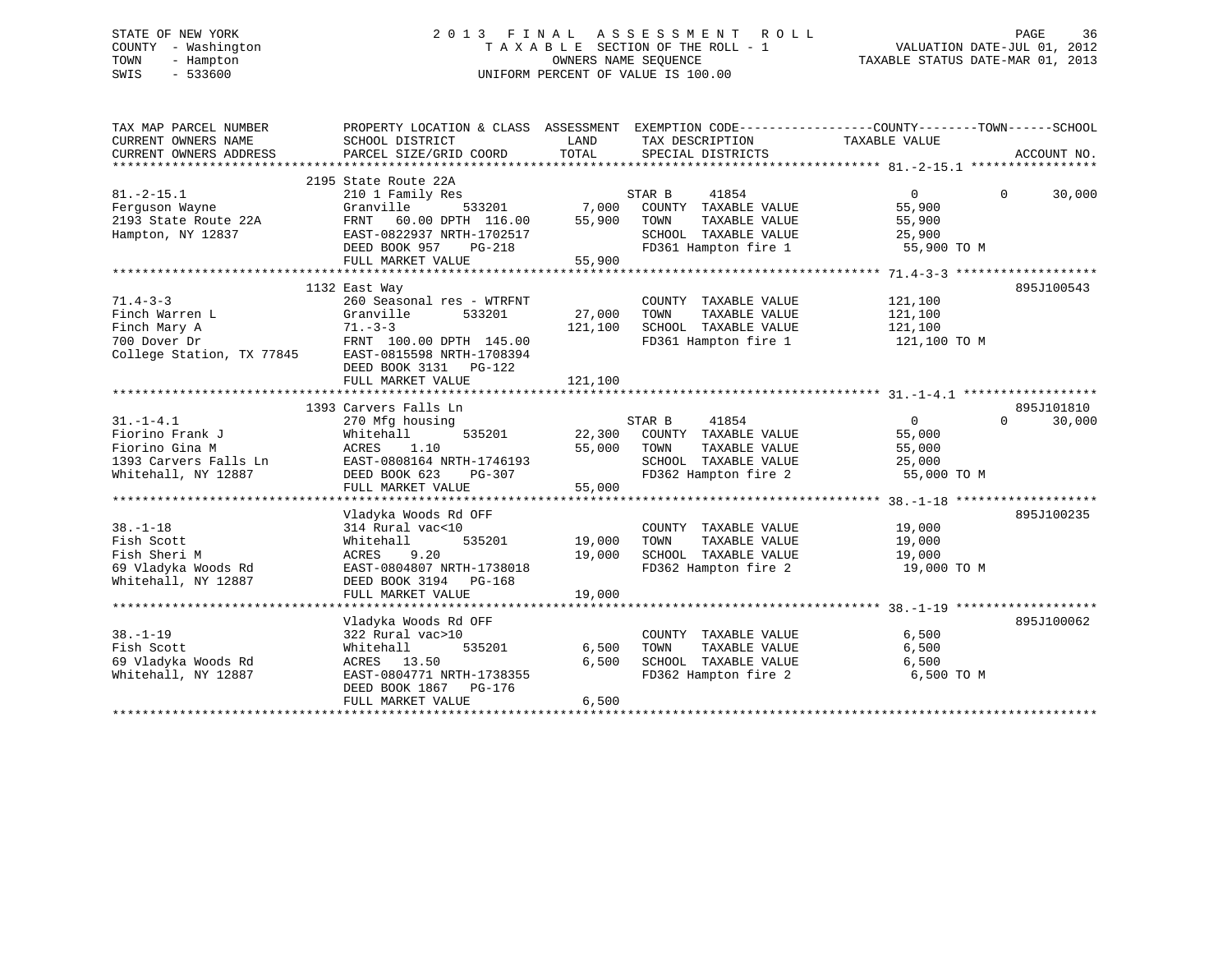# STATE OF NEW YORK 2 0 1 3 F I N A L A S S E S S M E N T R O L L PAGE 36 COUNTY - Washington T A X A B L E SECTION OF THE ROLL - 1 VALUATION DATE-JUL 01, 2012 TOWN - Hampton OWNERS NAME SEQUENCE TAXABLE STATUS DATE-MAR 01, 2013 SWIS - 533600 UNIFORM PERCENT OF VALUE IS 100.00

| TAX MAP PARCEL NUMBER<br>CURRENT OWNERS NAME<br>CURRENT OWNERS ADDRESS                                                                          | PROPERTY LOCATION & CLASS ASSESSMENT<br>SCHOOL DISTRICT<br>PARCEL SIZE/GRID COORD                                                                            | LAND<br>TOTAL                    | EXEMPTION CODE-----------------COUNTY-------TOWN------SCHOOL<br>TAX DESCRIPTION TAXABLE VALUE<br>SPECIAL DISTRICTS |                                                             | ACCOUNT NO.        |
|-------------------------------------------------------------------------------------------------------------------------------------------------|--------------------------------------------------------------------------------------------------------------------------------------------------------------|----------------------------------|--------------------------------------------------------------------------------------------------------------------|-------------------------------------------------------------|--------------------|
| $81. -2 - 15.1$<br>Ferguson Wayne<br>2193 State Route 22A<br>Hampton, NY 12837                                                                  | 2195 State Route 22A<br>210 1 Family Res<br>Granville<br>FRNT 60.00 DPTH 116.00<br>EAST-0822937 NRTH-1702517<br>DEED BOOK 957<br>PG-218<br>FULL MARKET VALUE | 533201 7,000<br>55,900<br>55,900 | STAR B<br>41854<br>COUNTY TAXABLE VALUE<br>TOWN<br>TAXABLE VALUE<br>SCHOOL TAXABLE VALUE<br>FD361 Hampton fire 1   | $\overline{0}$<br>55,900<br>55,900<br>25,900<br>55,900 TO M | $\Omega$<br>30,000 |
| $71.4 - 3 - 3$<br>Finch Warren L<br>Finch Mary A<br>700 Dover Dr FRNT 100.00 DPTH 145.00<br>College Station, TX 77845 EAST-0815598 NRTH-1708394 | 1132 East Way<br>260 Seasonal res - WTRFNT<br>Granville<br>533201<br>$71. - 3 - 3$<br>DEED BOOK 3131    PG-122<br>FULL MARKET VALUE                          | 27,000<br>121,100<br>121,100     | COUNTY TAXABLE VALUE<br>TOWN<br>TAXABLE VALUE<br>SCHOOL TAXABLE VALUE<br>FD361 Hampton fire 1                      | 121,100<br>121,100<br>121,100<br>121,100 TO M               | 895J100543         |
|                                                                                                                                                 | 1393 Carvers Falls Ln                                                                                                                                        |                                  |                                                                                                                    |                                                             | 895J101810         |
| $31. - 1 - 4.1$<br>Fiorino Frank J<br>Fiorino Gina M<br>1393 Carvers Falls Ln<br>Whitehall, NY 12887                                            | 270 Mfg housing<br>Whitehall<br>535201<br>ACRES<br>1.10<br>EAST-0808164 NRTH-1746193<br>DEED BOOK 623<br>PG-307<br>FULL MARKET VALUE                         | 22,300<br>55,000<br>55,000       | STAR B<br>41854<br>COUNTY TAXABLE VALUE<br>TOWN<br>TAXABLE VALUE<br>SCHOOL TAXABLE VALUE<br>FD362 Hampton fire 2   | $\overline{0}$<br>55,000<br>55,000<br>25,000<br>55,000 TO M | $\Omega$<br>30,000 |
| $38. - 1 - 18$<br>Fish Scott<br>Fish Sheri M<br>69 Vladyka Woods Rd<br>Whitehall, NY 12887                                                      | Vladyka Woods Rd OFF<br>314 Rural vac<10<br>535201<br>Whitehall<br>ACRES<br>9.20<br>EAST-0804807 NRTH-1738018<br>DEED BOOK 3194 PG-168<br>FULL MARKET VALUE  | 19,000<br>19,000<br>19,000       | COUNTY TAXABLE VALUE<br>TAXABLE VALUE<br>TOWN<br>SCHOOL TAXABLE VALUE<br>FD362 Hampton fire 2 19,000 TO M          | 19,000<br>19,000<br>19,000                                  | 895J100235         |
|                                                                                                                                                 | Vladyka Woods Rd OFF                                                                                                                                         |                                  |                                                                                                                    |                                                             | 895J100062         |
| $38. - 1 - 19$<br>Fish Scott<br>69 Vladyka Woods Rd<br>Whitehall, NY 12887                                                                      | 322 Rural vac>10<br>535201<br>Whitehall<br>ACRES 13.50<br>EAST-0804771 NRTH-1738355<br>DEED BOOK 1867 PG-176<br>FULL MARKET VALUE                            | 6,500<br>6,500<br>6,500          | COUNTY TAXABLE VALUE<br>TOWN<br>TAXABLE VALUE<br>SCHOOL TAXABLE VALUE<br>FD362 Hampton fire 2                      | 6,500<br>6,500<br>6,500<br>6,500 TO M                       |                    |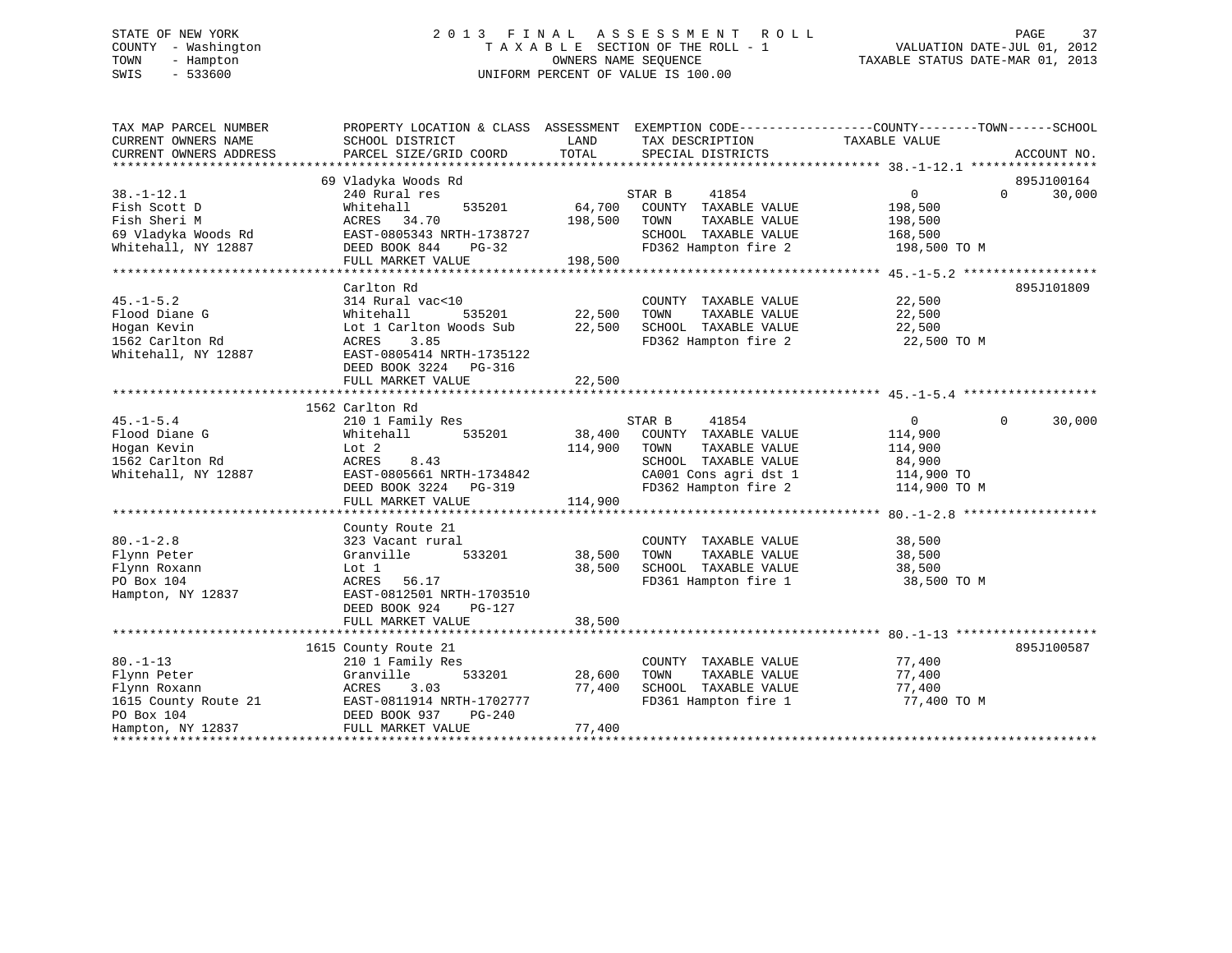# STATE OF NEW YORK 2 0 1 3 F I N A L A S S E S S M E N T R O L L PAGE 37 COUNTY - Washington T A X A B L E SECTION OF THE ROLL - 1 VALUATION DATE-JUL 01, 2012 TOWN - Hampton OWNERS NAME SEQUENCE TAXABLE STATUS DATE-MAR 01, 2013 SWIS - 533600 UNIFORM PERCENT OF VALUE IS 100.00

| TAX MAP PARCEL NUMBER  |                                                                       |         | PROPERTY LOCATION & CLASS ASSESSMENT EXEMPTION CODE---------------COUNTY-------TOWN-----SCHOOL |                   |                    |
|------------------------|-----------------------------------------------------------------------|---------|------------------------------------------------------------------------------------------------|-------------------|--------------------|
| CURRENT OWNERS NAME    | SCHOOL DISTRICT                                                       | LAND    | TAX DESCRIPTION                                                                                | TAXABLE VALUE     |                    |
| CURRENT OWNERS ADDRESS | PARCEL SIZE/GRID COORD                                                | TOTAL   | SPECIAL DISTRICTS                                                                              |                   | ACCOUNT NO.        |
|                        |                                                                       |         |                                                                                                |                   |                    |
|                        | 69 Vladyka Woods Rd                                                   |         |                                                                                                |                   | 895J100164         |
| $38. - 1 - 12.1$       | 240 Rural res                                                         |         | STAR B<br>41854                                                                                | 0                 | $\Omega$<br>30,000 |
| Fish Scott D           | 535201<br>Whitehall                                                   | 64,700  | COUNTY TAXABLE VALUE                                                                           | 198,500           |                    |
| Fish Sheri M           | ACRES 34.70                                                           | 198,500 | TOWN<br>TAXABLE VALUE                                                                          | 198,500           |                    |
| 69 Vladyka Woods Rd    | EAST-0805343 NRTH-1738727                                             |         | SCHOOL TAXABLE VALUE                                                                           | 168,500           |                    |
| Whitehall, NY 12887    | DEED BOOK 844<br>PG-32                                                |         | FD362 Hampton fire 2                                                                           | 198,500 TO M      |                    |
|                        | FULL MARKET VALUE                                                     | 198,500 |                                                                                                |                   |                    |
|                        |                                                                       |         |                                                                                                |                   |                    |
|                        | Carlton Rd                                                            |         |                                                                                                |                   | 895J101809         |
| $45. - 1 - 5.2$        | 314 Rural vac<10                                                      |         | COUNTY TAXABLE VALUE                                                                           | 22,500            |                    |
| Flood Diane G          | 535201<br>Whitehall                                                   | 22,500  | TAXABLE VALUE<br>TOWN                                                                          | 22,500            |                    |
| Hogan Kevin            | Lot 1 Carlton Woods Sub                                               | 22,500  | SCHOOL TAXABLE VALUE                                                                           | 22,500            |                    |
| 1562 Carlton Rd        | 3.85<br>ACRES                                                         |         | FD362 Hampton fire 2                                                                           | 22,500 TO M       |                    |
| Whitehall, NY 12887    | EAST-0805414 NRTH-1735122                                             |         |                                                                                                |                   |                    |
|                        | DEED BOOK 3224 PG-316                                                 |         |                                                                                                |                   |                    |
|                        | FULL MARKET VALUE                                                     | 22,500  |                                                                                                |                   |                    |
|                        |                                                                       |         |                                                                                                |                   |                    |
|                        | 1562 Carlton Rd                                                       |         |                                                                                                |                   |                    |
| $45. - 1 - 5.4$        | 210 1 Family Res                                                      |         | STAR B<br>41854                                                                                | $0 \qquad \qquad$ | 30,000<br>$\Omega$ |
| Flood Diane G          | 535201<br>Whitehall                                                   | 38,400  | COUNTY TAXABLE VALUE                                                                           | 114,900           |                    |
| Hogan Kevin            | Lot 2                                                                 | 114,900 | TOWN<br>TAXABLE VALUE                                                                          | 114,900           |                    |
| 1562 Carlton Rd        | ACRES<br>8.43                                                         |         | SCHOOL TAXABLE VALUE                                                                           | 84,900            |                    |
| Whitehall, NY 12887    | EAST-0805661 NRTH-1734842                                             |         | CA001 Cons agri dst 1                                                                          | 114,900 TO        |                    |
|                        | DEED BOOK 3224 PG-319                                                 |         | FD362 Hampton fire 2                                                                           | 114,900 TO M      |                    |
|                        | FULL MARKET VALUE                                                     | 114,900 |                                                                                                |                   |                    |
|                        |                                                                       |         |                                                                                                |                   |                    |
|                        | County Route 21                                                       |         |                                                                                                |                   |                    |
| $80. - 1 - 2.8$        | 323 Vacant rural                                                      |         | COUNTY TAXABLE VALUE                                                                           | 38,500            |                    |
| Flynn Peter            | 533201<br>Granville                                                   | 38,500  | TOWN<br>TAXABLE VALUE                                                                          | 38,500            |                    |
| Flynn Roxann           | Lot 1                                                                 | 38,500  | SCHOOL TAXABLE VALUE                                                                           | 38,500            |                    |
| PO Box 104             | ACRES 56.17                                                           |         | FD361 Hampton fire 1                                                                           | 38,500 TO M       |                    |
| Hampton, NY 12837      | EAST-0812501 NRTH-1703510                                             |         |                                                                                                |                   |                    |
|                        | DEED BOOK 924<br>$PG-127$                                             |         |                                                                                                |                   |                    |
|                        | FULL MARKET VALUE                                                     | 38,500  |                                                                                                |                   |                    |
|                        |                                                                       |         |                                                                                                |                   |                    |
|                        | 1615 County Route 21                                                  |         |                                                                                                |                   | 895J100587         |
| $80. - 1 - 13$         | 210 1 Family Res                                                      |         | COUNTY TAXABLE VALUE                                                                           | 77,400            |                    |
| Flynn Peter            | Granville<br>533201                                                   | 28,600  | TOWN<br>TAXABLE VALUE                                                                          | 77,400            |                    |
| Flynn Roxann           | ACRES<br>3.03                                                         | 77,400  | SCHOOL TAXABLE VALUE                                                                           | 77,400            |                    |
| 1615 County Route 21   | EAST-0811914 NRTH-1702777                                             |         | FD361 Hampton fire 1                                                                           | 77,400 TO M       |                    |
| PO Box 104             | PG-240                                                                |         |                                                                                                |                   |                    |
| Hampton, NY 12837      | EAST-0811914 N<br>DEED BOOK 937<br>FULL MARKET V<br>FULL MARKET VALUE | 77,400  |                                                                                                |                   |                    |
|                        |                                                                       |         |                                                                                                |                   |                    |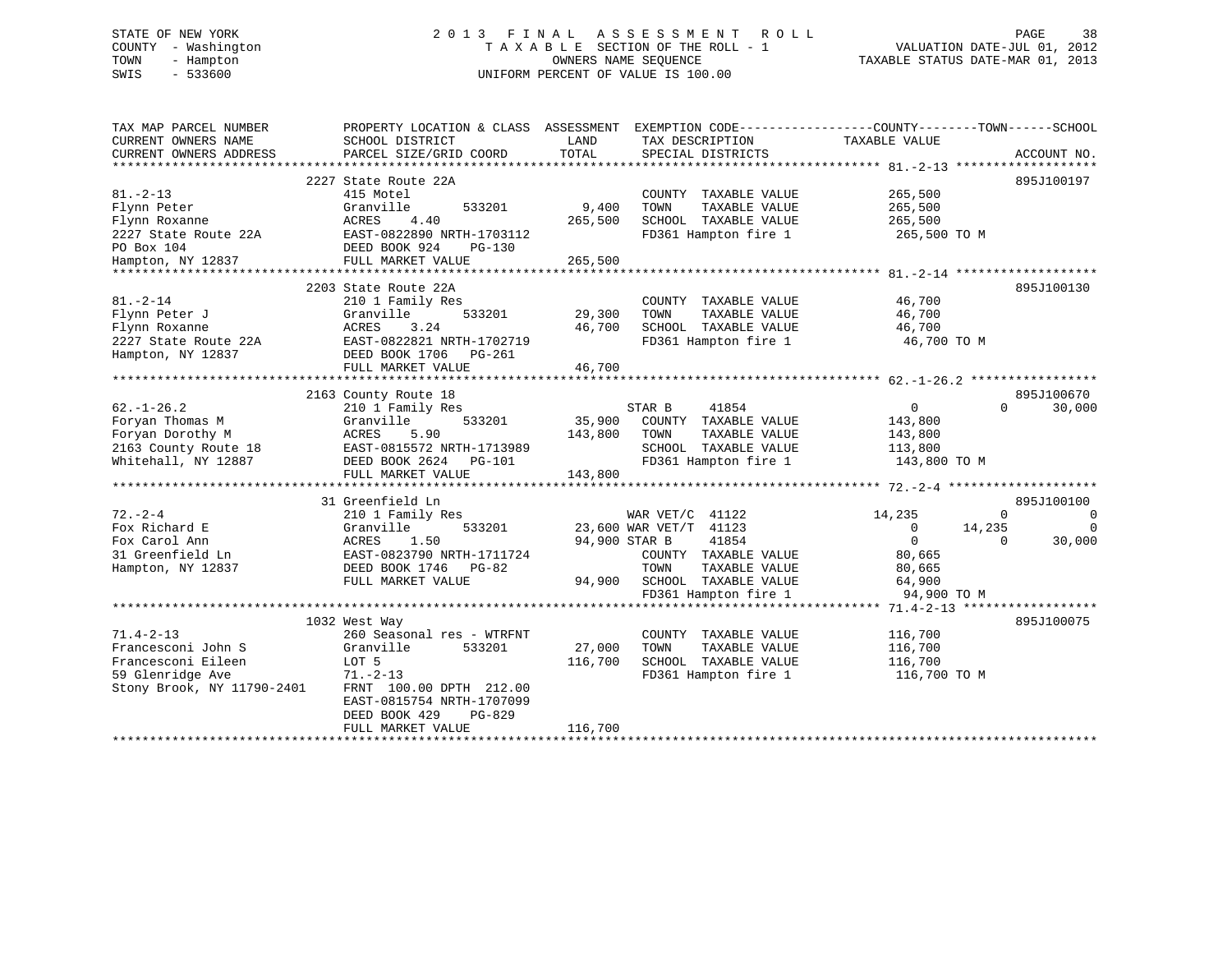# STATE OF NEW YORK 2 0 1 3 F I N A L A S S E S S M E N T R O L L PAGE 38 COUNTY - Washington T A X A B L E SECTION OF THE ROLL - 1 VALUATION DATE-JUL 01, 2012 TOWN - Hampton OWNERS NAME SEQUENCE TAXABLE STATUS DATE-MAR 01, 2013 SWIS - 533600 UNIFORM PERCENT OF VALUE IS 100.00

| TAX MAP PARCEL NUMBER<br>CURRENT OWNERS NAME<br>CURRENT OWNERS ADDRESS | PROPERTY LOCATION & CLASS ASSESSMENT<br>SCHOOL DISTRICT<br>PARCEL SIZE/GRID COORD | LAND<br>TOTAL | EXEMPTION CODE-----------------COUNTY-------TOWN------SCHOOL<br>TAX DESCRIPTION<br>SPECIAL DISTRICTS | TAXABLE VALUE  | ACCOUNT NO. |          |
|------------------------------------------------------------------------|-----------------------------------------------------------------------------------|---------------|------------------------------------------------------------------------------------------------------|----------------|-------------|----------|
|                                                                        |                                                                                   |               |                                                                                                      |                |             |          |
|                                                                        | 2227 State Route 22A                                                              |               |                                                                                                      |                | 895J100197  |          |
| $81. - 2 - 13$                                                         | 415 Motel                                                                         |               | COUNTY TAXABLE VALUE                                                                                 | 265,500        |             |          |
| Flynn Peter                                                            | Granville<br>533201                                                               | 9,400         | TAXABLE VALUE<br>TOWN                                                                                | 265,500        |             |          |
| Flynn Roxanne                                                          | ACRES<br>4.40                                                                     | 265,500       | SCHOOL TAXABLE VALUE                                                                                 | 265,500        |             |          |
| 2227 State Route 22A                                                   | EAST-0822890 NRTH-1703112                                                         |               | FD361 Hampton fire 1                                                                                 | 265,500 TO M   |             |          |
| PO Box 104                                                             | DEED BOOK 924<br>PG-130                                                           |               |                                                                                                      |                |             |          |
| Hampton, NY 12837                                                      | FULL MARKET VALUE                                                                 | 265,500       |                                                                                                      |                |             |          |
| **************                                                         |                                                                                   |               |                                                                                                      |                |             |          |
|                                                                        | 2203 State Route 22A                                                              |               |                                                                                                      |                | 895J100130  |          |
| $81. - 2 - 14$                                                         | 210 1 Family Res                                                                  |               | COUNTY TAXABLE VALUE                                                                                 | 46,700         |             |          |
| Flynn Peter J                                                          | Granville<br>533201                                                               | 29,300        | TOWN<br>TAXABLE VALUE                                                                                | 46,700         |             |          |
| Flynn Roxanne                                                          | ACRES<br>3.24                                                                     | 46,700        | SCHOOL TAXABLE VALUE                                                                                 | 46,700         |             |          |
| 2227 State Route 22A                                                   | EAST-0822821 NRTH-1702719                                                         |               | FD361 Hampton fire 1                                                                                 | 46,700 TO M    |             |          |
| Hampton, NY 12837                                                      | DEED BOOK 1706<br>PG-261                                                          |               |                                                                                                      |                |             |          |
|                                                                        | FULL MARKET VALUE                                                                 | 46,700        |                                                                                                      |                |             |          |
|                                                                        |                                                                                   |               |                                                                                                      |                |             |          |
|                                                                        | 2163 County Route 18                                                              |               |                                                                                                      |                | 895J100670  |          |
| $62. - 1 - 26.2$                                                       | 210 1 Family Res                                                                  |               | STAR B<br>41854                                                                                      | $\overline{0}$ | $\Omega$    | 30,000   |
| Foryan Thomas M                                                        | 533201<br>Granville                                                               |               | 35,900 COUNTY TAXABLE VALUE                                                                          | 143,800        |             |          |
| Foryan Dorothy M                                                       | ACRES<br>5.90                                                                     | 143,800       | TAXABLE VALUE<br>TOWN                                                                                | 143,800        |             |          |
| 2163 County Route 18                                                   | EAST-0815572 NRTH-1713989                                                         |               | SCHOOL TAXABLE VALUE                                                                                 | 113,800        |             |          |
| Whitehall, NY 12887                                                    | DEED BOOK 2624 PG-101                                                             |               | FD361 Hampton fire 1                                                                                 | 143,800 TO M   |             |          |
|                                                                        | FULL MARKET VALUE                                                                 | 143,800       |                                                                                                      |                |             |          |
|                                                                        |                                                                                   |               |                                                                                                      |                |             |          |
|                                                                        | 31 Greenfield Ln                                                                  |               |                                                                                                      |                | 895J100100  |          |
| $72. - 2 - 4$                                                          | 210 1 Family Res                                                                  |               | WAR VET/C 41122                                                                                      | 14,235         | $\Omega$    | 0        |
| Fox Richard E                                                          | Granville<br>533201                                                               |               | 23,600 WAR VET/T 41123                                                                               | $\overline{0}$ | 14,235      | $\Omega$ |
| Fox Carol Ann                                                          | ACRES<br>1.50                                                                     | 94,900 STAR B | 41854                                                                                                | $\Omega$       | $\Omega$    | 30,000   |
| 31 Greenfield Ln                                                       | EAST-0823790 NRTH-1711724                                                         |               | COUNTY TAXABLE VALUE                                                                                 | 80,665         |             |          |
| Hampton, NY 12837                                                      | DEED BOOK 1746<br>PG-82                                                           |               | TOWN<br>TAXABLE VALUE                                                                                | 80,665         |             |          |
|                                                                        | FULL MARKET VALUE                                                                 |               | 94,900 SCHOOL TAXABLE VALUE                                                                          | 64,900         |             |          |
|                                                                        |                                                                                   |               | FD361 Hampton fire 1                                                                                 | 94,900 TO M    |             |          |
|                                                                        |                                                                                   |               |                                                                                                      |                |             |          |
|                                                                        | 1032 West Way                                                                     |               |                                                                                                      |                | 895J100075  |          |
| $71.4 - 2 - 13$                                                        | 260 Seasonal res - WTRFNT                                                         |               | COUNTY TAXABLE VALUE                                                                                 | 116,700        |             |          |
| Francesconi John S                                                     | 533201<br>Granville                                                               | 27,000        | TOWN<br>TAXABLE VALUE                                                                                | 116,700        |             |          |
| Francesconi Eileen                                                     | LOT 5                                                                             | 116,700       | SCHOOL TAXABLE VALUE                                                                                 | 116,700        |             |          |
| 59 Glenridge Ave                                                       | $71. - 2 - 13$                                                                    |               | FD361 Hampton fire 1                                                                                 | 116,700 TO M   |             |          |
| Stony Brook, NY 11790-2401                                             | FRNT 100.00 DPTH 212.00                                                           |               |                                                                                                      |                |             |          |
|                                                                        | EAST-0815754 NRTH-1707099                                                         |               |                                                                                                      |                |             |          |
|                                                                        | DEED BOOK 429<br><b>PG-829</b>                                                    |               |                                                                                                      |                |             |          |
|                                                                        | FULL MARKET VALUE                                                                 | 116,700       |                                                                                                      |                |             |          |
|                                                                        |                                                                                   |               |                                                                                                      |                |             |          |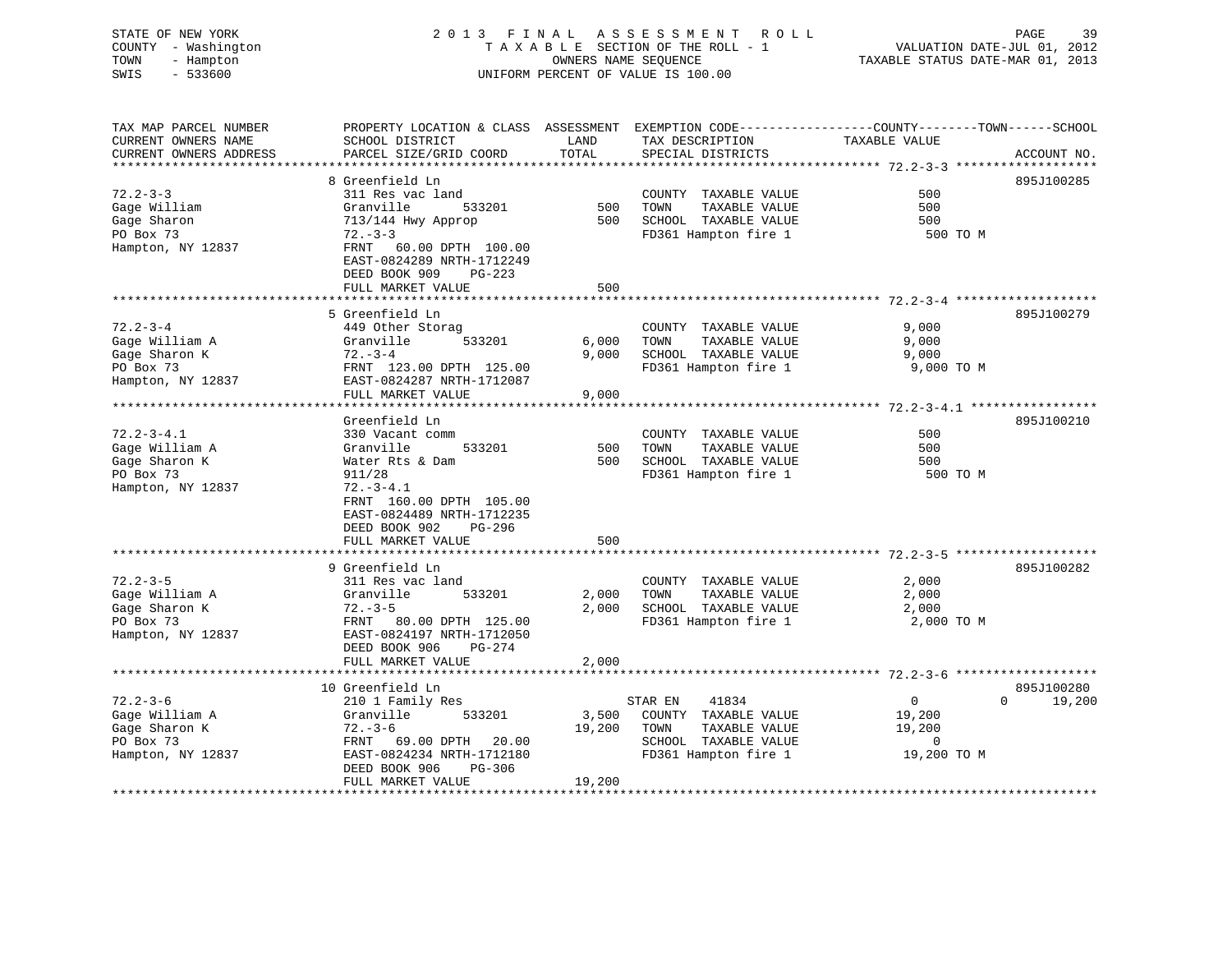#### STATE OF NEW YORK 2 0 1 3 F I N A L A S S E S S M E N T R O L L PAGE 39COUNTY - Washington  $T A X A B L E$  SECTION OF THE ROLL - 1<br>TOWN - Hampton DATE-JUL 000NERS NAME SEQUENCE TOWN - Hampton OWNERS NAME SEQUENCE TAXABLE STATUS DATE-MAR 01, 2013 SWIS - 533600 UNIFORM PERCENT OF VALUE IS 100.00

| TAX MAP PARCEL NUMBER  | PROPERTY LOCATION & CLASS ASSESSMENT          |        | EXEMPTION CODE-----------------COUNTY-------TOWN------SCHOOL |                                 |                    |
|------------------------|-----------------------------------------------|--------|--------------------------------------------------------------|---------------------------------|--------------------|
| CURRENT OWNERS NAME    | SCHOOL DISTRICT                               | LAND   | TAX DESCRIPTION                                              | TAXABLE VALUE                   |                    |
| CURRENT OWNERS ADDRESS | PARCEL SIZE/GRID COORD                        | TOTAL  | SPECIAL DISTRICTS                                            |                                 | ACCOUNT NO.        |
|                        |                                               |        |                                                              | ************** 72.2-3-3 ******* |                    |
|                        | 8 Greenfield Ln                               |        |                                                              |                                 | 895J100285         |
| $72.2 - 3 - 3$         | 311 Res vac land                              |        | COUNTY TAXABLE VALUE                                         | 500                             |                    |
| Gage William           | Granville<br>533201                           | 500    | TAXABLE VALUE<br>TOWN                                        | 500                             |                    |
| Gage Sharon            | 713/144 Hwy Approp                            | 500    | SCHOOL TAXABLE VALUE                                         | 500                             |                    |
| PO Box 73              | $72. - 3 - 3$                                 |        | FD361 Hampton fire 1                                         | 500 TO M                        |                    |
| Hampton, NY 12837      | FRNT<br>60.00 DPTH 100.00                     |        |                                                              |                                 |                    |
|                        | EAST-0824289 NRTH-1712249                     |        |                                                              |                                 |                    |
|                        | DEED BOOK 909<br>$PG-223$                     |        |                                                              |                                 |                    |
|                        | FULL MARKET VALUE                             | 500    |                                                              |                                 |                    |
|                        |                                               |        | ************************************* 72.2-3-4               |                                 |                    |
|                        | 5 Greenfield Ln                               |        |                                                              |                                 | 895J100279         |
| $72.2 - 3 - 4$         | 449 Other Storag                              |        | COUNTY TAXABLE VALUE                                         | 9,000                           |                    |
|                        | 533201                                        | 6,000  | TOWN                                                         |                                 |                    |
| Gage William A         | Granville                                     |        | TAXABLE VALUE                                                | 9,000                           |                    |
| Gage Sharon K          | $72. - 3 - 4$                                 | 9,000  | SCHOOL TAXABLE VALUE                                         | 9,000                           |                    |
| PO Box 73              | FRNT 123.00 DPTH 125.00                       |        | FD361 Hampton fire 1                                         | 9,000 TO M                      |                    |
| Hampton, NY 12837      | EAST-0824287 NRTH-1712087                     |        |                                                              |                                 |                    |
|                        | FULL MARKET VALUE<br>************************ | 9,000  |                                                              |                                 |                    |
|                        |                                               |        |                                                              |                                 |                    |
|                        | Greenfield Ln                                 |        |                                                              |                                 | 895J100210         |
| $72.2 - 3 - 4.1$       | 330 Vacant comm                               |        | COUNTY TAXABLE VALUE                                         | 500                             |                    |
| Gage William A         | Granville<br>533201                           | 500    | TOWN<br>TAXABLE VALUE                                        | 500                             |                    |
| Gage Sharon K          | Water Rts & Dam                               | 500    | SCHOOL TAXABLE VALUE                                         | 500                             |                    |
| PO Box 73              | 911/28                                        |        | FD361 Hampton fire 1                                         | 500 TO M                        |                    |
| Hampton, NY 12837      | $72. - 3 - 4.1$                               |        |                                                              |                                 |                    |
|                        | FRNT 160.00 DPTH 105.00                       |        |                                                              |                                 |                    |
|                        | EAST-0824489 NRTH-1712235                     |        |                                                              |                                 |                    |
|                        | DEED BOOK 902<br>PG-296                       |        |                                                              |                                 |                    |
|                        | FULL MARKET VALUE                             | 500    |                                                              |                                 |                    |
|                        |                                               |        |                                                              |                                 |                    |
|                        | 9 Greenfield Ln                               |        |                                                              |                                 | 895J100282         |
| $72.2 - 3 - 5$         | 311 Res vac land                              |        | COUNTY TAXABLE VALUE                                         | 2,000                           |                    |
| Gage William A         | Granville<br>533201                           | 2,000  | TOWN<br>TAXABLE VALUE                                        | 2,000                           |                    |
| Gage Sharon K          | $72. - 3 - 5$                                 | 2,000  | SCHOOL TAXABLE VALUE                                         | 2,000                           |                    |
| PO Box 73              | FRNT<br>80.00 DPTH 125.00                     |        | FD361 Hampton fire 1                                         | 2,000 TO M                      |                    |
| Hampton, NY 12837      | EAST-0824197 NRTH-1712050                     |        |                                                              |                                 |                    |
|                        | DEED BOOK 906<br>$PG-274$                     |        |                                                              |                                 |                    |
|                        | FULL MARKET VALUE                             | 2,000  |                                                              |                                 |                    |
|                        |                                               |        |                                                              |                                 |                    |
|                        | 10 Greenfield Ln                              |        |                                                              |                                 | 895J100280         |
| $72.2 - 3 - 6$         | 210 1 Family Res                              |        | STAR EN<br>41834                                             | $\mathbf 0$                     | $\Omega$<br>19,200 |
| Gage William A         | Granville<br>533201                           | 3,500  | COUNTY TAXABLE VALUE                                         | 19,200                          |                    |
| Gage Sharon K          | $72. - 3 - 6$                                 | 19,200 | TAXABLE VALUE<br>TOWN                                        | 19,200                          |                    |
| PO Box 73              | FRNT<br>69.00 DPTH<br>20.00                   |        | SCHOOL TAXABLE VALUE                                         | 0                               |                    |
| Hampton, NY 12837      | EAST-0824234 NRTH-1712180                     |        | FD361 Hampton fire 1                                         | 19,200 TO M                     |                    |
|                        | DEED BOOK 906<br>PG-306                       |        |                                                              |                                 |                    |
|                        | FULL MARKET VALUE                             | 19,200 |                                                              |                                 |                    |
|                        | ************************                      |        |                                                              |                                 |                    |
|                        |                                               |        |                                                              |                                 |                    |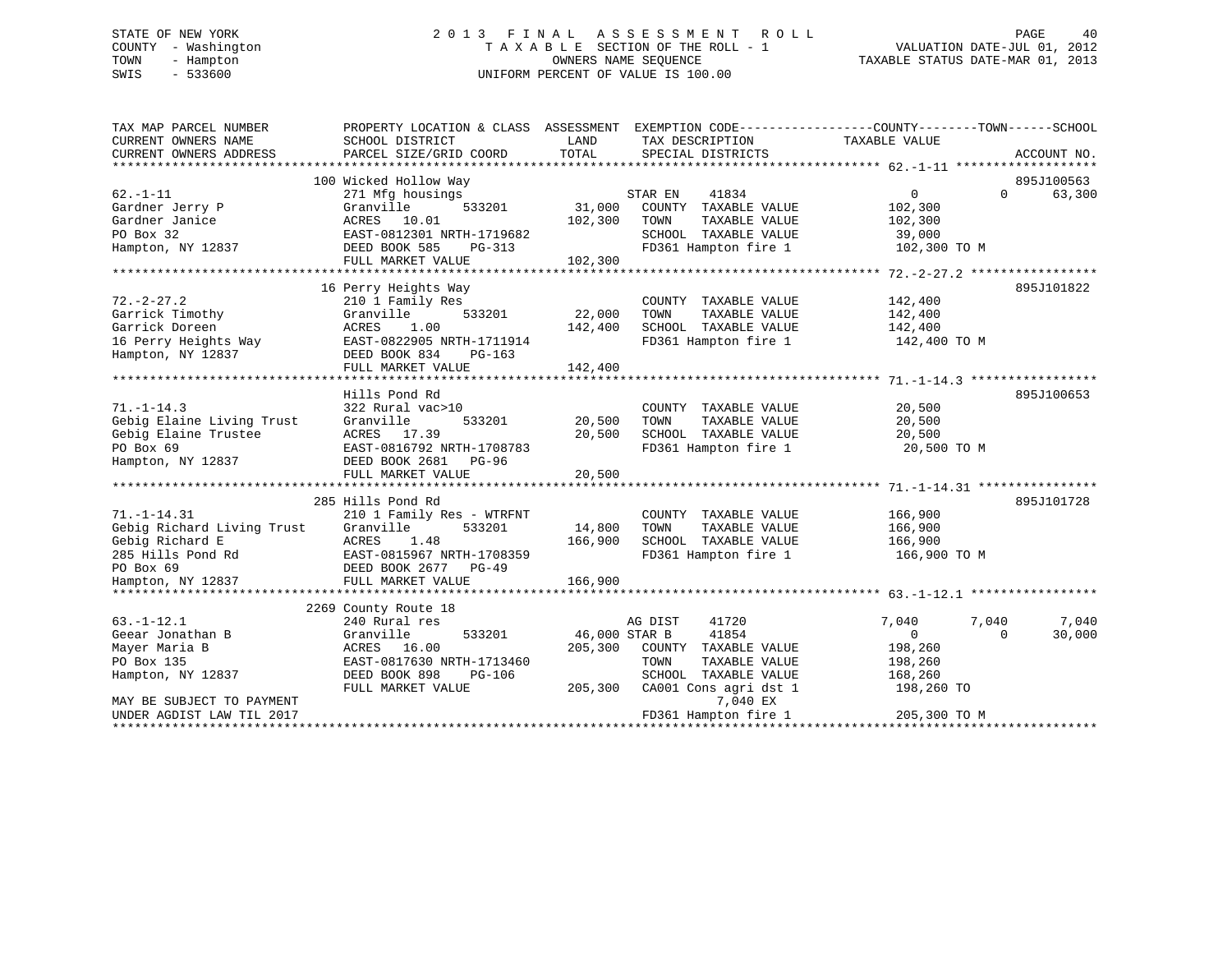# STATE OF NEW YORK 2 0 1 3 F I N A L A S S E S S M E N T R O L L PAGE 40 COUNTY - Washington T A X A B L E SECTION OF THE ROLL - 1 VALUATION DATE-JUL 01, 2012 TOWN - Hampton OWNERS NAME SEQUENCE TAXABLE STATUS DATE-MAR 01, 2013 SWIS - 533600 UNIFORM PERCENT OF VALUE IS 100.00

| TAX MAP PARCEL NUMBER<br>CURRENT OWNERS NAME<br>CURRENT OWNERS ADDRESS | PROPERTY LOCATION & CLASS ASSESSMENT EXEMPTION CODE----------------COUNTY-------TOWN------SCHOOL<br>SCHOOL DISTRICT<br>PARCEL SIZE/GRID COORD | LAND<br>TOTAL | TAX DESCRIPTION<br>SPECIAL DISTRICTS | TAXABLE VALUE              | ACCOUNT NO.          |
|------------------------------------------------------------------------|-----------------------------------------------------------------------------------------------------------------------------------------------|---------------|--------------------------------------|----------------------------|----------------------|
|                                                                        |                                                                                                                                               |               |                                      |                            |                      |
| $62. - 1 - 11$                                                         | 100 Wicked Hollow Way<br>271 Mfg housings                                                                                                     |               | STAR EN<br>41834                     | $\overline{0}$<br>$\Omega$ | 895J100563<br>63,300 |
| Gardner Jerry P                                                        | Granville<br>533201                                                                                                                           | 31,000        | COUNTY TAXABLE VALUE                 | 102,300                    |                      |
| Gardner Janice                                                         | ACRES 10.01                                                                                                                                   | 102,300       | TAXABLE VALUE<br>TOWN                | 102,300                    |                      |
| PO Box 32                                                              | EAST-0812301 NRTH-1719682                                                                                                                     |               | SCHOOL TAXABLE VALUE                 | 39,000                     |                      |
| Hampton, NY 12837                                                      | DEED BOOK 585<br>PG-313                                                                                                                       |               | FD361 Hampton fire 1                 | 102,300 TO M               |                      |
|                                                                        | FULL MARKET VALUE                                                                                                                             | 102,300       |                                      |                            |                      |
|                                                                        |                                                                                                                                               |               |                                      |                            |                      |
|                                                                        | 16 Perry Heights Way                                                                                                                          |               |                                      |                            | 895J101822           |
| $72. - 2 - 27.2$                                                       | 210 1 Family Res                                                                                                                              |               | COUNTY TAXABLE VALUE                 | 142,400                    |                      |
| Garrick Timothy                                                        | Granville<br>533201                                                                                                                           | 22,000        | TOWN<br>TAXABLE VALUE                | 142,400                    |                      |
| Garrick Doreen                                                         | ACRES<br>1.00                                                                                                                                 | 142,400       | SCHOOL TAXABLE VALUE                 | 142,400                    |                      |
| 16 Perry Heights Way                                                   | EAST-0822905 NRTH-1711914                                                                                                                     |               | FD361 Hampton fire 1 142,400 TO M    |                            |                      |
| Hampton, NY 12837                                                      | DEED BOOK 834<br>PG-163                                                                                                                       |               |                                      |                            |                      |
|                                                                        | FULL MARKET VALUE                                                                                                                             | 142,400       |                                      |                            |                      |
|                                                                        |                                                                                                                                               |               |                                      |                            |                      |
|                                                                        | Hills Pond Rd                                                                                                                                 |               |                                      |                            | 895J100653           |
| $71. - 1 - 14.3$                                                       | 322 Rural vac>10                                                                                                                              |               | COUNTY TAXABLE VALUE                 | 20,500                     |                      |
| Gebig Elaine Living Trust                                              | Granville<br>533201                                                                                                                           | 20,500        | TOWN<br>TAXABLE VALUE                | 20,500                     |                      |
| Gebig Elaine Trustee                                                   | ACRES 17.39                                                                                                                                   | 20,500        | SCHOOL TAXABLE VALUE                 | 20,500                     |                      |
| PO Box 69                                                              | EAST-0816792 NRTH-1708783                                                                                                                     |               | FD361 Hampton fire 1                 | 20,500 TO M                |                      |
| Hampton, NY 12837                                                      | DEED BOOK 2681 PG-96                                                                                                                          |               |                                      |                            |                      |
|                                                                        | FULL MARKET VALUE                                                                                                                             | 20,500        |                                      |                            |                      |
|                                                                        |                                                                                                                                               |               |                                      |                            |                      |
|                                                                        | 285 Hills Pond Rd                                                                                                                             |               |                                      |                            | 895J101728           |
| $71. - 1 - 14.31$                                                      | 210 1 Family Res - WTRFNT                                                                                                                     |               | COUNTY TAXABLE VALUE                 | 166,900                    |                      |
| Gebig Richard Living Trust                                             | Granville<br>533201                                                                                                                           | 14,800        | TOWN<br>TAXABLE VALUE                | 166,900                    |                      |
| Gebig Richard E                                                        | 1.48<br>ACRES                                                                                                                                 | 166,900       | SCHOOL TAXABLE VALUE                 | 166,900                    |                      |
| 285 Hills Pond Rd                                                      | EAST-0815967 NRTH-1708359                                                                                                                     |               | FD361 Hampton fire 1                 | 166,900 TO M               |                      |
| PO Box 69                                                              | DEED BOOK 2677 PG-49                                                                                                                          |               |                                      |                            |                      |
| Hampton, NY 12837                                                      | FULL MARKET VALUE                                                                                                                             | 166,900       |                                      |                            |                      |
|                                                                        |                                                                                                                                               |               |                                      |                            |                      |
|                                                                        | 2269 County Route 18                                                                                                                          |               |                                      |                            |                      |
| $63. - 1 - 12.1$                                                       | 240 Rural res                                                                                                                                 |               | 41720<br>AG DIST                     | 7,040<br>7,040             | 7,040                |
| Geear Jonathan B                                                       |                                                                                                                                               | 46,000 STAR B | 41854                                | $\overline{0}$<br>$\Omega$ | 30,000               |
| Mayer Maria B                                                          | 533201<br>Granville<br>ACRES 16.00                                                                                                            | 205,300       | COUNTY TAXABLE VALUE                 | 198,260                    |                      |
|                                                                        | EAST-0817630 NRTH-1713460                                                                                                                     |               | TOWN                                 |                            |                      |
| PO Box 135                                                             |                                                                                                                                               |               | TAXABLE VALUE                        | 198,260                    |                      |
| Hampton, NY 12837                                                      | DEED BOOK 898<br>PG-106                                                                                                                       |               | SCHOOL TAXABLE VALUE                 | 168,260                    |                      |
|                                                                        | FULL MARKET VALUE                                                                                                                             | 205,300       | CA001 Cons agri dst 1                | 198,260 TO                 |                      |
| MAY BE SUBJECT TO PAYMENT                                              |                                                                                                                                               |               | 7,040 EX                             |                            |                      |
| UNDER AGDIST LAW TIL 2017                                              |                                                                                                                                               |               | FD361 Hampton fire 1                 | 205,300 TO M               |                      |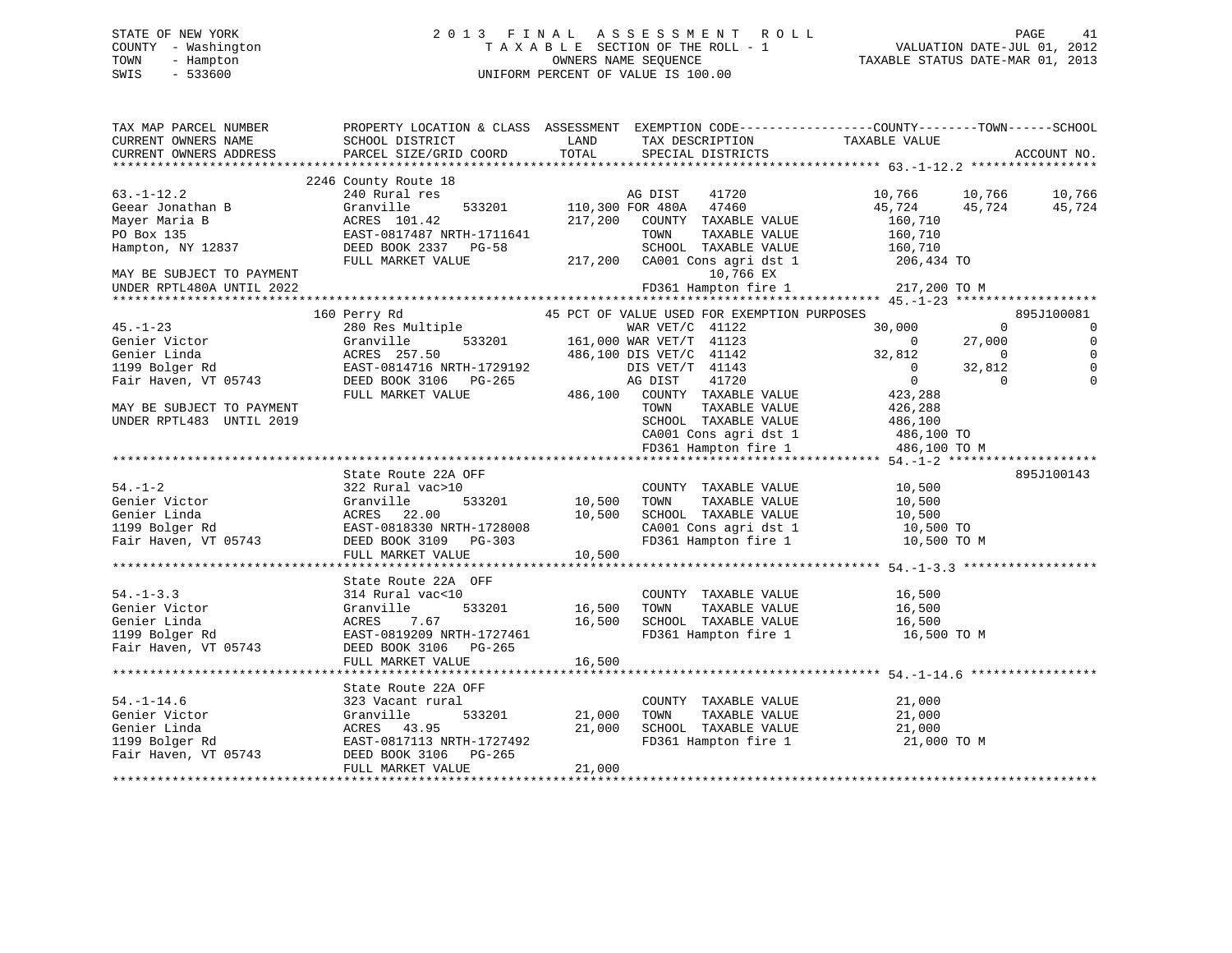# STATE OF NEW YORK 2 0 1 3 F I N A L A S S E S S M E N T R O L L PAGE 41 COUNTY - Washington T A X A B L E SECTION OF THE ROLL - 1 VALUATION DATE-JUL 01, 2012 TOWN - Hampton OWNERS NAME SEQUENCE TAXABLE STATUS DATE-MAR 01, 2013 SWIS - 533600 UNIFORM PERCENT OF VALUE IS 100.00

| 2246 County Route 18<br>$\begin{array}{cccc}\n 18 & & & & & \n 19 & & & & \n 100 & 300 & \n 100 & 100 & \n 100 & 100 & \n 100 & 100 & \n 100 & 100 & \n 100 & 100 & \n 100 & 100 & \n 100 & 100 & \n 100 & 100 & \n 100 & 100 & \n 100 & 100 & \n 100 & 100 & \n 100 & 100 & \n 100 & 100 & \n 100 & 100 & \n 100 & 100 & \n $<br>10,766 10,766 10,766<br>$63. - 1 - 12.2$<br>240 Rural res<br>45,724 45,724 45,724<br>63.-1-12.2<br>Geear Jonathan B<br>Mayer Maria B<br>PO Box 135<br>Hampton, NY 12837<br>Hampton, NY 12837<br>FULL MARKET VALUE<br>PULL MARKET VALUE<br>FULL MARKET VALUE<br>PULL MARKET VALUE<br>PULL MARKET VALUE<br>217,200<br>217,200<br>217,200<br>CA001<br>FD361 Hampton fire 1 217,200 TO M<br>UNDER RPTL480A UNTIL 2022<br>$\begin{tabular}{lllllllllllll} \multicolumn{3}{l}{} & 160\hspace{.08cm}Perry\hspace{.08cm}\text{Rd} & 45\hspace{.08cm}PCT\hspace{.08cm}\text{OF} \text{ VALUE} \text{ USED} \text{ FOR EXEMENTION PURPOSES} & 45.-1-23 & 280\hspace{.08cm}Res\hspace{.08cm}\text{MRL VET/C} \text{ 41122} & 30,000\\ \text{Genier Victor} & \text{Granville} & 533201 & 161,000\hspace{.08cm}WAR VET/T \text{ 41$<br>895J100081<br>$\overline{0}$<br>$\overline{0}$<br>$\begin{array}{ccc} & & & & & 0 \\ 0 & & 27,000 \\ 32,812 & & & 0 \\ 0 & & 32,812 \\ & & 0 \\ 422 & & & \end{array}$<br>$\overline{0}$<br>$\overline{0}$<br>$\Omega$<br>$\mathbf{0}$<br>TAXABLE VALUE<br>426,288<br>MAY BE SUBJECT TO PAYMENT<br>TOWN<br>SCHOOL TAXABLE VALUE $486,100$<br>UNDER RPTL483 UNTIL 2019<br>CA001 Cons agri dst 1 486,100 TO<br>FD361 Hampton fire 1 486,100 TO M<br>State Route 22A OFF<br>895J100143<br>COUNTY TAXABLE VALUE 10,500<br>ac>10<br>533201 10,500<br>00<br>$54. - 1 - 2$<br>322 Rural vac>10<br>Genier Victor (Granville 533201 10,500<br>Genier Linda (Granville 533201 10,500<br>199 Bolger Rd EAST-0818330 NRTH-1728008<br>Fair Haven, VT 05743 DEED BOOK 3109 PG-303<br>TAXABLE VALUE<br>TAXABLE VALUE 10,500<br>TAXABLE VALUE 10,500<br>TOWN<br>SCHOOL TAXABLE VALUE 10,500 TO<br>CA001 Cons agri dst 1 10,500 TO<br>FD361 Hampton fire 1<br>10,500 TO M<br>10,500<br>FULL MARKET VALUE<br>State Route 22A OFF<br>$54. - 1 - 3.3$<br>314 Rural vac<10<br>COUNTY TAXABLE VALUE 16,500<br>ac<10<br>533201 16,500<br>Senier Victor<br>Genier Linda<br>1199 Bolger Rd<br>1199 Bolger Rd<br>1199 Bolger Rd<br>1199 Bolger Rd<br>1199 Bolger Rd<br>1199 Bolger Rd<br>1199 Bolger Rd<br>1199 Bolger Rd<br>1199 Bolger Rd<br>1199 Bolger Rd<br>TAXABLE VALUE<br>TAXABLE VALUE 16,500<br>TAXARLE VALUE 16,500<br>TOWN<br>16,500<br>SCHOOL TAXABLE VALUE<br>FD361 Hampton fire 1 $16,500$ TO M<br>DEED BOOK 3106 PG-265<br>FULL MARKET VALUE<br>16,500<br>State Route 22A OFF<br>$54. - 1 - 14.6$<br>COUNTY TAXABLE VALUE 21,000<br>323 Vacant rural<br>533201 21,000<br>9-1-1-1.0<br>Genier Linda<br>1199 Bolger Rd<br>Fair Haven, VT 05743<br>TAXABLE VALUE 21,000<br>Granville<br>TOWN<br>21,000<br>21,000<br>SCHOOL TAXABLE VALUE<br>ACRES 43.95 21,00<br>EAST-0817113 NRTH-1727492<br>FD361 Hampton fire 1 21,000 TO M<br>FULL MARKET VALUE<br>21,000 | TAX MAP PARCEL NUMBER<br>CURRENT OWNERS NAME<br>CURRENT OWNERS ADDRESS | PROPERTY LOCATION & CLASS ASSESSMENT EXEMPTION CODE----------------COUNTY-------TOWN------SCHOOL<br>SCHOOL DISTRICT<br>PARCEL SIZE/GRID COORD | <b>EXAMPLE SERVICE SERVICE SERVICE SERVICE SERVICE SERVICE SERVICE SERVICE SERVICE SERVICE SERVICE SERVICE SERVICE</b><br>TOTAL | TAX DESCRIPTION TAXABLE VALUE<br>SPECIAL DISTRICTS | ACCOUNT NO. |
|---------------------------------------------------------------------------------------------------------------------------------------------------------------------------------------------------------------------------------------------------------------------------------------------------------------------------------------------------------------------------------------------------------------------------------------------------------------------------------------------------------------------------------------------------------------------------------------------------------------------------------------------------------------------------------------------------------------------------------------------------------------------------------------------------------------------------------------------------------------------------------------------------------------------------------------------------------------------------------------------------------------------------------------------------------------------------------------------------------------------------------------------------------------------------------------------------------------------------------------------------------------------------------------------------------------------------------------------------------------------------------------------------------------------------------------------------------------------------------------------------------------------------------------------------------------------------------------------------------------------------------------------------------------------------------------------------------------------------------------------------------------------------------------------------------------------------------------------------------------------------------------------------------------------------------------------------------------------------------------------------------------------------------------------------------------------------------------------------------------------------------------------------------------------------------------------------------------------------------------------------------------------------------------------------------------------------------------------------------------------------------------------------------------------------------------------------------------------------------------------------------------------------------------------------------------------------------------------------------------------------------------------------------------------------------------------------------------------------------------------------------------------------------------------------------------------------------------------------------------------------------------------------------------------------------------------------------------------------------------------------------------------------------------------------------------------------------------------------------------|------------------------------------------------------------------------|-----------------------------------------------------------------------------------------------------------------------------------------------|---------------------------------------------------------------------------------------------------------------------------------|----------------------------------------------------|-------------|
|                                                                                                                                                                                                                                                                                                                                                                                                                                                                                                                                                                                                                                                                                                                                                                                                                                                                                                                                                                                                                                                                                                                                                                                                                                                                                                                                                                                                                                                                                                                                                                                                                                                                                                                                                                                                                                                                                                                                                                                                                                                                                                                                                                                                                                                                                                                                                                                                                                                                                                                                                                                                                                                                                                                                                                                                                                                                                                                                                                                                                                                                                                               |                                                                        |                                                                                                                                               |                                                                                                                                 |                                                    |             |
|                                                                                                                                                                                                                                                                                                                                                                                                                                                                                                                                                                                                                                                                                                                                                                                                                                                                                                                                                                                                                                                                                                                                                                                                                                                                                                                                                                                                                                                                                                                                                                                                                                                                                                                                                                                                                                                                                                                                                                                                                                                                                                                                                                                                                                                                                                                                                                                                                                                                                                                                                                                                                                                                                                                                                                                                                                                                                                                                                                                                                                                                                                               |                                                                        |                                                                                                                                               |                                                                                                                                 |                                                    |             |
|                                                                                                                                                                                                                                                                                                                                                                                                                                                                                                                                                                                                                                                                                                                                                                                                                                                                                                                                                                                                                                                                                                                                                                                                                                                                                                                                                                                                                                                                                                                                                                                                                                                                                                                                                                                                                                                                                                                                                                                                                                                                                                                                                                                                                                                                                                                                                                                                                                                                                                                                                                                                                                                                                                                                                                                                                                                                                                                                                                                                                                                                                                               |                                                                        |                                                                                                                                               |                                                                                                                                 |                                                    |             |
|                                                                                                                                                                                                                                                                                                                                                                                                                                                                                                                                                                                                                                                                                                                                                                                                                                                                                                                                                                                                                                                                                                                                                                                                                                                                                                                                                                                                                                                                                                                                                                                                                                                                                                                                                                                                                                                                                                                                                                                                                                                                                                                                                                                                                                                                                                                                                                                                                                                                                                                                                                                                                                                                                                                                                                                                                                                                                                                                                                                                                                                                                                               |                                                                        |                                                                                                                                               |                                                                                                                                 |                                                    |             |
|                                                                                                                                                                                                                                                                                                                                                                                                                                                                                                                                                                                                                                                                                                                                                                                                                                                                                                                                                                                                                                                                                                                                                                                                                                                                                                                                                                                                                                                                                                                                                                                                                                                                                                                                                                                                                                                                                                                                                                                                                                                                                                                                                                                                                                                                                                                                                                                                                                                                                                                                                                                                                                                                                                                                                                                                                                                                                                                                                                                                                                                                                                               |                                                                        |                                                                                                                                               |                                                                                                                                 |                                                    |             |
|                                                                                                                                                                                                                                                                                                                                                                                                                                                                                                                                                                                                                                                                                                                                                                                                                                                                                                                                                                                                                                                                                                                                                                                                                                                                                                                                                                                                                                                                                                                                                                                                                                                                                                                                                                                                                                                                                                                                                                                                                                                                                                                                                                                                                                                                                                                                                                                                                                                                                                                                                                                                                                                                                                                                                                                                                                                                                                                                                                                                                                                                                                               |                                                                        |                                                                                                                                               |                                                                                                                                 |                                                    |             |
|                                                                                                                                                                                                                                                                                                                                                                                                                                                                                                                                                                                                                                                                                                                                                                                                                                                                                                                                                                                                                                                                                                                                                                                                                                                                                                                                                                                                                                                                                                                                                                                                                                                                                                                                                                                                                                                                                                                                                                                                                                                                                                                                                                                                                                                                                                                                                                                                                                                                                                                                                                                                                                                                                                                                                                                                                                                                                                                                                                                                                                                                                                               |                                                                        |                                                                                                                                               |                                                                                                                                 |                                                    |             |
|                                                                                                                                                                                                                                                                                                                                                                                                                                                                                                                                                                                                                                                                                                                                                                                                                                                                                                                                                                                                                                                                                                                                                                                                                                                                                                                                                                                                                                                                                                                                                                                                                                                                                                                                                                                                                                                                                                                                                                                                                                                                                                                                                                                                                                                                                                                                                                                                                                                                                                                                                                                                                                                                                                                                                                                                                                                                                                                                                                                                                                                                                                               |                                                                        |                                                                                                                                               |                                                                                                                                 |                                                    |             |
|                                                                                                                                                                                                                                                                                                                                                                                                                                                                                                                                                                                                                                                                                                                                                                                                                                                                                                                                                                                                                                                                                                                                                                                                                                                                                                                                                                                                                                                                                                                                                                                                                                                                                                                                                                                                                                                                                                                                                                                                                                                                                                                                                                                                                                                                                                                                                                                                                                                                                                                                                                                                                                                                                                                                                                                                                                                                                                                                                                                                                                                                                                               |                                                                        |                                                                                                                                               |                                                                                                                                 |                                                    |             |
|                                                                                                                                                                                                                                                                                                                                                                                                                                                                                                                                                                                                                                                                                                                                                                                                                                                                                                                                                                                                                                                                                                                                                                                                                                                                                                                                                                                                                                                                                                                                                                                                                                                                                                                                                                                                                                                                                                                                                                                                                                                                                                                                                                                                                                                                                                                                                                                                                                                                                                                                                                                                                                                                                                                                                                                                                                                                                                                                                                                                                                                                                                               |                                                                        |                                                                                                                                               |                                                                                                                                 |                                                    |             |
|                                                                                                                                                                                                                                                                                                                                                                                                                                                                                                                                                                                                                                                                                                                                                                                                                                                                                                                                                                                                                                                                                                                                                                                                                                                                                                                                                                                                                                                                                                                                                                                                                                                                                                                                                                                                                                                                                                                                                                                                                                                                                                                                                                                                                                                                                                                                                                                                                                                                                                                                                                                                                                                                                                                                                                                                                                                                                                                                                                                                                                                                                                               |                                                                        |                                                                                                                                               |                                                                                                                                 |                                                    |             |
|                                                                                                                                                                                                                                                                                                                                                                                                                                                                                                                                                                                                                                                                                                                                                                                                                                                                                                                                                                                                                                                                                                                                                                                                                                                                                                                                                                                                                                                                                                                                                                                                                                                                                                                                                                                                                                                                                                                                                                                                                                                                                                                                                                                                                                                                                                                                                                                                                                                                                                                                                                                                                                                                                                                                                                                                                                                                                                                                                                                                                                                                                                               |                                                                        |                                                                                                                                               |                                                                                                                                 |                                                    |             |
|                                                                                                                                                                                                                                                                                                                                                                                                                                                                                                                                                                                                                                                                                                                                                                                                                                                                                                                                                                                                                                                                                                                                                                                                                                                                                                                                                                                                                                                                                                                                                                                                                                                                                                                                                                                                                                                                                                                                                                                                                                                                                                                                                                                                                                                                                                                                                                                                                                                                                                                                                                                                                                                                                                                                                                                                                                                                                                                                                                                                                                                                                                               |                                                                        |                                                                                                                                               |                                                                                                                                 |                                                    |             |
|                                                                                                                                                                                                                                                                                                                                                                                                                                                                                                                                                                                                                                                                                                                                                                                                                                                                                                                                                                                                                                                                                                                                                                                                                                                                                                                                                                                                                                                                                                                                                                                                                                                                                                                                                                                                                                                                                                                                                                                                                                                                                                                                                                                                                                                                                                                                                                                                                                                                                                                                                                                                                                                                                                                                                                                                                                                                                                                                                                                                                                                                                                               |                                                                        |                                                                                                                                               |                                                                                                                                 |                                                    |             |
|                                                                                                                                                                                                                                                                                                                                                                                                                                                                                                                                                                                                                                                                                                                                                                                                                                                                                                                                                                                                                                                                                                                                                                                                                                                                                                                                                                                                                                                                                                                                                                                                                                                                                                                                                                                                                                                                                                                                                                                                                                                                                                                                                                                                                                                                                                                                                                                                                                                                                                                                                                                                                                                                                                                                                                                                                                                                                                                                                                                                                                                                                                               |                                                                        |                                                                                                                                               |                                                                                                                                 |                                                    |             |
|                                                                                                                                                                                                                                                                                                                                                                                                                                                                                                                                                                                                                                                                                                                                                                                                                                                                                                                                                                                                                                                                                                                                                                                                                                                                                                                                                                                                                                                                                                                                                                                                                                                                                                                                                                                                                                                                                                                                                                                                                                                                                                                                                                                                                                                                                                                                                                                                                                                                                                                                                                                                                                                                                                                                                                                                                                                                                                                                                                                                                                                                                                               |                                                                        |                                                                                                                                               |                                                                                                                                 |                                                    |             |
|                                                                                                                                                                                                                                                                                                                                                                                                                                                                                                                                                                                                                                                                                                                                                                                                                                                                                                                                                                                                                                                                                                                                                                                                                                                                                                                                                                                                                                                                                                                                                                                                                                                                                                                                                                                                                                                                                                                                                                                                                                                                                                                                                                                                                                                                                                                                                                                                                                                                                                                                                                                                                                                                                                                                                                                                                                                                                                                                                                                                                                                                                                               |                                                                        |                                                                                                                                               |                                                                                                                                 |                                                    |             |
|                                                                                                                                                                                                                                                                                                                                                                                                                                                                                                                                                                                                                                                                                                                                                                                                                                                                                                                                                                                                                                                                                                                                                                                                                                                                                                                                                                                                                                                                                                                                                                                                                                                                                                                                                                                                                                                                                                                                                                                                                                                                                                                                                                                                                                                                                                                                                                                                                                                                                                                                                                                                                                                                                                                                                                                                                                                                                                                                                                                                                                                                                                               |                                                                        |                                                                                                                                               |                                                                                                                                 |                                                    |             |
|                                                                                                                                                                                                                                                                                                                                                                                                                                                                                                                                                                                                                                                                                                                                                                                                                                                                                                                                                                                                                                                                                                                                                                                                                                                                                                                                                                                                                                                                                                                                                                                                                                                                                                                                                                                                                                                                                                                                                                                                                                                                                                                                                                                                                                                                                                                                                                                                                                                                                                                                                                                                                                                                                                                                                                                                                                                                                                                                                                                                                                                                                                               |                                                                        |                                                                                                                                               |                                                                                                                                 |                                                    |             |
|                                                                                                                                                                                                                                                                                                                                                                                                                                                                                                                                                                                                                                                                                                                                                                                                                                                                                                                                                                                                                                                                                                                                                                                                                                                                                                                                                                                                                                                                                                                                                                                                                                                                                                                                                                                                                                                                                                                                                                                                                                                                                                                                                                                                                                                                                                                                                                                                                                                                                                                                                                                                                                                                                                                                                                                                                                                                                                                                                                                                                                                                                                               |                                                                        |                                                                                                                                               |                                                                                                                                 |                                                    |             |
|                                                                                                                                                                                                                                                                                                                                                                                                                                                                                                                                                                                                                                                                                                                                                                                                                                                                                                                                                                                                                                                                                                                                                                                                                                                                                                                                                                                                                                                                                                                                                                                                                                                                                                                                                                                                                                                                                                                                                                                                                                                                                                                                                                                                                                                                                                                                                                                                                                                                                                                                                                                                                                                                                                                                                                                                                                                                                                                                                                                                                                                                                                               |                                                                        |                                                                                                                                               |                                                                                                                                 |                                                    |             |
|                                                                                                                                                                                                                                                                                                                                                                                                                                                                                                                                                                                                                                                                                                                                                                                                                                                                                                                                                                                                                                                                                                                                                                                                                                                                                                                                                                                                                                                                                                                                                                                                                                                                                                                                                                                                                                                                                                                                                                                                                                                                                                                                                                                                                                                                                                                                                                                                                                                                                                                                                                                                                                                                                                                                                                                                                                                                                                                                                                                                                                                                                                               |                                                                        |                                                                                                                                               |                                                                                                                                 |                                                    |             |
|                                                                                                                                                                                                                                                                                                                                                                                                                                                                                                                                                                                                                                                                                                                                                                                                                                                                                                                                                                                                                                                                                                                                                                                                                                                                                                                                                                                                                                                                                                                                                                                                                                                                                                                                                                                                                                                                                                                                                                                                                                                                                                                                                                                                                                                                                                                                                                                                                                                                                                                                                                                                                                                                                                                                                                                                                                                                                                                                                                                                                                                                                                               |                                                                        |                                                                                                                                               |                                                                                                                                 |                                                    |             |
|                                                                                                                                                                                                                                                                                                                                                                                                                                                                                                                                                                                                                                                                                                                                                                                                                                                                                                                                                                                                                                                                                                                                                                                                                                                                                                                                                                                                                                                                                                                                                                                                                                                                                                                                                                                                                                                                                                                                                                                                                                                                                                                                                                                                                                                                                                                                                                                                                                                                                                                                                                                                                                                                                                                                                                                                                                                                                                                                                                                                                                                                                                               |                                                                        |                                                                                                                                               |                                                                                                                                 |                                                    |             |
|                                                                                                                                                                                                                                                                                                                                                                                                                                                                                                                                                                                                                                                                                                                                                                                                                                                                                                                                                                                                                                                                                                                                                                                                                                                                                                                                                                                                                                                                                                                                                                                                                                                                                                                                                                                                                                                                                                                                                                                                                                                                                                                                                                                                                                                                                                                                                                                                                                                                                                                                                                                                                                                                                                                                                                                                                                                                                                                                                                                                                                                                                                               |                                                                        |                                                                                                                                               |                                                                                                                                 |                                                    |             |
|                                                                                                                                                                                                                                                                                                                                                                                                                                                                                                                                                                                                                                                                                                                                                                                                                                                                                                                                                                                                                                                                                                                                                                                                                                                                                                                                                                                                                                                                                                                                                                                                                                                                                                                                                                                                                                                                                                                                                                                                                                                                                                                                                                                                                                                                                                                                                                                                                                                                                                                                                                                                                                                                                                                                                                                                                                                                                                                                                                                                                                                                                                               |                                                                        |                                                                                                                                               |                                                                                                                                 |                                                    |             |
|                                                                                                                                                                                                                                                                                                                                                                                                                                                                                                                                                                                                                                                                                                                                                                                                                                                                                                                                                                                                                                                                                                                                                                                                                                                                                                                                                                                                                                                                                                                                                                                                                                                                                                                                                                                                                                                                                                                                                                                                                                                                                                                                                                                                                                                                                                                                                                                                                                                                                                                                                                                                                                                                                                                                                                                                                                                                                                                                                                                                                                                                                                               |                                                                        |                                                                                                                                               |                                                                                                                                 |                                                    |             |
|                                                                                                                                                                                                                                                                                                                                                                                                                                                                                                                                                                                                                                                                                                                                                                                                                                                                                                                                                                                                                                                                                                                                                                                                                                                                                                                                                                                                                                                                                                                                                                                                                                                                                                                                                                                                                                                                                                                                                                                                                                                                                                                                                                                                                                                                                                                                                                                                                                                                                                                                                                                                                                                                                                                                                                                                                                                                                                                                                                                                                                                                                                               |                                                                        |                                                                                                                                               |                                                                                                                                 |                                                    |             |
|                                                                                                                                                                                                                                                                                                                                                                                                                                                                                                                                                                                                                                                                                                                                                                                                                                                                                                                                                                                                                                                                                                                                                                                                                                                                                                                                                                                                                                                                                                                                                                                                                                                                                                                                                                                                                                                                                                                                                                                                                                                                                                                                                                                                                                                                                                                                                                                                                                                                                                                                                                                                                                                                                                                                                                                                                                                                                                                                                                                                                                                                                                               |                                                                        |                                                                                                                                               |                                                                                                                                 |                                                    |             |
|                                                                                                                                                                                                                                                                                                                                                                                                                                                                                                                                                                                                                                                                                                                                                                                                                                                                                                                                                                                                                                                                                                                                                                                                                                                                                                                                                                                                                                                                                                                                                                                                                                                                                                                                                                                                                                                                                                                                                                                                                                                                                                                                                                                                                                                                                                                                                                                                                                                                                                                                                                                                                                                                                                                                                                                                                                                                                                                                                                                                                                                                                                               |                                                                        |                                                                                                                                               |                                                                                                                                 |                                                    |             |
|                                                                                                                                                                                                                                                                                                                                                                                                                                                                                                                                                                                                                                                                                                                                                                                                                                                                                                                                                                                                                                                                                                                                                                                                                                                                                                                                                                                                                                                                                                                                                                                                                                                                                                                                                                                                                                                                                                                                                                                                                                                                                                                                                                                                                                                                                                                                                                                                                                                                                                                                                                                                                                                                                                                                                                                                                                                                                                                                                                                                                                                                                                               |                                                                        |                                                                                                                                               |                                                                                                                                 |                                                    |             |
|                                                                                                                                                                                                                                                                                                                                                                                                                                                                                                                                                                                                                                                                                                                                                                                                                                                                                                                                                                                                                                                                                                                                                                                                                                                                                                                                                                                                                                                                                                                                                                                                                                                                                                                                                                                                                                                                                                                                                                                                                                                                                                                                                                                                                                                                                                                                                                                                                                                                                                                                                                                                                                                                                                                                                                                                                                                                                                                                                                                                                                                                                                               |                                                                        |                                                                                                                                               |                                                                                                                                 |                                                    |             |
|                                                                                                                                                                                                                                                                                                                                                                                                                                                                                                                                                                                                                                                                                                                                                                                                                                                                                                                                                                                                                                                                                                                                                                                                                                                                                                                                                                                                                                                                                                                                                                                                                                                                                                                                                                                                                                                                                                                                                                                                                                                                                                                                                                                                                                                                                                                                                                                                                                                                                                                                                                                                                                                                                                                                                                                                                                                                                                                                                                                                                                                                                                               |                                                                        |                                                                                                                                               |                                                                                                                                 |                                                    |             |
|                                                                                                                                                                                                                                                                                                                                                                                                                                                                                                                                                                                                                                                                                                                                                                                                                                                                                                                                                                                                                                                                                                                                                                                                                                                                                                                                                                                                                                                                                                                                                                                                                                                                                                                                                                                                                                                                                                                                                                                                                                                                                                                                                                                                                                                                                                                                                                                                                                                                                                                                                                                                                                                                                                                                                                                                                                                                                                                                                                                                                                                                                                               |                                                                        |                                                                                                                                               |                                                                                                                                 |                                                    |             |
|                                                                                                                                                                                                                                                                                                                                                                                                                                                                                                                                                                                                                                                                                                                                                                                                                                                                                                                                                                                                                                                                                                                                                                                                                                                                                                                                                                                                                                                                                                                                                                                                                                                                                                                                                                                                                                                                                                                                                                                                                                                                                                                                                                                                                                                                                                                                                                                                                                                                                                                                                                                                                                                                                                                                                                                                                                                                                                                                                                                                                                                                                                               |                                                                        |                                                                                                                                               |                                                                                                                                 |                                                    |             |
|                                                                                                                                                                                                                                                                                                                                                                                                                                                                                                                                                                                                                                                                                                                                                                                                                                                                                                                                                                                                                                                                                                                                                                                                                                                                                                                                                                                                                                                                                                                                                                                                                                                                                                                                                                                                                                                                                                                                                                                                                                                                                                                                                                                                                                                                                                                                                                                                                                                                                                                                                                                                                                                                                                                                                                                                                                                                                                                                                                                                                                                                                                               | Fair Haven, VT 05743                                                   |                                                                                                                                               |                                                                                                                                 |                                                    |             |
|                                                                                                                                                                                                                                                                                                                                                                                                                                                                                                                                                                                                                                                                                                                                                                                                                                                                                                                                                                                                                                                                                                                                                                                                                                                                                                                                                                                                                                                                                                                                                                                                                                                                                                                                                                                                                                                                                                                                                                                                                                                                                                                                                                                                                                                                                                                                                                                                                                                                                                                                                                                                                                                                                                                                                                                                                                                                                                                                                                                                                                                                                                               |                                                                        |                                                                                                                                               |                                                                                                                                 |                                                    |             |
|                                                                                                                                                                                                                                                                                                                                                                                                                                                                                                                                                                                                                                                                                                                                                                                                                                                                                                                                                                                                                                                                                                                                                                                                                                                                                                                                                                                                                                                                                                                                                                                                                                                                                                                                                                                                                                                                                                                                                                                                                                                                                                                                                                                                                                                                                                                                                                                                                                                                                                                                                                                                                                                                                                                                                                                                                                                                                                                                                                                                                                                                                                               |                                                                        |                                                                                                                                               |                                                                                                                                 |                                                    |             |
|                                                                                                                                                                                                                                                                                                                                                                                                                                                                                                                                                                                                                                                                                                                                                                                                                                                                                                                                                                                                                                                                                                                                                                                                                                                                                                                                                                                                                                                                                                                                                                                                                                                                                                                                                                                                                                                                                                                                                                                                                                                                                                                                                                                                                                                                                                                                                                                                                                                                                                                                                                                                                                                                                                                                                                                                                                                                                                                                                                                                                                                                                                               |                                                                        |                                                                                                                                               |                                                                                                                                 |                                                    |             |
|                                                                                                                                                                                                                                                                                                                                                                                                                                                                                                                                                                                                                                                                                                                                                                                                                                                                                                                                                                                                                                                                                                                                                                                                                                                                                                                                                                                                                                                                                                                                                                                                                                                                                                                                                                                                                                                                                                                                                                                                                                                                                                                                                                                                                                                                                                                                                                                                                                                                                                                                                                                                                                                                                                                                                                                                                                                                                                                                                                                                                                                                                                               |                                                                        |                                                                                                                                               |                                                                                                                                 |                                                    |             |
|                                                                                                                                                                                                                                                                                                                                                                                                                                                                                                                                                                                                                                                                                                                                                                                                                                                                                                                                                                                                                                                                                                                                                                                                                                                                                                                                                                                                                                                                                                                                                                                                                                                                                                                                                                                                                                                                                                                                                                                                                                                                                                                                                                                                                                                                                                                                                                                                                                                                                                                                                                                                                                                                                                                                                                                                                                                                                                                                                                                                                                                                                                               |                                                                        |                                                                                                                                               |                                                                                                                                 |                                                    |             |
|                                                                                                                                                                                                                                                                                                                                                                                                                                                                                                                                                                                                                                                                                                                                                                                                                                                                                                                                                                                                                                                                                                                                                                                                                                                                                                                                                                                                                                                                                                                                                                                                                                                                                                                                                                                                                                                                                                                                                                                                                                                                                                                                                                                                                                                                                                                                                                                                                                                                                                                                                                                                                                                                                                                                                                                                                                                                                                                                                                                                                                                                                                               |                                                                        |                                                                                                                                               |                                                                                                                                 |                                                    |             |
|                                                                                                                                                                                                                                                                                                                                                                                                                                                                                                                                                                                                                                                                                                                                                                                                                                                                                                                                                                                                                                                                                                                                                                                                                                                                                                                                                                                                                                                                                                                                                                                                                                                                                                                                                                                                                                                                                                                                                                                                                                                                                                                                                                                                                                                                                                                                                                                                                                                                                                                                                                                                                                                                                                                                                                                                                                                                                                                                                                                                                                                                                                               |                                                                        |                                                                                                                                               |                                                                                                                                 |                                                    |             |
|                                                                                                                                                                                                                                                                                                                                                                                                                                                                                                                                                                                                                                                                                                                                                                                                                                                                                                                                                                                                                                                                                                                                                                                                                                                                                                                                                                                                                                                                                                                                                                                                                                                                                                                                                                                                                                                                                                                                                                                                                                                                                                                                                                                                                                                                                                                                                                                                                                                                                                                                                                                                                                                                                                                                                                                                                                                                                                                                                                                                                                                                                                               |                                                                        |                                                                                                                                               |                                                                                                                                 |                                                    |             |
|                                                                                                                                                                                                                                                                                                                                                                                                                                                                                                                                                                                                                                                                                                                                                                                                                                                                                                                                                                                                                                                                                                                                                                                                                                                                                                                                                                                                                                                                                                                                                                                                                                                                                                                                                                                                                                                                                                                                                                                                                                                                                                                                                                                                                                                                                                                                                                                                                                                                                                                                                                                                                                                                                                                                                                                                                                                                                                                                                                                                                                                                                                               |                                                                        |                                                                                                                                               |                                                                                                                                 |                                                    |             |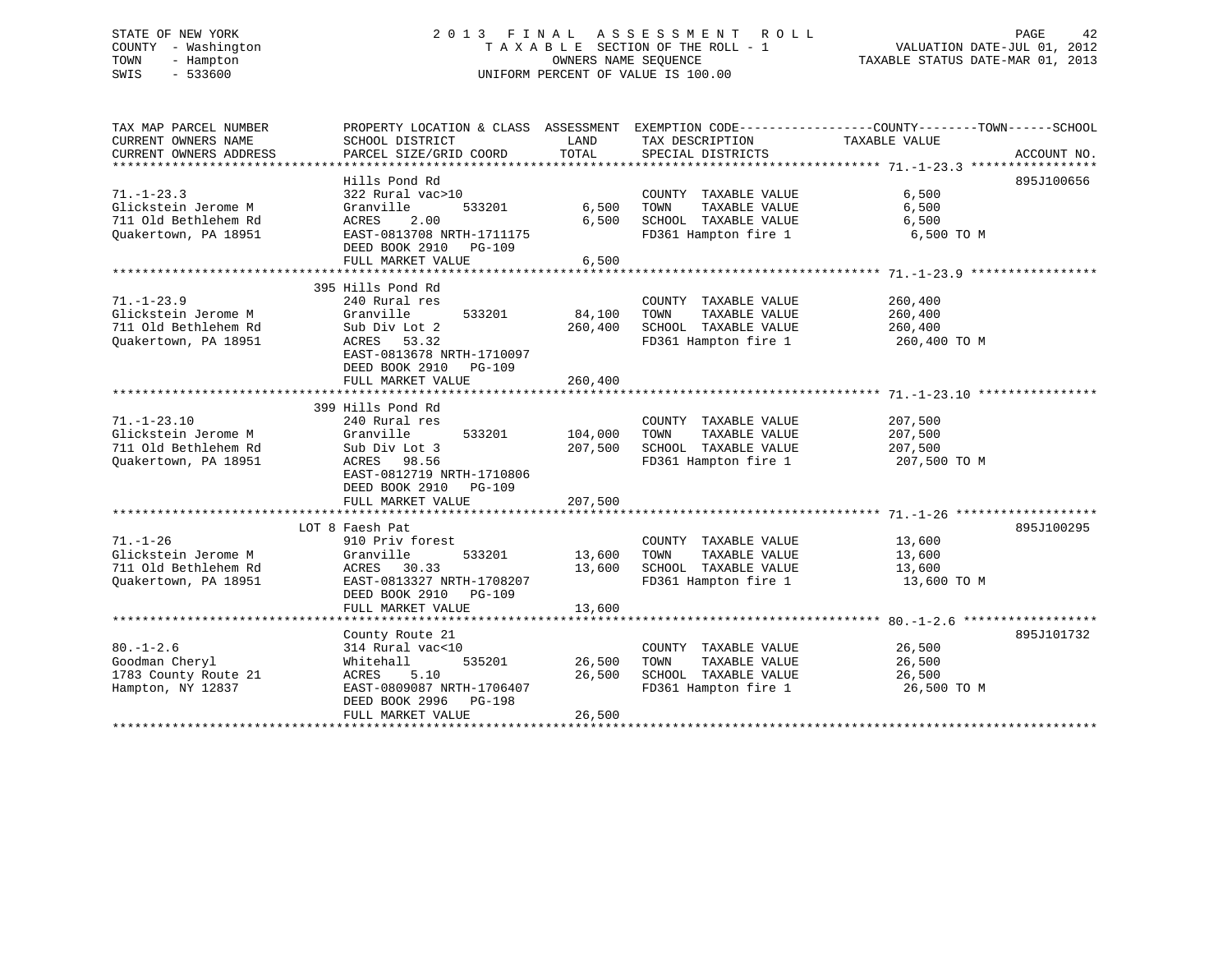# STATE OF NEW YORK 2 0 1 3 F I N A L A S S E S S M E N T R O L L PAGE 42 COUNTY - Washington T A X A B L E SECTION OF THE ROLL - 1 VALUATION DATE-JUL 01, 2012 TOWN - Hampton OWNERS NAME SEQUENCE TAXABLE STATUS DATE-MAR 01, 2013 SWIS - 533600 UNIFORM PERCENT OF VALUE IS 100.00

TAX MAP PARCEL NUMBER PROPERTY LOCATION & CLASS ASSESSMENT EXEMPTION CODE------------------COUNTY--------TOWN------SCHOOL CURRENT OWNERS NAME SCHOOL DISTRICT THE LAND TAX DESCRIPTION TAXABLE VALUE CURRENT OWNERS ADDRESS PARCEL SIZE/GRID COORD TOTAL SPECIAL DISTRICTS ACCOUNT NO. \*\*\*\*\*\*\*\*\*\*\*\*\*\*\*\*\*\*\*\*\*\*\*\*\*\*\*\*\*\*\*\*\*\*\*\*\*\*\*\*\*\*\*\*\*\*\*\*\*\*\*\*\*\*\*\*\*\*\*\*\*\*\*\*\*\*\*\*\*\*\*\*\*\*\*\*\*\*\*\*\*\*\*\*\*\*\*\*\*\*\*\*\*\*\*\*\*\*\*\*\*\*\* 71.-1-23.3 \*\*\*\*\*\*\*\*\*\*\*\*\*\*\*\*\* Hills Pond Rd 895J10065671.-1-23.3 322 Rural vac>10 COUNTY TAXABLE VALUE 6,500 Glickstein Jerome M Granville 533201 6,500 TOWN TAXABLE VALUE 6,500 711 Old Bethlehem Rd ACRES 2.00 6,500 SCHOOL TAXABLE VALUE 6,500 Quakertown, PA 18951 EAST-0813708 NRTH-1711175 FD361 Hampton fire 1 6,500 TO M DEED BOOK 2910 PG-109 DEED BOOK 2910 PG-109<br>FULL MARKET VALUE 6,500 \*\*\*\*\*\*\*\*\*\*\*\*\*\*\*\*\*\*\*\*\*\*\*\*\*\*\*\*\*\*\*\*\*\*\*\*\*\*\*\*\*\*\*\*\*\*\*\*\*\*\*\*\*\*\*\*\*\*\*\*\*\*\*\*\*\*\*\*\*\*\*\*\*\*\*\*\*\*\*\*\*\*\*\*\*\*\*\*\*\*\*\*\*\*\*\*\*\*\*\*\*\*\* 71.-1-23.9 \*\*\*\*\*\*\*\*\*\*\*\*\*\*\*\*\* 395 Hills Pond Rd 71.-1-23.9 240 Rural res COUNTY TAXABLE VALUE 260,400 Glickstein Jerome M Granville 533201 84,100 TOWN TAXABLE VALUE 260,400 711 Old Bethlehem Rd Sub Div Lot 2 260,400 SCHOOL TAXABLE VALUE 260,400 Quakertown, PA 18951 ACRES 53.32 FD361 Hampton fire 1 260,400 TO M EAST-0813678 NRTH-1710097 DEED BOOK 2910 PG-109 FULL MARKET VALUE 260,400 \*\*\*\*\*\*\*\*\*\*\*\*\*\*\*\*\*\*\*\*\*\*\*\*\*\*\*\*\*\*\*\*\*\*\*\*\*\*\*\*\*\*\*\*\*\*\*\*\*\*\*\*\*\*\*\*\*\*\*\*\*\*\*\*\*\*\*\*\*\*\*\*\*\*\*\*\*\*\*\*\*\*\*\*\*\*\*\*\*\*\*\*\*\*\*\*\*\*\*\*\*\*\* 71.-1-23.10 \*\*\*\*\*\*\*\*\*\*\*\*\*\*\*\* 399 Hills Pond Rd71.-1-23.10 240 Rural res COUNTY TAXABLE VALUE 207,500 Glickstein Jerome M Granville 533201 104,000 TOWN TAXABLE VALUE 207,500 711 Old Bethlehem Rd Sub Div Lot 3 207,500 SCHOOL TAXABLE VALUE 207,500 Quakertown, PA 18951 ACRES 98.56 FD361 Hampton fire 1 207,500 TO M EAST-0812719 NRTH-1710806 DEED BOOK 2910 PG-109 FULL MARKET VALUE 207,500 \*\*\*\*\*\*\*\*\*\*\*\*\*\*\*\*\*\*\*\*\*\*\*\*\*\*\*\*\*\*\*\*\*\*\*\*\*\*\*\*\*\*\*\*\*\*\*\*\*\*\*\*\*\*\*\*\*\*\*\*\*\*\*\*\*\*\*\*\*\*\*\*\*\*\*\*\*\*\*\*\*\*\*\*\*\*\*\*\*\*\*\*\*\*\*\*\*\*\*\*\*\*\* 71.-1-26 \*\*\*\*\*\*\*\*\*\*\*\*\*\*\*\*\*\*\* LOT 8 Faesh Pat 895J10029571.-1-26 910 Priv forest COUNTY TAXABLE VALUE 13,600 Glickstein Jerome M Granville 533201 13,600 TOWN TAXABLE VALUE 13,600 711 Old Bethlehem Rd ACRES 30.33 13,600 SCHOOL TAXABLE VALUE 13,600 Quakertown, PA 18951 **EAST-0813327 NRTH-1708207** FD361 Hampton fire 1 13,600 TO M DEED BOOK 2910 PG-109FULL MARKET VALUE 13,600 \*\*\*\*\*\*\*\*\*\*\*\*\*\*\*\*\*\*\*\*\*\*\*\*\*\*\*\*\*\*\*\*\*\*\*\*\*\*\*\*\*\*\*\*\*\*\*\*\*\*\*\*\*\*\*\*\*\*\*\*\*\*\*\*\*\*\*\*\*\*\*\*\*\*\*\*\*\*\*\*\*\*\*\*\*\*\*\*\*\*\*\*\*\*\*\*\*\*\*\*\*\*\* 80.-1-2.6 \*\*\*\*\*\*\*\*\*\*\*\*\*\*\*\*\*\*التي التي يتم التي تتم التي يتم التي تتم التي تتم التي تتم التي تتم التي تتم التي تتم التي تتم التي تتم التي ي 80.-1-2.6 314 Rural vac<10 COUNTY TAXABLE VALUE 26,500 Goodman Cheryl Whitehall 535201 26,500 TOWN TAXABLE VALUE 26,500 1783 County Route 21 ACRES 5.10 26,500 SCHOOL TAXABLE VALUE 26,500 Hampton, NY 12837 EAST-0809087 NRTH-1706407 FD361 Hampton fire 1 26,500 TO M DEED BOOK 2996 PG-198 FULL MARKET VALUE 26,500 \*\*\*\*\*\*\*\*\*\*\*\*\*\*\*\*\*\*\*\*\*\*\*\*\*\*\*\*\*\*\*\*\*\*\*\*\*\*\*\*\*\*\*\*\*\*\*\*\*\*\*\*\*\*\*\*\*\*\*\*\*\*\*\*\*\*\*\*\*\*\*\*\*\*\*\*\*\*\*\*\*\*\*\*\*\*\*\*\*\*\*\*\*\*\*\*\*\*\*\*\*\*\*\*\*\*\*\*\*\*\*\*\*\*\*\*\*\*\*\*\*\*\*\*\*\*\*\*\*\*\*\*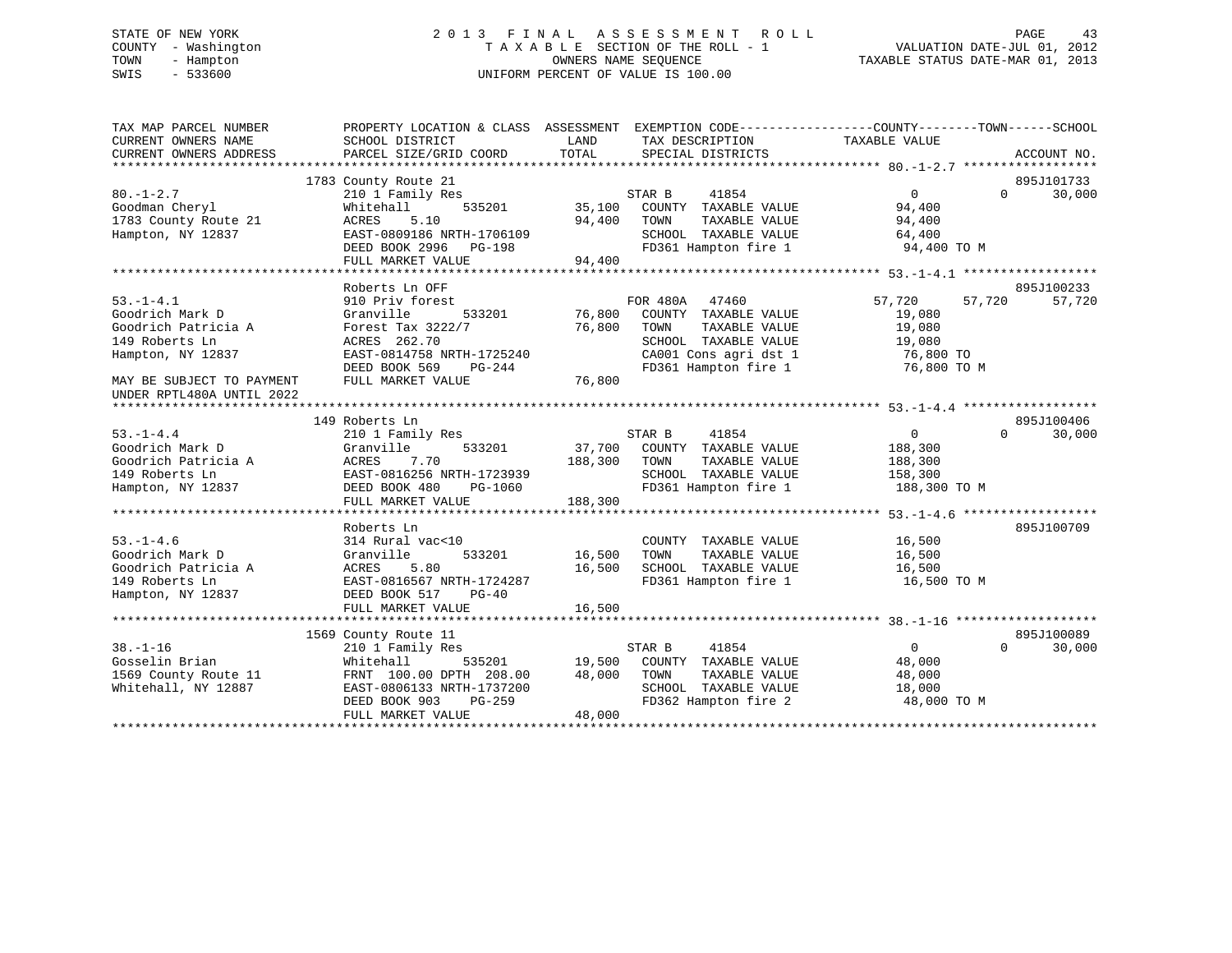# STATE OF NEW YORK 2 0 1 3 F I N A L A S S E S S M E N T R O L L PAGE 43 COUNTY - Washington T A X A B L E SECTION OF THE ROLL - 1 VALUATION DATE-JUL 01, 2012 TOWN - Hampton OWNERS NAME SEQUENCE TAXABLE STATUS DATE-MAR 01, 2013 SWIS - 533600 UNIFORM PERCENT OF VALUE IS 100.00

| TAX MAP PARCEL NUMBER<br>CURRENT OWNERS NAME<br>CURRENT OWNERS ADDRESS | PROPERTY LOCATION & CLASS ASSESSMENT EXEMPTION CODE----------------COUNTY-------TOWN------SCHOOL<br>SCHOOL DISTRICT<br>PARCEL SIZE/GRID COORD | LAND<br>TOTAL | TAX DESCRIPTION<br>SPECIAL DISTRICTS | TAXABLE VALUE    | ACCOUNT NO.        |
|------------------------------------------------------------------------|-----------------------------------------------------------------------------------------------------------------------------------------------|---------------|--------------------------------------|------------------|--------------------|
|                                                                        |                                                                                                                                               |               |                                      |                  |                    |
|                                                                        | 1783 County Route 21                                                                                                                          |               |                                      |                  | 895J101733         |
| $80. - 1 - 2.7$                                                        | 210 1 Family Res                                                                                                                              |               | STAR B<br>41854                      | $\Omega$         | 30,000<br>$\Omega$ |
| Goodman Cheryl                                                         | Whitehall<br>535201                                                                                                                           | 35,100        | COUNTY TAXABLE VALUE                 | 94,400           |                    |
| 1783 County Route 21                                                   | 5.10<br>ACRES                                                                                                                                 | 94,400        | TAXABLE VALUE<br>TOWN                | 94,400           |                    |
| Hampton, NY 12837                                                      | EAST-0809186 NRTH-1706109                                                                                                                     |               | SCHOOL TAXABLE VALUE                 | 64,400           |                    |
|                                                                        | DEED BOOK 2996 PG-198                                                                                                                         |               | FD361 Hampton fire 1                 | 94,400 TO M      |                    |
|                                                                        | FULL MARKET VALUE                                                                                                                             | 94,400        |                                      |                  |                    |
|                                                                        |                                                                                                                                               |               |                                      |                  |                    |
|                                                                        | Roberts Ln OFF                                                                                                                                |               |                                      |                  | 895J100233         |
| $53. - 1 - 4.1$                                                        | 910 Priv forest                                                                                                                               |               | FOR 480A<br>47460                    | 57,720<br>57,720 | 57,720             |
| Goodrich Mark D                                                        | Granville<br>533201                                                                                                                           | 76,800        | COUNTY TAXABLE VALUE                 | 19,080           |                    |
| Goodrich Patricia A                                                    | Forest Tax 3222/7                                                                                                                             | 76,800        | TOWN<br>TAXABLE VALUE                | 19,080           |                    |
| 149 Roberts Ln                                                         | ACRES 262.70                                                                                                                                  |               | SCHOOL TAXABLE VALUE                 | 19,080           |                    |
| Hampton, NY 12837                                                      | EAST-0814758 NRTH-1725240                                                                                                                     |               | CA001 Cons agri dst 1                | 76,800 TO        |                    |
|                                                                        | DEED BOOK 569<br>$PG-244$                                                                                                                     |               | FD361 Hampton fire 1                 | 76,800 TO M      |                    |
| MAY BE SUBJECT TO PAYMENT<br>UNDER RPTL480A UNTIL 2022                 | FULL MARKET VALUE                                                                                                                             | 76,800        |                                      |                  |                    |
|                                                                        |                                                                                                                                               |               |                                      |                  |                    |
|                                                                        | 149 Roberts Ln                                                                                                                                |               |                                      |                  | 895J100406         |
| $53. - 1 - 4.4$                                                        | 210 1 Family Res                                                                                                                              |               | STAR B<br>41854                      | $\Omega$         | $\Omega$<br>30,000 |
| Goodrich Mark D                                                        | 533201<br>Granville                                                                                                                           | 37,700        | COUNTY TAXABLE VALUE                 | 188,300          |                    |
| Goodrich Patricia A                                                    | ACRES<br>7.70                                                                                                                                 | 188,300       | TOWN<br>TAXABLE VALUE                | 188,300          |                    |
| 149 Roberts Ln                                                         | EAST-0816256 NRTH-1723939                                                                                                                     |               | SCHOOL TAXABLE VALUE                 | 158,300          |                    |
| Hampton, NY 12837                                                      | DEED BOOK 480<br>PG-1060                                                                                                                      |               | FD361 Hampton fire 1                 | 188,300 TO M     |                    |
|                                                                        | FULL MARKET VALUE                                                                                                                             | 188,300       |                                      |                  |                    |
|                                                                        |                                                                                                                                               |               |                                      |                  |                    |
|                                                                        | Roberts Ln                                                                                                                                    |               |                                      |                  | 895J100709         |
| $53. - 1 - 4.6$                                                        | 314 Rural vac<10                                                                                                                              |               | COUNTY TAXABLE VALUE                 | 16,500           |                    |
| Goodrich Mark D                                                        | 533201<br>Granville                                                                                                                           | 16,500        | TAXABLE VALUE<br>TOWN                | 16,500           |                    |
| Goodrich Patricia A                                                    | ACRES<br>5.80                                                                                                                                 | 16,500        | SCHOOL TAXABLE VALUE                 | 16,500           |                    |
| 149 Roberts Ln                                                         | EAST-0816567 NRTH-1724287                                                                                                                     |               | FD361 Hampton fire 1                 | 16,500 TO M      |                    |
| Hampton, NY 12837                                                      | DEED BOOK 517<br>$PG-40$                                                                                                                      |               |                                      |                  |                    |
|                                                                        | FULL MARKET VALUE                                                                                                                             | 16,500        |                                      |                  |                    |
|                                                                        |                                                                                                                                               |               |                                      |                  |                    |
|                                                                        | 1569 County Route 11                                                                                                                          |               |                                      |                  | 895J100089         |
| $38. - 1 - 16$                                                         | 210 1 Family Res                                                                                                                              |               | STAR B<br>41854                      | $\Omega$         | $\Omega$<br>30,000 |
| Gosselin Brian                                                         | Whitehall<br>535201                                                                                                                           | 19,500        | COUNTY TAXABLE VALUE                 | 48,000           |                    |
| 1569 County Route 11                                                   | FRNT 100.00 DPTH 208.00                                                                                                                       | 48,000        | TOWN<br>TAXABLE VALUE                | 48,000           |                    |
| Whitehall, NY 12887                                                    | EAST-0806133 NRTH-1737200                                                                                                                     |               | SCHOOL TAXABLE VALUE                 | 18,000           |                    |
|                                                                        | $PG-259$<br>DEED BOOK 903                                                                                                                     |               | FD362 Hampton fire 2                 | 48,000 TO M      |                    |
|                                                                        | FULL MARKET VALUE                                                                                                                             | 48,000        |                                      |                  |                    |
|                                                                        |                                                                                                                                               |               |                                      |                  |                    |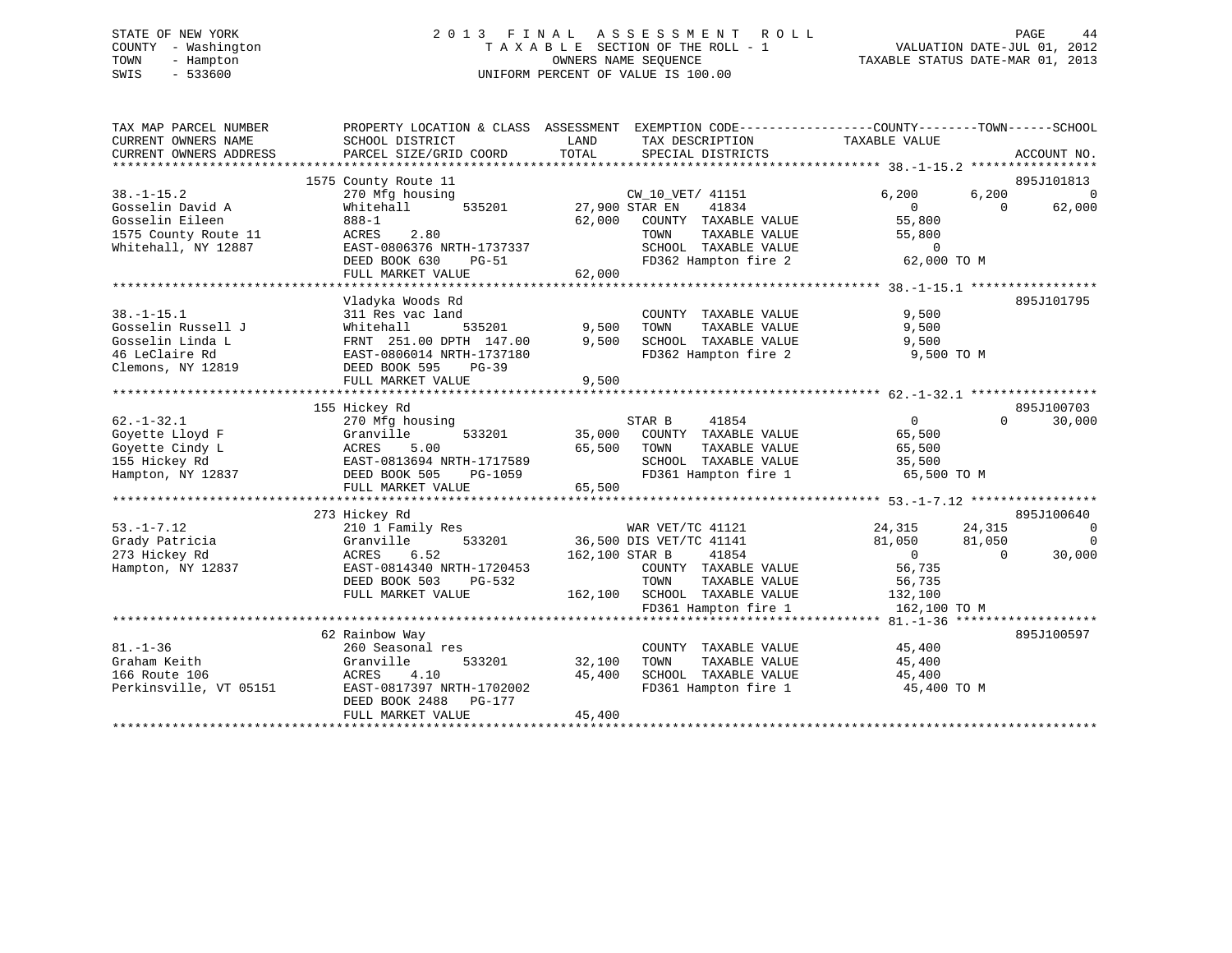# STATE OF NEW YORK 2 0 1 3 F I N A L A S S E S S M E N T R O L L PAGE 44 COUNTY - Washington T A X A B L E SECTION OF THE ROLL - 1 VALUATION DATE-JUL 01, 2012 TOWN - Hampton OWNERS NAME SEQUENCE TAXABLE STATUS DATE-MAR 01, 2013 SWIS - 533600 UNIFORM PERCENT OF VALUE IS 100.00

| 895J101813<br>1575 County Route 11<br>$38. - 1 - 15.2$<br>6,200<br>6,200<br>270 Mfg housing<br>CW_10_VET/ 41151<br>$\Omega$<br>41834<br>Gosselin David A<br>535201<br>27,900 STAR EN<br>$\overline{0}$<br>$\Omega$<br>62,000<br>Whitehall<br>Gosselin Eileen<br>55,800<br>888-1<br>62,000<br>COUNTY TAXABLE VALUE<br>2.80<br>ACRES<br>TOWN<br>TAXABLE VALUE<br>55,800<br>Whitehall, NY 12887<br>EAST-0806376 NRTH-1737337<br>SCHOOL TAXABLE VALUE<br>$\Omega$<br>FD362 Hampton fire 2<br>62,000 TO M<br>DEED BOOK 630<br>PG-51<br>FULL MARKET VALUE<br>62,000<br>Vladyka Woods Rd<br>895J101795<br>$38. - 1 - 15.1$<br>9,500<br>311 Res vac land<br>COUNTY TAXABLE VALUE<br>Gosselin Russell J<br>9,500<br>Whitehall<br>535201<br>TOWN<br>TAXABLE VALUE<br>9,500<br>Gosselin Linda L<br>9,500<br>SCHOOL TAXABLE VALUE<br>FRNT 251.00 DPTH 147.00<br>9,500<br>46 LeClaire Rd<br>EAST-0806014 NRTH-1737180<br>FD362 Hampton fire 2<br>9,500 TO M<br>Clemons, NY 12819<br>DEED BOOK 595<br>$PG-39$<br>FULL MARKET VALUE<br>9,500<br>155 Hickey Rd<br>895J100703<br>41854<br>$0 \qquad \qquad$<br>30,000<br>$62. - 1 - 32.1$<br>270 Mfg housing<br>STAR B<br>$\Omega$<br>Granville<br>35,000<br>COUNTY TAXABLE VALUE<br>Goyette Lloyd F<br>533201<br>65,500<br>Goyette Cindy L<br>5.00<br>65,500<br>TAXABLE VALUE<br>ACRES<br>TOWN<br>65,500<br>155 Hickey Rd<br>EAST-0813694 NRTH-1717589<br>SCHOOL TAXABLE VALUE<br>35,500<br>FD361 Hampton fire 1<br>Hampton, NY 12837<br>DEED BOOK 505<br>PG-1059<br>65,500 TO M<br>65,500<br>FULL MARKET VALUE<br>895J100640<br>273 Hickey Rd<br>$53. -1 - 7.12$<br>$\overline{0}$<br>210 1 Family Res<br>WAR VET/TC 41121<br>24,315<br>24,315<br>36,500 DIS VET/TC 41141<br>Grady Patricia<br>Granville<br>533201<br>81,050<br>81,050<br>$\overline{0}$<br>273 Hickey Rd<br>6.52<br>30,000<br>ACRES<br>162,100 STAR B<br>41854<br>$\overline{0}$<br>$\Omega$<br>Hampton, NY 12837<br>EAST-0814340 NRTH-1720453<br>COUNTY TAXABLE VALUE<br>56,735<br>DEED BOOK 503<br>TOWN<br>TAXABLE VALUE<br>56,735<br>PG-532<br>FULL MARKET VALUE<br>162,100 SCHOOL TAXABLE VALUE<br>132,100<br>FD361 Hampton fire 1<br>162,100 TO M<br>62 Rainbow Way<br>895J100597<br>$81. - 1 - 36$<br>COUNTY TAXABLE VALUE<br>260 Seasonal res<br>45,400<br>533201<br>32,100<br>Graham Keith<br>Granville<br>TOWN<br>TAXABLE VALUE<br>45,400<br>166 Route 106<br>4.10<br>45,400<br>SCHOOL TAXABLE VALUE<br>ACRES<br>45,400<br>EAST-0817397 NRTH-1702002<br>FD361 Hampton fire 1<br>Perkinsville, VT 05151<br>45,400 TO M<br>DEED BOOK 2488<br>PG-177<br>45,400<br>FULL MARKET VALUE | TAX MAP PARCEL NUMBER<br>CURRENT OWNERS NAME<br>CURRENT OWNERS ADDRESS | SCHOOL DISTRICT<br>PARCEL SIZE/GRID COORD | LAND<br>TAX DESCRIPTION<br>TOTAL<br>SPECIAL DISTRICTS | PROPERTY LOCATION & CLASS ASSESSMENT EXEMPTION CODE---------------COUNTY-------TOWN-----SCHOOL<br>TAXABLE VALUE<br>ACCOUNT NO. |
|---------------------------------------------------------------------------------------------------------------------------------------------------------------------------------------------------------------------------------------------------------------------------------------------------------------------------------------------------------------------------------------------------------------------------------------------------------------------------------------------------------------------------------------------------------------------------------------------------------------------------------------------------------------------------------------------------------------------------------------------------------------------------------------------------------------------------------------------------------------------------------------------------------------------------------------------------------------------------------------------------------------------------------------------------------------------------------------------------------------------------------------------------------------------------------------------------------------------------------------------------------------------------------------------------------------------------------------------------------------------------------------------------------------------------------------------------------------------------------------------------------------------------------------------------------------------------------------------------------------------------------------------------------------------------------------------------------------------------------------------------------------------------------------------------------------------------------------------------------------------------------------------------------------------------------------------------------------------------------------------------------------------------------------------------------------------------------------------------------------------------------------------------------------------------------------------------------------------------------------------------------------------------------------------------------------------------------------------------------------------------------------------------------------------------------------------------------------------------------------------------------------------------------------------------------------------------------------------|------------------------------------------------------------------------|-------------------------------------------|-------------------------------------------------------|--------------------------------------------------------------------------------------------------------------------------------|
|                                                                                                                                                                                                                                                                                                                                                                                                                                                                                                                                                                                                                                                                                                                                                                                                                                                                                                                                                                                                                                                                                                                                                                                                                                                                                                                                                                                                                                                                                                                                                                                                                                                                                                                                                                                                                                                                                                                                                                                                                                                                                                                                                                                                                                                                                                                                                                                                                                                                                                                                                                                             |                                                                        |                                           |                                                       |                                                                                                                                |
|                                                                                                                                                                                                                                                                                                                                                                                                                                                                                                                                                                                                                                                                                                                                                                                                                                                                                                                                                                                                                                                                                                                                                                                                                                                                                                                                                                                                                                                                                                                                                                                                                                                                                                                                                                                                                                                                                                                                                                                                                                                                                                                                                                                                                                                                                                                                                                                                                                                                                                                                                                                             |                                                                        |                                           |                                                       |                                                                                                                                |
|                                                                                                                                                                                                                                                                                                                                                                                                                                                                                                                                                                                                                                                                                                                                                                                                                                                                                                                                                                                                                                                                                                                                                                                                                                                                                                                                                                                                                                                                                                                                                                                                                                                                                                                                                                                                                                                                                                                                                                                                                                                                                                                                                                                                                                                                                                                                                                                                                                                                                                                                                                                             |                                                                        |                                           |                                                       |                                                                                                                                |
|                                                                                                                                                                                                                                                                                                                                                                                                                                                                                                                                                                                                                                                                                                                                                                                                                                                                                                                                                                                                                                                                                                                                                                                                                                                                                                                                                                                                                                                                                                                                                                                                                                                                                                                                                                                                                                                                                                                                                                                                                                                                                                                                                                                                                                                                                                                                                                                                                                                                                                                                                                                             |                                                                        |                                           |                                                       |                                                                                                                                |
|                                                                                                                                                                                                                                                                                                                                                                                                                                                                                                                                                                                                                                                                                                                                                                                                                                                                                                                                                                                                                                                                                                                                                                                                                                                                                                                                                                                                                                                                                                                                                                                                                                                                                                                                                                                                                                                                                                                                                                                                                                                                                                                                                                                                                                                                                                                                                                                                                                                                                                                                                                                             |                                                                        |                                           |                                                       |                                                                                                                                |
|                                                                                                                                                                                                                                                                                                                                                                                                                                                                                                                                                                                                                                                                                                                                                                                                                                                                                                                                                                                                                                                                                                                                                                                                                                                                                                                                                                                                                                                                                                                                                                                                                                                                                                                                                                                                                                                                                                                                                                                                                                                                                                                                                                                                                                                                                                                                                                                                                                                                                                                                                                                             | 1575 County Route 11                                                   |                                           |                                                       |                                                                                                                                |
|                                                                                                                                                                                                                                                                                                                                                                                                                                                                                                                                                                                                                                                                                                                                                                                                                                                                                                                                                                                                                                                                                                                                                                                                                                                                                                                                                                                                                                                                                                                                                                                                                                                                                                                                                                                                                                                                                                                                                                                                                                                                                                                                                                                                                                                                                                                                                                                                                                                                                                                                                                                             |                                                                        |                                           |                                                       |                                                                                                                                |
|                                                                                                                                                                                                                                                                                                                                                                                                                                                                                                                                                                                                                                                                                                                                                                                                                                                                                                                                                                                                                                                                                                                                                                                                                                                                                                                                                                                                                                                                                                                                                                                                                                                                                                                                                                                                                                                                                                                                                                                                                                                                                                                                                                                                                                                                                                                                                                                                                                                                                                                                                                                             |                                                                        |                                           |                                                       |                                                                                                                                |
|                                                                                                                                                                                                                                                                                                                                                                                                                                                                                                                                                                                                                                                                                                                                                                                                                                                                                                                                                                                                                                                                                                                                                                                                                                                                                                                                                                                                                                                                                                                                                                                                                                                                                                                                                                                                                                                                                                                                                                                                                                                                                                                                                                                                                                                                                                                                                                                                                                                                                                                                                                                             |                                                                        |                                           |                                                       |                                                                                                                                |
|                                                                                                                                                                                                                                                                                                                                                                                                                                                                                                                                                                                                                                                                                                                                                                                                                                                                                                                                                                                                                                                                                                                                                                                                                                                                                                                                                                                                                                                                                                                                                                                                                                                                                                                                                                                                                                                                                                                                                                                                                                                                                                                                                                                                                                                                                                                                                                                                                                                                                                                                                                                             |                                                                        |                                           |                                                       |                                                                                                                                |
|                                                                                                                                                                                                                                                                                                                                                                                                                                                                                                                                                                                                                                                                                                                                                                                                                                                                                                                                                                                                                                                                                                                                                                                                                                                                                                                                                                                                                                                                                                                                                                                                                                                                                                                                                                                                                                                                                                                                                                                                                                                                                                                                                                                                                                                                                                                                                                                                                                                                                                                                                                                             |                                                                        |                                           |                                                       |                                                                                                                                |
|                                                                                                                                                                                                                                                                                                                                                                                                                                                                                                                                                                                                                                                                                                                                                                                                                                                                                                                                                                                                                                                                                                                                                                                                                                                                                                                                                                                                                                                                                                                                                                                                                                                                                                                                                                                                                                                                                                                                                                                                                                                                                                                                                                                                                                                                                                                                                                                                                                                                                                                                                                                             |                                                                        |                                           |                                                       |                                                                                                                                |
|                                                                                                                                                                                                                                                                                                                                                                                                                                                                                                                                                                                                                                                                                                                                                                                                                                                                                                                                                                                                                                                                                                                                                                                                                                                                                                                                                                                                                                                                                                                                                                                                                                                                                                                                                                                                                                                                                                                                                                                                                                                                                                                                                                                                                                                                                                                                                                                                                                                                                                                                                                                             |                                                                        |                                           |                                                       |                                                                                                                                |
|                                                                                                                                                                                                                                                                                                                                                                                                                                                                                                                                                                                                                                                                                                                                                                                                                                                                                                                                                                                                                                                                                                                                                                                                                                                                                                                                                                                                                                                                                                                                                                                                                                                                                                                                                                                                                                                                                                                                                                                                                                                                                                                                                                                                                                                                                                                                                                                                                                                                                                                                                                                             |                                                                        |                                           |                                                       |                                                                                                                                |
|                                                                                                                                                                                                                                                                                                                                                                                                                                                                                                                                                                                                                                                                                                                                                                                                                                                                                                                                                                                                                                                                                                                                                                                                                                                                                                                                                                                                                                                                                                                                                                                                                                                                                                                                                                                                                                                                                                                                                                                                                                                                                                                                                                                                                                                                                                                                                                                                                                                                                                                                                                                             |                                                                        |                                           |                                                       |                                                                                                                                |
|                                                                                                                                                                                                                                                                                                                                                                                                                                                                                                                                                                                                                                                                                                                                                                                                                                                                                                                                                                                                                                                                                                                                                                                                                                                                                                                                                                                                                                                                                                                                                                                                                                                                                                                                                                                                                                                                                                                                                                                                                                                                                                                                                                                                                                                                                                                                                                                                                                                                                                                                                                                             |                                                                        |                                           |                                                       |                                                                                                                                |
|                                                                                                                                                                                                                                                                                                                                                                                                                                                                                                                                                                                                                                                                                                                                                                                                                                                                                                                                                                                                                                                                                                                                                                                                                                                                                                                                                                                                                                                                                                                                                                                                                                                                                                                                                                                                                                                                                                                                                                                                                                                                                                                                                                                                                                                                                                                                                                                                                                                                                                                                                                                             |                                                                        |                                           |                                                       |                                                                                                                                |
|                                                                                                                                                                                                                                                                                                                                                                                                                                                                                                                                                                                                                                                                                                                                                                                                                                                                                                                                                                                                                                                                                                                                                                                                                                                                                                                                                                                                                                                                                                                                                                                                                                                                                                                                                                                                                                                                                                                                                                                                                                                                                                                                                                                                                                                                                                                                                                                                                                                                                                                                                                                             |                                                                        |                                           |                                                       |                                                                                                                                |
|                                                                                                                                                                                                                                                                                                                                                                                                                                                                                                                                                                                                                                                                                                                                                                                                                                                                                                                                                                                                                                                                                                                                                                                                                                                                                                                                                                                                                                                                                                                                                                                                                                                                                                                                                                                                                                                                                                                                                                                                                                                                                                                                                                                                                                                                                                                                                                                                                                                                                                                                                                                             |                                                                        |                                           |                                                       |                                                                                                                                |
|                                                                                                                                                                                                                                                                                                                                                                                                                                                                                                                                                                                                                                                                                                                                                                                                                                                                                                                                                                                                                                                                                                                                                                                                                                                                                                                                                                                                                                                                                                                                                                                                                                                                                                                                                                                                                                                                                                                                                                                                                                                                                                                                                                                                                                                                                                                                                                                                                                                                                                                                                                                             |                                                                        |                                           |                                                       |                                                                                                                                |
|                                                                                                                                                                                                                                                                                                                                                                                                                                                                                                                                                                                                                                                                                                                                                                                                                                                                                                                                                                                                                                                                                                                                                                                                                                                                                                                                                                                                                                                                                                                                                                                                                                                                                                                                                                                                                                                                                                                                                                                                                                                                                                                                                                                                                                                                                                                                                                                                                                                                                                                                                                                             |                                                                        |                                           |                                                       |                                                                                                                                |
|                                                                                                                                                                                                                                                                                                                                                                                                                                                                                                                                                                                                                                                                                                                                                                                                                                                                                                                                                                                                                                                                                                                                                                                                                                                                                                                                                                                                                                                                                                                                                                                                                                                                                                                                                                                                                                                                                                                                                                                                                                                                                                                                                                                                                                                                                                                                                                                                                                                                                                                                                                                             |                                                                        |                                           |                                                       |                                                                                                                                |
|                                                                                                                                                                                                                                                                                                                                                                                                                                                                                                                                                                                                                                                                                                                                                                                                                                                                                                                                                                                                                                                                                                                                                                                                                                                                                                                                                                                                                                                                                                                                                                                                                                                                                                                                                                                                                                                                                                                                                                                                                                                                                                                                                                                                                                                                                                                                                                                                                                                                                                                                                                                             |                                                                        |                                           |                                                       |                                                                                                                                |
|                                                                                                                                                                                                                                                                                                                                                                                                                                                                                                                                                                                                                                                                                                                                                                                                                                                                                                                                                                                                                                                                                                                                                                                                                                                                                                                                                                                                                                                                                                                                                                                                                                                                                                                                                                                                                                                                                                                                                                                                                                                                                                                                                                                                                                                                                                                                                                                                                                                                                                                                                                                             |                                                                        |                                           |                                                       |                                                                                                                                |
|                                                                                                                                                                                                                                                                                                                                                                                                                                                                                                                                                                                                                                                                                                                                                                                                                                                                                                                                                                                                                                                                                                                                                                                                                                                                                                                                                                                                                                                                                                                                                                                                                                                                                                                                                                                                                                                                                                                                                                                                                                                                                                                                                                                                                                                                                                                                                                                                                                                                                                                                                                                             |                                                                        |                                           |                                                       |                                                                                                                                |
|                                                                                                                                                                                                                                                                                                                                                                                                                                                                                                                                                                                                                                                                                                                                                                                                                                                                                                                                                                                                                                                                                                                                                                                                                                                                                                                                                                                                                                                                                                                                                                                                                                                                                                                                                                                                                                                                                                                                                                                                                                                                                                                                                                                                                                                                                                                                                                                                                                                                                                                                                                                             |                                                                        |                                           |                                                       |                                                                                                                                |
|                                                                                                                                                                                                                                                                                                                                                                                                                                                                                                                                                                                                                                                                                                                                                                                                                                                                                                                                                                                                                                                                                                                                                                                                                                                                                                                                                                                                                                                                                                                                                                                                                                                                                                                                                                                                                                                                                                                                                                                                                                                                                                                                                                                                                                                                                                                                                                                                                                                                                                                                                                                             |                                                                        |                                           |                                                       |                                                                                                                                |
|                                                                                                                                                                                                                                                                                                                                                                                                                                                                                                                                                                                                                                                                                                                                                                                                                                                                                                                                                                                                                                                                                                                                                                                                                                                                                                                                                                                                                                                                                                                                                                                                                                                                                                                                                                                                                                                                                                                                                                                                                                                                                                                                                                                                                                                                                                                                                                                                                                                                                                                                                                                             |                                                                        |                                           |                                                       |                                                                                                                                |
|                                                                                                                                                                                                                                                                                                                                                                                                                                                                                                                                                                                                                                                                                                                                                                                                                                                                                                                                                                                                                                                                                                                                                                                                                                                                                                                                                                                                                                                                                                                                                                                                                                                                                                                                                                                                                                                                                                                                                                                                                                                                                                                                                                                                                                                                                                                                                                                                                                                                                                                                                                                             |                                                                        |                                           |                                                       |                                                                                                                                |
|                                                                                                                                                                                                                                                                                                                                                                                                                                                                                                                                                                                                                                                                                                                                                                                                                                                                                                                                                                                                                                                                                                                                                                                                                                                                                                                                                                                                                                                                                                                                                                                                                                                                                                                                                                                                                                                                                                                                                                                                                                                                                                                                                                                                                                                                                                                                                                                                                                                                                                                                                                                             |                                                                        |                                           |                                                       |                                                                                                                                |
|                                                                                                                                                                                                                                                                                                                                                                                                                                                                                                                                                                                                                                                                                                                                                                                                                                                                                                                                                                                                                                                                                                                                                                                                                                                                                                                                                                                                                                                                                                                                                                                                                                                                                                                                                                                                                                                                                                                                                                                                                                                                                                                                                                                                                                                                                                                                                                                                                                                                                                                                                                                             |                                                                        |                                           |                                                       |                                                                                                                                |
|                                                                                                                                                                                                                                                                                                                                                                                                                                                                                                                                                                                                                                                                                                                                                                                                                                                                                                                                                                                                                                                                                                                                                                                                                                                                                                                                                                                                                                                                                                                                                                                                                                                                                                                                                                                                                                                                                                                                                                                                                                                                                                                                                                                                                                                                                                                                                                                                                                                                                                                                                                                             |                                                                        |                                           |                                                       |                                                                                                                                |
|                                                                                                                                                                                                                                                                                                                                                                                                                                                                                                                                                                                                                                                                                                                                                                                                                                                                                                                                                                                                                                                                                                                                                                                                                                                                                                                                                                                                                                                                                                                                                                                                                                                                                                                                                                                                                                                                                                                                                                                                                                                                                                                                                                                                                                                                                                                                                                                                                                                                                                                                                                                             |                                                                        |                                           |                                                       |                                                                                                                                |
|                                                                                                                                                                                                                                                                                                                                                                                                                                                                                                                                                                                                                                                                                                                                                                                                                                                                                                                                                                                                                                                                                                                                                                                                                                                                                                                                                                                                                                                                                                                                                                                                                                                                                                                                                                                                                                                                                                                                                                                                                                                                                                                                                                                                                                                                                                                                                                                                                                                                                                                                                                                             |                                                                        |                                           |                                                       |                                                                                                                                |
|                                                                                                                                                                                                                                                                                                                                                                                                                                                                                                                                                                                                                                                                                                                                                                                                                                                                                                                                                                                                                                                                                                                                                                                                                                                                                                                                                                                                                                                                                                                                                                                                                                                                                                                                                                                                                                                                                                                                                                                                                                                                                                                                                                                                                                                                                                                                                                                                                                                                                                                                                                                             |                                                                        |                                           |                                                       |                                                                                                                                |
|                                                                                                                                                                                                                                                                                                                                                                                                                                                                                                                                                                                                                                                                                                                                                                                                                                                                                                                                                                                                                                                                                                                                                                                                                                                                                                                                                                                                                                                                                                                                                                                                                                                                                                                                                                                                                                                                                                                                                                                                                                                                                                                                                                                                                                                                                                                                                                                                                                                                                                                                                                                             |                                                                        |                                           |                                                       |                                                                                                                                |
|                                                                                                                                                                                                                                                                                                                                                                                                                                                                                                                                                                                                                                                                                                                                                                                                                                                                                                                                                                                                                                                                                                                                                                                                                                                                                                                                                                                                                                                                                                                                                                                                                                                                                                                                                                                                                                                                                                                                                                                                                                                                                                                                                                                                                                                                                                                                                                                                                                                                                                                                                                                             |                                                                        |                                           |                                                       |                                                                                                                                |
|                                                                                                                                                                                                                                                                                                                                                                                                                                                                                                                                                                                                                                                                                                                                                                                                                                                                                                                                                                                                                                                                                                                                                                                                                                                                                                                                                                                                                                                                                                                                                                                                                                                                                                                                                                                                                                                                                                                                                                                                                                                                                                                                                                                                                                                                                                                                                                                                                                                                                                                                                                                             |                                                                        |                                           |                                                       |                                                                                                                                |
|                                                                                                                                                                                                                                                                                                                                                                                                                                                                                                                                                                                                                                                                                                                                                                                                                                                                                                                                                                                                                                                                                                                                                                                                                                                                                                                                                                                                                                                                                                                                                                                                                                                                                                                                                                                                                                                                                                                                                                                                                                                                                                                                                                                                                                                                                                                                                                                                                                                                                                                                                                                             |                                                                        |                                           |                                                       |                                                                                                                                |
|                                                                                                                                                                                                                                                                                                                                                                                                                                                                                                                                                                                                                                                                                                                                                                                                                                                                                                                                                                                                                                                                                                                                                                                                                                                                                                                                                                                                                                                                                                                                                                                                                                                                                                                                                                                                                                                                                                                                                                                                                                                                                                                                                                                                                                                                                                                                                                                                                                                                                                                                                                                             |                                                                        |                                           |                                                       |                                                                                                                                |
|                                                                                                                                                                                                                                                                                                                                                                                                                                                                                                                                                                                                                                                                                                                                                                                                                                                                                                                                                                                                                                                                                                                                                                                                                                                                                                                                                                                                                                                                                                                                                                                                                                                                                                                                                                                                                                                                                                                                                                                                                                                                                                                                                                                                                                                                                                                                                                                                                                                                                                                                                                                             |                                                                        |                                           |                                                       |                                                                                                                                |
|                                                                                                                                                                                                                                                                                                                                                                                                                                                                                                                                                                                                                                                                                                                                                                                                                                                                                                                                                                                                                                                                                                                                                                                                                                                                                                                                                                                                                                                                                                                                                                                                                                                                                                                                                                                                                                                                                                                                                                                                                                                                                                                                                                                                                                                                                                                                                                                                                                                                                                                                                                                             |                                                                        |                                           |                                                       |                                                                                                                                |
|                                                                                                                                                                                                                                                                                                                                                                                                                                                                                                                                                                                                                                                                                                                                                                                                                                                                                                                                                                                                                                                                                                                                                                                                                                                                                                                                                                                                                                                                                                                                                                                                                                                                                                                                                                                                                                                                                                                                                                                                                                                                                                                                                                                                                                                                                                                                                                                                                                                                                                                                                                                             |                                                                        |                                           |                                                       |                                                                                                                                |
|                                                                                                                                                                                                                                                                                                                                                                                                                                                                                                                                                                                                                                                                                                                                                                                                                                                                                                                                                                                                                                                                                                                                                                                                                                                                                                                                                                                                                                                                                                                                                                                                                                                                                                                                                                                                                                                                                                                                                                                                                                                                                                                                                                                                                                                                                                                                                                                                                                                                                                                                                                                             |                                                                        |                                           |                                                       |                                                                                                                                |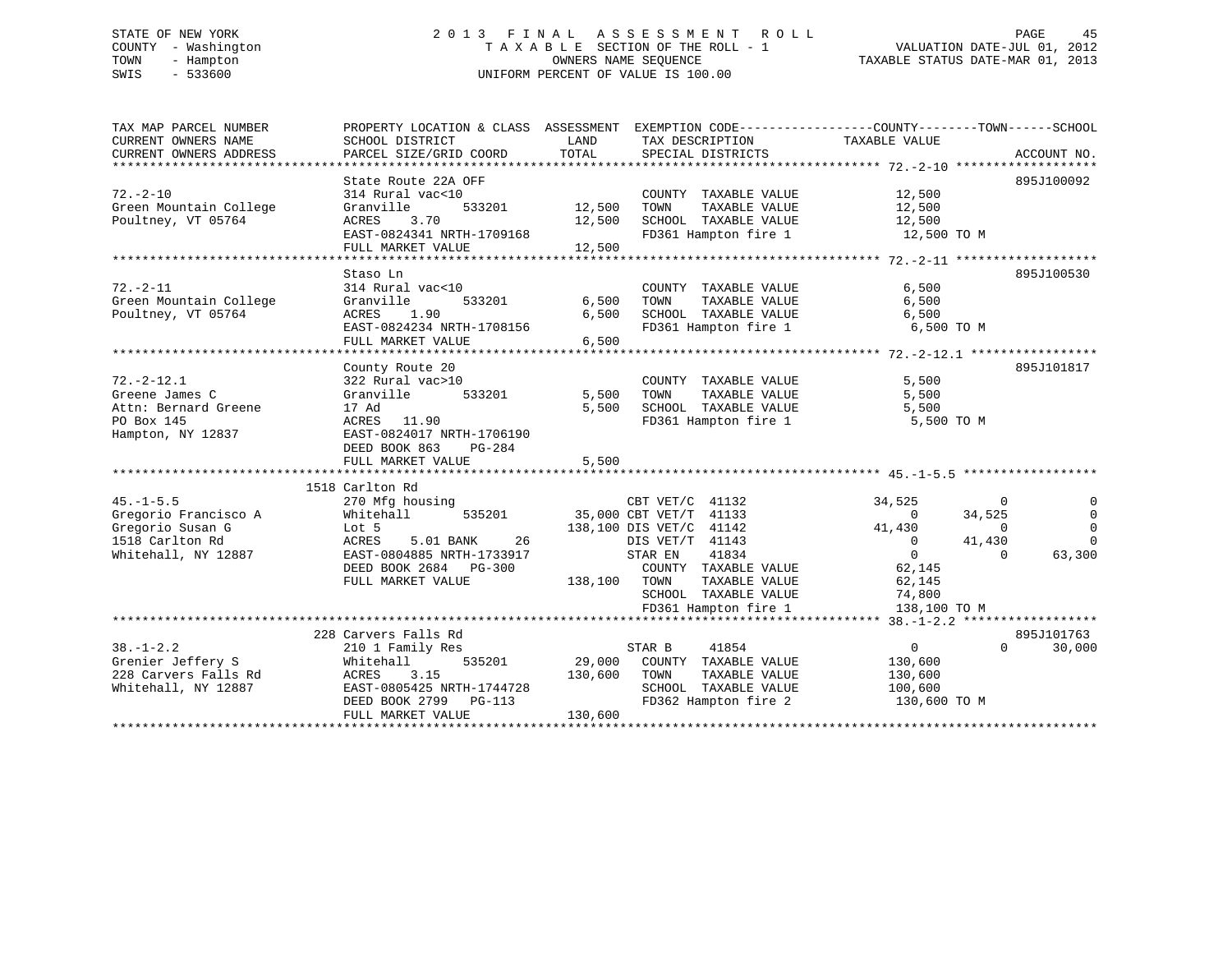#### STATE OF NEW YORK 2 0 1 3 F I N A L A S S E S S M E N T R O L L PAGE 45COUNTY - Washington T A X A B L E SECTION OF THE ROLL - 1 VALUATION DATE-JUL 01, 2012 TOWN - Hampton OWNERS NAME SEQUENCE TAXABLE STATUS DATE-MAR 01, 2013 SWIS - 533600 UNIFORM PERCENT OF VALUE IS 100.00

| TAX MAP PARCEL NUMBER<br>CURRENT OWNERS NAME<br>CURRENT OWNERS ADDRESS | PROPERTY LOCATION & CLASS ASSESSMENT EXEMPTION CODE----------------COUNTY-------TOWN------SCHOOL<br>SCHOOL DISTRICT<br>PARCEL SIZE/GRID COORD | LAND<br>TOTAL  | TAX DESCRIPTION<br>SPECIAL DISTRICTS          | TAXABLE VALUE       | ACCOUNT NO.          |
|------------------------------------------------------------------------|-----------------------------------------------------------------------------------------------------------------------------------------------|----------------|-----------------------------------------------|---------------------|----------------------|
|                                                                        |                                                                                                                                               |                |                                               |                     |                      |
|                                                                        | State Route 22A OFF                                                                                                                           |                |                                               |                     | 895J100092           |
| $72. - 2 - 10$                                                         | 314 Rural vac<10                                                                                                                              |                | COUNTY TAXABLE VALUE                          | 12,500              |                      |
| Green Mountain College                                                 | Granville<br>533201                                                                                                                           | 12,500         | TAXABLE VALUE<br>TOWN                         | 12,500              |                      |
| Poultney, VT 05764                                                     | 3.70<br>ACRES                                                                                                                                 | 12,500         | SCHOOL TAXABLE VALUE                          | 12,500              |                      |
|                                                                        | EAST-0824341 NRTH-1709168                                                                                                                     |                | FD361 Hampton fire 1                          | 12,500 TO M         |                      |
|                                                                        | FULL MARKET VALUE                                                                                                                             | 12,500         |                                               |                     |                      |
|                                                                        |                                                                                                                                               |                |                                               |                     |                      |
|                                                                        | Staso Ln                                                                                                                                      |                |                                               |                     | 895J100530           |
| $72. - 2 - 11$                                                         | 314 Rural vac<10                                                                                                                              |                | COUNTY TAXABLE VALUE                          | 6,500               |                      |
| Green Mountain College                                                 | Granville<br>533201                                                                                                                           | 6,500          | TOWN<br>TAXABLE VALUE                         | 6,500               |                      |
| Poultney, VT 05764                                                     | ACRES<br>1.90                                                                                                                                 | 6,500          | SCHOOL TAXABLE VALUE                          | 6,500               |                      |
|                                                                        | EAST-0824234 NRTH-1708156                                                                                                                     |                | FD361 Hampton fire 1                          | 6,500 TO M          |                      |
|                                                                        | FULL MARKET VALUE                                                                                                                             | 6,500          |                                               |                     |                      |
|                                                                        |                                                                                                                                               |                |                                               |                     |                      |
|                                                                        | County Route 20                                                                                                                               |                |                                               |                     | 895J101817           |
| $72. - 2 - 12.1$                                                       | 322 Rural vac>10                                                                                                                              |                | COUNTY TAXABLE VALUE                          | 5,500               |                      |
| Greene James C                                                         | Granville<br>533201                                                                                                                           | 5,500<br>5,500 | TAXABLE VALUE<br>TOWN<br>SCHOOL TAXABLE VALUE | 5,500               |                      |
| Attn: Bernard Greene                                                   | 17 Ad<br>11.90                                                                                                                                |                | FD361 Hampton fire 1                          | 5,500<br>5,500 TO M |                      |
| PO Box 145<br>Hampton, NY 12837                                        | ACRES<br>EAST-0824017 NRTH-1706190                                                                                                            |                |                                               |                     |                      |
|                                                                        | DEED BOOK 863<br>PG-284                                                                                                                       |                |                                               |                     |                      |
|                                                                        | FULL MARKET VALUE                                                                                                                             | 5,500          |                                               |                     |                      |
|                                                                        |                                                                                                                                               |                |                                               |                     |                      |
|                                                                        | 1518 Carlton Rd                                                                                                                               |                |                                               |                     |                      |
| $45. -1 - 5.5$                                                         | 270 Mfg housing                                                                                                                               |                | CBT VET/C 41132                               | 34,525              | $\Omega$<br>$\Omega$ |
| Gregorio Francisco A                                                   | 535201<br>Whitehall                                                                                                                           |                | 35,000 CBT VET/T 41133                        | $\Omega$            | 34,525<br>$\Omega$   |
| Gregorio Susan G                                                       | Lot 5                                                                                                                                         |                | 138,100 DIS VET/C 41142                       | 41,430              | $\Omega$<br>$\Omega$ |
| 1518 Carlton Rd                                                        | ACRES<br>5.01 BANK<br>26                                                                                                                      |                | DIS VET/T 41143                               | $\mathbf{0}$        | 41,430<br>$\Omega$   |
| Whitehall, NY 12887                                                    | EAST-0804885 NRTH-1733917                                                                                                                     |                | 41834<br>STAR EN                              | $\overline{0}$      | 63,300<br>$\Omega$   |
|                                                                        | DEED BOOK 2684 PG-300                                                                                                                         |                | COUNTY TAXABLE VALUE                          | 62,145              |                      |
|                                                                        | FULL MARKET VALUE                                                                                                                             | 138,100        | TOWN<br>TAXABLE VALUE                         | 62,145              |                      |
|                                                                        |                                                                                                                                               |                | SCHOOL TAXABLE VALUE                          | 74,800              |                      |
|                                                                        |                                                                                                                                               |                | FD361 Hampton fire 1                          | 138,100 TO M        |                      |
|                                                                        |                                                                                                                                               |                |                                               |                     |                      |
|                                                                        | 228 Carvers Falls Rd                                                                                                                          |                |                                               |                     | 895J101763           |
| $38. - 1 - 2.2$                                                        | 210 1 Family Res                                                                                                                              |                | 41854<br>STAR B                               | 0                   | $\Omega$<br>30,000   |
| Grenier Jeffery S                                                      | Whitehall<br>535201                                                                                                                           | 29,000         | COUNTY TAXABLE VALUE                          | 130,600             |                      |
| 228 Carvers Falls Rd                                                   | 3.15<br>ACRES                                                                                                                                 | 130,600        | TOWN<br>TAXABLE VALUE                         | 130,600             |                      |
| Whitehall, NY 12887                                                    | EAST-0805425 NRTH-1744728                                                                                                                     |                | SCHOOL TAXABLE VALUE                          | 100,600             |                      |
|                                                                        | DEED BOOK 2799 PG-113<br>FULL MARKET VALUE                                                                                                    | 130,600        | FD362 Hampton fire 2                          | 130,600 TO M        |                      |
|                                                                        |                                                                                                                                               |                |                                               |                     |                      |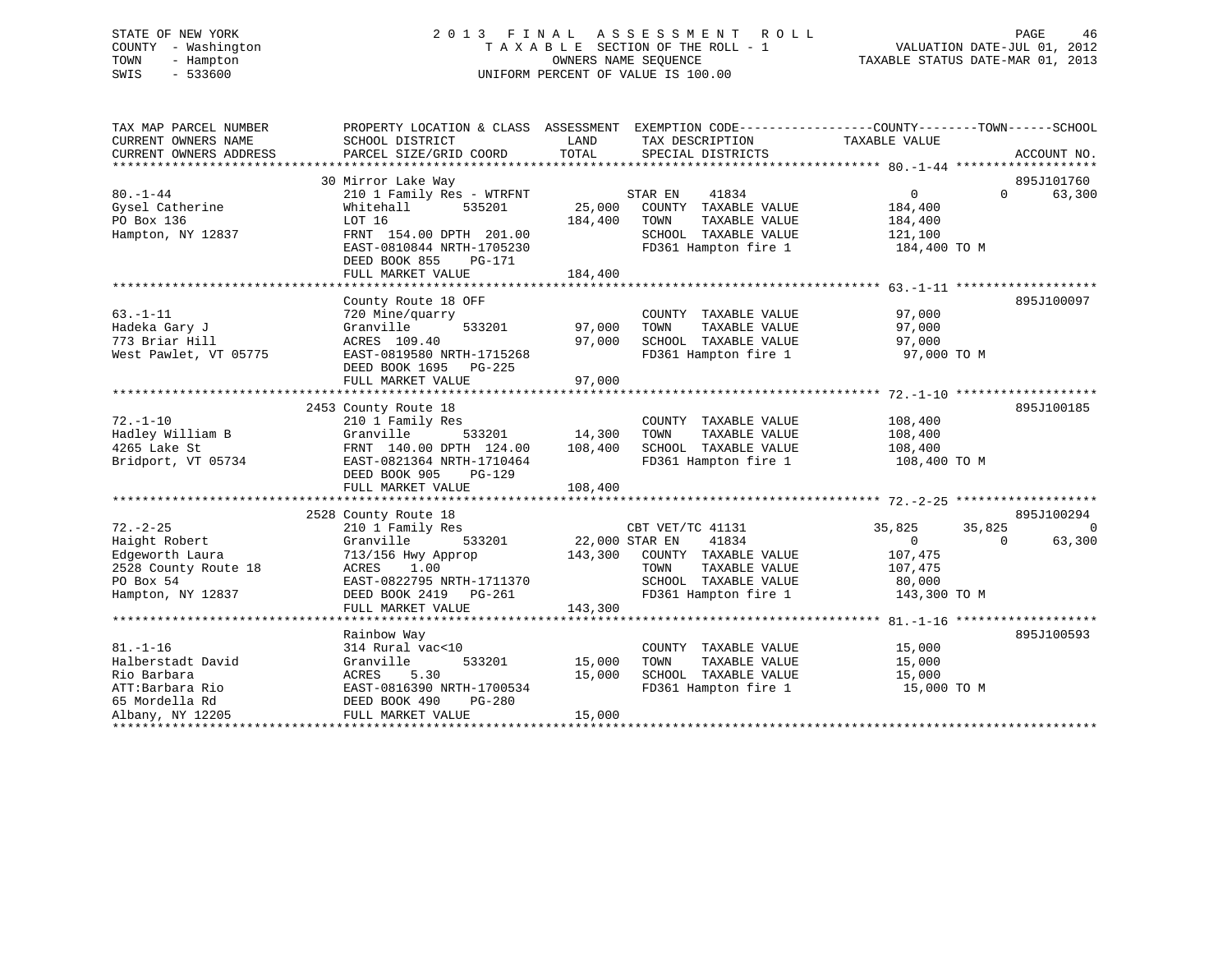# STATE OF NEW YORK 2 0 1 3 F I N A L A S S E S S M E N T R O L L PAGE 46 COUNTY - Washington T A X A B L E SECTION OF THE ROLL - 1 VALUATION DATE-JUL 01, 2012 TOWN - Hampton OWNERS NAME SEQUENCE TAXABLE STATUS DATE-MAR 01, 2013 SWIS - 533600 UNIFORM PERCENT OF VALUE IS 100.00

| TAX MAP PARCEL NUMBER<br>CURRENT OWNERS NAME<br>CURRENT OWNERS ADDRESS | PROPERTY LOCATION & CLASS ASSESSMENT EXEMPTION CODE---------------COUNTY-------TOWN-----SCHOOL<br>SCHOOL DISTRICT<br>PARCEL SIZE/GRID COORD | LAND<br>TOTAL                | TAX DESCRIPTION<br>SPECIAL DISTRICTS          | TAXABLE VALUE      | ACCOUNT NO.                 |
|------------------------------------------------------------------------|---------------------------------------------------------------------------------------------------------------------------------------------|------------------------------|-----------------------------------------------|--------------------|-----------------------------|
|                                                                        | 30 Mirror Lake Way                                                                                                                          |                              |                                               |                    | 895J101760                  |
| $80. - 1 - 44$                                                         | 210 1 Family Res - WTRFNT                                                                                                                   |                              | STAR EN<br>41834                              | $\overline{0}$     | $0 \qquad \qquad$<br>63,300 |
| Gysel Catherine                                                        | 535201<br>Whitehall                                                                                                                         |                              | 25,000 COUNTY TAXABLE VALUE                   | 184,400            |                             |
| PO Box 136                                                             | LOT 16                                                                                                                                      | 184,400                      | TOWN<br>TAXABLE VALUE                         | 184,400            |                             |
| Hampton, NY 12837                                                      | FRNT 154.00 DPTH 201.00                                                                                                                     |                              | SCHOOL TAXABLE VALUE                          | 121,100            |                             |
|                                                                        | EAST-0810844 NRTH-1705230<br>DEED BOOK 855<br>PG-171<br>FULL MARKET VALUE                                                                   | 184,400                      | FD361 Hampton fire 1                          | 184,400 TO M       |                             |
|                                                                        |                                                                                                                                             |                              |                                               |                    |                             |
|                                                                        | County Route 18 OFF                                                                                                                         |                              |                                               |                    | 895J100097                  |
| $63. -1 - 11$                                                          | 720 Mine/quarry                                                                                                                             |                              | COUNTY TAXABLE VALUE                          | 97,000             |                             |
| Hadeka Gary J                                                          | 533201<br>Granville                                                                                                                         | 97,000                       | TOWN<br>TAXABLE VALUE                         | 97,000             |                             |
| 773 Briar Hill                                                         | ACRES 109.40                                                                                                                                | 97,000                       | SCHOOL TAXABLE VALUE 97,000                   |                    |                             |
| West Pawlet, VT 05775                                                  | EAST-0819580 NRTH-1715268<br>DEED BOOK 1695 PG-225                                                                                          |                              | FD361 Hampton fire 1                          | 97,000 TO M        |                             |
|                                                                        | FULL MARKET VALUE                                                                                                                           | 97,000                       |                                               |                    |                             |
|                                                                        |                                                                                                                                             |                              |                                               |                    |                             |
|                                                                        | 2453 County Route 18                                                                                                                        |                              |                                               |                    | 895J100185                  |
| $72. - 1 - 10$<br>Hadley William B                                     | 210 1 Family Res<br>Granville                                                                                                               | 533201 14,300                | COUNTY TAXABLE VALUE<br>TAXABLE VALUE<br>TOWN | 108,400<br>108,400 |                             |
| 4265 Lake St                                                           | FRNT 140.00 DPTH 124.00                                                                                                                     | 108,400                      | SCHOOL TAXABLE VALUE 108,400                  |                    |                             |
| Bridport, VT 05734                                                     | EAST-0821364 NRTH-1710464<br>DEED BOOK 905 PG-129                                                                                           |                              | FD361 Hampton fire 1                          | 108,400 TO M       |                             |
|                                                                        |                                                                                                                                             |                              |                                               |                    |                             |
|                                                                        |                                                                                                                                             |                              |                                               |                    |                             |
|                                                                        | 2528 County Route 18                                                                                                                        |                              |                                               |                    | 895J100294                  |
| $72. - 2 - 25$                                                         | 210 1 Family Res                                                                                                                            |                              | CBT VET/TC 41131                              | 35,825             | 35,825<br>$\overline{0}$    |
| Haight Robert                                                          | 533201<br>Granville                                                                                                                         | CBT VET/TC<br>22,000 STAR EN | 41834                                         | $\overline{0}$     | 63,300<br>$\Omega$          |
| Edgeworth Laura                                                        | 713/156 Hwy Approp 143,300 COUNTY TAXABLE VALUE                                                                                             |                              |                                               | 107,475            |                             |
| 2528 County Route 18                                                   | ACRES<br>1.00                                                                                                                               |                              | TOWN<br>TAXABLE VALUE                         | 107,475            |                             |
| PO Box 54                                                              | EAST-0822795 NRTH-1711370                                                                                                                   |                              | SCHOOL TAXABLE VALUE                          | 80,000             |                             |
| Hampton, NY 12837                                                      | DEED BOOK 2419    PG-261                                                                                                                    |                              | FD361 Hampton fire 1 143,300 TO M             |                    |                             |
|                                                                        | FULL MARKET VALUE                                                                                                                           | 143,300                      |                                               |                    |                             |
|                                                                        |                                                                                                                                             |                              |                                               |                    |                             |
|                                                                        | Rainbow Way                                                                                                                                 |                              |                                               |                    | 895J100593                  |
| $81. - 1 - 16$                                                         | 314 Rural vac<10                                                                                                                            |                              | COUNTY TAXABLE VALUE                          | 15,000             |                             |
| Halberstadt David                                                      | Granville<br>533201                                                                                                                         | 15,000                       | TOWN<br>TAXABLE VALUE                         | 15,000             |                             |
| Rio Barbara                                                            | 5.30<br>ACRES                                                                                                                               | 15,000                       | SCHOOL TAXABLE VALUE                          | 15,000             |                             |
| ATT:Barbara Rio                                                        | EAST-0816390 NRTH-1700534                                                                                                                   |                              | FD361 Hampton fire 1                          | 15,000 TO M        |                             |
| 65 Mordella Rd                                                         | DEED BOOK 490<br>PG-280                                                                                                                     |                              |                                               |                    |                             |
| Albany, NY 12205                                                       | FULL MARKET VALUE                                                                                                                           | 15,000                       |                                               |                    |                             |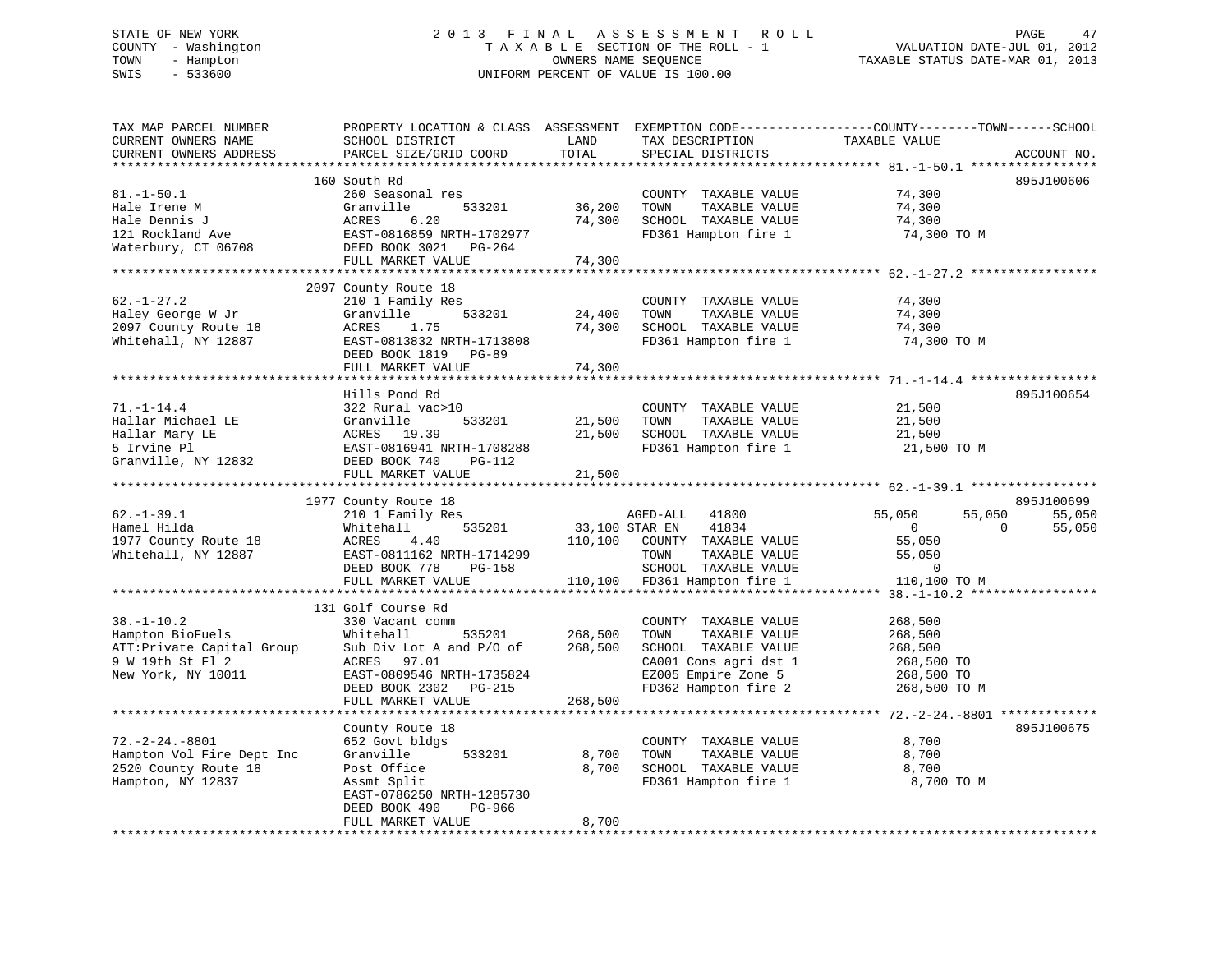# STATE OF NEW YORK 2 0 1 3 F I N A L A S S E S S M E N T R O L L PAGE 47 COUNTY - Washington T A X A B L E SECTION OF THE ROLL - 1 VALUATION DATE-JUL 01, 2012 TOWN - Hampton OWNERS NAME SEQUENCE TAXABLE STATUS DATE-MAR 01, 2013 SWIS - 533600 UNIFORM PERCENT OF VALUE IS 100.00

| TAX MAP PARCEL NUMBER<br>CURRENT OWNERS NAME<br>CURRENT OWNERS ADDRESS                                       | SCHOOL DISTRICT<br>PARCEL SIZE/GRID COORD                                                                                                                                          | LAND<br>TOTAL                 | TAX DESCRIPTION<br>SPECIAL DISTRICTS                                                                                                          | PROPERTY LOCATION & CLASS ASSESSMENT EXEMPTION CODE----------------COUNTY-------TOWN------SCHOOL<br>TAXABLE VALUE<br>ACCOUNT NO.    |
|--------------------------------------------------------------------------------------------------------------|------------------------------------------------------------------------------------------------------------------------------------------------------------------------------------|-------------------------------|-----------------------------------------------------------------------------------------------------------------------------------------------|-------------------------------------------------------------------------------------------------------------------------------------|
|                                                                                                              |                                                                                                                                                                                    |                               |                                                                                                                                               |                                                                                                                                     |
| $81. - 1 - 50.1$<br>Hale Irene M<br>Hale Dennis J<br>121 Rockland Ave<br>Waterbury, CT 06708                 | 160 South Rd<br>260 Seasonal res<br>Granville<br>533201<br>ACRES<br>6.20<br>EAST-0816859 NRTH-1702977<br>DEED BOOK 3021    PG-264<br>FULL MARKET VALUE                             | 36,200<br>74,300<br>74,300    | COUNTY TAXABLE VALUE<br>TOWN<br>TAXABLE VALUE<br>SCHOOL TAXABLE VALUE<br>FD361 Hampton fire 1                                                 | 895J100606<br>74,300<br>74,300<br>74,300<br>74,300 TO M                                                                             |
|                                                                                                              |                                                                                                                                                                                    |                               |                                                                                                                                               |                                                                                                                                     |
| $62. - 1 - 27.2$<br>Haley George W Jr<br>2097 County Route 18<br>Whitehall, NY 12887                         | 2097 County Route 18<br>210 1 Family Res<br>Granville<br>533201<br>ACRES<br>1.75<br>EAST-0813832 NRTH-1713808<br>DEED BOOK 1819 PG-89                                              | 24,400<br>74,300              | COUNTY TAXABLE VALUE<br>TOWN<br>TAXABLE VALUE<br>SCHOOL TAXABLE VALUE<br>FD361 Hampton fire 1                                                 | 74,300<br>74,300<br>74,300<br>74,300 TO M                                                                                           |
|                                                                                                              | FULL MARKET VALUE                                                                                                                                                                  | 74,300<br>***********         |                                                                                                                                               |                                                                                                                                     |
| $71. - 1 - 14.4$<br>Hallar Michael LE<br>Hallar Mary LE<br>5 Irvine Pl                                       | Hills Pond Rd<br>322 Rural vac>10<br>Granville<br>533201<br>ACRES 19.39<br>EAST-0816941 NRTH-1708288                                                                               | 21,500<br>21,500              | COUNTY TAXABLE VALUE<br>TOWN<br>TAXABLE VALUE<br>SCHOOL TAXABLE VALUE<br>FD361 Hampton fire 1                                                 | 895J100654<br>21,500<br>21,500<br>21,500<br>21,500 TO M                                                                             |
| Granville, NY 12832                                                                                          | DEED BOOK 740<br>PG-112                                                                                                                                                            |                               |                                                                                                                                               |                                                                                                                                     |
|                                                                                                              | FULL MARKET VALUE                                                                                                                                                                  | 21,500                        |                                                                                                                                               |                                                                                                                                     |
|                                                                                                              |                                                                                                                                                                                    |                               |                                                                                                                                               |                                                                                                                                     |
|                                                                                                              |                                                                                                                                                                                    |                               |                                                                                                                                               |                                                                                                                                     |
| $62. - 1 - 39.1$<br>Hamel Hilda<br>1977 County Route 18<br>Whitehall, NY 12887                               | 1977 County Route 18<br>210 1 Family Res<br>535201<br>Whitehall<br>4.40<br>ACRES<br>EAST-0811162 NRTH-1714299<br>DEED BOOK 778<br>PG-158<br>FULL MARKET VALUE                      | 33,100 STAR EN                | AGED-ALL<br>41800<br>41834<br>110,100 COUNTY TAXABLE VALUE<br>TOWN<br>TAXABLE VALUE<br>SCHOOL TAXABLE VALUE                                   | 895J100699<br>55,050<br>55,050<br>55,050<br>$\overline{0}$<br>$\Omega$<br>55,050<br>55,050<br>55,050<br>$\mathbf 0$<br>110,100 TO M |
|                                                                                                              |                                                                                                                                                                                    |                               | 110,100 FD361 Hampton fire 1                                                                                                                  |                                                                                                                                     |
| $38. - 1 - 10.2$<br>Hampton BioFuels<br>ATT: Private Capital Group<br>9 W 19th St Fl 2<br>New York, NY 10011 | 131 Golf Course Rd<br>330 Vacant comm<br>Whitehall<br>535201<br>Sub Div Lot A and P/O of<br>ACRES 97.01<br>EAST-0809546 NRTH-1735824<br>DEED BOOK 2302 PG-215<br>FULL MARKET VALUE | 268,500<br>268,500<br>268,500 | COUNTY TAXABLE VALUE<br>TOWN<br>TAXABLE VALUE<br>SCHOOL TAXABLE VALUE<br>CA001 Cons agri dst 1<br>EZ005 Empire Zone 5<br>FD362 Hampton fire 2 | 268,500<br>268,500<br>268,500<br>268,500 TO<br>268,500 TO<br>268,500 TO M                                                           |
|                                                                                                              |                                                                                                                                                                                    |                               |                                                                                                                                               |                                                                                                                                     |
| $72. -2 - 24. -8801$<br>Hampton Vol Fire Dept Inc<br>2520 County Route 18<br>Hampton, NY 12837               | County Route 18<br>652 Govt bldgs<br>Granville<br>533201<br>Post Office<br>Assmt Split<br>EAST-0786250 NRTH-1285730<br>PG-966<br>DEED BOOK 490<br>FULL MARKET VALUE                | 8,700<br>8,700<br>8,700       | COUNTY TAXABLE VALUE<br>TOWN<br>TAXABLE VALUE<br>SCHOOL TAXABLE VALUE<br>FD361 Hampton fire 1                                                 | 895J100675<br>8,700<br>8,700<br>8,700<br>8,700 TO M                                                                                 |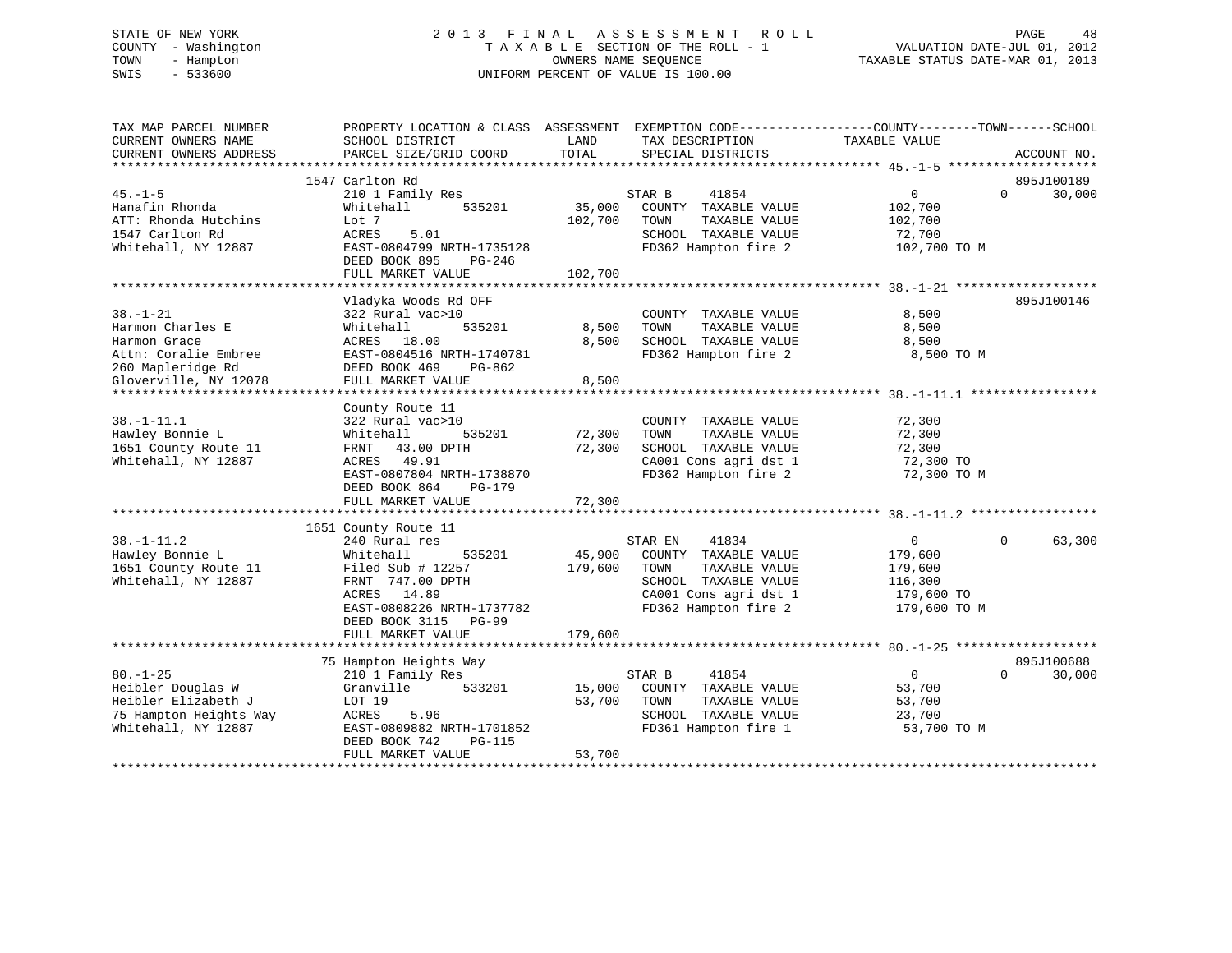# STATE OF NEW YORK 2 0 1 3 F I N A L A S S E S S M E N T R O L L PAGE 48 COUNTY - Washington T A X A B L E SECTION OF THE ROLL - 1 VALUATION DATE-JUL 01, 2012 TOWN - Hampton OWNERS NAME SEQUENCE TAXABLE STATUS DATE-MAR 01, 2013 SWIS - 533600 UNIFORM PERCENT OF VALUE IS 100.00

| TAX MAP PARCEL NUMBER<br>CURRENT OWNERS NAME                                                                             | PROPERTY LOCATION & CLASS ASSESSMENT<br>SCHOOL DISTRICT                                                                                                                               | LAND                         | EXEMPTION CODE-----------------COUNTY-------TOWN------SCHOOL<br>TAX DESCRIPTION                                                            | TAXABLE VALUE                                                                 |             |                      |
|--------------------------------------------------------------------------------------------------------------------------|---------------------------------------------------------------------------------------------------------------------------------------------------------------------------------------|------------------------------|--------------------------------------------------------------------------------------------------------------------------------------------|-------------------------------------------------------------------------------|-------------|----------------------|
| CURRENT OWNERS ADDRESS                                                                                                   | PARCEL SIZE/GRID COORD                                                                                                                                                                | TOTAL                        | SPECIAL DISTRICTS                                                                                                                          |                                                                               |             | ACCOUNT NO.          |
|                                                                                                                          | 1547 Carlton Rd                                                                                                                                                                       |                              |                                                                                                                                            |                                                                               |             | 895J100189           |
| $45. - 1 - 5$<br>Hanafin Rhonda<br>ATT: Rhonda Hutchins<br>1547 Carlton Rd<br>Whitehall, NY 12887                        | 210 1 Family Res<br>535201<br>Whitehall<br>Lot 7<br>ACRES<br>5.01<br>EAST-0804799 NRTH-1735128<br>DEED BOOK 895<br>PG-246<br>FULL MARKET VALUE<br>************************            | 35,000<br>102,700<br>102,700 | STAR B<br>41854<br>COUNTY TAXABLE VALUE<br>TAXABLE VALUE<br>TOWN<br>SCHOOL TAXABLE VALUE<br>FD362 Hampton fire 2                           | $\overline{0}$<br>102,700<br>102,700<br>72,700<br>102,700 TO M                | $\Omega$    | 30,000               |
|                                                                                                                          | Vladyka Woods Rd OFF                                                                                                                                                                  |                              |                                                                                                                                            |                                                                               |             | 895J100146           |
| $38. - 1 - 21$<br>Harmon Charles E<br>Harmon Grace<br>Attn: Coralie Embree<br>260 Mapleridge Rd<br>Gloverville, NY 12078 | 322 Rural vac>10<br>Whitehall<br>535201<br>ACRES 18.00<br>EAST-0804516 NRTH-1740781<br>DEED BOOK 469<br>PG-862<br>FULL MARKET VALUE                                                   | 8,500<br>8,500<br>8,500      | COUNTY TAXABLE VALUE<br>TOWN<br>TAXABLE VALUE<br>SCHOOL TAXABLE VALUE<br>FD362 Hampton fire 2                                              | 8,500<br>8,500<br>8,500<br>8,500 TO M                                         |             |                      |
|                                                                                                                          |                                                                                                                                                                                       |                              |                                                                                                                                            |                                                                               |             |                      |
| $38. - 1 - 11.1$<br>Hawley Bonnie L<br>1651 County Route 11<br>Whitehall, NY 12887                                       | County Route 11<br>322 Rural vac>10<br>535201<br>Whitehall<br>43.00 DPTH<br>FRNT<br>ACRES 49.91<br>EAST-0807804 NRTH-1738870<br>DEED BOOK 864<br>PG-179<br>FULL MARKET VALUE          | 72,300<br>72,300<br>72,300   | COUNTY TAXABLE VALUE<br>TAXABLE VALUE<br>TOWN<br>SCHOOL TAXABLE VALUE<br>CA001 Cons agri dst 1<br>FD362 Hampton fire 2                     | 72,300<br>72,300<br>72,300<br>72,300 TO<br>72,300 TO M                        |             |                      |
|                                                                                                                          | ********************************                                                                                                                                                      | **************               | *********************************** 38.-1-11.2 *****                                                                                       |                                                                               |             |                      |
| $38. - 1 - 11.2$<br>Hawley Bonnie L<br>1651 County Route 11<br>Whitehall, NY 12887                                       | 1651 County Route 11<br>240 Rural res<br>535201<br>Whitehall<br>Filed Sub $# 12257$<br>FRNT 747.00 DPTH<br>ACRES 14.89<br>EAST-0808226 NRTH-1737782<br>DEED BOOK 3115<br><b>PG-99</b> | 45,900<br>179,600            | STAR EN<br>41834<br>COUNTY TAXABLE VALUE<br>TAXABLE VALUE<br>TOWN<br>SCHOOL TAXABLE VALUE<br>CA001 Cons agri dst 1<br>FD362 Hampton fire 2 | $\overline{0}$<br>179,600<br>179,600<br>116,300<br>179,600 TO<br>179,600 TO M | $\mathbf 0$ | 63,300               |
|                                                                                                                          | FULL MARKET VALUE                                                                                                                                                                     | 179,600                      |                                                                                                                                            |                                                                               |             |                      |
| $80. - 1 - 25$<br>Heibler Douglas W<br>Heibler Elizabeth J<br>75 Hampton Heights Way<br>Whitehall, NY 12887              | 75 Hampton Heights Way<br>210 1 Family Res<br>Granville<br>533201<br>LOT 19<br>ACRES<br>5.96<br>EAST-0809882 NRTH-1701852<br>DEED BOOK 742<br><b>PG-115</b><br>FULL MARKET VALUE      | 15,000<br>53,700<br>53,700   | 41854<br>STAR B<br>COUNTY TAXABLE VALUE<br>TOWN<br>TAXABLE VALUE<br>SCHOOL TAXABLE VALUE<br>FD361 Hampton fire 1                           | $\overline{0}$<br>53,700<br>53,700<br>23,700<br>53,700 TO M                   | $\Omega$    | 895J100688<br>30,000 |
|                                                                                                                          |                                                                                                                                                                                       |                              |                                                                                                                                            |                                                                               |             |                      |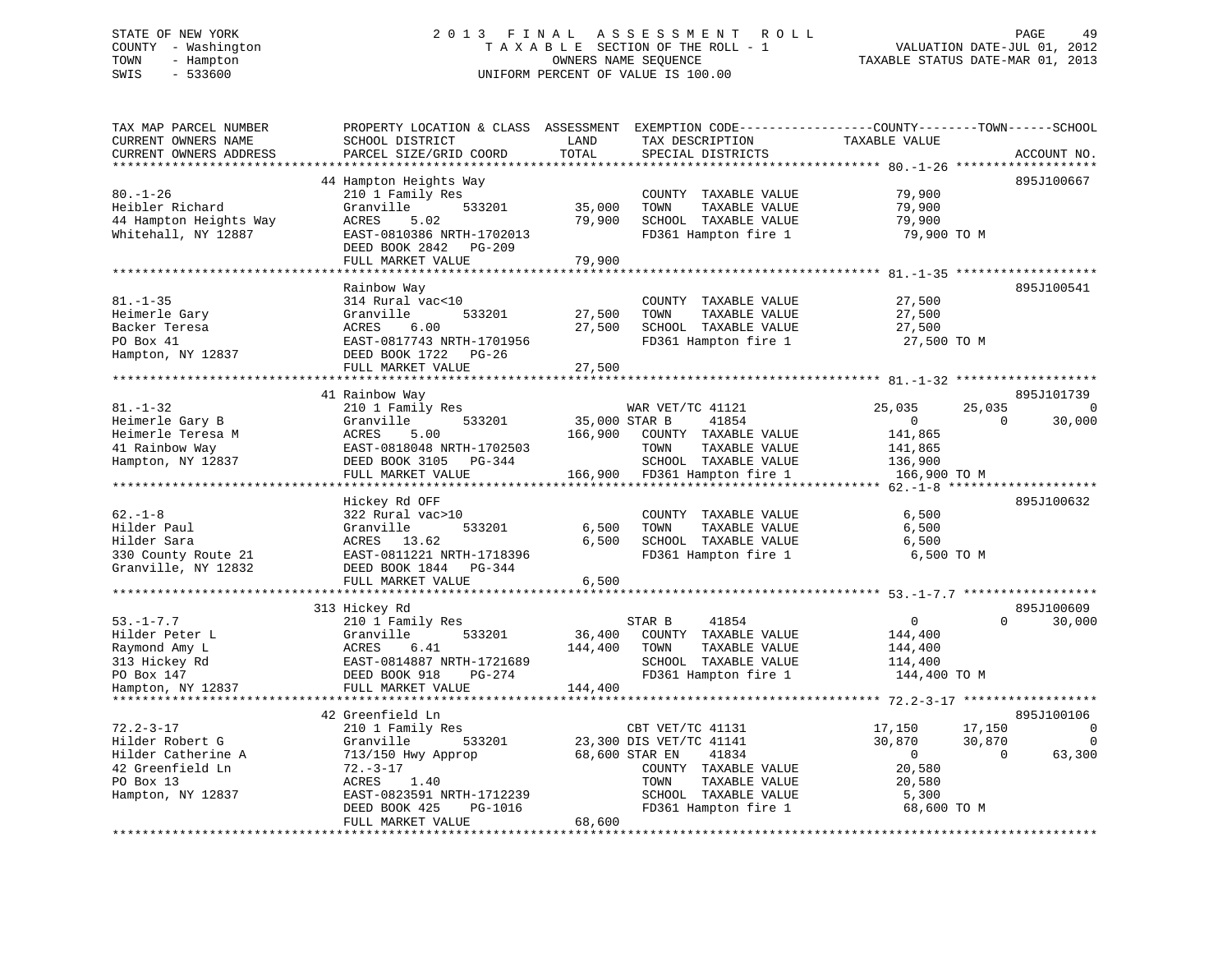# STATE OF NEW YORK 2 0 1 3 F I N A L A S S E S S M E N T R O L L PAGE 49 COUNTY - Washington T A X A B L E SECTION OF THE ROLL - 1 VALUATION DATE-JUL 01, 2012 TOWN - Hampton OWNERS NAME SEQUENCE TAXABLE STATUS DATE-MAR 01, 2013 SWIS - 533600 UNIFORM PERCENT OF VALUE IS 100.00

| TAX MAP PARCEL NUMBER<br>CURRENT OWNERS NAME<br>CURRENT OWNERS ADDRESS                                                      | PROPERTY LOCATION & CLASS ASSESSMENT<br>SCHOOL DISTRICT<br>PARCEL SIZE/GRID COORD                                                                                                                                     | LAND<br>TOTAL                       | EXEMPTION CODE-----------------COUNTY-------TOWN------SCHOOL<br>TAX DESCRIPTION<br>SPECIAL DISTRICTS                                                                    | TAXABLE VALUE                                                                   | ACCOUNT NO.                                                |
|-----------------------------------------------------------------------------------------------------------------------------|-----------------------------------------------------------------------------------------------------------------------------------------------------------------------------------------------------------------------|-------------------------------------|-------------------------------------------------------------------------------------------------------------------------------------------------------------------------|---------------------------------------------------------------------------------|------------------------------------------------------------|
| * * * * * * * * * * * * * * * * * * *<br>$80. - 1 - 26$<br>Heibler Richard<br>44 Hampton Heights Way<br>Whitehall, NY 12887 | **************************<br>44 Hampton Heights Way<br>210 1 Family Res<br>Granville<br>533201<br>ACRES<br>5.02<br>EAST-0810386 NRTH-1702013<br>DEED BOOK 2842<br>PG-209<br>FULL MARKET VALUE<br>******************* | 35,000<br>79,900<br>79,900          | COUNTY TAXABLE VALUE<br>TAXABLE VALUE<br>TOWN<br>SCHOOL TAXABLE VALUE<br>FD361 Hampton fire 1                                                                           | 79,900<br>79,900<br>79,900<br>79,900 TO M<br>************************* 81.-1-35 | 895J100667                                                 |
| $81. - 1 - 35$<br>Heimerle Gary<br>Backer Teresa<br>PO Box 41<br>Hampton, NY 12837                                          | Rainbow Way<br>314 Rural vac<10<br>Granville<br>533201<br>ACRES<br>6.00<br>EAST-0817743 NRTH-1701956<br>DEED BOOK 1722<br>PG-26<br>FULL MARKET VALUE                                                                  | 27,500<br>27,500<br>27,500          | COUNTY TAXABLE VALUE<br>TOWN<br>TAXABLE VALUE<br>SCHOOL TAXABLE VALUE<br>FD361 Hampton fire 1                                                                           | 27,500<br>27,500<br>27,500<br>27,500 TO M                                       | 895J100541                                                 |
|                                                                                                                             |                                                                                                                                                                                                                       |                                     |                                                                                                                                                                         |                                                                                 |                                                            |
| $81. - 1 - 32$<br>Heimerle Gary B<br>Heimerle Teresa M<br>41 Rainbow Way<br>Hampton, NY 12837                               | 41 Rainbow Way<br>210 1 Family Res<br>533201<br>Granville<br>ACRES<br>5.00<br>EAST-0818048 NRTH-1702503<br>DEED BOOK 3105<br>PG-344<br>FULL MARKET VALUE                                                              | 35,000 STAR B<br>166,900<br>166,900 | WAR VET/TC 41121<br>41854<br>COUNTY TAXABLE VALUE<br>TOWN<br>TAXABLE VALUE<br>SCHOOL TAXABLE VALUE<br>FD361 Hampton fire 1                                              | 25,035<br>$\mathbf{0}$<br>141,865<br>141,865<br>136,900<br>166,900 TO M         | 895J101739<br>25,035<br>$\Omega$<br>30,000<br>$\Omega$     |
|                                                                                                                             | ********************                                                                                                                                                                                                  |                                     |                                                                                                                                                                         |                                                                                 |                                                            |
| $62. - 1 - 8$<br>Hilder Paul<br>Hilder Sara<br>330 County Route 21<br>Granville, NY 12832                                   | Hickey Rd OFF<br>322 Rural vac>10<br>Granville<br>533201<br>ACRES<br>13.62<br>EAST-0811221 NRTH-1718396<br>DEED BOOK 1844<br>PG-344                                                                                   | 6,500<br>6,500                      | COUNTY TAXABLE VALUE<br>TOWN<br>TAXABLE VALUE<br>SCHOOL TAXABLE VALUE<br>FD361 Hampton fire 1                                                                           | 6,500<br>6,500<br>6,500<br>6,500 TO M                                           | 895J100632                                                 |
|                                                                                                                             | FULL MARKET VALUE                                                                                                                                                                                                     | 6,500                               |                                                                                                                                                                         |                                                                                 |                                                            |
|                                                                                                                             | *************************<br>313 Hickey Rd                                                                                                                                                                            |                                     |                                                                                                                                                                         |                                                                                 | 895J100609                                                 |
| $53. - 1 - 7.7$<br>Hilder Peter L<br>Raymond Amy L<br>313 Hickey Rd<br>PO Box 147<br>Hampton, NY 12837                      | 210 1 Family Res<br>Granville<br>533201<br>ACRES<br>6.41<br>EAST-0814887 NRTH-1721689<br>DEED BOOK 918<br>PG-274<br>FULL MARKET VALUE                                                                                 | 36,400<br>144,400<br>144,400        | STAR B<br>41854<br>COUNTY TAXABLE VALUE<br>TOWN<br>TAXABLE VALUE<br>SCHOOL TAXABLE VALUE<br>FD361 Hampton fire 1                                                        | $\mathbf{0}$<br>144,400<br>144,400<br>114,400<br>144,400 TO M                   | 30,000<br>$\Omega$                                         |
|                                                                                                                             | 42 Greenfield Ln                                                                                                                                                                                                      |                                     |                                                                                                                                                                         |                                                                                 | 895J100106                                                 |
| $72.2 - 3 - 17$<br>Hilder Robert G<br>Hilder Catherine A<br>42 Greenfield Ln<br>PO Box 13<br>Hampton, NY 12837              | 210 1 Family Res<br>Granville<br>533201<br>713/150 Hwy Approp<br>$72. - 3 - 17$<br>ACRES<br>1.40<br>EAST-0823591 NRTH-1712239<br>DEED BOOK 425<br>PG-1016<br>FULL MARKET VALUE                                        | 68,600                              | CBT VET/TC 41131<br>23,300 DIS VET/TC 41141<br>68,600 STAR EN<br>41834<br>COUNTY TAXABLE VALUE<br>TAXABLE VALUE<br>TOWN<br>SCHOOL TAXABLE VALUE<br>FD361 Hampton fire 1 | 17,150<br>30,870<br>$\overline{0}$<br>20,580<br>20,580<br>5,300<br>68,600 TO M  | 17,150<br>0<br>30,870<br>$\mathbf 0$<br>$\Omega$<br>63,300 |
|                                                                                                                             |                                                                                                                                                                                                                       |                                     |                                                                                                                                                                         |                                                                                 |                                                            |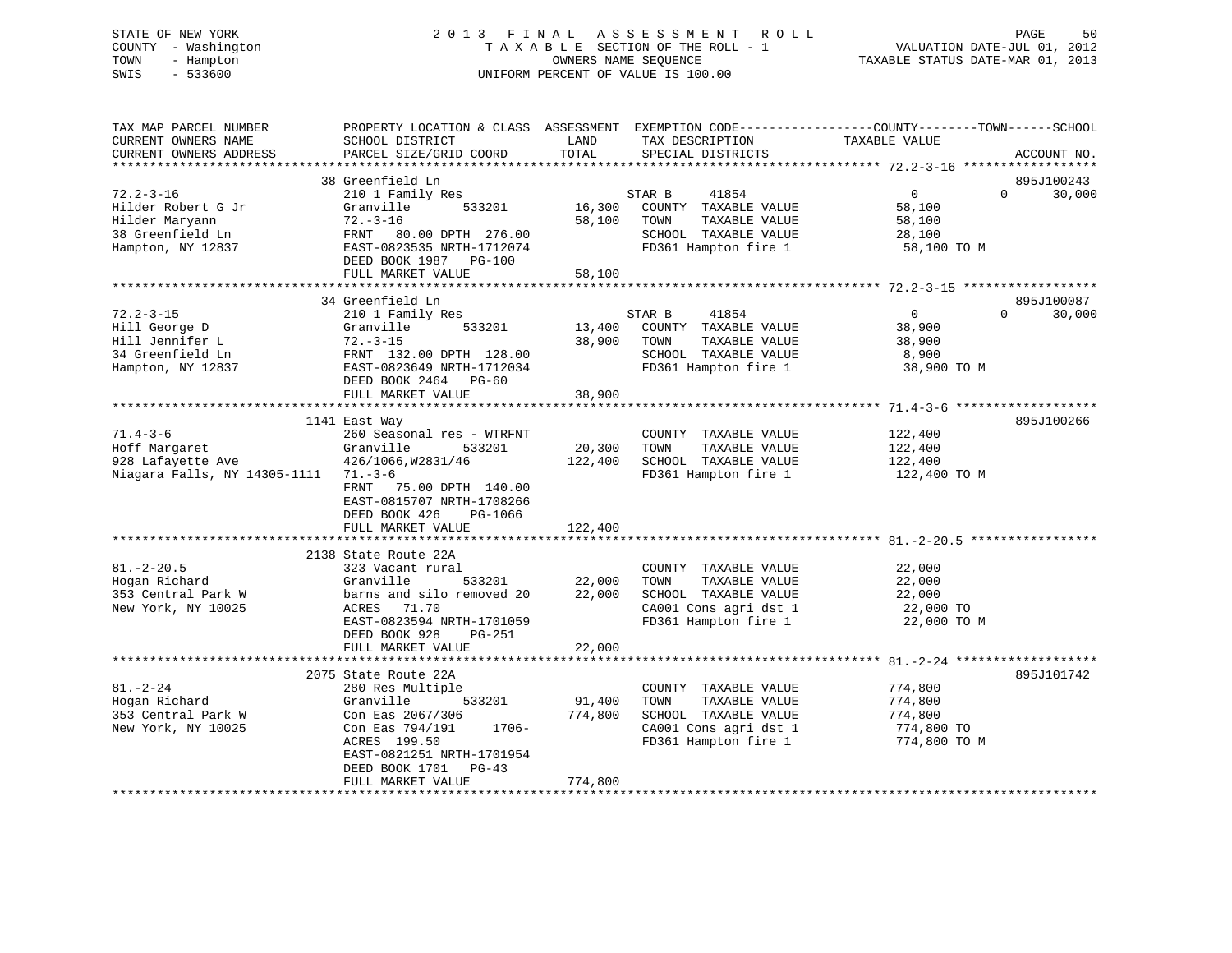# STATE OF NEW YORK 2 0 1 3 F I N A L A S S E S S M E N T R O L L PAGE 50 COUNTY - Washington T A X A B L E SECTION OF THE ROLL - 1 VALUATION DATE-JUL 01, 2012 TOWN - Hampton OWNERS NAME SEQUENCE TAXABLE STATUS DATE-MAR 01, 2013 SWIS - 533600 UNIFORM PERCENT OF VALUE IS 100.00

| TAX MAP PARCEL NUMBER<br>CURRENT OWNERS NAME<br>CURRENT OWNERS ADDRESS                           | PROPERTY LOCATION & CLASS ASSESSMENT EXEMPTION CODE----------------COUNTY-------TOWN------SCHOOL<br>SCHOOL DISTRICT<br>PARCEL SIZE/GRID COORD                                                      | LAND<br>TOTAL                | TAX DESCRIPTION<br>SPECIAL DISTRICTS                                                                                   | TAXABLE VALUE                                               | ACCOUNT NO.                      |
|--------------------------------------------------------------------------------------------------|----------------------------------------------------------------------------------------------------------------------------------------------------------------------------------------------------|------------------------------|------------------------------------------------------------------------------------------------------------------------|-------------------------------------------------------------|----------------------------------|
|                                                                                                  |                                                                                                                                                                                                    |                              |                                                                                                                        |                                                             |                                  |
| $72.2 - 3 - 16$<br>Hilder Robert G Jr<br>Hilder Maryann<br>38 Greenfield Ln<br>Hampton, NY 12837 | 38 Greenfield Ln<br>210 1 Family Res<br>Granville<br>533201<br>$72. - 3 - 16$<br>FRNT 80.00 DPTH 276.00<br>EAST-0823535 NRTH-1712074<br>DEED BOOK 1987 PG-100<br>FULL MARKET VALUE                 | 16,300<br>58,100<br>58,100   | STAR B<br>41854<br>COUNTY TAXABLE VALUE<br>TOWN<br>TAXABLE VALUE<br>SCHOOL TAXABLE VALUE<br>FD361 Hampton fire 1       | $\overline{0}$<br>58,100<br>58,100<br>28,100<br>58,100 TO M | 895J100243<br>$\Omega$<br>30,000 |
|                                                                                                  |                                                                                                                                                                                                    |                              |                                                                                                                        |                                                             |                                  |
| $72.2 - 3 - 15$<br>Hill George D<br>Hill Jennifer L<br>34 Greenfield Ln<br>Hampton, NY 12837     | 34 Greenfield Ln<br>210 1 Family Res<br>Granville<br>533201<br>$72. - 3 - 15$<br>FRNT 132.00 DPTH 128.00<br>EAST-0823649 NRTH-1712034<br>DEED BOOK 2464 PG-60<br>FULL MARKET VALUE                 | 13,400<br>38,900<br>38,900   | 41854<br>STAR B<br>COUNTY TAXABLE VALUE<br>TOWN<br>TAXABLE VALUE<br>SCHOOL TAXABLE VALUE<br>FD361 Hampton fire 1       | $\mathbf{0}$<br>38,900<br>38,900<br>8,900<br>38,900 TO M    | 895J100087<br>30,000<br>$\Omega$ |
|                                                                                                  |                                                                                                                                                                                                    |                              |                                                                                                                        |                                                             |                                  |
| $71.4 - 3 - 6$<br>Hoff Margaret<br>928 Lafayette Ave<br>Niagara Falls, NY 14305-1111 71.-3-6     | 1141 East Way<br>260 Seasonal res - WTRFNT<br>Granville<br>533201<br>426/1066, W2831/46<br>75.00 DPTH 140.00<br>FRNT<br>EAST-0815707 NRTH-1708266<br>DEED BOOK 426<br>PG-1066<br>FULL MARKET VALUE | 20,300<br>122,400<br>122,400 | COUNTY TAXABLE VALUE<br>TOWN<br>TAXABLE VALUE<br>SCHOOL TAXABLE VALUE<br>FD361 Hampton fire 1                          | 122,400<br>122,400<br>122,400<br>122,400 TO M               | 895J100266                       |
|                                                                                                  | 2138 State Route 22A                                                                                                                                                                               |                              |                                                                                                                        |                                                             |                                  |
| $81. - 2 - 20.5$<br>Hogan Richard<br>353 Central Park W<br>New York, NY 10025                    | 323 Vacant rural<br>Granville<br>533201<br>barns and silo removed 20<br>ACRES<br>71.70<br>EAST-0823594 NRTH-1701059<br>DEED BOOK 928<br>PG-251                                                     | 22,000<br>22,000             | COUNTY TAXABLE VALUE<br>TAXABLE VALUE<br>TOWN<br>SCHOOL TAXABLE VALUE<br>CA001 Cons agri dst 1<br>FD361 Hampton fire 1 | 22,000<br>22,000<br>22,000<br>22,000 TO<br>22,000 TO M      |                                  |
|                                                                                                  | FULL MARKET VALUE                                                                                                                                                                                  | 22,000                       |                                                                                                                        |                                                             |                                  |
|                                                                                                  | 2075 State Route 22A                                                                                                                                                                               |                              |                                                                                                                        |                                                             | 895J101742                       |
| $81. - 2 - 24$<br>Hogan Richard<br>353 Central Park W<br>New York, NY 10025                      | 280 Res Multiple<br>533201<br>Granville<br>Con Eas 2067/306<br>Con Eas 794/191<br>1706-<br>ACRES 199.50<br>EAST-0821251 NRTH-1701954<br>DEED BOOK 1701<br>$PG-43$<br>FULL MARKET VALUE             | 91,400<br>774,800<br>774,800 | COUNTY TAXABLE VALUE<br>TOWN<br>TAXABLE VALUE<br>SCHOOL TAXABLE VALUE<br>CA001 Cons agri dst 1<br>FD361 Hampton fire 1 | 774,800<br>774,800<br>774,800<br>774,800 TO<br>774,800 TO M |                                  |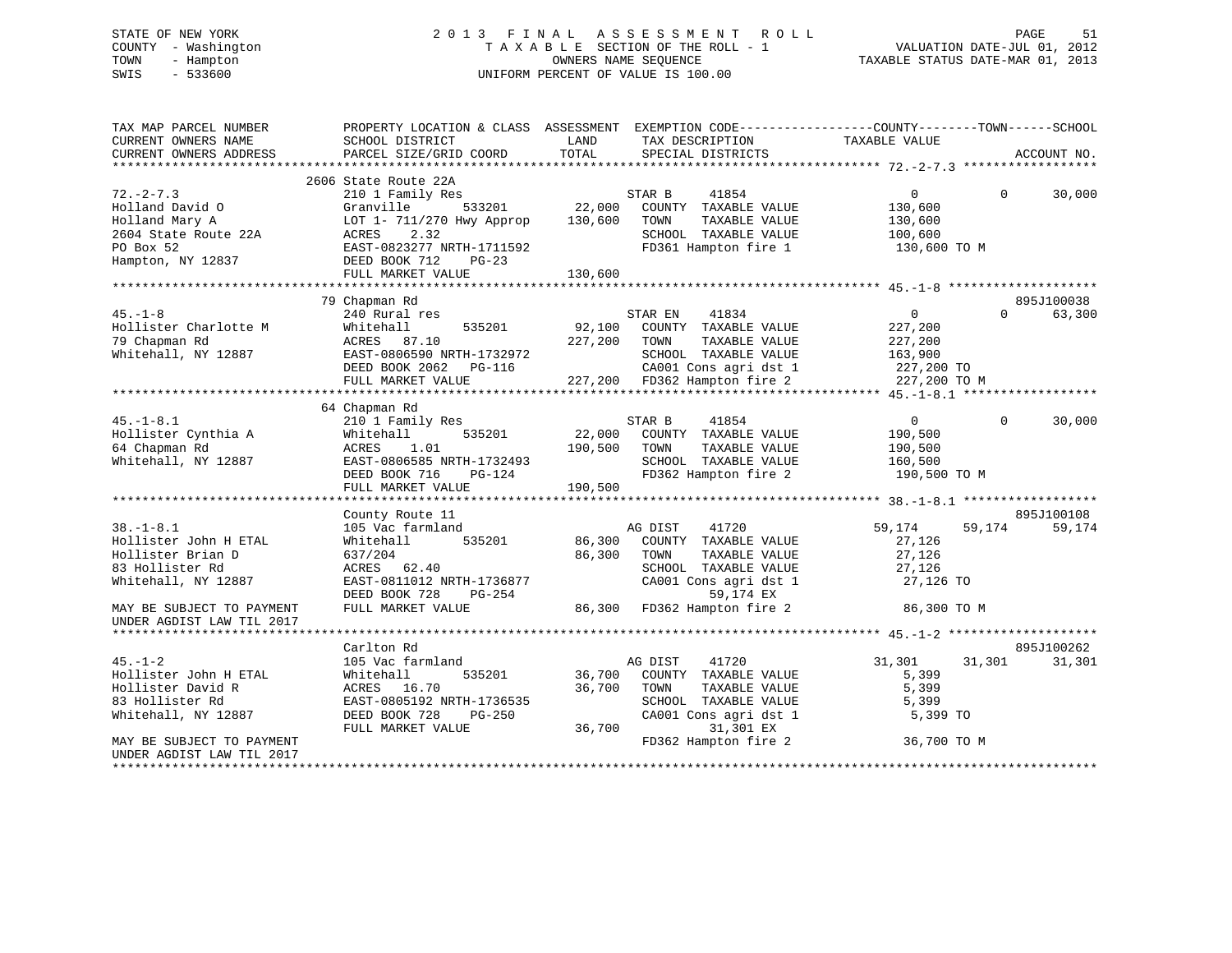# STATE OF NEW YORK 2 0 1 3 F I N A L A S S E S S M E N T R O L L PAGE 51 COUNTY - Washington T A X A B L E SECTION OF THE ROLL - 1 VALUATION DATE-JUL 01, 2012 TOWN - Hampton OWNERS NAME SEQUENCE TAXABLE STATUS DATE-MAR 01, 2013 SWIS - 533600 UNIFORM PERCENT OF VALUE IS 100.00

| TAX MAP PARCEL NUMBER                                                                                                                                                                                                                                                                         | PROPERTY LOCATION & CLASS ASSESSMENT EXEMPTION CODE----------------COUNTY-------TOWN------SCHOOL |              |                                                                |                         |                    |
|-----------------------------------------------------------------------------------------------------------------------------------------------------------------------------------------------------------------------------------------------------------------------------------------------|--------------------------------------------------------------------------------------------------|--------------|----------------------------------------------------------------|-------------------------|--------------------|
| CURRENT OWNERS NAME                                                                                                                                                                                                                                                                           | SCHOOL DISTRICT                                                                                  | LAND         | TAX DESCRIPTION TAXABLE VALUE                                  |                         |                    |
| CURRENT OWNERS ADDRESS                                                                                                                                                                                                                                                                        | PARCEL SIZE/GRID COORD                                                                           | TOTAL        | SPECIAL DISTRICTS                                              |                         | ACCOUNT NO.        |
|                                                                                                                                                                                                                                                                                               |                                                                                                  |              |                                                                |                         |                    |
|                                                                                                                                                                                                                                                                                               | 2606 State Route 22A                                                                             |              |                                                                |                         |                    |
| $72. - 2 - 7.3$                                                                                                                                                                                                                                                                               | 210 1 Family Res                                                                                 |              | STAR B<br>41854                                                | $\overline{0}$          | $\Omega$<br>30,000 |
| Holland David O                                                                                                                                                                                                                                                                               | Granville                                                                                        |              | 533201 22,000 COUNTY TAXABLE VALUE                             | 130,600                 |                    |
| Holland Mary A                                                                                                                                                                                                                                                                                | LOT 1- 711/270 Hwy Approp 130,600                                                                |              | TOWN<br>TAXABLE VALUE                                          | 130,600                 |                    |
|                                                                                                                                                                                                                                                                                               |                                                                                                  |              | SCHOOL TAXABLE VALUE                                           |                         |                    |
|                                                                                                                                                                                                                                                                                               |                                                                                                  |              | FD361 Hampton fire 1                                           | 100,600<br>130,600 TO M |                    |
| Holland Mary A<br>$2604$ State Route 22A<br>$2604$ State Route 22A<br>$2604$<br>$2604$ State 22A<br>$2604$<br>$2604$<br>$2604$<br>$2604$<br>$2604$<br>$2604$<br>$2604$<br>$2604$<br>$2604$<br>$2604$<br>$2604$<br>$2604$<br>$2604$<br>$2604$<br>$2604$<br>$2604$<br>$26$<br>Hampton, NY 12837 |                                                                                                  |              |                                                                |                         |                    |
|                                                                                                                                                                                                                                                                                               | FULL MARKET VALUE                                                                                | 130,600      |                                                                |                         |                    |
|                                                                                                                                                                                                                                                                                               |                                                                                                  |              |                                                                |                         |                    |
|                                                                                                                                                                                                                                                                                               | 79 Chapman Rd                                                                                    |              |                                                                |                         | 895J100038         |
| $45. - 1 - 8$                                                                                                                                                                                                                                                                                 | 240 Rural res                                                                                    |              | STAR EN<br>41834                                               | $0 \qquad \qquad$       | $\Omega$<br>63,300 |
|                                                                                                                                                                                                                                                                                               | Whitehall                                                                                        |              | 535201 92,100 COUNTY TAXABLE VALUE                             | 227,200                 |                    |
| Hollister Charlotte M<br>79 Chapman Rd<br>Whitehall, NY 12887                                                                                                                                                                                                                                 | ACRES 87.10                                                                                      | 227,200 TOWN | TAXABLE VALUE                                                  | 227,200                 |                    |
|                                                                                                                                                                                                                                                                                               | EAST-0806590 NRTH-1732972                                                                        |              | SCHOOL TAXABLE VALUE                                           | 163,900                 |                    |
|                                                                                                                                                                                                                                                                                               | EASI-0806590 NRTH-1732972<br>DEED BOOK 2062 PG-116                                               |              | $CAO01$ Cons agri dst 1 227,200 TO                             |                         |                    |
|                                                                                                                                                                                                                                                                                               | FULL MARKET VALUE                                                                                |              | 227,200 FD362 Hampton fire 2                                   | 227,200 TO M            |                    |
|                                                                                                                                                                                                                                                                                               |                                                                                                  |              |                                                                |                         |                    |
|                                                                                                                                                                                                                                                                                               | 64 Chapman Rd                                                                                    |              |                                                                |                         |                    |
| $45. - 1 - 8.1$                                                                                                                                                                                                                                                                               | 210 1 Family Res                                                                                 |              | 41854<br>STAR B                                                | $\overline{0}$          | $\Omega$<br>30,000 |
| Hollister Cynthia A                                                                                                                                                                                                                                                                           | 535201<br>Whitehall                                                                              |              | 22,000 COUNTY TAXABLE VALUE                                    | 190,500                 |                    |
| 64 Chapman Rd                                                                                                                                                                                                                                                                                 | ACRES<br>1.01                                                                                    | 190,500      | TOWN<br>TAXABLE VALUE                                          | 190,500                 |                    |
| Whitehall, NY 12887                                                                                                                                                                                                                                                                           |                                                                                                  |              | SCHOOL TAXABLE VALUE                                           | 160,500                 |                    |
|                                                                                                                                                                                                                                                                                               | EAST-0806585 NRTH-1732493<br>DEED BOOK 716 PG-124                                                |              | FD362 Hampton fire 2                                           | 190,500 TO M            |                    |
|                                                                                                                                                                                                                                                                                               | FULL MARKET VALUE                                                                                | 190,500      |                                                                |                         |                    |
|                                                                                                                                                                                                                                                                                               |                                                                                                  |              |                                                                |                         |                    |
|                                                                                                                                                                                                                                                                                               | County Route 11                                                                                  |              |                                                                |                         | 895J100108         |
| $38. - 1 - 8.1$                                                                                                                                                                                                                                                                               | 105 Vac farmland                                                                                 |              | AG DIST<br>41720                                               | 59,174                  | 59,174<br>59,174   |
| Hollister John H ETAL                                                                                                                                                                                                                                                                         | Whitehall                                                                                        |              | 535201 86,300 COUNTY TAXABLE VALUE                             | 27,126                  |                    |
| Hollister Brian D                                                                                                                                                                                                                                                                             | 637/204                                                                                          | 86,300 TOWN  | TAXABLE VALUE                                                  | 27,126                  |                    |
| 83 Hollister Rd                                                                                                                                                                                                                                                                               | ACRES 62.40                                                                                      |              |                                                                |                         |                    |
| Whitehall, NY 12887                                                                                                                                                                                                                                                                           |                                                                                                  |              | SCHOOL TAXABLE VALUE 27,126<br>CA001 Cons agri dst 1 27,126 TO |                         |                    |
|                                                                                                                                                                                                                                                                                               | ACKES 02.10<br>EAST-0811012 NRTH-1736877<br>DEED BOOK 728<br>$PG-254$                            |              | 59,174 EX                                                      |                         |                    |
| MAY BE SUBJECT TO PAYMENT                                                                                                                                                                                                                                                                     | FULL MARKET VALUE                                                                                |              | 86,300 FD362 Hampton fire 2 36,300 TO M                        |                         |                    |
| UNDER AGDIST LAW TIL 2017                                                                                                                                                                                                                                                                     |                                                                                                  |              |                                                                |                         |                    |
|                                                                                                                                                                                                                                                                                               |                                                                                                  |              |                                                                |                         |                    |
|                                                                                                                                                                                                                                                                                               | Carlton Rd                                                                                       |              |                                                                |                         | 895J100262         |
| $45. - 1 - 2$                                                                                                                                                                                                                                                                                 | 105 Vac farmland                                                                                 |              | AG DIST<br>41720                                               | 31,301                  | 31,301<br>31,301   |
| Hollister John H ETAL                                                                                                                                                                                                                                                                         | 535201<br>Whitehall                                                                              |              | 36,700 COUNTY TAXABLE VALUE                                    | 5,399                   |                    |
| Hollister David R                                                                                                                                                                                                                                                                             | ACRES 16.70                                                                                      | 36,700       | TOWN<br>TAXABLE VALUE                                          | 5,399                   |                    |
| 83 Hollister Rd                                                                                                                                                                                                                                                                               | EAST-0805192 NRTH-1736535                                                                        |              | SCHOOL TAXABLE VALUE                                           | 5,399                   |                    |
| Whitehall, NY 12887                                                                                                                                                                                                                                                                           | DEED BOOK 728<br>PG-250                                                                          |              | CA001 Cons agri dst 1                                          | 5,399 TO                |                    |
|                                                                                                                                                                                                                                                                                               | FULL MARKET VALUE                                                                                | 36,700       | 31,301 EX                                                      |                         |                    |
| MAY BE SUBJECT TO PAYMENT                                                                                                                                                                                                                                                                     |                                                                                                  |              | FD362 Hampton fire 2                                           | 36,700 TO M             |                    |
| UNDER AGDIST LAW TIL 2017                                                                                                                                                                                                                                                                     |                                                                                                  |              |                                                                |                         |                    |
|                                                                                                                                                                                                                                                                                               |                                                                                                  |              |                                                                |                         |                    |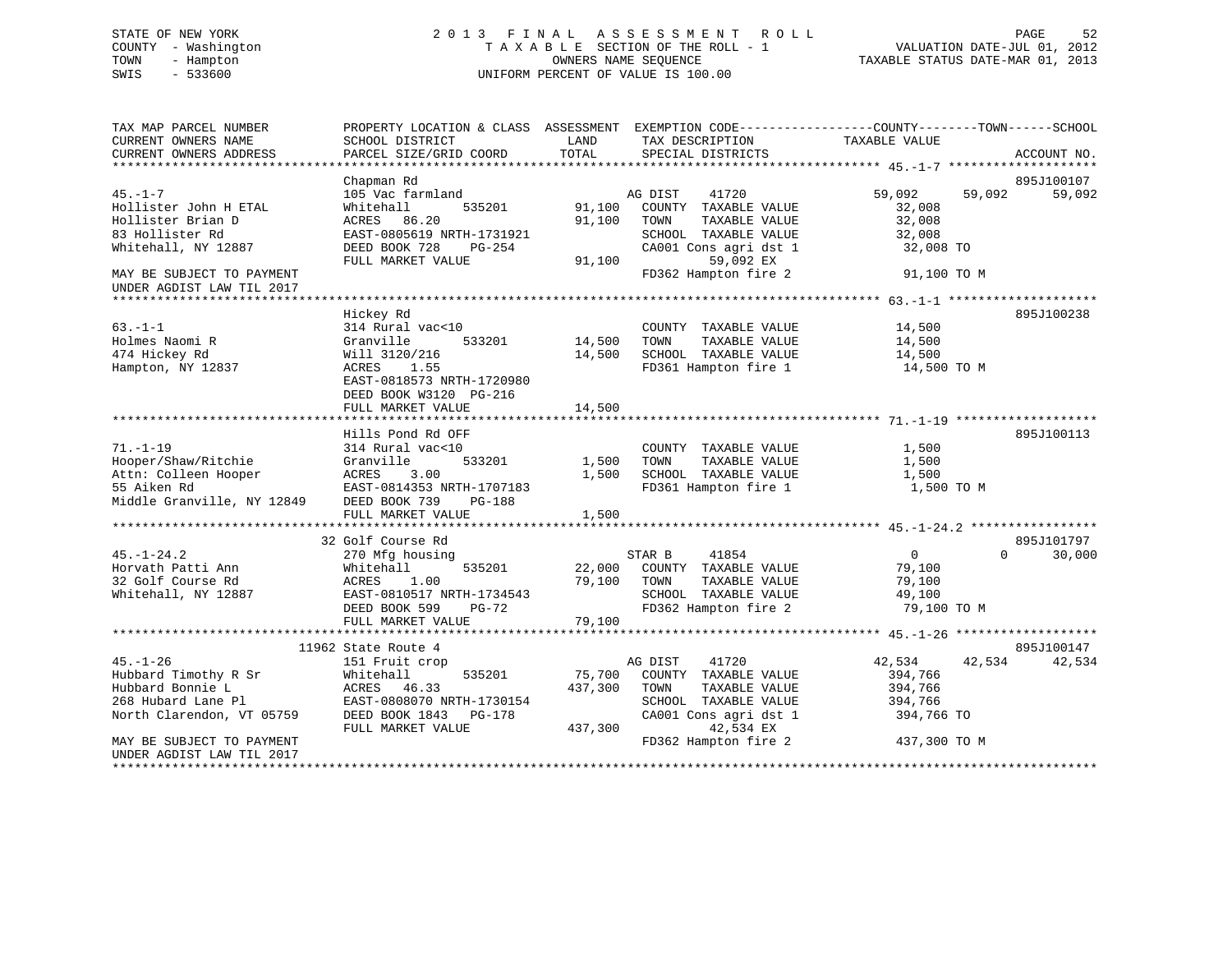# STATE OF NEW YORK 2 0 1 3 F I N A L A S S E S S M E N T R O L L PAGE 52 COUNTY - Washington T A X A B L E SECTION OF THE ROLL - 1 VALUATION DATE-JUL 01, 2012 TOWN - Hampton OWNERS NAME SEQUENCE TAXABLE STATUS DATE-MAR 01, 2013 SWIS - 533600 UNIFORM PERCENT OF VALUE IS 100.00

| TAX MAP PARCEL NUMBER<br>CURRENT OWNERS NAME<br>CURRENT OWNERS ADDRESS | SCHOOL DISTRICT<br>PARCEL SIZE/GRID COORD                            | LAND<br>TOTAL | TAX DESCRIPTION<br>SPECIAL DISTRICTS | PROPERTY LOCATION & CLASS ASSESSMENT EXEMPTION CODE---------------COUNTY-------TOWN------SCHOOL<br>TAXABLE VALUE | ACCOUNT NO. |
|------------------------------------------------------------------------|----------------------------------------------------------------------|---------------|--------------------------------------|------------------------------------------------------------------------------------------------------------------|-------------|
|                                                                        |                                                                      |               |                                      |                                                                                                                  |             |
|                                                                        | Chapman Rd                                                           |               |                                      |                                                                                                                  | 895J100107  |
| $45. - 1 - 7$                                                          | 105 Vac farmland                                                     |               | AG DIST<br>41720                     | 59,092<br>59,092                                                                                                 | 59,092      |
| Hollister John H ETAL                                                  | 535201<br>Whitehall                                                  | 91,100        | COUNTY TAXABLE VALUE                 | 32,008                                                                                                           |             |
| Hollister Brian D                                                      | ACRES 86.20                                                          | 91,100        | TOWN<br>TAXABLE VALUE                | 32,008                                                                                                           |             |
| 83 Hollister Rd                                                        | EAST-0805619 NRTH-1731921                                            |               | SCHOOL TAXABLE VALUE                 | 32,008                                                                                                           |             |
| Whitehall, NY 12887                                                    | DEED BOOK 728<br>PG-254                                              |               | CA001 Cons agri dst 1                | 32,008 TO                                                                                                        |             |
|                                                                        | FULL MARKET VALUE                                                    | 91,100        | 59,092 EX                            |                                                                                                                  |             |
| MAY BE SUBJECT TO PAYMENT<br>UNDER AGDIST LAW TIL 2017                 |                                                                      |               | FD362 Hampton fire 2                 | 91,100 TO M                                                                                                      |             |
|                                                                        |                                                                      |               |                                      |                                                                                                                  |             |
|                                                                        | Hickey Rd                                                            |               |                                      |                                                                                                                  | 895J100238  |
| $63 - 1 - 1$                                                           | 314 Rural vac<10                                                     |               | COUNTY TAXABLE VALUE                 | 14,500                                                                                                           |             |
| Holmes Naomi R                                                         | Granville<br>533201                                                  | 14,500        | TOWN<br>TAXABLE VALUE                | 14,500                                                                                                           |             |
| 474 Hickey Rd                                                          | Will 3120/216                                                        | 14,500        | SCHOOL TAXABLE VALUE                 | 14,500                                                                                                           |             |
| Hampton, NY 12837                                                      | ACRES<br>1.55<br>EAST-0818573 NRTH-1720980<br>DEED BOOK W3120 PG-216 |               | FD361 Hampton fire 1                 | 14,500 TO M                                                                                                      |             |
|                                                                        | FULL MARKET VALUE                                                    | 14,500        |                                      |                                                                                                                  |             |
|                                                                        |                                                                      |               |                                      |                                                                                                                  |             |
|                                                                        | Hills Pond Rd OFF                                                    |               |                                      |                                                                                                                  | 895J100113  |
| $71. - 1 - 19$                                                         | 314 Rural vac<10                                                     |               | COUNTY TAXABLE VALUE                 | 1,500                                                                                                            |             |
| Hooper/Shaw/Ritchie                                                    | Granville<br>533201                                                  | 1,500         | TAXABLE VALUE<br>TOWN                | 1,500                                                                                                            |             |
| Attn: Colleen Hooper                                                   | 3.00<br>ACRES                                                        | 1,500         | SCHOOL TAXABLE VALUE                 | 1,500                                                                                                            |             |
| 55 Aiken Rd                                                            | EAST-0814353 NRTH-1707183                                            |               | FD361 Hampton fire 1                 | 1,500 TO M                                                                                                       |             |
| Middle Granville, NY 12849                                             | DEED BOOK 739<br>PG-188                                              |               |                                      |                                                                                                                  |             |
|                                                                        | FULL MARKET VALUE                                                    | 1,500         |                                      |                                                                                                                  |             |
|                                                                        | 32 Golf Course Rd                                                    |               |                                      |                                                                                                                  | 895J101797  |
| $45. - 1 - 24.2$                                                       | 270 Mfg housing                                                      |               | 41854<br>STAR B                      | $\overline{0}$<br>$\Omega$                                                                                       | 30,000      |
| Horvath Patti Ann                                                      | Whitehall<br>535201                                                  | 22,000        | COUNTY TAXABLE VALUE                 | 79,100                                                                                                           |             |
| 32 Golf Course Rd                                                      | ACRES<br>1.00                                                        | 79,100        | TOWN<br>TAXABLE VALUE                | 79,100                                                                                                           |             |
| Whitehall, NY 12887                                                    | EAST-0810517 NRTH-1734543                                            |               | SCHOOL TAXABLE VALUE                 | 49,100                                                                                                           |             |
|                                                                        | DEED BOOK 599<br>$PG-72$                                             |               | FD362 Hampton fire 2                 | 79,100 TO M                                                                                                      |             |
|                                                                        | FULL MARKET VALUE                                                    | 79,100        |                                      |                                                                                                                  |             |
|                                                                        |                                                                      |               |                                      |                                                                                                                  |             |
|                                                                        | 11962 State Route 4                                                  |               |                                      |                                                                                                                  | 895J100147  |
| $45. - 1 - 26$                                                         | 151 Fruit crop                                                       |               | AG DIST<br>41720                     | 42,534<br>42,534                                                                                                 | 42,534      |
| Hubbard Timothy R Sr                                                   | 535201<br>Whitehall                                                  | 75,700        | COUNTY TAXABLE VALUE                 | 394,766                                                                                                          |             |
| Hubbard Bonnie L                                                       | ACRES 46.33                                                          | 437,300       | TOWN<br>TAXABLE VALUE                | 394,766                                                                                                          |             |
| 268 Hubard Lane Pl                                                     | EAST-0808070 NRTH-1730154                                            |               | SCHOOL TAXABLE VALUE                 | 394,766                                                                                                          |             |
| North Clarendon, VT 05759                                              | DEED BOOK 1843<br>PG-178                                             |               | CA001 Cons agri dst 1                | 394,766 TO                                                                                                       |             |
|                                                                        | FULL MARKET VALUE                                                    | 437,300       | 42,534 EX                            |                                                                                                                  |             |
| MAY BE SUBJECT TO PAYMENT                                              |                                                                      |               | FD362 Hampton fire 2                 | 437,300 TO M                                                                                                     |             |
| UNDER AGDIST LAW TIL 2017                                              |                                                                      |               |                                      |                                                                                                                  |             |
|                                                                        |                                                                      |               |                                      |                                                                                                                  |             |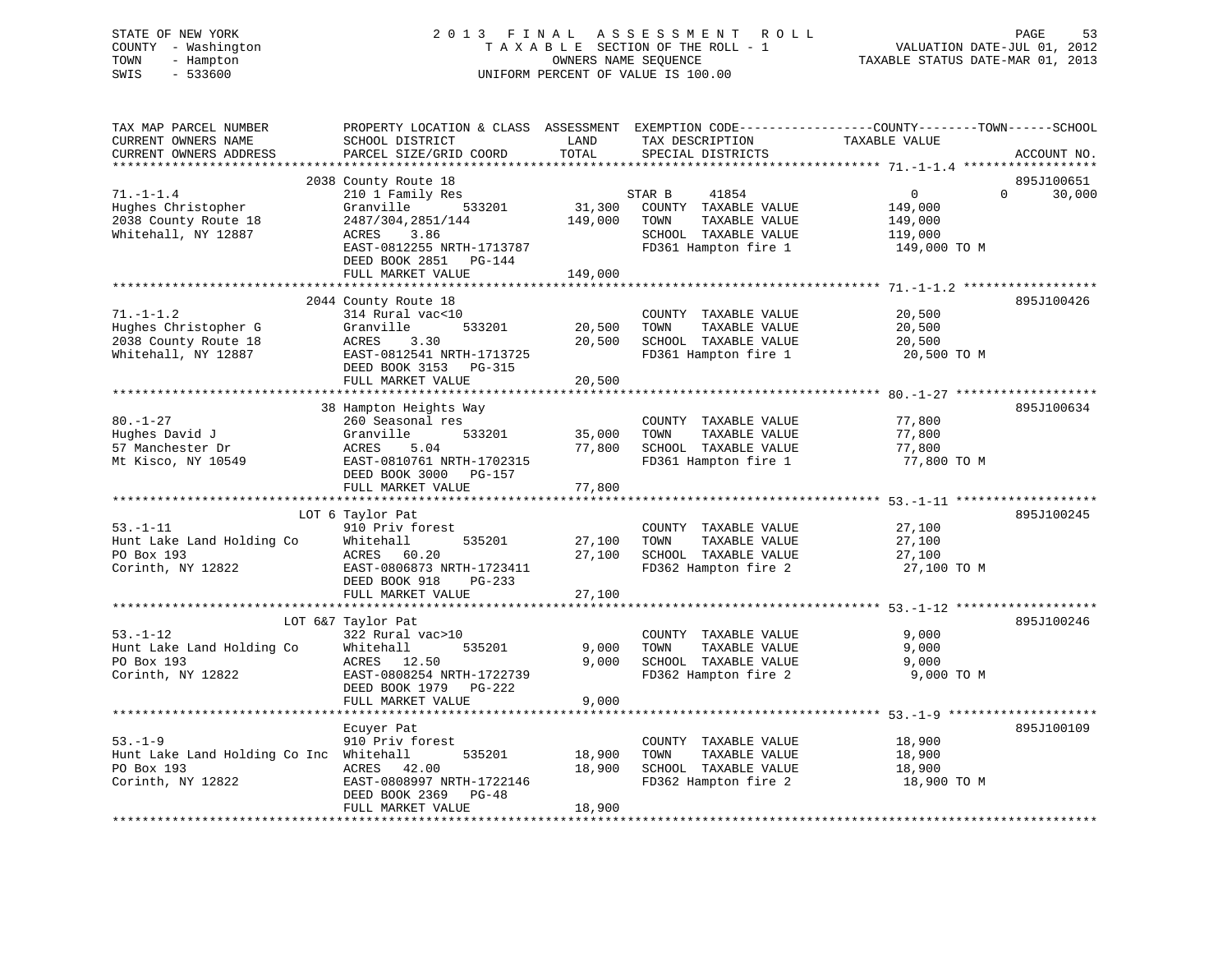STATE OF NEW YORK 2 0 1 3 F I N A L A S S E S S M E N T R O L L PAGE 53 COUNTY - Washington T A X A B L E SECTION OF THE ROLL - 1 VALUATION DATE-JUL 01, 2012 TOWN - Hampton OWNERS NAME SEQUENCE TAXABLE STATUS DATE-MAR 01, 2013 SWIS - 533600 UNIFORM PERCENT OF VALUE IS 100.00

| TAX MAP PARCEL NUMBER<br>CURRENT OWNERS NAME<br>CURRENT OWNERS ADDRESS | SCHOOL DISTRICT<br>PARCEL SIZE/GRID COORD  | LAND<br>TOTAL    | TAX DESCRIPTION<br>SPECIAL DISTRICTS         | PROPERTY LOCATION & CLASS ASSESSMENT EXEMPTION CODE----------------COUNTY-------TOWN-----SCHOOL<br>TAXABLE VALUE | ACCOUNT NO. |
|------------------------------------------------------------------------|--------------------------------------------|------------------|----------------------------------------------|------------------------------------------------------------------------------------------------------------------|-------------|
|                                                                        |                                            |                  |                                              |                                                                                                                  |             |
|                                                                        | 2038 County Route 18                       |                  |                                              |                                                                                                                  | 895J100651  |
| $71. - 1 - 1.4$                                                        | 210 1 Family Res                           |                  | STAR B<br>41854                              | $\Omega$<br>$\Omega$                                                                                             | 30,000      |
| Hughes Christopher                                                     | Granville<br>533201                        | 31,300           | COUNTY TAXABLE VALUE                         | 149,000                                                                                                          |             |
| 2038 County Route 18                                                   | 2487/304,2851/144                          | 149,000          | TOWN<br>TAXABLE VALUE                        | 149,000                                                                                                          |             |
| Whitehall, NY 12887                                                    | ACRES<br>3.86<br>EAST-0812255 NRTH-1713787 |                  | SCHOOL TAXABLE VALUE<br>FD361 Hampton fire 1 | 119,000<br>149,000 TO M                                                                                          |             |
|                                                                        | DEED BOOK 2851 PG-144                      |                  |                                              |                                                                                                                  |             |
|                                                                        | FULL MARKET VALUE                          | 149,000          |                                              |                                                                                                                  |             |
|                                                                        |                                            |                  |                                              |                                                                                                                  |             |
|                                                                        | 2044 County Route 18                       |                  |                                              |                                                                                                                  | 895J100426  |
| $71. - 1 - 1.2$                                                        | 314 Rural vac<10                           |                  | COUNTY TAXABLE VALUE                         | 20,500                                                                                                           |             |
| Hughes Christopher G                                                   | 533201<br>Granville                        | 20,500           | TAXABLE VALUE<br>TOWN                        | 20,500                                                                                                           |             |
| 2038 County Route 18                                                   | ACRES<br>3.30                              | 20,500           | SCHOOL TAXABLE VALUE                         | 20,500                                                                                                           |             |
| Whitehall, NY 12887                                                    | EAST-0812541 NRTH-1713725                  |                  | FD361 Hampton fire 1                         | 20,500 TO M                                                                                                      |             |
|                                                                        | DEED BOOK 3153 PG-315<br>FULL MARKET VALUE | 20,500           |                                              |                                                                                                                  |             |
|                                                                        |                                            |                  |                                              |                                                                                                                  |             |
|                                                                        | 38 Hampton Heights Way                     |                  |                                              |                                                                                                                  | 895J100634  |
| $80. - 1 - 27$                                                         | 260 Seasonal res                           |                  | COUNTY TAXABLE VALUE                         | 77,800                                                                                                           |             |
| Hughes David J                                                         | Granville<br>533201                        | 35,000           | TOWN<br>TAXABLE VALUE                        | 77,800                                                                                                           |             |
| 57 Manchester Dr                                                       | ACRES<br>5.04                              | 77,800           | SCHOOL TAXABLE VALUE                         | 77,800                                                                                                           |             |
| Mt Kisco, NY 10549                                                     | EAST-0810761 NRTH-1702315                  |                  | FD361 Hampton fire 1                         | 77,800 TO M                                                                                                      |             |
|                                                                        | DEED BOOK 3000 PG-157<br>FULL MARKET VALUE |                  |                                              |                                                                                                                  |             |
|                                                                        |                                            | 77,800           |                                              |                                                                                                                  |             |
|                                                                        | LOT 6 Taylor Pat                           |                  |                                              |                                                                                                                  | 895J100245  |
| $53. - 1 - 11$                                                         | 910 Priv forest                            |                  | COUNTY TAXABLE VALUE                         | 27,100                                                                                                           |             |
| Hunt Lake Land Holding Co                                              | Whitehall<br>535201                        | 27,100           | TAXABLE VALUE<br>TOWN                        | 27,100                                                                                                           |             |
| PO Box 193                                                             | ACRES 60.20                                | 27,100           | SCHOOL TAXABLE VALUE                         | 27,100                                                                                                           |             |
| Corinth, NY 12822                                                      | EAST-0806873 NRTH-1723411                  |                  | FD362 Hampton fire 2                         | 27,100 TO M                                                                                                      |             |
|                                                                        | DEED BOOK 918<br>$PG-233$                  |                  |                                              |                                                                                                                  |             |
|                                                                        | FULL MARKET VALUE                          | 27,100           |                                              |                                                                                                                  |             |
|                                                                        | LOT 6&7 Taylor Pat                         |                  |                                              |                                                                                                                  | 895J100246  |
| $53. - 1 - 12$                                                         | 322 Rural vac>10                           |                  | COUNTY TAXABLE VALUE                         | 9,000                                                                                                            |             |
| Hunt Lake Land Holding Co                                              | Whitehall<br>535201                        | 9,000            | TOWN<br>TAXABLE VALUE                        | 9,000                                                                                                            |             |
| PO Box 193                                                             | ACRES 12.50                                | 9,000            | SCHOOL TAXABLE VALUE                         | 9,000                                                                                                            |             |
| Corinth, NY 12822                                                      | EAST-0808254 NRTH-1722739                  |                  | FD362 Hampton fire 2                         | 9,000 TO M                                                                                                       |             |
|                                                                        | DEED BOOK 1979 PG-222                      |                  |                                              |                                                                                                                  |             |
|                                                                        | FULL MARKET VALUE                          | 9,000            |                                              |                                                                                                                  |             |
|                                                                        |                                            |                  |                                              |                                                                                                                  |             |
|                                                                        | Ecuyer Pat                                 |                  |                                              |                                                                                                                  | 895J100109  |
| $53. - 1 - 9$                                                          | 910 Priv forest                            |                  | COUNTY TAXABLE VALUE<br>TAXABLE VALUE        | 18,900                                                                                                           |             |
| Hunt Lake Land Holding Co Inc Whitehall<br>PO Box 193                  | 535201<br>ACRES<br>42.00                   | 18,900<br>18,900 | TOWN<br>SCHOOL TAXABLE VALUE                 | 18,900<br>18,900                                                                                                 |             |
| Corinth, NY 12822                                                      | EAST-0808997 NRTH-1722146                  |                  | FD362 Hampton fire 2                         | 18,900 TO M                                                                                                      |             |
|                                                                        | DEED BOOK 2369<br>$PG-48$                  |                  |                                              |                                                                                                                  |             |
|                                                                        | FULL MARKET VALUE                          | 18,900           |                                              |                                                                                                                  |             |
|                                                                        |                                            |                  |                                              |                                                                                                                  |             |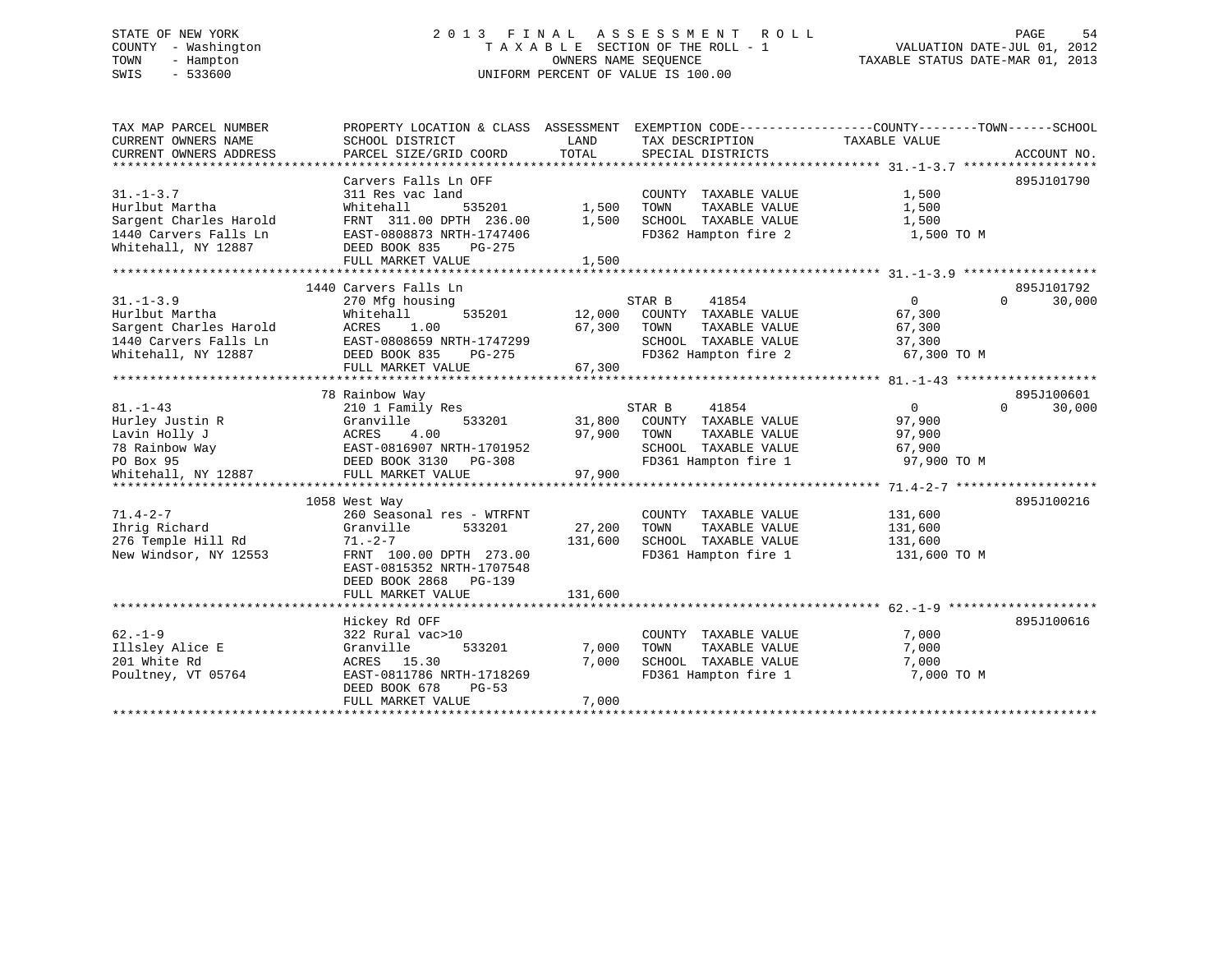# STATE OF NEW YORK 2 0 1 3 F I N A L A S S E S S M E N T R O L L PAGE 54 COUNTY - Washington T A X A B L E SECTION OF THE ROLL - 1 VALUATION DATE-JUL 01, 2012 TOWN - Hampton OWNERS NAME SEQUENCE TAXABLE STATUS DATE-MAR 01, 2013 SWIS - 533600 UNIFORM PERCENT OF VALUE IS 100.00

| TAX MAP PARCEL NUMBER  | PROPERTY LOCATION & CLASS ASSESSMENT EXEMPTION CODE---------------COUNTY-------TOWN------SCHOOL |                     |                                                       |                |                    |
|------------------------|-------------------------------------------------------------------------------------------------|---------------------|-------------------------------------------------------|----------------|--------------------|
| CURRENT OWNERS NAME    | SCHOOL DISTRICT                                                                                 | LAND                | TAX DESCRIPTION                                       | TAXABLE VALUE  |                    |
| CURRENT OWNERS ADDRESS | PARCEL SIZE/GRID COORD                                                                          | TOTAL               | SPECIAL DISTRICTS                                     |                | ACCOUNT NO.        |
|                        |                                                                                                 |                     |                                                       |                |                    |
|                        | Carvers Falls Ln OFF                                                                            |                     |                                                       |                | 895J101790         |
| $31. - 1 - 3.7$        | 311 Res vac land                                                                                |                     | COUNTY TAXABLE VALUE                                  | 1,500          |                    |
| Hurlbut Martha         | Whitehall<br>535201                                                                             | $\frac{1}{2}$ , 500 | TAXABLE VALUE<br>TOWN                                 | 1,500          |                    |
| Sargent Charles Harold | FRNT 311.00 DPTH 236.00                                                                         | 1,500               | SCHOOL TAXABLE VALUE                                  | 1,500          |                    |
| 1440 Carvers Falls Ln  | EAST-0808873 NRTH-1747406                                                                       |                     | FD362 Hampton fire 2                                  | 1,500 TO M     |                    |
| Whitehall, NY 12887    | DEED BOOK 835<br>PG-275                                                                         |                     |                                                       |                |                    |
|                        | FULL MARKET VALUE                                                                               | 1,500               |                                                       |                |                    |
|                        |                                                                                                 |                     |                                                       |                |                    |
|                        | 1440 Carvers Falls Ln                                                                           |                     |                                                       |                | 895J101792         |
| $31. - 1 - 3.9$        | 270 Mfg housing                                                                                 |                     | 41854<br>STAR B                                       | $\overline{0}$ | 30,000<br>$\Omega$ |
| Hurlbut Martha         | 535201<br>Whitehall                                                                             |                     | 12,000 COUNTY TAXABLE VALUE                           | 67,300         |                    |
| Sargent Charles Harold | ACRES 1.00                                                                                      | 67,300              | TOWN<br>TAXABLE VALUE                                 | 67,300         |                    |
| 1440 Carvers Falls Ln  | EAST-0808659 NRTH-1747299                                                                       |                     | TOWN       TAXABLE  VALUE<br>SCHOOL    TAXABLE  VALUE | 37,300         |                    |
| Whitehall, NY 12887    | DEED BOOK 835<br>PG-275                                                                         |                     | FD362 Hampton fire 2                                  | 67,300 TO M    |                    |
|                        | FULL MARKET VALUE                                                                               | 67,300              |                                                       |                |                    |
|                        |                                                                                                 |                     |                                                       |                |                    |
|                        | 78 Rainbow Way                                                                                  |                     |                                                       |                | 895J100601         |
| $81. - 1 - 43$         | 210 1 Family Res                                                                                |                     | STAR B<br>41854                                       | $\overline{0}$ | 30,000<br>$\Omega$ |
| Hurley Justin R        | Granville<br>533201                                                                             |                     | 31,800 COUNTY TAXABLE VALUE                           | 97,900         |                    |
| Lavin Holly J          | 4.00<br>ACRES                                                                                   | 97,900 TOWN         | TAXABLE VALUE                                         | 97,900         |                    |
| 78 Rainbow Way         | EAST-0816907 NRTH-1701952                                                                       |                     | SCHOOL TAXABLE VALUE                                  | 67,900         |                    |
| PO Box 95              | DEED BOOK 3130 PG-308                                                                           |                     | FD361 Hampton fire 1                                  | 97,900 TO M    |                    |
| Whitehall, NY 12887    | FULL MARKET VALUE                                                                               | 97,900              |                                                       |                |                    |
|                        |                                                                                                 |                     |                                                       |                |                    |
|                        | 1058 West Way                                                                                   |                     |                                                       |                | 895J100216         |
| $71.4 - 2 - 7$         | 260 Seasonal res - WTRFNT                                                                       |                     | COUNTY TAXABLE VALUE                                  | 131,600        |                    |
| Ihrig Richard          | 533201<br>Granville                                                                             | 27,200              | TAXABLE VALUE<br>TOWN                                 | 131,600        |                    |
| 276 Temple Hill Rd     | $71. - 2 - 7$                                                                                   | 131,600             | SCHOOL TAXABLE VALUE                                  | 131,600        |                    |
| New Windsor, NY 12553  | FRNT 100.00 DPTH 273.00                                                                         |                     | FD361 Hampton fire 1                                  | 131,600 TO M   |                    |
|                        | EAST-0815352 NRTH-1707548                                                                       |                     |                                                       |                |                    |
|                        | DEED BOOK 2868 PG-139                                                                           |                     |                                                       |                |                    |
|                        | FULL MARKET VALUE                                                                               | 131,600             |                                                       |                |                    |
|                        |                                                                                                 |                     |                                                       |                |                    |
|                        | Hickey Rd OFF                                                                                   |                     |                                                       |                | 895J100616         |
| $62. -1 - 9$           | 322 Rural vac>10                                                                                |                     | COUNTY TAXABLE VALUE                                  | 7,000          |                    |
| Illsley Alice E        | 533201<br>Granville                                                                             | 7,000               | TOWN<br>TAXABLE VALUE                                 | 7,000          |                    |
| 201 White Rd           | ACRES 15.30                                                                                     | 7,000               | SCHOOL TAXABLE VALUE                                  | 7,000          |                    |
| Poultney, VT 05764     | EAST-0811786 NRTH-1718269                                                                       |                     | FD361 Hampton fire 1                                  | 7,000 TO M     |                    |
|                        | DEED BOOK 678<br><b>PG-53</b>                                                                   |                     |                                                       |                |                    |
|                        | FULL MARKET VALUE                                                                               | 7,000               |                                                       |                |                    |
|                        |                                                                                                 |                     |                                                       |                |                    |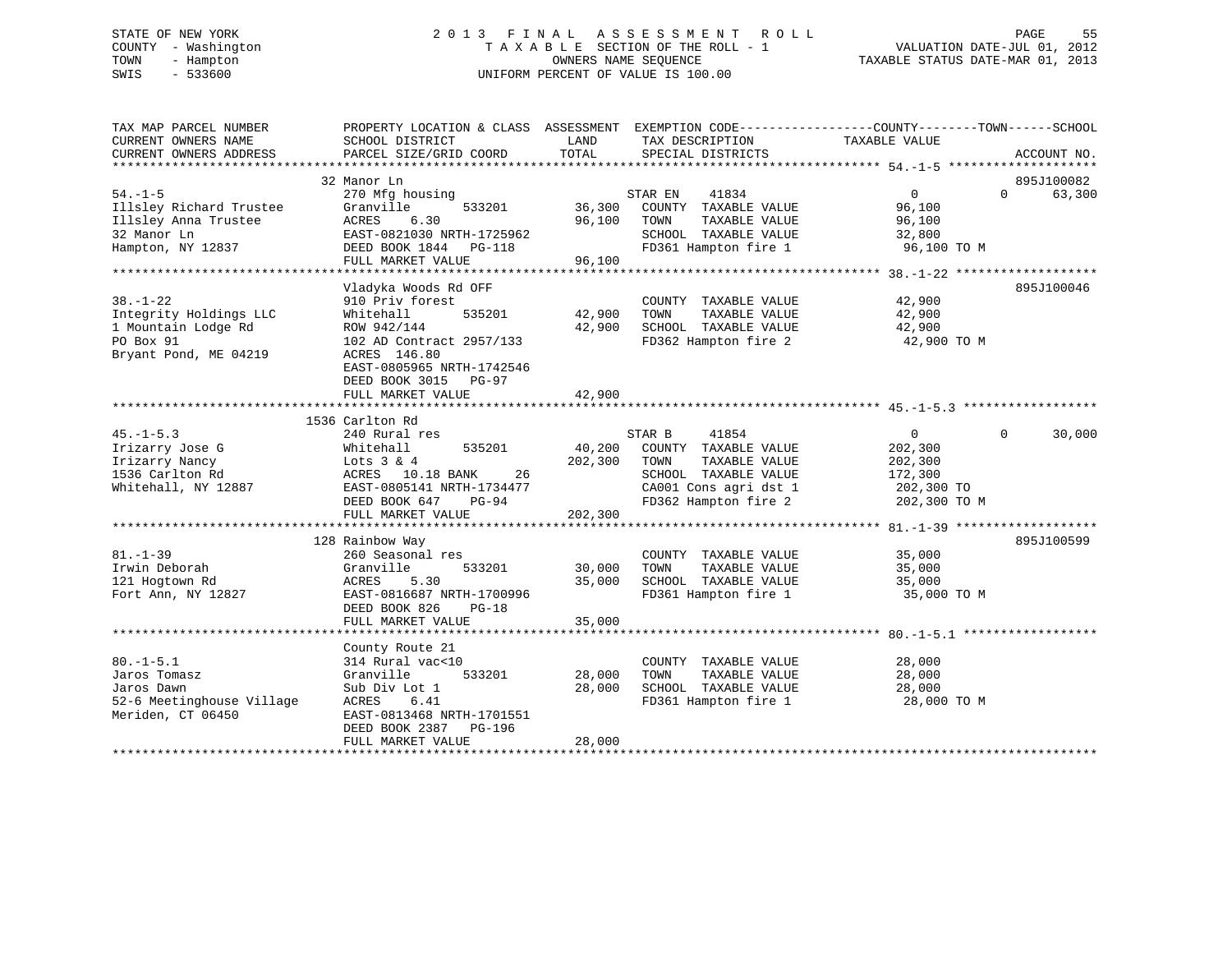# STATE OF NEW YORK 2 0 1 3 F I N A L A S S E S S M E N T R O L L PAGE 55 COUNTY - Washington T A X A B L E SECTION OF THE ROLL - 1 VALUATION DATE-JUL 01, 2012 TOWN - Hampton OWNERS NAME SEQUENCE TAXABLE STATUS DATE-MAR 01, 2013 SWIS - 533600 UNIFORM PERCENT OF VALUE IS 100.00

| TAX MAP PARCEL NUMBER<br>CURRENT OWNERS NAME<br>CURRENT OWNERS ADDRESS                                | PROPERTY LOCATION & CLASS ASSESSMENT EXEMPTION CODE---------------COUNTY-------TOWN-----SCHOOL<br>SCHOOL DISTRICT<br>PARCEL SIZE/GRID COORD                                                            | LAND<br>TOTAL                     | TAX DESCRIPTION<br>SPECIAL DISTRICTS                                                                                              | TAXABLE VALUE                                                                 | ACCOUNT NO.        |
|-------------------------------------------------------------------------------------------------------|--------------------------------------------------------------------------------------------------------------------------------------------------------------------------------------------------------|-----------------------------------|-----------------------------------------------------------------------------------------------------------------------------------|-------------------------------------------------------------------------------|--------------------|
|                                                                                                       | 32 Manor Ln                                                                                                                                                                                            |                                   |                                                                                                                                   |                                                                               | 895J100082         |
| $54. - 1 - 5$<br>Illsley Richard Trustee<br>Illsley Anna Trustee<br>32 Manor Ln<br>Hampton, NY 12837  | 270 Mfg housing<br>Granville<br>533201<br>6.30<br>ACRES<br>EAST-0821030 NRTH-1725962<br>DEED BOOK 1844 PG-118<br>FULL MARKET VALUE                                                                     | 36,300<br>96,100 TOWN<br>96,100   | 41834<br>STAR EN<br>COUNTY TAXABLE VALUE<br>TAXABLE VALUE<br>SCHOOL TAXABLE VALUE<br>FD361 Hampton fire 1                         | $\overline{0}$<br>96,100<br>96,100<br>32,800<br>96,100 TO M                   | 63,300<br>$\Omega$ |
| $38. - 1 - 22$<br>Integrity Holdings LLC<br>1 Mountain Lodge Rd<br>PO Box 91<br>Bryant Pond, ME 04219 | Vladyka Woods Rd OFF<br>910 Priv forest<br>Whitehall<br>535201<br>ROW 942/144<br>102 AD Contract 2957/133<br>ACRES 146.80<br>EAST-0805965 NRTH-1742546<br>DEED BOOK 3015<br>PG-97<br>FULL MARKET VALUE | 42,900<br>42,900<br>42,900        | COUNTY TAXABLE VALUE<br>TAXABLE VALUE<br>TOWN<br>SCHOOL TAXABLE VALUE<br>FD362 Hampton fire 2                                     | 42,900<br>42,900<br>42,900<br>42,900 TO M                                     | 895J100046         |
|                                                                                                       | 1536 Carlton Rd                                                                                                                                                                                        |                                   |                                                                                                                                   |                                                                               |                    |
| $45. - 1 - 5.3$<br>Irizarry Jose G<br>Irizarry Nancy<br>1536 Carlton Rd<br>Whitehall, NY 12887        | 240 Rural res<br>535201<br>Whitehall<br>Lots $3 \& 4$<br>ACRES 10.18 BANK<br>26<br>EAST-0805141 NRTH-1734477<br>DEED BOOK 647<br>PG-94<br>FULL MARKET VALUE                                            | 40,200<br>202,300 TOWN<br>202,300 | STAR B<br>41854<br>COUNTY TAXABLE VALUE<br>TAXABLE VALUE<br>SCHOOL TAXABLE VALUE<br>CA001 Cons agri dst 1<br>FD362 Hampton fire 2 | $\overline{0}$<br>202,300<br>202,300<br>172,300<br>202,300 TO<br>202,300 TO M | $\Omega$<br>30,000 |
| $81. - 1 - 39$<br>Irwin Deborah<br>121 Hogtown Rd<br>Fort Ann, NY 12827                               | 128 Rainbow Way<br>260 Seasonal res<br>Granville<br>533201<br>ACRES<br>5.30<br>EAST-0816687 NRTH-1700996<br>DEED BOOK 826<br>$PG-18$<br>FULL MARKET VALUE                                              | 30,000<br>35,000<br>35,000        | COUNTY TAXABLE VALUE<br>TOWN<br>TAXABLE VALUE<br>SCHOOL TAXABLE VALUE<br>FD361 Hampton fire 1                                     | 35,000<br>35,000<br>35,000<br>35,000 TO M                                     | 895J100599         |
|                                                                                                       | County Route 21                                                                                                                                                                                        |                                   |                                                                                                                                   |                                                                               |                    |
| $80. - 1 - 5.1$<br>Jaros Tomasz<br>Jaros Dawn<br>52-6 Meetinghouse Village<br>Meriden, CT 06450       | 314 Rural vac<10<br>533201<br>Granville<br>Sub Div Lot 1<br>ACRES 6.41<br>EAST-0813468 NRTH-1701551<br>DEED BOOK 2387 PG-196<br>FULL MARKET VALUE                                                      | 28,000<br>28,000<br>28,000        | COUNTY TAXABLE VALUE<br>TAXABLE VALUE<br>TOWN<br>SCHOOL TAXABLE VALUE<br>FD361 Hampton fire 1                                     | 28,000<br>28,000<br>28,000<br>28,000 TO M                                     |                    |
|                                                                                                       |                                                                                                                                                                                                        |                                   |                                                                                                                                   |                                                                               |                    |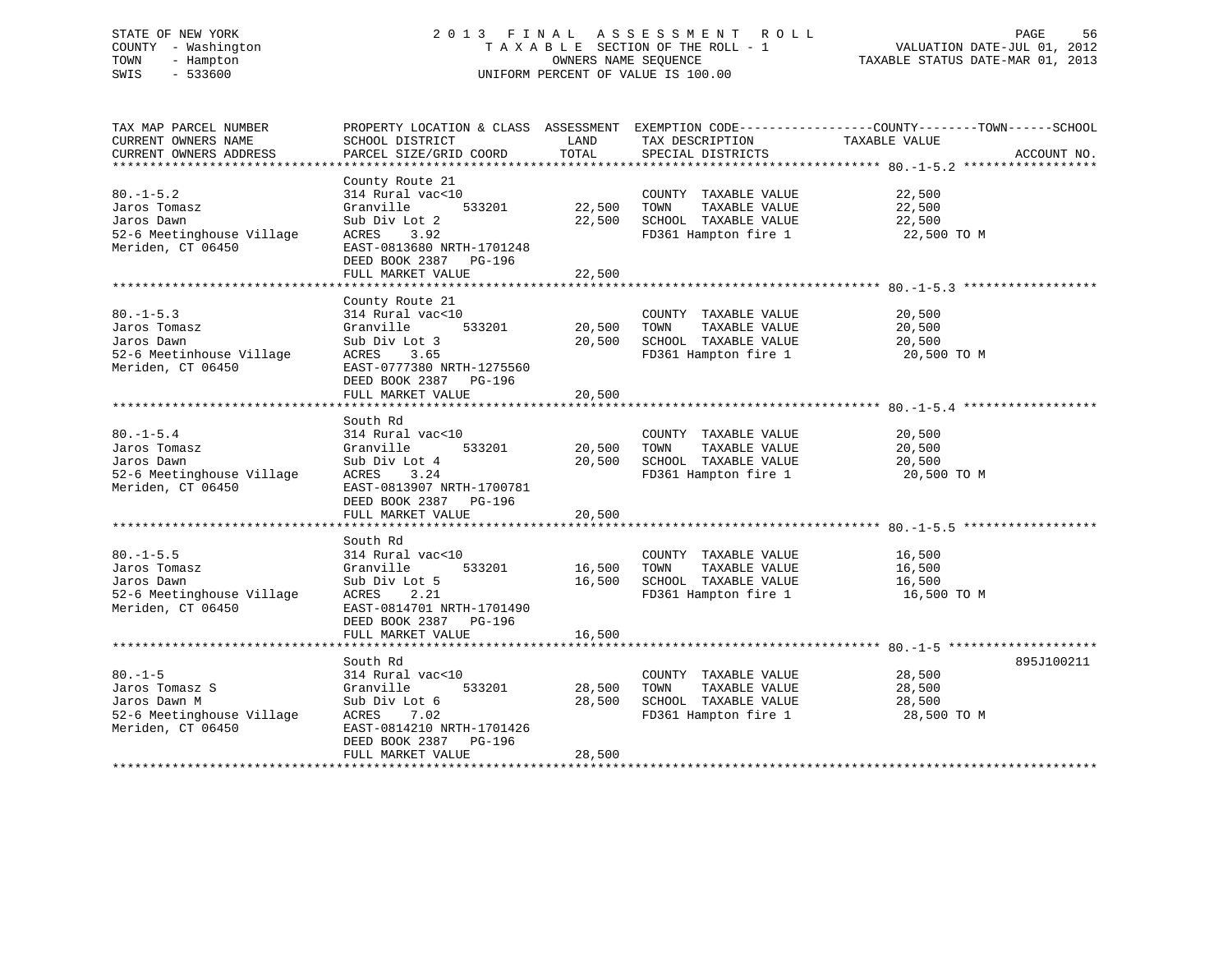# STATE OF NEW YORK 2 0 1 3 F I N A L A S S E S S M E N T R O L L PAGE 56 COUNTY - Washington T A X A B L E SECTION OF THE ROLL - 1 VALUATION DATE-JUL 01, 2012 TOWN - Hampton OWNERS NAME SEQUENCE TAXABLE STATUS DATE-MAR 01, 2013 SWIS - 533600 UNIFORM PERCENT OF VALUE IS 100.00

| TAX MAP PARCEL NUMBER                          |                           |             |                              | PROPERTY LOCATION & CLASS ASSESSMENT EXEMPTION CODE----------------COUNTY-------TOWN-----SCHOOL |  |
|------------------------------------------------|---------------------------|-------------|------------------------------|-------------------------------------------------------------------------------------------------|--|
| CURRENT OWNERS NAME                            | SCHOOL DISTRICT           | LAND        | TAX DESCRIPTION              | TAXABLE VALUE                                                                                   |  |
| CURRENT OWNERS ADDRESS                         | PARCEL SIZE/GRID COORD    | TOTAL       | SPECIAL DISTRICTS            | ACCOUNT NO.                                                                                     |  |
|                                                |                           |             |                              |                                                                                                 |  |
|                                                | County Route 21           |             |                              |                                                                                                 |  |
| $80. - 1 - 5.2$                                | 314 Rural vac<10          |             | COUNTY TAXABLE VALUE         | 22,500                                                                                          |  |
| Jaros Tomasz                                   | Granville<br>533201       |             | 22,500 TOWN TAXABLE VALUE    | 22,500                                                                                          |  |
| Jaros Dawn                                     | Sub Div Lot 2             | 22,500      | SCHOOL TAXABLE VALUE         | 22,500                                                                                          |  |
| 52-6 Meetinghouse Village<br>Meriden, CT 06450 | ACRES 3.92                |             | FD361 Hampton fire 1         | 22,500 TO M                                                                                     |  |
| Meriden, CT 06450                              | EAST-0813680 NRTH-1701248 |             |                              |                                                                                                 |  |
|                                                | DEED BOOK 2387 PG-196     |             |                              |                                                                                                 |  |
|                                                | FULL MARKET VALUE         | 22,500      |                              |                                                                                                 |  |
|                                                |                           |             |                              |                                                                                                 |  |
|                                                | County Route 21           |             |                              |                                                                                                 |  |
| $80. -1 - 5.3$                                 | 314 Rural vac<10          |             | COUNTY TAXABLE VALUE         | 20,500                                                                                          |  |
| Jaros Tomasz                                   | Granville 533201          |             | 20,500 TOWN<br>TAXABLE VALUE | 20,500                                                                                          |  |
| Jaros Dawn                                     | Sub Div Lot 3             | 20,500      | SCHOOL TAXABLE VALUE         | 20,500                                                                                          |  |
| 52-6 Meetinhouse Village                       | ACRES 3.65                |             | FD361 Hampton fire 1         | 20,500 TO M                                                                                     |  |
| Meriden, CT 06450                              | EAST-0777380 NRTH-1275560 |             |                              |                                                                                                 |  |
|                                                | DEED BOOK 2387 PG-196     |             |                              |                                                                                                 |  |
|                                                | FULL MARKET VALUE         | 20,500      |                              |                                                                                                 |  |
|                                                |                           |             |                              |                                                                                                 |  |
|                                                | South Rd                  |             |                              |                                                                                                 |  |
| $80. - 1 - 5.4$                                | 314 Rural vac<10          |             | COUNTY TAXABLE VALUE         | 20,500                                                                                          |  |
| Jaros Tomasz                                   | 533201<br>Granville       | 20,500 TOWN | TAXABLE VALUE                | 20,500                                                                                          |  |
| Jaros Dawn                                     | Sub Div Lot 4             | 20,500      | SCHOOL TAXABLE VALUE         | 20,500                                                                                          |  |
| 52-6 Meetinghouse Village                      | ACRES<br>3.24             |             | FD361 Hampton fire 1         | 20,500 TO M                                                                                     |  |
| Meriden, CT 06450                              | EAST-0813907 NRTH-1700781 |             |                              |                                                                                                 |  |
|                                                | DEED BOOK 2387 PG-196     |             |                              |                                                                                                 |  |
|                                                | FULL MARKET VALUE         | 20,500      |                              |                                                                                                 |  |
|                                                |                           |             |                              |                                                                                                 |  |
|                                                | South Rd                  |             |                              |                                                                                                 |  |
| $80. -1 - 5.5$                                 | 314 Rural vac<10          |             | COUNTY TAXABLE VALUE         | 16,500                                                                                          |  |
| Jaros Tomasz                                   | Granville<br>533201       | 16,500      | TOWN<br>TAXABLE VALUE        | 16,500                                                                                          |  |
| Jaros Dawn                                     | Sub Div Lot 5             | 16,500      | SCHOOL TAXABLE VALUE         | 16,500                                                                                          |  |
| 52-6 Meetinghouse Village                      | 2.21<br>ACRES             |             | FD361 Hampton fire 1         | 16,500 TO M                                                                                     |  |
| Meriden, CT 06450                              | EAST-0814701 NRTH-1701490 |             |                              |                                                                                                 |  |
|                                                | DEED BOOK 2387 PG-196     |             |                              |                                                                                                 |  |
|                                                | FULL MARKET VALUE         | 16,500      |                              |                                                                                                 |  |
|                                                |                           |             |                              |                                                                                                 |  |
|                                                | South Rd                  |             |                              | 895J100211                                                                                      |  |
| $80. -1 - 5$                                   | 314 Rural vac<10          |             | COUNTY TAXABLE VALUE         | 28,500                                                                                          |  |
| Jaros Tomasz S                                 | 533201<br>Granville       | 28,500      | TAXABLE VALUE<br>TOWN        | 28,500                                                                                          |  |
| Jaros Dawn M                                   | Sub Div Lot 6             | 28,500      | SCHOOL TAXABLE VALUE         | 28,500                                                                                          |  |
| 52-6 Meetinghouse Village                      | ACRES<br>7.02             |             | FD361 Hampton fire 1         | 28,500 TO M                                                                                     |  |
| Meriden, CT 06450                              | EAST-0814210 NRTH-1701426 |             |                              |                                                                                                 |  |
|                                                | DEED BOOK 2387 PG-196     |             |                              |                                                                                                 |  |
|                                                | FULL MARKET VALUE         | 28,500      |                              |                                                                                                 |  |
|                                                |                           |             |                              |                                                                                                 |  |
|                                                |                           |             |                              |                                                                                                 |  |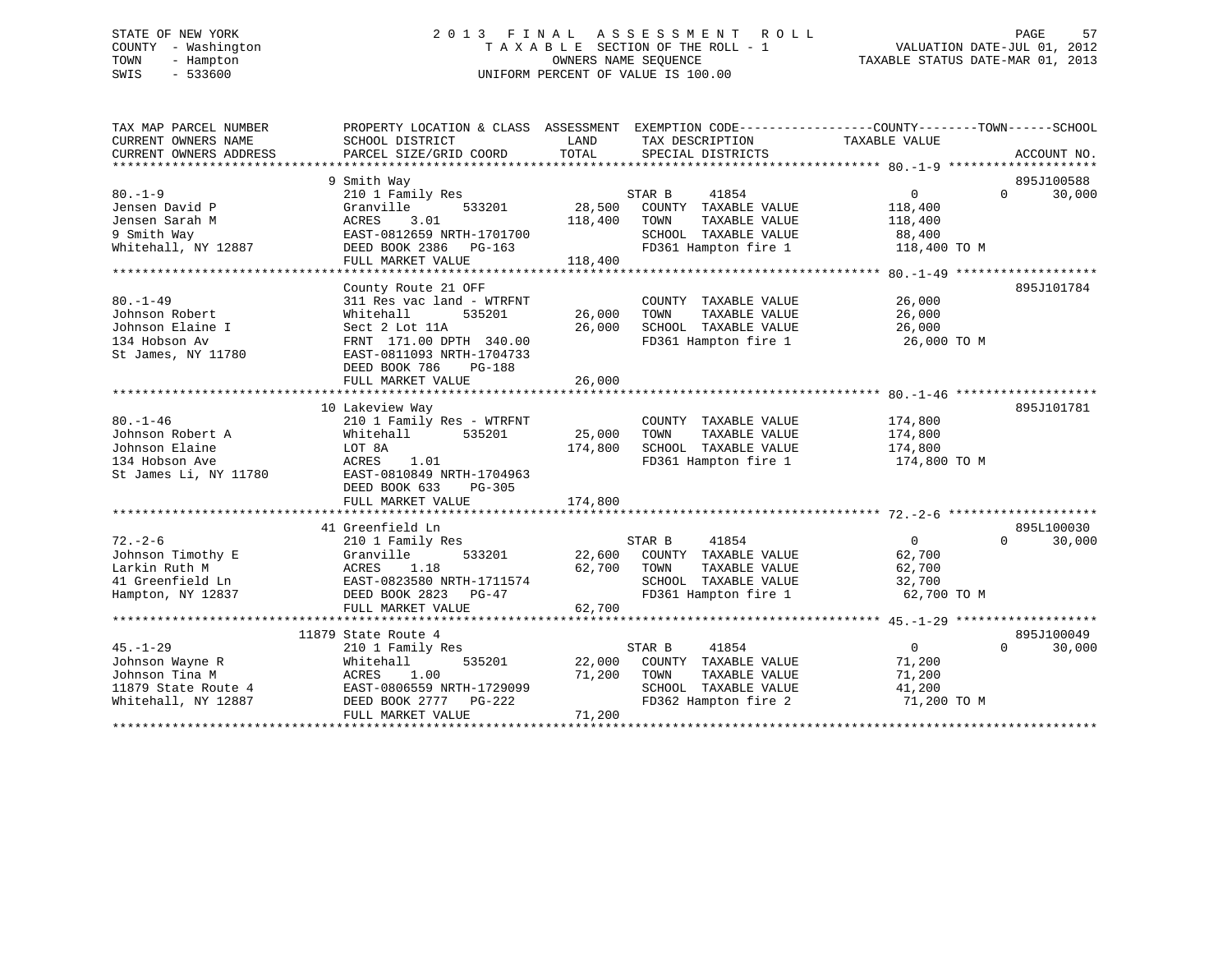# STATE OF NEW YORK 2 0 1 3 F I N A L A S S E S S M E N T R O L L PAGE 57 COUNTY - Washington T A X A B L E SECTION OF THE ROLL - 1 VALUATION DATE-JUL 01, 2012 TOWN - Hampton OWNERS NAME SEQUENCE TAXABLE STATUS DATE-MAR 01, 2013 SWIS - 533600 UNIFORM PERCENT OF VALUE IS 100.00

| TAX MAP PARCEL NUMBER<br>CURRENT OWNERS NAME<br>CURRENT OWNERS ADDRESS                            | SCHOOL DISTRICT<br>PARCEL SIZE/GRID COORD                                                                                                                                           | LAND<br>TOTAL                | TAX DESCRIPTION<br>SPECIAL DISTRICTS                                                                             | PROPERTY LOCATION & CLASS ASSESSMENT EXEMPTION CODE---------------COUNTY-------TOWN-----SCHOOL<br>TAXABLE VALUE | ACCOUNT NO.                      |
|---------------------------------------------------------------------------------------------------|-------------------------------------------------------------------------------------------------------------------------------------------------------------------------------------|------------------------------|------------------------------------------------------------------------------------------------------------------|-----------------------------------------------------------------------------------------------------------------|----------------------------------|
| $80 - 1 - 9$<br>Jensen David P                                                                    | 9 Smith Way<br>210 1 Family Res<br>Granville<br>533201                                                                                                                              | 28,500                       | STAR B<br>41854<br>COUNTY TAXABLE VALUE                                                                          | $\mathbf 0$<br>118,400                                                                                          | 895J100588<br>30,000<br>$\Omega$ |
| Jensen Sarah M<br>9 Smith Way<br>Whitehall, NY 12887                                              | 3.01<br>ACRES<br>EAST-0812659 NRTH-1701700<br>DEED BOOK 2386<br>PG-163<br>FULL MARKET VALUE                                                                                         | 118,400<br>118,400           | TAXABLE VALUE<br>TOWN<br>SCHOOL TAXABLE VALUE<br>FD361 Hampton fire 1                                            | 118,400<br>88,400<br>118,400 TO M                                                                               |                                  |
|                                                                                                   |                                                                                                                                                                                     |                              |                                                                                                                  |                                                                                                                 |                                  |
| $80. - 1 - 49$<br>Johnson Robert<br>Johnson Elaine I<br>134 Hobson Av<br>St James, NY 11780       | County Route 21 OFF<br>311 Res vac land - WTRFNT<br>535201<br>Whitehall<br>Sect 2 Lot 11A<br>FRNT 171.00 DPTH 340.00<br>EAST-0811093 NRTH-1704733<br>DEED BOOK 786<br><b>PG-188</b> | 26,000<br>26,000             | COUNTY TAXABLE VALUE<br>TOWN<br>TAXABLE VALUE<br>SCHOOL TAXABLE VALUE<br>FD361 Hampton fire 1                    | 26,000<br>26,000<br>26,000<br>26,000 TO M                                                                       | 895J101784                       |
|                                                                                                   | FULL MARKET VALUE                                                                                                                                                                   | 26,000                       |                                                                                                                  |                                                                                                                 |                                  |
|                                                                                                   |                                                                                                                                                                                     |                              |                                                                                                                  |                                                                                                                 |                                  |
| $80. - 1 - 46$<br>Johnson Robert A<br>Johnson Elaine<br>134 Hobson Ave<br>St James Li, NY 11780   | 10 Lakeview Way<br>210 1 Family Res - WTRFNT<br>Whitehall<br>535201<br>LOT 8A<br>ACRES<br>1.01<br>EAST-0810849 NRTH-1704963<br>DEED BOOK 633<br>$PG-305$<br>FULL MARKET VALUE       | 25,000<br>174,800<br>174,800 | COUNTY TAXABLE VALUE<br>TAXABLE VALUE<br>TOWN<br>SCHOOL TAXABLE VALUE<br>FD361 Hampton fire 1                    | 174,800<br>174,800<br>174,800<br>174,800 TO M                                                                   | 895J101781                       |
|                                                                                                   |                                                                                                                                                                                     |                              |                                                                                                                  |                                                                                                                 |                                  |
| $72. - 2 - 6$<br>Johnson Timothy E                                                                | 41 Greenfield Ln<br>210 1 Family Res<br>Granville<br>533201                                                                                                                         | 22,600                       | 41854<br>STAR B<br>COUNTY TAXABLE VALUE                                                                          | $\mathbf 0$<br>62,700                                                                                           | 895L100030<br>$\Omega$<br>30,000 |
| Larkin Ruth M<br>41 Greenfield Ln<br>Hampton, NY 12837                                            | ACRES<br>1.18<br>EAST-0823580 NRTH-1711574<br>DEED BOOK 2823<br>PG-47<br>FULL MARKET VALUE                                                                                          | 62,700<br>62,700             | TOWN<br>TAXABLE VALUE<br>SCHOOL TAXABLE VALUE<br>FD361 Hampton fire 1                                            | 62,700<br>32,700<br>62,700 TO M                                                                                 |                                  |
|                                                                                                   |                                                                                                                                                                                     |                              |                                                                                                                  |                                                                                                                 |                                  |
|                                                                                                   | 11879 State Route 4                                                                                                                                                                 |                              |                                                                                                                  |                                                                                                                 | 895J100049                       |
| $45. - 1 - 29$<br>Johnson Wayne R<br>Johnson Tina M<br>11879 State Route 4<br>Whitehall, NY 12887 | 210 1 Family Res<br>Whitehall<br>535201<br>1.00<br>ACRES<br>EAST-0806559 NRTH-1729099<br>DEED BOOK 2777 PG-222<br>FULL MARKET VALUE                                                 | 22,000<br>71,200<br>71,200   | STAR B<br>41854<br>COUNTY TAXABLE VALUE<br>TOWN<br>TAXABLE VALUE<br>SCHOOL TAXABLE VALUE<br>FD362 Hampton fire 2 | $\overline{0}$<br>71,200<br>71,200<br>41,200<br>71,200 TO M                                                     | $\Omega$<br>30,000               |
|                                                                                                   |                                                                                                                                                                                     |                              |                                                                                                                  |                                                                                                                 |                                  |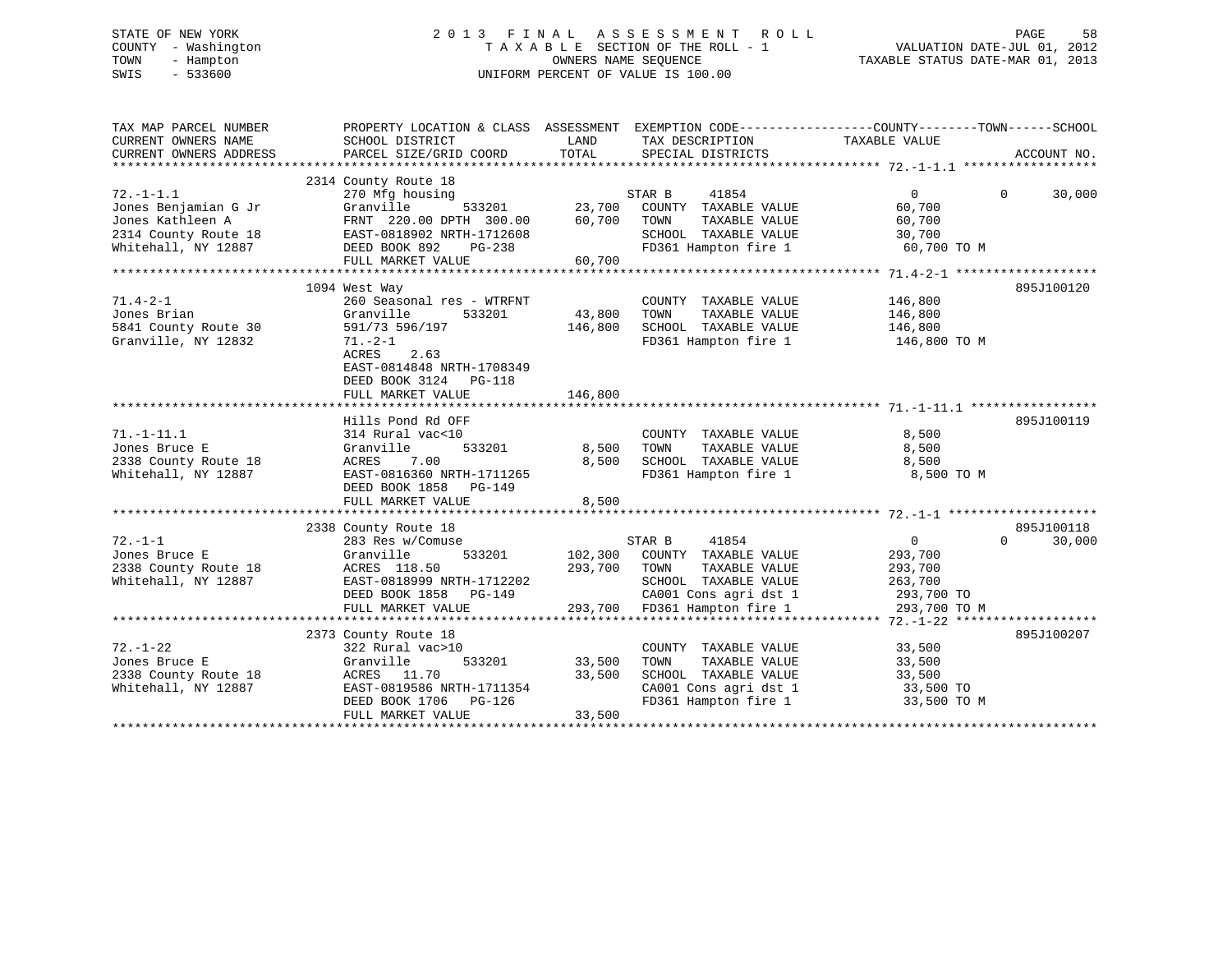# STATE OF NEW YORK 2 0 1 3 F I N A L A S S E S S M E N T R O L L PAGE 58 COUNTY - Washington T A X A B L E SECTION OF THE ROLL - 1 VALUATION DATE-JUL 01, 2012 TOWN - Hampton OWNERS NAME SEQUENCE TAXABLE STATUS DATE-MAR 01, 2013 SWIS - 533600 UNIFORM PERCENT OF VALUE IS 100.00

| TAX MAP PARCEL NUMBER<br>CURRENT OWNERS NAME<br>CURRENT OWNERS ADDRESS | PROPERTY LOCATION & CLASS ASSESSMENT EXEMPTION CODE----------------COUNTY-------TOWN-----SCHOOL<br>SCHOOL DISTRICT<br>PARCEL SIZE/GRID COORD | LAND<br>TOTAL | TAX DESCRIPTION<br>SPECIAL DISTRICTS          | TAXABLE VALUE  | ACCOUNT NO.        |
|------------------------------------------------------------------------|----------------------------------------------------------------------------------------------------------------------------------------------|---------------|-----------------------------------------------|----------------|--------------------|
|                                                                        |                                                                                                                                              |               |                                               |                |                    |
| $72. - 1 - 1.1$                                                        | 2314 County Route 18<br>270 Mfg housing                                                                                                      |               | STAR B<br>41854                               | $\overline{0}$ | $\Omega$<br>30,000 |
| Jones Benjamian G Jr                                                   | 533201<br>Granville                                                                                                                          | 23,700        | COUNTY TAXABLE VALUE                          | 60,700         |                    |
| Jones Kathleen A                                                       | FRNT 220.00 DPTH 300.00                                                                                                                      | 60,700        | TAXABLE VALUE<br>TOWN                         | 60,700         |                    |
| 2314 County Route 18                                                   | EAST-0818902 NRTH-1712608                                                                                                                    |               | SCHOOL TAXABLE VALUE                          | 30,700         |                    |
| Whitehall, NY 12887                                                    | DEED BOOK 892<br>PG-238                                                                                                                      |               | FD361 Hampton fire 1                          | 60,700 TO M    |                    |
|                                                                        | FULL MARKET VALUE                                                                                                                            | 60,700        |                                               |                |                    |
|                                                                        |                                                                                                                                              |               |                                               |                |                    |
|                                                                        | 1094 West Way                                                                                                                                |               |                                               |                | 895J100120         |
| $71.4 - 2 - 1$                                                         | 260 Seasonal res - WTRFNT                                                                                                                    |               | COUNTY TAXABLE VALUE                          | 146,800        |                    |
| Jones Brian                                                            | Granville<br>533201                                                                                                                          | 43,800        | TAXABLE VALUE<br>TOWN                         | 146,800        |                    |
| 5841 County Route 30                                                   | 591/73 596/197                                                                                                                               | 146,800       | SCHOOL TAXABLE VALUE                          | 146,800        |                    |
| Granville, NY 12832                                                    | $71. - 2 - 1$                                                                                                                                |               | FD361 Hampton fire 1 146,800 TO M             |                |                    |
|                                                                        | ACRES 2.63<br>EAST-0814848 NRTH-1708349                                                                                                      |               |                                               |                |                    |
|                                                                        | DEED BOOK 3124 PG-118                                                                                                                        |               |                                               |                |                    |
|                                                                        | FULL MARKET VALUE                                                                                                                            | 146,800       |                                               |                |                    |
|                                                                        | Hills Pond Rd OFF                                                                                                                            |               |                                               |                | 895J100119         |
| $71. - 1 - 11.1$                                                       | 314 Rural vac<10                                                                                                                             |               | COUNTY TAXABLE VALUE                          | 8,500          |                    |
| Jones Bruce E                                                          | 533201<br>Granville                                                                                                                          | 8,500         | TOWN<br>TAXABLE VALUE                         | 8,500          |                    |
| 2338 County Route 18                                                   | ACRES<br>7.00                                                                                                                                | 8,500         | SCHOOL TAXABLE VALUE                          | 8,500          |                    |
| Whitehall, NY 12887                                                    | EAST-0816360 NRTH-1711265                                                                                                                    |               | FD361 Hampton fire 1                          | 8,500 TO M     |                    |
|                                                                        | DEED BOOK 1858<br>PG-149                                                                                                                     |               |                                               |                |                    |
|                                                                        | FULL MARKET VALUE                                                                                                                            | 8,500         |                                               |                |                    |
|                                                                        |                                                                                                                                              |               |                                               |                |                    |
|                                                                        | 2338 County Route 18                                                                                                                         |               |                                               |                | 895J100118         |
| $72. - 1 - 1$                                                          | 283 Res w/Comuse                                                                                                                             |               | STAR B<br>41854                               | $\overline{0}$ | 30,000<br>$\Omega$ |
| Jones Bruce E                                                          | Granville<br>533201                                                                                                                          | 102,300       | COUNTY TAXABLE VALUE                          | 293,700        |                    |
| 2338 County Route 18                                                   | ACRES 118.50                                                                                                                                 | 293,700       | TAXABLE VALUE<br>TOWN                         | 293,700        |                    |
| Whitehall, NY 12887                                                    | EAST-0818999 NRTH-1712202                                                                                                                    |               | SCHOOL TAXABLE VALUE                          | 263,700        |                    |
|                                                                        | DEED BOOK 1858<br>PG-149                                                                                                                     |               | CA001 Cons agri dst 1                         | 293,700 TO     |                    |
|                                                                        | FULL MARKET VALUE                                                                                                                            |               | 293,700 FD361 Hampton fire 1                  | 293,700 TO M   |                    |
|                                                                        |                                                                                                                                              |               |                                               |                |                    |
|                                                                        | 2373 County Route 18                                                                                                                         |               |                                               |                | 895J100207         |
| $72. - 1 - 22$                                                         | 322 Rural vac>10                                                                                                                             |               | COUNTY TAXABLE VALUE                          | 33,500         |                    |
| Jones Bruce E                                                          | 533201<br>Granville                                                                                                                          | 33,500        | TAXABLE VALUE<br>TOWN                         | 33,500         |                    |
| 2338 County Route 18                                                   | ACRES 11.70                                                                                                                                  | 33,500        | SCHOOL TAXABLE VALUE                          | 33,500         |                    |
| Whitehall, NY 12887                                                    | EAST-0819586 NRTH-1711354                                                                                                                    |               | SCHOOL TAXABLE VALUE<br>CA001 Cons agri dst 1 | 33,500 TO      |                    |
|                                                                        | DEED BOOK 1706 PG-126                                                                                                                        |               | FD361 Hampton fire 1                          | 33,500 TO M    |                    |
|                                                                        | FULL MARKET VALUE                                                                                                                            | 33,500        |                                               |                |                    |
|                                                                        |                                                                                                                                              |               |                                               |                |                    |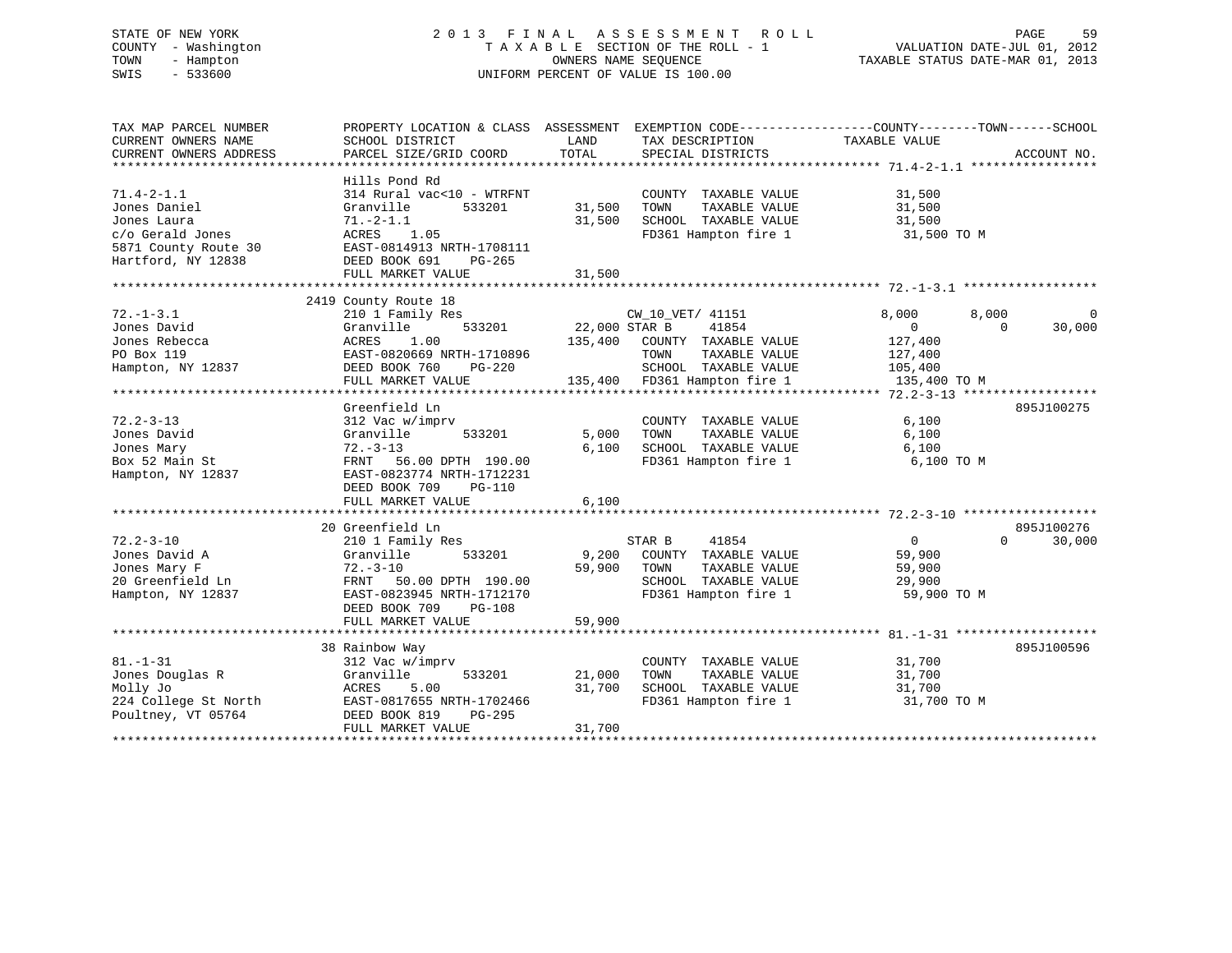# STATE OF NEW YORK 2 0 1 3 F I N A L A S S E S S M E N T R O L L PAGE 59 COUNTY - Washington T A X A B L E SECTION OF THE ROLL - 1 VALUATION DATE-JUL 01, 2012 TOWN - Hampton OWNERS NAME SEQUENCE TAXABLE STATUS DATE-MAR 01, 2013 SWIS - 533600 UNIFORM PERCENT OF VALUE IS 100.00

| TAX MAP PARCEL NUMBER<br>CURRENT OWNERS NAME<br>CURRENT OWNERS ADDRESS                                            | PROPERTY LOCATION & CLASS ASSESSMENT<br>SCHOOL DISTRICT<br>PARCEL SIZE/GRID COORD                                                                                                              | LAND<br>TOTAL                       | EXEMPTION CODE-----------------COUNTY-------TOWN------SCHOOL<br>TAX DESCRIPTION<br>SPECIAL DISTRICTS                       | TAXABLE VALUE                                                                   | ACCOUNT NO.                      |
|-------------------------------------------------------------------------------------------------------------------|------------------------------------------------------------------------------------------------------------------------------------------------------------------------------------------------|-------------------------------------|----------------------------------------------------------------------------------------------------------------------------|---------------------------------------------------------------------------------|----------------------------------|
| $71.4 - 2 - 1.1$<br>Jones Daniel<br>Jones Laura<br>c/o Gerald Jones<br>5871 County Route 30<br>Hartford, NY 12838 | Hills Pond Rd<br>314 Rural vac<10 - WTRFNT<br>Granville<br>533201<br>$71. - 2 - 1.1$<br>ACRES<br>1.05<br>EAST-0814913 NRTH-1708111<br>DEED BOOK 691<br>PG-265<br>FULL MARKET VALUE             | 31,500<br>31,500<br>31,500          | COUNTY TAXABLE VALUE<br>TAXABLE VALUE<br>TOWN<br>SCHOOL TAXABLE VALUE<br>FD361 Hampton fire 1                              | 31,500<br>31,500<br>31,500<br>31,500 TO M                                       |                                  |
|                                                                                                                   |                                                                                                                                                                                                |                                     |                                                                                                                            |                                                                                 |                                  |
| $72. - 1 - 3.1$<br>Jones David<br>Jones Rebecca<br>PO Box 119<br>Hampton, NY 12837                                | 2419 County Route 18<br>210 1 Family Res<br>Granville<br>533201<br><b>ACRES</b><br>1.00<br>EAST-0820669 NRTH-1710896<br>DEED BOOK 760<br>$PG-220$<br>FULL MARKET VALUE                         | 22,000 STAR B<br>135,400<br>135,400 | CW 10 VET/ 41151<br>41854<br>COUNTY TAXABLE VALUE<br>TOWN<br>TAXABLE VALUE<br>SCHOOL TAXABLE VALUE<br>FD361 Hampton fire 1 | 8,000<br>8,000<br>$\mathbf{0}$<br>127,400<br>127,400<br>105,400<br>135,400 TO M | $\Omega$<br>30,000<br>$\cap$     |
|                                                                                                                   | Greenfield Ln                                                                                                                                                                                  |                                     |                                                                                                                            |                                                                                 | 895J100275                       |
| $72.2 - 3 - 13$<br>Jones David<br>Jones Mary<br>Box 52 Main St<br>Hampton, NY 12837                               | 312 Vac w/imprv<br>Granville<br>533201<br>$72. - 3 - 13$<br>FRNT 56.00 DPTH 190.00<br>EAST-0823774 NRTH-1712231<br>DEED BOOK 709<br>$PG-110$<br>FULL MARKET VALUE                              | 5,000<br>6,100<br>6,100             | COUNTY TAXABLE VALUE<br>TOWN<br>TAXABLE VALUE<br>SCHOOL TAXABLE VALUE<br>FD361 Hampton fire 1                              | 6,100<br>6,100<br>6,100<br>6,100 TO M                                           |                                  |
|                                                                                                                   |                                                                                                                                                                                                |                                     |                                                                                                                            |                                                                                 |                                  |
| $72.2 - 3 - 10$<br>Jones David A<br>Jones Mary F<br>20 Greenfield Ln<br>Hampton, NY 12837                         | 20 Greenfield Ln<br>210 1 Family Res<br>Granville<br>533201<br>$72. - 3 - 10$<br>50.00 DPTH 190.00<br>FRNT<br>EAST-0823945 NRTH-1712170<br>DEED BOOK 709<br><b>PG-108</b><br>FULL MARKET VALUE | 9,200<br>59,900<br>59,900           | STAR B<br>41854<br>COUNTY TAXABLE VALUE<br>TAXABLE VALUE<br>TOWN<br>SCHOOL TAXABLE VALUE<br>FD361 Hampton fire 1           | $\mathbf{0}$<br>59,900<br>59,900<br>29,900<br>59,900 TO M                       | 895J100276<br>$\Omega$<br>30,000 |
|                                                                                                                   |                                                                                                                                                                                                |                                     |                                                                                                                            |                                                                                 |                                  |
| $81. - 1 - 31$<br>Jones Douglas R<br>Molly Jo<br>224 College St North<br>Poultney, VT 05764                       | 38 Rainbow Way<br>312 Vac w/imprv<br>Granville<br>533201<br>5.00<br>ACRES<br>EAST-0817655 NRTH-1702466<br>DEED BOOK 819<br>$PG-295$<br>FULL MARKET VALUE                                       | 21,000<br>31,700<br>31,700          | COUNTY TAXABLE VALUE<br>TOWN<br>TAXABLE VALUE<br>SCHOOL TAXABLE VALUE<br>FD361 Hampton fire 1                              | 31,700<br>31,700<br>31,700<br>31,700 TO M                                       | 895J100596                       |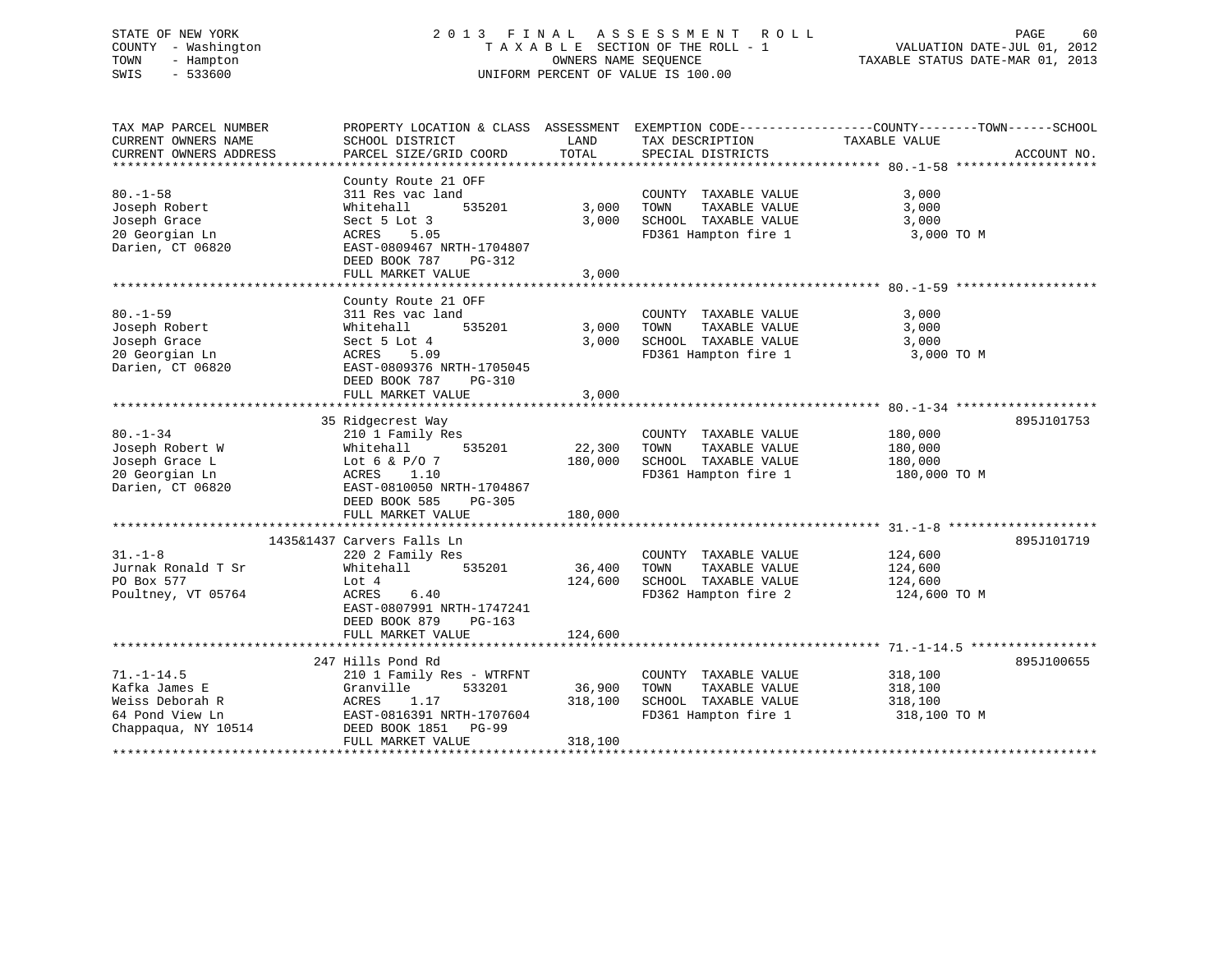# STATE OF NEW YORK 2 0 1 3 F I N A L A S S E S S M E N T R O L L PAGE 60 COUNTY - Washington T A X A B L E SECTION OF THE ROLL - 1 VALUATION DATE-JUL 01, 2012 TOWN - Hampton OWNERS NAME SEQUENCE TAXABLE STATUS DATE-MAR 01, 2013 SWIS - 533600 UNIFORM PERCENT OF VALUE IS 100.00

TAX MAP PARCEL NUMBER PROPERTY LOCATION & CLASS ASSESSMENT EXEMPTION CODE------------------COUNTY--------TOWN------SCHOOL CURRENT OWNERS NAME SCHOOL DISTRICT THE LAND TAX DESCRIPTION TAXABLE VALUE CURRENT OWNERS ADDRESS PARCEL SIZE/GRID COORD TOTAL SPECIAL DISTRICTS ACCOUNT NO. \*\*\*\*\*\*\*\*\*\*\*\*\*\*\*\*\*\*\*\*\*\*\*\*\*\*\*\*\*\*\*\*\*\*\*\*\*\*\*\*\*\*\*\*\*\*\*\*\*\*\*\*\*\*\*\*\*\*\*\*\*\*\*\*\*\*\*\*\*\*\*\*\*\*\*\*\*\*\*\*\*\*\*\*\*\*\*\*\*\*\*\*\*\*\*\*\*\*\*\*\*\*\* 80.-1-58 \*\*\*\*\*\*\*\*\*\*\*\*\*\*\*\*\*\*\* County Route 21 OFF 80.-1-58 311 Res vac land COUNTY TAXABLE VALUE 3,000 Joseph Robert Whitehall 535201 3,000 TOWN TAXABLE VALUE 3,000 Joseph Grace Sect 5 Lot 3 3,000 SCHOOL TAXABLE VALUE 3,000 20 Georgian Ln ACRES 5.05 FD361 Hampton fire 1 3,000 TO M Darien, CT 06820 EAST-0809467 NRTH-1704807 DEED BOOK 787 PG-312FULL MARKET VALUE 3,000 \*\*\*\*\*\*\*\*\*\*\*\*\*\*\*\*\*\*\*\*\*\*\*\*\*\*\*\*\*\*\*\*\*\*\*\*\*\*\*\*\*\*\*\*\*\*\*\*\*\*\*\*\*\*\*\*\*\*\*\*\*\*\*\*\*\*\*\*\*\*\*\*\*\*\*\*\*\*\*\*\*\*\*\*\*\*\*\*\*\*\*\*\*\*\*\*\*\*\*\*\*\*\* 80.-1-59 \*\*\*\*\*\*\*\*\*\*\*\*\*\*\*\*\*\*\* County Route 21 OFF 80.-1-59 311 Res vac land COUNTY TAXABLE VALUE 3,000 Joseph Robert Whitehall 535201 3,000 TOWN TAXABLE VALUE 3,000 Joseph Grace Sect 5 Lot 4 3,000 SCHOOL TAXABLE VALUE 3,000 20 Georgian Ln ACRES 5.09 FD361 Hampton fire 1 3,000 TO M Darien, CT 06820 EAST-0809376 NRTH-1705045 DEED BOOK 787 PG-310 FULL MARKET VALUE 3,000 \*\*\*\*\*\*\*\*\*\*\*\*\*\*\*\*\*\*\*\*\*\*\*\*\*\*\*\*\*\*\*\*\*\*\*\*\*\*\*\*\*\*\*\*\*\*\*\*\*\*\*\*\*\*\*\*\*\*\*\*\*\*\*\*\*\*\*\*\*\*\*\*\*\*\*\*\*\*\*\*\*\*\*\*\*\*\*\*\*\*\*\*\*\*\*\*\*\*\*\*\*\*\* 80.-1-34 \*\*\*\*\*\*\*\*\*\*\*\*\*\*\*\*\*\*\* 35 Ridgecrest Way 895J101753 80.-1-34 210 1 Family Res COUNTY TAXABLE VALUE 180,000 Joseph Robert W Whitehall 535201 22,300 TOWN TAXABLE VALUE 180,000 Joseph Grace L Lot 6 & P/O 7 180,000 SCHOOL TAXABLE VALUE 180,000 20 Georgian Ln ACRES 1.10 FD361 Hampton fire 1 180,000 TO M Darien, CT 06820 EAST-0810050 NRTH-1704867 DEED BOOK 585 PG-305 FULL MARKET VALUE 180,000 \*\*\*\*\*\*\*\*\*\*\*\*\*\*\*\*\*\*\*\*\*\*\*\*\*\*\*\*\*\*\*\*\*\*\*\*\*\*\*\*\*\*\*\*\*\*\*\*\*\*\*\*\*\*\*\*\*\*\*\*\*\*\*\*\*\*\*\*\*\*\*\*\*\*\*\*\*\*\*\*\*\*\*\*\*\*\*\*\*\*\*\*\*\*\*\*\*\*\*\*\*\*\* 31.-1-8 \*\*\*\*\*\*\*\*\*\*\*\*\*\*\*\*\*\*\*\* 1435&1437 Carvers Falls Ln 895J10171931.-1-8 220 2 Family Res COUNTY TAXABLE VALUE 124,600 Jurnak Ronald T Sr Whitehall 535201 36,400 TOWN TAXABLE VALUE 124,600 PO Box 577 Lot 4 124,600 SCHOOL TAXABLE VALUE 124,600 Poultney, VT 05764 ACRES 6.40 FD362 Hampton fire 2 124,600 TO M EAST-0807991 NRTH-1747241 DEED BOOK 879 PG-163FULL MARKET VALUE 124,600 \*\*\*\*\*\*\*\*\*\*\*\*\*\*\*\*\*\*\*\*\*\*\*\*\*\*\*\*\*\*\*\*\*\*\*\*\*\*\*\*\*\*\*\*\*\*\*\*\*\*\*\*\*\*\*\*\*\*\*\*\*\*\*\*\*\*\*\*\*\*\*\*\*\*\*\*\*\*\*\*\*\*\*\*\*\*\*\*\*\*\*\*\*\*\*\*\*\*\*\*\*\*\* 71.-1-14.5 \*\*\*\*\*\*\*\*\*\*\*\*\*\*\*\*\* 247 Hills Pond Rd 895J10065571.-1-14.5 210 1 Family Res - WTRFNT COUNTY TAXABLE VALUE 318,100 Kafka James E Granville 533201 36,900 TOWN TAXABLE VALUE 318,100 Weiss Deborah R ACRES 1.17 318,100 SCHOOL TAXABLE VALUE 318,100 64 Pond View Ln EAST-0816391 NRTH-1707604 FD361 Hampton fire 1 318,100 TO M Chappaqua, NY 10514 DEED BOOK 1851 PG-99 FULL MARKET VALUE 318,100 \*\*\*\*\*\*\*\*\*\*\*\*\*\*\*\*\*\*\*\*\*\*\*\*\*\*\*\*\*\*\*\*\*\*\*\*\*\*\*\*\*\*\*\*\*\*\*\*\*\*\*\*\*\*\*\*\*\*\*\*\*\*\*\*\*\*\*\*\*\*\*\*\*\*\*\*\*\*\*\*\*\*\*\*\*\*\*\*\*\*\*\*\*\*\*\*\*\*\*\*\*\*\*\*\*\*\*\*\*\*\*\*\*\*\*\*\*\*\*\*\*\*\*\*\*\*\*\*\*\*\*\*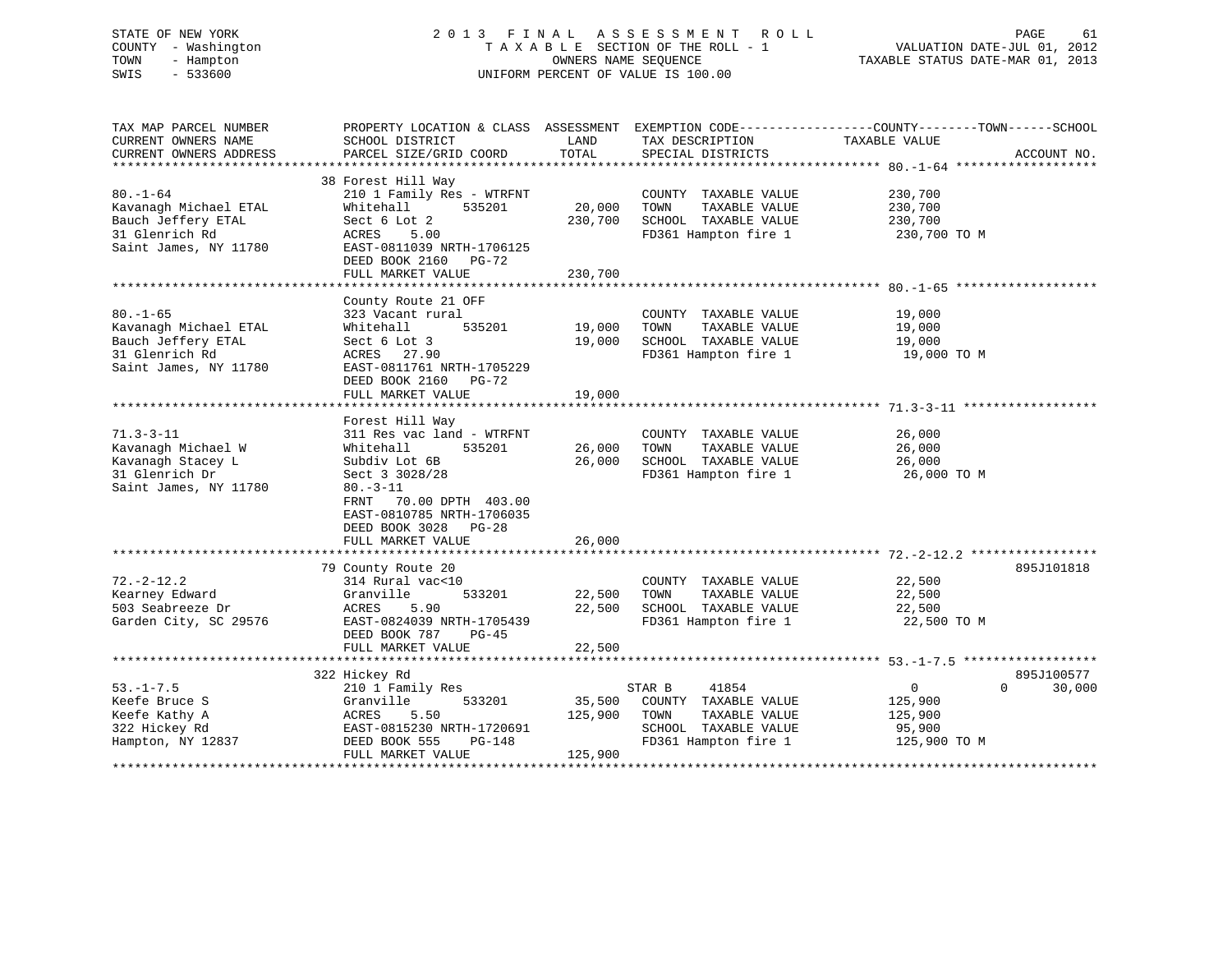# STATE OF NEW YORK 2 0 1 3 F I N A L A S S E S S M E N T R O L L PAGE 61 COUNTY - Washington T A X A B L E SECTION OF THE ROLL - 1 VALUATION DATE-JUL 01, 2012 TOWN - Hampton OWNERS NAME SEQUENCE TAXABLE STATUS DATE-MAR 01, 2013 SWIS - 533600 UNIFORM PERCENT OF VALUE IS 100.00

| TAX MAP PARCEL NUMBER  | PROPERTY LOCATION & CLASS ASSESSMENT EXEMPTION CODE---------------COUNTY-------TOWN-----SCHOOL |                        |                                            |                |                    |
|------------------------|------------------------------------------------------------------------------------------------|------------------------|--------------------------------------------|----------------|--------------------|
| CURRENT OWNERS NAME    | SCHOOL DISTRICT                                                                                | LAND                   | TAX DESCRIPTION                            | TAXABLE VALUE  |                    |
| CURRENT OWNERS ADDRESS | PARCEL SIZE/GRID COORD                                                                         | TOTAL                  | SPECIAL DISTRICTS                          |                | ACCOUNT NO.        |
|                        |                                                                                                |                        |                                            |                |                    |
|                        | 38 Forest Hill Way                                                                             |                        |                                            |                |                    |
| $80. - 1 - 64$         | 210 1 Family Res - WTRFNT                                                                      |                        | COUNTY TAXABLE VALUE                       | 230,700        |                    |
| Kavanagh Michael ETAL  | Whitehall<br>535201                                                                            | 20,000                 | TOWN<br>TAXABLE VALUE                      | 230,700        |                    |
| Bauch Jeffery ETAL     | Sect 6 Lot 2                                                                                   | 230,700                | SCHOOL TAXABLE VALUE                       | 230,700        |                    |
| 31 Glenrich Rd         | ACRES<br>5.00                                                                                  |                        | FD361 Hampton fire 1                       | 230,700 TO M   |                    |
| Saint James, NY 11780  | EAST-0811039 NRTH-1706125                                                                      |                        |                                            |                |                    |
|                        | DEED BOOK 2160 PG-72                                                                           |                        |                                            |                |                    |
|                        | FULL MARKET VALUE                                                                              | 230,700                |                                            |                |                    |
|                        |                                                                                                |                        |                                            |                |                    |
|                        | County Route 21 OFF                                                                            |                        |                                            |                |                    |
| $80. - 1 - 65$         | 323 Vacant rural                                                                               |                        | COUNTY TAXABLE VALUE                       | 19,000         |                    |
| Kavanagh Michael ETAL  | 535201<br>Whitehall                                                                            | 19,000                 | TOWN<br>TAXABLE VALUE                      | 19,000         |                    |
| Bauch Jeffery ETAL     | Sect 6 Lot 3                                                                                   | 19,000                 | SCHOOL TAXABLE VALUE                       | 19,000         |                    |
| 31 Glenrich Rd         | ACRES 27.90                                                                                    |                        | FD361 Hampton fire 1                       | 19,000 TO M    |                    |
| Saint James, NY 11780  | EAST-0811761 NRTH-1705229                                                                      |                        |                                            |                |                    |
|                        | DEED BOOK 2160 PG-72                                                                           |                        |                                            |                |                    |
|                        | FULL MARKET VALUE                                                                              | 19,000                 |                                            |                |                    |
|                        |                                                                                                |                        |                                            |                |                    |
|                        | Forest Hill Way                                                                                |                        |                                            |                |                    |
| $71.3 - 3 - 11$        | 311 Res vac land - WTRFNT                                                                      |                        | COUNTY TAXABLE VALUE                       | 26,000         |                    |
| Kavanagh Michael W     | 535201<br>Whitehall                                                                            | 26,000                 | TOWN<br>TAXABLE VALUE                      | 26,000         |                    |
| Kavanagh Stacey L      | Subdiv Lot 6B                                                                                  | 26,000                 | SCHOOL TAXABLE VALUE                       | 26,000         |                    |
| 31 Glenrich Dr         | Sect 3 3028/28                                                                                 |                        | FD361 Hampton fire 1                       | 26,000 TO M    |                    |
| Saint James, NY 11780  | $80. -3 - 11$                                                                                  |                        |                                            |                |                    |
|                        | FRNT 70.00 DPTH 403.00                                                                         |                        |                                            |                |                    |
|                        | EAST-0810785 NRTH-1706035                                                                      |                        |                                            |                |                    |
|                        | DEED BOOK 3028 PG-28                                                                           |                        |                                            |                |                    |
|                        | FULL MARKET VALUE                                                                              | 26,000                 |                                            |                |                    |
|                        |                                                                                                |                        |                                            |                |                    |
|                        | 79 County Route 20                                                                             |                        |                                            |                | 895J101818         |
| $72. - 2 - 12.2$       | 314 Rural vac<10                                                                               |                        | COUNTY TAXABLE VALUE                       | 22,500         |                    |
| Kearney Edward         | 533201<br>Granville                                                                            | 22,500                 | TOWN<br>TAXABLE VALUE                      | 22,500         |                    |
| 503 Seabreeze Dr       | ACRES<br>5.90                                                                                  | 22,500                 | SCHOOL TAXABLE VALUE                       | 22,500         |                    |
| Garden City, SC 29576  | EAST-0824039 NRTH-1705439                                                                      |                        | FD361 Hampton fire 1                       | 22,500 TO M    |                    |
|                        | DEED BOOK 787<br>PG-45                                                                         |                        |                                            |                |                    |
|                        | FULL MARKET VALUE<br>************************                                                  | 22,500<br>************ | ******************************** 53.-1-7.5 |                |                    |
|                        |                                                                                                |                        |                                            |                |                    |
|                        | 322 Hickey Rd                                                                                  |                        |                                            |                | 895J100577         |
| $53. - 1 - 7.5$        | 210 1 Family Res                                                                               |                        | 41854<br>STAR B                            | $\overline{0}$ | $\Omega$<br>30,000 |
| Keefe Bruce S          | 533201<br>Granville                                                                            | 35,500                 | COUNTY TAXABLE VALUE                       | 125,900        |                    |
| Keefe Kathy A          | ACRES<br>5.50                                                                                  | 125,900                | TOWN<br>TAXABLE VALUE                      | 125,900        |                    |
| 322 Hickey Rd          | EAST-0815230 NRTH-1720691                                                                      |                        | SCHOOL TAXABLE VALUE                       | 95,900         |                    |
| Hampton, NY 12837      | DEED BOOK 555<br>PG-148                                                                        |                        | FD361 Hampton fire 1                       | 125,900 TO M   |                    |
|                        | FULL MARKET VALUE                                                                              | 125,900                |                                            |                |                    |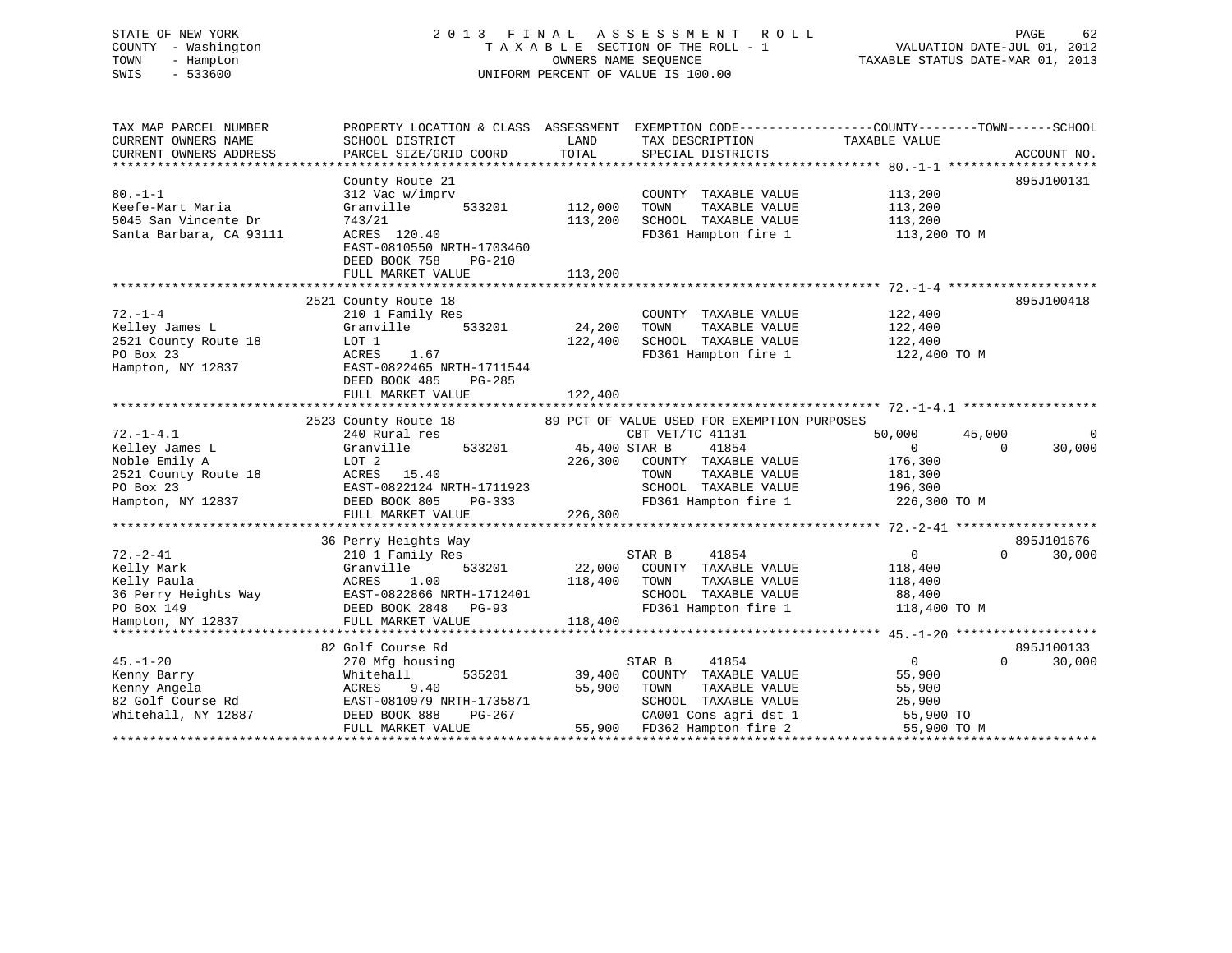# STATE OF NEW YORK 2 0 1 3 F I N A L A S S E S S M E N T R O L L PAGE 62 COUNTY - Washington T A X A B L E SECTION OF THE ROLL - 1 VALUATION DATE-JUL 01, 2012 TOWN - Hampton OWNERS NAME SEQUENCE TAXABLE STATUS DATE-MAR 01, 2013 SWIS - 533600 UNIFORM PERCENT OF VALUE IS 100.00

| TAX MAP PARCEL NUMBER<br>CURRENT OWNERS NAME<br>CURRENT OWNERS ADDRESS                    | PROPERTY LOCATION & CLASS ASSESSMENT<br>SCHOOL DISTRICT<br>PARCEL SIZE/GRID COORD                                                                                | LAND<br>TOTAL                 | TAX DESCRIPTION<br>SPECIAL DISTRICTS                                                          | EXEMPTION CODE----------------COUNTY-------TOWN-----SCHOOL<br>TAXABLE VALUE<br>ACCOUNT NO. |
|-------------------------------------------------------------------------------------------|------------------------------------------------------------------------------------------------------------------------------------------------------------------|-------------------------------|-----------------------------------------------------------------------------------------------|--------------------------------------------------------------------------------------------|
| $80. -1 - 1$<br>Keefe-Mart Maria<br>5045 San Vincente Dr<br>Santa Barbara, CA 93111       | County Route 21<br>312 Vac w/imprv<br>Granville<br>533201<br>743/21<br>ACRES 120.40<br>EAST-0810550 NRTH-1703460<br>DEED BOOK 758<br>PG-210<br>FULL MARKET VALUE | 112,000<br>113,200<br>113,200 | COUNTY TAXABLE VALUE<br>TOWN<br>TAXABLE VALUE<br>SCHOOL TAXABLE VALUE<br>FD361 Hampton fire 1 | 895J100131<br>113,200<br>113,200<br>113,200<br>113,200 TO M                                |
|                                                                                           |                                                                                                                                                                  |                               |                                                                                               |                                                                                            |
| $72. - 1 - 4$<br>Kelley James L<br>2521 County Route 18<br>PO Box 23<br>Hampton, NY 12837 | 2521 County Route 18<br>210 1 Family Res<br>533201<br>Granville<br>LOT 1<br>ACRES<br>1.67<br>EAST-0822465 NRTH-1711544<br>DEED BOOK 485<br>PG-285                | 24,200<br>122,400             | COUNTY TAXABLE VALUE<br>TOWN<br>TAXABLE VALUE<br>SCHOOL TAXABLE VALUE<br>FD361 Hampton fire 1 | 895J100418<br>122,400<br>122,400<br>122,400<br>122,400 TO M                                |
|                                                                                           | FULL MARKET VALUE                                                                                                                                                | 122,400                       |                                                                                               |                                                                                            |
|                                                                                           |                                                                                                                                                                  |                               |                                                                                               |                                                                                            |
|                                                                                           | 2523 County Route 18                                                                                                                                             |                               | 89 PCT OF VALUE USED FOR EXEMPTION PURPOSES                                                   |                                                                                            |
| $72. - 1 - 4.1$                                                                           | 240 Rural res                                                                                                                                                    |                               | CBT VET/TC 41131                                                                              | 50,000<br>45,000<br>$\Omega$                                                               |
| Kelley James L                                                                            | 533201<br>Granville                                                                                                                                              | 45,400 STAR B                 | 41854                                                                                         | 30,000<br>$\overline{0}$<br>$\Omega$                                                       |
| Noble Emily A                                                                             | LOT 2                                                                                                                                                            | 226,300                       | COUNTY TAXABLE VALUE                                                                          | 176,300                                                                                    |
| 2521 County Route 18                                                                      | 15.40<br>ACRES                                                                                                                                                   |                               | TAXABLE VALUE<br>TOWN                                                                         | 181,300                                                                                    |
| PO Box 23                                                                                 | EAST-0822124 NRTH-1711923                                                                                                                                        |                               | SCHOOL TAXABLE VALUE                                                                          | 196,300                                                                                    |
| Hampton, NY 12837                                                                         | DEED BOOK 805<br>PG-333                                                                                                                                          |                               | FD361 Hampton fire 1                                                                          | 226,300 TO M                                                                               |
|                                                                                           | FULL MARKET VALUE                                                                                                                                                | 226,300                       |                                                                                               |                                                                                            |
|                                                                                           | 36 Perry Heights Way                                                                                                                                             |                               |                                                                                               | 895J101676                                                                                 |
| $72. - 2 - 41$                                                                            | 210 1 Family Res                                                                                                                                                 |                               | STAR B<br>41854                                                                               | $\circ$<br>$\Omega$<br>30,000                                                              |
| Kelly Mark                                                                                | Granville<br>533201                                                                                                                                              | 22,000                        | COUNTY TAXABLE VALUE                                                                          | 118,400                                                                                    |
| Kelly Paula                                                                               | ACRES<br>1.00                                                                                                                                                    | 118,400                       | TOWN<br>TAXABLE VALUE                                                                         | 118,400                                                                                    |
| 36 Perry Heights Way                                                                      | EAST-0822866 NRTH-1712401                                                                                                                                        |                               | SCHOOL TAXABLE VALUE                                                                          | 88,400                                                                                     |
| PO Box 149                                                                                | DEED BOOK 2848<br>$PG-93$                                                                                                                                        |                               | FD361 Hampton fire 1                                                                          | 118,400 TO M                                                                               |
| Hampton, NY 12837                                                                         | FULL MARKET VALUE                                                                                                                                                | 118,400                       |                                                                                               |                                                                                            |
|                                                                                           |                                                                                                                                                                  |                               |                                                                                               |                                                                                            |
|                                                                                           | 82 Golf Course Rd                                                                                                                                                |                               |                                                                                               | 895J100133                                                                                 |
| $45. - 1 - 20$                                                                            | 270 Mfg housing                                                                                                                                                  |                               | STAR B<br>41854                                                                               | $\overline{0}$<br>$\Omega$<br>30,000                                                       |
| Kenny Barry                                                                               | Whitehall<br>535201                                                                                                                                              | 39,400                        | COUNTY TAXABLE VALUE                                                                          | 55,900                                                                                     |
| Kenny Angela                                                                              | ACRES<br>9.40                                                                                                                                                    | 55,900                        | TOWN<br>TAXABLE VALUE                                                                         | 55,900                                                                                     |
| 82 Golf Course Rd                                                                         | EAST-0810979 NRTH-1735871                                                                                                                                        |                               | SCHOOL TAXABLE VALUE                                                                          | 25,900                                                                                     |
| Whitehall, NY 12887                                                                       | DEED BOOK 888<br>PG-267                                                                                                                                          |                               | CA001 Cons agri dst 1                                                                         | 55,900 TO                                                                                  |
|                                                                                           | FULL MARKET VALUE                                                                                                                                                | 55,900                        | FD362 Hampton fire 2                                                                          | 55,900 TO M                                                                                |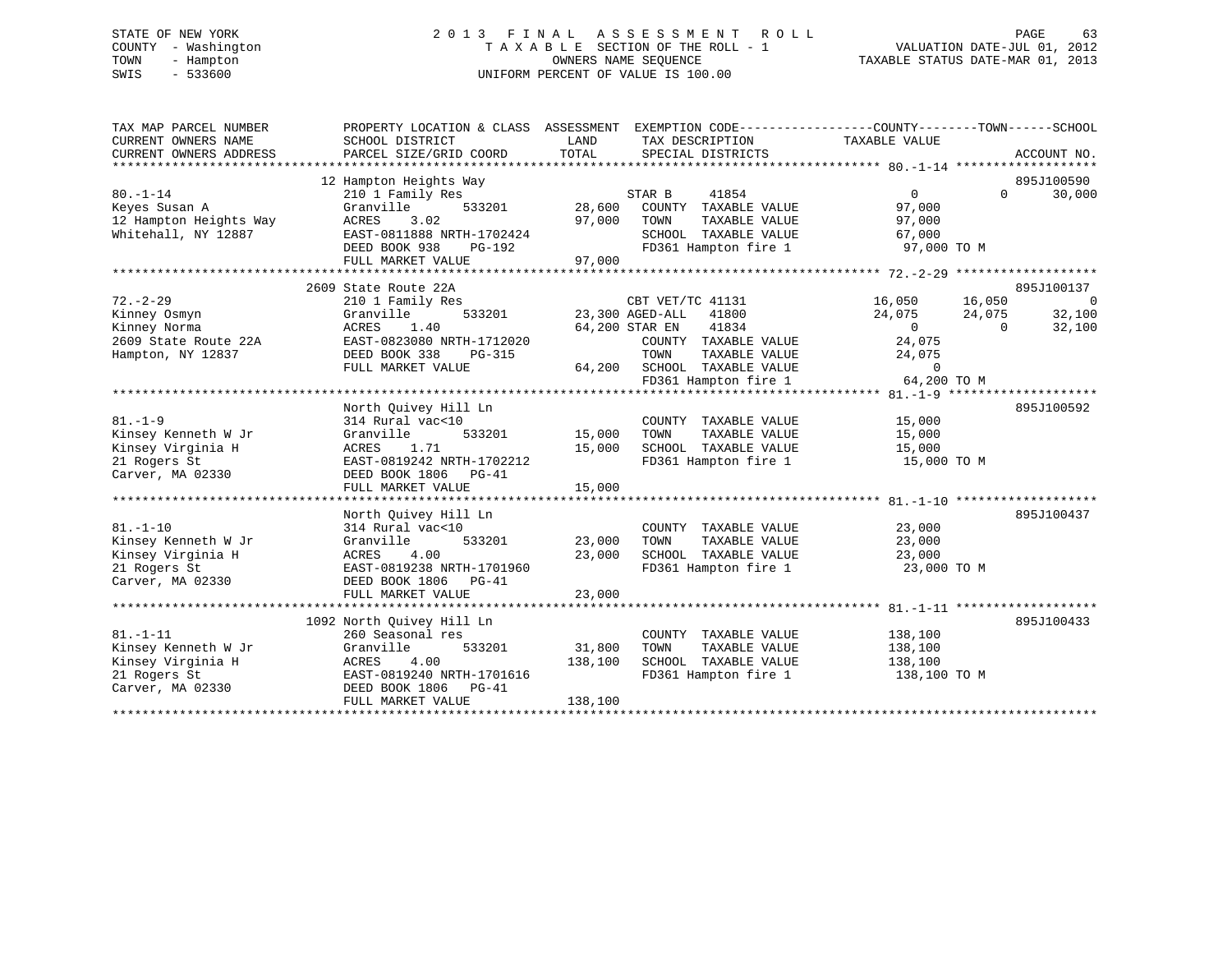# STATE OF NEW YORK 2 0 1 3 F I N A L A S S E S S M E N T R O L L PAGE 63 COUNTY - Washington T A X A B L E SECTION OF THE ROLL - 1 VALUATION DATE-JUL 01, 2012 TOWN - Hampton OWNERS NAME SEQUENCE TAXABLE STATUS DATE-MAR 01, 2013 SWIS - 533600 UNIFORM PERCENT OF VALUE IS 100.00

| TAX MAP PARCEL NUMBER<br>CURRENT OWNERS NAME<br>CURRENT OWNERS ADDRESS                         | PROPERTY LOCATION & CLASS ASSESSMENT<br>SCHOOL DISTRICT<br>PARCEL SIZE/GRID COORD                                                                                    | LAND<br>TOTAL                | EXEMPTION CODE----------------COUNTY-------TOWN------SCHOOL<br>TAX DESCRIPTION<br>SPECIAL DISTRICTS                                                                             | TAXABLE VALUE                                                                     | ACCOUNT NO.                                                                      |
|------------------------------------------------------------------------------------------------|----------------------------------------------------------------------------------------------------------------------------------------------------------------------|------------------------------|---------------------------------------------------------------------------------------------------------------------------------------------------------------------------------|-----------------------------------------------------------------------------------|----------------------------------------------------------------------------------|
| $80. - 1 - 14$<br>Keyes Susan A<br>12 Hampton Heights Way<br>Whitehall, NY 12887               | 12 Hampton Heights Way<br>210 1 Family Res<br>533201<br>Granville<br>3.02<br>ACRES<br>EAST-0811888 NRTH-1702424<br>DEED BOOK 938<br>PG-192<br>FULL MARKET VALUE      | 28,600<br>97,000<br>97,000   | STAR B<br>41854<br>COUNTY TAXABLE VALUE<br>TAXABLE VALUE<br>TOWN<br>SCHOOL TAXABLE VALUE<br>FD361 Hampton fire 1                                                                | $\Omega$<br>97,000<br>97,000<br>67,000<br>97,000 TO M                             | 895J100590<br>$\Omega$<br>30,000                                                 |
| $72. - 2 - 29$<br>Kinney Osmyn<br>Kinney Norma<br>2609 State Route 22A<br>Hampton, NY 12837    | 2609 State Route 22A<br>210 1 Family Res<br>Granville<br>533201<br>ACRES<br>1.40<br>EAST-0823080 NRTH-1712020<br>DEED BOOK 338<br><b>PG-315</b><br>FULL MARKET VALUE |                              | CBT VET/TC 41131<br>23,300 AGED-ALL<br>41800<br>64,200 STAR EN<br>41834<br>COUNTY TAXABLE VALUE<br>TAXABLE VALUE<br>TOWN<br>64,200 SCHOOL TAXABLE VALUE<br>FD361 Hampton fire 1 | 16,050<br>24,075<br>$\overline{0}$<br>24,075<br>24,075<br>$\Omega$<br>64,200 TO M | 895J100137<br>$\overline{0}$<br>16,050<br>24,075<br>32,100<br>32,100<br>$\Omega$ |
| $81. - 1 - 9$<br>Kinsey Kenneth W Jr<br>Kinsey Virginia H<br>21 Rogers St<br>Carver, MA 02330  | North Quivey Hill Ln<br>314 Rural vac<10<br>Granville<br>533201<br>1.71<br>ACRES<br>EAST-0819242 NRTH-1702212<br>DEED BOOK 1806<br>$PG-41$<br>FULL MARKET VALUE      | 15,000<br>15,000<br>15,000   | COUNTY TAXABLE VALUE<br>TAXABLE VALUE<br>TOWN<br>SCHOOL TAXABLE VALUE<br>FD361 Hampton fire 1                                                                                   | 15,000<br>15,000<br>15,000<br>15,000 TO M                                         | 895J100592                                                                       |
| $81. - 1 - 10$<br>Kinsey Kenneth W Jr<br>Kinsey Virginia H<br>21 Rogers St<br>Carver, MA 02330 | North Ouivey Hill Ln<br>314 Rural vac<10<br>Granville<br>533201<br>ACRES<br>4.00<br>EAST-0819238 NRTH-1701960<br>DEED BOOK 1806<br>$PG-41$<br>FULL MARKET VALUE      | 23,000<br>23,000<br>23,000   | COUNTY TAXABLE VALUE<br>TAXABLE VALUE<br>TOWN<br>SCHOOL TAXABLE VALUE<br>FD361 Hampton fire 1                                                                                   | 23,000<br>23,000<br>23,000<br>23,000 TO M                                         | 895J100437                                                                       |
| $81. - 1 - 11$<br>Kinsey Kenneth W Jr<br>Kinsey Virginia H<br>21 Rogers St<br>Carver, MA 02330 | 1092 North Quivey Hill Ln<br>260 Seasonal res<br>Granville<br>533201<br>ACRES<br>4.00<br>EAST-0819240 NRTH-1701616<br>DEED BOOK 1806 PG-41<br>FULL MARKET VALUE      | 31,800<br>138,100<br>138,100 | COUNTY TAXABLE VALUE<br>TOWN<br>TAXABLE VALUE<br>SCHOOL TAXABLE VALUE<br>FD361 Hampton fire 1                                                                                   | 138,100<br>138,100<br>138,100<br>138,100 TO M                                     | 895J100433                                                                       |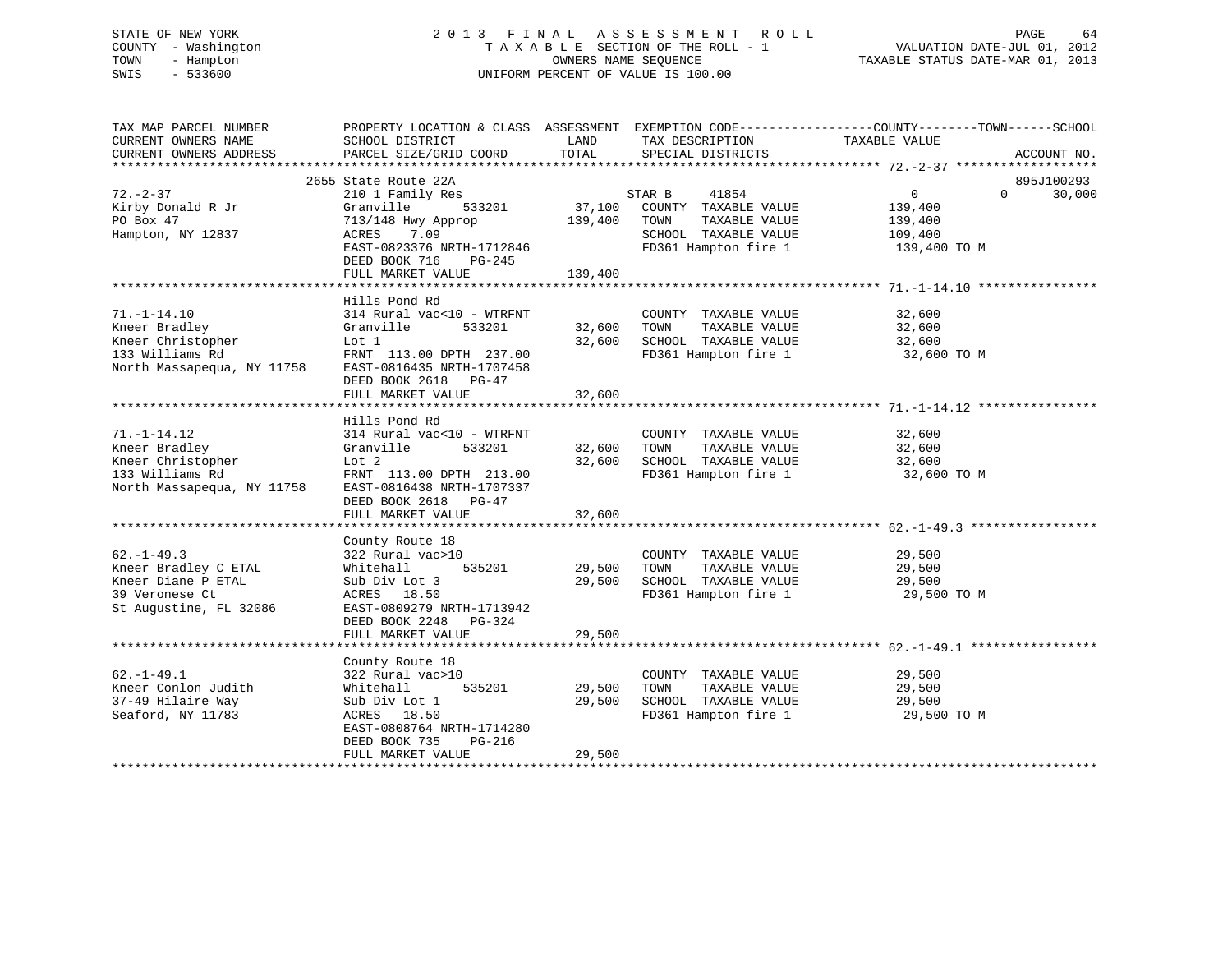# STATE OF NEW YORK 2 0 1 3 F I N A L A S S E S S M E N T R O L L PAGE 64 COUNTY - Washington T A X A B L E SECTION OF THE ROLL - 1 VALUATION DATE-JUL 01, 2012 TOWN - Hampton OWNERS NAME SEQUENCE TAXABLE STATUS DATE-MAR 01, 2013 SWIS - 533600 UNIFORM PERCENT OF VALUE IS 100.00

| TAX MAP PARCEL NUMBER<br>CURRENT OWNERS NAME                                                               | PROPERTY LOCATION & CLASS ASSESSMENT EXEMPTION CODE----------------COUNTY-------TOWN------SCHOOL<br>SCHOOL DISTRICT                                                     | LAND<br>TOTAL                | TAX DESCRIPTION                                                                                                  | TAXABLE VALUE                                      |          |             |
|------------------------------------------------------------------------------------------------------------|-------------------------------------------------------------------------------------------------------------------------------------------------------------------------|------------------------------|------------------------------------------------------------------------------------------------------------------|----------------------------------------------------|----------|-------------|
| CURRENT OWNERS ADDRESS                                                                                     | PARCEL SIZE/GRID COORD                                                                                                                                                  |                              | SPECIAL DISTRICTS                                                                                                |                                                    |          | ACCOUNT NO. |
|                                                                                                            | 2655 State Route 22A                                                                                                                                                    |                              |                                                                                                                  |                                                    |          | 895J100293  |
| $72. - 2 - 37$<br>Kirby Donald R Jr<br>PO Box 47<br>Hampton, NY 12837                                      | 210 1 Family Res<br>Granville<br>533201<br>713/148 Hwy Approp<br>7.09<br>ACRES<br>EAST-0823376 NRTH-1712846<br>DEED BOOK 716<br>PG-245<br>FULL MARKET VALUE             | 37,100<br>139,400<br>139,400 | 41854<br>STAR B<br>COUNTY TAXABLE VALUE<br>TOWN<br>TAXABLE VALUE<br>SCHOOL TAXABLE VALUE<br>FD361 Hampton fire 1 | 0<br>139,400<br>139,400<br>109,400<br>139,400 TO M | $\Omega$ | 30,000      |
|                                                                                                            | Hills Pond Rd                                                                                                                                                           |                              |                                                                                                                  |                                                    |          |             |
| $71. - 1 - 14.10$<br>Kneer Bradley<br>Kneer Christopher<br>133 Williams Rd<br>North Massapequa, NY 11758   | 314 Rural vac<10 - WTRFNT<br>Granville<br>533201<br>Lot 1<br>FRNT 113.00 DPTH 237.00<br>EAST-0816435 NRTH-1707458                                                       | 32,600<br>32,600             | COUNTY TAXABLE VALUE<br>TOWN<br>TAXABLE VALUE<br>SCHOOL TAXABLE VALUE<br>FD361 Hampton fire 1                    | 32,600<br>32,600<br>32,600<br>32,600 TO M          |          |             |
|                                                                                                            | DEED BOOK 2618<br>PG-47<br>FULL MARKET VALUE                                                                                                                            | 32,600                       |                                                                                                                  |                                                    |          |             |
|                                                                                                            |                                                                                                                                                                         |                              |                                                                                                                  |                                                    |          |             |
|                                                                                                            | Hills Pond Rd                                                                                                                                                           |                              |                                                                                                                  |                                                    |          |             |
| $71. - 1 - 14.12$<br>Kneer Bradley<br>Kneer Christopher<br>133 Williams Rd<br>North Massapequa, NY 11758   | 314 Rural vac<10 - WTRFNT<br>Granville<br>533201<br>Lot 2<br>FRNT 113.00 DPTH 213.00<br>EAST-0816438 NRTH-1707337<br>DEED BOOK 2618<br>$PG-47$<br>FULL MARKET VALUE     | 32,600<br>32,600<br>32,600   | COUNTY TAXABLE VALUE<br>TOWN<br>TAXABLE VALUE<br>SCHOOL TAXABLE VALUE<br>FD361 Hampton fire 1                    | 32,600<br>32,600<br>32,600<br>32,600 TO M          |          |             |
|                                                                                                            |                                                                                                                                                                         |                              |                                                                                                                  |                                                    |          |             |
| $62. - 1 - 49.3$<br>Kneer Bradley C ETAL<br>Kneer Diane P ETAL<br>39 Veronese Ct<br>St Augustine, FL 32086 | County Route 18<br>322 Rural vac>10<br>Whitehall<br>535201<br>Sub Div Lot 3<br>ACRES 18.50<br>EAST-0809279 NRTH-1713942<br>DEED BOOK 2248<br>$PG-324$                   | 29,500<br>29,500             | COUNTY TAXABLE VALUE<br>TOWN<br>TAXABLE VALUE<br>SCHOOL TAXABLE VALUE<br>FD361 Hampton fire 1                    | 29,500<br>29,500<br>29,500<br>29,500 TO M          |          |             |
|                                                                                                            | FULL MARKET VALUE                                                                                                                                                       | 29,500                       |                                                                                                                  |                                                    |          |             |
|                                                                                                            |                                                                                                                                                                         |                              |                                                                                                                  |                                                    |          |             |
| $62. - 1 - 49.1$<br>Kneer Conlon Judith<br>37-49 Hilaire Way<br>Seaford, NY 11783                          | County Route 18<br>322 Rural vac>10<br>Whitehall<br>535201<br>Sub Div Lot 1<br>ACRES 18.50<br>EAST-0808764 NRTH-1714280<br>DEED BOOK 735<br>PG-216<br>FULL MARKET VALUE | 29,500<br>29,500<br>29,500   | COUNTY TAXABLE VALUE<br>TAXABLE VALUE<br>TOWN<br>SCHOOL TAXABLE VALUE<br>FD361 Hampton fire 1                    | 29,500<br>29,500<br>29,500<br>29,500 TO M          |          |             |
|                                                                                                            |                                                                                                                                                                         |                              |                                                                                                                  |                                                    |          |             |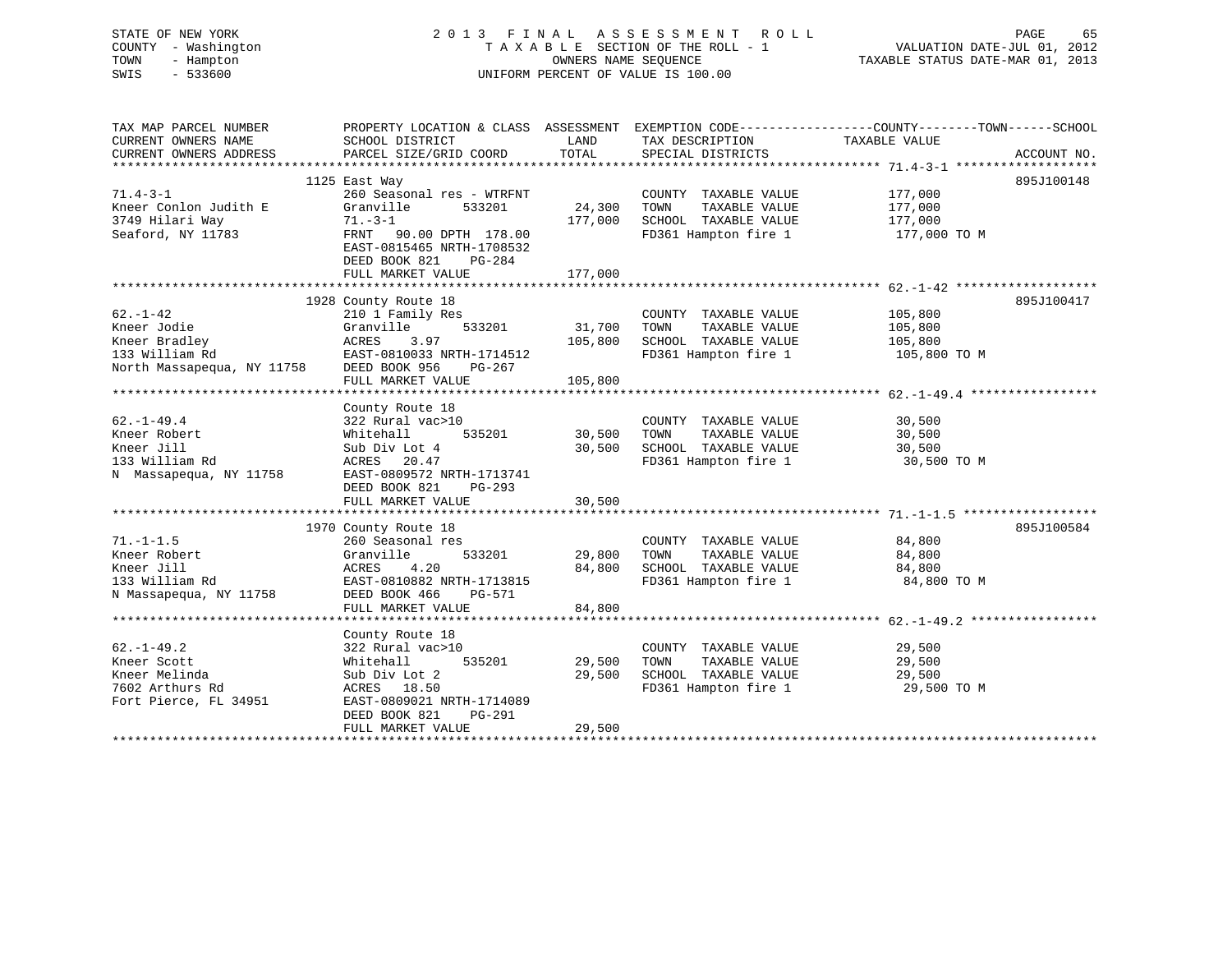| STATE OF NEW YORK<br>COUNTY - Washington<br>- Hampton<br>TOWN<br>SWIS<br>$-533600$ |                                             | OWNERS NAME SEQUENCE | 2013 FINAL ASSESSMENT ROLL<br>TAXABLE SECTION OF THE ROLL - 1<br>UNIFORM PERCENT OF VALUE IS 100.00 | PAGE<br>65<br>VALUATION DATE-JUL 01, 2012<br>TAXABLE STATUS DATE-MAR 01, 2013                                     |
|------------------------------------------------------------------------------------|---------------------------------------------|----------------------|-----------------------------------------------------------------------------------------------------|-------------------------------------------------------------------------------------------------------------------|
| TAX MAP PARCEL NUMBER<br>CURRENT OWNERS NAME                                       | SCHOOL DISTRICT                             | LAND                 | TAX DESCRIPTION                                                                                     | PROPERTY LOCATION & CLASS ASSESSMENT EXEMPTION CODE----------------COUNTY-------TOWN------SCHOOL<br>TAXABLE VALUE |
| CURRENT OWNERS ADDRESS                                                             | PARCEL SIZE/GRID COORD                      | TOTAL                | SPECIAL DISTRICTS                                                                                   | ACCOUNT NO.                                                                                                       |
|                                                                                    |                                             |                      |                                                                                                     | 895J100148                                                                                                        |
| $71.4 - 3 - 1$                                                                     | 1125 East Way<br>260 Seasonal res - WTRFNT  |                      | COUNTY TAXABLE VALUE                                                                                | 177,000                                                                                                           |
| Kneer Conlon Judith E                                                              | Granville<br>533201                         | 24,300               | TOWN<br>TAXABLE VALUE                                                                               | 177,000                                                                                                           |
| 3749 Hilari Way                                                                    | $71 - 3 - 1$                                | 177,000              | SCHOOL TAXABLE VALUE                                                                                | 177,000                                                                                                           |
| Seaford, NY 11783                                                                  | FRNT 90.00 DPTH 178.00                      |                      | FD361 Hampton fire 1                                                                                | 177,000 TO M                                                                                                      |
|                                                                                    | EAST-0815465 NRTH-1708532                   |                      |                                                                                                     |                                                                                                                   |
|                                                                                    | DEED BOOK 821<br>$PG-284$                   |                      |                                                                                                     |                                                                                                                   |
|                                                                                    | FULL MARKET VALUE                           | 177,000              |                                                                                                     |                                                                                                                   |
|                                                                                    | 1928 County Route 18                        |                      |                                                                                                     | 895J100417                                                                                                        |
| $62. - 1 - 42$                                                                     | 210 1 Family Res                            |                      | COUNTY TAXABLE VALUE                                                                                | 105,800                                                                                                           |
| Kneer Jodie                                                                        | Granville<br>533201                         | 31,700               | TAXABLE VALUE<br>TOWN                                                                               | 105,800                                                                                                           |
| Kneer Bradley                                                                      | ACRES<br>3.97                               | 105,800              | SCHOOL TAXABLE VALUE                                                                                | 105,800                                                                                                           |
| 133 William Rd                                                                     | EAST-0810033 NRTH-1714512                   |                      | FD361 Hampton fire 1                                                                                | 105,800 TO M                                                                                                      |
| North Massapequa, NY 11758                                                         | DEED BOOK 956<br>PG-267                     |                      |                                                                                                     |                                                                                                                   |
|                                                                                    | FULL MARKET VALUE                           | 105,800              |                                                                                                     |                                                                                                                   |
|                                                                                    |                                             |                      |                                                                                                     |                                                                                                                   |
| $62. - 1 - 49.4$                                                                   | County Route 18<br>322 Rural vac>10         |                      | COUNTY TAXABLE VALUE                                                                                | 30,500                                                                                                            |
| Kneer Robert                                                                       | Whitehall<br>535201                         | 30,500               | TOWN<br>TAXABLE VALUE                                                                               | 30,500                                                                                                            |
| Kneer Jill                                                                         | Sub Div Lot 4                               | 30,500               | SCHOOL TAXABLE VALUE                                                                                | 30,500                                                                                                            |
| 133 William Rd                                                                     | ACRES<br>20.47                              |                      | FD361 Hampton fire 1                                                                                | 30,500 TO M                                                                                                       |
| N Massapequa, NY 11758                                                             | EAST-0809572 NRTH-1713741                   |                      |                                                                                                     |                                                                                                                   |
|                                                                                    | DEED BOOK 821<br>$PG-293$                   |                      |                                                                                                     |                                                                                                                   |
|                                                                                    | FULL MARKET VALUE                           | 30,500               |                                                                                                     |                                                                                                                   |
|                                                                                    | 1970 County Route 18                        |                      |                                                                                                     | 895J100584                                                                                                        |
| $71. - 1 - 1.5$                                                                    | 260 Seasonal res                            |                      | COUNTY TAXABLE VALUE                                                                                | 84,800                                                                                                            |
| Kneer Robert                                                                       | Granville<br>533201                         | 29,800               | TOWN<br>TAXABLE VALUE                                                                               | 84,800                                                                                                            |
| Kneer Jill                                                                         | 4.20<br>ACRES                               | 84,800               | SCHOOL TAXABLE VALUE                                                                                | 84,800                                                                                                            |
| 133 William Rd                                                                     | EAST-0810882 NRTH-1713815                   |                      | FD361 Hampton fire 1                                                                                | 84,800 TO M                                                                                                       |
| N Massapequa, NY 11758                                                             | DEED BOOK 466<br>PG-571                     |                      |                                                                                                     |                                                                                                                   |
|                                                                                    | FULL MARKET VALUE<br>********************** | 84,800               |                                                                                                     |                                                                                                                   |
|                                                                                    | County Route 18                             |                      |                                                                                                     | ************************ 62.-1-49.2 ************                                                                  |
| $62. - 1 - 49.2$                                                                   | 322 Rural vac>10                            |                      | COUNTY TAXABLE VALUE                                                                                | 29,500                                                                                                            |
| Kneer Scott                                                                        | Whitehall<br>535201                         | 29,500               | TOWN<br>TAXABLE VALUE                                                                               | 29,500                                                                                                            |
| Kneer Melinda                                                                      | Sub Div Lot 2                               | 29,500               | SCHOOL TAXABLE VALUE                                                                                | 29,500                                                                                                            |
| 7602 Arthurs Rd                                                                    | ACRES 18.50                                 |                      | FD361 Hampton fire 1                                                                                | 29,500 TO M                                                                                                       |
| Fort Pierce, FL 34951                                                              | EAST-0809021 NRTH-1714089                   |                      |                                                                                                     |                                                                                                                   |
|                                                                                    | DEED BOOK 821<br>PG-291                     |                      |                                                                                                     |                                                                                                                   |
| ***********************                                                            | FULL MARKET VALUE                           | 29,500               |                                                                                                     |                                                                                                                   |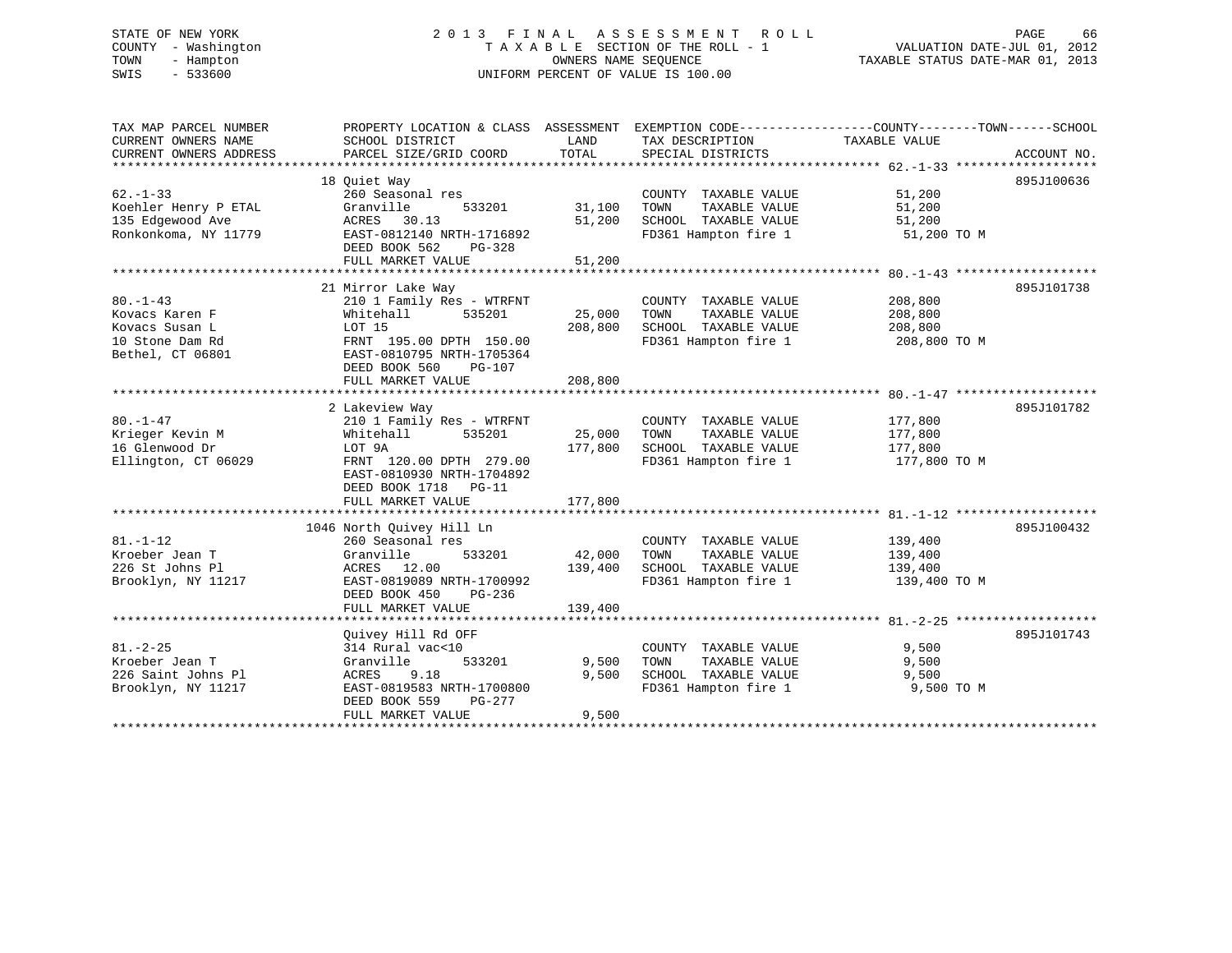# STATE OF NEW YORK 2 0 1 3 F I N A L A S S E S S M E N T R O L L PAGE 66 COUNTY - Washington T A X A B L E SECTION OF THE ROLL - 1 VALUATION DATE-JUL 01, 2012 TOWN - Hampton OWNERS NAME SEQUENCE TAXABLE STATUS DATE-MAR 01, 2013 SWIS - 533600 UNIFORM PERCENT OF VALUE IS 100.00

| TAX MAP PARCEL NUMBER  | PROPERTY LOCATION & CLASS ASSESSMENT EXEMPTION CODE----------------COUNTY-------TOWN------SCHOOL |         |                       |               |             |
|------------------------|--------------------------------------------------------------------------------------------------|---------|-----------------------|---------------|-------------|
| CURRENT OWNERS NAME    | SCHOOL DISTRICT                                                                                  | LAND    | TAX DESCRIPTION       | TAXABLE VALUE |             |
| CURRENT OWNERS ADDRESS | PARCEL SIZE/GRID COORD                                                                           | TOTAL   | SPECIAL DISTRICTS     |               | ACCOUNT NO. |
|                        |                                                                                                  |         |                       |               |             |
|                        | 18 Ouiet Way                                                                                     |         |                       |               | 895J100636  |
| $62 - 1 - 33$          | 260 Seasonal res                                                                                 |         | COUNTY TAXABLE VALUE  | 51,200        |             |
| Koehler Henry P ETAL   | 533201<br>Granville                                                                              | 31,100  | TOWN<br>TAXABLE VALUE | 51,200        |             |
| 135 Edgewood Ave       | ACRES 30.13                                                                                      | 51,200  | SCHOOL TAXABLE VALUE  | 51,200        |             |
| Ronkonkoma, NY 11779   | EAST-0812140 NRTH-1716892                                                                        |         | FD361 Hampton fire 1  | 51,200 TO M   |             |
|                        | DEED BOOK 562<br>PG-328                                                                          |         |                       |               |             |
|                        | FULL MARKET VALUE                                                                                | 51,200  |                       |               |             |
|                        |                                                                                                  |         |                       |               |             |
|                        | 21 Mirror Lake Way                                                                               |         |                       |               | 895J101738  |
| $80. - 1 - 43$         | 210 1 Family Res - WTRFNT                                                                        |         | COUNTY TAXABLE VALUE  | 208,800       |             |
| Kovacs Karen F         | 535201<br>Whitehall                                                                              | 25,000  | TOWN<br>TAXABLE VALUE | 208,800       |             |
| Kovacs Susan L         | LOT 15                                                                                           | 208,800 | SCHOOL TAXABLE VALUE  | 208,800       |             |
| 10 Stone Dam Rd        | FRNT 195.00 DPTH 150.00                                                                          |         | FD361 Hampton fire 1  | 208,800 TO M  |             |
| Bethel, CT 06801       | EAST-0810795 NRTH-1705364                                                                        |         |                       |               |             |
|                        | DEED BOOK 560<br>PG-107                                                                          |         |                       |               |             |
|                        | FULL MARKET VALUE                                                                                | 208,800 |                       |               |             |
|                        |                                                                                                  |         |                       |               |             |
|                        | 2 Lakeview Way                                                                                   |         |                       |               | 895J101782  |
| $80. - 1 - 47$         | 210 1 Family Res - WTRFNT                                                                        |         | COUNTY TAXABLE VALUE  | 177,800       |             |
| Krieger Kevin M        | 535201<br>Whitehall                                                                              | 25,000  | TAXABLE VALUE<br>TOWN | 177,800       |             |
| 16 Glenwood Dr         | LOT 9A                                                                                           | 177,800 | SCHOOL TAXABLE VALUE  | 177,800       |             |
| Ellington, CT 06029    | FRNT 120.00 DPTH 279.00                                                                          |         | FD361 Hampton fire 1  | 177,800 TO M  |             |
|                        | EAST-0810930 NRTH-1704892                                                                        |         |                       |               |             |
|                        | DEED BOOK 1718 PG-11                                                                             |         |                       |               |             |
|                        | FULL MARKET VALUE                                                                                | 177,800 |                       |               |             |
|                        |                                                                                                  |         |                       |               |             |
|                        | 1046 North Quivey Hill Ln                                                                        |         |                       |               | 895J100432  |
| $81. - 1 - 12$         | 260 Seasonal res                                                                                 |         | COUNTY TAXABLE VALUE  | 139,400       |             |
| Kroeber Jean T         | 533201<br>Granville                                                                              | 42,000  | TOWN<br>TAXABLE VALUE | 139,400       |             |
| 226 St Johns Pl        | ACRES 12.00                                                                                      | 139,400 | SCHOOL TAXABLE VALUE  | 139,400       |             |
| Brooklyn, NY 11217     | EAST-0819089 NRTH-1700992                                                                        |         | FD361 Hampton fire 1  | 139,400 TO M  |             |
|                        | DEED BOOK 450<br>PG-236                                                                          |         |                       |               |             |
|                        | FULL MARKET VALUE                                                                                | 139,400 |                       |               |             |
|                        |                                                                                                  |         |                       |               |             |
|                        | Ouivey Hill Rd OFF                                                                               |         |                       |               | 895J101743  |
| $81. - 2 - 25$         | 314 Rural vac<10                                                                                 |         | COUNTY TAXABLE VALUE  | 9,500         |             |
| Kroeber Jean T         | 533201<br>Granville                                                                              | 9,500   | TOWN<br>TAXABLE VALUE | 9,500         |             |
| 226 Saint Johns Pl     | ACRES 9.18                                                                                       | 9.500   | SCHOOL TAXABLE VALUE  | 9,500         |             |
| Brooklyn, NY 11217     | EAST-0819583 NRTH-1700800                                                                        |         | FD361 Hampton fire 1  | 9,500 TO M    |             |
|                        | DEED BOOK 559<br>PG-277                                                                          |         |                       |               |             |
|                        | FULL MARKET VALUE                                                                                | 9,500   |                       |               |             |
|                        |                                                                                                  |         |                       |               |             |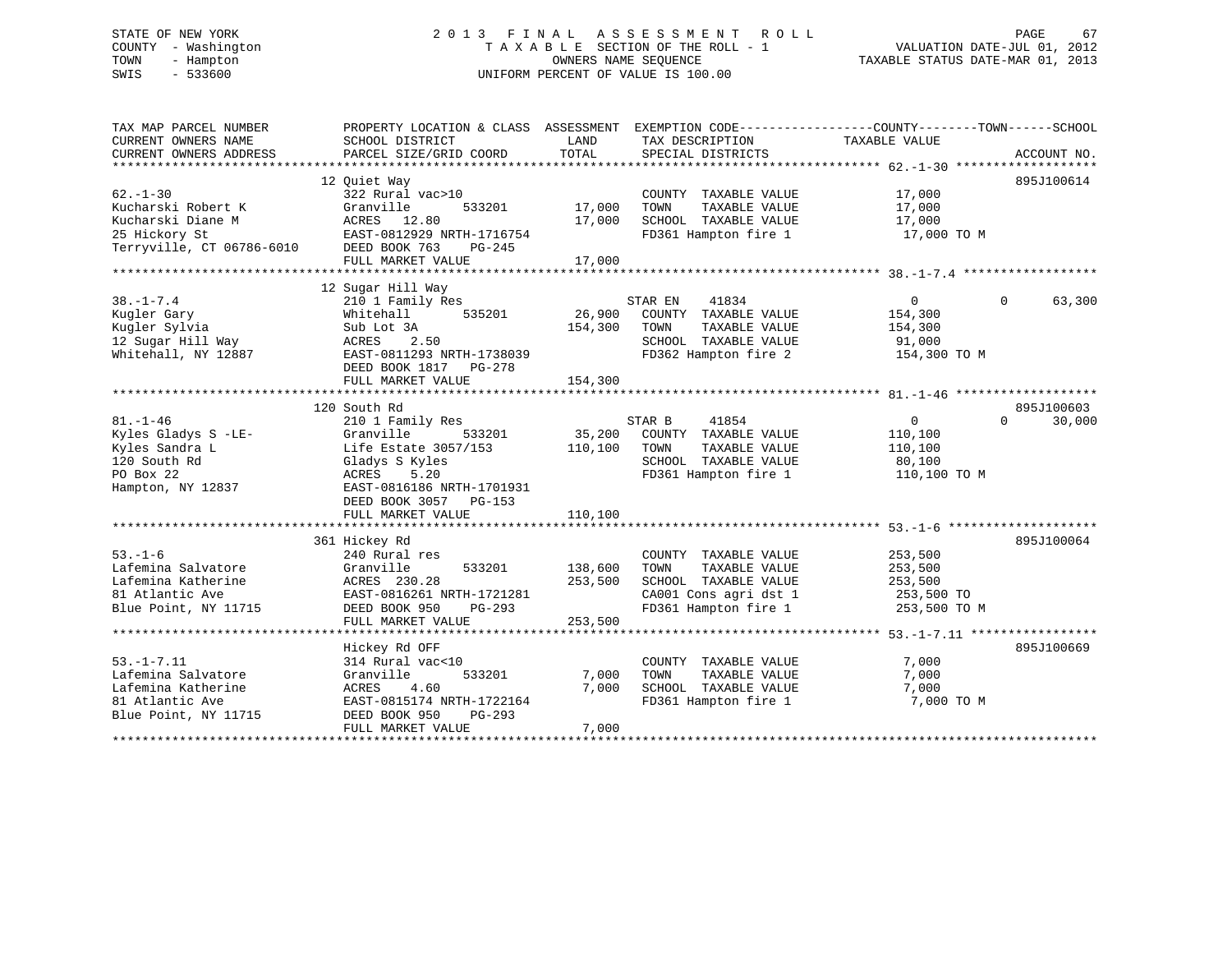# STATE OF NEW YORK 2 0 1 3 F I N A L A S S E S S M E N T R O L L PAGE 67 COUNTY - Washington T A X A B L E SECTION OF THE ROLL - 1 VALUATION DATE-JUL 01, 2012 TOWN - Hampton OWNERS NAME SEQUENCE TAXABLE STATUS DATE-MAR 01, 2013 SWIS - 533600 UNIFORM PERCENT OF VALUE IS 100.00

| TAX MAP PARCEL NUMBER<br>CURRENT OWNERS NAME<br>CURRENT OWNERS ADDRESS | PROPERTY LOCATION & CLASS ASSESSMENT<br>SCHOOL DISTRICT<br>PARCEL SIZE/GRID COORD | LAND<br>TOTAL | EXEMPTION CODE-----------------COUNTY-------TOWN------SCHOOL<br>TAX DESCRIPTION<br>SPECIAL DISTRICTS | TAXABLE VALUE  | ACCOUNT NO.            |
|------------------------------------------------------------------------|-----------------------------------------------------------------------------------|---------------|------------------------------------------------------------------------------------------------------|----------------|------------------------|
|                                                                        |                                                                                   |               |                                                                                                      |                |                        |
|                                                                        | 12 Quiet Way                                                                      |               |                                                                                                      |                | 895J100614             |
| $62 - 1 - 30$                                                          | 322 Rural vac>10                                                                  |               | COUNTY TAXABLE VALUE                                                                                 | 17,000         |                        |
| Kucharski Robert K                                                     | Granville<br>533201                                                               | 17,000        | TOWN<br>TAXABLE VALUE                                                                                | 17,000         |                        |
| Kucharski Diane M                                                      | ACRES 12.80                                                                       | 17,000        | SCHOOL TAXABLE VALUE                                                                                 | 17,000         |                        |
| 25 Hickory St                                                          | EAST-0812929 NRTH-1716754                                                         |               | FD361 Hampton fire 1                                                                                 | 17,000 TO M    |                        |
| Terryville, CT 06786-6010                                              | DEED BOOK 763<br>PG-245                                                           |               |                                                                                                      |                |                        |
|                                                                        | FULL MARKET VALUE                                                                 | 17,000        |                                                                                                      |                |                        |
|                                                                        |                                                                                   |               |                                                                                                      |                |                        |
|                                                                        | 12 Sugar Hill Way                                                                 |               |                                                                                                      |                |                        |
| $38. - 1 - 7.4$                                                        | 210 1 Family Res                                                                  |               | STAR EN<br>41834                                                                                     | $\overline{0}$ | $\mathbf{0}$<br>63,300 |
| Kugler Gary                                                            | Whitehall<br>535201                                                               | 26,900        | COUNTY TAXABLE VALUE                                                                                 | 154,300        |                        |
| Kugler Sylvia                                                          | Sub Lot 3A                                                                        | 154,300       | TOWN<br>TAXABLE VALUE                                                                                | 154,300        |                        |
| 12 Sugar Hill Way                                                      | 2.50<br>ACRES                                                                     |               | SCHOOL TAXABLE VALUE                                                                                 | 91,000         |                        |
| Whitehall, NY 12887                                                    | EAST-0811293 NRTH-1738039                                                         |               | FD362 Hampton fire 2                                                                                 | 154,300 TO M   |                        |
|                                                                        | DEED BOOK 1817    PG-278                                                          |               |                                                                                                      |                |                        |
|                                                                        | FULL MARKET VALUE                                                                 | 154,300       |                                                                                                      |                |                        |
|                                                                        |                                                                                   |               |                                                                                                      |                |                        |
|                                                                        | 120 South Rd                                                                      |               |                                                                                                      |                | 895J100603             |
| $81. - 1 - 46$                                                         | 210 1 Family Res                                                                  |               | STAR B<br>41854                                                                                      | $\overline{0}$ | $\Omega$<br>30,000     |
| Kyles Gladys S -LE-                                                    | 533201<br>Granville                                                               | 35,200        | COUNTY TAXABLE VALUE                                                                                 | 110,100        |                        |
| Kyles Sandra L                                                         | Life Estate 3057/153                                                              | 110,100       | TAXABLE VALUE<br>TOWN                                                                                | 110,100        |                        |
| 120 South Rd                                                           | Gladys S Kyles                                                                    |               | SCHOOL TAXABLE VALUE                                                                                 | 80,100         |                        |
| PO Box 22                                                              | ACRES<br>5.20                                                                     |               | FD361 Hampton fire 1                                                                                 | 110,100 TO M   |                        |
| Hampton, NY 12837                                                      | EAST-0816186 NRTH-1701931                                                         |               |                                                                                                      |                |                        |
|                                                                        | DEED BOOK 3057 PG-153                                                             |               |                                                                                                      |                |                        |
|                                                                        | FULL MARKET VALUE                                                                 | 110,100       |                                                                                                      |                |                        |
|                                                                        |                                                                                   |               |                                                                                                      |                |                        |
|                                                                        | 361 Hickey Rd                                                                     |               |                                                                                                      |                | 895J100064             |
| $53. - 1 - 6$                                                          | 240 Rural res                                                                     |               | COUNTY TAXABLE VALUE                                                                                 | 253,500        |                        |
| Lafemina Salvatore                                                     | Granville<br>533201                                                               | 138,600       | TOWN<br>TAXABLE VALUE                                                                                | 253,500        |                        |
| Lafemina Katherine                                                     | ACRES 230.28                                                                      | 253,500       | SCHOOL TAXABLE VALUE                                                                                 | 253,500        |                        |
| 81 Atlantic Ave                                                        | EAST-0816261 NRTH-1721281                                                         |               | CA001 Cons agri dst 1                                                                                | 253,500 TO     |                        |
| Blue Point, NY 11715                                                   | DEED BOOK 950<br>$PG-293$                                                         |               | FD361 Hampton fire 1                                                                                 | 253,500 TO M   |                        |
|                                                                        | FULL MARKET VALUE                                                                 | 253,500       |                                                                                                      |                |                        |
|                                                                        |                                                                                   |               |                                                                                                      |                |                        |
|                                                                        | Hickey Rd OFF                                                                     |               |                                                                                                      |                | 895J100669             |
| $53. - 1 - 7.11$                                                       | 314 Rural vac<10                                                                  |               | COUNTY TAXABLE VALUE                                                                                 | 7,000          |                        |
| Lafemina Salvatore                                                     | Granville<br>533201                                                               | 7,000         | TOWN<br>TAXABLE VALUE                                                                                | 7,000          |                        |
| Lafemina Katherine                                                     | 4.60<br>ACRES                                                                     | 7,000         | SCHOOL TAXABLE VALUE                                                                                 | 7,000          |                        |
| 81 Atlantic Ave                                                        | EAST-0815174 NRTH-1722164                                                         |               | FD361 Hampton fire 1                                                                                 | 7,000 TO M     |                        |
| Blue Point, NY 11715                                                   | DEED BOOK 950<br>PG-293                                                           |               |                                                                                                      |                |                        |
|                                                                        | FULL MARKET VALUE                                                                 | 7,000         |                                                                                                      |                |                        |
|                                                                        |                                                                                   |               |                                                                                                      |                |                        |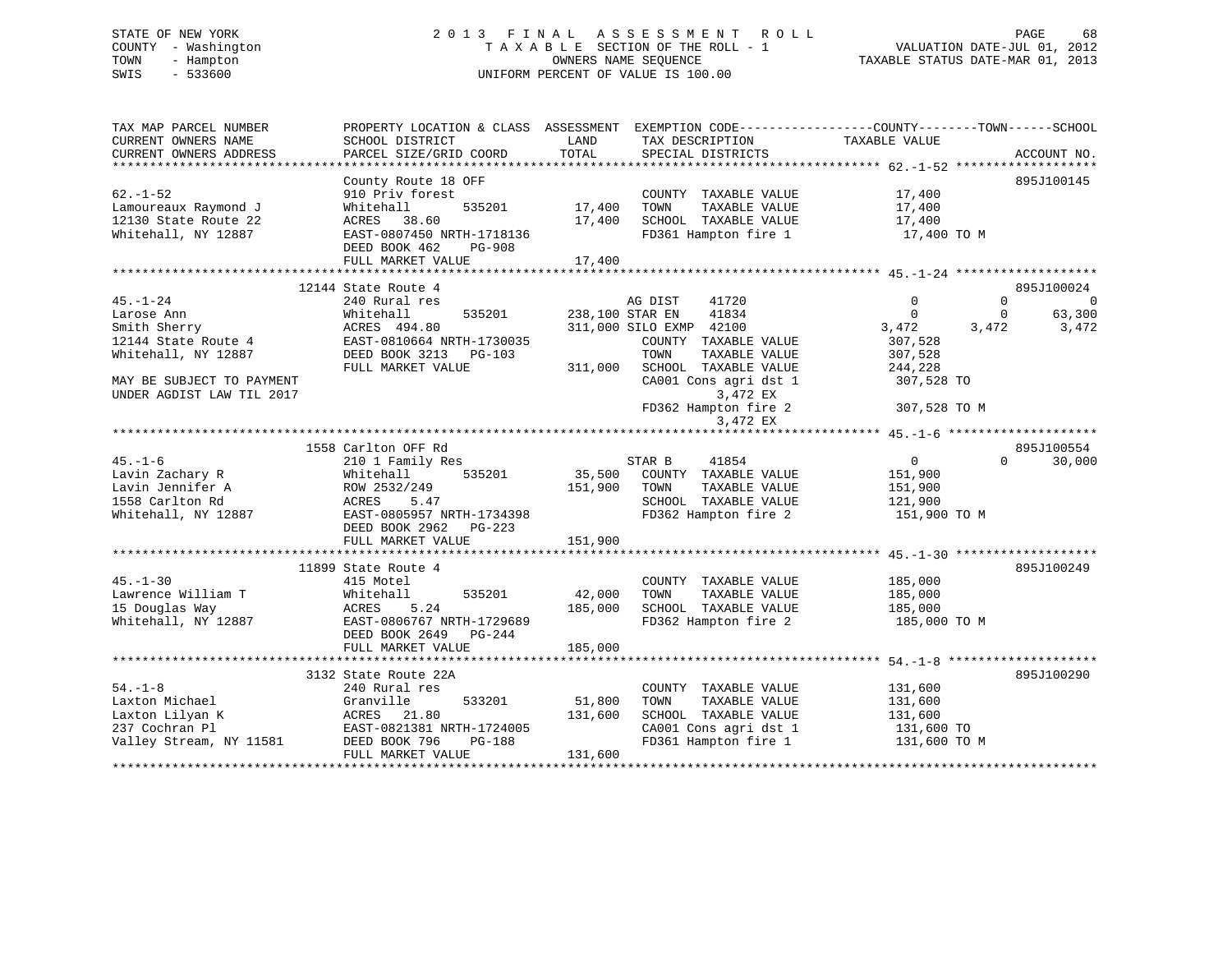# STATE OF NEW YORK 2 0 1 3 F I N A L A S S E S S M E N T R O L L PAGE 68 COUNTY - Washington T A X A B L E SECTION OF THE ROLL - 1 VALUATION DATE-JUL 01, 2012 TOWN - Hampton OWNERS NAME SEQUENCE TAXABLE STATUS DATE-MAR 01, 2013 SWIS - 533600 UNIFORM PERCENT OF VALUE IS 100.00

| TAX MAP PARCEL NUMBER                        | PROPERTY LOCATION & CLASS ASSESSMENT EXEMPTION CODE----------------COUNTY-------TOWN------SCHOOL |         |                          |                            |                            |
|----------------------------------------------|--------------------------------------------------------------------------------------------------|---------|--------------------------|----------------------------|----------------------------|
| CURRENT OWNERS NAME                          | SCHOOL DISTRICT                                                                                  | LAND    | TAX DESCRIPTION          | TAXABLE VALUE              |                            |
| CURRENT OWNERS ADDRESS                       | PARCEL SIZE/GRID COORD                                                                           | TOTAL   | SPECIAL DISTRICTS        |                            | ACCOUNT NO.                |
|                                              |                                                                                                  |         |                          |                            |                            |
| $62. - 1 - 52$                               | County Route 18 OFF<br>910 Priv forest                                                           |         | COUNTY TAXABLE VALUE     |                            | 895J100145                 |
|                                              | 535201                                                                                           | 17,400  | TOWN<br>TAXABLE VALUE    | 17,400                     |                            |
| Lamoureaux Raymond J<br>12130 State Route 22 | Whitehall<br>ACRES 38.60                                                                         | 17,400  | SCHOOL TAXABLE VALUE     | 17,400<br>17,400           |                            |
| Whitehall, NY 12887                          | EAST-0807450 NRTH-1718136                                                                        |         | FD361 Hampton fire 1     | 17,400 TO M                |                            |
|                                              | DEED BOOK 462<br>PG-908                                                                          |         |                          |                            |                            |
|                                              | FULL MARKET VALUE                                                                                | 17,400  |                          |                            |                            |
|                                              |                                                                                                  |         |                          |                            |                            |
|                                              | 12144 State Route 4                                                                              |         |                          |                            | 895J100024                 |
| $45. - 1 - 24$                               | 240 Rural res                                                                                    |         | 41720<br>AG DIST         | $\Omega$                   | $\Omega$<br>$\overline{0}$ |
| Larose Ann                                   | 535201<br>Whitehall                                                                              |         | 41834<br>238,100 STAR EN | $\Omega$                   | 63,300<br>$\Omega$         |
| Smith Sherry                                 | ACRES 494.80                                                                                     |         | 311,000 SILO EXMP 42100  | 3,472                      | 3,472<br>3,472             |
| 12144 State Route 4                          | EAST-0810664 NRTH-1730035                                                                        |         | COUNTY TAXABLE VALUE     | 307,528                    |                            |
| Whitehall, NY 12887                          | DEED BOOK 3213 PG-103                                                                            |         | TOWN<br>TAXABLE VALUE    | 307,528                    |                            |
|                                              | FULL MARKET VALUE                                                                                | 311,000 | SCHOOL TAXABLE VALUE     | 244,228                    |                            |
| MAY BE SUBJECT TO PAYMENT                    |                                                                                                  |         | CA001 Cons agri dst 1    | 307,528 TO                 |                            |
| UNDER AGDIST LAW TIL 2017                    |                                                                                                  |         | 3,472 EX                 |                            |                            |
|                                              |                                                                                                  |         | FD362 Hampton fire 2     | 307,528 TO M               |                            |
|                                              |                                                                                                  |         | 3,472 EX                 |                            |                            |
|                                              |                                                                                                  |         |                          |                            |                            |
|                                              | 1558 Carlton OFF Rd                                                                              |         |                          |                            | 895J100554                 |
| $45. - 1 - 6$                                | 210 1 Family Res                                                                                 |         | STAR B<br>41854          | $0 \qquad \qquad$          | $\Omega$<br>30,000         |
| Lavin Zachary R                              | Whitehall<br>535201                                                                              | 35,500  | COUNTY TAXABLE VALUE     | 151,900                    |                            |
| Lavin Jennifer A                             | ROW 2532/249                                                                                     | 151,900 | TOWN<br>TAXABLE VALUE    | 151,900                    |                            |
| 1558 Carlton Rd                              | ACRES 5.47                                                                                       |         | SCHOOL TAXABLE VALUE     | 121,900                    |                            |
| Whitehall, NY 12887                          | EAST-0805957 NRTH-1734398                                                                        |         | FD362 Hampton fire 2     | 151,900 TO M               |                            |
|                                              | DEED BOOK 2962 PG-223<br>FULL MARKET VALUE                                                       | 151,900 |                          |                            |                            |
|                                              |                                                                                                  |         |                          |                            |                            |
|                                              | 11899 State Route 4                                                                              |         |                          |                            | 895J100249                 |
| $45. - 1 - 30$                               | 415 Motel                                                                                        |         | COUNTY TAXABLE VALUE     | 185,000                    |                            |
| Lawrence William T                           | 535201<br>Whitehall                                                                              | 42,000  | TOWN<br>TAXABLE VALUE    | 185,000                    |                            |
| 15 Douglas Way                               | 5.24<br>ACRES                                                                                    | 185,000 | SCHOOL TAXABLE VALUE     | 185,000                    |                            |
| Whitehall, NY 12887                          | EAST-0806767 NRTH-1729689                                                                        |         | FD362 Hampton fire 2     | 185,000 TO M               |                            |
|                                              | DEED BOOK 2649<br>PG-244                                                                         |         |                          |                            |                            |
|                                              | FULL MARKET VALUE                                                                                | 185,000 |                          |                            |                            |
|                                              |                                                                                                  |         |                          |                            |                            |
|                                              | 3132 State Route 22A                                                                             |         |                          |                            | 895J100290                 |
| $54. - 1 - 8$                                | 240 Rural res                                                                                    |         | COUNTY TAXABLE VALUE     | 131,600                    |                            |
| Laxton Michael                               | Granville<br>533201                                                                              | 51,800  | TAXABLE VALUE<br>TOWN    | 131,600                    |                            |
| Laxton Lilyan K                              | ACRES 21.80                                                                                      | 131,600 | SCHOOL TAXABLE VALUE     | 131,600                    |                            |
| 237 Cochran Pl                               | EAST-0821381 NRTH-1724005                                                                        |         | CA001 Cons agri dst 1    | 131,600 TO<br>131,600 TO M |                            |
| Valley Stream, NY 11581                      | DEED BOOK 796<br>PG-188                                                                          |         | FD361 Hampton fire 1     |                            |                            |
|                                              | FULL MARKET VALUE                                                                                | 131,600 |                          |                            |                            |
|                                              |                                                                                                  |         |                          |                            |                            |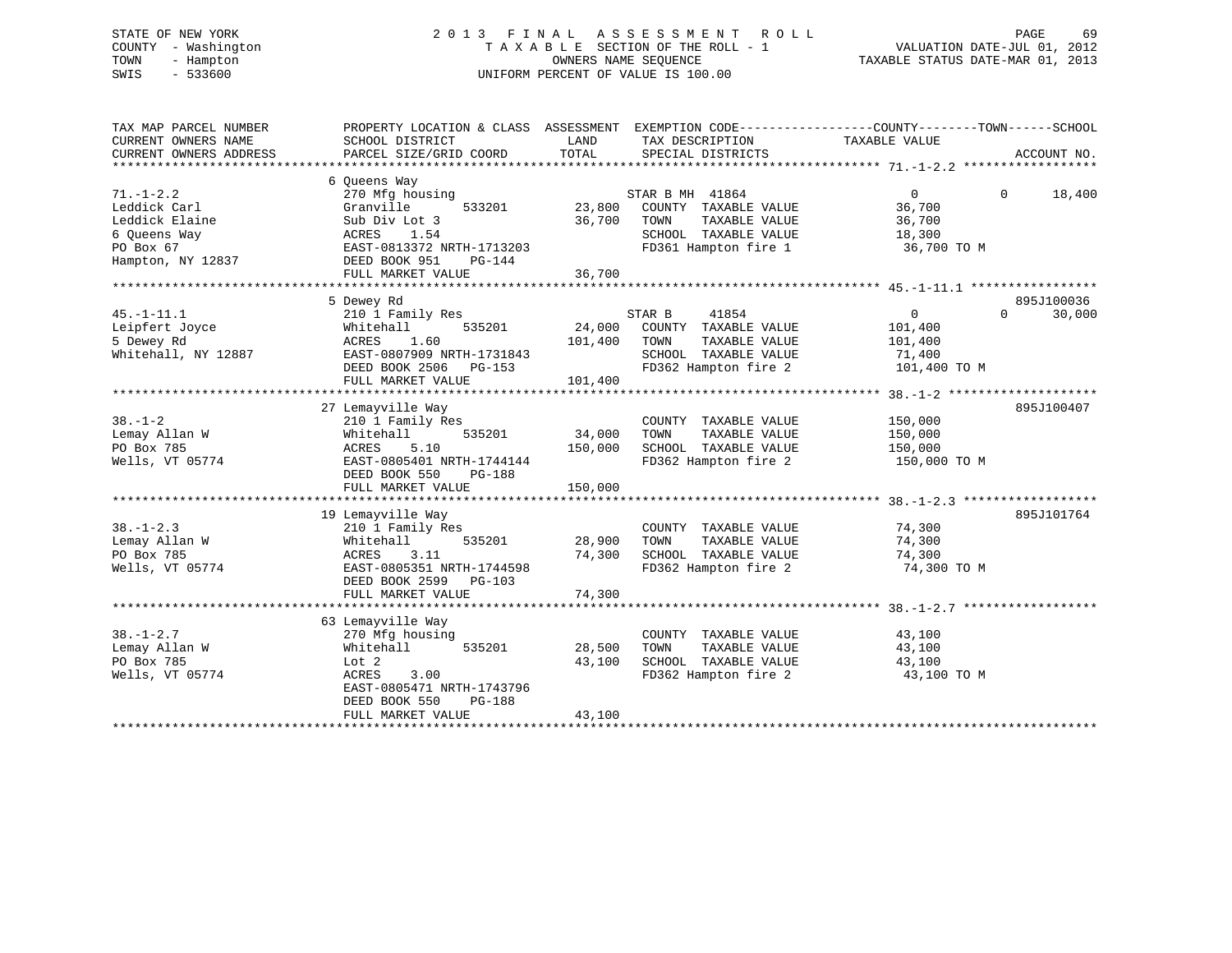# STATE OF NEW YORK 2 0 1 3 F I N A L A S S E S S M E N T R O L L PAGE 69 COUNTY - Washington T A X A B L E SECTION OF THE ROLL - 1 VALUATION DATE-JUL 01, 2012 TOWN - Hampton OWNERS NAME SEQUENCE TAXABLE STATUS DATE-MAR 01, 2013 SWIS - 533600 UNIFORM PERCENT OF VALUE IS 100.00

| TAX MAP PARCEL NUMBER<br>CURRENT OWNERS NAME<br>CURRENT OWNERS ADDRESS         | PROPERTY LOCATION & CLASS ASSESSMENT EXEMPTION CODE----------------COUNTY-------TOWN-----SCHOOL<br>SCHOOL DISTRICT<br>PARCEL SIZE/GRID COORD               | LAND<br>TOTAL                | TAX DESCRIPTION<br>SPECIAL DISTRICTS                                                                             | TAXABLE VALUE                                                  | ACCOUNT NO.        |
|--------------------------------------------------------------------------------|------------------------------------------------------------------------------------------------------------------------------------------------------------|------------------------------|------------------------------------------------------------------------------------------------------------------|----------------------------------------------------------------|--------------------|
|                                                                                |                                                                                                                                                            |                              |                                                                                                                  |                                                                |                    |
| $71. - 1 - 2.2$<br>Leddick Carl<br>Leddick Elaine<br>6 Queens Way<br>PO Box 67 | 6 Queens Way<br>270 Mfg housing<br>533201<br>Granville<br>Sub Div Lot 3<br>ACRES<br>1.54<br>EAST-0813372 NRTH-1713203                                      | 23,800<br>36,700             | STAR B MH 41864<br>COUNTY TAXABLE VALUE<br>TOWN<br>TAXABLE VALUE<br>SCHOOL TAXABLE VALUE<br>FD361 Hampton fire 1 | $\overline{0}$<br>36,700<br>36,700<br>18,300<br>36,700 TO M    | $\Omega$<br>18,400 |
| Hampton, NY 12837                                                              | DEED BOOK 951<br>PG-144                                                                                                                                    | 36,700                       |                                                                                                                  |                                                                |                    |
|                                                                                | FULL MARKET VALUE                                                                                                                                          |                              |                                                                                                                  |                                                                |                    |
|                                                                                | 5 Dewey Rd                                                                                                                                                 |                              |                                                                                                                  |                                                                | 895J100036         |
| $45. - 1 - 11.1$<br>Leipfert Joyce<br>5 Dewey Rd<br>Whitehall, NY 12887        | 210 1 Family Res<br>535201<br>Whitehall<br>1.60<br>ACRES<br>EAST-0807909 NRTH-1731843<br>DEED BOOK 2506 PG-153<br>FULL MARKET VALUE                        | 24,000<br>101,400<br>101,400 | STAR B<br>41854<br>COUNTY TAXABLE VALUE<br>TOWN<br>TAXABLE VALUE<br>SCHOOL TAXABLE VALUE<br>FD362 Hampton fire 2 | $\overline{0}$<br>101,400<br>101,400<br>71,400<br>101,400 TO M | 30,000<br>$\Omega$ |
|                                                                                |                                                                                                                                                            |                              |                                                                                                                  |                                                                |                    |
| $38. - 1 - 2$<br>Lemay Allan W<br>PO Box 785<br>Wells, VT 05774                | 27 Lemayville Way<br>210 1 Family Res<br>Whitehall<br>535201<br>ACRES<br>5.10<br>EAST-0805401 NRTH-1744144<br>DEED BOOK 550<br>PG-188<br>FULL MARKET VALUE | 34,000<br>150,000<br>150,000 | COUNTY TAXABLE VALUE<br>TAXABLE VALUE<br>TOWN<br>SCHOOL TAXABLE VALUE<br>FD362 Hampton fire 2                    | 150,000<br>150,000<br>150,000<br>150,000 TO M                  | 895J100407         |
|                                                                                |                                                                                                                                                            |                              |                                                                                                                  |                                                                |                    |
| $38. - 1 - 2.3$<br>Lemay Allan W<br>PO Box 785<br>Wells, VT 05774              | 19 Lemayville Way<br>210 1 Family Res<br>535201<br>Whitehall<br>3.11<br>ACRES<br>EAST-0805351 NRTH-1744598<br>DEED BOOK 2599 PG-103<br>FULL MARKET VALUE   | 28,900<br>74,300<br>74,300   | COUNTY TAXABLE VALUE<br>TAXABLE VALUE<br>TOWN<br>SCHOOL TAXABLE VALUE<br>FD362 Hampton fire 2                    | 74,300<br>74,300<br>74,300<br>74,300 TO M                      | 895J101764         |
|                                                                                |                                                                                                                                                            |                              |                                                                                                                  |                                                                |                    |
| $38. - 1 - 2.7$<br>Lemay Allan W<br>PO Box 785<br>Wells, VT 05774              | 63 Lemayville Way<br>270 Mfg housing<br>Whitehall<br>535201<br>Lot <sub>2</sub><br>ACRES<br>3.00<br>EAST-0805471 NRTH-1743796<br>DEED BOOK 550<br>PG-188   | 28,500<br>43,100             | COUNTY TAXABLE VALUE<br>TAXABLE VALUE<br>TOWN<br>SCHOOL TAXABLE VALUE<br>FD362 Hampton fire 2                    | 43,100<br>43,100<br>43,100<br>43,100 TO M                      |                    |
|                                                                                | FULL MARKET VALUE                                                                                                                                          | 43,100                       |                                                                                                                  |                                                                |                    |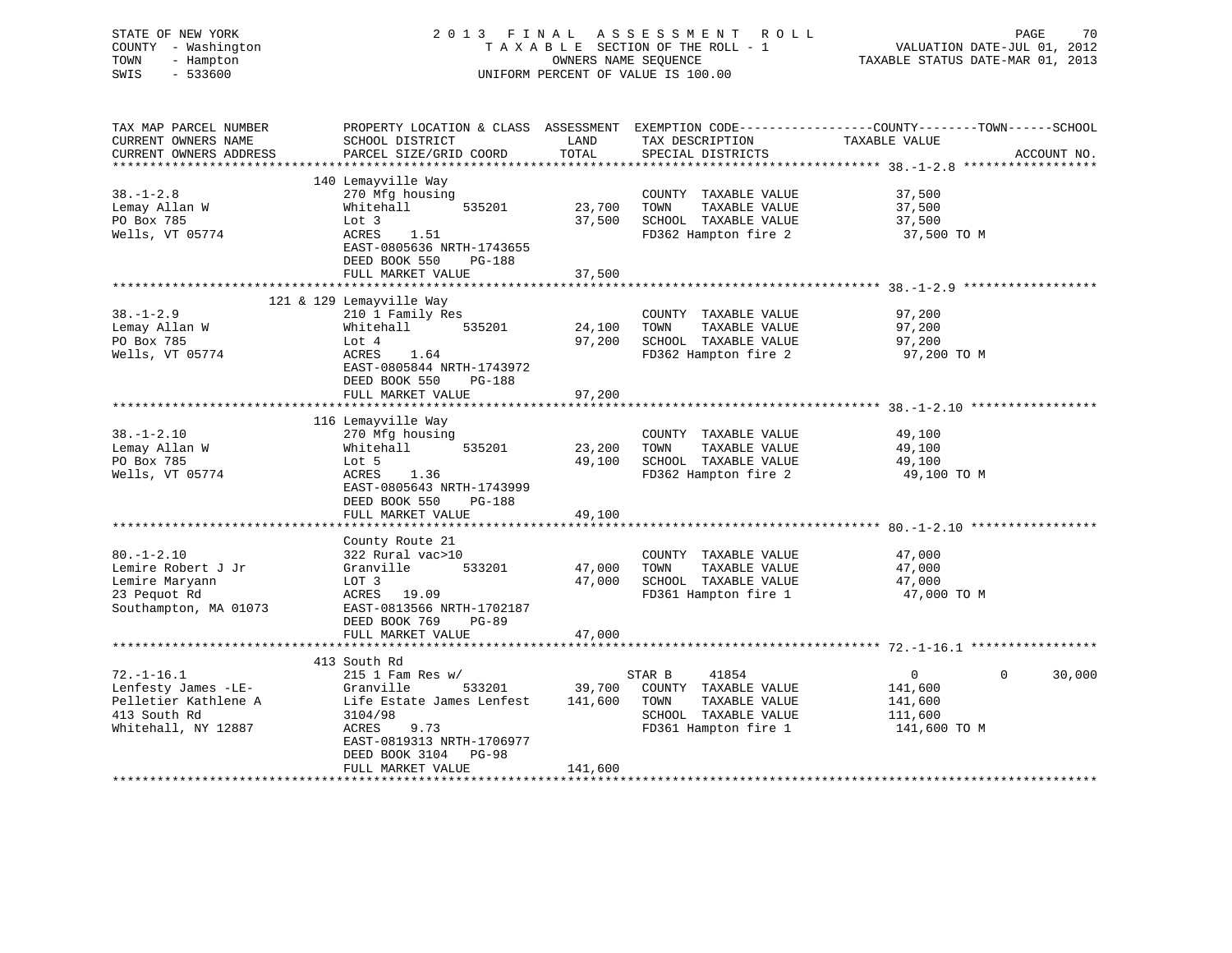| STATE OF NEW YORK<br>COUNTY - Washington<br>- Hampton<br>TOWN<br>SWIS<br>$-533600$ |                                                        |                  | 2013 FINAL ASSESSMENT<br>R O L L<br>TAXABLE SECTION OF THE ROLL - 1<br>OWNERS NAME SEQUENCE<br>UNIFORM PERCENT OF VALUE IS 100.00 | PAGE<br>70<br>VALUATION DATE-JUL 01, 2012<br>TAXABLE STATUS DATE-MAR 01, 2013                                     |
|------------------------------------------------------------------------------------|--------------------------------------------------------|------------------|-----------------------------------------------------------------------------------------------------------------------------------|-------------------------------------------------------------------------------------------------------------------|
| TAX MAP PARCEL NUMBER<br>CURRENT OWNERS NAME                                       | SCHOOL DISTRICT                                        | LAND             | TAX DESCRIPTION                                                                                                                   | PROPERTY LOCATION & CLASS ASSESSMENT EXEMPTION CODE----------------COUNTY-------TOWN------SCHOOL<br>TAXABLE VALUE |
| CURRENT OWNERS ADDRESS                                                             | PARCEL SIZE/GRID COORD                                 | TOTAL            | SPECIAL DISTRICTS                                                                                                                 | ACCOUNT NO.                                                                                                       |
|                                                                                    |                                                        |                  |                                                                                                                                   |                                                                                                                   |
| $38. - 1 - 2.8$                                                                    | 140 Lemayville Way<br>270 Mfg housing                  |                  | COUNTY TAXABLE VALUE                                                                                                              | 37,500                                                                                                            |
| Lemay Allan W                                                                      | Whitehall<br>535201                                    | 23,700           | TAXABLE VALUE<br>TOWN                                                                                                             | 37,500                                                                                                            |
| PO Box 785                                                                         | Lot 3                                                  | 37,500           | SCHOOL TAXABLE VALUE                                                                                                              | 37,500                                                                                                            |
| Wells, VT 05774                                                                    | ACRES<br>1.51                                          |                  | FD362 Hampton fire 2                                                                                                              | 37,500 TO M                                                                                                       |
|                                                                                    | EAST-0805636 NRTH-1743655<br>DEED BOOK 550<br>$PG-188$ |                  |                                                                                                                                   |                                                                                                                   |
|                                                                                    | FULL MARKET VALUE                                      | 37,500           |                                                                                                                                   |                                                                                                                   |
|                                                                                    |                                                        |                  |                                                                                                                                   |                                                                                                                   |
|                                                                                    | 121 & 129 Lemayville Way                               |                  |                                                                                                                                   |                                                                                                                   |
| $38. - 1 - 2.9$<br>Lemay Allan W                                                   | 210 1 Family Res<br>Whitehall<br>535201                | 24,100           | COUNTY TAXABLE VALUE<br>TAXABLE VALUE<br>TOWN                                                                                     | 97,200<br>97,200                                                                                                  |
| PO Box 785                                                                         | Lot 4                                                  | 97,200           | SCHOOL TAXABLE VALUE                                                                                                              | 97,200                                                                                                            |
| Wells, VT 05774                                                                    | ACRES<br>1.64                                          |                  | FD362 Hampton fire 2                                                                                                              | 97,200 TO M                                                                                                       |
|                                                                                    | EAST-0805844 NRTH-1743972                              |                  |                                                                                                                                   |                                                                                                                   |
|                                                                                    | DEED BOOK 550<br><b>PG-188</b>                         |                  |                                                                                                                                   |                                                                                                                   |
|                                                                                    | FULL MARKET VALUE                                      | 97,200           |                                                                                                                                   |                                                                                                                   |
|                                                                                    |                                                        |                  |                                                                                                                                   |                                                                                                                   |
|                                                                                    | 116 Lemayville Way                                     |                  |                                                                                                                                   |                                                                                                                   |
| $38. - 1 - 2.10$                                                                   | 270 Mfg housing                                        |                  | COUNTY TAXABLE VALUE                                                                                                              | 49,100                                                                                                            |
| Lemay Allan W                                                                      | Whitehall<br>535201                                    | 23,200<br>49,100 | TOWN<br>TAXABLE VALUE<br>SCHOOL TAXABLE VALUE                                                                                     | 49,100                                                                                                            |
| PO Box 785<br>Wells, VT 05774                                                      | Lot 5<br>ACRES<br>1.36                                 |                  | FD362 Hampton fire 2                                                                                                              | 49,100<br>49,100 TO M                                                                                             |
|                                                                                    | EAST-0805643 NRTH-1743999                              |                  |                                                                                                                                   |                                                                                                                   |
|                                                                                    | DEED BOOK 550<br><b>PG-188</b>                         |                  |                                                                                                                                   |                                                                                                                   |
|                                                                                    | FULL MARKET VALUE                                      | 49,100           |                                                                                                                                   |                                                                                                                   |
|                                                                                    |                                                        |                  |                                                                                                                                   |                                                                                                                   |
|                                                                                    | County Route 21                                        |                  |                                                                                                                                   |                                                                                                                   |
| $80. - 1 - 2.10$                                                                   | 322 Rural vac>10                                       |                  | COUNTY TAXABLE VALUE                                                                                                              | 47,000                                                                                                            |
| Lemire Robert J Jr                                                                 | Granville<br>533201                                    | 47,000           | TOWN<br>TAXABLE VALUE                                                                                                             | 47,000                                                                                                            |
| Lemire Maryann                                                                     | LOT 3                                                  | 47,000           | SCHOOL TAXABLE VALUE                                                                                                              | 47,000                                                                                                            |
| 23 Pequot Rd<br>Southampton, MA 01073                                              | ACRES<br>19.09<br>EAST-0813566 NRTH-1702187            |                  | FD361 Hampton fire 1                                                                                                              | 47,000 TO M                                                                                                       |
|                                                                                    | DEED BOOK 769<br>$PG-89$                               |                  |                                                                                                                                   |                                                                                                                   |
|                                                                                    | FULL MARKET VALUE                                      | 47,000           |                                                                                                                                   |                                                                                                                   |
|                                                                                    |                                                        |                  |                                                                                                                                   |                                                                                                                   |
|                                                                                    | 413 South Rd                                           |                  |                                                                                                                                   |                                                                                                                   |
| $72. - 1 - 16.1$                                                                   | $215$ 1 Fam Res w/                                     |                  | 41854<br>STAR B                                                                                                                   | $\mathbf 0$<br>30,000<br>$\overline{0}$                                                                           |
| Lenfesty James -LE-                                                                | 533201<br>Granville                                    | 39,700           | COUNTY TAXABLE VALUE                                                                                                              | 141,600                                                                                                           |
| Pelletier Kathlene A                                                               | Life Estate James Lenfest                              | 141,600          | TOWN<br>TAXABLE VALUE                                                                                                             | 141,600                                                                                                           |
| 413 South Rd                                                                       | 3104/98                                                |                  | SCHOOL TAXABLE VALUE                                                                                                              | 111,600                                                                                                           |
| Whitehall, NY 12887                                                                | <b>ACRES</b><br>9.73<br>EAST-0819313 NRTH-1706977      |                  | FD361 Hampton fire 1                                                                                                              | 141,600 TO M                                                                                                      |

\*\*\*\*\*\*\*\*\*\*\*\*\*\*\*\*\*\*\*\*\*\*\*\*\*\*\*\*\*\*\*\*\*\*\*\*\*\*\*\*\*\*\*\*\*\*\*\*\*\*\*\*\*\*\*\*\*\*\*\*\*\*\*\*\*\*\*\*\*\*\*\*\*\*\*\*\*\*\*\*\*\*\*\*\*\*\*\*\*\*\*\*\*\*\*\*\*\*\*\*\*\*\*\*\*\*\*\*\*\*\*\*\*\*\*\*\*\*\*\*\*\*\*\*\*\*\*\*\*\*\*\*

DEED BOOK 3104 PG-98

FULL MARKET VALUE 141,600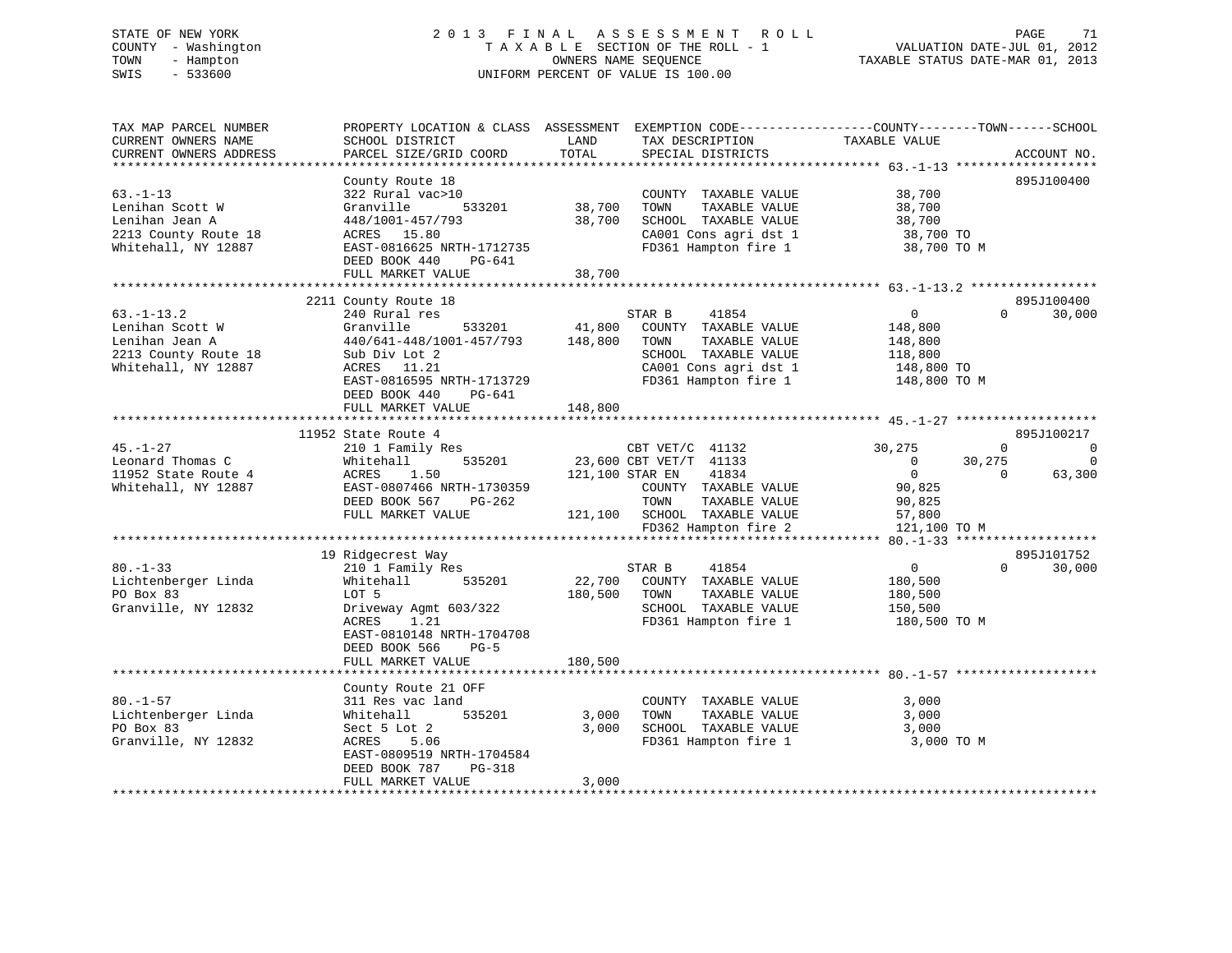# STATE OF NEW YORK 2 0 1 3 F I N A L A S S E S S M E N T R O L L PAGE 71 COUNTY - Washington T A X A B L E SECTION OF THE ROLL - 1 VALUATION DATE-JUL 01, 2012 TOWN - Hampton OWNERS NAME SEQUENCE TAXABLE STATUS DATE-MAR 01, 2013 SWIS - 533600 UNIFORM PERCENT OF VALUE IS 100.00

| TAX MAP PARCEL NUMBER  | PROPERTY LOCATION & CLASS ASSESSMENT EXEMPTION CODE----------------COUNTY-------TOWN------SCHOOL |                 |                              |                |                       |
|------------------------|--------------------------------------------------------------------------------------------------|-----------------|------------------------------|----------------|-----------------------|
| CURRENT OWNERS NAME    | SCHOOL DISTRICT                                                                                  | LAND            | TAX DESCRIPTION              | TAXABLE VALUE  |                       |
| CURRENT OWNERS ADDRESS | PARCEL SIZE/GRID COORD                                                                           | TOTAL           | SPECIAL DISTRICTS            |                | ACCOUNT NO.           |
|                        |                                                                                                  |                 |                              |                |                       |
|                        | County Route 18                                                                                  |                 |                              |                | 895J100400            |
| $63. - 1 - 13$         | 322 Rural vac>10                                                                                 |                 | COUNTY TAXABLE VALUE         | 38,700         |                       |
| Lenihan Scott W        | 533201<br>Granville                                                                              | 38,700          | TOWN<br>TAXABLE VALUE        | 38,700         |                       |
| Lenihan Jean A         | 448/1001-457/793                                                                                 | 38,700          | SCHOOL TAXABLE VALUE         | 38,700         |                       |
| 2213 County Route 18   | ACRES 15.80                                                                                      |                 | CA001 Cons agri dst 1        | 38,700 TO      |                       |
| Whitehall, NY 12887    | EAST-0816625 NRTH-1712735                                                                        |                 | FD361 Hampton fire 1         | 38,700 TO M    |                       |
|                        | DEED BOOK 440<br>PG-641                                                                          |                 |                              |                |                       |
|                        | FULL MARKET VALUE                                                                                | 38,700          |                              |                |                       |
|                        |                                                                                                  |                 |                              |                |                       |
|                        | 2211 County Route 18                                                                             |                 |                              |                | 895J100400            |
| $63. - 1 - 13.2$       | 240 Rural res                                                                                    |                 | STAR B<br>41854              | $\Omega$       | $\Omega$<br>30,000    |
| Lenihan Scott W        | Granville<br>533201                                                                              | 41,800          | COUNTY TAXABLE VALUE         | 148,800        |                       |
| Lenihan Jean A         | 440/641-448/1001-457/793                                                                         | 148,800         | TOWN<br>TAXABLE VALUE        | 148,800        |                       |
| 2213 County Route 18   | Sub Div Lot 2                                                                                    |                 | SCHOOL TAXABLE VALUE         | 118,800        |                       |
| Whitehall, NY 12887    | ACRES 11.21                                                                                      |                 | CA001 Cons agri dst 1        | 148,800 TO     |                       |
|                        | EAST-0816595 NRTH-1713729                                                                        |                 | FD361 Hampton fire 1         | 148,800 TO M   |                       |
|                        | DEED BOOK 440<br>PG-641                                                                          |                 |                              |                |                       |
|                        | FULL MARKET VALUE                                                                                | 148,800         |                              |                |                       |
|                        |                                                                                                  |                 |                              |                |                       |
|                        | 11952 State Route 4                                                                              |                 |                              |                | 895J100217            |
| $45. - 1 - 27$         | 210 1 Family Res                                                                                 |                 | CBT VET/C 41132              | 30,275         | 0<br>$\mathbf{0}$     |
| Leonard Thomas C       | 535201<br>Whitehall                                                                              |                 | 23,600 CBT VET/T 41133       | $\Omega$       | 30,275<br>$\mathbf 0$ |
| 11952 State Route 4    | ACRES<br>1.50                                                                                    | 121,100 STAR EN | 41834                        | $\overline{0}$ | 63,300<br>$\Omega$    |
| Whitehall, NY 12887    | EAST-0807466 NRTH-1730359                                                                        |                 | COUNTY TAXABLE VALUE         | 90,825         |                       |
|                        | DEED BOOK 567<br>PG-262                                                                          |                 | TOWN<br>TAXABLE VALUE        | 90,825         |                       |
|                        | FULL MARKET VALUE                                                                                |                 | 121,100 SCHOOL TAXABLE VALUE | 57,800         |                       |
|                        |                                                                                                  |                 | FD362 Hampton fire 2         | 121,100 TO M   |                       |
|                        |                                                                                                  |                 |                              |                |                       |
|                        | 19 Ridgecrest Way                                                                                |                 |                              |                | 895J101752            |
| $80. - 1 - 33$         | 210 1 Family Res                                                                                 |                 | 41854<br>STAR B              | $\overline{0}$ | $\Omega$<br>30,000    |
| Lichtenberger Linda    | 535201<br>Whitehall                                                                              | 22,700          | COUNTY TAXABLE VALUE         | 180,500        |                       |
| PO Box 83              | LOT 5                                                                                            | 180,500         | TOWN<br>TAXABLE VALUE        | 180,500        |                       |
| Granville, NY 12832    | Driveway Agmt 603/322                                                                            |                 | SCHOOL TAXABLE VALUE         | 150,500        |                       |
|                        | ACRES<br>1.21                                                                                    |                 | FD361 Hampton fire 1         | 180,500 TO M   |                       |
|                        | EAST-0810148 NRTH-1704708                                                                        |                 |                              |                |                       |
|                        | DEED BOOK 566<br>$PG-5$                                                                          |                 |                              |                |                       |
|                        | FULL MARKET VALUE                                                                                | 180,500         |                              |                |                       |
|                        | *************************                                                                        |                 |                              |                |                       |
|                        |                                                                                                  |                 |                              |                |                       |
|                        | County Route 21 OFF                                                                              |                 |                              |                |                       |
| $80. - 1 - 57$         | 311 Res vac land                                                                                 |                 | COUNTY TAXABLE VALUE         | 3,000          |                       |
| Lichtenberger Linda    | 535201<br>Whitehall                                                                              | 3,000           | TAXABLE VALUE<br>TOWN        | 3,000          |                       |
| PO Box 83              | Sect 5 Lot 2                                                                                     | 3,000           | SCHOOL TAXABLE VALUE         | 3,000          |                       |
| Granville, NY 12832    | 5.06<br>ACRES                                                                                    |                 | FD361 Hampton fire 1         | 3,000 TO M     |                       |
|                        | EAST-0809519 NRTH-1704584                                                                        |                 |                              |                |                       |
|                        | DEED BOOK 787<br>$PG-318$                                                                        |                 |                              |                |                       |
|                        | FULL MARKET VALUE                                                                                | 3,000           |                              |                |                       |
|                        |                                                                                                  |                 |                              |                |                       |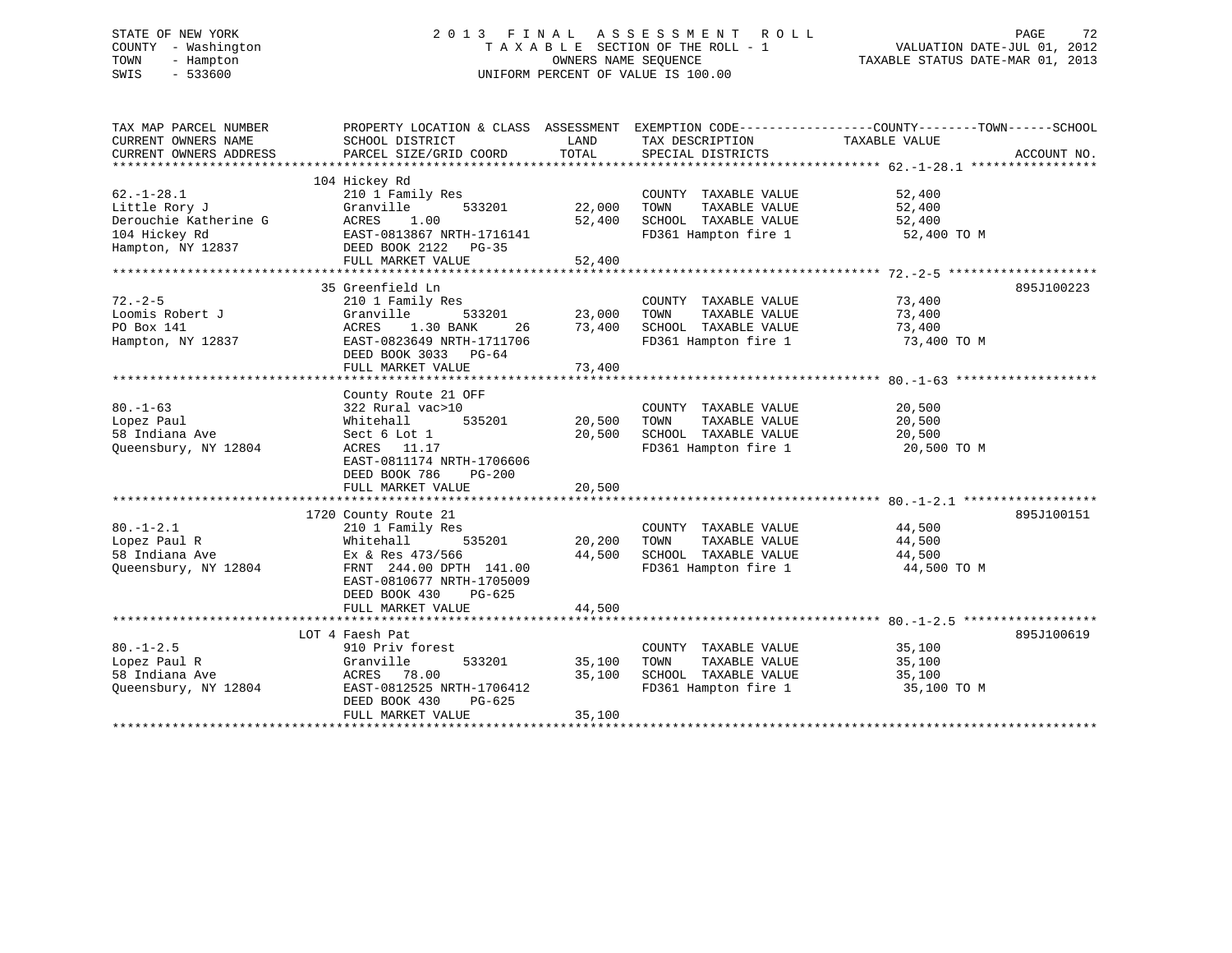# STATE OF NEW YORK 2 0 1 3 F I N A L A S S E S S M E N T R O L L PAGE 72 COUNTY - Washington T A X A B L E SECTION OF THE ROLL - 1 VALUATION DATE-JUL 01, 2012 TOWN - Hampton OWNERS NAME SEQUENCE TAXABLE STATUS DATE-MAR 01, 2013 SWIS - 533600 UNIFORM PERCENT OF VALUE IS 100.00

| TAX MAP PARCEL NUMBER<br>CURRENT OWNERS NAME<br>CURRENT OWNERS ADDRESS                           | PROPERTY LOCATION & CLASS ASSESSMENT<br>SCHOOL DISTRICT<br>PARCEL SIZE/GRID COORD                                                                                        | LAND<br>TOTAL              | TAX DESCRIPTION<br>SPECIAL DISTRICTS                                                          | EXEMPTION CODE-----------------COUNTY-------TOWN------SCHOOL<br>TAXABLE VALUE<br>ACCOUNT NO. |
|--------------------------------------------------------------------------------------------------|--------------------------------------------------------------------------------------------------------------------------------------------------------------------------|----------------------------|-----------------------------------------------------------------------------------------------|----------------------------------------------------------------------------------------------|
|                                                                                                  |                                                                                                                                                                          |                            |                                                                                               |                                                                                              |
| $62. - 1 - 28.1$<br>Little Rory J<br>Derouchie Katherine G<br>104 Hickey Rd<br>Hampton, NY 12837 | 104 Hickey Rd<br>210 1 Family Res<br>Granville<br>533201<br>1.00<br>ACRES<br>EAST-0813867 NRTH-1716141<br>DEED BOOK 2122 PG-35                                           | 22,000<br>52,400           | COUNTY TAXABLE VALUE<br>TOWN<br>TAXABLE VALUE<br>SCHOOL TAXABLE VALUE<br>FD361 Hampton fire 1 | 52,400<br>52,400<br>52,400<br>52,400 TO M                                                    |
|                                                                                                  | FULL MARKET VALUE                                                                                                                                                        | 52,400                     |                                                                                               |                                                                                              |
|                                                                                                  |                                                                                                                                                                          |                            |                                                                                               |                                                                                              |
| $72. - 2 - 5$<br>Loomis Robert J<br>PO Box 141<br>Hampton, NY 12837                              | 35 Greenfield Ln<br>210 1 Family Res<br>Granville<br>533201<br>1.30 BANK<br>26<br>ACRES<br>EAST-0823649 NRTH-1711706<br>DEED BOOK 3033 PG-64<br>FULL MARKET VALUE        | 23,000<br>73,400<br>73,400 | COUNTY TAXABLE VALUE<br>TOWN<br>TAXABLE VALUE<br>SCHOOL TAXABLE VALUE<br>FD361 Hampton fire 1 | 895J100223<br>73,400<br>73,400<br>73,400<br>73,400 TO M                                      |
|                                                                                                  | County Route 21 OFF                                                                                                                                                      |                            |                                                                                               |                                                                                              |
| $80. - 1 - 63$<br>Lopez Paul<br>58 Indiana Ave<br>Queensbury, NY 12804                           | 322 Rural vac>10<br>Whitehall<br>535201<br>Sect 6 Lot 1<br>ACRES 11.17<br>EAST-0811174 NRTH-1706606<br>DEED BOOK 786<br>$PG-200$<br>FULL MARKET VALUE                    | 20,500<br>20,500<br>20,500 | COUNTY TAXABLE VALUE<br>TAXABLE VALUE<br>TOWN<br>SCHOOL TAXABLE VALUE<br>FD361 Hampton fire 1 | 20,500<br>20,500<br>20,500<br>20,500 TO M                                                    |
|                                                                                                  |                                                                                                                                                                          |                            |                                                                                               |                                                                                              |
| $80. - 1 - 2.1$<br>Lopez Paul R<br>58 Indiana Ave<br>Queensbury, NY 12804                        | 1720 County Route 21<br>210 1 Family Res<br>Whitehall<br>535201<br>Ex & Res 473/566<br>FRNT 244.00 DPTH 141.00<br>EAST-0810677 NRTH-1705009<br>DEED BOOK 430<br>$PG-625$ | 20,200<br>44,500           | COUNTY TAXABLE VALUE<br>TOWN<br>TAXABLE VALUE<br>SCHOOL TAXABLE VALUE<br>FD361 Hampton fire 1 | 895J100151<br>44,500<br>44,500<br>44,500<br>44,500 TO M                                      |
|                                                                                                  | FULL MARKET VALUE                                                                                                                                                        | 44,500                     |                                                                                               |                                                                                              |
|                                                                                                  | LOT 4 Faesh Pat                                                                                                                                                          |                            |                                                                                               | 895J100619                                                                                   |
| $80. -1 - 2.5$<br>Lopez Paul R<br>58 Indiana Ave<br>Queensbury, NY 12804                         | 910 Priv forest<br>533201<br>Granville<br>ACRES 78.00<br>EAST-0812525 NRTH-1706412<br>DEED BOOK 430<br>$PG-625$<br>FULL MARKET VALUE                                     | 35,100<br>35,100<br>35,100 | COUNTY TAXABLE VALUE<br>TOWN<br>TAXABLE VALUE<br>SCHOOL TAXABLE VALUE<br>FD361 Hampton fire 1 | 35,100<br>35,100<br>35,100<br>35,100 TO M                                                    |
|                                                                                                  |                                                                                                                                                                          |                            |                                                                                               |                                                                                              |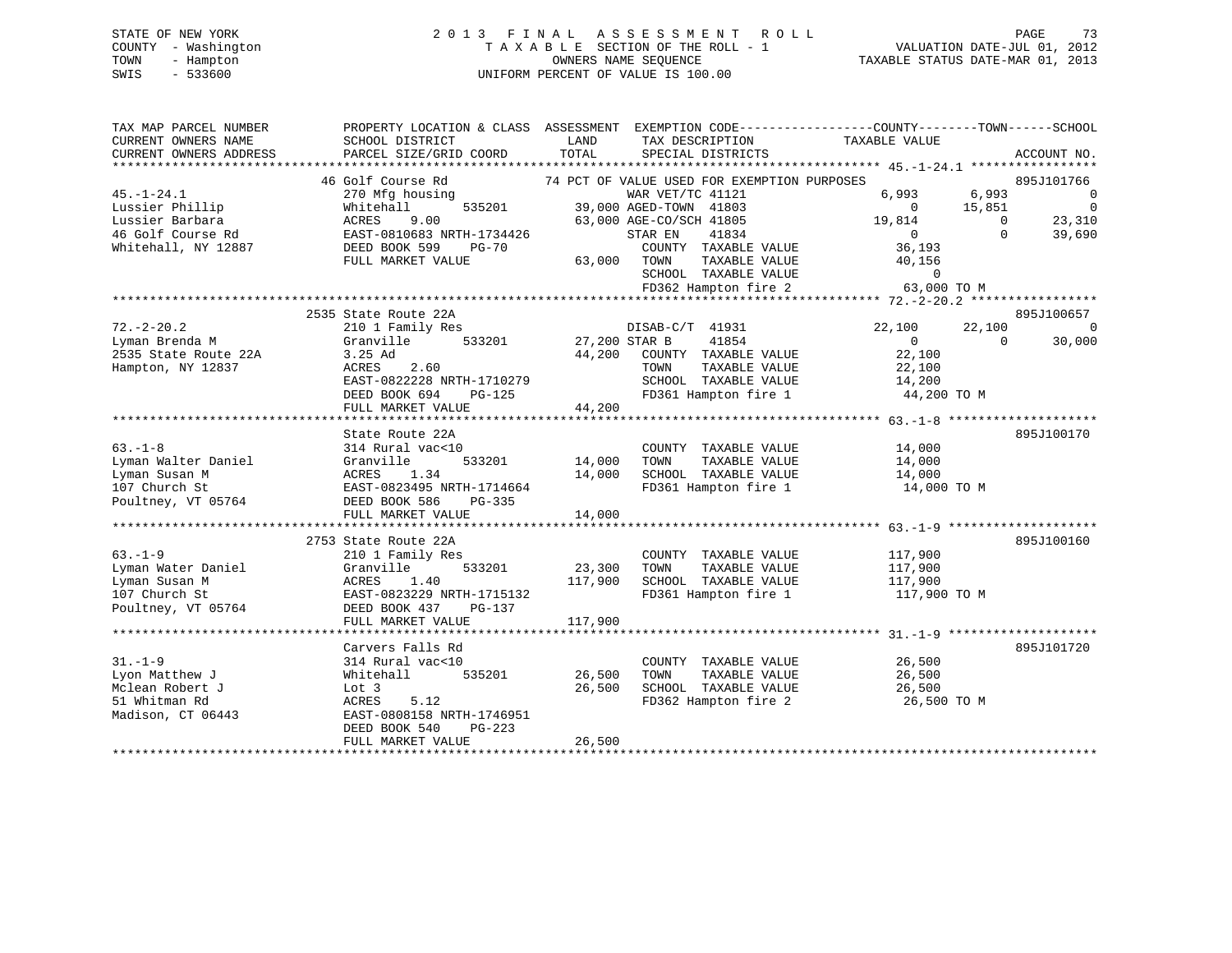# STATE OF NEW YORK 2 0 1 3 F I N A L A S S E S S M E N T R O L L PAGE 73 COUNTY - Washington T A X A B L E SECTION OF THE ROLL - 1 VALUATION DATE-JUL 01, 2012 TOWN - Hampton OWNERS NAME SEQUENCE TAXABLE STATUS DATE-MAR 01, 2013 SWIS - 533600 UNIFORM PERCENT OF VALUE IS 100.00

| TAX MAP PARCEL NUMBER<br>CURRENT OWNERS NAME<br>CURRENT OWNERS ADDRESS                             | PROPERTY LOCATION & CLASS ASSESSMENT EXEMPTION CODE----------------COUNTY-------TOWN------SCHOOL<br>SCHOOL DISTRICT<br>PARCEL SIZE/GRID COORD                        | LAND<br>TOTAL                | TAX DESCRIPTION<br>SPECIAL DISTRICTS                                                                                                                                                                      | TAXABLE VALUE                                                                                          | ACCOUNT NO.                                                                                      |
|----------------------------------------------------------------------------------------------------|----------------------------------------------------------------------------------------------------------------------------------------------------------------------|------------------------------|-----------------------------------------------------------------------------------------------------------------------------------------------------------------------------------------------------------|--------------------------------------------------------------------------------------------------------|--------------------------------------------------------------------------------------------------|
| $45. - 1 - 24.1$<br>Lussier Phillip<br>Lussier Barbara<br>46 Golf Course Rd<br>Whitehall, NY 12887 | 46 Golf Course Rd<br>270 Mfg housing<br>Whitehall<br>535201<br>ACRES<br>9.00<br>EAST-0810683 NRTH-1734426<br>DEED BOOK 599<br><b>PG-70</b><br>FULL MARKET VALUE      | 63,000 TOWN                  | 74 PCT OF VALUE USED FOR EXEMPTION PURPOSES<br>WAR VET/TC 41121<br>39,000 AGED-TOWN 41803<br>63,000 AGE-CO/SCH 41805<br>STAR EN<br>41834<br>COUNTY TAXABLE VALUE<br>TAXABLE VALUE<br>SCHOOL TAXABLE VALUE | 6,993<br>6,993<br>15,851<br>$\overline{0}$<br>19,814<br>$\overline{0}$<br>36,193<br>40,156<br>$\Omega$ | 895J101766<br>$\overline{0}$<br>$\overline{0}$<br>23,310<br>$\overline{0}$<br>$\Omega$<br>39,690 |
|                                                                                                    | 2535 State Route 22A                                                                                                                                                 |                              | FD362 Hampton fire 2                                                                                                                                                                                      | 63,000 TO M                                                                                            | 895J100657                                                                                       |
| $72. - 2 - 20.2$<br>Lyman Brenda M<br>2535 State Route 22A<br>Hampton, NY 12837                    | 210 1 Family Res<br>533201<br>Granville<br>3.25 Ad<br>ACRES<br>2.60<br>EAST-0822228 NRTH-1710279<br>DEED BOOK 694<br>PG-125<br>FULL MARKET VALUE                     | 27,200 STAR B<br>44,200      | DISAB-C/T 41931<br>41854<br>44,200 COUNTY TAXABLE VALUE<br>TOWN<br>TAXABLE VALUE<br>SCHOOL TAXABLE VALUE<br>FD361 Hampton fire 1                                                                          | 22,100<br>22,100<br>$\Omega$<br>22,100<br>22,100<br>14,200<br>44,200 TO M                              | $\overline{0}$<br>$\Omega$<br>30,000                                                             |
| $63 - 1 - 8$<br>Lyman Walter Daniel<br>Lyman Susan M<br>107 Church St<br>Poultney, VT 05764        | State Route 22A<br>314 Rural vac<10<br>533201<br>Granville<br>1.34<br>ACRES<br>EAST-0823495 NRTH-1714664<br>DEED BOOK 586<br>PG-335<br>FULL MARKET VALUE             | 14,000<br>14,000<br>14,000   | COUNTY TAXABLE VALUE<br>TAXABLE VALUE<br>TOWN<br>SCHOOL TAXABLE VALUE<br>FD361 Hampton fire 1                                                                                                             | 14,000<br>14,000<br>14,000<br>14,000 TO M                                                              | 895J100170                                                                                       |
| $63. -1 - 9$<br>Lyman Water Daniel<br>Lyman Susan M<br>107 Church St<br>Poultney, VT 05764         | 2753 State Route 22A<br>210 1 Family Res<br>533201<br>Granville<br>1.40<br>ACRES<br>EAST-0823229 NRTH-1715132<br>DEED BOOK 437<br>PG-137<br>FULL MARKET VALUE        | 23,300<br>117,900<br>117,900 | COUNTY TAXABLE VALUE<br>TOWN<br>TAXABLE VALUE<br>SCHOOL TAXABLE VALUE<br>FD361 Hampton fire 1                                                                                                             | 117,900<br>117,900<br>117,900<br>117,900 TO M                                                          | 895J100160                                                                                       |
| $31. - 1 - 9$<br>Lyon Matthew J<br>Mclean Robert J<br>51 Whitman Rd<br>Madison, CT 06443           | Carvers Falls Rd<br>314 Rural vac<10<br>Whitehall<br>535201<br>Lot 3<br>ACRES<br>5.12<br>EAST-0808158 NRTH-1746951<br>DEED BOOK 540<br>$PG-223$<br>FULL MARKET VALUE | 26,500<br>26,500<br>26,500   | COUNTY TAXABLE VALUE<br>TAXABLE VALUE<br>TOWN<br>SCHOOL TAXABLE VALUE<br>FD362 Hampton fire 2                                                                                                             | 26,500<br>26,500<br>26,500<br>26,500 TO M                                                              | 895J101720                                                                                       |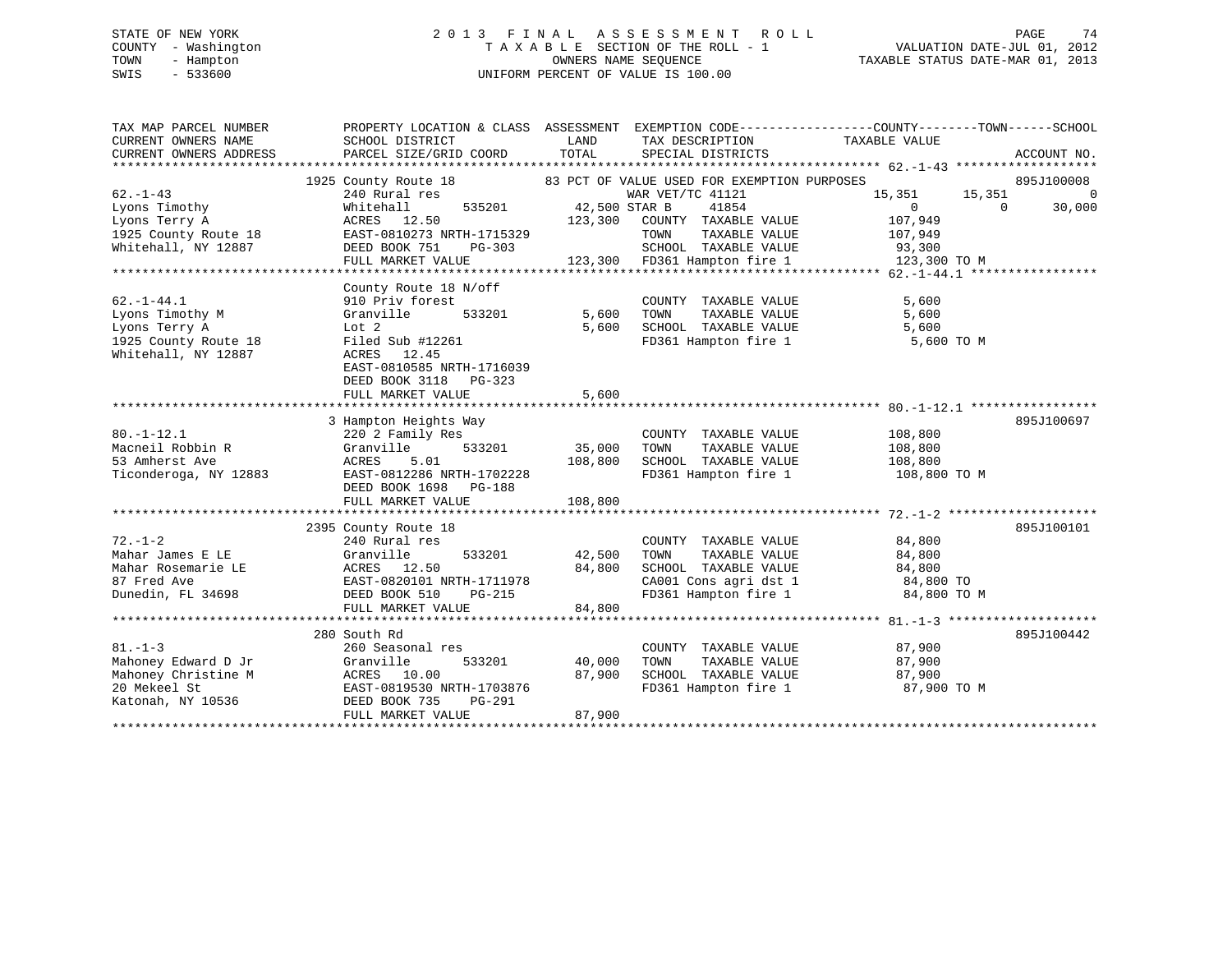# STATE OF NEW YORK 2 0 1 3 F I N A L A S S E S S M E N T R O L L PAGE 74 COUNTY - Washington T A X A B L E SECTION OF THE ROLL - 1 VALUATION DATE-JUL 01, 2012 TOWN - Hampton OWNERS NAME SEQUENCE TAXABLE STATUS DATE-MAR 01, 2013 SWIS - 533600 UNIFORM PERCENT OF VALUE IS 100.00

| TAX MAP PARCEL NUMBER<br>CURRENT OWNERS NAME<br>CURRENT OWNERS ADDRESS | PROPERTY LOCATION & CLASS ASSESSMENT EXEMPTION CODE----------------COUNTY-------TOWN------SCHOOL<br>SCHOOL DISTRICT<br>PARCEL SIZE/GRID COORD | LAND<br>TOTAL                         | TAX DESCRIPTION<br>SPECIAL DISTRICTS                       | TAXABLE VALUE                                                                                             | ACCOUNT NO.              |
|------------------------------------------------------------------------|-----------------------------------------------------------------------------------------------------------------------------------------------|---------------------------------------|------------------------------------------------------------|-----------------------------------------------------------------------------------------------------------|--------------------------|
| $62 - 1 - 43$                                                          | 1925 County Route 18 83 PCT OF VALUE USED FOR EXEMPTION PURPOSES<br>240 Rural res                                                             |                                       | WAR VET/TC 41121                                           | 15,351<br>15,351                                                                                          | 895J100008<br>$\Omega$   |
| Lyons Timothy<br>Lyons Terry A<br>Lyons Terry A                        | Whitehall<br>ACRES 12.50                                                                                                                      | 535201 42,500 STAR B<br>123,300 COUNT | 41854<br>COUNTY TAXABLE VALUE                              | $\overline{0}$<br>107,949                                                                                 | $\overline{0}$<br>30,000 |
| 1925 County Route 18 EAST-0810273 NRTH-1715329<br>Whitehall, NY 12887  | DEED BOOK 751<br>PG-303                                                                                                                       |                                       | TOWN                                                       | TAXABLE VALUE 107,949<br>3<br>SCHOOL TAXABLE VALUE 93,300<br>123,300 FD361 Hampton fire 1<br>123,300 TO M |                          |
|                                                                        | FULL MARKET VALUE                                                                                                                             |                                       |                                                            |                                                                                                           |                          |
|                                                                        | County Route 18 N/off                                                                                                                         |                                       |                                                            |                                                                                                           |                          |
| $62. - 1 - 44.1$                                                       | 910 Priv forest                                                                                                                               |                                       | COUNTY TAXABLE VALUE                                       | 5,600                                                                                                     |                          |
| Lyons Timothy M                                                        | Granville<br>533201                                                                                                                           | 5,600                                 | TOWN TAXABLE VALUE<br>SCHOOL TAXABLE VALUE                 | 5,600                                                                                                     |                          |
| Lyons Terry A                                                          | Lot 2                                                                                                                                         | 5,600                                 |                                                            | 5,600                                                                                                     |                          |
| 1925 County Route 18<br>Whitehall, NY 12887                            | Filed Sub #12261<br>ACRES 12.45<br>EAST-0810585 NRTH-1716039<br>DEED BOOK 3118 PG-323                                                         |                                       |                                                            | FD361 Hampton fire 1 5,600 TO M                                                                           |                          |
|                                                                        | FULL MARKET VALUE                                                                                                                             | 5,600                                 |                                                            |                                                                                                           |                          |
|                                                                        |                                                                                                                                               |                                       |                                                            |                                                                                                           |                          |
|                                                                        | 3 Hampton Heights Way                                                                                                                         |                                       |                                                            |                                                                                                           | 895J100697               |
| $80. - 1 - 12.1$                                                       | 220 2 Family Res                                                                                                                              |                                       | COUNTY TAXABLE VALUE 108,800                               |                                                                                                           |                          |
| Macneil Robbin R                                                       | Granville                                                                                                                                     | 533201 35,000                         | TOWN<br>TAXABLE VALUE                                      | 108,800                                                                                                   |                          |
| 53 Amherst Ave<br>Ticonderoga, NY 12883                                | ACRES 5.01 108,800<br>EAST-0812286 NRTH-1702228 108,800                                                                                       |                                       | SCHOOL TAXABLE VALUE<br>FD361 Hampton fire 1               | 108,800<br>108,800 TO M                                                                                   |                          |
|                                                                        | DEED BOOK 1698 PG-188                                                                                                                         |                                       |                                                            |                                                                                                           |                          |
|                                                                        | FULL MARKET VALUE                                                                                                                             | 108,800                               |                                                            |                                                                                                           |                          |
|                                                                        |                                                                                                                                               |                                       |                                                            |                                                                                                           |                          |
|                                                                        | 2395 County Route 18                                                                                                                          |                                       |                                                            |                                                                                                           | 895J100101               |
| $72. - 1 - 2$                                                          | 240 Rural res                                                                                                                                 |                                       | COUNTY TAXABLE VALUE                                       | 84,800                                                                                                    |                          |
| Mahar James E LE<br>Mahar Rosemarie LE                                 | Granville                                                                                                                                     | 533201 42,500<br>84,800               | TAXABLE VALUE<br>TOWN                                      | 84,800                                                                                                    |                          |
| 87 Fred Ave                                                            | LE<br>RAST-0820101 NRTH-1711978                                                                                                               |                                       |                                                            |                                                                                                           |                          |
| Dunedin, FL 34698                                                      | DEED BOOK 510<br>$PG-215$                                                                                                                     |                                       | FD361 Hampton fire 1                                       | 84,800 TO M                                                                                               |                          |
|                                                                        | FULL MARKET VALUE                                                                                                                             | 84,800                                |                                                            |                                                                                                           |                          |
|                                                                        |                                                                                                                                               |                                       |                                                            |                                                                                                           |                          |
|                                                                        | 280 South Rd                                                                                                                                  |                                       |                                                            |                                                                                                           | 895J100442               |
| $81. - 1 - 3$                                                          | 260 Seasonal res                                                                                                                              |                                       | COUNTY TAXABLE VALUE                                       | 87,900                                                                                                    |                          |
| Mahoney Edward D Jr                                                    | 533201<br>Granville                                                                                                                           | 40,000                                | TOWN                                                       | TAXABLE VALUE 87,900                                                                                      |                          |
| Mahoney Christine M                                                    | ACRES 10.00                                                                                                                                   | 87,900                                | SCHOOL TAXABLE VALUE 87,900<br>FD361 Hampton fire 1 87,900 |                                                                                                           |                          |
| 20 Mekeel St                                                           | EAST-0819530 NRTH-1703876                                                                                                                     |                                       |                                                            | 87,900 TO M                                                                                               |                          |
| Katonah, NY 10536                                                      | DEED BOOK 735<br>PG-291                                                                                                                       |                                       |                                                            |                                                                                                           |                          |
|                                                                        | FULL MARKET VALUE                                                                                                                             | 87,900                                |                                                            |                                                                                                           |                          |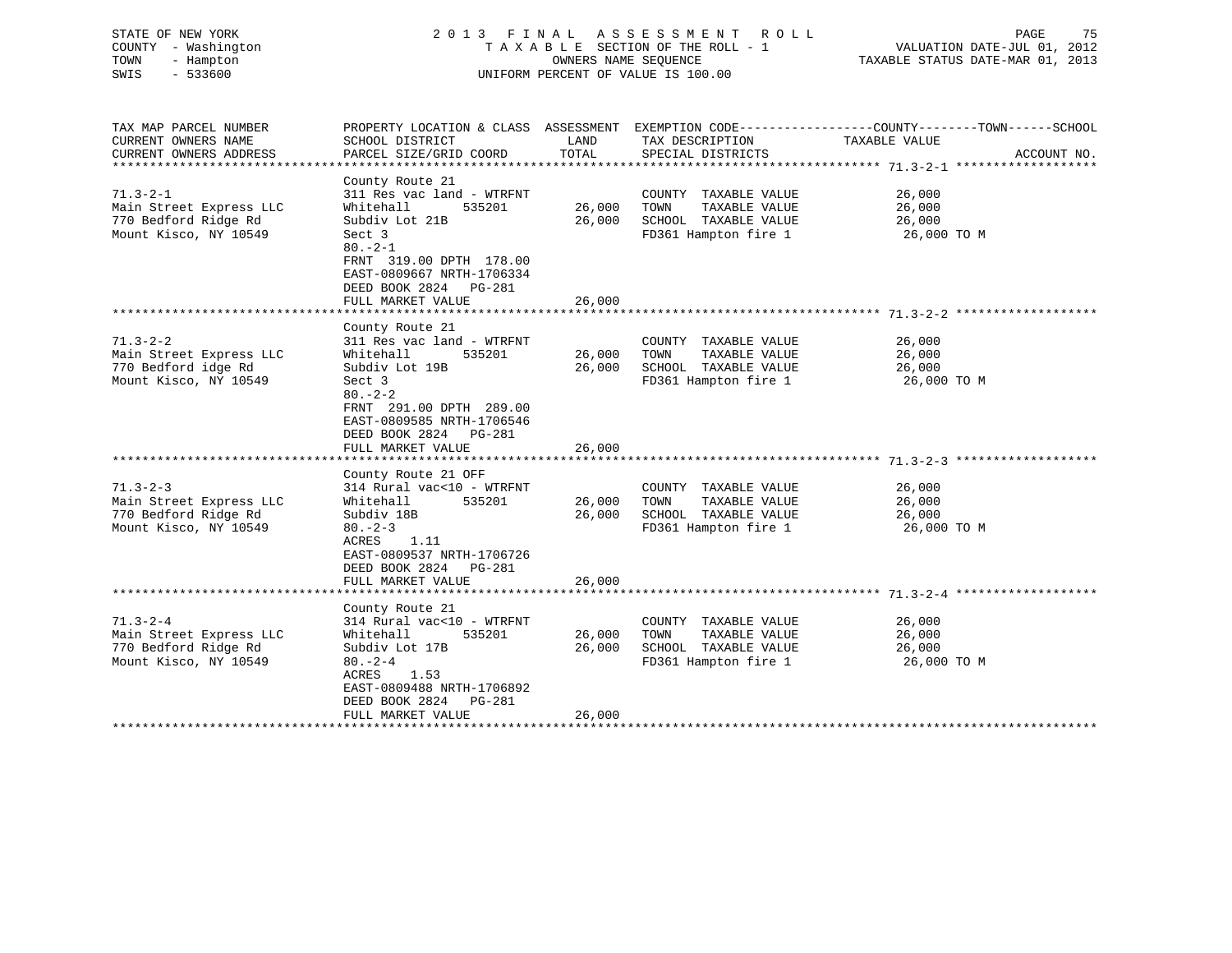| STATE OF NEW YORK<br>COUNTY - Washington<br>TOWN<br>- Hampton<br>SWIS<br>$-533600$         | 2013 FINAL ASSESSMENT ROLL<br>TAXABLE SECTION OF THE ROLL - 1<br>UNIFORM PERCENT OF VALUE IS 100.00                                                                                                                   | PAGE<br>75<br>VALUATION DATE-JUL 01, 2012<br>TAXABLE STATUS DATE-MAR 01, 2013 |                                                                                               |                                                                                                                                  |
|--------------------------------------------------------------------------------------------|-----------------------------------------------------------------------------------------------------------------------------------------------------------------------------------------------------------------------|-------------------------------------------------------------------------------|-----------------------------------------------------------------------------------------------|----------------------------------------------------------------------------------------------------------------------------------|
| TAX MAP PARCEL NUMBER<br>CURRENT OWNERS NAME<br>CURRENT OWNERS ADDRESS                     | SCHOOL DISTRICT<br>PARCEL SIZE/GRID COORD                                                                                                                                                                             | LAND<br>TOTAL                                                                 | TAX DESCRIPTION<br>SPECIAL DISTRICTS                                                          | PROPERTY LOCATION & CLASS ASSESSMENT EXEMPTION CODE----------------COUNTY-------TOWN------SCHOOL<br>TAXABLE VALUE<br>ACCOUNT NO. |
| $71.3 - 2 - 1$<br>Main Street Express LLC<br>770 Bedford Ridge Rd<br>Mount Kisco, NY 10549 | County Route 21<br>311 Res vac land - WTRFNT<br>Whitehall<br>535201<br>Subdiv Lot 21B<br>Sect 3<br>$80 - 2 - 1$<br>FRNT 319.00 DPTH 178.00<br>EAST-0809667 NRTH-1706334<br>DEED BOOK 2824 PG-281<br>FULL MARKET VALUE | 26,000<br>26,000<br>26,000                                                    | COUNTY TAXABLE VALUE<br>TOWN<br>TAXABLE VALUE<br>SCHOOL TAXABLE VALUE<br>FD361 Hampton fire 1 | 26,000<br>26,000<br>26,000<br>26,000 TO M                                                                                        |
| $71.3 - 2 - 2$<br>Main Street Express LLC<br>770 Bedford idge Rd<br>Mount Kisco, NY 10549  | County Route 21<br>311 Res vac land - WTRFNT<br>Whitehall<br>535201<br>Subdiv Lot 19B<br>Sect 3<br>$80 - 2 - 2$<br>FRNT 291.00 DPTH 289.00<br>EAST-0809585 NRTH-1706546<br>DEED BOOK 2824 PG-281<br>FULL MARKET VALUE | 26,000<br>26,000<br>26,000                                                    | COUNTY TAXABLE VALUE<br>TOWN<br>TAXABLE VALUE<br>SCHOOL TAXABLE VALUE<br>FD361 Hampton fire 1 | 26,000<br>26,000<br>26,000<br>26,000 TO M                                                                                        |
| $71.3 - 2 - 3$<br>Main Street Express LLC<br>770 Bedford Ridge Rd<br>Mount Kisco, NY 10549 | County Route 21 OFF<br>314 Rural vac<10 - WTRFNT<br>535201<br>Whitehall<br>Subdiv 18B<br>$80 - 2 - 3$<br>ACRES<br>1.11<br>EAST-0809537 NRTH-1706726<br>DEED BOOK 2824 PG-281<br>FULL MARKET VALUE                     | 26,000<br>26,000<br>26,000                                                    | COUNTY TAXABLE VALUE<br>TAXABLE VALUE<br>TOWN<br>SCHOOL TAXABLE VALUE<br>FD361 Hampton fire 1 | 26,000<br>26,000<br>26,000<br>26,000 TO M                                                                                        |
| $71.3 - 2 - 4$<br>Main Street Express LLC<br>770 Bedford Ridge Rd<br>Mount Kisco, NY 10549 | County Route 21<br>314 Rural vac<10 - WTRFNT<br>535201<br>Whitehall<br>Subdiv Lot 17B<br>$80 - 2 - 4$<br>1.53<br>ACRES<br>EAST-0809488 NRTH-1706892<br>DEED BOOK 2824 PG-281<br>FULL MARKET VALUE                     | 26,000<br>26,000<br>26,000                                                    | COUNTY TAXABLE VALUE<br>TOWN<br>TAXABLE VALUE<br>SCHOOL TAXABLE VALUE<br>FD361 Hampton fire 1 | 26,000<br>26,000<br>26,000<br>26,000 то м                                                                                        |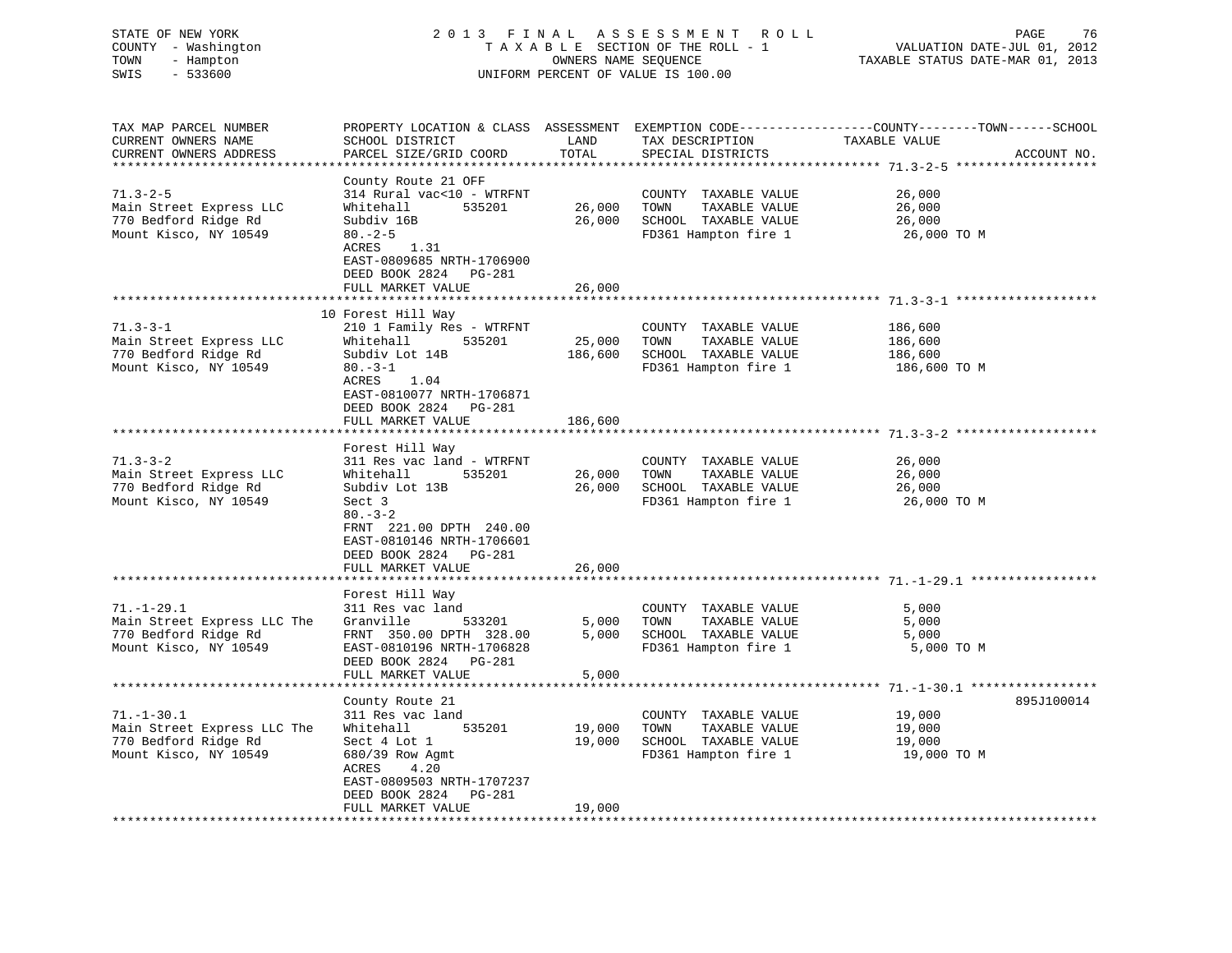# STATE OF NEW YORK 2 0 1 3 F I N A L A S S E S S M E N T R O L L PAGE 76 COUNTY - Washington T A X A B L E SECTION OF THE ROLL - 1 VALUATION DATE-JUL 01, 2012 TOWN - Hampton OWNERS NAME SEQUENCE TAXABLE STATUS DATE-MAR 01, 2013 SWIS - 533600 UNIFORM PERCENT OF VALUE IS 100.00

TAX MAP PARCEL NUMBER PROPERTY LOCATION & CLASS ASSESSMENT EXEMPTION CODE------------------COUNTY--------TOWN------SCHOOL CURRENT OWNERS NAME SCHOOL DISTRICT LAND TAX DESCRIPTION TAXABLE VALUECURRENT OWNERS ADDRESS PARCEL SIZE/GRID COORD TOTAL SPECIAL DISTRICTS ACCOUNT NO. \*\*\*\*\*\*\*\*\*\*\*\*\*\*\*\*\*\*\*\*\*\*\*\*\*\*\*\*\*\*\*\*\*\*\*\*\*\*\*\*\*\*\*\*\*\*\*\*\*\*\*\*\*\*\*\*\*\*\*\*\*\*\*\*\*\*\*\*\*\*\*\*\*\*\*\*\*\*\*\*\*\*\*\*\*\*\*\*\*\*\*\*\*\*\*\*\*\*\*\*\*\*\* 71.3-2-5 \*\*\*\*\*\*\*\*\*\*\*\*\*\*\*\*\*\*\*County Route 21 OFF<br>314 Rural vac<10 - WTRFNT 71.3-2-5 314 Rural vac<10 - WTRFNT COUNTY TAXABLE VALUE 26,000 Main Street Express LLC Whitehall 535201 26,000 TOWN TAXABLE VALUE 26,000 770 Bedford Ridge Rd Subdiv 16B 26,000 SCHOOL TAXABLE VALUE 26,000 Mount Kisco, NY 10549 80.-2-5 FD361 Hampton fire 1 26,000 TO M ACRES 1.31 EAST-0809685 NRTH-1706900 DEED BOOK 2824 PG-281 FULL MARKET VALUE 26,000 \*\*\*\*\*\*\*\*\*\*\*\*\*\*\*\*\*\*\*\*\*\*\*\*\*\*\*\*\*\*\*\*\*\*\*\*\*\*\*\*\*\*\*\*\*\*\*\*\*\*\*\*\*\*\*\*\*\*\*\*\*\*\*\*\*\*\*\*\*\*\*\*\*\*\*\*\*\*\*\*\*\*\*\*\*\*\*\*\*\*\*\*\*\*\*\*\*\*\*\*\*\*\* 71.3-3-1 \*\*\*\*\*\*\*\*\*\*\*\*\*\*\*\*\*\*\* 10 Forest Hill Way 71.3-3-1 210 1 Family Res - WTRFNT COUNTY TAXABLE VALUE 186,600 Main Street Express LLC Whitehall 535201 25,000 TOWN TAXABLE VALUE 186,600 770 Bedford Ridge Rd Subdiv Lot 14B 186,600 SCHOOL TAXABLE VALUE 186,600 Mount Kisco, NY 10549 80.-3-1 FD361 Hampton fire 1 186,600 TO M ACRES 1.04 EAST-0810077 NRTH-1706871 DEED BOOK 2824 PG-281FULL MARKET VALUE 186,600 \*\*\*\*\*\*\*\*\*\*\*\*\*\*\*\*\*\*\*\*\*\*\*\*\*\*\*\*\*\*\*\*\*\*\*\*\*\*\*\*\*\*\*\*\*\*\*\*\*\*\*\*\*\*\*\*\*\*\*\*\*\*\*\*\*\*\*\*\*\*\*\*\*\*\*\*\*\*\*\*\*\*\*\*\*\*\*\*\*\*\*\*\*\*\*\*\*\*\*\*\*\*\* 71.3-3-2 \*\*\*\*\*\*\*\*\*\*\*\*\*\*\*\*\*\*\* Forest Hill Way 71.3-3-2 311 Res vac land - WTRFNT COUNTY TAXABLE VALUE 26,000 Main Street Express LLC Whitehall 535201 26,000 TOWN TAXABLE VALUE 26,000 770 Bedford Ridge Rd Subdiv Lot 13B 26,000 SCHOOL TAXABLE VALUE 26,000 Mount Kisco, NY 10549 Sect 3 FD361 Hampton fire 1 26,000 TO M  $80. - 3 - 2$  FRNT 221.00 DPTH 240.00 EAST-0810146 NRTH-1706601 DEED BOOK 2824 PG-281 FULL MARKET VALUE 26,000 \*\*\*\*\*\*\*\*\*\*\*\*\*\*\*\*\*\*\*\*\*\*\*\*\*\*\*\*\*\*\*\*\*\*\*\*\*\*\*\*\*\*\*\*\*\*\*\*\*\*\*\*\*\*\*\*\*\*\*\*\*\*\*\*\*\*\*\*\*\*\*\*\*\*\*\*\*\*\*\*\*\*\*\*\*\*\*\*\*\*\*\*\*\*\*\*\*\*\*\*\*\*\* 71.-1-29.1 \*\*\*\*\*\*\*\*\*\*\*\*\*\*\*\*\* Forest Hill Way 71.-1-29.1 311 Res vac land COUNTY TAXABLE VALUE 5,000 Main Street Express LLC The Granville 533201 5,000 TOWN TAXABLE VALUE 5,000 770 Bedford Ridge Rd FRNT 350.00 DPTH 328.00 5,000 SCHOOL TAXABLE VALUE 5,000 Mount Kisco, NY 10549 EAST-0810196 NRTH-1706828 FD361 Hampton fire 1 5,000 TO M DEED BOOK 2824 PG-281 FULL MARKET VALUE 5,000 \*\*\*\*\*\*\*\*\*\*\*\*\*\*\*\*\*\*\*\*\*\*\*\*\*\*\*\*\*\*\*\*\*\*\*\*\*\*\*\*\*\*\*\*\*\*\*\*\*\*\*\*\*\*\*\*\*\*\*\*\*\*\*\*\*\*\*\*\*\*\*\*\*\*\*\*\*\*\*\*\*\*\*\*\*\*\*\*\*\*\*\*\*\*\*\*\*\*\*\*\*\*\* 71.-1-30.1 \*\*\*\*\*\*\*\*\*\*\*\*\*\*\*\*\*County Route 21 895J100014 895J100014 71.-1-30.1 311 Res vac land COUNTY TAXABLE VALUE 19,000 Main Street Express LLC The Whitehall 535201 19,000 TOWN TAXABLE VALUE 19,000 770 Bedford Ridge Rd Sect 4 Lot 1 19,000 SCHOOL TAXABLE VALUE 19,000 Mount Kisco, NY 10549 680/39 Row Agmt FD361 Hampton fire 1 19,000 TO M ACRES 4.20 EAST-0809503 NRTH-1707237 DEED BOOK 2824 PG-281 FULL MARKET VALUE 19,000 \*\*\*\*\*\*\*\*\*\*\*\*\*\*\*\*\*\*\*\*\*\*\*\*\*\*\*\*\*\*\*\*\*\*\*\*\*\*\*\*\*\*\*\*\*\*\*\*\*\*\*\*\*\*\*\*\*\*\*\*\*\*\*\*\*\*\*\*\*\*\*\*\*\*\*\*\*\*\*\*\*\*\*\*\*\*\*\*\*\*\*\*\*\*\*\*\*\*\*\*\*\*\*\*\*\*\*\*\*\*\*\*\*\*\*\*\*\*\*\*\*\*\*\*\*\*\*\*\*\*\*\*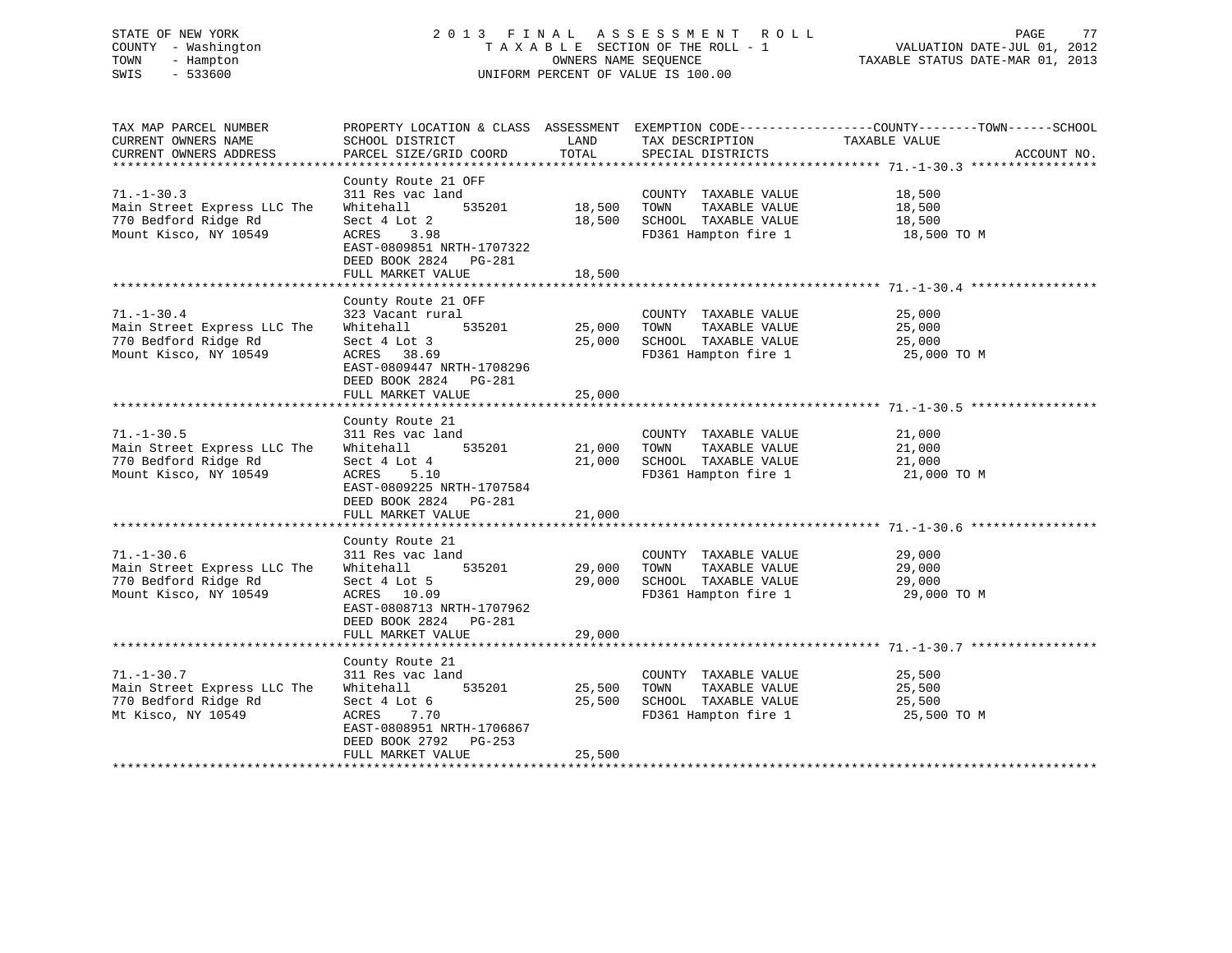# STATE OF NEW YORK 2 0 1 3 F I N A L A S S E S S M E N T R O L L PAGE 77 COUNTY - Washington T A X A B L E SECTION OF THE ROLL - 1 VALUATION DATE-JUL 01, 2012 TOWN - Hampton OWNERS NAME SEQUENCE TAXABLE STATUS DATE-MAR 01, 2013 SWIS - 533600 UNIFORM PERCENT OF VALUE IS 100.00

| TAX MAP PARCEL NUMBER<br>CURRENT OWNERS NAME<br>CURRENT OWNERS ADDRESS                           | SCHOOL DISTRICT<br>PARCEL SIZE/GRID COORD                                                                                                                                     | LAND<br>TOTAL              | TAX DESCRIPTION<br>SPECIAL DISTRICTS                                                          | PROPERTY LOCATION & CLASS ASSESSMENT EXEMPTION CODE----------------COUNTY-------TOWN------SCHOOL<br>TAXABLE VALUE<br>ACCOUNT NO. |
|--------------------------------------------------------------------------------------------------|-------------------------------------------------------------------------------------------------------------------------------------------------------------------------------|----------------------------|-----------------------------------------------------------------------------------------------|----------------------------------------------------------------------------------------------------------------------------------|
| $71. - 1 - 30.3$<br>Main Street Express LLC The<br>770 Bedford Ridge Rd<br>Mount Kisco, NY 10549 | County Route 21 OFF<br>311 Res vac land<br>535201<br>Whitehall<br>Sect 4 Lot 2<br>3.98<br>ACRES<br>EAST-0809851 NRTH-1707322<br>DEED BOOK 2824<br>PG-281<br>FULL MARKET VALUE | 18,500<br>18,500<br>18,500 | COUNTY TAXABLE VALUE<br>TOWN<br>TAXABLE VALUE<br>SCHOOL TAXABLE VALUE<br>FD361 Hampton fire 1 | 18,500<br>18,500<br>18,500<br>18,500 TO M                                                                                        |
|                                                                                                  |                                                                                                                                                                               |                            |                                                                                               |                                                                                                                                  |
| $71. - 1 - 30.4$<br>Main Street Express LLC The<br>770 Bedford Ridge Rd<br>Mount Kisco, NY 10549 | County Route 21 OFF<br>323 Vacant rural<br>535201<br>Whitehall<br>Sect 4 Lot 3<br>ACRES 38.69<br>EAST-0809447 NRTH-1708296                                                    | 25,000<br>25,000           | COUNTY TAXABLE VALUE<br>TOWN<br>TAXABLE VALUE<br>SCHOOL TAXABLE VALUE<br>FD361 Hampton fire 1 | 25,000<br>25,000<br>25,000<br>25,000 TO M                                                                                        |
|                                                                                                  | DEED BOOK 2824<br>PG-281<br>FULL MARKET VALUE                                                                                                                                 | 25,000                     |                                                                                               |                                                                                                                                  |
|                                                                                                  |                                                                                                                                                                               |                            |                                                                                               |                                                                                                                                  |
| $71. - 1 - 30.5$<br>Main Street Express LLC The<br>770 Bedford Ridge Rd<br>Mount Kisco, NY 10549 | County Route 21<br>311 Res vac land<br>Whitehall<br>535201<br>Sect 4 Lot 4<br>ACRES<br>5.10<br>EAST-0809225 NRTH-1707584<br>DEED BOOK 2824 PG-281<br>FULL MARKET VALUE        | 21,000<br>21,000<br>21,000 | COUNTY TAXABLE VALUE<br>TOWN<br>TAXABLE VALUE<br>SCHOOL TAXABLE VALUE<br>FD361 Hampton fire 1 | 21,000<br>21,000<br>21,000<br>21,000 TO M                                                                                        |
|                                                                                                  |                                                                                                                                                                               |                            |                                                                                               |                                                                                                                                  |
| $71. - 1 - 30.6$<br>Main Street Express LLC The<br>770 Bedford Ridge Rd<br>Mount Kisco, NY 10549 | County Route 21<br>311 Res vac land<br>535201<br>Whitehall<br>Sect 4 Lot 5<br>ACRES 10.09<br>EAST-0808713 NRTH-1707962<br>DEED BOOK 2824 PG-281                               | 29,000<br>29,000           | COUNTY TAXABLE VALUE<br>TAXABLE VALUE<br>TOWN<br>SCHOOL TAXABLE VALUE<br>FD361 Hampton fire 1 | 29,000<br>29,000<br>29,000<br>29,000 TO M                                                                                        |
|                                                                                                  | FULL MARKET VALUE                                                                                                                                                             | 29,000                     |                                                                                               |                                                                                                                                  |
|                                                                                                  |                                                                                                                                                                               |                            |                                                                                               |                                                                                                                                  |
| $71. - 1 - 30.7$<br>Main Street Express LLC The<br>770 Bedford Ridge Rd<br>Mt Kisco, NY 10549    | County Route 21<br>311 Res vac land<br>535201<br>Whitehall<br>Sect 4 Lot 6<br>ACRES<br>7.70<br>EAST-0808951 NRTH-1706867<br>DEED BOOK 2792<br>PG-253<br>FULL MARKET VALUE     | 25,500<br>25,500<br>25,500 | COUNTY TAXABLE VALUE<br>TAXABLE VALUE<br>TOWN<br>SCHOOL TAXABLE VALUE<br>FD361 Hampton fire 1 | 25,500<br>25,500<br>25,500<br>25,500 TO M                                                                                        |
|                                                                                                  |                                                                                                                                                                               |                            |                                                                                               |                                                                                                                                  |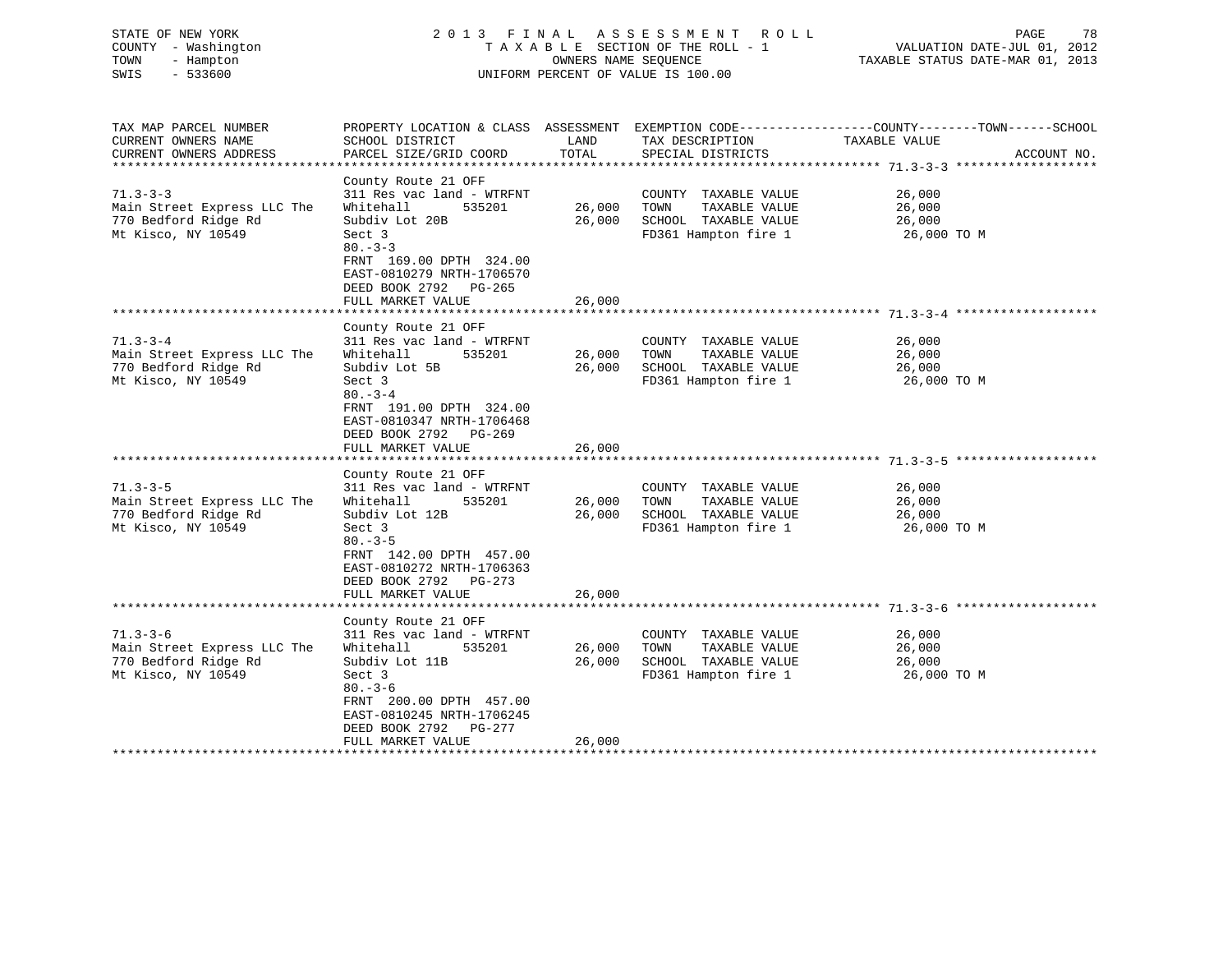| COUNTY - Washington<br>- Hampton<br>TOWN<br>SWIS<br>$-533600$          | TAXABLE SECTION OF THE ROLL - 1<br>OWNERS NAME SEQUENCE<br>UNIFORM PERCENT OF VALUE IS 100.00                      |                             |                                      | VALUATION DATE-JUL 01, 2012<br>TAXABLE STATUS DATE-MAR 01, 2013                              |  |
|------------------------------------------------------------------------|--------------------------------------------------------------------------------------------------------------------|-----------------------------|--------------------------------------|----------------------------------------------------------------------------------------------|--|
| TAX MAP PARCEL NUMBER<br>CURRENT OWNERS NAME<br>CURRENT OWNERS ADDRESS | PROPERTY LOCATION & CLASS ASSESSMENT<br>SCHOOL DISTRICT<br>PARCEL SIZE/GRID COORD                                  | LAND<br>TOTAL<br>********** | TAX DESCRIPTION<br>SPECIAL DISTRICTS | EXEMPTION CODE-----------------COUNTY-------TOWN------SCHOOL<br>TAXABLE VALUE<br>ACCOUNT NO. |  |
|                                                                        | County Route 21 OFF                                                                                                |                             |                                      |                                                                                              |  |
| $71.3 - 3 - 3$                                                         | 311 Res vac land - WTRFNT                                                                                          |                             | COUNTY TAXABLE VALUE                 | 26,000                                                                                       |  |
| Main Street Express LLC The                                            | Whitehall<br>535201                                                                                                | 26,000                      | TAXABLE VALUE<br>TOWN                | 26,000                                                                                       |  |
| 770 Bedford Ridge Rd                                                   | Subdiv Lot 20B                                                                                                     | 26,000                      | SCHOOL TAXABLE VALUE                 | 26,000                                                                                       |  |
| Mt Kisco, NY 10549                                                     | Sect 3<br>$80 - 3 - 3$<br>FRNT 169.00 DPTH 324.00<br>EAST-0810279 NRTH-1706570<br>DEED BOOK 2792 PG-265            |                             | FD361 Hampton fire 1                 | 26,000 TO M                                                                                  |  |
|                                                                        | FULL MARKET VALUE                                                                                                  | 26,000                      |                                      |                                                                                              |  |
|                                                                        |                                                                                                                    | * * * * * * * * * * * * *   |                                      |                                                                                              |  |
| $71.3 - 3 - 4$                                                         | County Route 21 OFF<br>311 Res vac land - WTRFNT                                                                   |                             | COUNTY TAXABLE VALUE                 | 26,000                                                                                       |  |
| Main Street Express LLC The                                            | Whitehall<br>535201                                                                                                | 26,000                      | TOWN<br>TAXABLE VALUE                | 26,000                                                                                       |  |
| 770 Bedford Ridge Rd                                                   | Subdiv Lot 5B                                                                                                      | 26,000                      | SCHOOL TAXABLE VALUE                 | 26,000                                                                                       |  |
| Mt Kisco, NY 10549                                                     | Sect 3                                                                                                             |                             | FD361 Hampton fire 1                 | 26,000 TO M                                                                                  |  |
|                                                                        | $80 - 3 - 4$<br>FRNT 191.00 DPTH 324.00<br>EAST-0810347 NRTH-1706468<br>DEED BOOK 2792 PG-269<br>FULL MARKET VALUE | 26,000                      |                                      |                                                                                              |  |
|                                                                        | County Route 21 OFF                                                                                                |                             |                                      |                                                                                              |  |
| $71.3 - 3 - 5$                                                         | 311 Res vac land - WTRFNT                                                                                          |                             | COUNTY TAXABLE VALUE                 | 26,000                                                                                       |  |
| Main Street Express LLC The                                            | Whitehall<br>535201                                                                                                | 26,000                      | TOWN<br>TAXABLE VALUE                | 26,000                                                                                       |  |
| 770 Bedford Ridge Rd                                                   | Subdiv Lot 12B                                                                                                     | 26,000                      | SCHOOL TAXABLE VALUE                 | 26,000                                                                                       |  |
| Mt Kisco, NY 10549                                                     | Sect 3<br>$80 - 3 - 5$<br>FRNT 142.00 DPTH 457.00<br>EAST-0810272 NRTH-1706363<br>DEED BOOK 2792<br>PG-273         |                             | FD361 Hampton fire 1                 | 26,000 TO M                                                                                  |  |
|                                                                        | FULL MARKET VALUE                                                                                                  | 26,000<br>* * * * * * * *   |                                      |                                                                                              |  |
|                                                                        | County Route 21 OFF                                                                                                |                             |                                      |                                                                                              |  |
| $71.3 - 3 - 6$                                                         | 311 Res vac land - WTRFNT                                                                                          |                             | COUNTY TAXABLE VALUE                 | 26,000                                                                                       |  |
| Main Street Express LLC The                                            | Whitehall<br>535201                                                                                                | 26,000                      | TOWN<br>TAXABLE VALUE                | 26,000                                                                                       |  |
| 770 Bedford Ridge Rd                                                   | Subdiv Lot 11B                                                                                                     | 26,000                      | SCHOOL TAXABLE VALUE                 | 26,000                                                                                       |  |
| Mt Kisco, NY 10549                                                     | Sect 3<br>$80 - 3 - 6$<br>FRNT 200.00 DPTH 457.00<br>EAST-0810245 NRTH-1706245<br>PG-277<br>DEED BOOK 2792         |                             | FD361 Hampton fire 1                 | 26,000 TO M                                                                                  |  |
|                                                                        | FULL MARKET VALUE                                                                                                  | 26,000                      |                                      |                                                                                              |  |
| **********************                                                 |                                                                                                                    |                             |                                      |                                                                                              |  |

STATE OF NEW YORK 2 0 1 3 F I N A L A S S E S S M E N T R O L L PAGE 78

78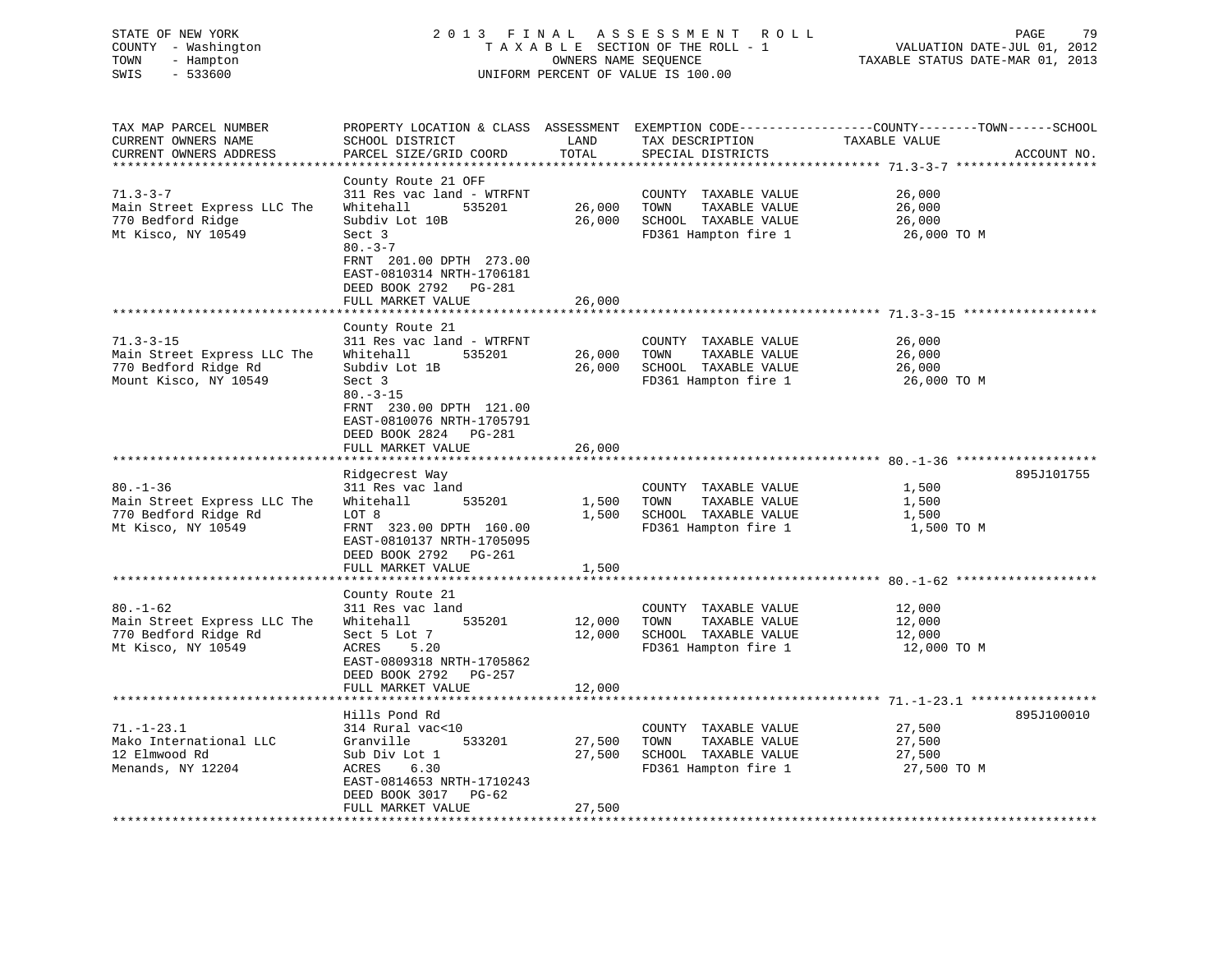| COUNTY - Washington<br>TOWN<br>- Hampton<br>$-533600$<br>SWIS                                   |                                                                                                                                                                                                                           | OWNERS NAME SEQUENCE       | TAXABLE SECTION OF THE ROLL - 1<br>UNIFORM PERCENT OF VALUE IS 100.00                         | VALUATION DATE-JUL 01, 2012<br>TAXABLE STATUS DATE-MAR 01, 2013                                                                  |  |
|-------------------------------------------------------------------------------------------------|---------------------------------------------------------------------------------------------------------------------------------------------------------------------------------------------------------------------------|----------------------------|-----------------------------------------------------------------------------------------------|----------------------------------------------------------------------------------------------------------------------------------|--|
| TAX MAP PARCEL NUMBER<br>CURRENT OWNERS NAME<br>CURRENT OWNERS ADDRESS                          | SCHOOL DISTRICT<br>PARCEL SIZE/GRID COORD                                                                                                                                                                                 | LAND<br>TOTAL              | TAX DESCRIPTION<br>SPECIAL DISTRICTS                                                          | PROPERTY LOCATION & CLASS ASSESSMENT EXEMPTION CODE----------------COUNTY-------TOWN------SCHOOL<br>TAXABLE VALUE<br>ACCOUNT NO. |  |
| $71.3 - 3 - 7$<br>Main Street Express LLC The<br>770 Bedford Ridge<br>Mt Kisco, NY 10549        | County Route 21 OFF<br>311 Res vac land - WTRFNT<br>Whitehall<br>535201<br>Subdiv Lot 10B<br>Sect 3<br>$80 - 3 - 7$<br>FRNT 201.00 DPTH 273.00<br>EAST-0810314 NRTH-1706181<br>DEED BOOK 2792 PG-281<br>FULL MARKET VALUE | 26,000<br>26,000<br>26,000 | COUNTY TAXABLE VALUE<br>TOWN<br>TAXABLE VALUE<br>SCHOOL TAXABLE VALUE<br>FD361 Hampton fire 1 | 26,000<br>26,000<br>26,000<br>26,000 то м                                                                                        |  |
|                                                                                                 |                                                                                                                                                                                                                           |                            |                                                                                               |                                                                                                                                  |  |
| $71.3 - 3 - 15$<br>Main Street Express LLC The<br>770 Bedford Ridge Rd<br>Mount Kisco, NY 10549 | County Route 21<br>311 Res vac land - WTRFNT<br>Whitehall<br>535201<br>Subdiv Lot 1B<br>Sect 3<br>$80. - 3 - 15$<br>FRNT 230.00 DPTH 121.00<br>EAST-0810076 NRTH-1705791<br>DEED BOOK 2824 PG-281<br>FULL MARKET VALUE    | 26,000<br>26,000<br>26,000 | COUNTY TAXABLE VALUE<br>TOWN<br>TAXABLE VALUE<br>SCHOOL TAXABLE VALUE<br>FD361 Hampton fire 1 | 26,000<br>26,000<br>26,000<br>26,000 то м                                                                                        |  |
|                                                                                                 | ******************                                                                                                                                                                                                        |                            |                                                                                               | **********************************680.-1-36 ***************                                                                      |  |
| $80. - 1 - 36$<br>Main Street Express LLC The<br>770 Bedford Ridge Rd<br>Mt Kisco, NY 10549     | Ridgecrest Way<br>311 Res vac land<br>Whitehall<br>535201<br>LOT 8<br>FRNT 323.00 DPTH 160.00<br>EAST-0810137 NRTH-1705095<br>DEED BOOK 2792 PG-261<br>FULL MARKET VALUE                                                  | 1,500<br>1,500<br>1,500    | COUNTY TAXABLE VALUE<br>TAXABLE VALUE<br>TOWN<br>SCHOOL TAXABLE VALUE<br>FD361 Hampton fire 1 | 895J101755<br>1,500<br>1,500<br>1,500<br>1,500 TO M                                                                              |  |
|                                                                                                 | * * * * * * * * * * * * * * * * * * * *                                                                                                                                                                                   | * * * * * * * * * * * * *  |                                                                                               |                                                                                                                                  |  |
| $80. - 1 - 62$<br>Main Street Express LLC The<br>770 Bedford Ridge Rd<br>Mt Kisco, NY 10549     | County Route 21<br>311 Res vac land<br>535201<br>Whitehall<br>Sect 5 Lot 7<br>ACRES<br>5.20<br>EAST-0809318 NRTH-1705862<br>DEED BOOK 2792 PG-257                                                                         | 12,000<br>12,000           | COUNTY TAXABLE VALUE<br>TOWN<br>TAXABLE VALUE<br>SCHOOL TAXABLE VALUE<br>FD361 Hampton fire 1 | 12,000<br>12,000<br>12,000<br>12,000 TO M                                                                                        |  |
|                                                                                                 | FULL MARKET VALUE                                                                                                                                                                                                         | 12,000                     |                                                                                               |                                                                                                                                  |  |
|                                                                                                 | * * * * * * * * * * * * * * * * * *                                                                                                                                                                                       | ********                   |                                                                                               |                                                                                                                                  |  |
| $71. - 1 - 23.1$<br>Mako International LLC<br>12 Elmwood Rd<br>Menands, NY 12204                | Hills Pond Rd<br>314 Rural vac<10<br>533201<br>Granville<br>Sub Div Lot 1<br>ACRES<br>6.30<br>EAST-0814653 NRTH-1710243<br>DEED BOOK 3017<br>PG-62<br>FULL MARKET VALUE                                                   | 27,500<br>27,500<br>27,500 | COUNTY TAXABLE VALUE<br>TAXABLE VALUE<br>TOWN<br>SCHOOL TAXABLE VALUE<br>FD361 Hampton fire 1 | 895J100010<br>27,500<br>27,500<br>27,500<br>27,500 TO M                                                                          |  |

STATE OF NEW YORK 2013 FINAL ASSESSMENT ROLL PAGE 79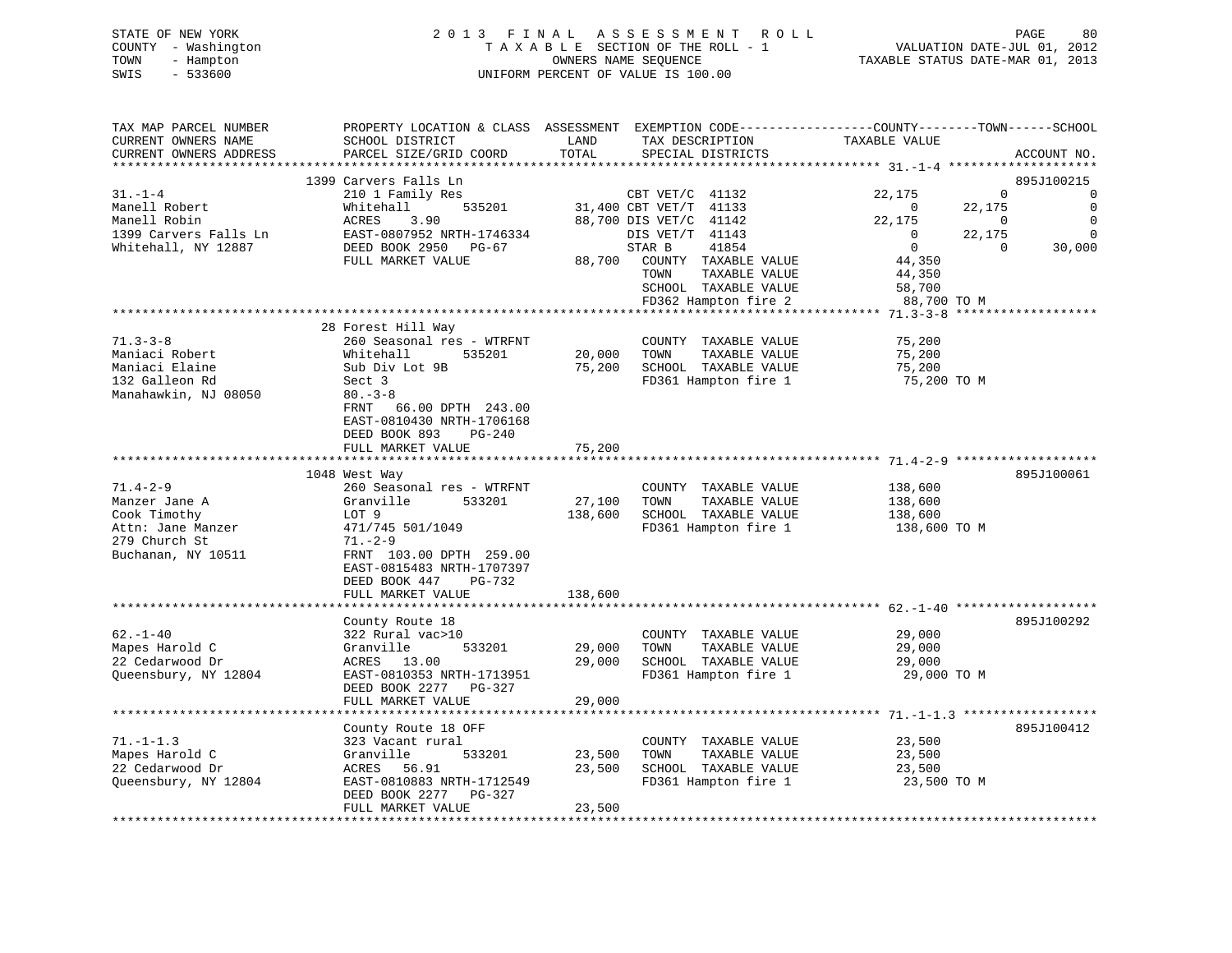|      | STATE OF NEW YORK   | 2013 FINAL ASSESSMENT ROLL         | 80<br>PAGE                       |
|------|---------------------|------------------------------------|----------------------------------|
|      | COUNTY - Washington | TAXABLE SECTION OF THE ROLL - 1    | VALUATION DATE-JUL 01, 2012      |
| TOWN | - Hampton           | OWNERS NAME SEOUENCE               | TAXABLE STATUS DATE-MAR 01, 2013 |
| SWIS | $-533600$           | UNIFORM PERCENT OF VALUE IS 100.00 |                                  |

| TAX MAP PARCEL NUMBER             | PROPERTY LOCATION & CLASS ASSESSMENT EXEMPTION CODE----------------COUNTY-------TOWN------SCHOOL |                  |                                               |                       |                          |             |
|-----------------------------------|--------------------------------------------------------------------------------------------------|------------------|-----------------------------------------------|-----------------------|--------------------------|-------------|
| CURRENT OWNERS NAME               | SCHOOL DISTRICT                                                                                  | LAND             | TAX DESCRIPTION                               | TAXABLE VALUE         |                          |             |
| CURRENT OWNERS ADDRESS            | PARCEL SIZE/GRID COORD                                                                           | TOTAL            | SPECIAL DISTRICTS                             |                       |                          | ACCOUNT NO. |
|                                   |                                                                                                  |                  |                                               |                       |                          |             |
|                                   | 1399 Carvers Falls Ln                                                                            |                  |                                               |                       |                          | 895J100215  |
| $31. - 1 - 4$                     | 210 1 Family Res                                                                                 |                  | CBT $VET/C$ 41132                             | 22,175                | $\Omega$                 | $\Omega$    |
| Manell Robert                     | 535201<br>Whitehall                                                                              |                  | 31,400 CBT VET/T 41133                        | $\overline{0}$        | 22,175                   | $\Omega$    |
| Manell Robin                      | ACRES<br>3.90                                                                                    |                  | 88,700 DIS VET/C 41142                        | 22,175                | $\overline{\phantom{0}}$ | $\mathbf 0$ |
| 1399 Carvers Falls Ln             | EAST-0807952 NRTH-1746334                                                                        |                  | DIS VET/T 41143                               | $\overline{0}$        | 22,175                   | $\Omega$    |
| Whitehall, NY 12887               | DEED BOOK 2950 PG-67                                                                             |                  | 41854<br>STAR B                               | $\overline{0}$        | $\Omega$                 | 30,000      |
|                                   | FULL MARKET VALUE                                                                                | 88,700           | COUNTY TAXABLE VALUE                          | 44,350                |                          |             |
|                                   |                                                                                                  |                  | TAXABLE VALUE<br>TOWN                         | 44,350                |                          |             |
|                                   |                                                                                                  |                  | SCHOOL TAXABLE VALUE                          | 58,700                |                          |             |
|                                   |                                                                                                  |                  | FD362 Hampton fire 2                          | 88,700 TO M           |                          |             |
|                                   |                                                                                                  |                  |                                               |                       |                          |             |
|                                   | 28 Forest Hill Way                                                                               |                  |                                               |                       |                          |             |
| $71.3 - 3 - 8$                    | 260 Seasonal res - WTRFNT                                                                        |                  | COUNTY TAXABLE VALUE                          | 75,200                |                          |             |
| Maniaci Robert                    | Whitehall<br>535201                                                                              | 20,000           | TOWN<br>TAXABLE VALUE                         | 75,200                |                          |             |
| Maniaci Elaine                    | Sub Div Lot 9B                                                                                   | 75,200           | SCHOOL TAXABLE VALUE                          | 75,200                |                          |             |
| 132 Galleon Rd                    | Sect 3                                                                                           |                  | FD361 Hampton fire 1                          | 75,200 TO M           |                          |             |
| Manahawkin, NJ 08050              | $80 - 3 - 8$                                                                                     |                  |                                               |                       |                          |             |
|                                   | 66.00 DPTH 243.00<br>FRNT                                                                        |                  |                                               |                       |                          |             |
|                                   | EAST-0810430 NRTH-1706168                                                                        |                  |                                               |                       |                          |             |
|                                   | DEED BOOK 893<br>PG-240                                                                          |                  |                                               |                       |                          |             |
|                                   | FULL MARKET VALUE                                                                                | 75,200           |                                               |                       |                          |             |
|                                   |                                                                                                  |                  |                                               |                       |                          |             |
|                                   | 1048 West Way                                                                                    |                  |                                               |                       |                          | 895J100061  |
| $71.4 - 2 - 9$                    | 260 Seasonal res - WTRFNT                                                                        |                  | COUNTY TAXABLE VALUE                          | 138,600               |                          |             |
| Manzer Jane A                     | Granville<br>533201                                                                              | 27,100           | TOWN<br>TAXABLE VALUE                         | 138,600               |                          |             |
| Cook Timothy                      | LOT 9                                                                                            | 138,600          | SCHOOL TAXABLE VALUE                          | 138,600               |                          |             |
| Attn: Jane Manzer                 | 471/745 501/1049                                                                                 |                  | FD361 Hampton fire 1                          | 138,600 TO M          |                          |             |
| 279 Church St                     | $71. - 2 - 9$                                                                                    |                  |                                               |                       |                          |             |
| Buchanan, NY 10511                | FRNT 103.00 DPTH 259.00                                                                          |                  |                                               |                       |                          |             |
|                                   | EAST-0815483 NRTH-1707397                                                                        |                  |                                               |                       |                          |             |
|                                   | DEED BOOK 447<br>PG-732                                                                          |                  |                                               |                       |                          |             |
|                                   | FULL MARKET VALUE                                                                                | 138,600          |                                               |                       |                          |             |
|                                   |                                                                                                  |                  |                                               |                       |                          |             |
| $62 - 1 - 40$                     | County Route 18                                                                                  |                  |                                               |                       |                          | 895J100292  |
|                                   | 322 Rural vac>10                                                                                 |                  | COUNTY TAXABLE VALUE                          | 29,000                |                          |             |
| Mapes Harold C<br>22 Cedarwood Dr | 533201<br>Granville<br>ACRES 13.00                                                               | 29,000<br>29,000 | TAXABLE VALUE<br>TOWN<br>SCHOOL TAXABLE VALUE | 29,000                |                          |             |
| Queensbury, NY 12804              | EAST-0810353 NRTH-1713951                                                                        |                  | FD361 Hampton fire 1                          | 29,000<br>29,000 TO M |                          |             |
|                                   | DEED BOOK 2277 PG-327                                                                            |                  |                                               |                       |                          |             |
|                                   | FULL MARKET VALUE                                                                                | 29,000           |                                               |                       |                          |             |
|                                   |                                                                                                  |                  |                                               |                       |                          |             |
|                                   | County Route 18 OFF                                                                              |                  |                                               |                       |                          | 895J100412  |
| $71. - 1 - 1.3$                   |                                                                                                  |                  | COUNTY TAXABLE VALUE                          | 23,500                |                          |             |
| Mapes Harold C                    | 323 Vacant rural<br>Granville<br>533201                                                          | 23,500           | TOWN<br>TAXABLE VALUE                         | 23,500                |                          |             |
| 22 Cedarwood Dr                   | ACRES 56.91                                                                                      | 23,500           | SCHOOL TAXABLE VALUE                          | 23,500                |                          |             |
| Queensbury, NY 12804              | EAST-0810883 NRTH-1712549                                                                        |                  | FD361 Hampton fire 1                          | 23,500 TO M           |                          |             |
|                                   | DEED BOOK 2277<br>PG-327                                                                         |                  |                                               |                       |                          |             |
|                                   | FULL MARKET VALUE                                                                                | 23,500           |                                               |                       |                          |             |
|                                   |                                                                                                  |                  |                                               |                       |                          |             |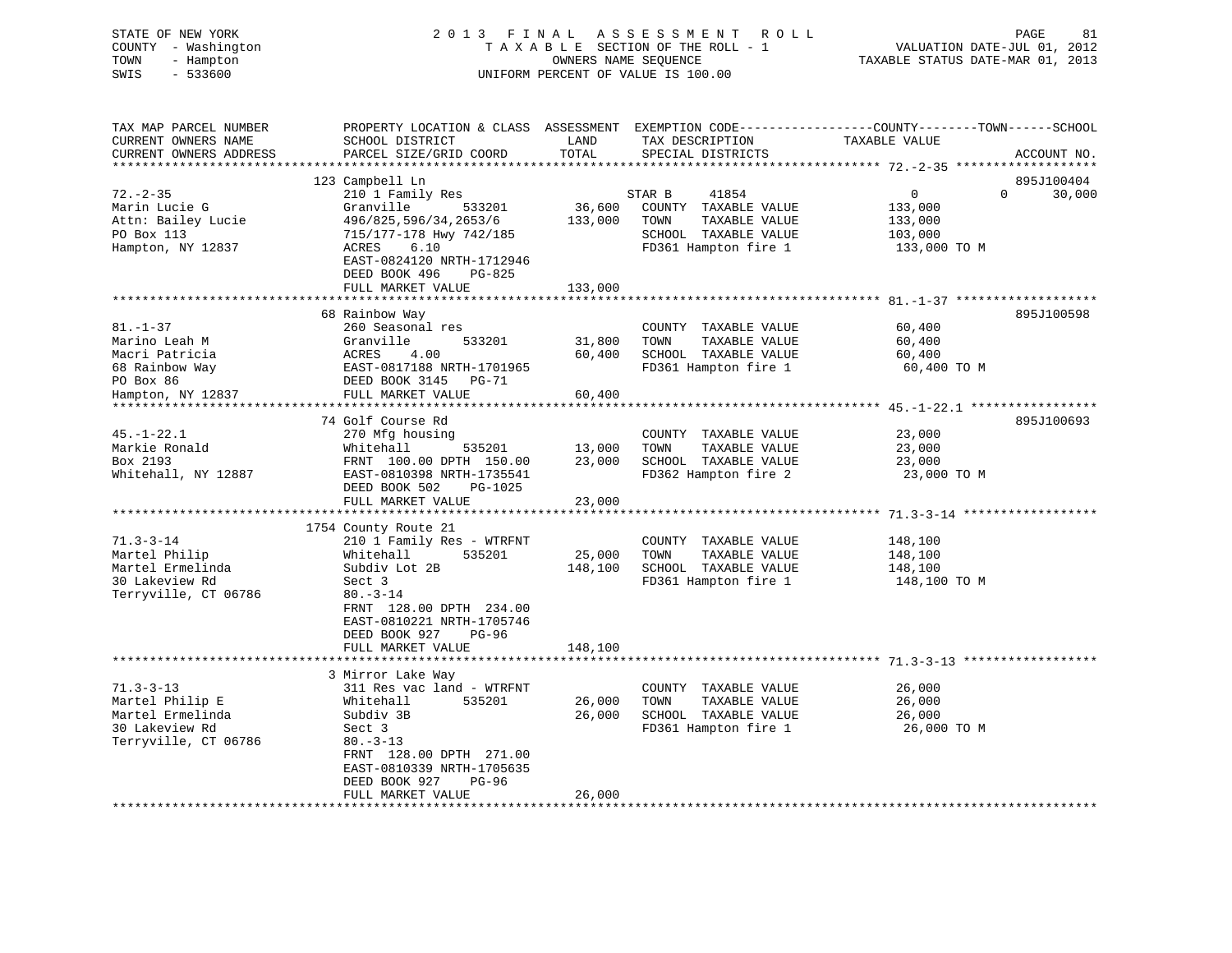| STATE OF NEW YORK<br>COUNTY - Washington<br>- Hampton<br>TOWN<br>$-533600$<br>SWIS                    | 2013 FINAL ASSESSMENT ROLL<br>TAXABLE SECTION OF THE ROLL - 1<br>UNIFORM PERCENT OF VALUE IS 100.00                                                                                                                         | PAGE<br>81<br>VALUATION DATE-JUL 01, 2012<br>TAXABLE STATUS DATE-MAR 01, 2013 |                                                                                                                  |                                                                                                                                 |
|-------------------------------------------------------------------------------------------------------|-----------------------------------------------------------------------------------------------------------------------------------------------------------------------------------------------------------------------------|-------------------------------------------------------------------------------|------------------------------------------------------------------------------------------------------------------|---------------------------------------------------------------------------------------------------------------------------------|
| TAX MAP PARCEL NUMBER<br>CURRENT OWNERS NAME<br>CURRENT OWNERS ADDRESS<br>***********************     | SCHOOL DISTRICT<br>PARCEL SIZE/GRID COORD                                                                                                                                                                                   | LAND<br>TOTAL                                                                 | TAX DESCRIPTION<br>SPECIAL DISTRICTS                                                                             | PROPERTY LOCATION & CLASS ASSESSMENT EXEMPTION CODE---------------COUNTY-------TOWN------SCHOOL<br>TAXABLE VALUE<br>ACCOUNT NO. |
| $72. - 2 - 35$<br>Marin Lucie G<br>Attn: Bailey Lucie<br>PO Box 113<br>Hampton, NY 12837              | 123 Campbell Ln<br>210 1 Family Res<br>Granville<br>533201<br>496/825,596/34,2653/6<br>715/177-178 Hwy 742/185<br>ACRES<br>6.10<br>EAST-0824120 NRTH-1712946<br>DEED BOOK 496<br>PG-825                                     | 36,600<br>133,000                                                             | 41854<br>STAR B<br>COUNTY TAXABLE VALUE<br>TOWN<br>TAXABLE VALUE<br>SCHOOL TAXABLE VALUE<br>FD361 Hampton fire 1 | 895J100404<br>$\overline{0}$<br>$\Omega$<br>30,000<br>133,000<br>133,000<br>103,000<br>133,000 TO M                             |
|                                                                                                       | FULL MARKET VALUE                                                                                                                                                                                                           | 133,000                                                                       |                                                                                                                  |                                                                                                                                 |
| $81. - 1 - 37$<br>Marino Leah M<br>Macri Patricia<br>68 Rainbow Way<br>PO Box 86<br>Hampton, NY 12837 | 68 Rainbow Way<br>260 Seasonal res<br>533201<br>Granville<br>ACRES<br>4.00<br>EAST-0817188 NRTH-1701965<br>DEED BOOK 3145 PG-71<br>FULL MARKET VALUE                                                                        | 31,800<br>60,400<br>60,400                                                    | COUNTY TAXABLE VALUE<br>TOWN<br>TAXABLE VALUE<br>SCHOOL TAXABLE VALUE<br>FD361 Hampton fire 1                    | 895J100598<br>60,400<br>60,400<br>60,400<br>60,400 TO M                                                                         |
|                                                                                                       | ***********************                                                                                                                                                                                                     |                                                                               |                                                                                                                  |                                                                                                                                 |
| $45. - 1 - 22.1$<br>Markie Ronald<br>Box 2193<br>Whitehall, NY 12887                                  | 74 Golf Course Rd<br>270 Mfg housing<br>Whitehall<br>535201<br>FRNT 100.00 DPTH 150.00<br>EAST-0810398 NRTH-1735541<br>DEED BOOK 502<br>PG-1025<br>FULL MARKET VALUE                                                        | 13,000<br>23,000<br>23,000                                                    | COUNTY TAXABLE VALUE<br>TAXABLE VALUE<br>TOWN<br>SCHOOL TAXABLE VALUE<br>FD362 Hampton fire 2                    | 895J100693<br>23,000<br>23,000<br>23,000<br>23,000 TO M                                                                         |
|                                                                                                       |                                                                                                                                                                                                                             | * * * * * * * * * * * * *                                                     |                                                                                                                  |                                                                                                                                 |
| $71.3 - 3 - 14$<br>Martel Philip<br>Martel Ermelinda<br>30 Lakeview Rd<br>Terryville, CT 06786        | 1754 County Route 21<br>210 1 Family Res - WTRFNT<br>535201<br>Whitehall<br>Subdiv Lot 2B<br>Sect 3<br>$80. -3 - 14$<br>FRNT 128.00 DPTH 234.00<br>EAST-0810221 NRTH-1705746<br>DEED BOOK 927<br>PG-96<br>FULL MARKET VALUE | 25,000<br>148,100<br>148,100                                                  | COUNTY TAXABLE VALUE<br>TOWN<br>TAXABLE VALUE<br>SCHOOL TAXABLE VALUE<br>FD361 Hampton fire 1                    | 148,100<br>148,100<br>148,100<br>148,100 TO M                                                                                   |
|                                                                                                       |                                                                                                                                                                                                                             |                                                                               |                                                                                                                  |                                                                                                                                 |
| $71.3 - 3 - 13$<br>Martel Philip E<br>Martel Ermelinda<br>30 Lakeview Rd<br>Terryville, CT 06786      | 3 Mirror Lake Way<br>311 Res vac land - WTRFNT<br>Whitehall<br>535201<br>Subdiv 3B<br>Sect 3<br>$80. - 3 - 13$<br>FRNT 128.00 DPTH 271.00<br>EAST-0810339 NRTH-1705635                                                      | 26,000<br>26,000                                                              | COUNTY TAXABLE VALUE<br>TAXABLE VALUE<br>TOWN<br>SCHOOL TAXABLE VALUE<br>FD361 Hampton fire 1                    | 26,000<br>26,000<br>26,000<br>26,000 TO M                                                                                       |
| *************************                                                                             | PG-96<br>DEED BOOK 927<br>FULL MARKET VALUE<br>* * * * * * * * * * * * * * * * * * * *                                                                                                                                      | 26,000<br>***************                                                     |                                                                                                                  |                                                                                                                                 |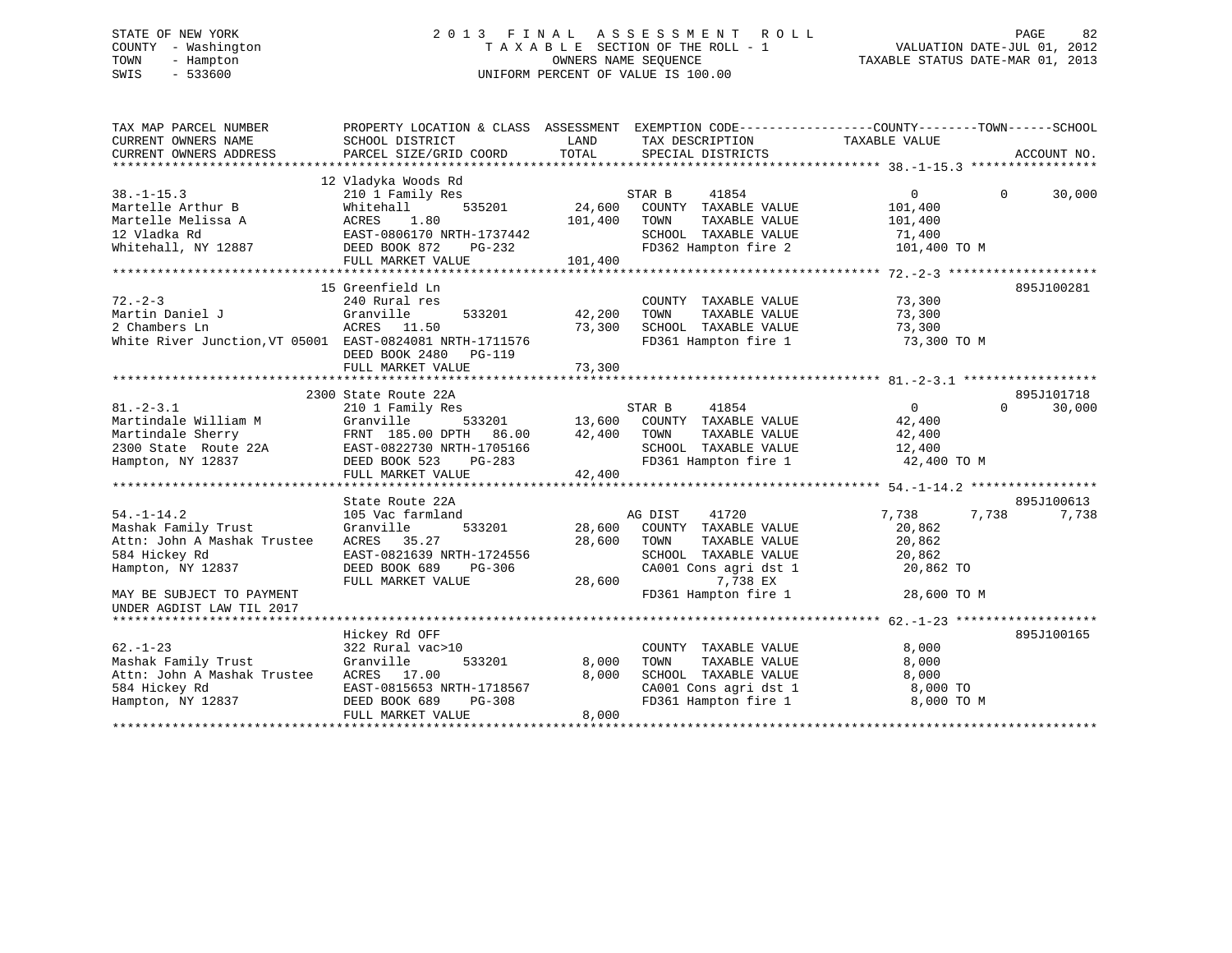# STATE OF NEW YORK 2 0 1 3 F I N A L A S S E S S M E N T R O L L PAGE 82 COUNTY - Washington T A X A B L E SECTION OF THE ROLL - 1 VALUATION DATE-JUL 01, 2012 TOWN - Hampton OWNERS NAME SEQUENCE TAXABLE STATUS DATE-MAR 01, 2013 SWIS - 533600 UNIFORM PERCENT OF VALUE IS 100.00

| TAX MAP PARCEL NUMBER<br>CURRENT OWNERS NAME<br>CURRENT OWNERS ADDRESS                                                                    | PROPERTY LOCATION & CLASS ASSESSMENT<br>SCHOOL DISTRICT<br>PARCEL SIZE/GRID COORD                                                                                         | LAND<br>TOTAL                | TAX DESCRIPTION<br>SPECIAL DISTRICTS                                                                                                                   | EXEMPTION CODE-----------------COUNTY-------TOWN------SCHOOL<br>TAXABLE VALUE | ACCOUNT NO.          |
|-------------------------------------------------------------------------------------------------------------------------------------------|---------------------------------------------------------------------------------------------------------------------------------------------------------------------------|------------------------------|--------------------------------------------------------------------------------------------------------------------------------------------------------|-------------------------------------------------------------------------------|----------------------|
| $38. - 1 - 15.3$<br>Martelle Arthur B<br>Martelle Melissa A<br>12 Vladka Rd<br>Whitehall, NY 12887                                        | 12 Vladyka Woods Rd<br>210 1 Family Res<br>535201<br>Whitehall<br>1.80<br>ACRES<br>EAST-0806170 NRTH-1737442<br>DEED BOOK 872<br>PG-232<br>FULL MARKET VALUE              | 24,600<br>101,400<br>101,400 | STAR B<br>41854<br>COUNTY TAXABLE VALUE<br>TOWN<br>TAXABLE VALUE<br>SCHOOL TAXABLE VALUE<br>FD362 Hampton fire 2                                       | $\Omega$<br>$\Omega$<br>101,400<br>101,400<br>71,400<br>101,400 TO M          | 30,000               |
| $72. - 2 - 3$<br>Martin Daniel J<br>2 Chambers Ln<br>White River Junction, VT 05001 EAST-0824081 NRTH-1711576                             | 15 Greenfield Ln<br>240 Rural res<br>533201<br>Granville<br>ACRES 11.50<br>DEED BOOK 2480<br>PG-119<br>FULL MARKET VALUE                                                  | 42,200<br>73,300<br>73,300   | COUNTY TAXABLE VALUE<br>TOWN<br>TAXABLE VALUE<br>SCHOOL TAXABLE VALUE<br>FD361 Hampton fire 1                                                          | 73,300<br>73,300<br>73,300<br>73,300 TO M                                     | 895J100281           |
| $81. - 2 - 3.1$<br>Martindale William M<br>Martindale Sherry<br>2300 State Route 22A<br>Hampton, NY 12837                                 | 2300 State Route 22A<br>210 1 Family Res<br>Granville<br>533201<br>FRNT 185.00 DPTH<br>86.00<br>EAST-0822730 NRTH-1705166<br>DEED BOOK 523<br>PG-283<br>FULL MARKET VALUE | 13,600<br>42,400<br>42,400   | 41854<br>STAR B<br>COUNTY TAXABLE VALUE<br>TOWN<br>TAXABLE VALUE<br>SCHOOL TAXABLE VALUE<br>FD361 Hampton fire 1                                       | $\Omega$<br>$\Omega$<br>42,400<br>42,400<br>12,400<br>42,400 TO M             | 895J101718<br>30,000 |
|                                                                                                                                           | State Route 22A                                                                                                                                                           |                              |                                                                                                                                                        |                                                                               | 895J100613           |
| $54. - 1 - 14.2$<br>Mashak Family Trust<br>Attn: John A Mashak Trustee<br>584 Hickey Rd<br>Hampton, NY 12837<br>MAY BE SUBJECT TO PAYMENT | 105 Vac farmland<br>Granville<br>533201<br>ACRES<br>35.27<br>EAST-0821639 NRTH-1724556<br>DEED BOOK 689<br>PG-306<br>FULL MARKET VALUE                                    | 28,600<br>28,600<br>28,600   | AG DIST<br>41720<br>COUNTY TAXABLE VALUE<br>TOWN<br>TAXABLE VALUE<br>SCHOOL TAXABLE VALUE<br>CA001 Cons agri dst 1<br>7,738 EX<br>FD361 Hampton fire 1 | 7,738<br>7,738<br>20,862<br>20,862<br>20,862<br>20,862 TO<br>28,600 TO M      | 7,738                |
| UNDER AGDIST LAW TIL 2017                                                                                                                 |                                                                                                                                                                           |                              |                                                                                                                                                        |                                                                               |                      |
| $62 - 1 - 23$<br>Mashak Family Trust<br>Attn: John A Mashak Trustee<br>584 Hickey Rd<br>Hampton, NY 12837                                 | Hickey Rd OFF<br>322 Rural vac>10<br>Granville<br>533201<br>ACRES 17.00<br>EAST-0815653 NRTH-1718567<br>$PG-308$<br>DEED BOOK 689<br>FULL MARKET VALUE                    | 8,000<br>8,000<br>8,000      | COUNTY TAXABLE VALUE<br>TAXABLE VALUE<br>TOWN<br>SCHOOL TAXABLE VALUE<br>CA001 Cons agri dst 1<br>FD361 Hampton fire 1                                 | 8,000<br>8,000<br>8,000<br>8,000 TO<br>8,000 TO M                             | 895J100165           |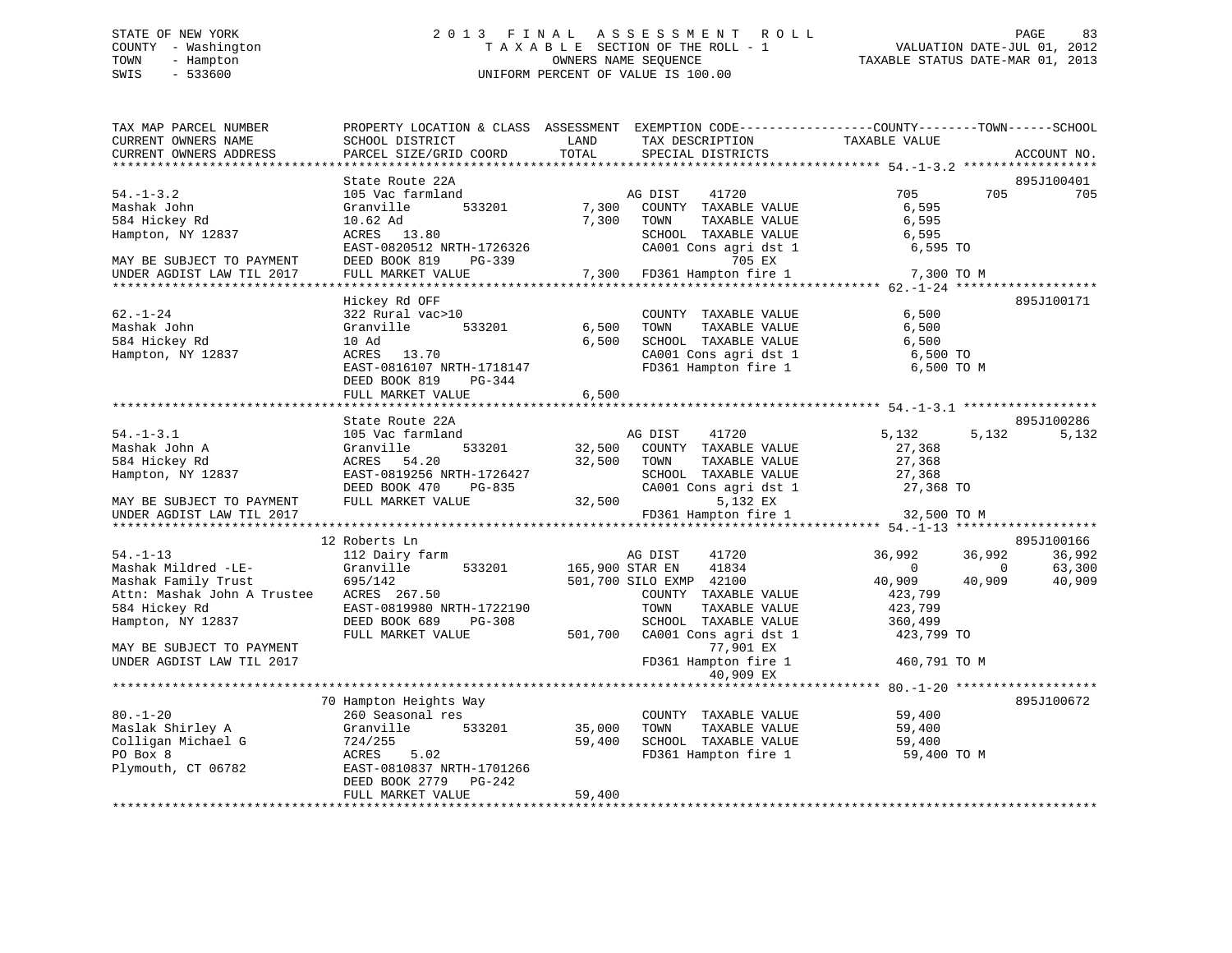# STATE OF NEW YORK 2 0 1 3 F I N A L A S S E S S M E N T R O L L PAGE 83 COUNTY - Washington T A X A B L E SECTION OF THE ROLL - 1 VALUATION DATE-JUL 01, 2012 TOWN - Hampton OWNERS NAME SEQUENCE TAXABLE STATUS DATE-MAR 01, 2013 SWIS - 533600 UNIFORM PERCENT OF VALUE IS 100.00

| TAX MAP PARCEL NUMBER<br>CURRENT OWNERS NAME<br>CURRENT OWNERS ADDRESS                                                         | PROPERTY LOCATION & CLASS ASSESSMENT EXEMPTION CODE----------------COUNTY-------TOWN------SCHOOL<br>SCHOOL DISTRICT<br>PARCEL SIZE/GRID COORD                      | LAND<br>TOTAL           | TAX DESCRIPTION<br>SPECIAL DISTRICTS                                                                                                                 | TAXABLE VALUE                                            |                                    | ACCOUNT NO.                |
|--------------------------------------------------------------------------------------------------------------------------------|--------------------------------------------------------------------------------------------------------------------------------------------------------------------|-------------------------|------------------------------------------------------------------------------------------------------------------------------------------------------|----------------------------------------------------------|------------------------------------|----------------------------|
|                                                                                                                                |                                                                                                                                                                    |                         |                                                                                                                                                      |                                                          |                                    |                            |
| $54. - 1 - 3.2$<br>Mashak John<br>584 Hickey Rd<br>Hampton, NY 12837<br>MAY BE SUBJECT TO PAYMENT<br>UNDER AGDIST LAW TIL 2017 | State Route 22A<br>105 Vac farmland<br>Granville<br>533201<br>10.62 Ad<br>ACRES 13.80<br>EAST-0820512 NRTH-1726326<br>DEED BOOK 819<br>PG-339<br>FULL MARKET VALUE | 7,300<br>7,300<br>7,300 | AG DIST<br>41720<br>COUNTY TAXABLE VALUE<br>TOWN<br>TAXABLE VALUE<br>SCHOOL TAXABLE VALUE<br>CA001 Cons agri dst 1<br>705 EX<br>FD361 Hampton fire 1 | 705<br>6,595<br>6,595<br>6,595<br>6,595 TO<br>7,300 TO M | 705                                | 895J100401<br>705          |
|                                                                                                                                |                                                                                                                                                                    |                         |                                                                                                                                                      |                                                          |                                    |                            |
| $62. - 1 - 24$<br>Mashak John<br>584 Hickey Rd<br>Hampton, NY 12837                                                            | Hickey Rd OFF<br>322 Rural vac>10<br>Granville<br>533201<br>10 Ad<br>ACRES 13.70<br>EAST-0816107 NRTH-1718147<br>DEED BOOK 819<br>PG-344                           | 6,500<br>6,500          | COUNTY TAXABLE VALUE<br>TOWN<br>TAXABLE VALUE<br>SCHOOL TAXABLE VALUE<br>CA001 Cons agri dst 1<br>FD361 Hampton fire 1                               | 6,500<br>6,500<br>6,500<br>6,500 TO<br>6,500 TO M        |                                    | 895J100171                 |
|                                                                                                                                | FULL MARKET VALUE                                                                                                                                                  | 6,500                   |                                                                                                                                                      |                                                          |                                    |                            |
|                                                                                                                                | State Route 22A                                                                                                                                                    | ***************         |                                                                                                                                                      |                                                          |                                    | 895J100286                 |
| $54. - 1 - 3.1$<br>Mashak John A<br>584 Hickey Rd<br>Hampton, NY 12837                                                         | 105 Vac farmland<br>Granville<br>533201<br>ACRES 54.20<br>EAST-0819256 NRTH-1726427<br>DEED BOOK 470<br>PG-835                                                     | 32,500<br>32,500        | AG DIST<br>41720<br>COUNTY TAXABLE VALUE<br>TOWN<br>TAXABLE VALUE<br>SCHOOL TAXABLE VALUE<br>CA001 Cons agri dst 1                                   | 5,132<br>27,368<br>27,368<br>27,368<br>27,368 TO         | 5,132                              | 5,132                      |
| MAY BE SUBJECT TO PAYMENT<br>UNDER AGDIST LAW TIL 2017                                                                         | FULL MARKET VALUE                                                                                                                                                  | 32,500                  | 5,132 EX<br>FD361 Hampton fire 1                                                                                                                     | 32,500 TO M                                              |                                    |                            |
|                                                                                                                                |                                                                                                                                                                    |                         |                                                                                                                                                      |                                                          |                                    |                            |
|                                                                                                                                | 12 Roberts Ln                                                                                                                                                      |                         |                                                                                                                                                      |                                                          |                                    | 895J100166                 |
| $54. - 1 - 13$<br>Mashak Mildred -LE-<br>Mashak Family Trust<br>Attn: Mashak John A Trustee<br>584 Hickey Rd                   | 112 Dairy farm<br>Granville<br>533201<br>695/142<br>ACRES 267.50<br>EAST-0819980 NRTH-1722190                                                                      |                         | 41720<br>AG DIST<br>165,900 STAR EN<br>41834<br>501,700 SILO EXMP 42100<br>COUNTY TAXABLE VALUE<br>TOWN<br>TAXABLE VALUE                             | 36,992<br>$\Omega$<br>40,909<br>423,799<br>423,799       | 36,992<br>$\overline{0}$<br>40,909 | 36,992<br>63,300<br>40,909 |
| Hampton, NY 12837<br>MAY BE SUBJECT TO PAYMENT                                                                                 | DEED BOOK 689<br>PG-308<br>FULL MARKET VALUE                                                                                                                       | 501,700                 | SCHOOL TAXABLE VALUE<br>CA001 Cons agri dst 1<br>77,901 EX                                                                                           | 360,499<br>423,799 TO                                    |                                    |                            |
| UNDER AGDIST LAW TIL 2017                                                                                                      |                                                                                                                                                                    |                         | FD361 Hampton fire 1<br>40,909 EX                                                                                                                    | 460,791 TO M                                             |                                    |                            |
|                                                                                                                                |                                                                                                                                                                    |                         |                                                                                                                                                      |                                                          |                                    |                            |
| $80. - 1 - 20$<br>Maslak Shirley A<br>Colligan Michael G<br>PO Box 8<br>Plymouth, CT 06782                                     | 70 Hampton Heights Way<br>260 Seasonal res<br>Granville<br>533201<br>724/255<br>ACRES<br>5.02<br>EAST-0810837 NRTH-1701266<br>DEED BOOK 2779<br>PG-242             | 35,000<br>59,400        | COUNTY TAXABLE VALUE<br>TAXABLE VALUE<br>TOWN<br>SCHOOL TAXABLE VALUE<br>FD361 Hampton fire 1                                                        | 59,400<br>59,400<br>59,400<br>59,400 TO M                |                                    | 895J100672                 |
|                                                                                                                                | FULL MARKET VALUE                                                                                                                                                  | 59,400                  |                                                                                                                                                      |                                                          |                                    |                            |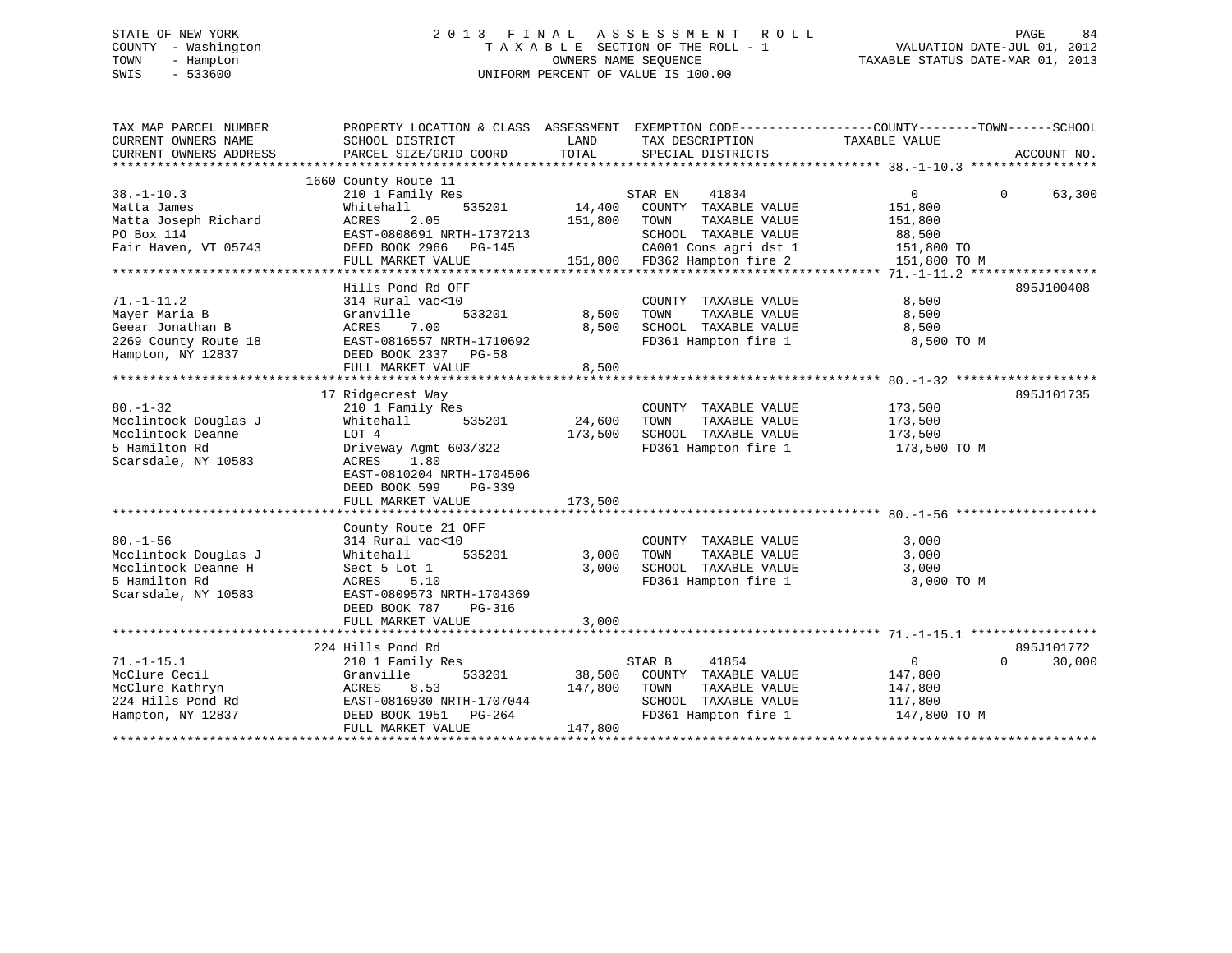# STATE OF NEW YORK 2 0 1 3 F I N A L A S S E S S M E N T R O L L PAGE 84 COUNTY - Washington T A X A B L E SECTION OF THE ROLL - 1 VALUATION DATE-JUL 01, 2012 TOWN - Hampton OWNERS NAME SEQUENCE TAXABLE STATUS DATE-MAR 01, 2013 SWIS - 533600 UNIFORM PERCENT OF VALUE IS 100.00

| TAX MAP PARCEL NUMBER  |                           |         |                              | PROPERTY LOCATION & CLASS ASSESSMENT EXEMPTION CODE---------------COUNTY-------TOWN------SCHOOL |             |
|------------------------|---------------------------|---------|------------------------------|-------------------------------------------------------------------------------------------------|-------------|
| CURRENT OWNERS NAME    | SCHOOL DISTRICT           | LAND    | TAX DESCRIPTION              | TAXABLE VALUE                                                                                   |             |
| CURRENT OWNERS ADDRESS | PARCEL SIZE/GRID COORD    | TOTAL   | SPECIAL DISTRICTS            |                                                                                                 | ACCOUNT NO. |
|                        |                           |         |                              |                                                                                                 |             |
|                        | 1660 County Route 11      |         |                              |                                                                                                 |             |
| $38. - 1 - 10.3$       | 210 1 Family Res          |         | 41834<br>STAR EN             | $\overline{0}$<br>$\Omega$                                                                      | 63,300      |
| Matta James            | 535201<br>Whitehall       | 14,400  | COUNTY TAXABLE VALUE         | 151,800                                                                                         |             |
| Matta Joseph Richard   | 2.05<br>ACRES             | 151,800 | TOWN<br>TAXABLE VALUE        | 151,800                                                                                         |             |
| PO Box 114             | EAST-0808691 NRTH-1737213 |         | SCHOOL TAXABLE VALUE         | 88,500                                                                                          |             |
| Fair Haven, VT 05743   | DEED BOOK 2966 PG-145     |         | CA001 Cons agri dst 1        | 151,800 TO                                                                                      |             |
|                        | FULL MARKET VALUE         |         | 151,800 FD362 Hampton fire 2 | 151,800 TO M                                                                                    |             |
|                        |                           |         |                              |                                                                                                 |             |
|                        | Hills Pond Rd OFF         |         |                              |                                                                                                 | 895J100408  |
| $71. - 1 - 11.2$       | 314 Rural vac<10          |         | COUNTY TAXABLE VALUE         | 8,500                                                                                           |             |
| Mayer Maria B          | 533201<br>Granville       | 8,500   | TOWN<br>TAXABLE VALUE        | 8,500                                                                                           |             |
| Geear Jonathan B       | 7.00<br>ACRES             | 8,500   | SCHOOL TAXABLE VALUE         | 8,500                                                                                           |             |
| 2269 County Route 18   | EAST-0816557 NRTH-1710692 |         | FD361 Hampton fire 1         | 8,500 TO M                                                                                      |             |
| Hampton, NY 12837      | DEED BOOK 2337 PG-58      |         |                              |                                                                                                 |             |
|                        | FULL MARKET VALUE         | 8,500   |                              |                                                                                                 |             |
|                        |                           |         |                              |                                                                                                 |             |
|                        | 17 Ridgecrest Way         |         |                              |                                                                                                 | 895J101735  |
| $80. - 1 - 32$         | 210 1 Family Res          |         | COUNTY TAXABLE VALUE         | 173,500                                                                                         |             |
| Mcclintock Douglas J   | 535201<br>Whitehall       | 24,600  | TOWN<br>TAXABLE VALUE        | 173,500                                                                                         |             |
| Mcclintock Deanne      | LOT 4                     | 173,500 | SCHOOL TAXABLE VALUE         | 173,500                                                                                         |             |
| 5 Hamilton Rd          | Driveway Agmt 603/322     |         | FD361 Hampton fire 1         | 173,500 TO M                                                                                    |             |
| Scarsdale, NY 10583    | ACRES<br>1.80             |         |                              |                                                                                                 |             |
|                        |                           |         |                              |                                                                                                 |             |
|                        | EAST-0810204 NRTH-1704506 |         |                              |                                                                                                 |             |
|                        | DEED BOOK 599<br>$PG-339$ |         |                              |                                                                                                 |             |
|                        | FULL MARKET VALUE         | 173,500 |                              |                                                                                                 |             |
|                        |                           |         |                              |                                                                                                 |             |
|                        | County Route 21 OFF       |         |                              |                                                                                                 |             |
| $80. - 1 - 56$         | 314 Rural vac<10          |         | COUNTY TAXABLE VALUE         | 3,000                                                                                           |             |
| Mcclintock Douglas J   | 535201<br>Whitehall       | 3,000   | TOWN<br>TAXABLE VALUE        | 3,000                                                                                           |             |
| Mcclintock Deanne H    | Sect 5 Lot 1              | 3,000   | SCHOOL TAXABLE VALUE         | 3,000                                                                                           |             |
| 5 Hamilton Rd          | ACRES<br>5.10             |         | FD361 Hampton fire 1         | 3,000 TO M                                                                                      |             |
| Scarsdale, NY 10583    | EAST-0809573 NRTH-1704369 |         |                              |                                                                                                 |             |
|                        | DEED BOOK 787<br>PG-316   |         |                              |                                                                                                 |             |
|                        | FULL MARKET VALUE         | 3,000   |                              |                                                                                                 |             |
|                        |                           |         |                              |                                                                                                 |             |
|                        | 224 Hills Pond Rd         |         |                              |                                                                                                 | 895J101772  |
| $71. - 1 - 15.1$       | 210 1 Family Res          |         | 41854<br>STAR B              | $\Omega$<br>$\overline{0}$                                                                      | 30,000      |
| McClure Cecil          | Granville<br>533201       | 38,500  | COUNTY TAXABLE VALUE         | 147,800                                                                                         |             |
| McClure Kathryn        | ACRES<br>8.53             | 147,800 | TAXABLE VALUE<br>TOWN        | 147,800                                                                                         |             |
| 224 Hills Pond Rd      | EAST-0816930 NRTH-1707044 |         | SCHOOL TAXABLE VALUE         | 117,800                                                                                         |             |
| Hampton, NY 12837      | DEED BOOK 1951    PG-264  |         | FD361 Hampton fire 1         | 147,800 TO M                                                                                    |             |
|                        | FULL MARKET VALUE         | 147,800 |                              |                                                                                                 |             |
|                        |                           |         |                              |                                                                                                 |             |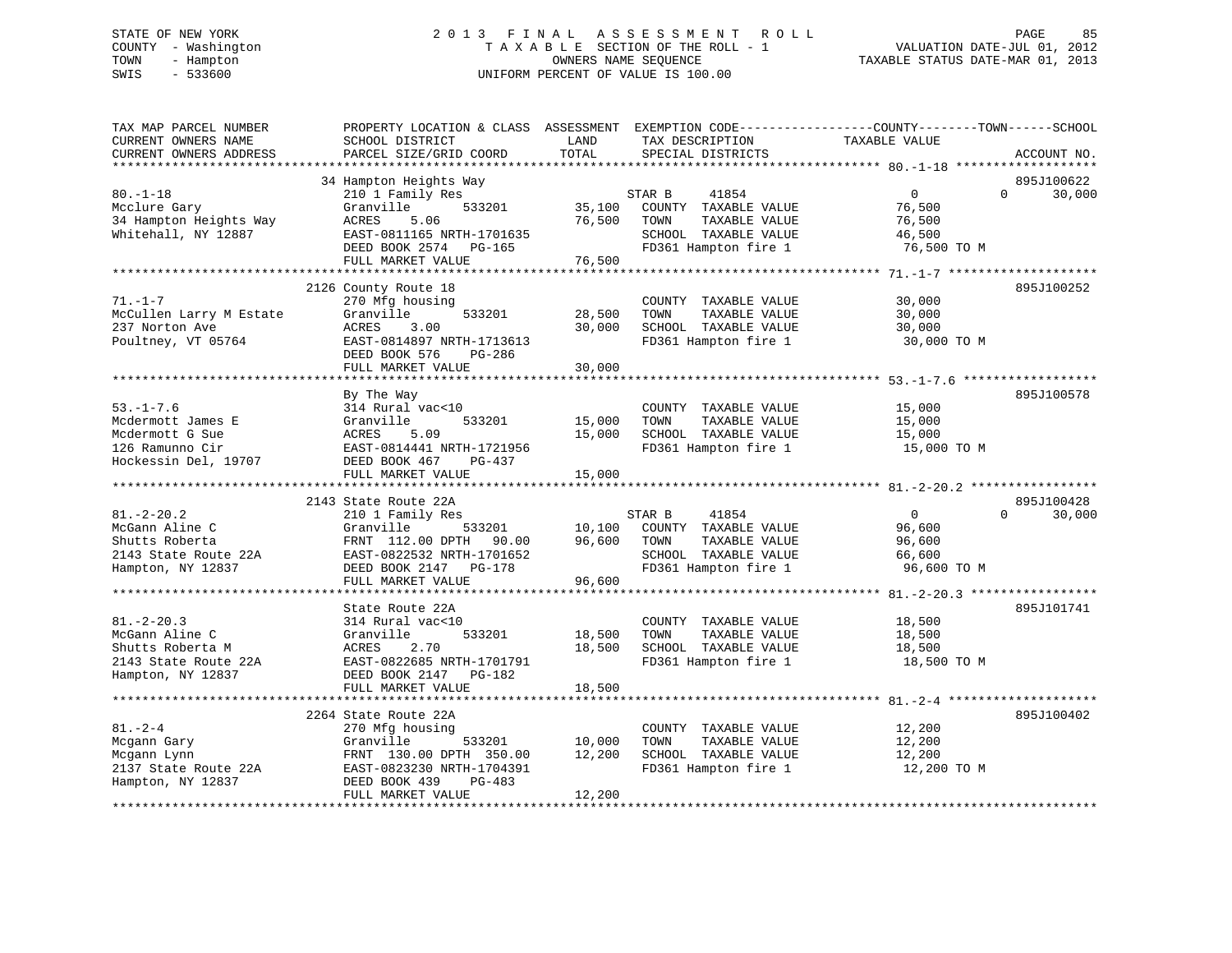# STATE OF NEW YORK 2 0 1 3 F I N A L A S S E S S M E N T R O L L PAGE 85 COUNTY - Washington T A X A B L E SECTION OF THE ROLL - 1 VALUATION DATE-JUL 01, 2012 TOWN - Hampton OWNERS NAME SEQUENCE TAXABLE STATUS DATE-MAR 01, 2013 SWIS - 533600 UNIFORM PERCENT OF VALUE IS 100.00

| TAX MAP PARCEL NUMBER<br>CURRENT OWNERS NAME<br>CURRENT OWNERS ADDRESS                              | SCHOOL DISTRICT<br>PARCEL SIZE/GRID COORD                                                                                               | LAND<br>TOTAL    | TAX DESCRIPTION<br>SPECIAL DISTRICTS                                                          | PROPERTY LOCATION & CLASS ASSESSMENT EXEMPTION CODE---------------COUNTY-------TOWN------SCHOOL<br>TAXABLE VALUE<br>ACCOUNT NO. |  |
|-----------------------------------------------------------------------------------------------------|-----------------------------------------------------------------------------------------------------------------------------------------|------------------|-----------------------------------------------------------------------------------------------|---------------------------------------------------------------------------------------------------------------------------------|--|
|                                                                                                     |                                                                                                                                         |                  |                                                                                               |                                                                                                                                 |  |
| $80. - 1 - 18$<br>Mcclure Gary<br>34 Hampton Heights Way<br>Whitehall, NY 12887                     | 34 Hampton Heights Way<br>210 1 Family Res<br>Granville<br>533201<br>ACRES<br>5.06<br>EAST-0811165 NRTH-1701635                         | 35,100<br>76,500 | STAR B<br>41854<br>COUNTY TAXABLE VALUE<br>TOWN<br>TAXABLE VALUE<br>SCHOOL TAXABLE VALUE      | 895J100622<br>$\Omega$<br>$\overline{0}$<br>30,000<br>76,500<br>76,500<br>46,500                                                |  |
|                                                                                                     | DEED BOOK 2574 PG-165<br>FULL MARKET VALUE                                                                                              | 76,500           | FD361 Hampton fire 1                                                                          | 76,500 TO M                                                                                                                     |  |
|                                                                                                     |                                                                                                                                         |                  |                                                                                               |                                                                                                                                 |  |
| $71. - 1 - 7$<br>McCullen Larry M Estate<br>237 Norton Ave<br>Poultney, VT 05764                    | 2126 County Route 18<br>270 Mfg housing<br>Granville<br>533201<br>ACRES<br>3.00<br>EAST-0814897 NRTH-1713613<br>DEED BOOK 576<br>PG-286 | 28,500<br>30,000 | COUNTY TAXABLE VALUE<br>TOWN<br>TAXABLE VALUE<br>SCHOOL TAXABLE VALUE<br>FD361 Hampton fire 1 | 895J100252<br>30,000<br>30,000<br>30,000<br>30,000 TO M                                                                         |  |
|                                                                                                     | FULL MARKET VALUE                                                                                                                       | 30,000           |                                                                                               |                                                                                                                                 |  |
|                                                                                                     |                                                                                                                                         |                  |                                                                                               |                                                                                                                                 |  |
| $53. - 1 - 7.6$<br>Mcdermott James E<br>Mcdermott G Sue<br>126 Ramunno Cir<br>Hockessin Del, 19707  | By The Way<br>314 Rural vac<10<br>Granville<br>533201<br>5.09<br>ACRES<br>EAST-0814441 NRTH-1721956<br>DEED BOOK 467<br>PG-437          | 15,000<br>15,000 | COUNTY TAXABLE VALUE<br>TOWN<br>TAXABLE VALUE<br>SCHOOL TAXABLE VALUE<br>FD361 Hampton fire 1 | 895J100578<br>15,000<br>15,000<br>15,000<br>15,000 TO M                                                                         |  |
|                                                                                                     | FULL MARKET VALUE                                                                                                                       | 15,000           |                                                                                               |                                                                                                                                 |  |
|                                                                                                     |                                                                                                                                         |                  |                                                                                               |                                                                                                                                 |  |
| $81. - 2 - 20.2$                                                                                    | 2143 State Route 22A                                                                                                                    |                  | STAR B                                                                                        | 895J100428<br>$\overline{0}$<br>$\Omega$                                                                                        |  |
| McGann Aline C                                                                                      | 210 1 Family Res<br>Granville<br>533201                                                                                                 | 10,100           | 41854<br>COUNTY TAXABLE VALUE                                                                 | 30,000<br>96,600                                                                                                                |  |
| Shutts Roberta                                                                                      | FRNT 112.00 DPTH 90.00                                                                                                                  | 96,600           | TOWN<br>TAXABLE VALUE                                                                         | 96,600                                                                                                                          |  |
| 2143 State Route 22A                                                                                | EAST-0822532 NRTH-1701652                                                                                                               |                  | SCHOOL TAXABLE VALUE                                                                          | 66,600                                                                                                                          |  |
| Hampton, NY 12837                                                                                   | DEED BOOK 2147 PG-178                                                                                                                   |                  | FD361 Hampton fire 1                                                                          | 96,600 TO M                                                                                                                     |  |
|                                                                                                     | FULL MARKET VALUE                                                                                                                       | 96,600           |                                                                                               |                                                                                                                                 |  |
|                                                                                                     |                                                                                                                                         |                  |                                                                                               |                                                                                                                                 |  |
| $81. - 2 - 20.3$<br>McGann Aline C<br>Shutts Roberta M<br>2143 State Route 22A<br>Hampton, NY 12837 | State Route 22A<br>314 Rural vac<10<br>533201<br>Granville<br>2.70<br>ACRES<br>EAST-0822685 NRTH-1701791<br>DEED BOOK 2147 PG-182       | 18,500<br>18,500 | COUNTY TAXABLE VALUE<br>TOWN<br>TAXABLE VALUE<br>SCHOOL TAXABLE VALUE<br>FD361 Hampton fire 1 | 895J101741<br>18,500<br>18,500<br>18,500<br>18,500 TO M                                                                         |  |
|                                                                                                     | FULL MARKET VALUE                                                                                                                       | 18,500           |                                                                                               |                                                                                                                                 |  |
|                                                                                                     | ******************************                                                                                                          | ************     |                                                                                               |                                                                                                                                 |  |
|                                                                                                     | 2264 State Route 22A                                                                                                                    |                  |                                                                                               | 895J100402                                                                                                                      |  |
| $81. - 2 - 4$<br>Mcgann Gary<br>Mcgann Lynn<br>2137 State Route 22A                                 | 270 Mfg housing<br>Granville<br>533201<br>FRNT 130.00 DPTH 350.00<br>EAST-0823230 NRTH-1704391                                          | 10,000<br>12,200 | COUNTY TAXABLE VALUE<br>TOWN<br>TAXABLE VALUE<br>SCHOOL TAXABLE VALUE<br>FD361 Hampton fire 1 | 12,200<br>12,200<br>12,200<br>12,200 TO M                                                                                       |  |
| Hampton, NY 12837                                                                                   | PG-483<br>DEED BOOK 439<br>FULL MARKET VALUE                                                                                            | 12,200           |                                                                                               |                                                                                                                                 |  |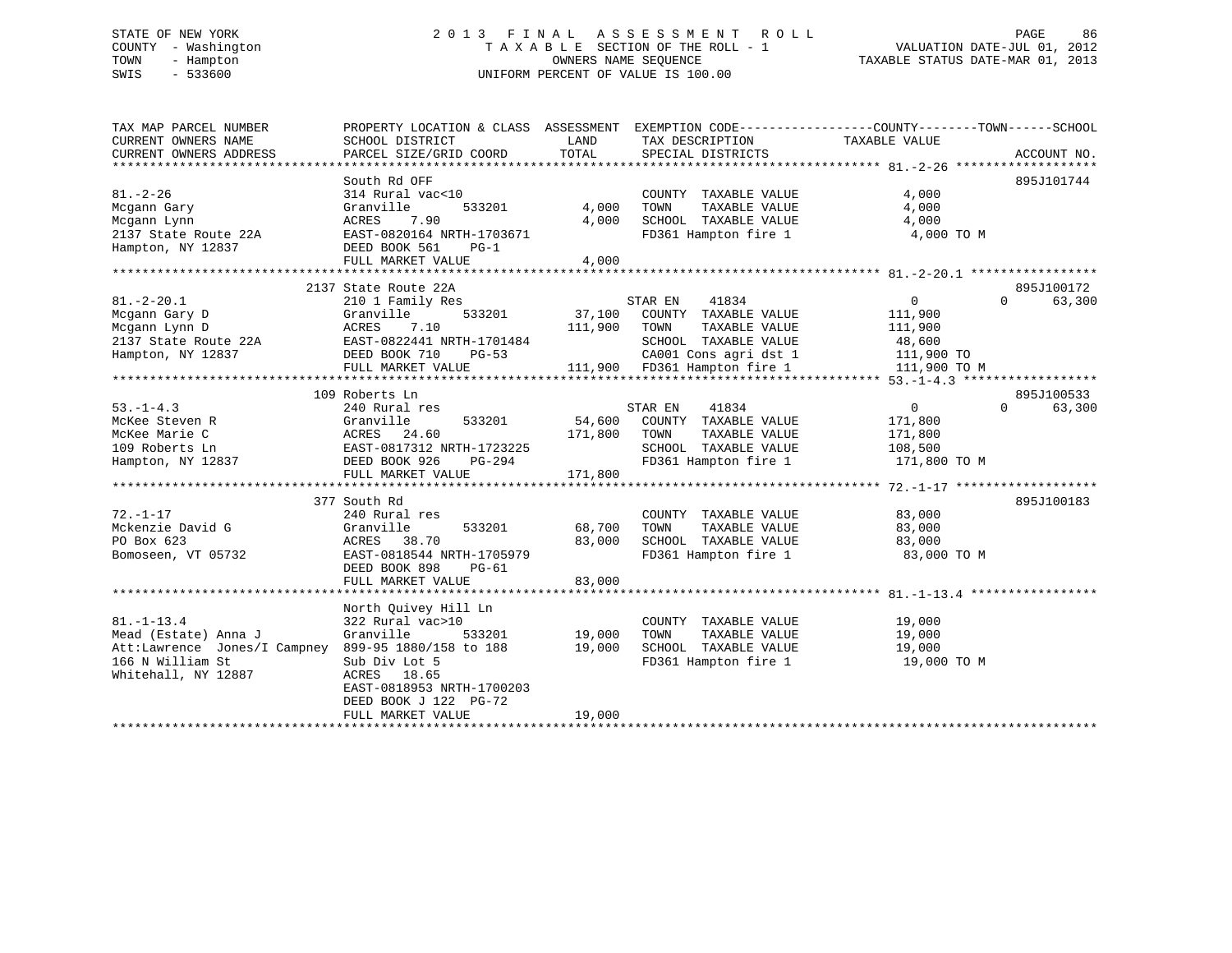# STATE OF NEW YORK 2 0 1 3 F I N A L A S S E S S M E N T R O L L PAGE 86 COUNTY - Washington T A X A B L E SECTION OF THE ROLL - 1 VALUATION DATE-JUL 01, 2012 TOWN - Hampton OWNERS NAME SEQUENCE TAXABLE STATUS DATE-MAR 01, 2013 SWIS - 533600 UNIFORM PERCENT OF VALUE IS 100.00

| TAX MAP PARCEL NUMBER<br>CURRENT OWNERS NAME                                                                                                                                                                                                                                                                                                                                      | PROPERTY LOCATION & CLASS ASSESSMENT EXEMPTION CODE---------------COUNTY-------TOWN-----SCHOOL<br>SCHOOL DISTRICT | LAND         | TAX DESCRIPTION                                   | TAXABLE VALUE    |                    |
|-----------------------------------------------------------------------------------------------------------------------------------------------------------------------------------------------------------------------------------------------------------------------------------------------------------------------------------------------------------------------------------|-------------------------------------------------------------------------------------------------------------------|--------------|---------------------------------------------------|------------------|--------------------|
| CURRENT OWNERS ADDRESS                                                                                                                                                                                                                                                                                                                                                            | PARCEL SIZE/GRID COORD                                                                                            | TOTAL        | SPECIAL DISTRICTS                                 |                  | ACCOUNT NO.        |
|                                                                                                                                                                                                                                                                                                                                                                                   |                                                                                                                   |              |                                                   |                  |                    |
|                                                                                                                                                                                                                                                                                                                                                                                   | South Rd OFF                                                                                                      |              |                                                   |                  | 895J101744         |
| $81. - 2 - 26$                                                                                                                                                                                                                                                                                                                                                                    | 314 Rural vac<10                                                                                                  |              | COUNTY TAXABLE VALUE                              | 4,000            |                    |
| Mcgann Gary                                                                                                                                                                                                                                                                                                                                                                       | Granville<br>533201                                                                                               | 4,000        | TOWN<br>TAXABLE VALUE                             | 4,000            |                    |
| Mcgann Lynn                                                                                                                                                                                                                                                                                                                                                                       | 7.90<br>ACRES                                                                                                     | 4,000        | SCHOOL TAXABLE VALUE                              | 4,000            |                    |
| 2137 State Route 22A                                                                                                                                                                                                                                                                                                                                                              | EAST-0820164 NRTH-1703671                                                                                         |              | FD361 Hampton fire 1                              | 4,000 TO M       |                    |
| Hampton, NY 12837                                                                                                                                                                                                                                                                                                                                                                 | DEED BOOK 561<br>PG-1                                                                                             |              |                                                   |                  |                    |
|                                                                                                                                                                                                                                                                                                                                                                                   | FULL MARKET VALUE                                                                                                 | 4,000        |                                                   |                  |                    |
|                                                                                                                                                                                                                                                                                                                                                                                   |                                                                                                                   |              |                                                   |                  |                    |
|                                                                                                                                                                                                                                                                                                                                                                                   | 2137 State Route 22A                                                                                              |              |                                                   |                  | 895J100172         |
| $81. - 2 - 20.1$                                                                                                                                                                                                                                                                                                                                                                  | 210 1 Family Res                                                                                                  |              | STAR EN<br>41834                                  | $\overline{0}$   | $\Omega$<br>63,300 |
| Mcgann Gary D                                                                                                                                                                                                                                                                                                                                                                     | 533201<br>Granville                                                                                               |              | 37,100 COUNTY TAXABLE VALUE                       | 111,900          |                    |
| Mcgann Lynn D                                                                                                                                                                                                                                                                                                                                                                     | 7.10<br>ACRES                                                                                                     | 111,900 TOWN | TAXABLE VALUE                                     | 111,900          |                    |
| 2137 State Route 22A<br>Hampton, NY 12837                                                                                                                                                                                                                                                                                                                                         |                                                                                                                   |              |                                                   |                  |                    |
| Hampton, NY 12837                                                                                                                                                                                                                                                                                                                                                                 |                                                                                                                   |              |                                                   |                  |                    |
|                                                                                                                                                                                                                                                                                                                                                                                   |                                                                                                                   |              |                                                   |                  |                    |
| $\begin{tabular}{lllllllllllll} \multicolumn{3.0}{l}{{\small 2137}\hspace{0.5cm}{{\small 3137}\hspace{0.5cm}{{\small 12837}\hspace{0.5cm}{{\small 48\hspace{0.8cm},600}}\hspace{0.5cm}{{\small 2137}\hspace{0.8cm}{{\small 12837}\hspace{0.8cm}{{\small 12837}\hspace{0.8cm}{{\small 12837}\hspace{0.8cm}{{\small 12837}\hspace{0.8cm}{{\small 12837}\hspace{0.8cm}{{\small 1283$ |                                                                                                                   |              |                                                   |                  |                    |
|                                                                                                                                                                                                                                                                                                                                                                                   | 109 Roberts Ln                                                                                                    |              |                                                   |                  | 895J100533         |
| $53. - 1 - 4.3$                                                                                                                                                                                                                                                                                                                                                                   | 240 Rural res                                                                                                     |              | STAR EN<br>41834                                  | $\overline{0}$   | $\Omega$<br>63,300 |
| McKee Steven R                                                                                                                                                                                                                                                                                                                                                                    | Granville<br>533201                                                                                               | 54,600       | COUNTY TAXABLE VALUE                              | 171,800          |                    |
| McKee Marie C                                                                                                                                                                                                                                                                                                                                                                     |                                                                                                                   | 171,800      | TAXABLE VALUE<br>TOWN                             | 171,800          |                    |
| 109 Roberts Ln                                                                                                                                                                                                                                                                                                                                                                    |                                                                                                                   |              | SCHOOL TAXABLE VALUE                              | 108,500          |                    |
| Hampton, NY 12837                                                                                                                                                                                                                                                                                                                                                                 |                                                                                                                   |              | FD361 Hampton fire 1                              | 171,800 TO M     |                    |
|                                                                                                                                                                                                                                                                                                                                                                                   | ACRES 24.60<br>EAST-0817312 NRTH-1723225<br>DEED BOOK 926 PG-294                                                  | 171,800      |                                                   |                  |                    |
|                                                                                                                                                                                                                                                                                                                                                                                   |                                                                                                                   |              |                                                   |                  |                    |
|                                                                                                                                                                                                                                                                                                                                                                                   | 377 South Rd                                                                                                      |              |                                                   |                  | 895J100183         |
| $72. - 1 - 17$                                                                                                                                                                                                                                                                                                                                                                    | 240 Rural res                                                                                                     |              | COUNTY TAXABLE VALUE                              | 83,000           |                    |
| Mckenzie David G                                                                                                                                                                                                                                                                                                                                                                  | Granville<br>533201                                                                                               | 68,700       |                                                   | 83,000           |                    |
| PO Box 623                                                                                                                                                                                                                                                                                                                                                                        | ACRES<br>38.70                                                                                                    | 83,000       | TOWN      TAXABLE VALUE<br>SCHOOL   TAXABLE VALUE | 83,000           |                    |
| Bomoseen, VT 05732                                                                                                                                                                                                                                                                                                                                                                | EAST-0818544 NRTH-1705979                                                                                         |              | FD361 Hampton fire 1 83,000 TO M                  |                  |                    |
|                                                                                                                                                                                                                                                                                                                                                                                   | DEED BOOK 898<br>PG-61                                                                                            |              |                                                   |                  |                    |
|                                                                                                                                                                                                                                                                                                                                                                                   | FULL MARKET VALUE                                                                                                 | 83,000       |                                                   |                  |                    |
|                                                                                                                                                                                                                                                                                                                                                                                   |                                                                                                                   |              |                                                   |                  |                    |
|                                                                                                                                                                                                                                                                                                                                                                                   | North Quivey Hill Ln                                                                                              |              |                                                   |                  |                    |
| $81. - 1 - 13.4$                                                                                                                                                                                                                                                                                                                                                                  | 322 Rural vac>10                                                                                                  |              | COUNTY TAXABLE VALUE                              | 19,000           |                    |
| Mead (Estate) Anna J                                                                                                                                                                                                                                                                                                                                                              | Granville<br>533201                                                                                               | 19,000       | TOWN<br>TAXABLE VALUE                             |                  |                    |
| Att:Lawrence Jones/I Campney 899-95 1880/158 to 188                                                                                                                                                                                                                                                                                                                               |                                                                                                                   | 19,000       | SCHOOL TAXABLE VALUE                              | 19,000<br>19,000 |                    |
| 166 N William St                                                                                                                                                                                                                                                                                                                                                                  | Sub Div Lot 5                                                                                                     |              | FD361 Hampton fire 1 19,000 TO M                  |                  |                    |
| Whitehall, NY 12887                                                                                                                                                                                                                                                                                                                                                               |                                                                                                                   |              |                                                   |                  |                    |
|                                                                                                                                                                                                                                                                                                                                                                                   | ACRES 18.65                                                                                                       |              |                                                   |                  |                    |
|                                                                                                                                                                                                                                                                                                                                                                                   | EAST-0818953 NRTH-1700203                                                                                         |              |                                                   |                  |                    |
|                                                                                                                                                                                                                                                                                                                                                                                   | DEED BOOK J 122 PG-72                                                                                             |              |                                                   |                  |                    |
|                                                                                                                                                                                                                                                                                                                                                                                   | FULL MARKET VALUE                                                                                                 | 19,000       |                                                   |                  |                    |
|                                                                                                                                                                                                                                                                                                                                                                                   |                                                                                                                   |              |                                                   |                  |                    |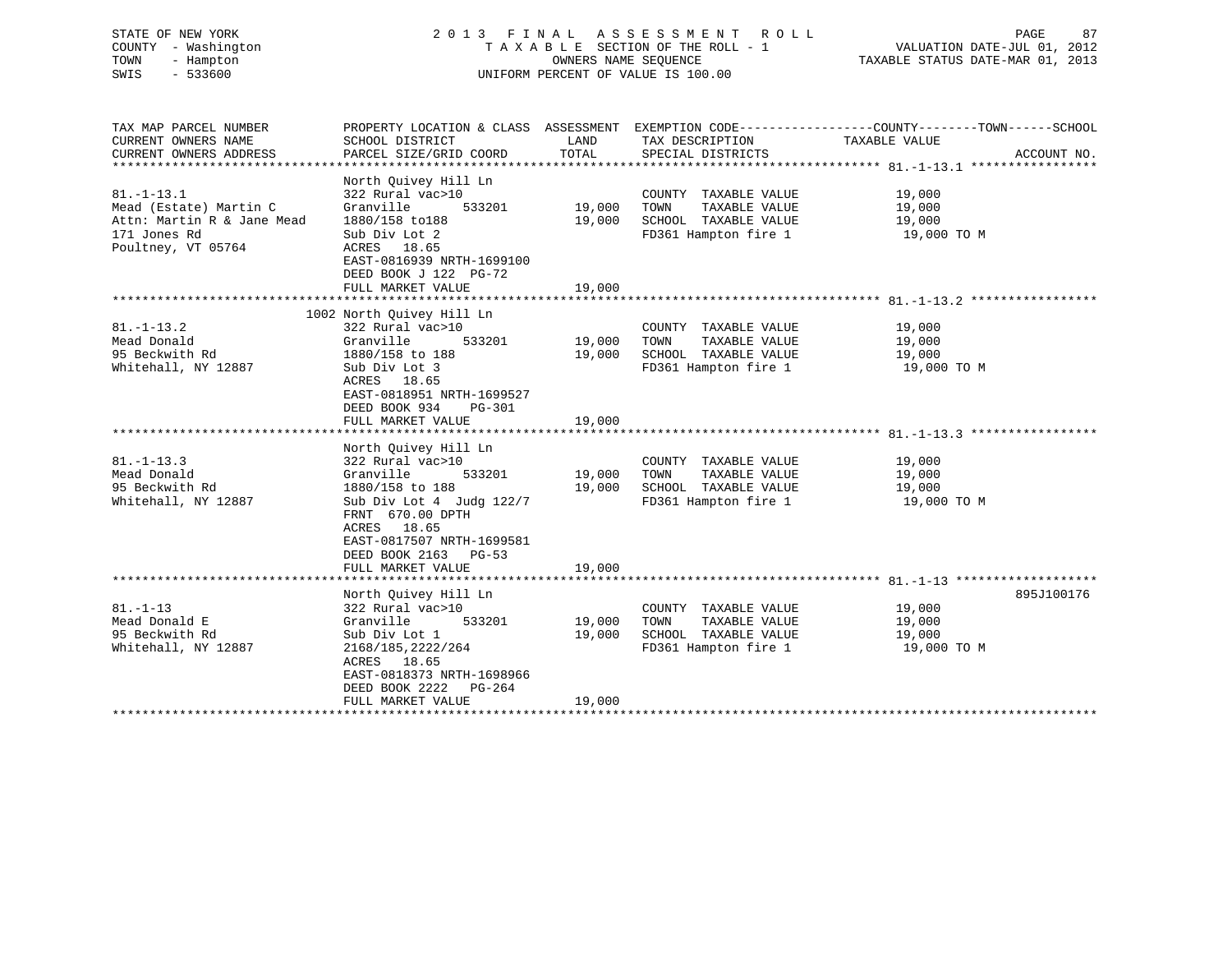# STATE OF NEW YORK 2 0 1 3 F I N A L A S S E S S M E N T R O L L PAGE 87 COUNTY - Washington T A X A B L E SECTION OF THE ROLL - 1 VALUATION DATE-JUL 01, 2012 TOWN - Hampton OWNERS NAME SEQUENCE TAXABLE STATUS DATE-MAR 01, 2013 SWIS - 533600 UNIFORM PERCENT OF VALUE IS 100.00

| TAX MAP PARCEL NUMBER      | PROPERTY LOCATION & CLASS ASSESSMENT EXEMPTION CODE----------------COUNTY-------TOWN------SCHOOL                 |               |                              |                                              |             |
|----------------------------|------------------------------------------------------------------------------------------------------------------|---------------|------------------------------|----------------------------------------------|-------------|
| CURRENT OWNERS NAME        | SCHOOL DISTRICT                                                                                                  | LAND          | TAX DESCRIPTION              | TAXABLE VALUE                                |             |
| CURRENT OWNERS ADDRESS     | PARCEL SIZE/GRID COORD                                                                                           | TOTAL         | SPECIAL DISTRICTS            |                                              | ACCOUNT NO. |
|                            |                                                                                                                  |               |                              |                                              |             |
| $81. - 1 - 13.1$           | North Quivey Hill Ln<br>322 Rural vac>10                                                                         |               | COUNTY TAXABLE VALUE         | 19,000                                       |             |
| Mead (Estate) Martin C     | Granville                                                                                                        | 533201 19,000 | TAXABLE VALUE<br>TOWN        | 19,000                                       |             |
| Attn: Martin R & Jane Mead | 1880/158 to188                                                                                                   | 19,000        | SCHOOL TAXABLE VALUE 19,000  |                                              |             |
| 171 Jones Rd               | Sub Div Lot 2                                                                                                    |               | FD361 Hampton fire 1         | 19,000 TO M                                  |             |
| Poultney, VT 05764         | ACRES 18.65<br>EAST-0816939 NRTH-1699100<br>DEED BOOK J 122 PG-72<br>FULL MARKET VALUE                           | 19,000        |                              |                                              |             |
|                            |                                                                                                                  |               |                              |                                              |             |
|                            |                                                                                                                  |               |                              |                                              |             |
| $81. - 1 - 13.2$           | 1002 North Quivey Hill Ln<br>322 Rural vac>10                                                                    |               |                              | 19,000                                       |             |
| Mead Donald                | 533201 19,000<br>Granville                                                                                       |               | COUNTY TAXABLE VALUE<br>TOWN | TAXABLE VALUE 19,000                         |             |
|                            |                                                                                                                  |               |                              |                                              |             |
| 95 Beckwith Rd             | 1880/158 to 188                                                                                                  | 19,000        | SCHOOL TAXABLE VALUE         | 19,000<br>19,000 TO M                        |             |
| Whitehall, NY 12887        | Sub Div Lot 3                                                                                                    |               | FD361 Hampton fire 1         |                                              |             |
|                            | ACRES 18.65                                                                                                      |               |                              |                                              |             |
|                            | EAST-0818951 NRTH-1699527                                                                                        |               |                              |                                              |             |
|                            | DEED BOOK 934 PG-301                                                                                             |               |                              |                                              |             |
|                            | FULL MARKET VALUE                                                                                                | 19,000        |                              |                                              |             |
|                            |                                                                                                                  |               |                              |                                              |             |
|                            | North Quivey Hill Ln                                                                                             |               |                              |                                              |             |
| $81. - 1 - 13.3$           | 322 Rural vac>10                                                                                                 |               | COUNTY TAXABLE VALUE 19,000  |                                              |             |
| Mead Donald                | 533201<br>Granville                                                                                              | 19,000        | TOWN                         | TAXABLE VALUE 19,000<br>TAXABLE VALUE 19,000 |             |
| 95 Beckwith Rd             | 1880/158 to 188                                                                                                  |               | 19,000 SCHOOL TAXABLE VALUE  |                                              |             |
| Whitehall, NY 12887        | Sub Div Lot 4 Judg 122/7<br>FRNT 670.00 DPTH<br>ACRES 18.65<br>EAST-0817507 NRTH-1699581<br>DEED BOOK 2163 PG-53 |               | FD361 Hampton fire 1         | 19,000 TO M                                  |             |
|                            | FULL MARKET VALUE                                                                                                | 19,000        |                              |                                              |             |
|                            |                                                                                                                  |               |                              |                                              |             |
|                            | North Quivey Hill Ln                                                                                             |               |                              |                                              | 895J100176  |
| $81. - 1 - 13$             | 322 Rural vac>10                                                                                                 |               | COUNTY TAXABLE VALUE         | 19,000                                       |             |
| Mead Donald E              | Granville                                                                                                        | 533201 19,000 | TAXABLE VALUE<br>TOWN        | 19,000                                       |             |
| 95 Beckwith Rd             | Sub Div Lot 1                                                                                                    | 19,000        | SCHOOL TAXABLE VALUE 19,000  |                                              |             |
| Whitehall, NY 12887        | 2168/185, 2222/264                                                                                               |               | FD361 Hampton fire 1         | 19,000 TO M                                  |             |
|                            | ACRES 18.65<br>EAST-0818373 NRTH-1698966<br>DEED BOOK 2222 PG-264                                                |               |                              |                                              |             |
|                            | FULL MARKET VALUE                                                                                                | 19,000        |                              |                                              |             |
|                            |                                                                                                                  |               |                              |                                              |             |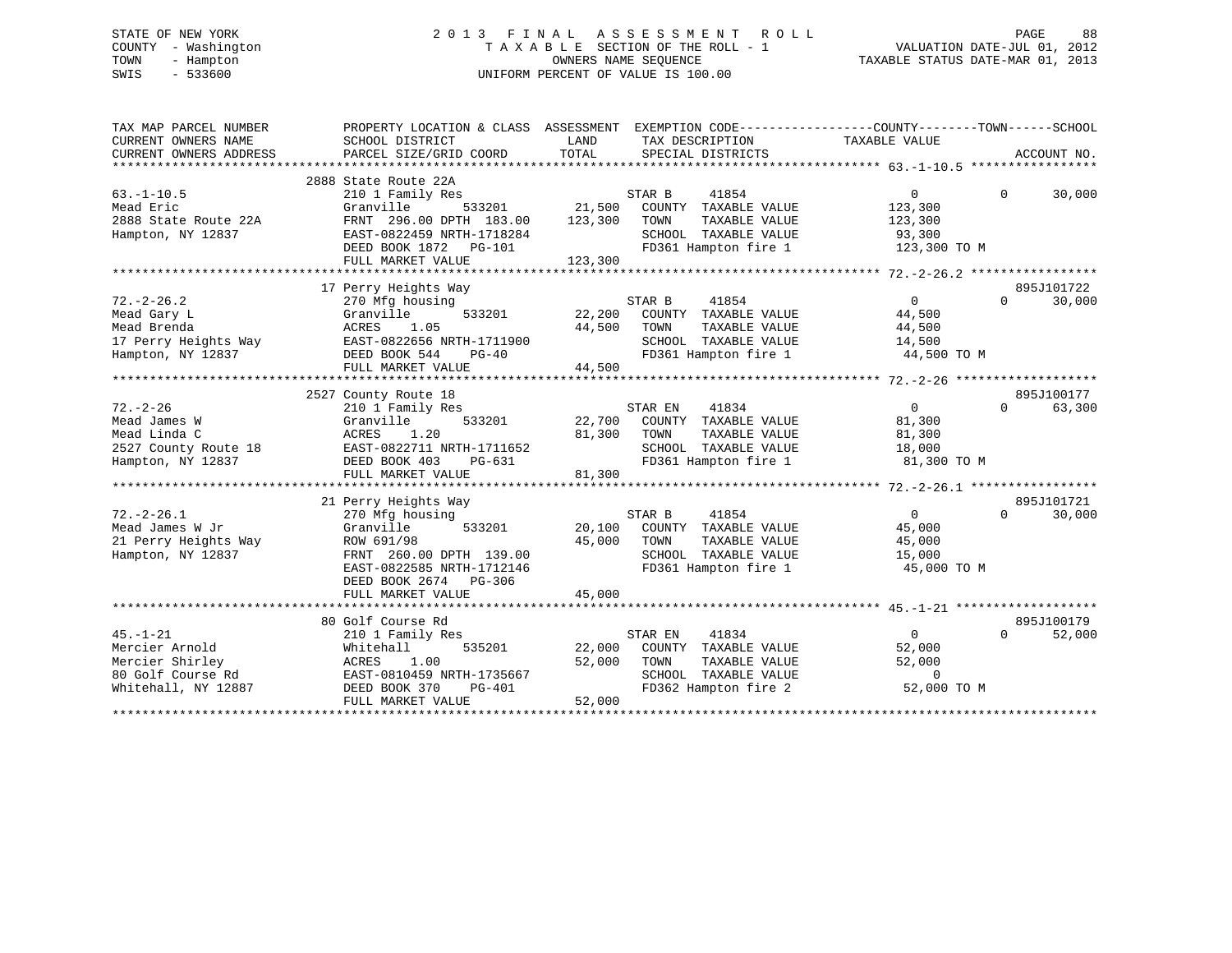# STATE OF NEW YORK 2 0 1 3 F I N A L A S S E S S M E N T R O L L PAGE 88 COUNTY - Washington T A X A B L E SECTION OF THE ROLL - 1 VALUATION DATE-JUL 01, 2012 TOWN - Hampton OWNERS NAME SEQUENCE TAXABLE STATUS DATE-MAR 01, 2013 SWIS - 533600 UNIFORM PERCENT OF VALUE IS 100.00

| TAX MAP PARCEL NUMBER<br>CURRENT OWNERS NAME<br>CURRENT OWNERS ADDRESS                          | PROPERTY LOCATION & CLASS ASSESSMENT EXEMPTION CODE---------------COUNTY-------TOWN------SCHOOL<br>SCHOOL DISTRICT<br>PARCEL SIZE/GRID COORD                                           | LAND<br>TOTAL                       | TAX DESCRIPTION TAXABLE VALUE<br>SPECIAL DISTRICTS                                                                                                                  |                                                                  | ACCOUNT NO.                      |
|-------------------------------------------------------------------------------------------------|----------------------------------------------------------------------------------------------------------------------------------------------------------------------------------------|-------------------------------------|---------------------------------------------------------------------------------------------------------------------------------------------------------------------|------------------------------------------------------------------|----------------------------------|
| $63. -1 - 10.5$<br>Mead Eric<br>2888 State Route 22A<br>Hampton, NY 12837                       | 2888 State Route 22A<br>210 1 Family Res<br>Granville<br>FRNT 296.00 DPTH 183.00<br>FRNT 296.00 DPTH 183.00<br>EAST-0822459 NRTH-1718284<br>DEED BOOK 1872 PG-101<br>FULL MARKET VALUE | 533201 21,500<br>123,300<br>123,300 | 41854<br>STAR B<br>COUNTY TAXABLE VALUE<br>TOWN<br>TAXABLE VALUE<br>SCHOOL TAXABLE VALUE<br>FD361 Hampton fire 1 123,300 TO M                                       | $\Omega$<br>123,300<br>123,300<br>93,300                         | 30,000<br>$\Omega$               |
| $72. - 2 - 26.2$<br>Mead Gary L                                                                 | 17 Perry Heights Way<br>270 Mfg housing<br>Granville<br>FULL MARKET VALUE                                                                                                              | 44,500                              | STAR B<br>41854<br>533201 22,200 COUNTY TAXABLE VALUE<br>TAXABLE VALUE<br>SCHOOL TAXABLE VALUE<br>FD361 Hampton fire 1                                              | $\overline{0}$<br>44,500<br>44,500<br>14,500<br>44,500 TO M      | 895J101722<br>30,000<br>$\Omega$ |
|                                                                                                 |                                                                                                                                                                                        |                                     |                                                                                                                                                                     |                                                                  | 895J100177                       |
| $72. - 2 - 26$<br>Mead James W<br>Mead Linda C<br>Hampton, NY 12837                             | 2527 County Route 18<br>210 1 Family Res<br>533201<br>Granville<br>1.20<br>ACRES<br>DEED BOOK 403<br>PG-631<br>FULL MARKET VALUE                                                       | 81,300<br>81,300                    | 41834<br>STAR EN<br>22,700 COUNTY TAXABLE VALUE<br>TAXABLE VALUE<br>TOWN<br>SCHOOL TAXABLE VALUE 18,000<br>FD361 Hampton fire 1 81,300 TO M<br>FD361 Hampton fire 1 | $\overline{0}$<br>81,300<br>81,300                               | $\Omega$<br>63,300               |
| $72. - 2 - 26.1$<br>Mead James W Jr<br>21 Perry Heights Way<br>Hampton, NY 12837                | 21 Perry Heights Way<br>270 Mfg housing<br>Granville<br>ROW 691/98<br>FRNT 260.00 DPTH 139.00<br>EAST-0822585 NRTH-1712146<br>DEED BOOK 2674 PG-306                                    | 45,000                              | STAR B<br>41854<br>533201 20,100 COUNTY TAXABLE VALUE<br>TAXABLE VALUE<br>TOWN<br>SCHOOL TAXABLE VALUE 15,000<br>FD361 Hampton fire 1                               | $\overline{0}$<br>45,000<br>45,000<br>45,000 TO M                | 895J101721<br>$\Omega$<br>30,000 |
|                                                                                                 | FULL MARKET VALUE                                                                                                                                                                      | 45,000                              |                                                                                                                                                                     |                                                                  |                                  |
| $45. - 1 - 21$<br>Mercier Arnold<br>Mercier Shirley<br>80 Golf Course Rd<br>Whitehall, NY 12887 | 80 Golf Course Rd<br>210 1 Family Res<br>535201<br>Whitehall<br>1.00<br>ACRES<br>EAST-0810459 NRTH-1735667<br>DEED BOOK 370<br>PG-401<br>FULL MARKET VALUE                             | 22,000<br>52,000<br>52,000          | 41834<br>STAR EN<br>COUNTY TAXABLE VALUE<br>TAXABLE VALUE<br>TOWN<br>SCHOOL TAXABLE VALUE<br>FD362 Hampton fire 2                                                   | $\overline{0}$<br>52,000<br>52,000<br>$\mathbf 0$<br>52,000 TO M | 895J100179<br>$\Omega$<br>52,000 |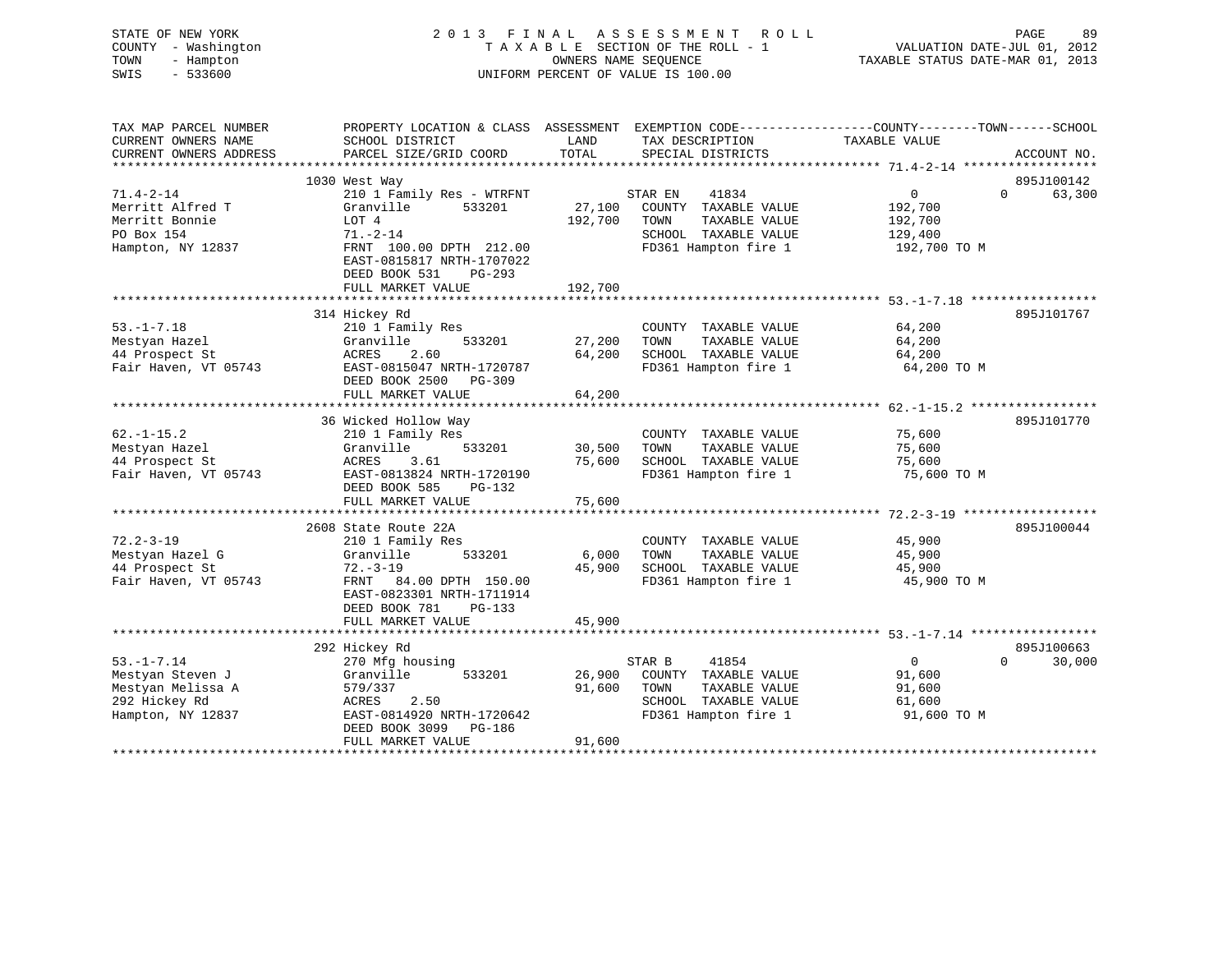| STATE OF NEW YORK<br>COUNTY - Washington<br>TOWN<br>- Hampton<br>SWIS<br>$-533600$ | 2013 FINAL                                                                        |               | A S S E S S M E N T<br>R O L L<br>TAXABLE SECTION OF THE ROLL - 1<br>OWNERS NAME SEOUENCE<br>UNIFORM PERCENT OF VALUE IS 100.00 | PAGE<br>89<br>VALUATION DATE-JUL 01, 2012<br>TAXABLE STATUS DATE-MAR 01, 2013                    |
|------------------------------------------------------------------------------------|-----------------------------------------------------------------------------------|---------------|---------------------------------------------------------------------------------------------------------------------------------|--------------------------------------------------------------------------------------------------|
| TAX MAP PARCEL NUMBER                                                              |                                                                                   |               |                                                                                                                                 | PROPERTY LOCATION & CLASS ASSESSMENT EXEMPTION CODE----------------COUNTY-------TOWN------SCHOOL |
| CURRENT OWNERS NAME<br>CURRENT OWNERS ADDRESS                                      | SCHOOL DISTRICT<br>PARCEL SIZE/GRID COORD                                         | LAND<br>TOTAL | TAX DESCRIPTION<br>SPECIAL DISTRICTS                                                                                            | TAXABLE VALUE<br>ACCOUNT NO.                                                                     |
| **********************                                                             |                                                                                   |               |                                                                                                                                 |                                                                                                  |
|                                                                                    | 1030 West Way                                                                     |               |                                                                                                                                 | 895J100142                                                                                       |
| $71.4 - 2 - 14$                                                                    | 210 1 Family Res - WTRFNT                                                         |               | STAR EN<br>41834                                                                                                                | $\circ$<br>63,300<br>$\Omega$                                                                    |
| Merritt Alfred T                                                                   | Granville<br>533201                                                               | 27,100        | COUNTY TAXABLE VALUE                                                                                                            | 192,700                                                                                          |
| Merritt Bonnie                                                                     | LOT 4                                                                             | 192,700       | TOWN<br>TAXABLE VALUE                                                                                                           | 192,700                                                                                          |
| PO Box 154                                                                         | $71. - 2 - 14$                                                                    |               | SCHOOL TAXABLE VALUE                                                                                                            | 129,400                                                                                          |
| Hampton, NY 12837                                                                  | FRNT 100.00 DPTH 212.00<br>EAST-0815817 NRTH-1707022<br>DEED BOOK 531<br>$PG-293$ |               | FD361 Hampton fire 1                                                                                                            | 192,700 TO M                                                                                     |
|                                                                                    | FULL MARKET VALUE                                                                 | 192,700       |                                                                                                                                 |                                                                                                  |
|                                                                                    | **********************                                                            |               |                                                                                                                                 | ****************************** 53.-1-7.18 ***********                                            |
|                                                                                    | 314 Hickey Rd                                                                     |               |                                                                                                                                 | 895J101767                                                                                       |
| $53. - 1 - 7.18$                                                                   | 210 1 Family Res<br>533201<br>Granville                                           | 27,200        | COUNTY TAXABLE VALUE<br>TAXABLE VALUE<br>TOWN                                                                                   | 64,200<br>64,200                                                                                 |
| Mestyan Hazel<br>44 Prospect St                                                    | 2.60<br>ACRES                                                                     | 64,200        | SCHOOL TAXABLE VALUE                                                                                                            | 64,200                                                                                           |
| Fair Haven, VT 05743                                                               | EAST-0815047 NRTH-1720787                                                         |               | FD361 Hampton fire 1                                                                                                            | 64,200 TO M                                                                                      |
|                                                                                    | DEED BOOK 2500 PG-309<br>FULL MARKET VALUE                                        | 64,200        |                                                                                                                                 |                                                                                                  |
| **********************                                                             | *********************************                                                 |               |                                                                                                                                 |                                                                                                  |
|                                                                                    | 36 Wicked Hollow Way                                                              |               |                                                                                                                                 | 895J101770                                                                                       |
| $62. - 1 - 15.2$                                                                   | 210 1 Family Res                                                                  |               | COUNTY TAXABLE VALUE                                                                                                            | 75,600                                                                                           |
| Mestyan Hazel                                                                      | Granville<br>533201                                                               | 30,500        | TOWN<br>TAXABLE VALUE                                                                                                           | 75,600                                                                                           |
| 44 Prospect St                                                                     | 3.61<br>ACRES                                                                     | 75,600        | SCHOOL TAXABLE VALUE                                                                                                            | 75,600                                                                                           |
| Fair Haven, VT 05743                                                               | EAST-0813824 NRTH-1720190                                                         |               | FD361 Hampton fire 1                                                                                                            | 75,600 TO M                                                                                      |
|                                                                                    | DEED BOOK 585<br>PG-132                                                           |               |                                                                                                                                 |                                                                                                  |
|                                                                                    | FULL MARKET VALUE                                                                 | 75,600        |                                                                                                                                 |                                                                                                  |
|                                                                                    |                                                                                   |               |                                                                                                                                 |                                                                                                  |
|                                                                                    | 2608 State Route 22A                                                              |               |                                                                                                                                 | 895J100044                                                                                       |
| $72.2 - 3 - 19$                                                                    | 210 1 Family Res                                                                  |               | COUNTY TAXABLE VALUE                                                                                                            | 45,900                                                                                           |
| Mestyan Hazel G                                                                    | Granville<br>533201                                                               | 6,000         | TAXABLE VALUE<br>TOWN                                                                                                           | 45,900                                                                                           |
| 44 Prospect St                                                                     | $72. - 3 - 19$                                                                    | 45,900        | SCHOOL TAXABLE VALUE                                                                                                            | 45,900                                                                                           |
| Fair Haven, VT 05743                                                               | FRNT 84.00 DPTH 150.00<br>EAST-0823301 NRTH-1711914<br>DEED BOOK 781<br>PG-133    |               | FD361 Hampton fire 1                                                                                                            | 45,900 TO M                                                                                      |
|                                                                                    | FULL MARKET VALUE                                                                 | 45,900        |                                                                                                                                 |                                                                                                  |
|                                                                                    | **********************                                                            |               |                                                                                                                                 |                                                                                                  |
|                                                                                    | 292 Hickey Rd                                                                     |               |                                                                                                                                 | 895J100663                                                                                       |
| $53. - 1 - 7.14$                                                                   | 270 Mfg housing                                                                   |               | 41854<br>STAR B                                                                                                                 | $\overline{0}$<br>$\Omega$<br>30,000                                                             |
| Mestyan Steven J                                                                   | Granville<br>533201                                                               | 26,900        | COUNTY TAXABLE VALUE                                                                                                            | 91,600                                                                                           |
| Mestyan Melissa A                                                                  | 579/337                                                                           | 91,600        | TOWN<br>TAXABLE VALUE                                                                                                           | 91,600                                                                                           |
| 292 Hickey Rd                                                                      | ACRES<br>2.50                                                                     |               | SCHOOL TAXABLE VALUE                                                                                                            | 61,600                                                                                           |
| Hampton, NY 12837                                                                  | EAST-0814920 NRTH-1720642<br>DEED BOOK 3099<br>PG-186                             |               | FD361 Hampton fire 1                                                                                                            | 91,600 TO M                                                                                      |
|                                                                                    | FULL MARKET VALUE                                                                 | 91,600<br>.   |                                                                                                                                 |                                                                                                  |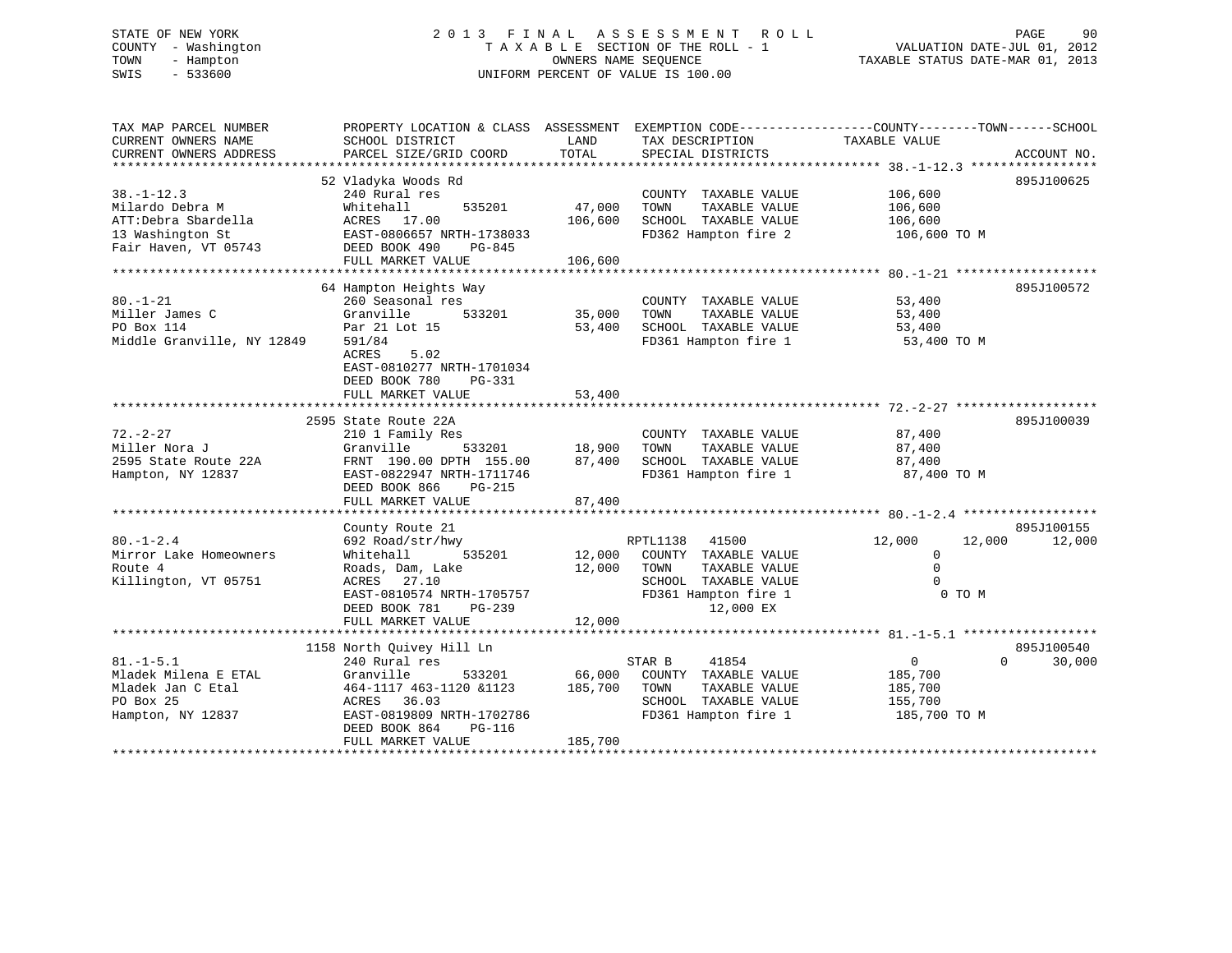# STATE OF NEW YORK 2 0 1 3 F I N A L A S S E S S M E N T R O L L PAGE 90 COUNTY - Washington T A X A B L E SECTION OF THE ROLL - 1 VALUATION DATE-JUL 01, 2012 TOWN - Hampton OWNERS NAME SEQUENCE TAXABLE STATUS DATE-MAR 01, 2013 SWIS - 533600 UNIFORM PERCENT OF VALUE IS 100.00

| TAX MAP PARCEL NUMBER<br>CURRENT OWNERS NAME<br>CURRENT OWNERS ADDRESS                                 | PROPERTY LOCATION & CLASS ASSESSMENT EXEMPTION CODE---------------COUNTY-------TOWN-----SCHOOL<br>SCHOOL DISTRICT<br>PARCEL SIZE/GRID COORD                                                | LAND<br>TOTAL                     | TAX DESCRIPTION<br>SPECIAL DISTRICTS                                                                                            | TAXABLE VALUE                                                               | ACCOUNT NO.          |
|--------------------------------------------------------------------------------------------------------|--------------------------------------------------------------------------------------------------------------------------------------------------------------------------------------------|-----------------------------------|---------------------------------------------------------------------------------------------------------------------------------|-----------------------------------------------------------------------------|----------------------|
| $38. - 1 - 12.3$<br>Milardo Debra M<br>ATT:Debra Sbardella<br>13 Washington St<br>Fair Haven, VT 05743 | 52 Vladyka Woods Rd<br>240 Rural res<br>535201<br>Whitehall<br>ACRES 17.00<br>EAST-0806657 NRTH-1738033<br>DEED BOOK 490<br>PG-845<br>FULL MARKET VALUE                                    | 47,000<br>106,600<br>106,600      | COUNTY TAXABLE VALUE<br>TAXABLE VALUE<br>TOWN<br>SCHOOL TAXABLE VALUE<br>FD362 Hampton fire 2                                   | 106,600<br>106,600<br>106,600<br>106,600 TO M                               | 895J100625           |
| $80. - 1 - 21$<br>Miller James C<br>PO Box 114<br>Middle Granville, NY 12849                           | 64 Hampton Heights Way<br>260 Seasonal res<br>Granville<br>533201<br>Par 21 Lot 15<br>591/84<br>5.02<br>ACRES<br>EAST-0810277 NRTH-1701034<br>DEED BOOK 780<br>PG-331<br>FULL MARKET VALUE | 35,000<br>53,400<br>53,400        | COUNTY TAXABLE VALUE<br>TOWN<br>TAXABLE VALUE<br>SCHOOL TAXABLE VALUE<br>FD361 Hampton fire 1                                   | 53,400<br>53,400<br>53,400<br>53,400 TO M                                   | 895J100572           |
| $72. - 2 - 27$<br>Miller Nora J<br>2595 State Route 22A<br>Hampton, NY 12837                           | 2595 State Route 22A<br>210 1 Family Res<br>Granville<br>FRNT 190.00 DPTH 155.00<br>EAST-0822947 NRTH-1711746<br>DEED BOOK 866<br>PG-215<br>FULL MARKET VALUE                              | 533201 18,900<br>87,400<br>87,400 | COUNTY TAXABLE VALUE<br>TAXABLE VALUE<br>TOWN<br>SCHOOL TAXABLE VALUE<br>FD361 Hampton fire 1                                   | 87,400<br>87,400<br>87,400<br>87,400 TO M                                   | 895J100039           |
| $80. - 1 - 2.4$<br>Mirror Lake Homeowners<br>Route 4<br>Killington, VT 05751                           | County Route 21<br>692 Road/str/hwy<br>535201<br>Whitehall<br>Roads, Dam, Lake<br>ACRES 27.10<br>EAST-0810574 NRTH-1705757<br>DEED BOOK 781<br>PG-239<br>FULL MARKET VALUE                 | 12,000<br>12,000<br>12,000        | RPTL1138<br>41500<br>COUNTY TAXABLE VALUE<br>TOWN<br>TAXABLE VALUE<br>SCHOOL TAXABLE VALUE<br>FD361 Hampton fire 1<br>12,000 EX | 12,000<br>12,000<br>$\mathbf{0}$<br>$\Omega$<br>$\Omega$<br>0 TO M          | 895J100155<br>12,000 |
| $81. - 1 - 5.1$<br>Mladek Milena E ETAL<br>Mladek Jan C Etal<br>PO Box 25<br>Hampton, NY 12837         | 1158 North Quivey Hill Ln<br>240 Rural res<br>Granville<br>533201<br>464-1117 463-1120 &1123<br>ACRES 36.03<br>EAST-0819809 NRTH-1702786<br>DEED BOOK 864<br>PG-116<br>FULL MARKET VALUE   | 66,000<br>185,700<br>185,700      | STAR B<br>41854<br>COUNTY TAXABLE VALUE<br>TOWN<br>TAXABLE VALUE<br>SCHOOL TAXABLE VALUE<br>FD361 Hampton fire 1                | $\overline{0}$<br>$\Omega$<br>185,700<br>185,700<br>155,700<br>185,700 TO M | 895J100540<br>30,000 |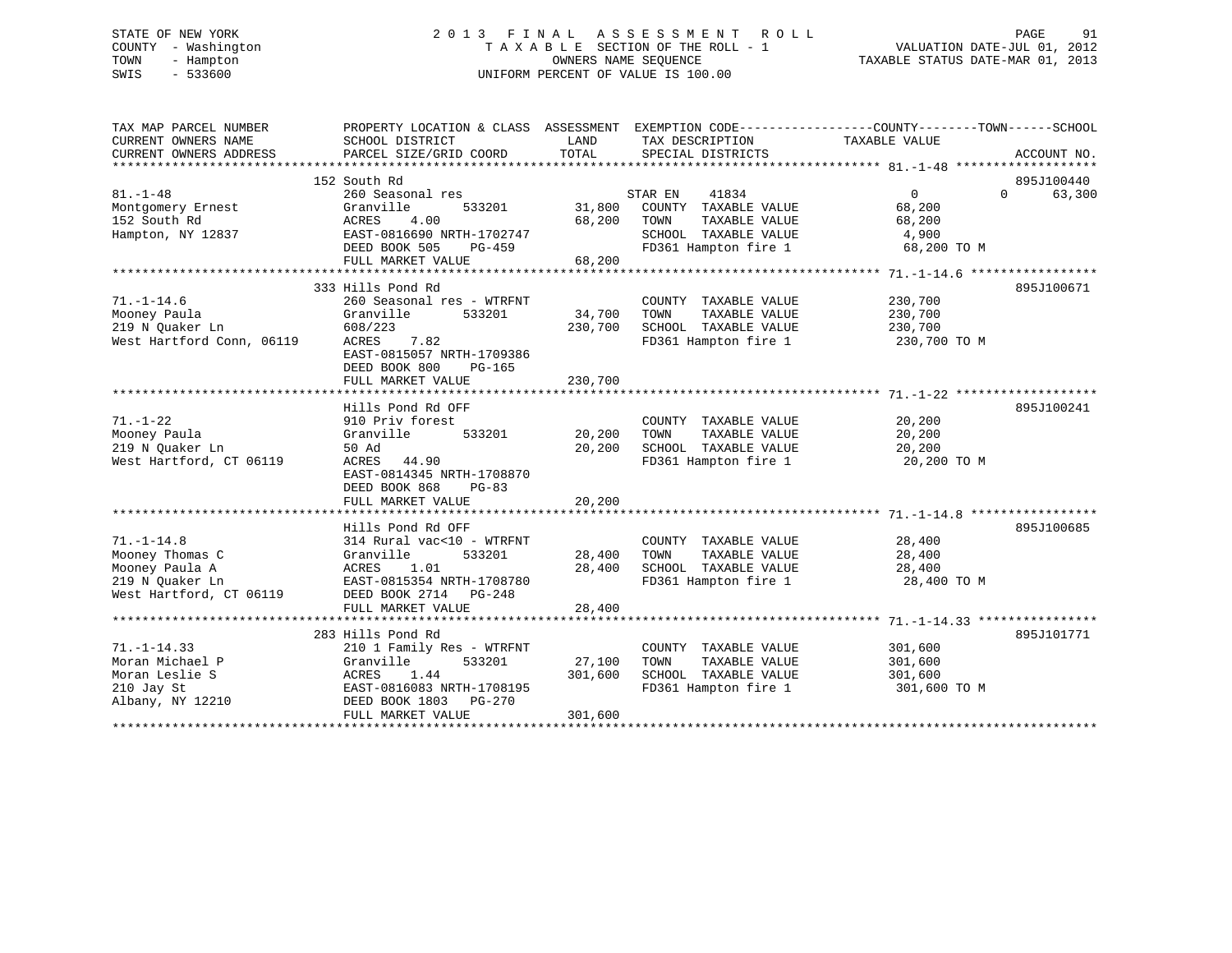# STATE OF NEW YORK 2 0 1 3 F I N A L A S S E S S M E N T R O L L PAGE 91 COUNTY - Washington T A X A B L E SECTION OF THE ROLL - 1 VALUATION DATE-JUL 01, 2012 TOWN - Hampton OWNERS NAME SEQUENCE TAXABLE STATUS DATE-MAR 01, 2013 SWIS - 533600 UNIFORM PERCENT OF VALUE IS 100.00

| TAX MAP PARCEL NUMBER<br>CURRENT OWNERS NAME | PROPERTY LOCATION & CLASS ASSESSMENT EXEMPTION CODE----------------COUNTY-------TOWN------SCHOOL<br>SCHOOL DISTRICT | LAND    | TAX DESCRIPTION                   | TAXABLE VALUE |                    |
|----------------------------------------------|---------------------------------------------------------------------------------------------------------------------|---------|-----------------------------------|---------------|--------------------|
| CURRENT OWNERS ADDRESS                       | PARCEL SIZE/GRID COORD                                                                                              | TOTAL   | SPECIAL DISTRICTS                 |               | ACCOUNT NO.        |
|                                              |                                                                                                                     |         |                                   |               |                    |
|                                              | 152 South Rd                                                                                                        |         |                                   |               | 895J100440         |
| $81. - 1 - 48$                               | 260 Seasonal res                                                                                                    |         | STAR EN<br>41834                  | $\Omega$      | $\Omega$<br>63,300 |
| Montgomery Ernest                            | Granville<br>533201                                                                                                 | 31,800  | COUNTY TAXABLE VALUE              | 68,200        |                    |
| 152 South Rd                                 | ACRES<br>4.00                                                                                                       | 68,200  | TOWN<br>TAXABLE VALUE             | 68,200        |                    |
| Hampton, NY 12837                            | EAST-0816690 NRTH-1702747                                                                                           |         | SCHOOL TAXABLE VALUE              | 4,900         |                    |
|                                              | DEED BOOK 505<br>PG-459                                                                                             |         | FD361 Hampton fire 1              | 68,200 TO M   |                    |
|                                              | FULL MARKET VALUE                                                                                                   | 68,200  |                                   |               |                    |
|                                              |                                                                                                                     |         |                                   |               |                    |
|                                              | 333 Hills Pond Rd                                                                                                   |         |                                   |               | 895J100671         |
| $71. - 1 - 14.6$                             | 260 Seasonal res - WTRFNT                                                                                           |         | COUNTY TAXABLE VALUE              | 230,700       |                    |
| Mooney Paula                                 | Granville<br>533201                                                                                                 | 34,700  | TOWN<br>TAXABLE VALUE             | 230,700       |                    |
| 219 N Quaker Ln                              | 608/223                                                                                                             | 230,700 | SCHOOL TAXABLE VALUE              | 230,700       |                    |
| West Hartford Conn, 06119                    | ACRES<br>7.82                                                                                                       |         | FD361 Hampton fire 1 230,700 TO M |               |                    |
|                                              | EAST-0815057 NRTH-1709386                                                                                           |         |                                   |               |                    |
|                                              | DEED BOOK 800<br>$PG-165$                                                                                           |         |                                   |               |                    |
|                                              | FULL MARKET VALUE                                                                                                   | 230,700 |                                   |               |                    |
|                                              |                                                                                                                     |         |                                   |               |                    |
|                                              | Hills Pond Rd OFF                                                                                                   |         |                                   |               | 895J100241         |
| $71. - 1 - 22$                               | 910 Priv forest                                                                                                     |         | COUNTY TAXABLE VALUE              | 20,200        |                    |
| Mooney Paula                                 | Granville<br>533201                                                                                                 | 20,200  | TOWN<br>TAXABLE VALUE             | 20,200        |                    |
| 219 N Ouaker Ln                              | 50 Ad                                                                                                               | 20,200  | SCHOOL TAXABLE VALUE              | 20,200        |                    |
| West Hartford, CT 06119                      | ACRES 44.90                                                                                                         |         | FD361 Hampton fire 1              | 20,200 TO M   |                    |
|                                              | EAST-0814345 NRTH-1708870                                                                                           |         |                                   |               |                    |
|                                              | DEED BOOK 868<br>$PG-83$                                                                                            |         |                                   |               |                    |
|                                              | FULL MARKET VALUE                                                                                                   | 20,200  |                                   |               |                    |
|                                              |                                                                                                                     |         |                                   |               |                    |
|                                              | Hills Pond Rd OFF                                                                                                   |         |                                   |               | 895J100685         |
| $71. - 1 - 14.8$                             | 314 Rural vac<10 - WTRFNT                                                                                           |         | COUNTY TAXABLE VALUE              | 28,400        |                    |
| Mooney Thomas C                              | Granville<br>533201                                                                                                 | 28,400  | TOWN<br>TAXABLE VALUE             | 28,400        |                    |
| Mooney Paula A                               | ACRES<br>1.01                                                                                                       | 28,400  | SCHOOL TAXABLE VALUE              | 28,400        |                    |
| 219 N Ouaker Ln                              | EAST-0815354 NRTH-1708780                                                                                           |         | FD361 Hampton fire 1              | 28,400 TO M   |                    |
| West Hartford, CT 06119                      | DEED BOOK 2714 PG-248                                                                                               |         |                                   |               |                    |
|                                              | FULL MARKET VALUE                                                                                                   | 28,400  |                                   |               |                    |
|                                              | 283 Hills Pond Rd                                                                                                   |         |                                   |               | 895J101771         |
| $71. - 1 - 14.33$                            | 210 1 Family Res - WTRFNT                                                                                           |         | COUNTY TAXABLE VALUE              | 301,600       |                    |
| Moran Michael P                              | 533201<br>Granville                                                                                                 | 27,100  | TAXABLE VALUE<br>TOWN             | 301,600       |                    |
| Moran Leslie S                               | ACRES<br>1.44                                                                                                       | 301,600 | SCHOOL TAXABLE VALUE              | 301,600       |                    |
| 210 Jay St                                   | EAST-0816083 NRTH-1708195                                                                                           |         | FD361 Hampton fire 1              | 301,600 TO M  |                    |
| Albany, NY 12210                             | DEED BOOK 1803 PG-270                                                                                               |         |                                   |               |                    |
|                                              | FULL MARKET VALUE                                                                                                   | 301,600 |                                   |               |                    |
|                                              |                                                                                                                     |         |                                   |               |                    |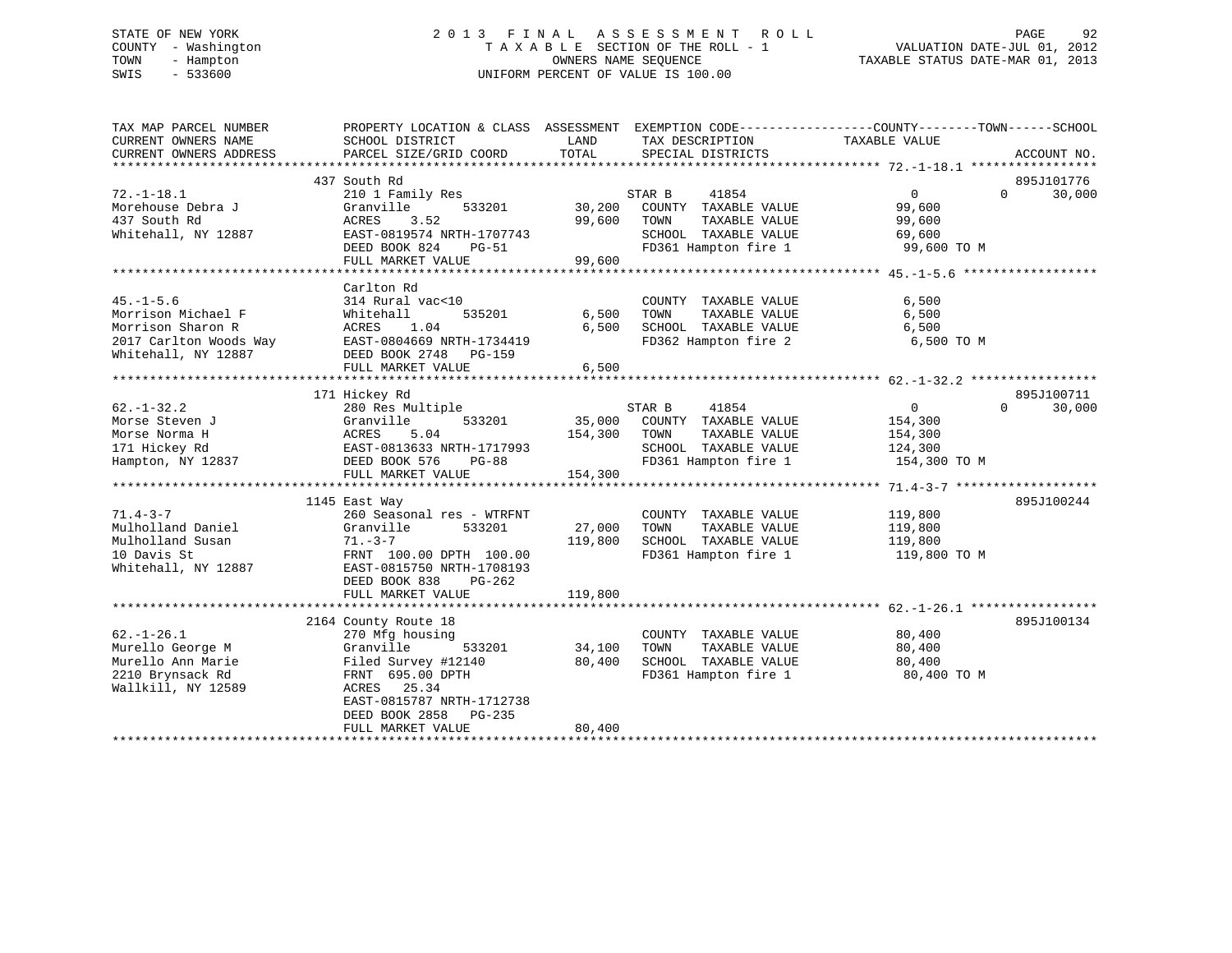# STATE OF NEW YORK 2 0 1 3 F I N A L A S S E S S M E N T R O L L PAGE 92 COUNTY - Washington T A X A B L E SECTION OF THE ROLL - 1 VALUATION DATE-JUL 01, 2012 TOWN - Hampton OWNERS NAME SEQUENCE TAXABLE STATUS DATE-MAR 01, 2013 SWIS - 533600 UNIFORM PERCENT OF VALUE IS 100.00

| TAX MAP PARCEL NUMBER<br>CURRENT OWNERS NAME | PROPERTY LOCATION & CLASS ASSESSMENT EXEMPTION CODE---------------COUNTY-------TOWN------SCHOOL<br>SCHOOL DISTRICT | LAND    | TAX DESCRIPTION             | TAXABLE VALUE                    |                    |
|----------------------------------------------|--------------------------------------------------------------------------------------------------------------------|---------|-----------------------------|----------------------------------|--------------------|
| CURRENT OWNERS ADDRESS                       | PARCEL SIZE/GRID COORD                                                                                             | TOTAL   | SPECIAL DISTRICTS           |                                  | ACCOUNT NO.        |
|                                              |                                                                                                                    |         |                             |                                  |                    |
|                                              | 437 South Rd                                                                                                       |         |                             |                                  | 895J101776         |
| $72. - 1 - 18.1$                             | 210 1 Family Res                                                                                                   |         | 41854<br>STAR B             | $0 \qquad \qquad$                | 30,000<br>$\Omega$ |
| Morehouse Debra J                            | Granville<br>533201                                                                                                | 30,200  | COUNTY TAXABLE VALUE        | 99,600                           |                    |
| 437 South Rd                                 | 3.52<br>ACRES                                                                                                      | 99,600  | TOWN<br>TAXABLE VALUE       | 99,600                           |                    |
| Whitehall, NY 12887                          | EAST-0819574 NRTH-1707743                                                                                          |         | SCHOOL TAXABLE VALUE        | 69,600                           |                    |
|                                              | DEED BOOK 824<br>PG-51                                                                                             |         |                             | FD361 Hampton fire 1 99,600 TO M |                    |
|                                              | FULL MARKET VALUE                                                                                                  | 99,600  |                             |                                  |                    |
|                                              |                                                                                                                    |         |                             |                                  |                    |
|                                              | Carlton Rd                                                                                                         |         |                             |                                  |                    |
| $45. - 1 - 5.6$                              | 314 Rural vac<10                                                                                                   |         | COUNTY TAXABLE VALUE        | 6,500                            |                    |
| Morrison Michael F                           | 535201<br>Whitehall                                                                                                | 6,500   | TOWN<br>TAXABLE VALUE       | 6,500                            |                    |
| Morrison Sharon R                            | 1.04<br>ACRES                                                                                                      | 6,500   | SCHOOL TAXABLE VALUE        | 6,500                            |                    |
| 2017 Carlton Woods Way                       | EAST-0804669 NRTH-1734419                                                                                          |         | FD362 Hampton fire 2        | 6,500 TO M                       |                    |
| Whitehall, NY 12887                          | DEED BOOK 2748<br>PG-159                                                                                           |         |                             |                                  |                    |
|                                              | FULL MARKET VALUE                                                                                                  | 6,500   |                             |                                  |                    |
|                                              |                                                                                                                    |         |                             |                                  |                    |
|                                              | 171 Hickey Rd                                                                                                      |         |                             |                                  | 895J100711         |
| $62. - 1 - 32.2$                             | 280 Res Multiple                                                                                                   |         | 41854<br>STAR B             | $\overline{0}$                   | 30,000<br>$\Omega$ |
| Morse Steven J                               | 533201<br>Granville                                                                                                |         | 35,000 COUNTY TAXABLE VALUE | 154,300                          |                    |
| Morse Norma H                                | ACRES<br>5.04                                                                                                      | 154,300 | TOWN<br>TAXABLE VALUE       | 154,300                          |                    |
| 171 Hickey Rd                                | EAST-0813633 NRTH-1717993                                                                                          |         | SCHOOL TAXABLE VALUE        | 124,300                          |                    |
| Hampton, NY 12837                            | DEED BOOK 576<br><b>PG-88</b>                                                                                      |         | FD361 Hampton fire 1        | 154,300 TO M                     |                    |
|                                              | FULL MARKET VALUE                                                                                                  | 154,300 |                             |                                  |                    |
|                                              |                                                                                                                    |         |                             |                                  |                    |
|                                              | 1145 East Way                                                                                                      |         |                             |                                  | 895J100244         |
| $71.4 - 3 - 7$                               | 260 Seasonal res - WTRFNT                                                                                          |         | COUNTY TAXABLE VALUE        | 119,800                          |                    |
| Mulholland Daniel                            | Granville<br>533201                                                                                                | 27,000  | TAXABLE VALUE<br>TOWN       | 119,800                          |                    |
| Mulholland Susan                             | $71. - 3 - 7$                                                                                                      | 119,800 | SCHOOL TAXABLE VALUE        | 119,800                          |                    |
| 10 Davis St                                  |                                                                                                                    |         | FD361 Hampton fire 1        |                                  |                    |
|                                              | FRNT 100.00 DPTH 100.00                                                                                            |         |                             | 119,800 TO M                     |                    |
| Whitehall, NY 12887                          | EAST-0815750 NRTH-1708193                                                                                          |         |                             |                                  |                    |
|                                              | DEED BOOK 838<br>PG-262                                                                                            |         |                             |                                  |                    |
|                                              | FULL MARKET VALUE                                                                                                  | 119,800 |                             |                                  |                    |
|                                              |                                                                                                                    |         |                             |                                  |                    |
|                                              | 2164 County Route 18                                                                                               |         |                             |                                  | 895J100134         |
| $62. - 1 - 26.1$                             | 270 Mfg housing                                                                                                    |         | COUNTY TAXABLE VALUE        | 80,400                           |                    |
| Murello George M                             | Granville<br>533201                                                                                                | 34,100  | TOWN<br>TAXABLE VALUE       | 80,400                           |                    |
| Murello Ann Marie                            | Filed Survey #12140                                                                                                | 80,400  | SCHOOL TAXABLE VALUE        | 80,400                           |                    |
| 2210 Brynsack Rd                             | FRNT 695.00 DPTH                                                                                                   |         | FD361 Hampton fire 1        | 80,400 TO M                      |                    |
| Wallkill, NY 12589                           | ACRES 25.34                                                                                                        |         |                             |                                  |                    |
|                                              | EAST-0815787 NRTH-1712738                                                                                          |         |                             |                                  |                    |
|                                              | DEED BOOK 2858<br>PG-235                                                                                           |         |                             |                                  |                    |
|                                              | FULL MARKET VALUE                                                                                                  | 80,400  |                             |                                  |                    |
|                                              |                                                                                                                    |         |                             |                                  |                    |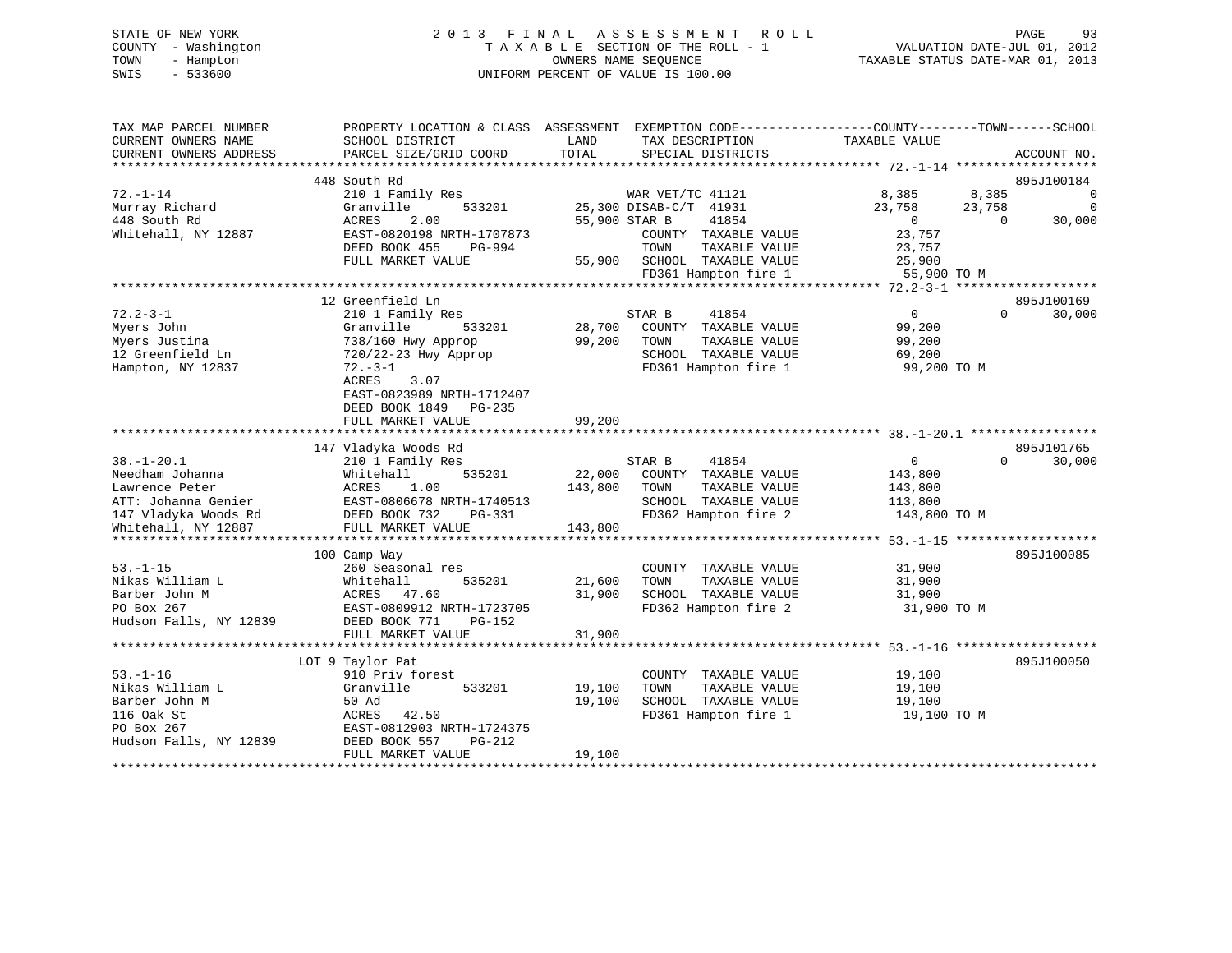# STATE OF NEW YORK 2 0 1 3 F I N A L A S S E S S M E N T R O L L PAGE 93 COUNTY - Washington T A X A B L E SECTION OF THE ROLL - 1 VALUATION DATE-JUL 01, 2012 TOWN - Hampton OWNERS NAME SEQUENCE TAXABLE STATUS DATE-MAR 01, 2013 SWIS - 533600 UNIFORM PERCENT OF VALUE IS 100.00

| TAX MAP PARCEL NUMBER<br>CURRENT OWNERS NAME | PROPERTY LOCATION & CLASS ASSESSMENT<br>SCHOOL DISTRICT | LAND<br>TAX DESCRIPTION        | EXEMPTION CODE-----------------COUNTY-------TOWN------SCHOOL<br>TAXABLE VALUE |                          |
|----------------------------------------------|---------------------------------------------------------|--------------------------------|-------------------------------------------------------------------------------|--------------------------|
| CURRENT OWNERS ADDRESS                       | PARCEL SIZE/GRID COORD                                  | TOTAL<br>SPECIAL DISTRICTS     |                                                                               | ACCOUNT NO.              |
|                                              | 448 South Rd                                            |                                |                                                                               | 895J100184               |
| $72. - 1 - 14$                               | 210 1 Family Res                                        | WAR VET/TC 41121               | 8,385                                                                         | 8,385<br>0               |
| Murray Richard                               | Granville<br>533201                                     | 25,300 DISAB-C/T 41931         | 23,758                                                                        | 23,758<br>$\overline{0}$ |
| 448 South Rd                                 | 2.00<br>ACRES                                           | 55,900 STAR B                  | 41854<br>$\overline{0}$                                                       | 30,000<br>$\Omega$       |
| Whitehall, NY 12887                          | EAST-0820198 NRTH-1707873                               | COUNTY TAXABLE VALUE           | 23,757                                                                        |                          |
|                                              | DEED BOOK 455<br>PG-994                                 | TOWN                           | TAXABLE VALUE<br>23,757                                                       |                          |
|                                              | FULL MARKET VALUE                                       | SCHOOL TAXABLE VALUE<br>55,900 | 25,900                                                                        |                          |
|                                              |                                                         | FD361 Hampton fire 1           |                                                                               | 55,900 TO M              |
|                                              |                                                         |                                |                                                                               |                          |
|                                              | 12 Greenfield Ln                                        |                                |                                                                               | 895J100169               |
| $72.2 - 3 - 1$                               | 210 1 Family Res                                        | STAR B                         | 0<br>41854                                                                    | $\Omega$<br>30,000       |
| Myers John                                   | 533201<br>Granville                                     | 28,700<br>COUNTY TAXABLE VALUE | 99,200                                                                        |                          |
| Myers Justina                                | 738/160 Hwy Approp                                      | 99,200<br>TOWN                 | TAXABLE VALUE<br>99,200                                                       |                          |
| 12 Greenfield Ln                             | 720/22-23 Hwy Approp                                    | SCHOOL TAXABLE VALUE           | 69,200                                                                        |                          |
| Hampton, NY 12837                            | $72. - 3 - 1$                                           | FD361 Hampton fire 1           |                                                                               | 99,200 TO M              |
|                                              | 3.07<br>ACRES                                           |                                |                                                                               |                          |
|                                              | EAST-0823989 NRTH-1712407                               |                                |                                                                               |                          |
|                                              | DEED BOOK 1849 PG-235                                   |                                |                                                                               |                          |
|                                              | FULL MARKET VALUE                                       | 99,200                         |                                                                               |                          |
|                                              |                                                         |                                |                                                                               |                          |
|                                              | 147 Vladyka Woods Rd                                    |                                |                                                                               | 895J101765               |
| $38. - 1 - 20.1$                             | 210 1 Family Res                                        | STAR B                         | 41854<br>$\overline{0}$                                                       | 30,000<br>$\Omega$       |
| Needham Johanna                              | Whitehall<br>535201                                     | 22,000<br>COUNTY TAXABLE VALUE | 143,800                                                                       |                          |
| Lawrence Peter                               | ACRES<br>1.00                                           | 143,800<br>TOWN                | TAXABLE VALUE<br>143,800                                                      |                          |
| ATT: Johanna Genier                          | EAST-0806678 NRTH-1740513                               | SCHOOL TAXABLE VALUE           | 113,800                                                                       |                          |
| 147 Vladyka Woods Rd                         | DEED BOOK 732<br>PG-331                                 | FD362 Hampton fire 2           | 143,800 TO M                                                                  |                          |
| Whitehall, NY 12887                          | FULL MARKET VALUE                                       | 143,800                        |                                                                               |                          |
|                                              |                                                         |                                |                                                                               |                          |
|                                              | 100 Camp Way                                            |                                |                                                                               | 895J100085               |
| $53. - 1 - 15$                               | 260 Seasonal res                                        | COUNTY TAXABLE VALUE           | 31,900                                                                        |                          |
| Nikas William L                              | Whitehall<br>535201                                     | 21,600<br>TOWN                 | TAXABLE VALUE<br>31,900                                                       |                          |
| Barber John M                                | ACRES 47.60                                             | 31,900<br>SCHOOL TAXABLE VALUE | 31,900                                                                        |                          |
| PO Box 267                                   | EAST-0809912 NRTH-1723705                               | FD362 Hampton fire 2           |                                                                               | 31,900 TO M              |
| Hudson Falls, NY 12839                       | DEED BOOK 771<br>PG-152                                 |                                |                                                                               |                          |
|                                              | FULL MARKET VALUE                                       | 31,900                         |                                                                               |                          |
|                                              | **************************                              |                                |                                                                               |                          |
|                                              | LOT 9 Taylor Pat                                        |                                |                                                                               | 895J100050               |
| $53. - 1 - 16$                               | 910 Priv forest                                         | COUNTY TAXABLE VALUE           | 19,100                                                                        |                          |
| Nikas William L                              | Granville<br>533201                                     | 19,100<br>TOWN                 | TAXABLE VALUE<br>19,100                                                       |                          |
| Barber John M                                | 50 Ad                                                   | 19,100<br>SCHOOL TAXABLE VALUE | 19,100                                                                        |                          |
| 116 Oak St                                   | ACRES<br>42.50                                          | FD361 Hampton fire 1           |                                                                               | 19,100 TO M              |
| PO Box 267                                   | EAST-0812903 NRTH-1724375                               |                                |                                                                               |                          |
| Hudson Falls, NY 12839                       | DEED BOOK 557<br>PG-212                                 |                                |                                                                               |                          |
|                                              | FULL MARKET VALUE                                       | 19,100                         |                                                                               |                          |
|                                              |                                                         |                                |                                                                               |                          |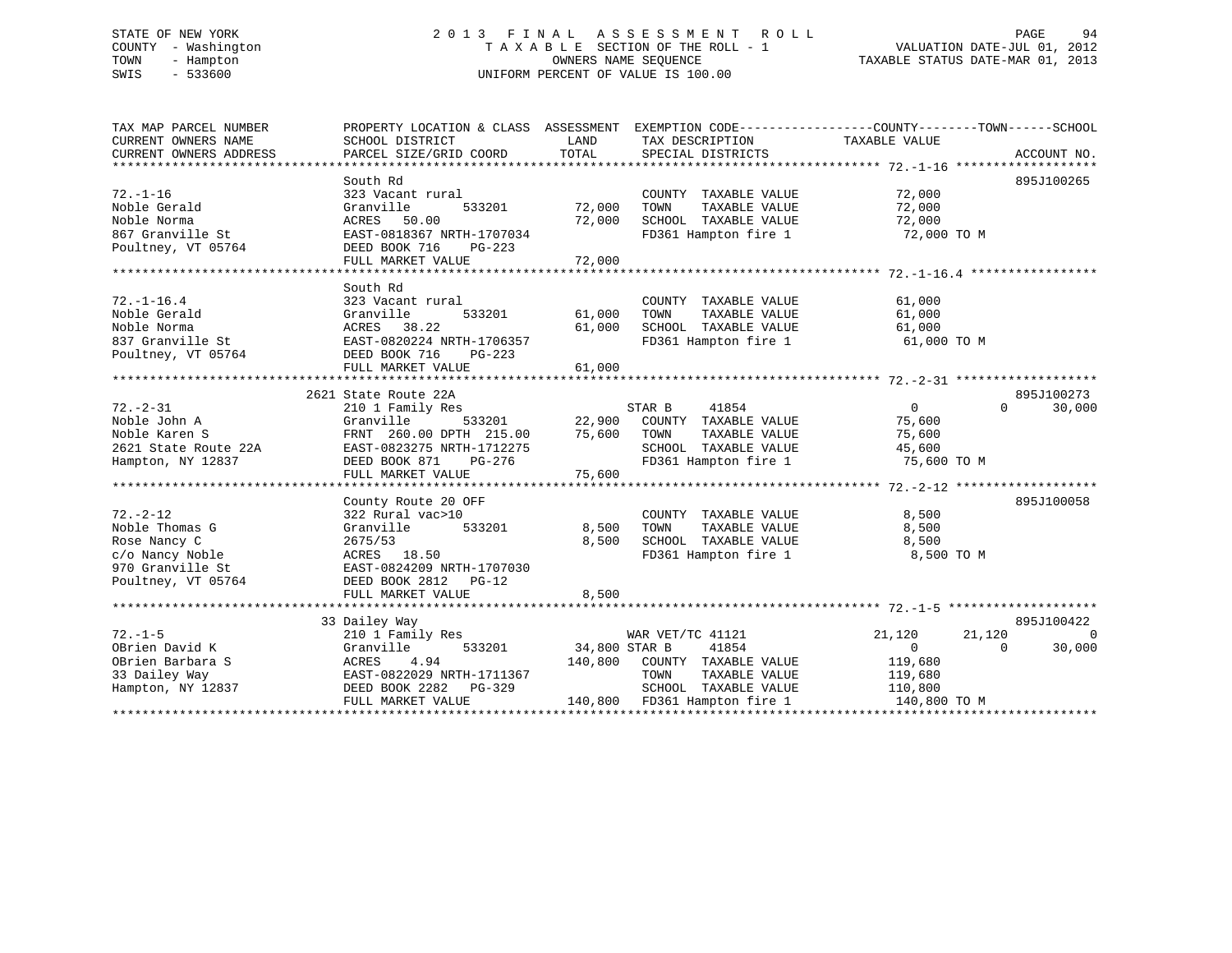# STATE OF NEW YORK 2 0 1 3 F I N A L A S S E S S M E N T R O L L PAGE 94 COUNTY - Washington T A X A B L E SECTION OF THE ROLL - 1 VALUATION DATE-JUL 01, 2012 TOWN - Hampton OWNERS NAME SEQUENCE TAXABLE STATUS DATE-MAR 01, 2013 SWIS - 533600 UNIFORM PERCENT OF VALUE IS 100.00

| TAX MAP PARCEL NUMBER                         |                                                                                                                                                                           | PROPERTY LOCATION & CLASS ASSESSMENT EXEMPTION CODE---------------COUNTY-------TOWN------SCHOOL                                                                                                                                                                                       |                                      |
|-----------------------------------------------|---------------------------------------------------------------------------------------------------------------------------------------------------------------------------|---------------------------------------------------------------------------------------------------------------------------------------------------------------------------------------------------------------------------------------------------------------------------------------|--------------------------------------|
| CURRENT OWNERS NAME<br>CURRENT OWNERS ADDRESS | SCHOOL DISTRICT                                                                                                                                                           | <b>EXAMPLE THE EXAMPLE THE EXAMPLE THE EXAMPLE THE EXAMPLE THE EXAMPLE THE EXAMPLE THE EXAMPLE THE EXAMPLE THE EXAMPLE THE EXAMPLE THE EXAMPLE THE EXAMPLE THE EXAMPLE THE EXAMPLE THE EXAMPLE THE EXAMPLE THE EXAMPLE THE EXAMP</b><br>TAX DESCRIPTION<br>TOTAL<br>SPECIAL DISTRICTS | TAXABLE VALUE<br>ACCOUNT NO.         |
|                                               | PARCEL SIZE/GRID COORD                                                                                                                                                    |                                                                                                                                                                                                                                                                                       |                                      |
|                                               | South Rd                                                                                                                                                                  |                                                                                                                                                                                                                                                                                       | 895J100265                           |
| $72. - 1 - 16$                                | 323 Vacant rural                                                                                                                                                          | COUNTY TAXABLE VALUE                                                                                                                                                                                                                                                                  | 72,000                               |
| Noble Gerald                                  | Granville<br>533201                                                                                                                                                       | 72,000<br>TAXABLE VALUE<br>TOWN                                                                                                                                                                                                                                                       | 72,000                               |
| Noble Norma                                   | ACRES 50.00                                                                                                                                                               | 72,000<br>SCHOOL TAXABLE VALUE                                                                                                                                                                                                                                                        | 72,000                               |
| 867 Granville St                              | EAST-0818367 NRTH-1707034                                                                                                                                                 | FD361 Hampton fire 1 72,000 TO M                                                                                                                                                                                                                                                      |                                      |
| Poultney, VT 05764                            | DEED BOOK 716<br>PG-223                                                                                                                                                   |                                                                                                                                                                                                                                                                                       |                                      |
|                                               | FULL MARKET VALUE                                                                                                                                                         | 72,000                                                                                                                                                                                                                                                                                |                                      |
|                                               |                                                                                                                                                                           |                                                                                                                                                                                                                                                                                       |                                      |
|                                               | South Rd                                                                                                                                                                  |                                                                                                                                                                                                                                                                                       |                                      |
| $72. - 1 - 16.4$                              | 323 Vacant rural                                                                                                                                                          | COUNTY TAXABLE VALUE                                                                                                                                                                                                                                                                  | 61,000                               |
|                                               |                                                                                                                                                                           | 533201 61,000<br>TOWN<br>TAXABLE VALUE                                                                                                                                                                                                                                                | 61,000                               |
|                                               |                                                                                                                                                                           | 61,000                                                                                                                                                                                                                                                                                |                                      |
|                                               |                                                                                                                                                                           |                                                                                                                                                                                                                                                                                       |                                      |
| Poultney, VT 05764 DEED BOOK 716              | PG-223                                                                                                                                                                    |                                                                                                                                                                                                                                                                                       |                                      |
|                                               | FULL MARKET VALUE 61,000                                                                                                                                                  |                                                                                                                                                                                                                                                                                       |                                      |
|                                               |                                                                                                                                                                           |                                                                                                                                                                                                                                                                                       |                                      |
|                                               | 2621 State Route 22A                                                                                                                                                      |                                                                                                                                                                                                                                                                                       | 895J100273                           |
| $72. - 2 - 31$                                | 210 1 Family Res                                                                                                                                                          | $\begin{array}{ccccccccc} \texttt{533201} & & & & & \texttt{STAR B} & & & \texttt{41854} \\ & & & & & & \texttt{22,900} & & \texttt{COUNTY} & & \texttt{TAXABLE VALUE} \end{array}$                                                                                                   | $\overline{0}$<br>30,000<br>$\Omega$ |
|                                               | Granville                                                                                                                                                                 |                                                                                                                                                                                                                                                                                       | 75,600                               |
|                                               | FRNT 260.00 DPTH 215.00 75,600 TOWN                                                                                                                                       | TAXABLE VALUE                                                                                                                                                                                                                                                                         | 75,600                               |
|                                               | EAST-0823275 NRTH-1712275                                                                                                                                                 | $\overline{5}$                                                                                                                                                                                                                                                                        |                                      |
|                                               | Noble John A<br>Noble Karen S<br>2621 State Route 22A<br>275 SERT-0823275 NRTH-171227<br>275 SEED BOOK 871<br>276 SEED BOOK 871<br>277 SEED BOOK 871<br>277 SEED BOOK 871 | SCHOOL TAXABLE VALUE 45,600<br>FD361 Hampton fire 1 75,600 TO M                                                                                                                                                                                                                       |                                      |
|                                               | FULL MARKET VALUE                                                                                                                                                         | 75,600                                                                                                                                                                                                                                                                                |                                      |
|                                               |                                                                                                                                                                           |                                                                                                                                                                                                                                                                                       |                                      |
|                                               | County Route 20 OFF                                                                                                                                                       |                                                                                                                                                                                                                                                                                       | 895J100058                           |
| $72. - 2 - 12$                                | 322 Rural vac>10                                                                                                                                                          | COUNTY TAXABLE VALUE                                                                                                                                                                                                                                                                  | 8,500                                |
| Noble Thomas G                                | Granville<br>533201                                                                                                                                                       | 8,500<br>TOWN<br>TAXABLE VALUE                                                                                                                                                                                                                                                        | 8,500                                |
| Rose Nancy C                                  | 2675/53                                                                                                                                                                   | 8,500<br>SCHOOL TAXABLE VALUE                                                                                                                                                                                                                                                         | 8,500                                |
| c/o Nancy Noble                               | ACRES 18.50                                                                                                                                                               | FD361 Hampton fire 1                                                                                                                                                                                                                                                                  | 8,500 TO M                           |
| 970 Granville St                              | EAST-0824209 NRTH-1707030<br>DEED BOOK 2812 PG-12                                                                                                                         |                                                                                                                                                                                                                                                                                       |                                      |
| Poultney, VT 05764                            | DEED BOOK 2812 PG-12                                                                                                                                                      |                                                                                                                                                                                                                                                                                       |                                      |
|                                               | FULL MARKET VALUE                                                                                                                                                         | 8,500                                                                                                                                                                                                                                                                                 |                                      |
|                                               |                                                                                                                                                                           |                                                                                                                                                                                                                                                                                       |                                      |
|                                               | 33 Dailey Way                                                                                                                                                             |                                                                                                                                                                                                                                                                                       | 895J100422                           |
| $72. - 1 - 5$                                 | 210 1 Family Res                                                                                                                                                          | WAR VET/TC 41121                                                                                                                                                                                                                                                                      | 21,120<br>21,120<br>0                |
| OBrien David K                                | 533201<br>Granville                                                                                                                                                       | 34,800 STAR B<br>41854                                                                                                                                                                                                                                                                | 30,000<br>$\overline{0}$<br>$\Omega$ |
| OBrien Barbara S                              | 4.94<br>ACRES                                                                                                                                                             | 140,800 COUNTY TAXABLE VALUE                                                                                                                                                                                                                                                          | 119,680                              |
| 33 Dailey Way                                 | EAST-0822029 NRTH-1711367                                                                                                                                                 | TOWN<br>TAXABLE VALUE                                                                                                                                                                                                                                                                 | 119,680                              |
| Hampton, NY 12837                             | DEED BOOK 2282 PG-329                                                                                                                                                     | SCHOOL TAXABLE VALUE                                                                                                                                                                                                                                                                  | 110,800                              |
|                                               | FULL MARKET VALUE                                                                                                                                                         | 140,800 FD361 Hampton fire 1                                                                                                                                                                                                                                                          | 140,800 TO M                         |
|                                               |                                                                                                                                                                           |                                                                                                                                                                                                                                                                                       |                                      |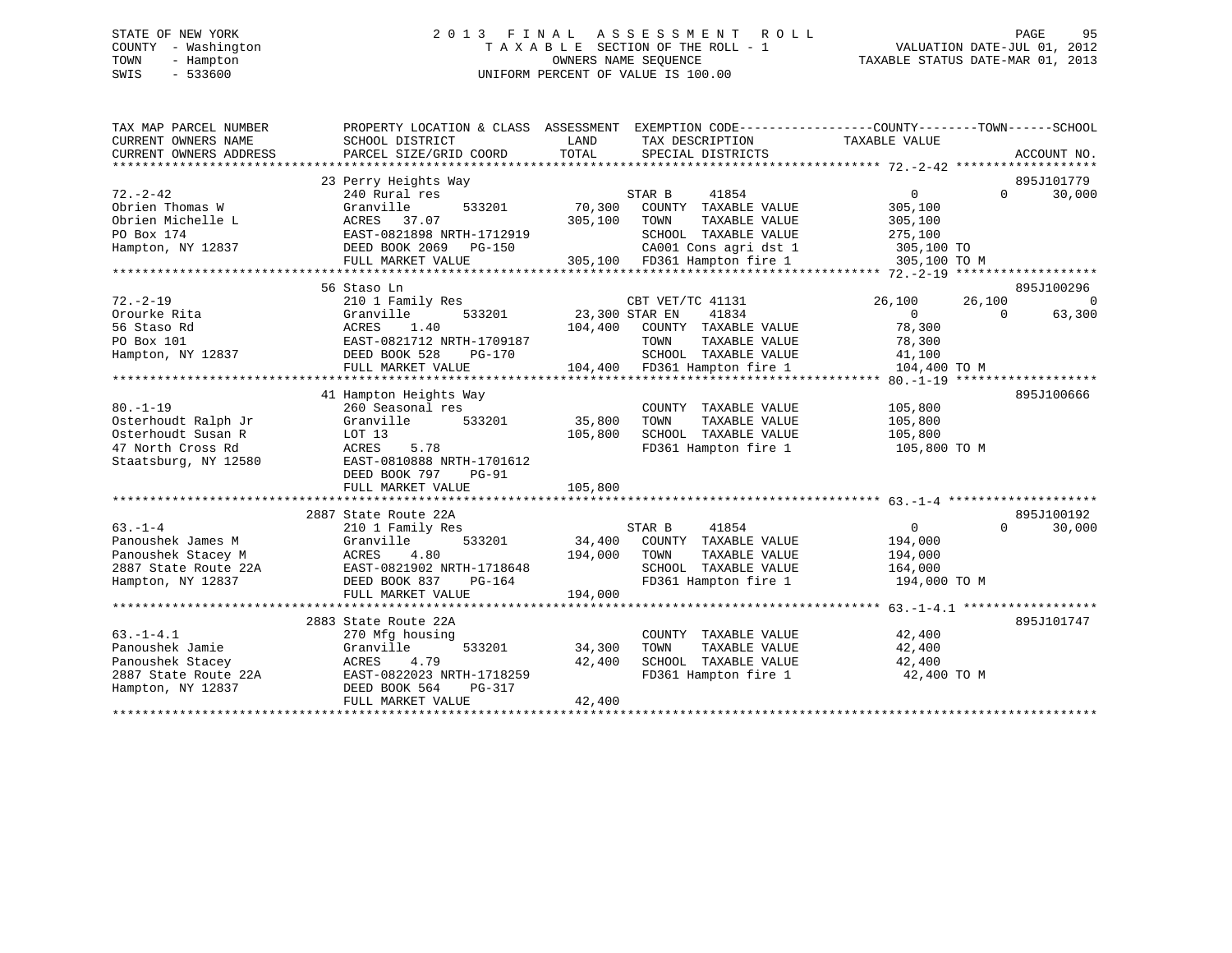# STATE OF NEW YORK 2 0 1 3 F I N A L A S S E S S M E N T R O L L PAGE 95 COUNTY - Washington T A X A B L E SECTION OF THE ROLL - 1 VALUATION DATE-JUL 01, 2012 TOWN - Hampton OWNERS NAME SEQUENCE TAXABLE STATUS DATE-MAR 01, 2013 SWIS - 533600 UNIFORM PERCENT OF VALUE IS 100.00

| TAX MAP PARCEL NUMBER<br>CURRENT OWNERS NAME<br>CURRENT OWNERS ADDRESS | PROPERTY LOCATION & CLASS ASSESSMENT EXEMPTION CODE----------------COUNTY-------TOWN-----SCHOOL<br>SCHOOL DISTRICT<br>PARCEL SIZE/GRID COORD | LAND<br>TOTAL  | TAX DESCRIPTION<br>SPECIAL DISTRICTS | TAXABLE VALUE |          | ACCOUNT NO. |
|------------------------------------------------------------------------|----------------------------------------------------------------------------------------------------------------------------------------------|----------------|--------------------------------------|---------------|----------|-------------|
|                                                                        |                                                                                                                                              |                |                                      |               |          |             |
|                                                                        | 23 Perry Heights Way                                                                                                                         |                |                                      |               |          | 895J101779  |
| $72. - 2 - 42$                                                         | 240 Rural res                                                                                                                                |                | STAR B<br>41854                      | $\Omega$      | $\Omega$ | 30,000      |
| Obrien Thomas W                                                        | Granville<br>533201                                                                                                                          | 70,300         | COUNTY TAXABLE VALUE                 | 305,100       |          |             |
| Obrien Michelle L                                                      | ACRES 37.07                                                                                                                                  | 305,100        | TOWN<br>TAXABLE VALUE                | 305,100       |          |             |
| PO Box 174                                                             | EAST-0821898 NRTH-1712919                                                                                                                    |                | SCHOOL TAXABLE VALUE                 | 275,100       |          |             |
| Hampton, NY 12837                                                      | DEED BOOK 2069<br>PG-150                                                                                                                     |                | CA001 Cons agri dst 1                | 305,100 TO    |          |             |
|                                                                        | FULL MARKET VALUE                                                                                                                            |                | 305,100 FD361 Hampton fire 1         | 305,100 TO M  |          |             |
|                                                                        |                                                                                                                                              |                |                                      |               |          |             |
|                                                                        | 56 Staso Ln                                                                                                                                  |                |                                      |               |          | 895J100296  |
| $72. - 2 - 19$                                                         | 210 1 Family Res                                                                                                                             |                | CBT VET/TC 41131                     | 26,100        | 26,100   | $\Omega$    |
| Orourke Rita                                                           | Granville<br>533201                                                                                                                          | 23,300 STAR EN | 41834                                | $\Omega$      | $\Omega$ | 63,300      |
| 56 Staso Rd                                                            | ACRES<br>1.40                                                                                                                                | 104,400        | COUNTY TAXABLE VALUE                 | 78,300        |          |             |
| PO Box 101                                                             | EAST-0821712 NRTH-1709187                                                                                                                    |                | TOWN<br>TAXABLE VALUE                | 78,300        |          |             |
| Hampton, NY 12837                                                      | DEED BOOK 528<br>PG-170                                                                                                                      |                | SCHOOL TAXABLE VALUE                 | 41,100        |          |             |
|                                                                        | FULL MARKET VALUE                                                                                                                            |                | 104,400 FD361 Hampton fire 1         | 104,400 TO M  |          |             |
|                                                                        |                                                                                                                                              |                |                                      |               |          |             |
|                                                                        | 41 Hampton Heights Way                                                                                                                       |                |                                      |               |          | 895J100666  |
| $80. - 1 - 19$                                                         | 260 Seasonal res                                                                                                                             |                | COUNTY TAXABLE VALUE                 | 105,800       |          |             |
| Osterhoudt Ralph Jr                                                    | Granville<br>533201                                                                                                                          | 35,800         | TOWN<br>TAXABLE VALUE                | 105,800       |          |             |
| Osterhoudt Susan R                                                     | LOT 13                                                                                                                                       | 105,800        | SCHOOL TAXABLE VALUE                 | 105,800       |          |             |
| 47 North Cross Rd                                                      | 5.78<br>ACRES                                                                                                                                |                | FD361 Hampton fire 1                 | 105,800 TO M  |          |             |
| Staatsburg, NY 12580                                                   | EAST-0810888 NRTH-1701612                                                                                                                    |                |                                      |               |          |             |
|                                                                        | DEED BOOK 797<br>$PG-91$                                                                                                                     |                |                                      |               |          |             |
|                                                                        | FULL MARKET VALUE                                                                                                                            | 105,800        |                                      |               |          |             |
|                                                                        |                                                                                                                                              |                |                                      |               |          |             |
|                                                                        | 2887 State Route 22A                                                                                                                         |                |                                      |               |          | 895J100192  |
| $63 - 1 - 4$                                                           | 210 1 Family Res                                                                                                                             |                | STAR B<br>41854                      | $\mathbf{0}$  | $\Omega$ | 30,000      |
| Panoushek James M                                                      | Granville<br>533201                                                                                                                          | 34,400         | COUNTY TAXABLE VALUE                 | 194,000       |          |             |
| Panoushek Stacey M                                                     | ACRES<br>4.80                                                                                                                                | 194,000        | TOWN<br>TAXABLE VALUE                | 194,000       |          |             |
| 2887 State Route 22A                                                   | EAST-0821902 NRTH-1718648                                                                                                                    |                | SCHOOL TAXABLE VALUE                 | 164,000       |          |             |
| Hampton, NY 12837                                                      | DEED BOOK 837<br>PG-164                                                                                                                      |                | FD361 Hampton fire 1                 | 194,000 TO M  |          |             |
|                                                                        | FULL MARKET VALUE                                                                                                                            | 194,000        |                                      |               |          |             |
|                                                                        |                                                                                                                                              |                |                                      |               |          |             |
|                                                                        | 2883 State Route 22A                                                                                                                         |                |                                      |               |          | 895J101747  |
| $63. -1 - 4.1$                                                         | 270 Mfg housing                                                                                                                              |                | COUNTY TAXABLE VALUE                 | 42,400        |          |             |
| Panoushek Jamie                                                        | 533201<br>Granville                                                                                                                          | 34,300         | TOWN<br>TAXABLE VALUE                | 42,400        |          |             |
| Panoushek Stacey                                                       | ACRES<br>4.79                                                                                                                                | 42,400         | SCHOOL TAXABLE VALUE                 | 42,400        |          |             |
| 2887 State Route 22A                                                   | EAST-0822023 NRTH-1718259                                                                                                                    |                | FD361 Hampton fire 1                 | 42,400 TO M   |          |             |
| Hampton, NY 12837                                                      | DEED BOOK 564<br>PG-317                                                                                                                      |                |                                      |               |          |             |
|                                                                        | FULL MARKET VALUE                                                                                                                            | 42,400         |                                      |               |          |             |
|                                                                        |                                                                                                                                              |                |                                      |               |          |             |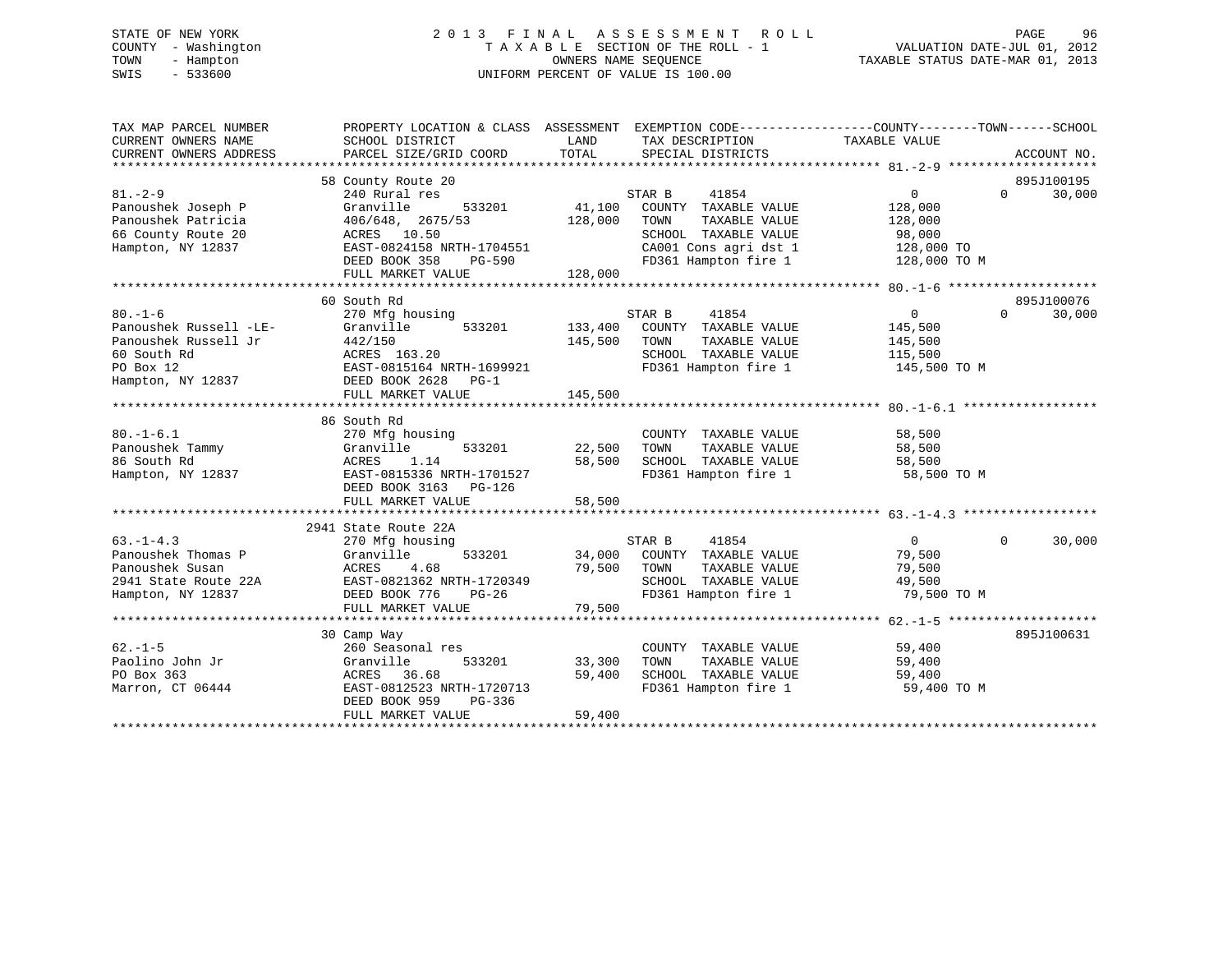# STATE OF NEW YORK 2 0 1 3 F I N A L A S S E S S M E N T R O L L PAGE 96 COUNTY - Washington T A X A B L E SECTION OF THE ROLL - 1 VALUATION DATE-JUL 01, 2012 TOWN - Hampton OWNERS NAME SEQUENCE TAXABLE STATUS DATE-MAR 01, 2013 SWIS - 533600 UNIFORM PERCENT OF VALUE IS 100.00

| TAX MAP PARCEL NUMBER<br>CURRENT OWNERS NAME<br>CURRENT OWNERS ADDRESS                                           | PROPERTY LOCATION & CLASS ASSESSMENT<br>SCHOOL DISTRICT<br>PARCEL SIZE/GRID COORD                                                                                          | LAND<br>TOTAL                | EXEMPTION CODE-----------------COUNTY-------TOWN------SCHOOL<br>TAX DESCRIPTION TAXABLE VALUE<br>SPECIAL DISTRICTS                        |                                                                              | ACCOUNT NO.                      |
|------------------------------------------------------------------------------------------------------------------|----------------------------------------------------------------------------------------------------------------------------------------------------------------------------|------------------------------|-------------------------------------------------------------------------------------------------------------------------------------------|------------------------------------------------------------------------------|----------------------------------|
| $81. - 2 - 9$<br>Panoushek Joseph P<br>Panoushek Patricia<br>66 County Route 20<br>Hampton, NY 12837             | 58 County Route 20<br>240 Rural res<br>533201<br>Granville<br>406/648, 2675/53<br>ACRES 10.50<br>EAST-0824158 NRTH-1704551<br>DEED BOOK 358<br>PG-590<br>FULL MARKET VALUE | 41,100<br>128,000<br>128,000 | STAR B<br>41854<br>COUNTY TAXABLE VALUE<br>TAXABLE VALUE<br>TOWN<br>SCHOOL TAXABLE VALUE<br>CA001 Cons agri dst 1<br>FD361 Hampton fire 1 | $\overline{0}$<br>128,000<br>128,000<br>98,000<br>128,000 TO<br>128,000 TO M | 895J100195<br>30,000<br>$\Omega$ |
|                                                                                                                  |                                                                                                                                                                            |                              |                                                                                                                                           |                                                                              |                                  |
| $80. - 1 - 6$<br>Panoushek Russell -LE-<br>Panoushek Russell Jr<br>60 South Rd<br>PO Box 12<br>Hampton, NY 12837 | 60 South Rd<br>270 Mfg housing<br>533201<br>Granville<br>442/150<br>ACRES 163.20<br>EAST-0815164 NRTH-1699921<br>DEED BOOK 2628 PG-1<br>FULL MARKET VALUE                  | 145,500<br>145,500           | STAR B<br>41854<br>133,400 COUNTY TAXABLE VALUE<br>TAXABLE VALUE<br>TOWN<br>SCHOOL TAXABLE VALUE<br>FD361 Hampton fire 1                  | $\overline{0}$<br>145,500<br>145,500<br>115,500<br>145,500 TO M              | 895J100076<br>$\Omega$<br>30,000 |
|                                                                                                                  |                                                                                                                                                                            |                              |                                                                                                                                           |                                                                              |                                  |
| $80. - 1 - 6.1$<br>Panoushek Tammy<br>86 South Rd<br>Hampton, NY 12837                                           | 86 South Rd<br>270 Mfg housing<br>533201<br>Granville<br>ACRES<br>1.14<br>EAST-0815336 NRTH-1701527<br>DEED BOOK 3163 PG-126<br>FULL MARKET VALUE                          | 22,500<br>58,500<br>58,500   | COUNTY TAXABLE VALUE<br>TOWN<br>TAXABLE VALUE<br>SCHOOL TAXABLE VALUE<br>FD361 Hampton fire 1                                             | 58,500<br>58,500<br>58,500<br>58,500 TO M                                    |                                  |
|                                                                                                                  |                                                                                                                                                                            |                              |                                                                                                                                           |                                                                              |                                  |
| $63. -1 - 4.3$<br>Panoushek Thomas P<br>Panoushek Susan<br>2941 State Route 22A<br>Hampton, NY 12837             | 2941 State Route 22A<br>270 Mfg housing<br>Granville<br>533201<br>ACRES<br>4.68<br>EAST-0821362 NRTH-1720349<br>DEED BOOK 776<br>PG-26<br>FULL MARKET VALUE                | 34,000<br>79,500<br>79,500   | STAR B<br>41854<br>COUNTY TAXABLE VALUE<br>TAXABLE VALUE<br>TOWN<br>SCHOOL TAXABLE VALUE<br>FD361 Hampton fire 1                          | $\overline{0}$<br>79,500<br>79,500<br>49,500<br>79,500 TO M                  | $\Omega$<br>30,000               |
|                                                                                                                  |                                                                                                                                                                            |                              |                                                                                                                                           |                                                                              |                                  |
| $62 - 1 - 5$<br>Paolino John Jr<br>PO Box 363<br>Marron, CT 06444                                                | 30 Camp Way<br>260 Seasonal res<br>533201<br>Granville<br>ACRES 36.68<br>EAST-0812523 NRTH-1720713<br>DEED BOOK 959<br>PG-336<br>FULL MARKET VALUE                         | 33,300<br>59,400<br>59,400   | COUNTY TAXABLE VALUE<br>TOWN<br>TAXABLE VALUE<br>SCHOOL TAXABLE VALUE<br>FD361 Hampton fire 1                                             | 59,400<br>59,400<br>59,400<br>59,400 TO M                                    | 895J100631                       |
|                                                                                                                  |                                                                                                                                                                            |                              |                                                                                                                                           |                                                                              |                                  |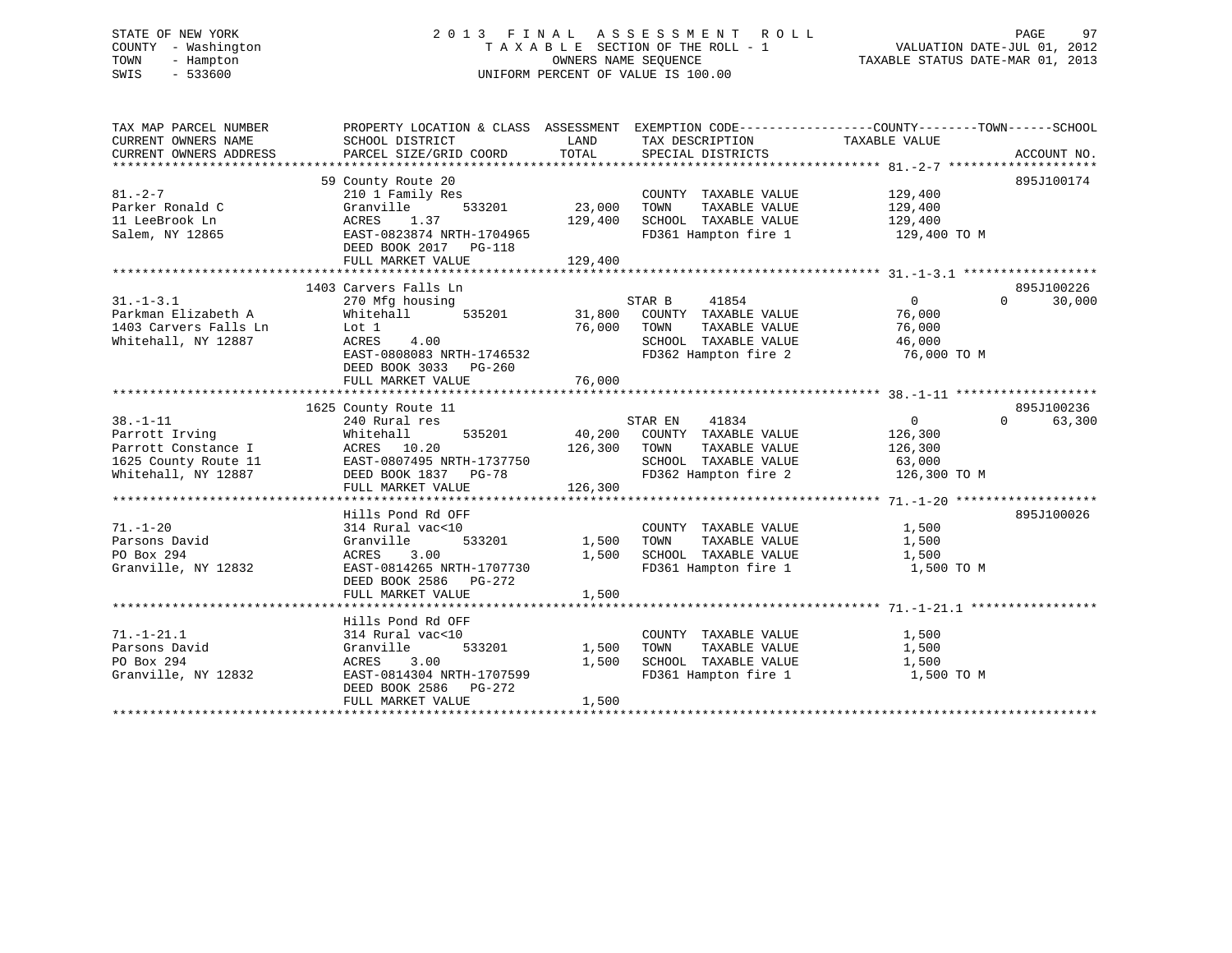# STATE OF NEW YORK 2 0 1 3 F I N A L A S S E S S M E N T R O L L PAGE 97 COUNTY - Washington T A X A B L E SECTION OF THE ROLL - 1 VALUATION DATE-JUL 01, 2012 TOWN - Hampton OWNERS NAME SEQUENCE TAXABLE STATUS DATE-MAR 01, 2013 SWIS - 533600 UNIFORM PERCENT OF VALUE IS 100.00

| TAX MAP PARCEL NUMBER<br>CURRENT OWNERS NAME<br>CURRENT OWNERS ADDRESS                                 | PROPERTY LOCATION & CLASS ASSESSMENT EXEMPTION CODE----------------COUNTY-------TOWN-----SCHOOL<br>SCHOOL DISTRICT<br>PARCEL SIZE/GRID COORD                 | LAND<br>TOTAL                | TAX DESCRIPTION<br>SPECIAL DISTRICTS                                                                                           | TAXABLE VALUE                                               | ACCOUNT NO.                      |
|--------------------------------------------------------------------------------------------------------|--------------------------------------------------------------------------------------------------------------------------------------------------------------|------------------------------|--------------------------------------------------------------------------------------------------------------------------------|-------------------------------------------------------------|----------------------------------|
| $81. - 2 - 7$<br>Parker Ronald C<br>11 LeeBrook Ln<br>Salem, NY 12865                                  | 59 County Route 20<br>210 1 Family Res<br>533201<br>Granville<br>ACRES<br>1.37<br>EAST-0823874 NRTH-1704965<br>DEED BOOK 2017    PG-118<br>FULL MARKET VALUE | 23,000<br>129,400<br>129,400 | COUNTY TAXABLE VALUE<br>TAXABLE VALUE<br>TOWN<br>SCHOOL TAXABLE VALUE<br>FD361 Hampton fire 1                                  | 129,400<br>129,400<br>129,400<br>129,400 TO M               | 895J100174                       |
| $31. - 1 - 3.1$<br>Parkman Elizabeth A<br>1403 Carvers Falls Ln<br>Whitehall, NY 12887                 | 1403 Carvers Falls Ln<br>270 Mfg housing<br>535201<br>Whitehall<br>Lot 1<br>4.00<br>ACRES<br>EAST-0808083 NRTH-1746532<br>DEED BOOK 3033 PG-260              | 76,000                       | STAR B<br>41854<br>31,800 COUNTY TAXABLE VALUE<br>TOWN<br>TAXABLE VALUE<br>SCHOOL TAXABLE VALUE<br>FD362 Hampton fire 2        | $\overline{0}$<br>76,000<br>76,000<br>46,000<br>76,000 TO M | 895J100226<br>$\Omega$<br>30,000 |
|                                                                                                        |                                                                                                                                                              |                              |                                                                                                                                |                                                             |                                  |
| $38. - 1 - 11$<br>Parrott Irving<br>Parrott Constance I<br>1625 County Route 11<br>Whitehall, NY 12887 | 1625 County Route 11<br>240 Rural res<br>535201<br>Whitehall<br>ACRES 10.20<br>EAST-0807495 NRTH-1737750<br>DEED BOOK 1837 PG-78<br>FULL MARKET VALUE        | 40,200<br>126,300<br>126,300 | STAR EN<br>41834<br>COUNTY TAXABLE VALUE<br>TOWN<br>TAXABLE VALUE<br>SCHOOL TAXABLE VALUE<br>FD362 Hampton fire 2 126,300 TO M | 0<br>126,300<br>126,300<br>63,000                           | 895J100236<br>$\Omega$<br>63,300 |
| $71. - 1 - 20$<br>Parsons David<br>PO Box 294<br>Granville, NY 12832                                   | Hills Pond Rd OFF<br>314 Rural vac<10<br>533201<br>Granville<br>ACRES<br>3.00<br>EAST-0814265 NRTH-1707730<br>DEED BOOK 2586 PG-272<br>FULL MARKET VALUE     | 1,500<br>1,500<br>1,500      | COUNTY TAXABLE VALUE<br>TAXABLE VALUE<br>TOWN<br>SCHOOL TAXABLE VALUE<br>FD361 Hampton fire 1                                  | 1,500<br>1,500<br>1,500<br>1,500 TO M                       | 895J100026                       |
|                                                                                                        | Hills Pond Rd OFF                                                                                                                                            |                              |                                                                                                                                |                                                             |                                  |
| $71. - 1 - 21.1$<br>Parsons David<br>PO Box 294<br>Granville, NY 12832                                 | 314 Rural vac<10<br>Granville<br>533201<br>3.00<br>ACRES<br>EAST-0814304 NRTH-1707599<br>DEED BOOK 2586 PG-272<br>FULL MARKET VALUE                          | 1,500<br>1,500<br>1,500      | COUNTY TAXABLE VALUE<br>TOWN<br>TAXABLE VALUE<br>SCHOOL TAXABLE VALUE<br>FD361 Hampton fire 1                                  | 1,500<br>1,500<br>1,500<br>1,500 TO M                       |                                  |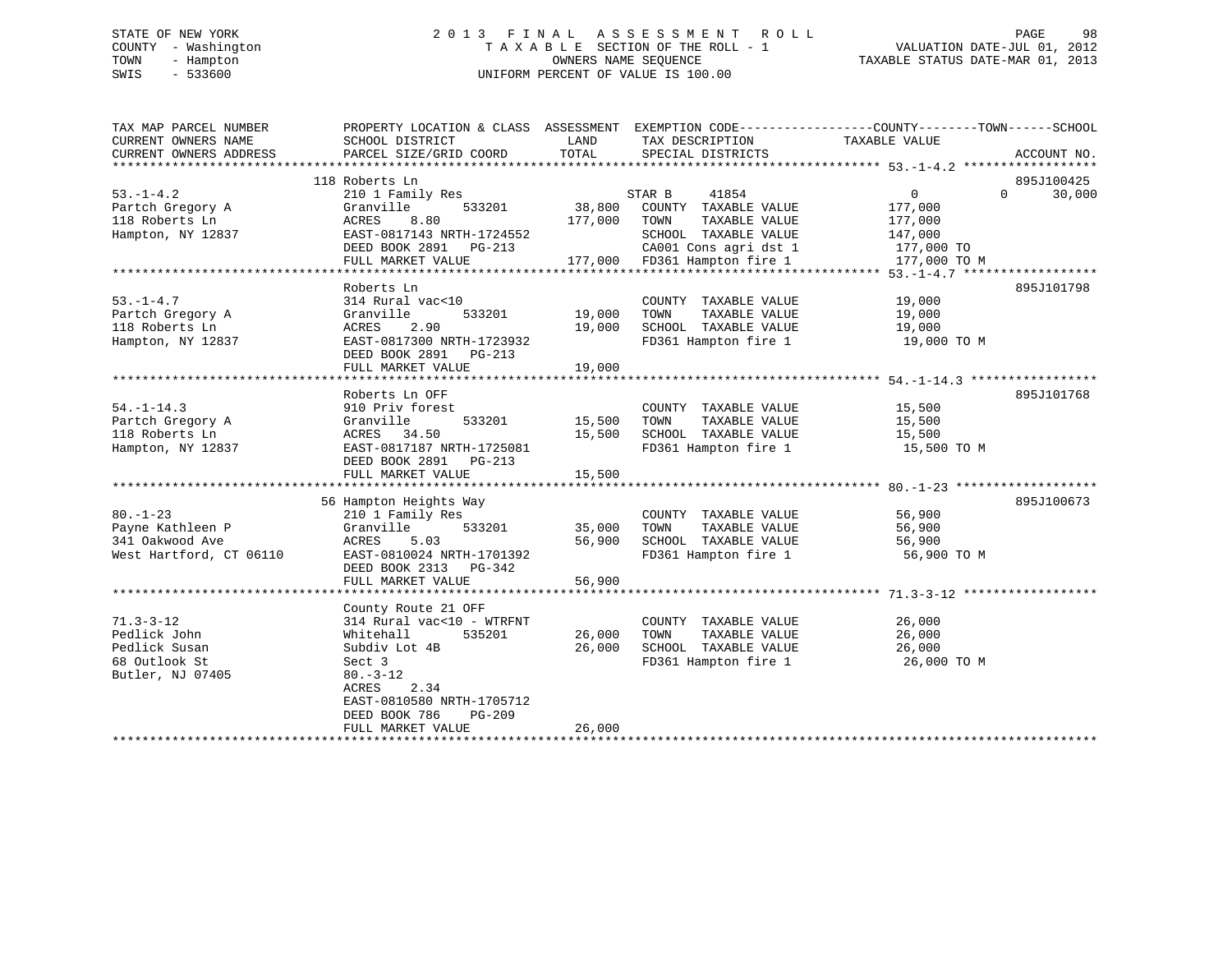# STATE OF NEW YORK 2 0 1 3 F I N A L A S S E S S M E N T R O L L PAGE 98 COUNTY - Washington T A X A B L E SECTION OF THE ROLL - 1 VALUATION DATE-JUL 01, 2012 TOWN - Hampton OWNERS NAME SEQUENCE TAXABLE STATUS DATE-MAR 01, 2013 SWIS - 533600 UNIFORM PERCENT OF VALUE IS 100.00

| TAX MAP PARCEL NUMBER   | PROPERTY LOCATION & CLASS ASSESSMENT EXEMPTION CODE---------------COUNTY-------TOWN-----SCHOOL |               |                                                                                                    |               |                    |
|-------------------------|------------------------------------------------------------------------------------------------|---------------|----------------------------------------------------------------------------------------------------|---------------|--------------------|
| CURRENT OWNERS NAME     | SCHOOL DISTRICT                                                                                | LAND          | TAX DESCRIPTION                                                                                    | TAXABLE VALUE |                    |
| CURRENT OWNERS ADDRESS  | PARCEL SIZE/GRID COORD                                                                         | TOTAL         | SPECIAL DISTRICTS                                                                                  |               | ACCOUNT NO.        |
|                         |                                                                                                |               |                                                                                                    |               |                    |
|                         | 118 Roberts Ln                                                                                 |               |                                                                                                    |               | 895J100425         |
| $53. -1 - 4.2$          | 210 1 Family Res                                                                               |               | STAR B<br>41854                                                                                    | 0             | 30,000<br>$\Omega$ |
| Partch Gregory A        | Granville<br>533201                                                                            |               | 38,800 COUNTY TAXABLE VALUE<br>177,000 TOWN                                                        | 177,000       |                    |
| 118 Roberts Ln          | ACRES<br>8.80                                                                                  |               | TAXABLE VALUE                                                                                      | 177,000       |                    |
| Hampton, NY 12837       | EAST-0817143 NRTH-1724552                                                                      |               | SCHOOL TAXABLE VALUE                                                                               | 147,000       |                    |
|                         | DEED BOOK 2891 PG-213<br>FULL MARKET VALUE                                                     |               | 2009-213 CA001 Cons agri dst 1<br>177,000 FD361 Hampton fire 1<br>CA001 Cons agri dst 1 177,000 TO | 177,000 TO M  |                    |
|                         |                                                                                                |               |                                                                                                    |               |                    |
|                         | Roberts Ln                                                                                     |               |                                                                                                    |               | 895J101798         |
| $53. - 1 - 4.7$         | 314 Rural vac<10                                                                               |               | COUNTY TAXABLE VALUE                                                                               | 19,000        |                    |
| Partch Gregory A        | Granville                                                                                      | 533201 19,000 | TOWN<br>TAXABLE VALUE                                                                              | 19,000        |                    |
| 118 Roberts Ln          | ACRES<br>2.90                                                                                  | 19,000        | SCHOOL TAXABLE VALUE                                                                               | 19,000        |                    |
| Hampton, NY 12837       | EAST-0817300 NRTH-1723932                                                                      |               | FD361 Hampton fire 1 19,000 TO M                                                                   |               |                    |
|                         | DEED BOOK 2891 PG-213                                                                          |               |                                                                                                    |               |                    |
|                         | FULL MARKET VALUE                                                                              | 19,000        |                                                                                                    |               |                    |
|                         |                                                                                                |               |                                                                                                    |               |                    |
|                         | Roberts Ln OFF                                                                                 |               |                                                                                                    |               | 895J101768         |
| $54. - 1 - 14.3$        | 910 Priv forest                                                                                |               | COUNTY TAXABLE VALUE 15,500                                                                        |               |                    |
| Partch Gregory A        | Granville<br>533201                                                                            | 15,500        | TOWN<br>TAXABLE VALUE                                                                              | 15,500        |                    |
| 118 Roberts Ln          | ACRES 34.50                                                                                    | 15,500        | SCHOOL TAXABLE VALUE                                                                               | 15,500        |                    |
| Hampton, NY 12837       | EAST-0817187 NRTH-1725081                                                                      |               | FD361 Hampton fire 1 15,500 TO M                                                                   |               |                    |
|                         | DEED BOOK 2891 PG-213                                                                          |               |                                                                                                    |               |                    |
|                         | FULL MARKET VALUE                                                                              | 15,500        |                                                                                                    |               |                    |
|                         |                                                                                                |               |                                                                                                    |               |                    |
|                         | 56 Hampton Heights Way                                                                         |               |                                                                                                    |               | 895J100673         |
| $80. - 1 - 23$          | 210 1 Family Res                                                                               |               | COUNTY TAXABLE VALUE                                                                               | 56,900        |                    |
| Payne Kathleen P        | Granville<br>533201                                                                            | 35,000        | TOWN<br>TAXABLE VALUE                                                                              | 56,900        |                    |
| 341 Oakwood Ave         | 5.03<br>ACRES                                                                                  | 56,900        | SCHOOL TAXABLE VALUE                                                                               | 56,900        |                    |
| West Hartford, CT 06110 | EAST-0810024 NRTH-1701392                                                                      |               | FD361 Hampton fire 1                                                                               | 56,900 TO M   |                    |
|                         | DEED BOOK 2313 PG-342                                                                          |               |                                                                                                    |               |                    |
|                         | FULL MARKET VALUE                                                                              | 56,900        |                                                                                                    |               |                    |
|                         |                                                                                                |               |                                                                                                    |               |                    |
|                         | County Route 21 OFF                                                                            |               |                                                                                                    |               |                    |
| $71.3 - 3 - 12$         | 314 Rural vac<10 - WTRFNT                                                                      |               | COUNTY TAXABLE VALUE                                                                               | 26,000        |                    |
| Pedlick John            | 535201<br>Whitehall                                                                            | 26,000        | TOWN<br>TAXABLE VALUE                                                                              | 26,000        |                    |
| Pedlick Susan           | Subdiv Lot 4B                                                                                  | 26,000        | SCHOOL TAXABLE VALUE                                                                               | 26,000        |                    |
| 68 Outlook St           | Sect 3                                                                                         |               | FD361 Hampton fire 1                                                                               | 26,000 TO M   |                    |
| Butler, NJ 07405        | $80. - 3 - 12$                                                                                 |               |                                                                                                    |               |                    |
|                         | ACRES 2.34                                                                                     |               |                                                                                                    |               |                    |
|                         | EAST-0810580 NRTH-1705712                                                                      |               |                                                                                                    |               |                    |
|                         | DEED BOOK 786<br>PG-209                                                                        |               |                                                                                                    |               |                    |
|                         | FULL MARKET VALUE                                                                              | 26,000        |                                                                                                    |               |                    |
|                         |                                                                                                |               |                                                                                                    |               |                    |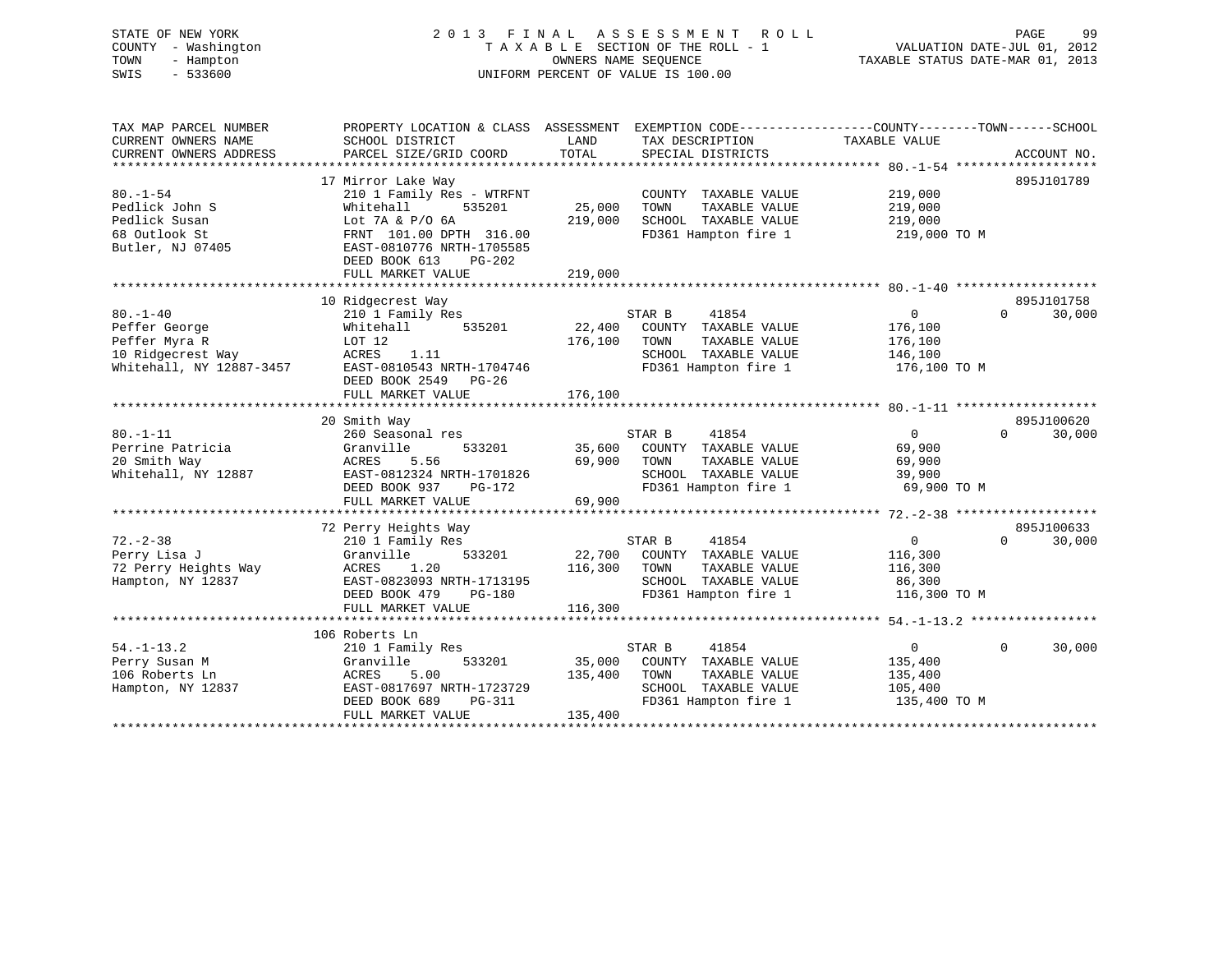STATE OF NEW YORK 2 0 1 3 F I N A L A S S E S S M E N T R O L L PAGE 99 COUNTY - Washington T A X A B L E SECTION OF THE ROLL - 1 VALUATION DATE-JUL 01, 2012 TOWN - Hampton OWNERS NAME SEQUENCE TAXABLE STATUS DATE-MAR 01, 2013 SWIS - 533600 UNIFORM PERCENT OF VALUE IS 100.00

| TAX MAP PARCEL NUMBER<br>CURRENT OWNERS NAME<br>CURRENT OWNERS ADDRESS                            | PROPERTY LOCATION & CLASS ASSESSMENT<br>SCHOOL DISTRICT<br>PARCEL SIZE/GRID COORD                                                                                              | LAND<br>TOTAL                | EXEMPTION CODE-----------------COUNTY-------TOWN------SCHOOL<br>TAX DESCRIPTION TAXABLE VALUE<br>SPECIAL DISTRICTS        |                                                                    | ACCOUNT NO.                      |
|---------------------------------------------------------------------------------------------------|--------------------------------------------------------------------------------------------------------------------------------------------------------------------------------|------------------------------|---------------------------------------------------------------------------------------------------------------------------|--------------------------------------------------------------------|----------------------------------|
| $80. - 1 - 54$<br>Pedlick John S<br>Pedlick Susan<br>68 Outlook St<br>Butler, NJ 07405            | 17 Mirror Lake Way<br>210 1 Family Res - WTRFNT<br>535201<br>Whitehall<br>Lot 7A & P/O 6A<br>FRNT 101.00 DPTH 316.00<br>EAST-0810776 NRTH-1705585<br>DEED BOOK 613<br>$PG-202$ | 25,000<br>219,000            | COUNTY TAXABLE VALUE<br>TAXABLE VALUE<br>TOWN<br>SCHOOL TAXABLE VALUE<br>FD361 Hampton fire 1                             | 219,000<br>219,000<br>219,000<br>219,000 TO M                      | 895J101789                       |
|                                                                                                   | FULL MARKET VALUE                                                                                                                                                              | 219,000                      |                                                                                                                           |                                                                    |                                  |
|                                                                                                   |                                                                                                                                                                                |                              |                                                                                                                           |                                                                    |                                  |
| $80. - 1 - 40$<br>Peffer George<br>Peffer Myra R<br>10 Ridgecrest Way<br>Whitehall, NY 12887-3457 | 10 Ridgecrest Way<br>210 1 Family Res<br>535201<br>Whitehall<br>LOT 12<br>ACRES<br>1.11<br>EAST-0810543 NRTH-1704746<br>DEED BOOK 2549<br>PG-26                                | 176,100                      | STAR B<br>41854<br>$22,400$ COUNTY TAXABLE VALUE<br>TOWN<br>TAXABLE VALUE<br>SCHOOL TAXABLE VALUE<br>FD361 Hampton fire 1 | 0<br>176,100<br>176,100<br>146,100<br>176,100 TO M                 | 895J101758<br>$\Omega$<br>30,000 |
|                                                                                                   | FULL MARKET VALUE                                                                                                                                                              | 176,100                      |                                                                                                                           |                                                                    |                                  |
|                                                                                                   | 20 Smith Way                                                                                                                                                                   |                              |                                                                                                                           |                                                                    | 895J100620                       |
| $80. - 1 - 11$<br>Perrine Patricia<br>20 Smith Way<br>Whitehall, NY 12887                         | 260 Seasonal res<br>533201<br>Granville<br>ACRES<br>5.56<br>EAST-0812324 NRTH-1701826<br>DEED BOOK 937<br>PG-172<br>FULL MARKET VALUE                                          | 69,900 TOWN<br>69,900        | STAR B<br>41854<br>35,600 COUNTY TAXABLE VALUE<br>TAXABLE VALUE<br>SCHOOL TAXABLE VALUE<br>FD361 Hampton fire 1           | $\overline{0}$<br>69,900<br>69,900<br>39,900<br>69,900 TO M        | 30,000<br>$\Omega$               |
|                                                                                                   |                                                                                                                                                                                |                              |                                                                                                                           |                                                                    |                                  |
| $72. - 2 - 38$<br>Perry Lisa J<br>72 Perry Heights Way<br>Hampton, NY 12837                       | 72 Perry Heights Way<br>210 1 Family Res<br>533201<br>Granville<br>ACRES<br>1.20<br>EAST-0823093 NRTH-1713195<br>DEED BOOK 479<br>PG-180<br>FULL MARKET VALUE                  | 22,700<br>116,300<br>116,300 | STAR B<br>41854<br>COUNTY TAXABLE VALUE<br>TOWN<br>TAXABLE VALUE<br>SCHOOL TAXABLE VALUE<br>FD361 Hampton fire 1          | $0 \qquad \qquad$<br>116,300<br>116,300<br>86,300<br>116,300 TO M  | 895J100633<br>$\Omega$<br>30,000 |
|                                                                                                   |                                                                                                                                                                                |                              |                                                                                                                           |                                                                    |                                  |
| $54. - 1 - 13.2$<br>Perry Susan M<br>106 Roberts Ln<br>Hampton, NY 12837                          | 106 Roberts Ln<br>210 1 Family Res<br>Granville<br>533201<br>ACRES<br>5.00<br>EAST-0817697 NRTH-1723729<br>DEED BOOK 689<br>PG-311<br>FULL MARKET VALUE                        | 35,000<br>135,400<br>135,400 | STAR B<br>41854<br>COUNTY TAXABLE VALUE<br>TOWN<br>TAXABLE VALUE<br>SCHOOL TAXABLE VALUE<br>FD361 Hampton fire 1          | $0 \qquad \qquad$<br>135,400<br>135,400<br>105,400<br>135,400 TO M | $\Omega$<br>30,000               |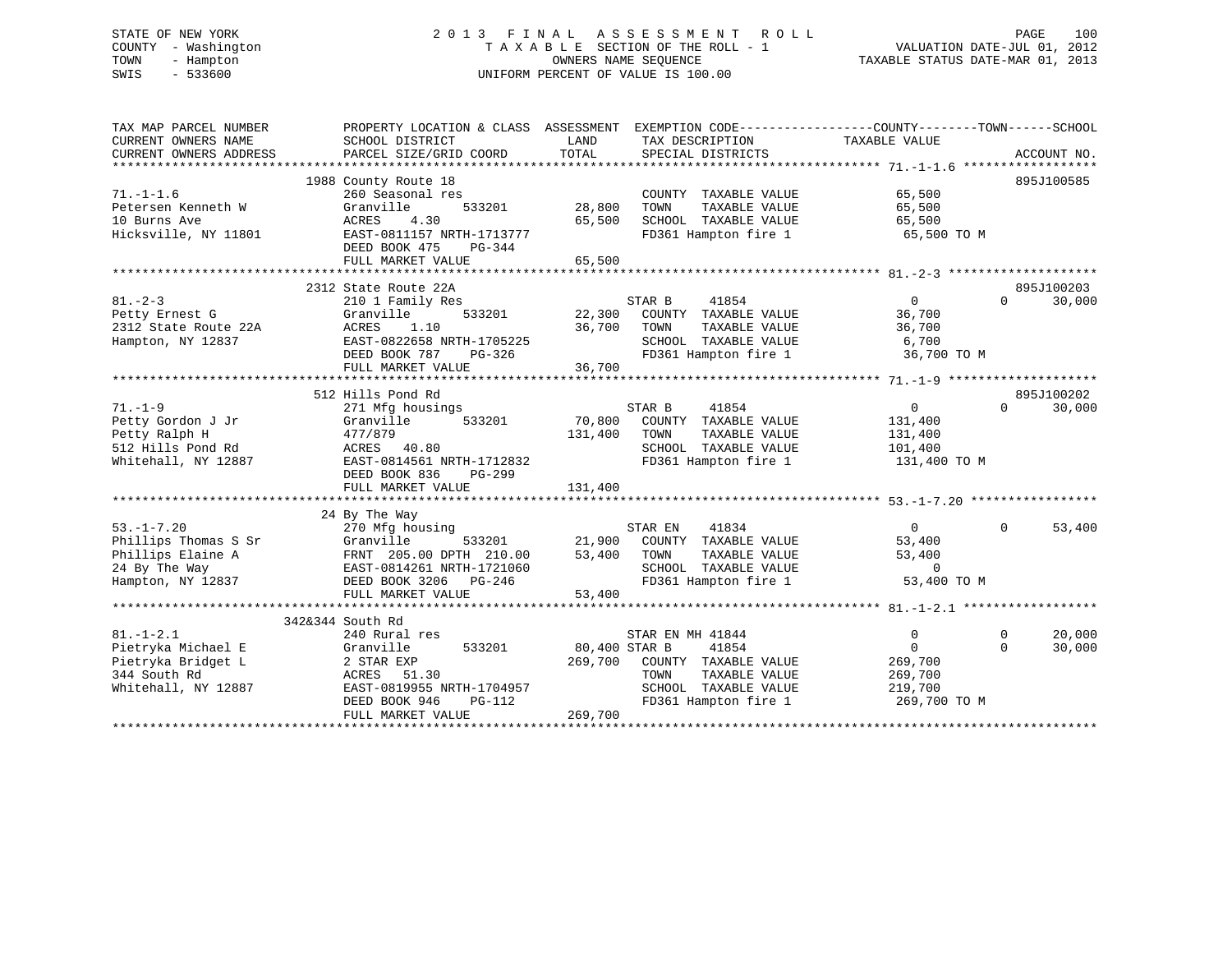# STATE OF NEW YORK 2 0 1 3 F I N A L A S S E S S M E N T R O L L PAGE 100 COUNTY - Washington T A X A B L E SECTION OF THE ROLL - 1 VALUATION DATE-JUL 01, 2012 TOWN - Hampton OWNERS NAME SEQUENCE TAXABLE STATUS DATE-MAR 01, 2013 SWIS - 533600 UNIFORM PERCENT OF VALUE IS 100.00

| TAX MAP PARCEL NUMBER  | PROPERTY LOCATION & CLASS ASSESSMENT EXEMPTION CODE---------------COUNTY-------TOWN------SCHOOL                                                                                    |               |                                              |                         |                        |
|------------------------|------------------------------------------------------------------------------------------------------------------------------------------------------------------------------------|---------------|----------------------------------------------|-------------------------|------------------------|
| CURRENT OWNERS NAME    | SCHOOL DISTRICT                                                                                                                                                                    | LAND          | TAX DESCRIPTION                              | TAXABLE VALUE           |                        |
| CURRENT OWNERS ADDRESS | PARCEL SIZE/GRID COORD                                                                                                                                                             | TOTAL         | SPECIAL DISTRICTS                            |                         | ACCOUNT NO.            |
|                        | 1988 County Route 18                                                                                                                                                               |               |                                              |                         | 895J100585             |
| $71. - 1 - 1.6$        | 260 Seasonal res                                                                                                                                                                   |               | COUNTY TAXABLE VALUE                         | 65,500                  |                        |
| Petersen Kenneth W     | Granville<br>533201                                                                                                                                                                | 28,800        | TOWN<br>TAXABLE VALUE                        | 65,500                  |                        |
| 10 Burns Ave           | 4.30<br>ACRES                                                                                                                                                                      | 65,500        | SCHOOL TAXABLE VALUE                         | 65,500                  |                        |
| Hicksville, NY 11801   | EAST-0811157 NRTH-1713777                                                                                                                                                          |               | FD361 Hampton fire 1                         | 65,500 TO M             |                        |
|                        | DEED BOOK 475<br>PG-344                                                                                                                                                            |               |                                              |                         |                        |
|                        | FULL MARKET VALUE                                                                                                                                                                  | 65,500        |                                              |                         |                        |
|                        |                                                                                                                                                                                    |               |                                              |                         |                        |
|                        | 2312 State Route 22A                                                                                                                                                               |               |                                              |                         | 895J100203             |
| $81 - 2 - 3$           | 210 1 Family Res                                                                                                                                                                   |               | STAR B<br>41854                              | $\overline{0}$          | $\Omega$<br>30,000     |
| Petty Ernest G         | 533201<br>Granville                                                                                                                                                                |               | 22,300 COUNTY TAXABLE VALUE                  | 36,700                  |                        |
| 2312 State Route 22A   | ACRES<br>1.10                                                                                                                                                                      | 36,700 TOWN   | TAXABLE VALUE                                | 36,700                  |                        |
| Hampton, NY 12837      | EAST-0822658 NRTH-1705225                                                                                                                                                          |               | SCHOOL TAXABLE VALUE                         | 6,700                   |                        |
|                        | DEED BOOK 787<br>PG-326                                                                                                                                                            |               | FD361 Hampton fire 1                         | 36,700 TO M             |                        |
|                        | FULL MARKET VALUE                                                                                                                                                                  | 36,700        |                                              |                         |                        |
|                        |                                                                                                                                                                                    |               |                                              |                         |                        |
|                        | 512 Hills Pond Rd                                                                                                                                                                  |               |                                              |                         | 895J100202             |
| $71. - 1 - 9$          | 271 Mfg housings                                                                                                                                                                   |               | STAR B<br>41854                              | $\overline{0}$          | $\Omega$<br>30,000     |
| Petty Gordon J Jr      | Granville<br>533201                                                                                                                                                                |               | 70,800 COUNTY TAXABLE VALUE                  | 131,400                 |                        |
| Petty Ralph H          | 477/879                                                                                                                                                                            | 131,400       | TOWN<br>TAXABLE VALUE                        | 131,400                 |                        |
| 512 Hills Pond Rd      | ACRES 40.80                                                                                                                                                                        |               | SCHOOL TAXABLE VALUE                         | 101,400                 |                        |
| Whitehall, NY 12887    | EAST-0814561 NRTH-1712832                                                                                                                                                          |               | FD361 Hampton fire 1                         | 131,400 TO M            |                        |
|                        | DEED BOOK 836<br>PG-299                                                                                                                                                            |               |                                              |                         |                        |
|                        | FULL MARKET VALUE                                                                                                                                                                  | 131,400       |                                              |                         |                        |
|                        |                                                                                                                                                                                    |               |                                              |                         |                        |
|                        | 24 By The Way<br>Phillips Thomas S Sr (270 Mfg housing<br>Phillips Thomas S Sr (370 Mfg housing<br>Phillips Elaine A (370 MFg = 533201<br>24 By The Way (5837-0814261 NPTH 190101) |               |                                              |                         |                        |
|                        |                                                                                                                                                                                    |               | STAR EN<br>41834                             | $\overline{0}$          | $\mathbf{0}$<br>53,400 |
|                        |                                                                                                                                                                                    |               | 21,900 COUNTY TAXABLE VALUE                  | 53,400                  |                        |
|                        |                                                                                                                                                                                    | 53,400        | TOWN<br>TAXABLE VALUE                        | 53,400                  |                        |
| Hampton, NY 12837      |                                                                                                                                                                                    |               | SCHOOL TAXABLE VALUE<br>FD361 Hampton fire 1 | $\Omega$<br>53,400 TO M |                        |
|                        |                                                                                                                                                                                    | 53,400        |                                              |                         |                        |
|                        | FULL MARKET VALUE                                                                                                                                                                  |               |                                              |                         |                        |
|                        | 342&344 South Rd                                                                                                                                                                   |               |                                              |                         |                        |
| $81. - 1 - 2.1$        | 240 Rural res                                                                                                                                                                      |               | STAR EN MH 41844                             | $\overline{0}$          | 20,000<br>$\Omega$     |
| Pietryka Michael E     | Granville<br>533201                                                                                                                                                                | 80,400 STAR B | 41854                                        | $\mathbf{0}$            | $\Omega$<br>30,000     |
| Pietryka Bridget L     | 2 STAR EXP                                                                                                                                                                         | 269,700       | COUNTY TAXABLE VALUE                         | 269,700                 |                        |
| 344 South Rd           | ACRES 51.30                                                                                                                                                                        |               | TOWN<br>TAXABLE VALUE                        | 269,700                 |                        |
| Whitehall, NY 12887    | EAST-0819955 NRTH-1704957                                                                                                                                                          |               | SCHOOL TAXABLE VALUE                         | 219,700                 |                        |
|                        | DEED BOOK 946<br>PG-112                                                                                                                                                            |               | FD361 Hampton fire 1 269,700 TO M            |                         |                        |
|                        | FULL MARKET VALUE                                                                                                                                                                  | 269,700       |                                              |                         |                        |
|                        |                                                                                                                                                                                    |               |                                              |                         |                        |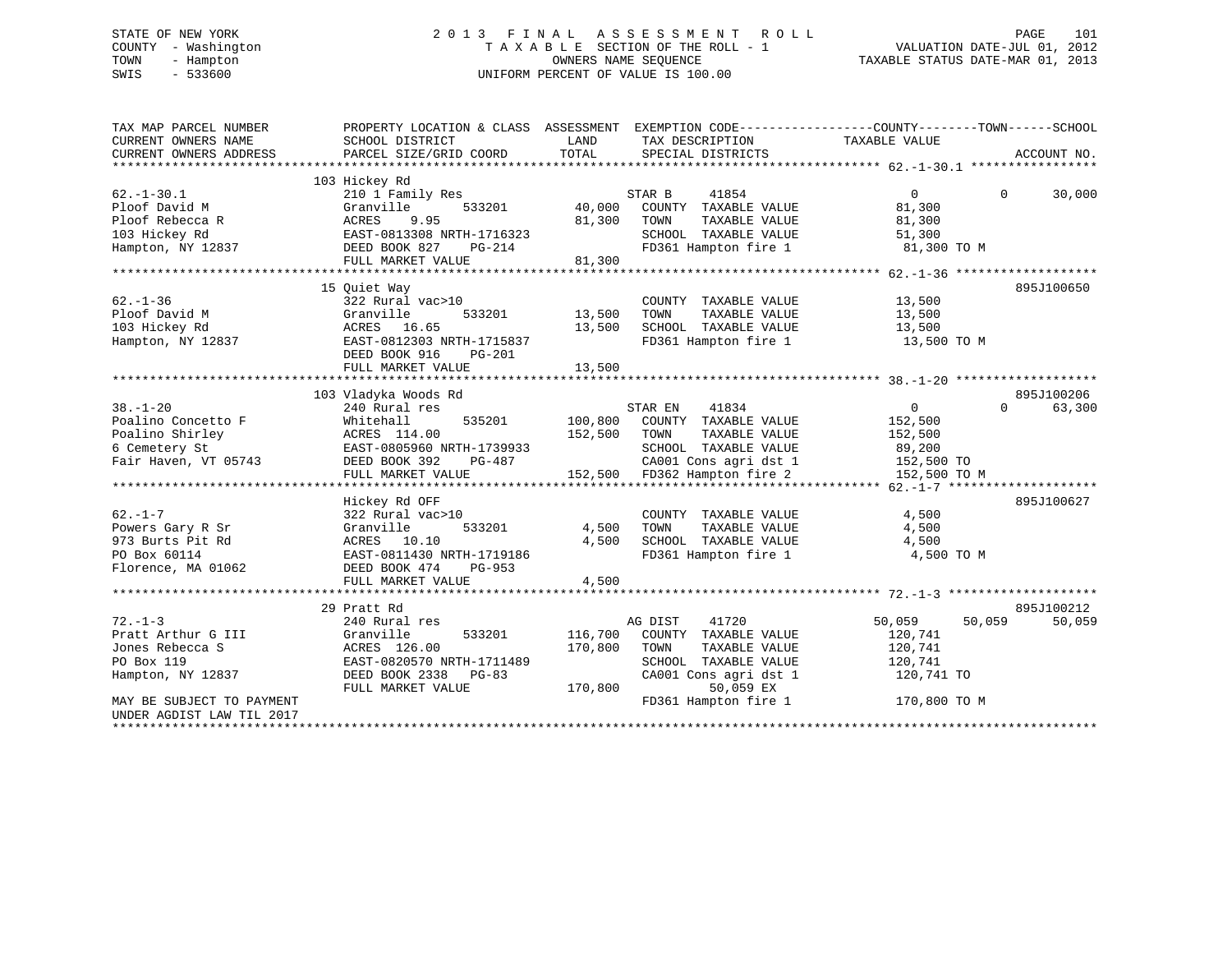# STATE OF NEW YORK 2 0 1 3 F I N A L A S S E S S M E N T R O L L PAGE 101 COUNTY - Washington T A X A B L E SECTION OF THE ROLL - 1 VALUATION DATE-JUL 01, 2012 TOWN - Hampton OWNERS NAME SEQUENCE TAXABLE STATUS DATE-MAR 01, 2013 SWIS - 533600 UNIFORM PERCENT OF VALUE IS 100.00

| TAX MAP PARCEL NUMBER<br>CURRENT OWNERS NAME<br>CURRENT OWNERS ADDRESS | PROPERTY LOCATION & CLASS ASSESSMENT<br>SCHOOL DISTRICT<br>PARCEL SIZE/GRID COORD | LAND<br>TOTAL | EXEMPTION CODE----------------COUNTY-------TOWN------SCHOOL<br>TAX DESCRIPTION<br>SPECIAL DISTRICTS | TAXABLE VALUE    | ACCOUNT NO.        |
|------------------------------------------------------------------------|-----------------------------------------------------------------------------------|---------------|-----------------------------------------------------------------------------------------------------|------------------|--------------------|
|                                                                        | 103 Hickey Rd                                                                     |               |                                                                                                     |                  |                    |
| $62. - 1 - 30.1$                                                       | 210 1 Family Res                                                                  |               | STAR B<br>41854                                                                                     | $\Omega$         | 30,000<br>$\Omega$ |
| Ploof David M                                                          | Granville<br>533201                                                               | 40,000        | COUNTY TAXABLE VALUE                                                                                | 81,300           |                    |
| Ploof Rebecca R                                                        | 9.95<br>ACRES                                                                     | 81,300        | TAXABLE VALUE<br>TOWN                                                                               | 81,300           |                    |
| 103 Hickey Rd                                                          | EAST-0813308 NRTH-1716323                                                         |               | SCHOOL TAXABLE VALUE                                                                                | 51,300           |                    |
| Hampton, NY 12837                                                      | DEED BOOK 827<br>PG-214                                                           |               | FD361 Hampton fire 1                                                                                | 81,300 TO M      |                    |
|                                                                        | FULL MARKET VALUE                                                                 | 81,300        |                                                                                                     |                  |                    |
|                                                                        |                                                                                   |               |                                                                                                     |                  |                    |
|                                                                        | 15 Ouiet Way                                                                      |               |                                                                                                     |                  | 895J100650         |
| $62 - 1 - 36$                                                          | 322 Rural vac>10                                                                  |               | COUNTY TAXABLE VALUE                                                                                | 13,500           |                    |
| Ploof David M                                                          | 533201<br>Granville                                                               | 13,500        | TOWN<br>TAXABLE VALUE                                                                               | 13,500           |                    |
| 103 Hickey Rd                                                          | ACRES 16.65                                                                       | 13,500        | SCHOOL TAXABLE VALUE                                                                                | 13,500           |                    |
| Hampton, NY 12837                                                      | EAST-0812303 NRTH-1715837                                                         |               | FD361 Hampton fire 1                                                                                | 13,500 TO M      |                    |
|                                                                        | DEED BOOK 916<br>PG-201                                                           |               |                                                                                                     |                  |                    |
|                                                                        | FULL MARKET VALUE                                                                 | 13,500        |                                                                                                     |                  |                    |
|                                                                        |                                                                                   |               |                                                                                                     |                  |                    |
|                                                                        | 103 Vladyka Woods Rd                                                              |               |                                                                                                     |                  | 895J100206         |
| $38. - 1 - 20$                                                         | 240 Rural res                                                                     |               | STAR EN<br>41834                                                                                    | $\overline{0}$   | $\Omega$<br>63,300 |
| Poalino Concetto F                                                     | Whitehall<br>535201                                                               | 100,800       | COUNTY TAXABLE VALUE                                                                                | 152,500          |                    |
| Poalino Shirley                                                        | ACRES 114.00                                                                      | 152,500       | TOWN<br>TAXABLE VALUE                                                                               | 152,500          |                    |
| 6 Cemetery St                                                          | EAST-0805960 NRTH-1739933                                                         |               | SCHOOL TAXABLE VALUE                                                                                | 89,200           |                    |
| Fair Haven, VT 05743                                                   | DEED BOOK 392<br>PG-487                                                           |               | CA001 Cons agri dst 1                                                                               | 152,500 TO       |                    |
|                                                                        | FULL MARKET VALUE                                                                 |               | 152,500 FD362 Hampton fire 2                                                                        | 152,500 TO M     |                    |
|                                                                        |                                                                                   |               |                                                                                                     |                  |                    |
|                                                                        | Hickey Rd OFF                                                                     |               |                                                                                                     |                  | 895J100627         |
| $62. - 1 - 7$                                                          | 322 Rural vac>10                                                                  |               | COUNTY TAXABLE VALUE                                                                                | 4,500            |                    |
| Powers Gary R Sr                                                       | 533201<br>Granville                                                               | 4,500         | TOWN<br>TAXABLE VALUE                                                                               | 4,500            |                    |
| 973 Burts Pit Rd                                                       | ACRES 10.10                                                                       | 4,500         | SCHOOL TAXABLE VALUE                                                                                | 4,500            |                    |
| PO Box 60114                                                           | EAST-0811430 NRTH-1719186                                                         |               | FD361 Hampton fire 1                                                                                | 4,500 TO M       |                    |
| Florence, MA 01062                                                     | DEED BOOK 474<br>PG-953                                                           |               |                                                                                                     |                  |                    |
|                                                                        | FULL MARKET VALUE                                                                 | 4,500         |                                                                                                     |                  |                    |
|                                                                        |                                                                                   |               |                                                                                                     |                  |                    |
|                                                                        | 29 Pratt Rd                                                                       |               |                                                                                                     |                  | 895J100212         |
| $72. - 1 - 3$                                                          | 240 Rural res                                                                     |               | AG DIST<br>41720                                                                                    | 50,059<br>50,059 | 50,059             |
| Pratt Arthur G III                                                     | Granville<br>533201                                                               | 116,700       | COUNTY TAXABLE VALUE                                                                                | 120,741          |                    |
| Jones Rebecca S                                                        | ACRES 126.00                                                                      | 170,800       | TAXABLE VALUE<br>TOWN                                                                               | 120,741          |                    |
| PO Box 119                                                             | EAST-0820570 NRTH-1711489                                                         |               | SCHOOL TAXABLE VALUE                                                                                | 120,741          |                    |
| Hampton, NY 12837                                                      | DEED BOOK 2338<br>PG-83                                                           |               | CA001 Cons agri dst 1                                                                               | 120,741 TO       |                    |
|                                                                        | FULL MARKET VALUE                                                                 | 170,800       | 50,059 EX                                                                                           |                  |                    |
| MAY BE SUBJECT TO PAYMENT                                              |                                                                                   |               | FD361 Hampton fire 1                                                                                | 170,800 TO M     |                    |
| UNDER AGDIST LAW TIL 2017                                              |                                                                                   |               |                                                                                                     |                  |                    |
|                                                                        |                                                                                   |               |                                                                                                     |                  |                    |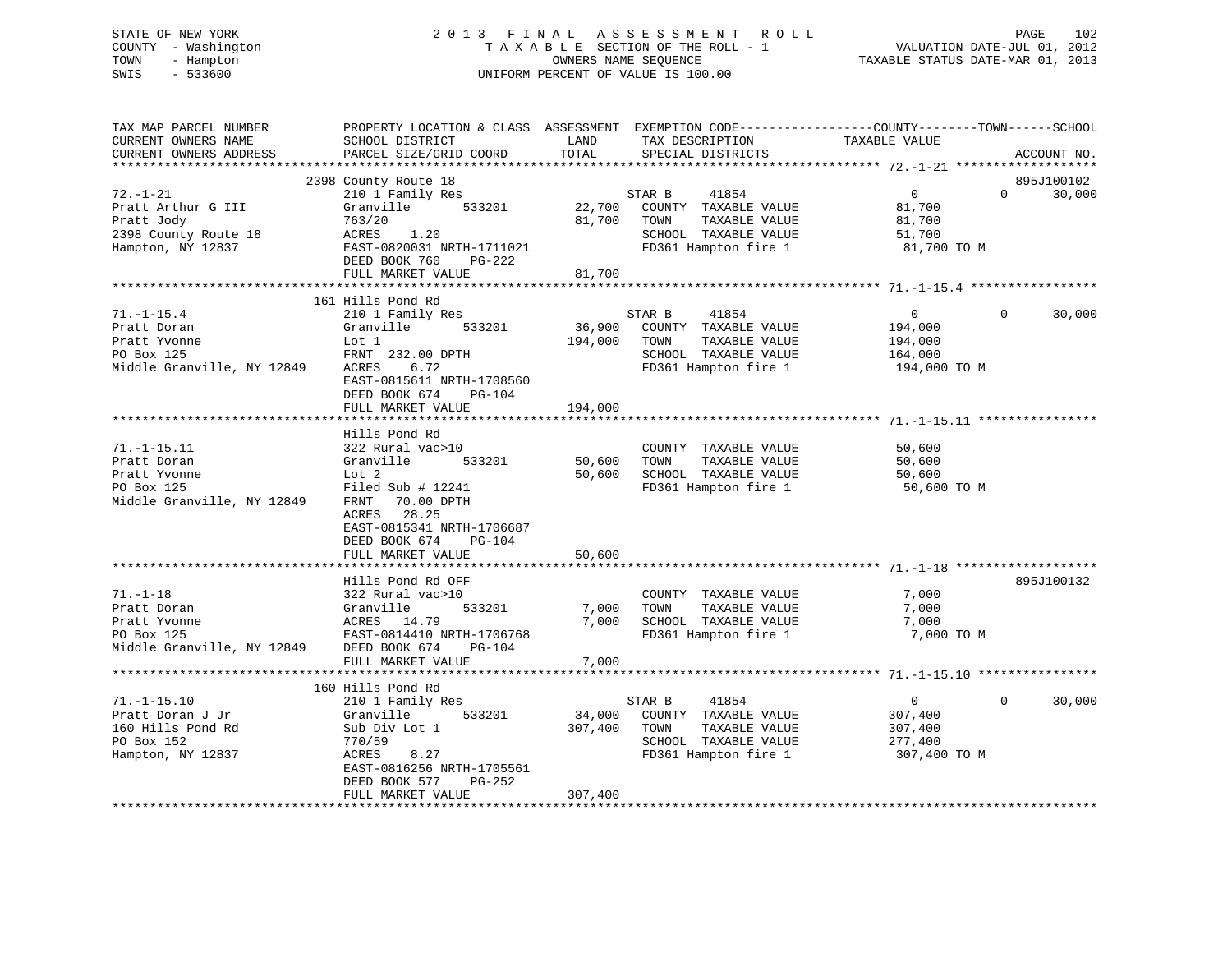# STATE OF NEW YORK 2 0 1 3 F I N A L A S S E S S M E N T R O L L PAGE 102 COUNTY - Washington T A X A B L E SECTION OF THE ROLL - 1 VALUATION DATE-JUL 01, 2012 TOWN - Hampton OWNERS NAME SEQUENCE TAXABLE STATUS DATE-MAR 01, 2013 SWIS - 533600 UNIFORM PERCENT OF VALUE IS 100.00

| TAX MAP PARCEL NUMBER<br>CURRENT OWNERS NAME<br>CURRENT OWNERS ADDRESS                                  | PROPERTY LOCATION & CLASS ASSESSMENT EXEMPTION CODE----------------COUNTY-------TOWN------SCHOOL<br>SCHOOL DISTRICT<br>PARCEL SIZE/GRID COORD                                     | LAND<br>TOTAL    | TAX DESCRIPTION<br>SPECIAL DISTRICTS                                                                                         | TAXABLE VALUE                                                   | ACCOUNT NO.                      |  |
|---------------------------------------------------------------------------------------------------------|-----------------------------------------------------------------------------------------------------------------------------------------------------------------------------------|------------------|------------------------------------------------------------------------------------------------------------------------------|-----------------------------------------------------------------|----------------------------------|--|
|                                                                                                         |                                                                                                                                                                                   |                  |                                                                                                                              |                                                                 |                                  |  |
| $72. - 1 - 21$<br>Pratt Arthur G III<br>Pratt Jody<br>2398 County Route 18<br>Hampton, NY 12837         | 2398 County Route 18<br>210 1 Family Res<br>Granville 533201<br>763/20<br>ACRES 1.20<br>EAST-0820031 NRTH-1711021<br>DEED BOOK 760<br>PG-222<br>FULL MARKET VALUE                 | 81,700<br>81,700 | STAR B<br>41854<br>22,700 COUNTY TAXABLE VALUE<br>TAXABLE VALUE<br>TOWN<br>SCHOOL TAXABLE VALUE<br>FD361 Hampton fire 1      | $\overline{0}$<br>81,700<br>81,700<br>51,700<br>81,700 TO M     | 895J100102<br>$\Omega$<br>30,000 |  |
|                                                                                                         |                                                                                                                                                                                   |                  |                                                                                                                              |                                                                 |                                  |  |
| $71. - 1 - 15.4$<br>Pratt Doran<br>Pratt Yvonne<br>PO Box 125<br>Middle Granville, NY 12849             | 161 Hills Pond Rd<br>210 1 Family Res<br>Granville 533201<br>Lot 1<br>FRNT 232.00 DPTH<br>6.72<br>ACRES<br>EAST-0815611 NRTH-1708560<br>DEED BOOK 674 PG-104<br>FULL MARKET VALUE | 194,000          | STAR B 41854<br>36,900 COUNTY TAXABLE VALUE<br>194,000 TOWN<br>TAXABLE VALUE<br>SCHOOL TAXABLE VALUE<br>FD361 Hampton fire 1 | 0<br>194,000<br>194,000<br>164,000<br>194,000 TO M              | 30,000<br>$\Omega$               |  |
|                                                                                                         |                                                                                                                                                                                   |                  |                                                                                                                              |                                                                 |                                  |  |
| $71. -1 - 15.11$<br>Pratt Doran<br>Pratt Yvonne<br>PO Box 125<br>Middle Granville, NY 12849             | Hills Pond Rd<br>322 Rural vac>10<br>533201<br>Granville<br>Lot 2<br>Filed Sub $\#$ 12241<br>FRNT 70.00 DPTH<br>ACRES 28.25<br>EAST-0815341 NRTH-1706687                          | 50,600<br>50,600 | COUNTY TAXABLE VALUE<br>TAXABLE VALUE<br>TOWN<br>SCHOOL TAXABLE VALUE<br>FD361 Hampton fire 1                                | 50,600<br>50,600<br>50,600<br>50,600 TO M                       |                                  |  |
|                                                                                                         | DEED BOOK 674 PG-104<br>FULL MARKET VALUE                                                                                                                                         | 50,600           |                                                                                                                              |                                                                 |                                  |  |
|                                                                                                         | Hills Pond Rd OFF                                                                                                                                                                 |                  |                                                                                                                              |                                                                 | 895J100132                       |  |
| $71. - 1 - 18$<br>Pratt Doran<br>Pratt Yvonne<br>PO Box 125<br>Middle Granville, NY 12849 DEED BOOK 674 | 322 Rural vac>10<br>533201<br>Granville<br>ACRES 14.79<br>EAST-0814410 NRTH-1706768<br>PG-104<br>FULL MARKET VALUE                                                                | 7,000<br>7,000   | COUNTY TAXABLE VALUE<br>TAXABLE VALUE<br>TOWN<br>7,000 SCHOOL TAXABLE VALUE<br>FD361 Hampton fire 1                          | 7,000<br>7,000<br>7,000<br>7,000 TO M                           |                                  |  |
|                                                                                                         |                                                                                                                                                                                   |                  |                                                                                                                              |                                                                 |                                  |  |
| $71. - 1 - 15.10$<br>Pratt Doran J Jr<br>160 Hills Pond Rd<br>PO Box 152<br>Hampton, NY 12837           | 160 Hills Pond Rd<br>210 1 Family Res<br>533201<br>Granville<br>Sub Div Lot 1<br>770/59<br>8.27<br>ACRES<br>EAST-0816256 NRTH-1705561<br>DEED BOOK 577<br>PG-252                  | 307,400 TOWN     | 41854<br>STAR B<br>34,000 COUNTY TAXABLE VALUE<br>TAXABLE VALUE<br>SCHOOL TAXABLE VALUE<br>FD361 Hampton fire 1              | $\overline{0}$<br>307,400<br>307,400<br>277,400<br>307,400 TO M | $\overline{0}$<br>30,000         |  |
|                                                                                                         | FULL MARKET VALUE                                                                                                                                                                 | 307,400          |                                                                                                                              |                                                                 |                                  |  |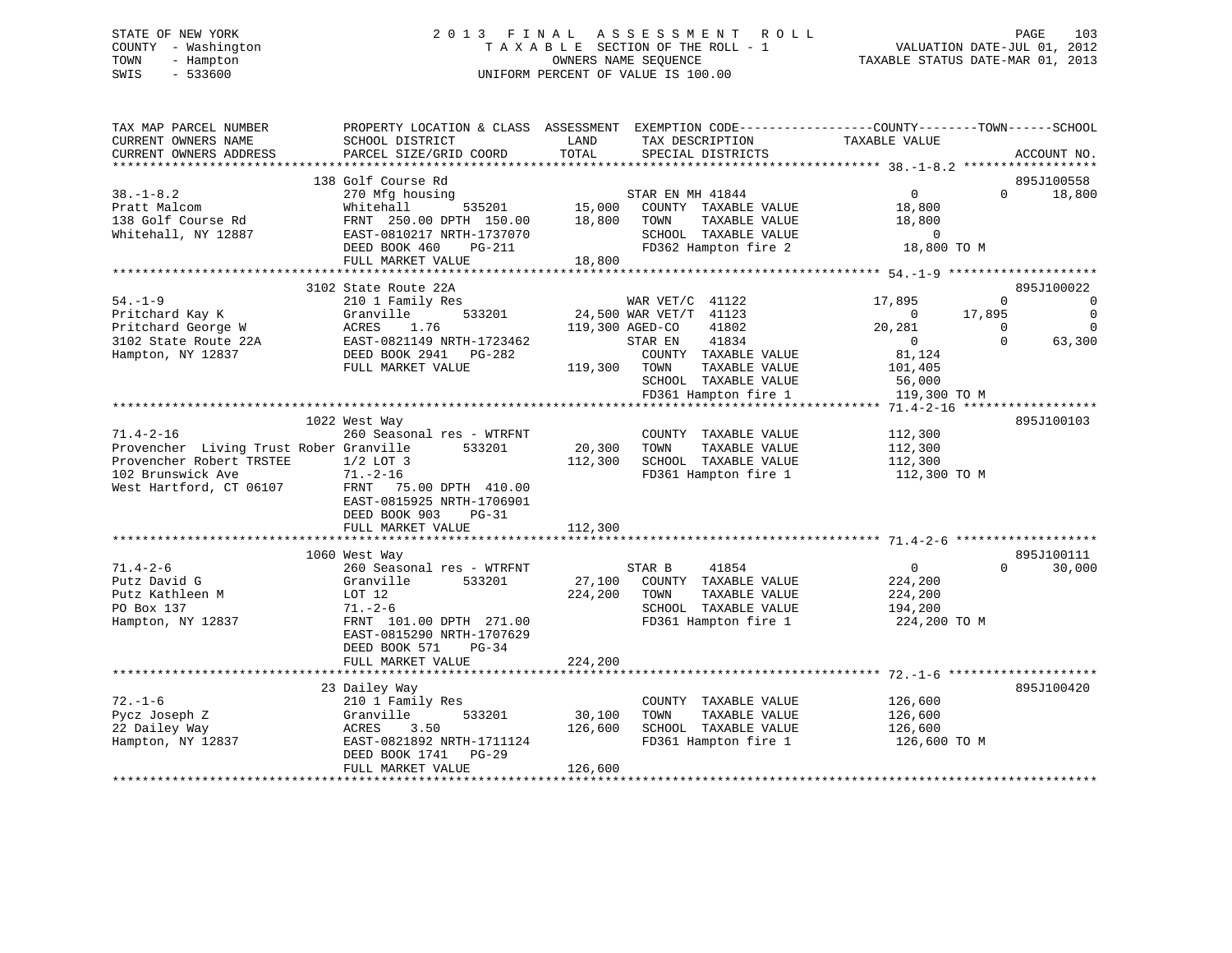# STATE OF NEW YORK 2 0 1 3 F I N A L A S S E S S M E N T R O L L PAGE 103 COUNTY - Washington T A X A B L E SECTION OF THE ROLL - 1 VALUATION DATE-JUL 01, 2012 TOWN - Hampton OWNERS NAME SEQUENCE TAXABLE STATUS DATE-MAR 01, 2013 SWIS - 533600 UNIFORM PERCENT OF VALUE IS 100.00

| TAX MAP PARCEL NUMBER<br>CURRENT OWNERS NAME<br>CURRENT OWNERS ADDRESS                                                                 | PROPERTY LOCATION & CLASS ASSESSMENT<br>SCHOOL DISTRICT<br>PARCEL SIZE/GRID COORD                                                                                                             | LAND<br>TOTAL                | EXEMPTION CODE-----------------COUNTY--------TOWN------SCHOOL<br>TAX DESCRIPTION<br>SPECIAL DISTRICTS                                                                   | TAXABLE VALUE                                                                              |                              | ACCOUNT NO.                                                          |
|----------------------------------------------------------------------------------------------------------------------------------------|-----------------------------------------------------------------------------------------------------------------------------------------------------------------------------------------------|------------------------------|-------------------------------------------------------------------------------------------------------------------------------------------------------------------------|--------------------------------------------------------------------------------------------|------------------------------|----------------------------------------------------------------------|
|                                                                                                                                        |                                                                                                                                                                                               |                              |                                                                                                                                                                         |                                                                                            |                              |                                                                      |
| $38. - 1 - 8.2$<br>Pratt Malcom<br>138 Golf Course Rd<br>Whitehall, NY 12887                                                           | 138 Golf Course Rd<br>270 Mfg housing<br>Whitehall<br>535201<br>FRNT 250.00 DPTH 150.00<br>EAST-0810217 NRTH-1737070<br>DEED BOOK 460<br>$PG-211$<br>FULL MARKET VALUE                        | 15,000<br>18,800<br>18,800   | STAR EN MH 41844<br>COUNTY TAXABLE VALUE<br>TAXABLE VALUE<br>TOWN<br>SCHOOL TAXABLE VALUE<br>FD362 Hampton fire 2                                                       | $\mathbf{0}$<br>18,800<br>18,800<br>$\circ$<br>18,800 TO M                                 | $\Omega$                     | 895J100558<br>18,800                                                 |
|                                                                                                                                        |                                                                                                                                                                                               |                              |                                                                                                                                                                         |                                                                                            |                              |                                                                      |
| $54. - 1 - 9$<br>Pritchard Kay K<br>Pritchard George W<br>3102 State Route 22A<br>Hampton, NY 12837                                    | 3102 State Route 22A<br>210 1 Family Res<br>533201<br>Granville<br>ACRES<br>1.76<br>EAST-0821149 NRTH-1723462<br>DEED BOOK 2941<br>PG-282<br>FULL MARKET VALUE                                | 119,300 AGED-CO<br>119,300   | WAR VET/C 41122<br>24,500 WAR VET/T 41123<br>41802<br>41834<br>STAR EN<br>COUNTY TAXABLE VALUE<br>TOWN<br>TAXABLE VALUE<br>SCHOOL TAXABLE VALUE<br>FD361 Hampton fire 1 | 17,895<br>$\mathbf 0$<br>20,281<br>$\Omega$<br>81,124<br>101,405<br>56,000<br>119,300 TO M | 0<br>17,895<br>0<br>$\Omega$ | 895J100022<br>$\mathbf 0$<br>$\mathbf 0$<br>$\overline{0}$<br>63,300 |
|                                                                                                                                        |                                                                                                                                                                                               |                              |                                                                                                                                                                         |                                                                                            |                              |                                                                      |
| $71.4 - 2 - 16$<br>Provencher Living Trust Rober Granville<br>Provencher Robert TRSTEE<br>102 Brunswick Ave<br>West Hartford, CT 06107 | 1022 West Way<br>260 Seasonal res - WTRFNT<br>533201<br>$1/2$ LOT 3<br>$71. - 2 - 16$<br>FRNT 75.00 DPTH 410.00<br>EAST-0815925 NRTH-1706901<br>DEED BOOK 903<br>$PG-31$<br>FULL MARKET VALUE | 20,300<br>112,300<br>112,300 | COUNTY TAXABLE VALUE<br>TOWN<br>TAXABLE VALUE<br>SCHOOL TAXABLE VALUE<br>FD361 Hampton fire 1                                                                           | 112,300<br>112,300<br>112,300<br>112,300 TO M                                              |                              | 895J100103                                                           |
|                                                                                                                                        |                                                                                                                                                                                               |                              |                                                                                                                                                                         |                                                                                            |                              |                                                                      |
| $71.4 - 2 - 6$<br>Putz David G<br>Putz Kathleen M<br>PO Box 137<br>Hampton, NY 12837                                                   | 1060 West Way<br>260 Seasonal res - WTRFNT<br>Granville<br>533201<br>LOT 12<br>$71. - 2 - 6$<br>FRNT 101.00 DPTH 271.00<br>EAST-0815290 NRTH-1707629<br>DEED BOOK 571<br>PG-34                | 27,100<br>224,200            | 41854<br>STAR B<br>COUNTY TAXABLE VALUE<br>TOWN<br>TAXABLE VALUE<br>SCHOOL TAXABLE VALUE<br>FD361 Hampton fire 1                                                        | $\mathbf 0$<br>224,200<br>224,200<br>194,200<br>224,200 TO M                               | $\Omega$                     | 895J100111<br>30,000                                                 |
|                                                                                                                                        | FULL MARKET VALUE                                                                                                                                                                             | 224,200                      |                                                                                                                                                                         |                                                                                            |                              |                                                                      |
|                                                                                                                                        |                                                                                                                                                                                               |                              |                                                                                                                                                                         |                                                                                            |                              |                                                                      |
| $72. - 1 - 6$<br>Pycz Joseph Z<br>22 Dailey Way<br>Hampton, NY 12837                                                                   | 23 Dailey Way<br>210 1 Family Res<br>Granville<br>533201<br>ACRES<br>3.50<br>EAST-0821892 NRTH-1711124<br>DEED BOOK 1741<br>$PG-29$                                                           | 30,100<br>126,600            | COUNTY TAXABLE VALUE<br>TOWN<br>TAXABLE VALUE<br>SCHOOL TAXABLE VALUE<br>FD361 Hampton fire 1                                                                           | 126,600<br>126,600<br>126,600<br>126,600 TO M                                              |                              | 895J100420                                                           |
|                                                                                                                                        | FULL MARKET VALUE                                                                                                                                                                             | 126,600                      |                                                                                                                                                                         |                                                                                            |                              |                                                                      |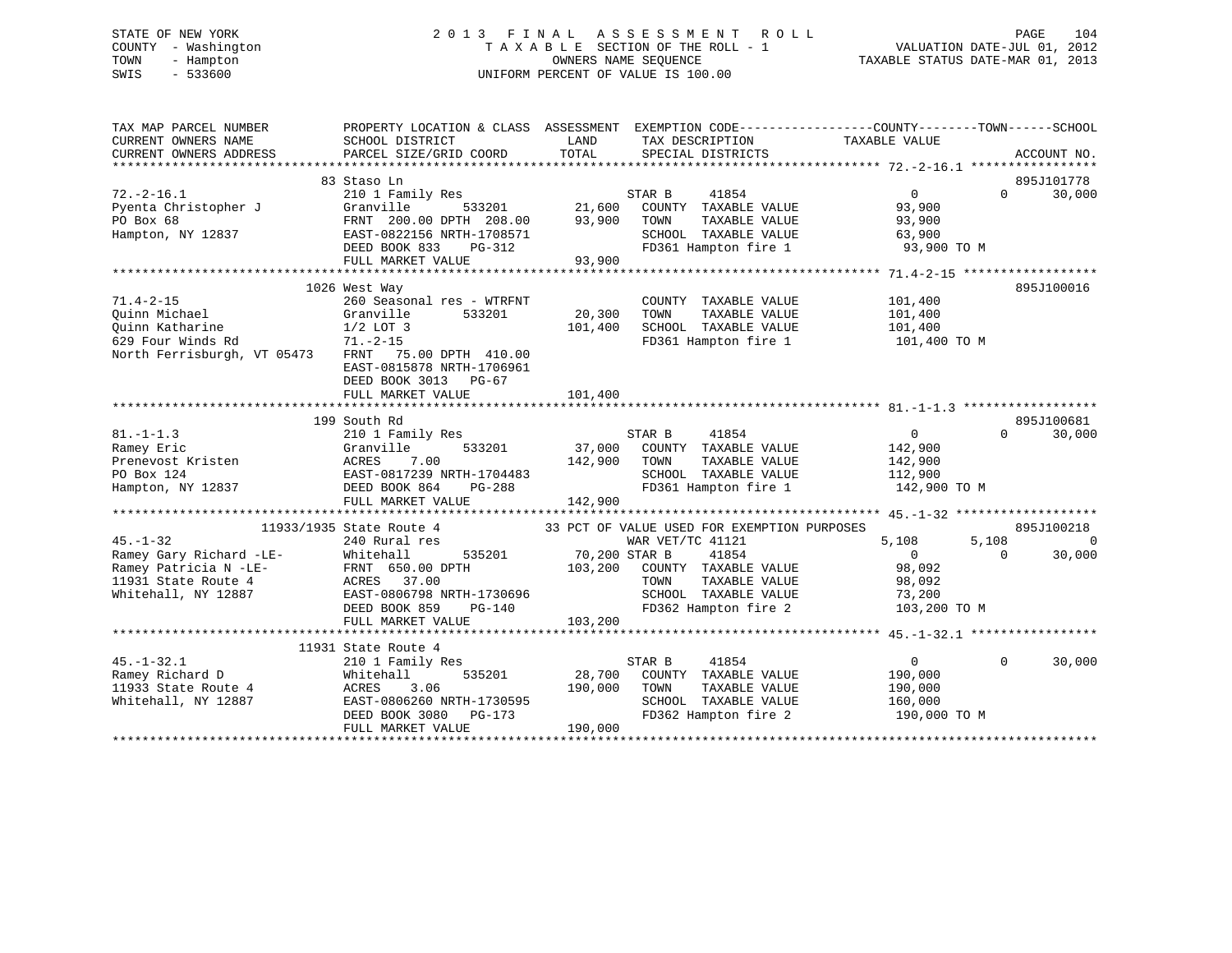# STATE OF NEW YORK 2 0 1 3 F I N A L A S S E S S M E N T R O L L PAGE 104 COUNTY - Washington T A X A B L E SECTION OF THE ROLL - 1 VALUATION DATE-JUL 01, 2012 TOWN - Hampton OWNERS NAME SEQUENCE TAXABLE STATUS DATE-MAR 01, 2013 SWIS - 533600 UNIFORM PERCENT OF VALUE IS 100.00

| TAX MAP PARCEL NUMBER<br>CURRENT OWNERS NAME | PROPERTY LOCATION & CLASS ASSESSMENT EXEMPTION CODE---------------COUNTY-------TOWN------SCHOOL<br>SCHOOL DISTRICT | LAND          | TAX DESCRIPTION                                      | TAXABLE VALUE         |                        |
|----------------------------------------------|--------------------------------------------------------------------------------------------------------------------|---------------|------------------------------------------------------|-----------------------|------------------------|
| CURRENT OWNERS ADDRESS                       | PARCEL SIZE/GRID COORD                                                                                             | TOTAL         | SPECIAL DISTRICTS                                    |                       | ACCOUNT NO.            |
|                                              |                                                                                                                    |               |                                                      |                       |                        |
|                                              | 83 Staso Ln                                                                                                        |               |                                                      |                       | 895J101778<br>$\Omega$ |
| $72. - 2 - 16.1$                             | 210 1 Family Res                                                                                                   |               | STAR B<br>41854                                      | $\overline{0}$        | 30,000                 |
| Pyenta Christopher J<br>PO Box 68            | 533201<br>Granville<br>FRNT 200.00 DPTH 208.00                                                                     | 93,900        | 21,600 COUNTY TAXABLE VALUE<br>TAXABLE VALUE<br>TOWN | 93,900<br>93,900      |                        |
| Hampton, NY 12837                            | EAST-0822156 NRTH-1708571                                                                                          |               | SCHOOL TAXABLE VALUE                                 |                       |                        |
|                                              | DEED BOOK 833<br>PG-312                                                                                            |               | FD361 Hampton fire 1                                 | 63,900<br>93,900 TO M |                        |
|                                              | FULL MARKET VALUE                                                                                                  | 93,900        |                                                      |                       |                        |
|                                              |                                                                                                                    |               |                                                      |                       |                        |
|                                              | 1026 West Way                                                                                                      |               |                                                      |                       | 895J100016             |
| $71.4 - 2 - 15$                              | 260 Seasonal res - WTRFNT                                                                                          |               | COUNTY TAXABLE VALUE                                 | 101,400               |                        |
| Quinn Michael                                | Granville<br>533201                                                                                                | 20,300        | TAXABLE VALUE<br>TOWN                                | 101,400               |                        |
|                                              |                                                                                                                    | 101,400       | SCHOOL TAXABLE VALUE                                 | 101,400               |                        |
| Quinn Katharine<br>629 Four Winds Rd         | 1/2 LOT 3<br>71.-2-15                                                                                              |               | FD361 Hampton fire 1                                 | 101,400 TO M          |                        |
| North Ferrisburgh, VT 05473                  | FRNT 75.00 DPTH 410.00                                                                                             |               |                                                      |                       |                        |
|                                              | EAST-0815878 NRTH-1706961                                                                                          |               |                                                      |                       |                        |
|                                              | DEED BOOK 3013 PG-67                                                                                               |               |                                                      |                       |                        |
|                                              | FULL MARKET VALUE                                                                                                  | 101,400       |                                                      |                       |                        |
|                                              |                                                                                                                    |               |                                                      |                       |                        |
|                                              | 199 South Rd                                                                                                       |               |                                                      |                       | 895J100681             |
| $81. -1 - 1.3$                               | 210 1 Family Res                                                                                                   |               | STAR B<br>41854                                      | $\overline{0}$        | 30,000<br>$\Omega$     |
| Ramey Eric                                   | Granville<br>533201                                                                                                |               | 37,000 COUNTY TAXABLE VALUE                          | 142,900               |                        |
| Prenevost Kristen                            |                                                                                                                    | 142,900       | TOWN<br>TAXABLE VALUE                                | 142,900               |                        |
| PO Box 124                                   |                                                                                                                    |               | SCHOOL TAXABLE VALUE                                 | 112,900               |                        |
| Hampton, NY 12837                            | ACRES 7.00<br>EAST-0817239 NRTH-1704483<br>DEED BOOK 864<br>PG-288                                                 |               | FD361 Hampton fire 1                                 | 142,900 TO M          |                        |
|                                              | FULL MARKET VALUE                                                                                                  | 142,900       |                                                      |                       |                        |
|                                              |                                                                                                                    |               |                                                      |                       |                        |
|                                              | 11933/1935 State Route 4                                                                                           |               | 33 PCT OF VALUE USED FOR EXEMPTION PURPOSES          |                       | 895J100218             |
| $45. - 1 - 32$                               | 240 Rural res                                                                                                      |               | WAR VET/TC 41121                                     | 5,108<br>5,108        | $\overline{0}$         |
| Ramey Gary Richard -LE-                      | Whitehall<br>535201                                                                                                | 70,200 STAR B | 41854                                                | $\overline{0}$        | 30,000<br>$\Omega$     |
| Ramey Patricia N -LE-                        | FRNT 650.00 DPTH                                                                                                   |               | 103,200 COUNTY TAXABLE VALUE                         | 98,092                |                        |
| 11931 State Route 4                          | ACRES 37.00                                                                                                        |               | TOWN<br>TAXABLE VALUE                                | 98,092                |                        |
| Whitehall, NY 12887                          | EAST-0806798 NRTH-1730696                                                                                          |               | SCHOOL TAXABLE VALUE                                 | 73,200                |                        |
|                                              | DEED BOOK 859<br>PG-140                                                                                            |               | FD362 Hampton fire 2                                 | 103,200 TO M          |                        |
|                                              | FULL MARKET VALUE                                                                                                  | 103,200       |                                                      |                       |                        |
|                                              |                                                                                                                    |               |                                                      |                       |                        |
|                                              | 11931 State Route 4                                                                                                |               |                                                      |                       |                        |
| $45. - 1 - 32.1$                             | 210 1 Family Res                                                                                                   |               | STAR B<br>41854                                      | $\overline{0}$        | $\Omega$<br>30,000     |
| Ramey Richard D                              | Whitehall<br>535201                                                                                                |               | 28,700 COUNTY TAXABLE VALUE                          | 190,000               |                        |
| 11933 State Route 4                          | ACRES<br>3.06                                                                                                      | 190,000       | TOWN<br>TAXABLE VALUE                                | 190,000               |                        |
| Whitehall, NY 12887                          | EAST-0806260 NRTH-1730595                                                                                          |               | SCHOOL TAXABLE VALUE                                 | 160,000               |                        |
|                                              | DEED BOOK 3080<br>PG-173                                                                                           |               | FD362 Hampton fire 2                                 | 190,000 TO M          |                        |
|                                              | FULL MARKET VALUE                                                                                                  | 190,000       |                                                      |                       |                        |
|                                              |                                                                                                                    |               |                                                      |                       |                        |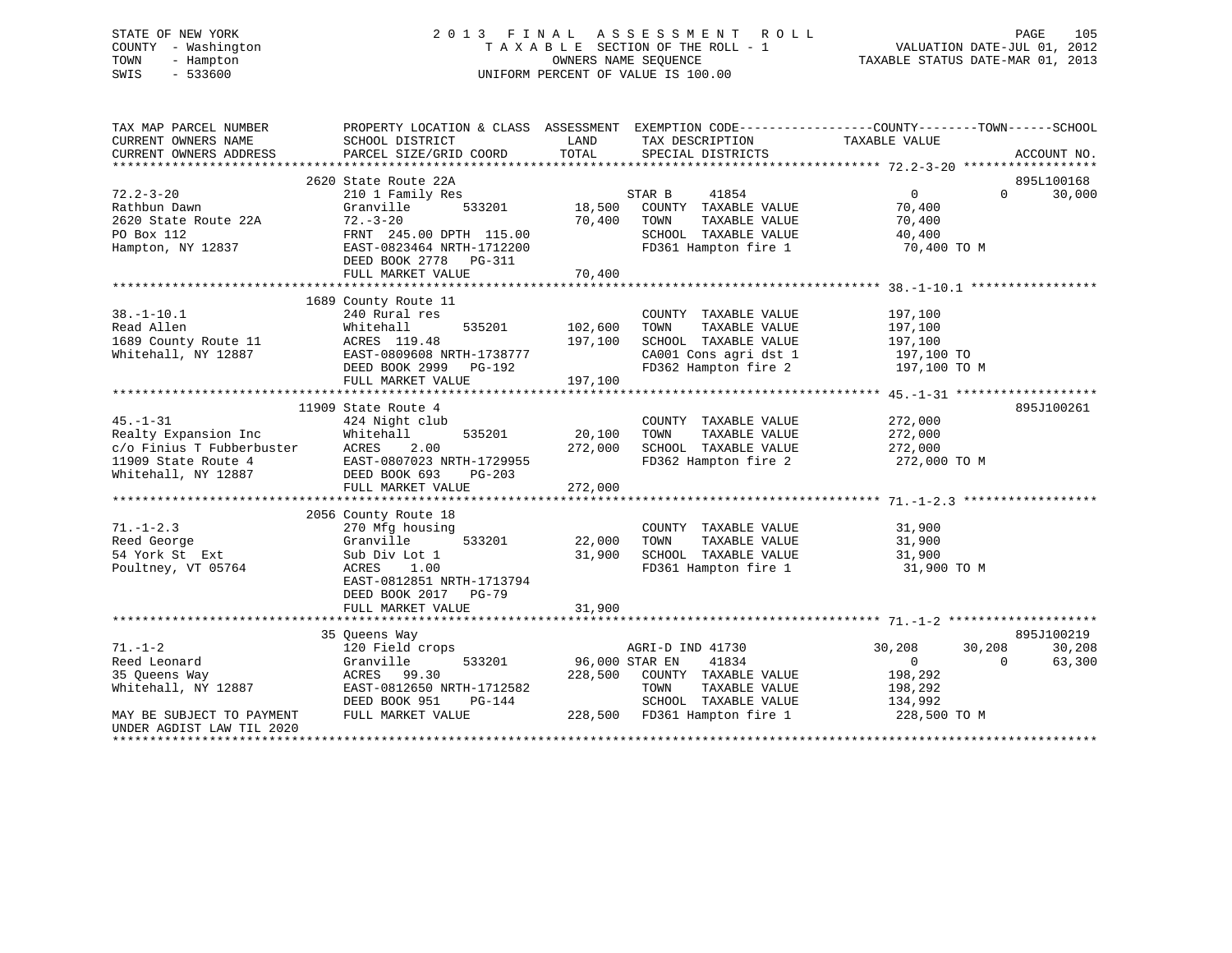# STATE OF NEW YORK 2 0 1 3 F I N A L A S S E S S M E N T R O L L PAGE 105 COUNTY - Washington T A X A B L E SECTION OF THE ROLL - 1 VALUATION DATE-JUL 01, 2012 TOWN - Hampton OWNERS NAME SEQUENCE TAXABLE STATUS DATE-MAR 01, 2013 SWIS - 533600 UNIFORM PERCENT OF VALUE IS 100.00

| TAX MAP PARCEL NUMBER<br>CURRENT OWNERS NAME | PROPERTY LOCATION & CLASS ASSESSMENT<br>SCHOOL DISTRICT | LAND           | EXEMPTION CODE-----------------COUNTY-------TOWN------SCHOOL<br>TAX DESCRIPTION | TAXABLE VALUE |                                  |
|----------------------------------------------|---------------------------------------------------------|----------------|---------------------------------------------------------------------------------|---------------|----------------------------------|
| CURRENT OWNERS ADDRESS                       | PARCEL SIZE/GRID COORD                                  | TOTAL          | SPECIAL DISTRICTS                                                               |               | ACCOUNT NO.                      |
|                                              |                                                         |                |                                                                                 |               |                                  |
| $72.2 - 3 - 20$                              | 2620 State Route 22A<br>210 1 Family Res                |                | 41854<br>STAR B                                                                 | 0             | 895L100168<br>30,000<br>$\Omega$ |
| Rathbun Dawn                                 | 533201<br>Granville                                     | 18,500         | COUNTY TAXABLE VALUE                                                            | 70,400        |                                  |
| 2620 State Route 22A                         | $72 - 3 - 20$                                           | 70,400         | TOWN<br>TAXABLE VALUE                                                           | 70,400        |                                  |
| PO Box 112                                   | FRNT 245.00 DPTH 115.00                                 |                | SCHOOL TAXABLE VALUE                                                            | 40,400        |                                  |
|                                              |                                                         |                |                                                                                 |               |                                  |
| Hampton, NY 12837                            | EAST-0823464 NRTH-1712200                               |                | FD361 Hampton fire 1                                                            | 70,400 TO M   |                                  |
|                                              | DEED BOOK 2778 PG-311                                   | 70,400         |                                                                                 |               |                                  |
|                                              | FULL MARKET VALUE                                       |                |                                                                                 |               |                                  |
|                                              | 1689 County Route 11                                    |                |                                                                                 |               |                                  |
| $38. - 1 - 10.1$                             | 240 Rural res                                           |                | COUNTY TAXABLE VALUE                                                            | 197,100       |                                  |
| Read Allen                                   | 535201<br>Whitehall                                     | 102,600        | TOWN<br>TAXABLE VALUE                                                           | 197,100       |                                  |
| 1689 County Route 11                         | ACRES 119.48                                            | 197,100        | SCHOOL TAXABLE VALUE                                                            | 197,100       |                                  |
| Whitehall, NY 12887                          | EAST-0809608 NRTH-1738777                               |                | CA001 Cons agri dst 1                                                           | 197,100 TO    |                                  |
|                                              | DEED BOOK 2999 PG-192                                   |                | FD362 Hampton fire 2                                                            | 197,100 TO M  |                                  |
|                                              | FULL MARKET VALUE                                       | 197,100        |                                                                                 |               |                                  |
|                                              |                                                         |                |                                                                                 |               |                                  |
|                                              | 11909 State Route 4                                     |                |                                                                                 |               | 895J100261                       |
| $45. - 1 - 31$                               | 424 Night club                                          |                | COUNTY TAXABLE VALUE                                                            | 272,000       |                                  |
| Realty Expansion Inc                         | 535201<br>Whitehall                                     | 20,100         | TAXABLE VALUE<br>TOWN                                                           | 272,000       |                                  |
| c/o Finius T Fubberbuster                    | ACRES<br>2.00                                           | 272,000        | SCHOOL TAXABLE VALUE                                                            | 272,000       |                                  |
| 11909 State Route 4                          | EAST-0807023 NRTH-1729955                               |                | FD362 Hampton fire 2                                                            | 272,000 TO M  |                                  |
| Whitehall, NY 12887                          | DEED BOOK 693<br>PG-203                                 |                |                                                                                 |               |                                  |
|                                              | FULL MARKET VALUE                                       | 272,000        |                                                                                 |               |                                  |
|                                              |                                                         |                |                                                                                 |               |                                  |
|                                              | 2056 County Route 18                                    |                |                                                                                 |               |                                  |
| $71. - 1 - 2.3$                              | 270 Mfg housing                                         |                | COUNTY TAXABLE VALUE                                                            | 31,900        |                                  |
| Reed George                                  | 533201<br>Granville                                     | 22,000         | TOWN<br>TAXABLE VALUE                                                           | 31,900        |                                  |
| 54 York St Ext                               | Sub Div Lot 1                                           | 31,900         | SCHOOL TAXABLE VALUE                                                            | 31,900        |                                  |
| Poultney, VT 05764                           | ACRES<br>1.00                                           |                | FD361 Hampton fire 1                                                            | 31,900 TO M   |                                  |
|                                              | EAST-0812851 NRTH-1713794                               |                |                                                                                 |               |                                  |
|                                              | DEED BOOK 2017 PG-79                                    |                |                                                                                 |               |                                  |
|                                              | FULL MARKET VALUE                                       | 31,900         |                                                                                 |               |                                  |
|                                              |                                                         |                |                                                                                 |               |                                  |
|                                              | 35 Queens Way                                           |                |                                                                                 |               | 895J100219                       |
| $71. - 1 - 2$                                | 120 Field crops                                         |                | AGRI-D IND 41730                                                                | 30,208        | 30,208<br>30,208                 |
| Reed Leonard                                 | Granville<br>533201                                     | 96,000 STAR EN | 41834                                                                           | $\Omega$      | 63,300<br>$\Omega$               |
| 35 Queens Way                                | ACRES<br>99.30                                          | 228,500        | COUNTY TAXABLE VALUE                                                            | 198,292       |                                  |
| Whitehall, NY 12887                          | EAST-0812650 NRTH-1712582                               |                | TOWN<br>TAXABLE VALUE                                                           | 198,292       |                                  |
|                                              | DEED BOOK 951<br>PG-144                                 |                | SCHOOL TAXABLE VALUE                                                            | 134,992       |                                  |
| MAY BE SUBJECT TO PAYMENT                    | FULL MARKET VALUE                                       |                | 228,500 FD361 Hampton fire 1                                                    | 228,500 TO M  |                                  |
| UNDER AGDIST LAW TIL 2020                    |                                                         |                |                                                                                 |               |                                  |
|                                              |                                                         |                |                                                                                 |               |                                  |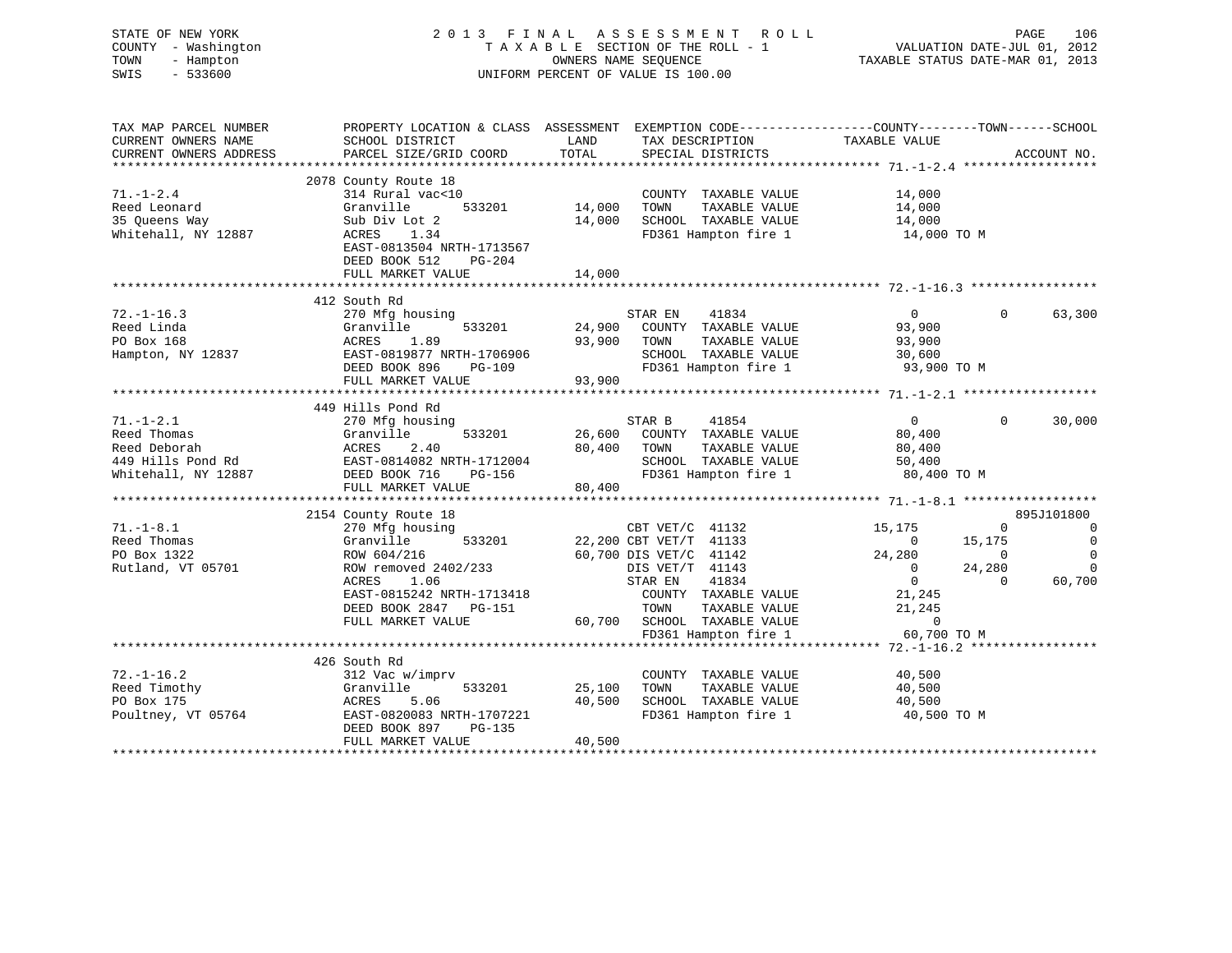| STATE OF NEW YORK<br>COUNTY - Washington<br>TOWN<br>- Hampton<br>SWIS<br>$-533600$                                                                                                                                                                                                 |                                                                                                                                                                                                                                   |             | 2013 FINAL ASSESSMENT ROLL<br>T A X A B L E SECTION OF THE ROLL - 1<br>OWNERS NAME SEQUENCE<br>UNIFORM PERCENT OF VALUE IS 100.00 |                            | PAGE<br>VALUATION DATE-JUL 01, 2012<br>TAXABLE STATUS DATE-MAR 01, 2013                                                  | 106            |
|------------------------------------------------------------------------------------------------------------------------------------------------------------------------------------------------------------------------------------------------------------------------------------|-----------------------------------------------------------------------------------------------------------------------------------------------------------------------------------------------------------------------------------|-------------|-----------------------------------------------------------------------------------------------------------------------------------|----------------------------|--------------------------------------------------------------------------------------------------------------------------|----------------|
| TAX MAP PARCEL NUMBER<br>CURRENT OWNERS NAME                                                                                                                                                                                                                                       | PROPERTY LOCATION & CLASS ASSESSMENT EXEMPTION CODE----------------COUNTY-------TOWN------SCHOOL<br>SCHOOL DISTRICT                                                                                                               | <b>LAND</b> | TAX DESCRIPTION TAXABLE VALUE                                                                                                     |                            |                                                                                                                          |                |
| CURRENT OWNERS ADDRESS                                                                                                                                                                                                                                                             | PARCEL SIZE/GRID COORD                                                                                                                                                                                                            | TOTAL       | SPECIAL DISTRICTS                                                                                                                 |                            | ACCOUNT NO.                                                                                                              |                |
|                                                                                                                                                                                                                                                                                    |                                                                                                                                                                                                                                   |             |                                                                                                                                   |                            |                                                                                                                          |                |
|                                                                                                                                                                                                                                                                                    | 2078 County Route 18                                                                                                                                                                                                              |             |                                                                                                                                   |                            |                                                                                                                          |                |
| $71. - 1 - 2.4$                                                                                                                                                                                                                                                                    | 314 Rural vac<10                                                                                                                                                                                                                  |             | COUNTY TAXABLE VALUE                                                                                                              | 14,000                     |                                                                                                                          |                |
| Reed Leonard                                                                                                                                                                                                                                                                       | 533201<br>Granville                                                                                                                                                                                                               |             | 14,000 TOWN TAXABLE VALUE<br>14,000 SCHOOL TAXABLE VALUE                                                                          | 14,000                     |                                                                                                                          |                |
| 35 Queens Way                                                                                                                                                                                                                                                                      | Sub Div Lot 2                                                                                                                                                                                                                     |             |                                                                                                                                   | 14,000                     |                                                                                                                          |                |
| Whitehall, NY 12887                                                                                                                                                                                                                                                                | ACRES 1.34                                                                                                                                                                                                                        |             | FD361 Hampton fire 1 14,000 TO M                                                                                                  |                            |                                                                                                                          |                |
|                                                                                                                                                                                                                                                                                    | EAST-0813504 NRTH-1713567<br>DEED BOOK 512 PG-204                                                                                                                                                                                 |             |                                                                                                                                   |                            |                                                                                                                          |                |
|                                                                                                                                                                                                                                                                                    | FULL MARKET VALUE                                                                                                                                                                                                                 | 14,000      |                                                                                                                                   |                            |                                                                                                                          |                |
|                                                                                                                                                                                                                                                                                    | 412 South Rd                                                                                                                                                                                                                      |             |                                                                                                                                   |                            |                                                                                                                          |                |
| $72. - 1 - 16.3$                                                                                                                                                                                                                                                                   | 270 Mfg housing                                                                                                                                                                                                                   |             | STAR EN 41834                                                                                                                     | $\overline{0}$             | $\Omega$<br>63,300                                                                                                       |                |
| Reed Linda                                                                                                                                                                                                                                                                         |                                                                                                                                                                                                                                   |             |                                                                                                                                   |                            |                                                                                                                          |                |
|                                                                                                                                                                                                                                                                                    |                                                                                                                                                                                                                                   |             |                                                                                                                                   |                            |                                                                                                                          |                |
| Reed Linua<br>PO Box 168<br>Hampton, NY 12837                                                                                                                                                                                                                                      |                                                                                                                                                                                                                                   |             |                                                                                                                                   |                            |                                                                                                                          |                |
|                                                                                                                                                                                                                                                                                    |                                                                                                                                                                                                                                   |             |                                                                                                                                   |                            |                                                                                                                          |                |
|                                                                                                                                                                                                                                                                                    | 270 Mfg nousing<br>Granville 533201 24,900 COUNTY TAXABLE VALUE<br>ACRES 1.89 93,900 TOWN TAXABLE VALUE 93,900<br>EAST-0819877 NRTH-1706906 SCHOOL TAXABLE VALUE 30,600<br>NARPE RANK 896 PG-109 FD361 Hampton fire 1 93,900 TO M |             |                                                                                                                                   |                            |                                                                                                                          |                |
|                                                                                                                                                                                                                                                                                    |                                                                                                                                                                                                                                   |             |                                                                                                                                   |                            |                                                                                                                          |                |
|                                                                                                                                                                                                                                                                                    | 449 Hills Pond Rd                                                                                                                                                                                                                 |             |                                                                                                                                   |                            |                                                                                                                          |                |
| $71. - 1 - 2.1$                                                                                                                                                                                                                                                                    | 270 Mfg housing                                                                                                                                                                                                                   |             | 41854<br>STAR B<br>26,600 COUNTY TAXABLE VALUE                                                                                    | $\overline{0}$             | $\Omega$<br>30,000                                                                                                       |                |
|                                                                                                                                                                                                                                                                                    |                                                                                                                                                                                                                                   |             | TAXABLE VALUE                                                                                                                     |                            |                                                                                                                          |                |
|                                                                                                                                                                                                                                                                                    |                                                                                                                                                                                                                                   |             | SCHOOL TAXABLE VALUE                                                                                                              | 80,400<br>80,400<br>50,400 |                                                                                                                          |                |
| Reed Thomas<br>Reed Deborah<br>Reed Deborah<br>Reed Deborah<br>Reed Deborah<br>Reed Deborah<br>Reed Deborah<br>2.40<br>Reed Peborah<br>2.40<br>2.40<br>2.40<br>2.40<br>2.40<br>2.40<br>2.40<br>2.40<br>2.40<br>2.40<br>2.40<br>2.40<br>2.40<br>2.40<br>2.40<br>2.40<br>2.40<br>2.4 |                                                                                                                                                                                                                                   |             |                                                                                                                                   | 80,400 TO M                |                                                                                                                          |                |
|                                                                                                                                                                                                                                                                                    | FULL MARKET VALUE                                                                                                                                                                                                                 | 80,400      |                                                                                                                                   |                            |                                                                                                                          |                |
|                                                                                                                                                                                                                                                                                    |                                                                                                                                                                                                                                   |             |                                                                                                                                   |                            |                                                                                                                          |                |
|                                                                                                                                                                                                                                                                                    | and y Route 18<br>270 Mfg housing<br>Granville 532000                                                                                                                                                                             |             |                                                                                                                                   |                            | 895J101800                                                                                                               |                |
| $71. - 1 - 8.1$                                                                                                                                                                                                                                                                    |                                                                                                                                                                                                                                   |             | CBT VET/C 41132                                                                                                                   | 15,175                     | $\mathbf{0}$<br>$\sim$ 0                                                                                                 |                |
| Reed Thomas                                                                                                                                                                                                                                                                        | Granville 533201 22,200 CBT VET/T 41133                                                                                                                                                                                           |             |                                                                                                                                   | $\sim$ 0                   | 15,175                                                                                                                   | $\overline{0}$ |
| PO Box 1322                                                                                                                                                                                                                                                                        | ROW 604/216                                                                                                                                                                                                                       |             | 60,700 DIS VET/C 41142                                                                                                            |                            |                                                                                                                          |                |
| Rutland, VT 05701                                                                                                                                                                                                                                                                  | ROW removed 2402/233<br>ACRES 1.06                                                                                                                                                                                                |             | DIS VET/T 41143                                                                                                                   |                            | $\begin{array}{cccc} 24 \,, 280 & & & 0 & & 0 \\ & & 0 & & 24 \,, 280 & & & 0 \\ & & 0 & & 0 & & 60 \,, 700 \end{array}$ |                |
|                                                                                                                                                                                                                                                                                    | EAST-0815242 NRTH-1713418                                                                                                                                                                                                         |             | STAR EN<br>41834<br>COUNTY TAXABLE VALUE                                                                                          | 21,245<br>21,245           |                                                                                                                          |                |
|                                                                                                                                                                                                                                                                                    | DEED BOOK 2847 PG-151                                                                                                                                                                                                             |             | TOWN<br>TAXABLE VALUE                                                                                                             |                            |                                                                                                                          |                |
|                                                                                                                                                                                                                                                                                    | FULL MARKET VALUE                                                                                                                                                                                                                 |             |                                                                                                                                   |                            |                                                                                                                          |                |
|                                                                                                                                                                                                                                                                                    |                                                                                                                                                                                                                                   |             | 60,700 SCHOOL TAXABLE VALUE 0<br>FD361 Hampton fire 1 60,700 TO M                                                                 |                            |                                                                                                                          |                |
|                                                                                                                                                                                                                                                                                    |                                                                                                                                                                                                                                   |             |                                                                                                                                   |                            |                                                                                                                          |                |
|                                                                                                                                                                                                                                                                                    | 426 South Rd                                                                                                                                                                                                                      |             |                                                                                                                                   |                            |                                                                                                                          |                |
| $72. - 1 - 16.2$                                                                                                                                                                                                                                                                   | 312 Vac w/imprv                                                                                                                                                                                                                   |             | COUNTY TAXABLE VALUE                                                                                                              | 40,500                     |                                                                                                                          |                |
| Reed Timothy                                                                                                                                                                                                                                                                       | Granville 533201<br>ACRES 5.06<br>EAST-0820083 NRTH-1707221                                                                                                                                                                       |             | 25,100 TOWN TAXABLE VALUE                                                                                                         | 40,500                     |                                                                                                                          |                |
| PO Box 175                                                                                                                                                                                                                                                                         |                                                                                                                                                                                                                                   |             | 40,500 SCHOOL TAXABLE VALUE                                                                                                       | 40,500                     |                                                                                                                          |                |
| Poultney, VT 05764                                                                                                                                                                                                                                                                 | DEED BOOK 897<br>PG-135                                                                                                                                                                                                           |             | FD361 Hampton fire 1                                                                                                              | 40,500 TO M                |                                                                                                                          |                |
|                                                                                                                                                                                                                                                                                    | FULL MARKET VALUE                                                                                                                                                                                                                 | 40,500      |                                                                                                                                   |                            |                                                                                                                          |                |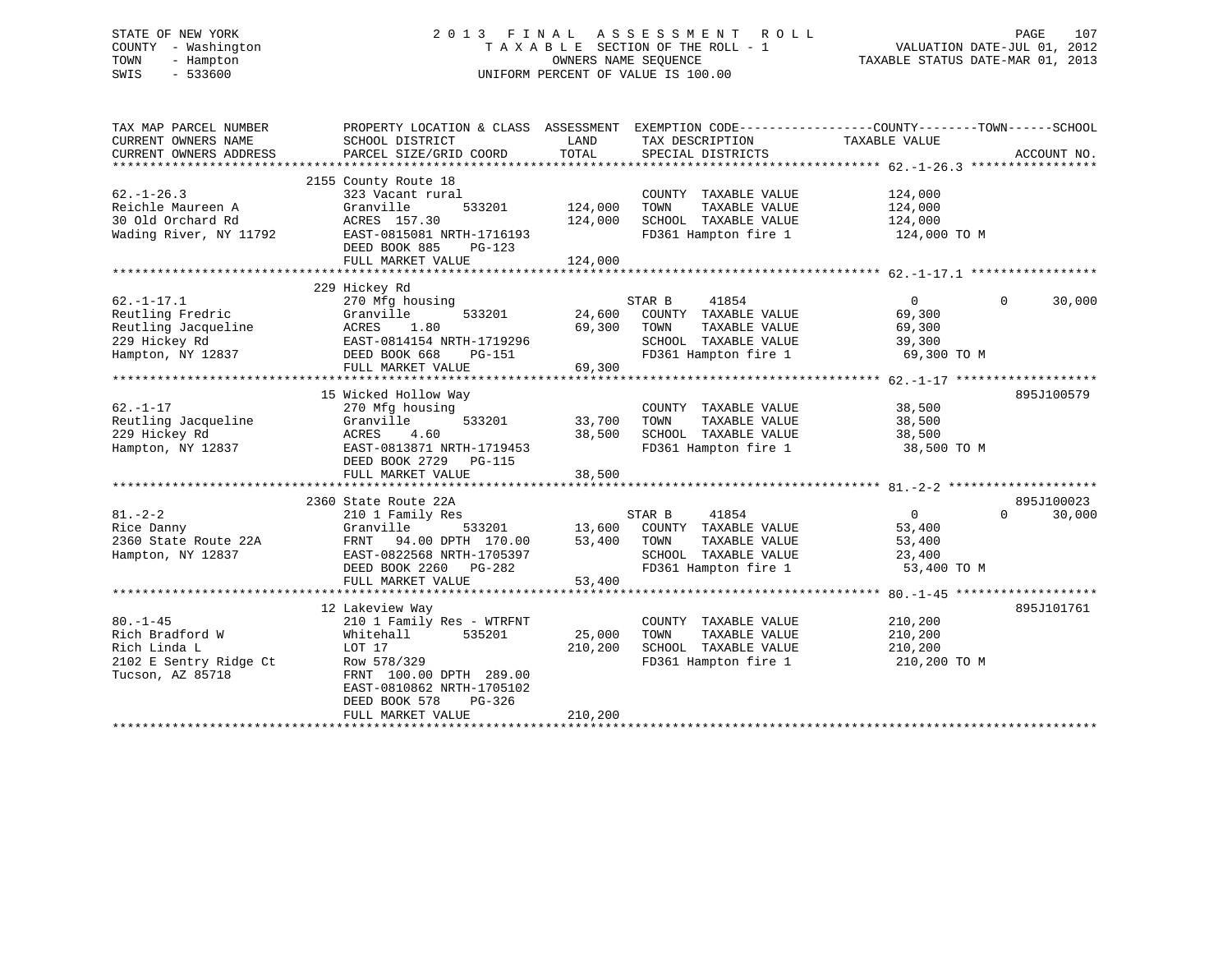# STATE OF NEW YORK 2 0 1 3 F I N A L A S S E S S M E N T R O L L PAGE 107 COUNTY - Washington T A X A B L E SECTION OF THE ROLL - 1 VALUATION DATE-JUL 01, 2012 TOWN - Hampton OWNERS NAME SEQUENCE TAXABLE STATUS DATE-MAR 01, 2013 SWIS - 533600 UNIFORM PERCENT OF VALUE IS 100.00

| TAX MAP PARCEL NUMBER<br>CURRENT OWNERS NAME<br>CURRENT OWNERS ADDRESS                            | PROPERTY LOCATION & CLASS ASSESSMENT<br>SCHOOL DISTRICT<br>PARCEL SIZE/GRID COORD                                                                                                                    | LAND<br>TOTAL                 | EXEMPTION CODE-----------------COUNTY-------TOWN------SCHOOL<br>TAX DESCRIPTION TAXABLE VALUE<br>SPECIAL DISTRICTS                             |                                                             | ACCOUNT NO.                      |
|---------------------------------------------------------------------------------------------------|------------------------------------------------------------------------------------------------------------------------------------------------------------------------------------------------------|-------------------------------|------------------------------------------------------------------------------------------------------------------------------------------------|-------------------------------------------------------------|----------------------------------|
| $62. - 1 - 26.3$<br>Reichle Maureen A<br>30 Old Orchard Rd<br>Wading River, NY 11792              | 2155 County Route 18<br>323 Vacant rural<br>Granville<br>533201<br>ACRES 157.30<br>EAST-0815081 NRTH-1716193<br>DEED BOOK 885<br>PG-123<br>FULL MARKET VALUE                                         | 124,000<br>124,000<br>124,000 | COUNTY TAXABLE VALUE<br>TOWN<br>TAXABLE VALUE<br>SCHOOL TAXABLE VALUE<br>FD361 Hampton fire 1                                                  | 124,000<br>124,000<br>124,000<br>124,000 TO M               |                                  |
| $62. - 1 - 17.1$<br>Reutling Fredric<br>Reutling Jacqueline<br>229 Hickey Rd<br>Hampton, NY 12837 | 229 Hickey Rd<br>270 Mfg housing<br>533201<br>Granville<br>ACRES<br>1.80<br>EAST-0814154 NRTH-1719296<br>DEED BOOK 668<br>PG-151<br>FULL MARKET VALUE                                                | 24,600<br>69,300<br>69,300    | STAR B<br>41854<br>COUNTY TAXABLE VALUE<br>TAXABLE VALUE<br>TOWN<br>SCHOOL TAXABLE VALUE<br>FD361 Hampton fire 1                               | $\overline{0}$<br>69,300<br>69,300<br>39,300<br>69,300 TO M | $\Omega$<br>30,000               |
| $62. - 1 - 17$<br>Reutling Jacqueline<br>229 Hickey Rd<br>Hampton, NY 12837                       | 15 Wicked Hollow Way<br>270 Mfg housing<br>Granville<br>533201<br>4.60<br>ACRES<br>EAST-0813871 NRTH-1719453<br>DEED BOOK 2729 PG-115<br>FULL MARKET VALUE                                           | 33,700<br>38,500<br>38,500    | COUNTY TAXABLE VALUE<br>TAXABLE VALUE<br>TOWN<br>SCHOOL TAXABLE VALUE<br>FD361 Hampton fire 1                                                  | 38,500<br>38,500<br>38,500<br>38,500 TO M                   | 895J100579                       |
| $81. - 2 - 2$<br>Rice Danny<br>2360 State Route 22A<br>Hampton, NY 12837                          | 2360 State Route 22A<br>210 1 Family Res<br>Granville<br>533201<br>FRNT 94.00 DPTH 170.00<br>EAST-0822568 NRTH-1705397<br>DEED BOOK 2260 PG-282<br>FULL MARKET VALUE                                 | 53,400<br>53,400              | STAR B<br>41854<br>$13,600$ COUNTY TAXABLE VALUE<br>53.400 TOWN TAXABLE VALUE<br>TAXABLE VALUE<br>SCHOOL TAXABLE VALUE<br>FD361 Hampton fire 1 | $\overline{0}$<br>53,400<br>53,400<br>23,400<br>53,400 TO M | 895J100023<br>$\Omega$<br>30,000 |
| $80. - 1 - 45$<br>Rich Bradford W<br>Rich Linda L<br>2102 E Sentry Ridge Ct<br>Tucson, AZ 85718   | 12 Lakeview Way<br>210 1 Family Res - WTRFNT<br>Whitehall<br>535201<br>LOT 17<br>Row 578/329<br>FRNT 100.00 DPTH 289.00<br>EAST-0810862 NRTH-1705102<br>DEED BOOK 578<br>PG-326<br>FULL MARKET VALUE | 25,000<br>210,200<br>210,200  | COUNTY TAXABLE VALUE<br>TAXABLE VALUE<br>TOWN<br>SCHOOL TAXABLE VALUE<br>FD361 Hampton fire 1                                                  | 210,200<br>210,200<br>210,200<br>210,200 TO M               | 895J101761                       |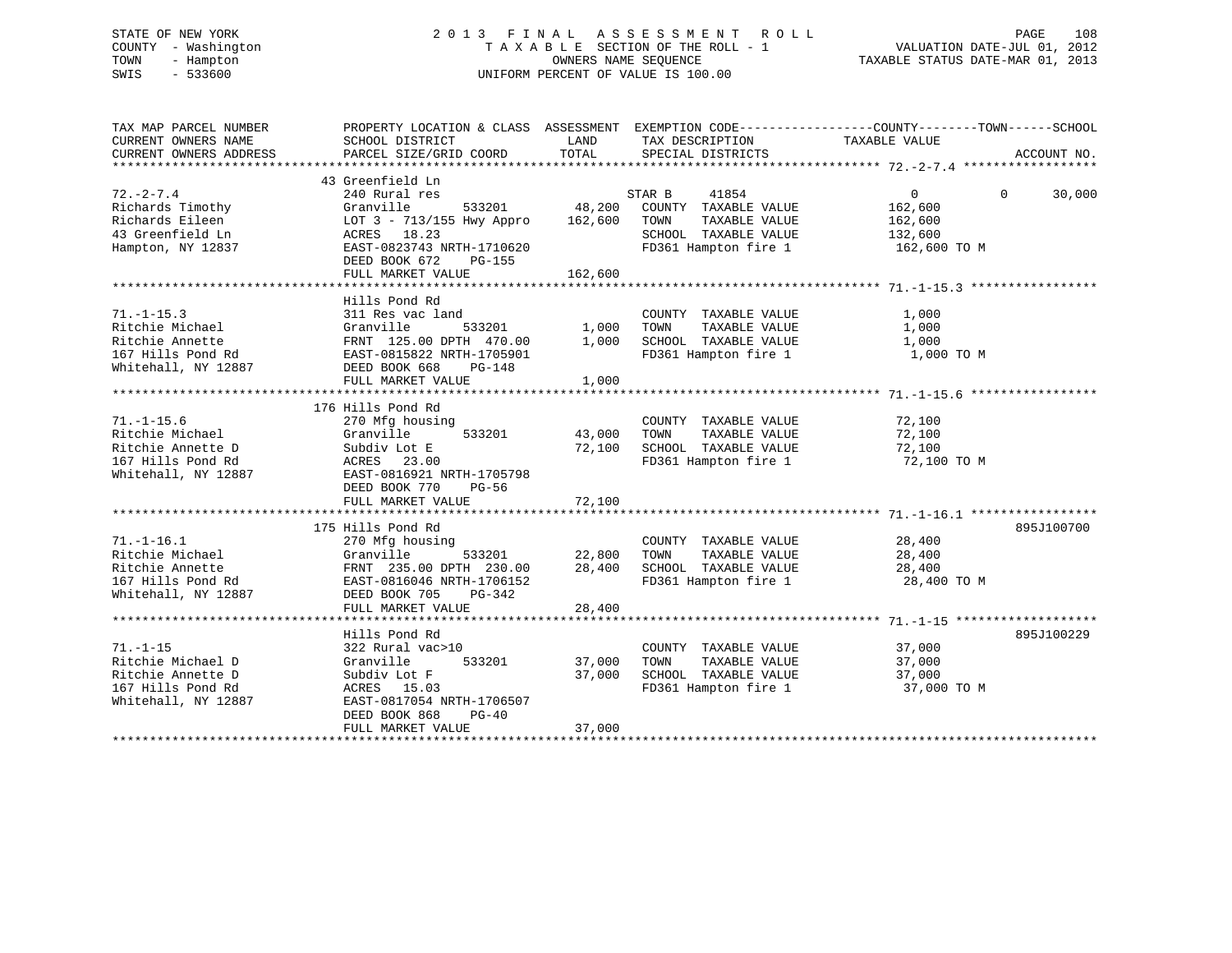# STATE OF NEW YORK 2 0 1 3 F I N A L A S S E S S M E N T R O L L PAGE 108 COUNTY - Washington T A X A B L E SECTION OF THE ROLL - 1 VALUATION DATE-JUL 01, 2012 TOWN - Hampton OWNERS NAME SEQUENCE TAXABLE STATUS DATE-MAR 01, 2013 SWIS - 533600 UNIFORM PERCENT OF VALUE IS 100.00

| TAX MAP PARCEL NUMBER<br>CURRENT OWNERS NAME                                                         | PROPERTY LOCATION & CLASS ASSESSMENT EXEMPTION CODE---------------COUNTY-------TOWN-----SCHOOL<br>SCHOOL DISTRICT               | LAND             | TAX DESCRIPTION                                                                                                  | TAXABLE VALUE                             |                    |
|------------------------------------------------------------------------------------------------------|---------------------------------------------------------------------------------------------------------------------------------|------------------|------------------------------------------------------------------------------------------------------------------|-------------------------------------------|--------------------|
| CURRENT OWNERS ADDRESS                                                                               | PARCEL SIZE/GRID COORD                                                                                                          | TOTAL            | SPECIAL DISTRICTS                                                                                                |                                           | ACCOUNT NO.        |
|                                                                                                      | 43 Greenfield Ln                                                                                                                |                  |                                                                                                                  |                                           |                    |
| $72. - 2 - 7.4$<br>Richards Timothy                                                                  | 240 Rural res<br>Granville                                                                                                      |                  | STAR B<br>41854<br>533201 48,200 COUNTY TAXABLE VALUE                                                            | $\overline{0}$<br>162,600                 | $\Omega$<br>30,000 |
| Richards Eileen<br>43 Greenfield Ln<br>Hampton, NY 12837                                             | LOT 3 - 713/155 Hwy Appro 162,600 TOWN<br>ACRES 18.23<br>EAST-0823743 NRTH-1710620                                              |                  | TAXABLE VALUE<br>SCHOOL TAXABLE VALUE<br>FD361 Hampton fire 1                                                    | 162,600<br>132,600<br>162,600 TO M        |                    |
|                                                                                                      | DEED BOOK 672<br>PG-155                                                                                                         |                  |                                                                                                                  |                                           |                    |
|                                                                                                      |                                                                                                                                 |                  |                                                                                                                  |                                           |                    |
| $71. - 1 - 15.3$<br>Ritchie Michael<br>Ritchie Annette<br>Whitehall, NY 12887                        | Hills Pond Rd<br>311 Res vac land<br>533201 1,000<br>DPTH 470.00 1.000<br>Granville<br>FRNT 125.00 DPTH 470.00<br>DEED BOOK 668 | 1,000            | COUNTY TAXABLE VALUE<br>TOWN<br>TAXABLE VALUE<br>SCHOOL TAXABLE VALUE<br>FD361 Hampton fire 1                    | 1,000<br>1,000<br>1,000<br>1,000 TO M     |                    |
|                                                                                                      | FULL MARKET VALUE                                                                                                               | 1,000            |                                                                                                                  |                                           |                    |
|                                                                                                      |                                                                                                                                 |                  |                                                                                                                  |                                           |                    |
|                                                                                                      | 176 Hills Pond Rd                                                                                                               |                  |                                                                                                                  |                                           |                    |
| $71. - 1 - 15.6$<br>Ritchie Michael<br>Ritchie Annette D<br>167 Hills Pond Rd<br>Whitehall, NY 12887 | 270 Mfg housing<br>533201<br>Granville<br>Subdiv Lot E<br>ACRES 23.00<br>EAST-0816921 NRTH-1705798                              | 43,000<br>72,100 | COUNTY TAXABLE VALUE<br>TOWN<br>TAXABLE VALUE<br>SCHOOL TAXABLE VALUE<br>FD361 Hampton fire 1                    | 72,100<br>72,100<br>72,100<br>72,100 TO M |                    |
|                                                                                                      | DEED BOOK 770<br>PG-56                                                                                                          | 72,100           |                                                                                                                  |                                           |                    |
|                                                                                                      | FULL MARKET VALUE                                                                                                               |                  |                                                                                                                  |                                           |                    |
| $71. - 1 - 16.1$                                                                                     | 175 Hills Pond Rd<br>270 Mfg housing                                                                                            |                  | COUNTY TAXABLE VALUE                                                                                             | 28,400                                    | 895J100700         |
| Ritchie Michael<br>Ritchie Annette<br>167 Hills Pond Rd<br>Whitehall, NY 12887                       | 533201<br>Granville<br>FRNT 235.00 DPTH 230.00<br>EAST-0816046 NRTH-1706152<br>DEED BOOK 705<br>PG-342                          | 22,800<br>28,400 | TAXABLE VALUE<br>TOWN<br>TOWN      TAXABLE  VALUE<br>SCHOOL   TAXABLE  VALUE<br>FD361 Hampton fire 1 28,400 TO M | 28,400<br>28,400                          |                    |
|                                                                                                      | FULL MARKET VALUE                                                                                                               | 28,400           |                                                                                                                  |                                           |                    |
|                                                                                                      |                                                                                                                                 |                  |                                                                                                                  |                                           |                    |
| $71. - 1 - 15$<br>Ritchie Michael D                                                                  | Hills Pond Rd<br>322 Rural vac>10<br>Granville<br>533201                                                                        | 37,000           | COUNTY TAXABLE VALUE<br>TAXABLE VALUE<br>TOWN                                                                    | 37,000<br>37,000                          | 895J100229         |
| Ritchie Annette D<br>167 Hills Pond Rd<br>Whitehall, NY 12887                                        | Subdiv Lot F<br>ACRES 15.03<br>EAST-0817054 NRTH-1706507<br>DEED BOOK 868<br>$PG-40$<br>FULL MARKET VALUE                       | 37,000<br>37,000 | SCHOOL TAXABLE VALUE<br>FD361 Hampton fire 1                                                                     | 37,000<br>37,000 TO M                     |                    |
|                                                                                                      |                                                                                                                                 |                  |                                                                                                                  |                                           |                    |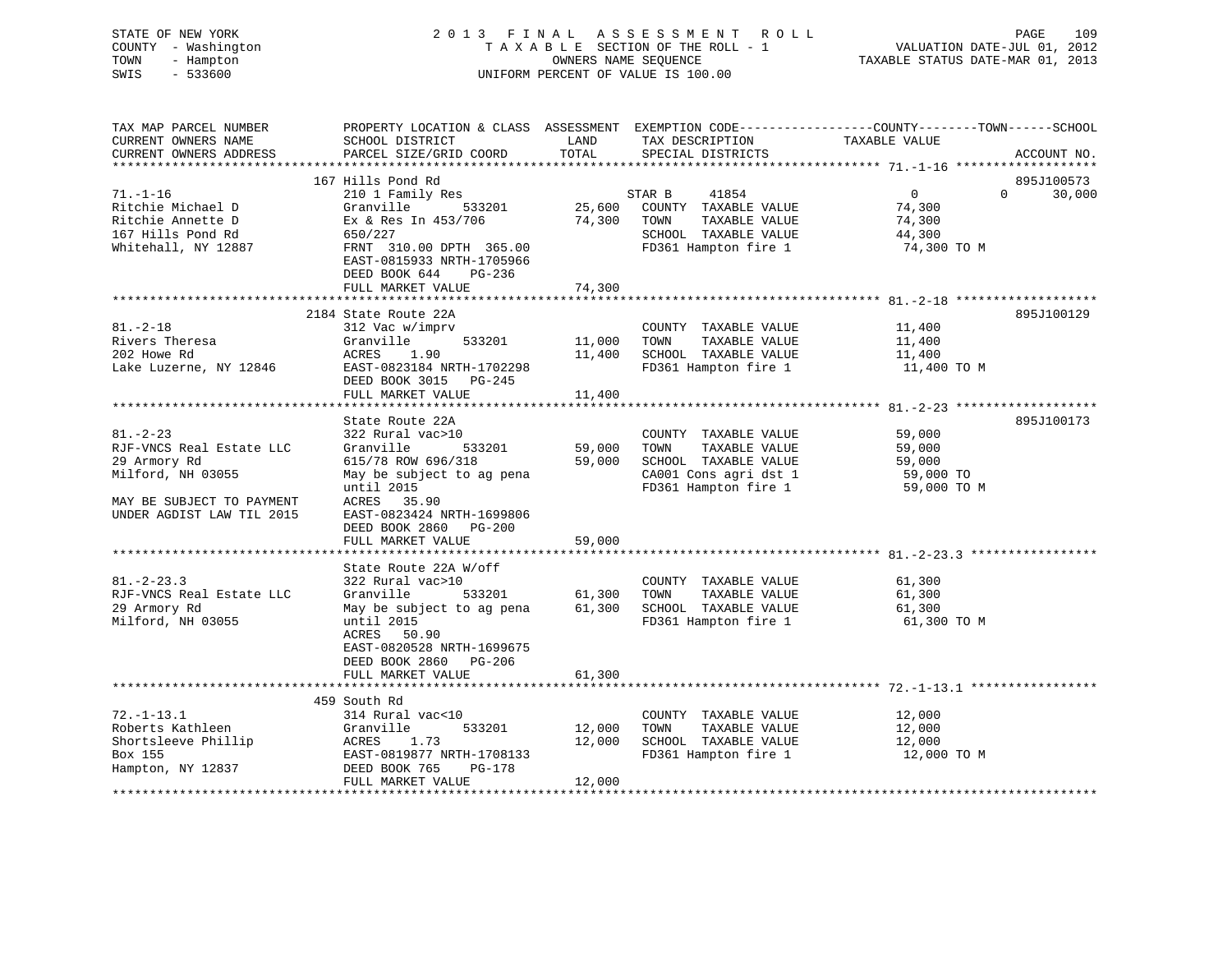| STATE OF NEW YORK<br>COUNTY - Washington<br>- Hampton<br>TOWN<br>SWIS<br>$-533600$ | 2013 FINAL ASSESSMENT ROLL<br>TAXABLE SECTION OF THE ROLL - 1<br>OWNERS NAME SEQUENCE<br>UNIFORM PERCENT OF VALUE IS 100.00 |               |                                              | PAGE<br>109<br>VALUATION DATE-JUL 01, 2012<br>TAXABLE STATUS DATE-MAR 01, 2013                                                 |  |  |
|------------------------------------------------------------------------------------|-----------------------------------------------------------------------------------------------------------------------------|---------------|----------------------------------------------|--------------------------------------------------------------------------------------------------------------------------------|--|--|
| TAX MAP PARCEL NUMBER<br>CURRENT OWNERS NAME<br>CURRENT OWNERS ADDRESS             | SCHOOL DISTRICT<br>PARCEL SIZE/GRID COORD                                                                                   | LAND<br>TOTAL | TAX DESCRIPTION<br>SPECIAL DISTRICTS         | PROPERTY LOCATION & CLASS ASSESSMENT EXEMPTION CODE---------------COUNTY-------TOWN-----SCHOOL<br>TAXABLE VALUE<br>ACCOUNT NO. |  |  |
|                                                                                    | 167 Hills Pond Rd                                                                                                           |               |                                              | 895J100573                                                                                                                     |  |  |
| $71. - 1 - 16$                                                                     | 210 1 Family Res                                                                                                            |               | STAR B<br>41854                              | $\overline{0}$<br>$\overline{0}$<br>30,000                                                                                     |  |  |
| Ritchie Michael D                                                                  | Granville<br>533201                                                                                                         | 25,600        | COUNTY TAXABLE VALUE                         | 74,300                                                                                                                         |  |  |
| Ritchie Annette D                                                                  | $Ex$ & Res In $453/706$                                                                                                     | 74,300        | TOWN<br>TAXABLE VALUE                        | 74,300                                                                                                                         |  |  |
| 167 Hills Pond Rd                                                                  | 650/227                                                                                                                     |               | SCHOOL TAXABLE VALUE                         | 44,300                                                                                                                         |  |  |
| Whitehall, NY 12887                                                                | FRNT 310.00 DPTH 365.00<br>EAST-0815933 NRTH-1705966<br>DEED BOOK 644<br>PG-236                                             |               | FD361 Hampton fire 1                         | 74,300 TO M                                                                                                                    |  |  |
|                                                                                    | FULL MARKET VALUE                                                                                                           | 74,300        |                                              |                                                                                                                                |  |  |
|                                                                                    | 2184 State Route 22A                                                                                                        |               |                                              | 895J100129                                                                                                                     |  |  |
| $81. - 2 - 18$                                                                     | 312 Vac w/imprv                                                                                                             |               | COUNTY TAXABLE VALUE                         | 11,400                                                                                                                         |  |  |
| Rivers Theresa                                                                     | Granville<br>533201                                                                                                         | 11,000        | TOWN<br>TAXABLE VALUE                        | 11,400                                                                                                                         |  |  |
| 202 Howe Rd                                                                        | ACRES 1.90                                                                                                                  | 11,400        | SCHOOL TAXABLE VALUE                         | 11,400                                                                                                                         |  |  |
| Lake Luzerne, NY 12846                                                             | EAST-0823184 NRTH-1702298<br>DEED BOOK 3015 PG-245<br>FULL MARKET VALUE                                                     | 11,400        | FD361 Hampton fire 1                         | 11,400 TO M                                                                                                                    |  |  |
|                                                                                    |                                                                                                                             |               |                                              |                                                                                                                                |  |  |
|                                                                                    | State Route 22A                                                                                                             |               |                                              | 895J100173                                                                                                                     |  |  |
| $81. - 2 - 23$                                                                     | 322 Rural vac>10                                                                                                            |               | COUNTY TAXABLE VALUE                         | 59,000                                                                                                                         |  |  |
| RJF-VNCS Real Estate LLC                                                           | Granville<br>533201                                                                                                         | 59,000        | TAXABLE VALUE<br>TOWN                        | 59,000                                                                                                                         |  |  |
| 29 Armory Rd                                                                       | 615/78 ROW 696/318                                                                                                          |               | 59,000 SCHOOL TAXABLE VALUE                  | 59,000                                                                                                                         |  |  |
| Milford, NH 03055                                                                  | May be subject to ag pena                                                                                                   |               | CA001 Cons agri dst 1                        | 59,000 TO                                                                                                                      |  |  |
| MAY BE SUBJECT TO PAYMENT<br>UNDER AGDIST LAW TIL 2015                             | until 2015<br>ACRES 35.90<br>EAST-0823424 NRTH-1699806<br>DEED BOOK 2860 PG-200                                             |               | FD361 Hampton fire 1                         | 59,000 TO M                                                                                                                    |  |  |
|                                                                                    | FULL MARKET VALUE                                                                                                           | 59,000        |                                              |                                                                                                                                |  |  |
|                                                                                    | State Route 22A W/off                                                                                                       |               |                                              |                                                                                                                                |  |  |
| $81. - 2 - 23.3$                                                                   | 322 Rural vac>10                                                                                                            |               | COUNTY TAXABLE VALUE                         | 61,300                                                                                                                         |  |  |
| RJF-VNCS Real Estate LLC                                                           | Granville<br>533201                                                                                                         | 61,300        | TAXABLE VALUE<br>TOWN                        | 61,300                                                                                                                         |  |  |
| 29 Armory Rd                                                                       | May be subject to ag pena                                                                                                   | 61,300        | SCHOOL TAXABLE VALUE                         | 61,300                                                                                                                         |  |  |
| Milford, NH 03055                                                                  | until 2015<br>ACRES 50.90<br>EAST-0820528 NRTH-1699675<br>DEED BOOK 2860 PG-206<br>FULL MARKET VALUE                        | 61,300        | FD361 Hampton fire 1                         | 61,300 TO M                                                                                                                    |  |  |
|                                                                                    |                                                                                                                             |               |                                              |                                                                                                                                |  |  |
|                                                                                    | 459 South Rd                                                                                                                |               |                                              |                                                                                                                                |  |  |
| $72. - 1 - 13.1$                                                                   | 314 Rural vac<10                                                                                                            |               | COUNTY TAXABLE VALUE                         | 12,000                                                                                                                         |  |  |
| Roberts Kathleen                                                                   | 533201<br>Granville                                                                                                         | 12,000        | TAXABLE VALUE<br>TOWN                        | 12,000                                                                                                                         |  |  |
| Shortsleeve Phillip<br>Box 155                                                     | ACRES<br>1.73<br>EAST-0819877 NRTH-1708133                                                                                  | 12,000        | SCHOOL TAXABLE VALUE<br>FD361 Hampton fire 1 | 12,000<br>12,000 TO M                                                                                                          |  |  |
| Hampton, NY 12837                                                                  | DEED BOOK 765<br>PG-178<br>FULL MARKET VALUE                                                                                | 12,000        |                                              |                                                                                                                                |  |  |
|                                                                                    |                                                                                                                             |               |                                              |                                                                                                                                |  |  |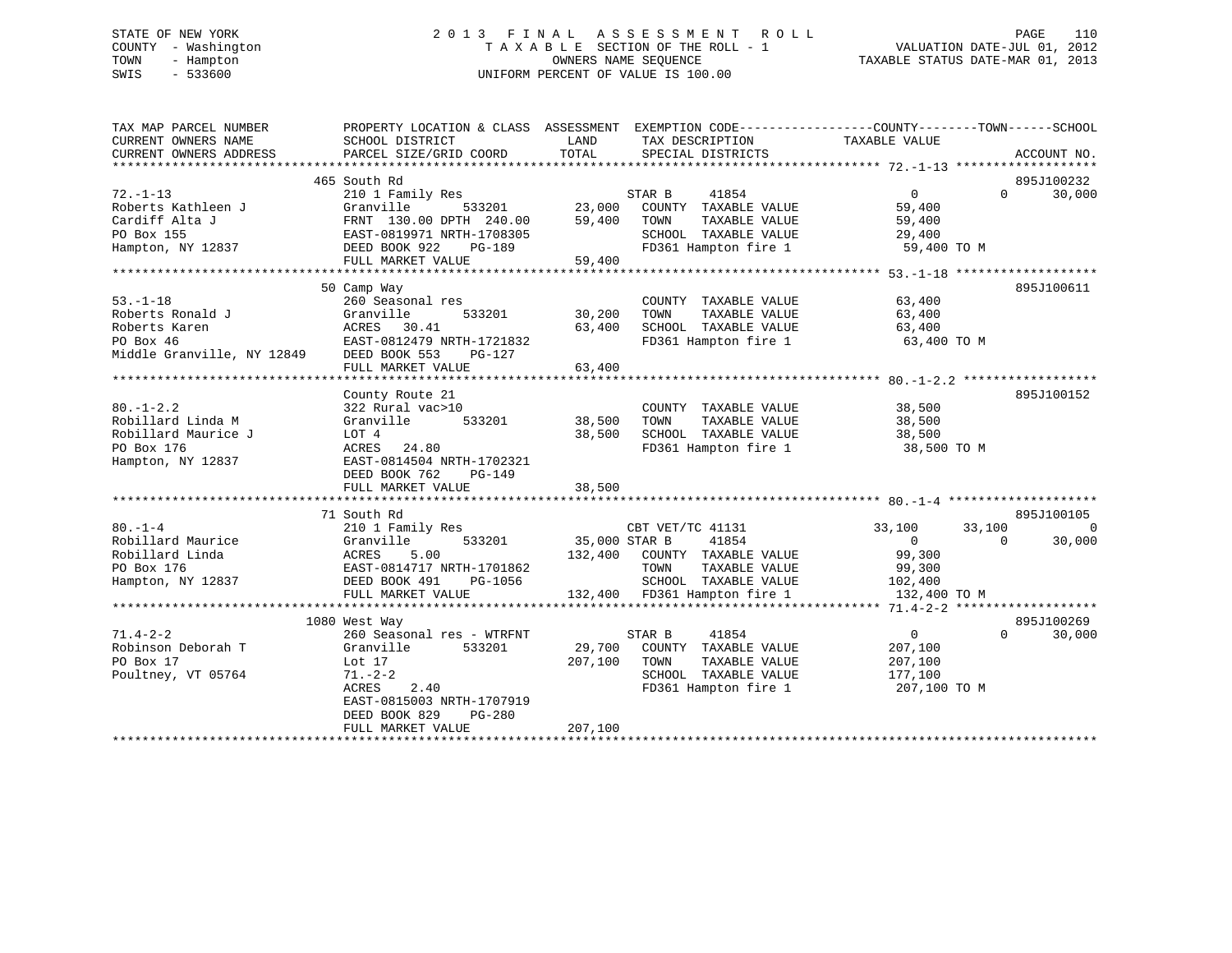# STATE OF NEW YORK 2 0 1 3 F I N A L A S S E S S M E N T R O L L PAGE 110 COUNTY - Washington T A X A B L E SECTION OF THE ROLL - 1 VALUATION DATE-JUL 01, 2012 TOWN - Hampton OWNERS NAME SEQUENCE TAXABLE STATUS DATE-MAR 01, 2013 SWIS - 533600 UNIFORM PERCENT OF VALUE IS 100.00

| TAX MAP PARCEL NUMBER                    | PROPERTY LOCATION & CLASS ASSESSMENT EXEMPTION CODE---------------COUNTY-------TOWN-----SCHOOL                                                                                                                                         |         |                                                                 |                                              |                      |
|------------------------------------------|----------------------------------------------------------------------------------------------------------------------------------------------------------------------------------------------------------------------------------------|---------|-----------------------------------------------------------------|----------------------------------------------|----------------------|
| CURRENT OWNERS NAME                      | SCHOOL DISTRICT                                                                                                                                                                                                                        | LAND    | TAX DESCRIPTION                                                 | TAXABLE VALUE                                |                      |
| CURRENT OWNERS ADDRESS                   | PARCEL SIZE/GRID COORD                                                                                                                                                                                                                 | TOTAL   | SPECIAL DISTRICTS                                               |                                              | ACCOUNT NO.          |
|                                          |                                                                                                                                                                                                                                        |         |                                                                 |                                              |                      |
|                                          | 465 South Rd                                                                                                                                                                                                                           |         |                                                                 |                                              | 895J100232           |
| $72. - 1 - 13$                           |                                                                                                                                                                                                                                        |         |                                                                 | $\overline{0}$                               | 30,000<br>$\Omega$   |
| Roberts Kathleen J                       |                                                                                                                                                                                                                                        |         |                                                                 | 59,400                                       |                      |
| Cardiff Alta J                           |                                                                                                                                                                                                                                        |         |                                                                 | TAXABLE VALUE 59,400<br>TAXABLE VALUE 29,400 |                      |
| PO Box 155                               | FRNT 130.00 DPTH 240.00 59,400 TOWN<br>EAST-0819971 NRTH-1708305 SCHOOL                                                                                                                                                                |         | SCHOOL TAXABLE VALUE                                            |                                              |                      |
| Hampton, NY 12837 DEED BOOK 922          |                                                                                                                                                                                                                                        |         | FD361 Hampton fire 1 59,400 TO M                                |                                              |                      |
|                                          | EAST-0819971 NRTH-1708305<br>DEED BOOK 922 PG-189<br>FULL MARKET VALUE 59,400                                                                                                                                                          |         |                                                                 |                                              |                      |
|                                          |                                                                                                                                                                                                                                        |         |                                                                 |                                              |                      |
|                                          | 50 Camp Way                                                                                                                                                                                                                            |         |                                                                 |                                              | 895J100611           |
| $53. - 1 - 18$                           | 260 Seasonal res                                                                                                                                                                                                                       |         | COUNTY TAXABLE VALUE                                            | 63,400                                       |                      |
| Roberts Ronald J                         | 533201 30,200                                                                                                                                                                                                                          |         | TOWN                                                            | TAXABLE VALUE 63,400                         |                      |
| Roberts Karen                            | J<br>  Granville 533201<br>  ACRES 30.41<br>  EAST-0812479 NRTH-1721832                                                                                                                                                                | 63,400  | SCHOOL TAXABLE VALUE 63,400<br>FD361 Hampton fire 1 63,400 TO M |                                              |                      |
| PO Box 46                                |                                                                                                                                                                                                                                        |         |                                                                 |                                              |                      |
| Middle Granville, NY 12849 DEED BOOK 553 | PG-127                                                                                                                                                                                                                                 |         |                                                                 |                                              |                      |
|                                          | FULL MARKET VALUE                                                                                                                                                                                                                      | 63,400  |                                                                 |                                              |                      |
|                                          |                                                                                                                                                                                                                                        |         |                                                                 |                                              |                      |
|                                          | County Route 21                                                                                                                                                                                                                        |         |                                                                 |                                              | 895J100152           |
| $80. - 1 - 2.2$                          | 322 Rural vac>10                                                                                                                                                                                                                       |         | COUNTY TAXABLE VALUE 38,500                                     |                                              |                      |
| Robillard Linda M                        | Granville 533201                                                                                                                                                                                                                       | 38,500  | TOWN                                                            |                                              |                      |
| Robillard Maurice J                      | LOT 4                                                                                                                                                                                                                                  | 38,500  | SCHOOL TAXABLE VALUE                                            | TAXABLE VALUE 38,500<br>TAXABLE VALUE 38,500 |                      |
| PO Box 176                               | ACRES 24.80                                                                                                                                                                                                                            |         | FD361 Hampton fire 1 38,500 TO M                                |                                              |                      |
| Hampton, NY 12837                        | EAST-0814504 NRTH-1702321                                                                                                                                                                                                              |         |                                                                 |                                              |                      |
|                                          | DEED BOOK 762<br>$PG-149$                                                                                                                                                                                                              |         |                                                                 |                                              |                      |
|                                          | FULL MARKET VALUE                                                                                                                                                                                                                      | 38,500  |                                                                 |                                              |                      |
|                                          |                                                                                                                                                                                                                                        |         |                                                                 |                                              |                      |
|                                          | 71 South Rd                                                                                                                                                                                                                            |         |                                                                 |                                              | 895J100105           |
| $80. - 1 - 4$                            | 210 1 Family Res                                                                                                                                                                                                                       |         | CBT VET/TC 41131                                                | 33,100                                       | $\bigcirc$<br>33,100 |
| Robillard Maurice                        | Granville                                                                                                                                                                                                                              |         | 533201 35,000 STAR B 41854                                      | $\overline{0}$                               | $\Omega$<br>30,000   |
|                                          |                                                                                                                                                                                                                                        |         |                                                                 |                                              |                      |
|                                          |                                                                                                                                                                                                                                        |         |                                                                 |                                              |                      |
|                                          |                                                                                                                                                                                                                                        |         |                                                                 |                                              |                      |
|                                          |                                                                                                                                                                                                                                        |         |                                                                 |                                              |                      |
|                                          | RODITIATO MARIE (MARIE 1999)<br>ROBOL INCRES 132,400 COUNTY TAXABLE VALUE 99,300<br>PO BOX 176 EAST-0814717 NRTH-1701862<br>Hampton, NY 12837 DEED BOOK 491 PG-1056 SCHOOL TAXABLE VALUE 102,400<br>FULL MARKET VALUE 132,400 FD361 Ha |         |                                                                 |                                              |                      |
|                                          |                                                                                                                                                                                                                                        |         |                                                                 |                                              | 895J100269           |
|                                          | 1080 West Way                                                                                                                                                                                                                          |         |                                                                 | $\overline{0}$                               | $\Omega$             |
| $71.4 - 2 - 2$                           | 260 Seasonal res - WTRFNT                                                                                                                                                                                                              |         | STAR B 41854                                                    |                                              | 30,000               |
| Robinson Deborah T                       | Granville<br>533201                                                                                                                                                                                                                    |         | 29,700 COUNTY TAXABLE VALUE                                     | 207,100                                      |                      |
| PO Box 17                                | Lot 17<br>2.40                                                                                                                                                                                                                         | 207,100 | TOWN<br>TAXABLE VALUE                                           | 207,100                                      |                      |
| Poultney, VT 05764                       | 71.–2–2                                                                                                                                                                                                                                |         | SCHOOL TAXABLE VALUE 177,100                                    |                                              |                      |
|                                          | ACRES 2.40                                                                                                                                                                                                                             |         | FD361 Hampton fire 1 207,100 TO M                               |                                              |                      |
|                                          | EAST-0815003 NRTH-1707919                                                                                                                                                                                                              |         |                                                                 |                                              |                      |
|                                          | DEED BOOK 829<br>PG-280                                                                                                                                                                                                                |         |                                                                 |                                              |                      |
|                                          | FULL MARKET VALUE                                                                                                                                                                                                                      | 207,100 |                                                                 |                                              |                      |
|                                          |                                                                                                                                                                                                                                        |         |                                                                 |                                              |                      |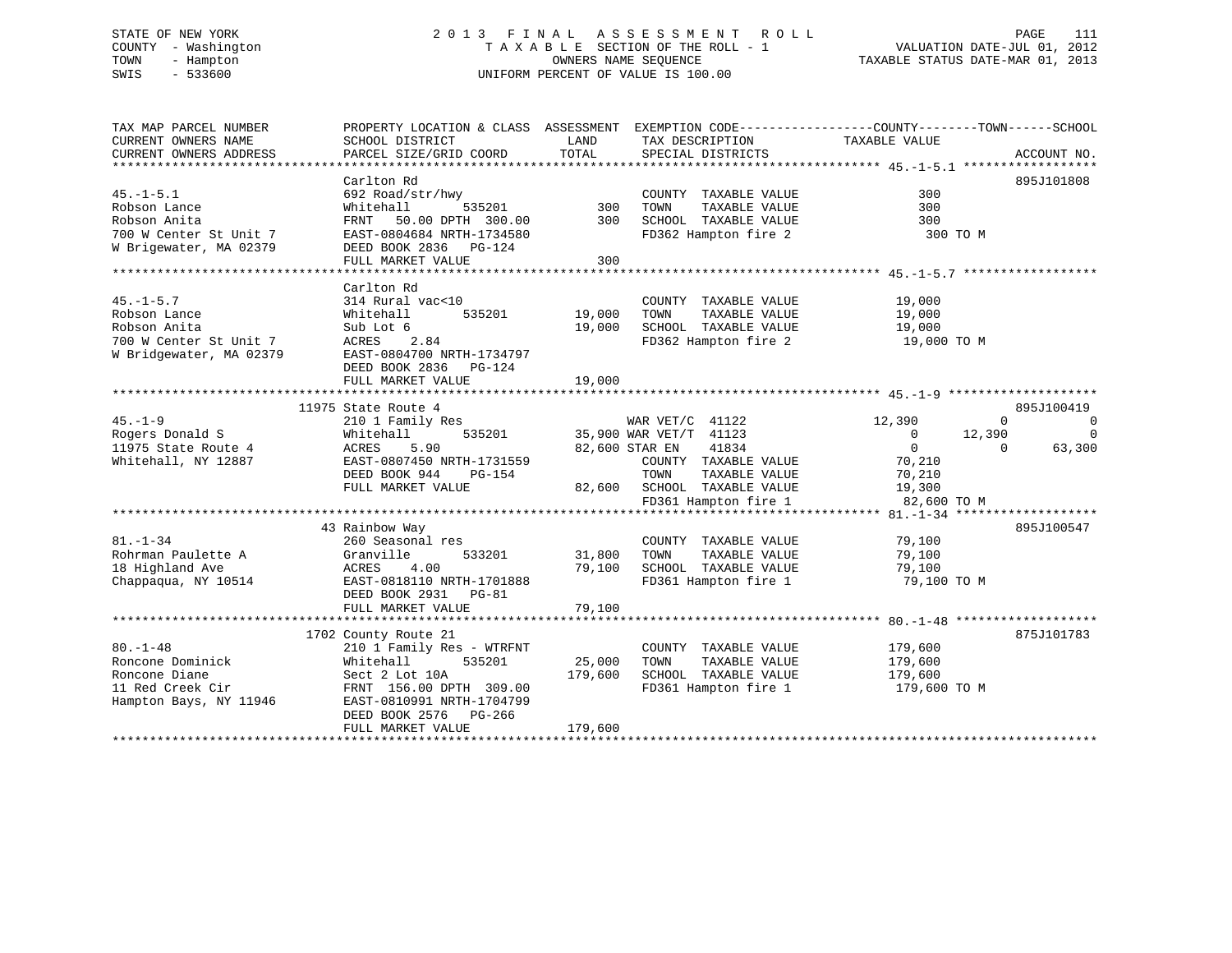# STATE OF NEW YORK 2 0 1 3 F I N A L A S S E S S M E N T R O L L PAGE 111 COUNTY - Washington T A X A B L E SECTION OF THE ROLL - 1 VALUATION DATE-JUL 01, 2012 TOWN - Hampton OWNERS NAME SEQUENCE TAXABLE STATUS DATE-MAR 01, 2013 SWIS - 533600 UNIFORM PERCENT OF VALUE IS 100.00

| TAX MAP PARCEL NUMBER<br>CURRENT OWNERS NAME | PROPERTY LOCATION & CLASS ASSESSMENT<br>SCHOOL DISTRICT | LAND    | EXEMPTION CODE-----------------COUNTY-------TOWN------SCHOOL<br>TAX DESCRIPTION | TAXABLE VALUE            |                            |
|----------------------------------------------|---------------------------------------------------------|---------|---------------------------------------------------------------------------------|--------------------------|----------------------------|
| CURRENT OWNERS ADDRESS                       | PARCEL SIZE/GRID COORD                                  | TOTAL   | SPECIAL DISTRICTS                                                               |                          | ACCOUNT NO.                |
|                                              |                                                         |         |                                                                                 |                          |                            |
|                                              | Carlton Rd                                              |         |                                                                                 |                          | 895J101808                 |
| $45. - 1 - 5.1$                              | 692 Road/str/hwy                                        |         | COUNTY TAXABLE VALUE                                                            | 300                      |                            |
| Robson Lance                                 | 535201<br>Whitehall                                     | 300     | TOWN<br>TAXABLE VALUE                                                           | 300                      |                            |
| Robson Anita                                 | 50.00 DPTH 300.00<br>FRNT                               | 300     | SCHOOL TAXABLE VALUE                                                            | 300                      |                            |
| 700 W Center St Unit 7                       | EAST-0804684 NRTH-1734580                               |         | FD362 Hampton fire 2                                                            | 300 TO M                 |                            |
| W Brigewater, MA 02379                       | DEED BOOK 2836 PG-124                                   |         |                                                                                 |                          |                            |
|                                              | FULL MARKET VALUE                                       | 300     |                                                                                 |                          |                            |
|                                              |                                                         |         |                                                                                 |                          |                            |
|                                              | Carlton Rd                                              |         |                                                                                 |                          |                            |
| $45. - 1 - 5.7$                              | 314 Rural vac<10                                        |         | COUNTY TAXABLE VALUE                                                            | 19,000                   |                            |
| Robson Lance                                 | 535201<br>Whitehall                                     | 19,000  | TAXABLE VALUE<br>TOWN                                                           | 19,000                   |                            |
| Robson Anita                                 | Sub Lot 6                                               | 19,000  | SCHOOL TAXABLE VALUE                                                            | 19,000                   |                            |
| 700 W Center St Unit 7                       | ACRES<br>2.84                                           |         | FD362 Hampton fire 2                                                            | 19,000 TO M              |                            |
| W Bridgewater, MA 02379                      | EAST-0804700 NRTH-1734797                               |         |                                                                                 |                          |                            |
|                                              | DEED BOOK 2836 PG-124                                   |         |                                                                                 |                          |                            |
|                                              | FULL MARKET VALUE                                       | 19,000  |                                                                                 |                          |                            |
|                                              |                                                         |         |                                                                                 |                          |                            |
|                                              | 11975 State Route 4                                     |         |                                                                                 |                          | 895J100419                 |
| $45. - 1 - 9$                                | 210 1 Family Res                                        |         | WAR $VET/C$ 41122                                                               | 12,390                   | $\Omega$<br>$\overline{0}$ |
| Rogers Donald S                              | Whitehall<br>535201                                     |         | 35,900 WAR VET/T 41123                                                          | $\overline{0}$<br>12,390 | $\overline{0}$             |
| 11975 State Route 4                          | ACRES<br>5.90                                           |         | 82,600 STAR EN<br>41834                                                         | $\overline{0}$           | 63,300<br>$\Omega$         |
| Whitehall, NY 12887                          | EAST-0807450 NRTH-1731559                               |         | COUNTY TAXABLE VALUE                                                            | 70,210                   |                            |
|                                              | DEED BOOK 944<br>PG-154                                 |         | TOWN<br>TAXABLE VALUE                                                           | 70,210                   |                            |
|                                              | FULL MARKET VALUE                                       |         | 82,600 SCHOOL TAXABLE VALUE                                                     |                          |                            |
|                                              |                                                         |         |                                                                                 | 19,300                   |                            |
|                                              |                                                         |         | FD361 Hampton fire 1                                                            | 82,600 TO M              |                            |
|                                              |                                                         |         |                                                                                 |                          |                            |
|                                              | 43 Rainbow Way                                          |         |                                                                                 |                          | 895J100547                 |
| $81. - 1 - 34$                               | 260 Seasonal res                                        |         | COUNTY TAXABLE VALUE                                                            | 79,100                   |                            |
| Rohrman Paulette A                           | Granville<br>533201                                     | 31,800  | TOWN<br>TAXABLE VALUE                                                           | 79,100                   |                            |
| 18 Highland Ave                              | ACRES<br>4.00                                           | 79,100  | SCHOOL TAXABLE VALUE                                                            | 79,100                   |                            |
| Chappaqua, NY 10514                          | EAST-0818110 NRTH-1701888                               |         | FD361 Hampton fire 1                                                            | 79,100 TO M              |                            |
|                                              | DEED BOOK 2931 PG-81                                    |         |                                                                                 |                          |                            |
|                                              | FULL MARKET VALUE                                       | 79,100  |                                                                                 |                          |                            |
|                                              |                                                         |         |                                                                                 |                          |                            |
|                                              | 1702 County Route 21                                    |         |                                                                                 |                          | 875J101783                 |
| $80. -1 - 48$                                | 210 1 Family Res - WTRFNT                               |         | COUNTY TAXABLE VALUE                                                            | 179,600                  |                            |
| Roncone Dominick                             | Whitehall<br>535201                                     | 25,000  | TOWN<br>TAXABLE VALUE                                                           | 179,600                  |                            |
| Roncone Diane                                | Sect 2 Lot 10A                                          | 179,600 | SCHOOL TAXABLE VALUE                                                            | 179,600                  |                            |
| 11 Red Creek Cir                             | FRNT 156.00 DPTH 309.00                                 |         | FD361 Hampton fire 1                                                            | 179,600 ТО М             |                            |
| Hampton Bays, NY 11946                       | EAST-0810991 NRTH-1704799                               |         |                                                                                 |                          |                            |
|                                              | DEED BOOK 2576<br>PG-266                                |         |                                                                                 |                          |                            |
|                                              | FULL MARKET VALUE                                       | 179,600 |                                                                                 |                          |                            |
|                                              |                                                         |         |                                                                                 |                          |                            |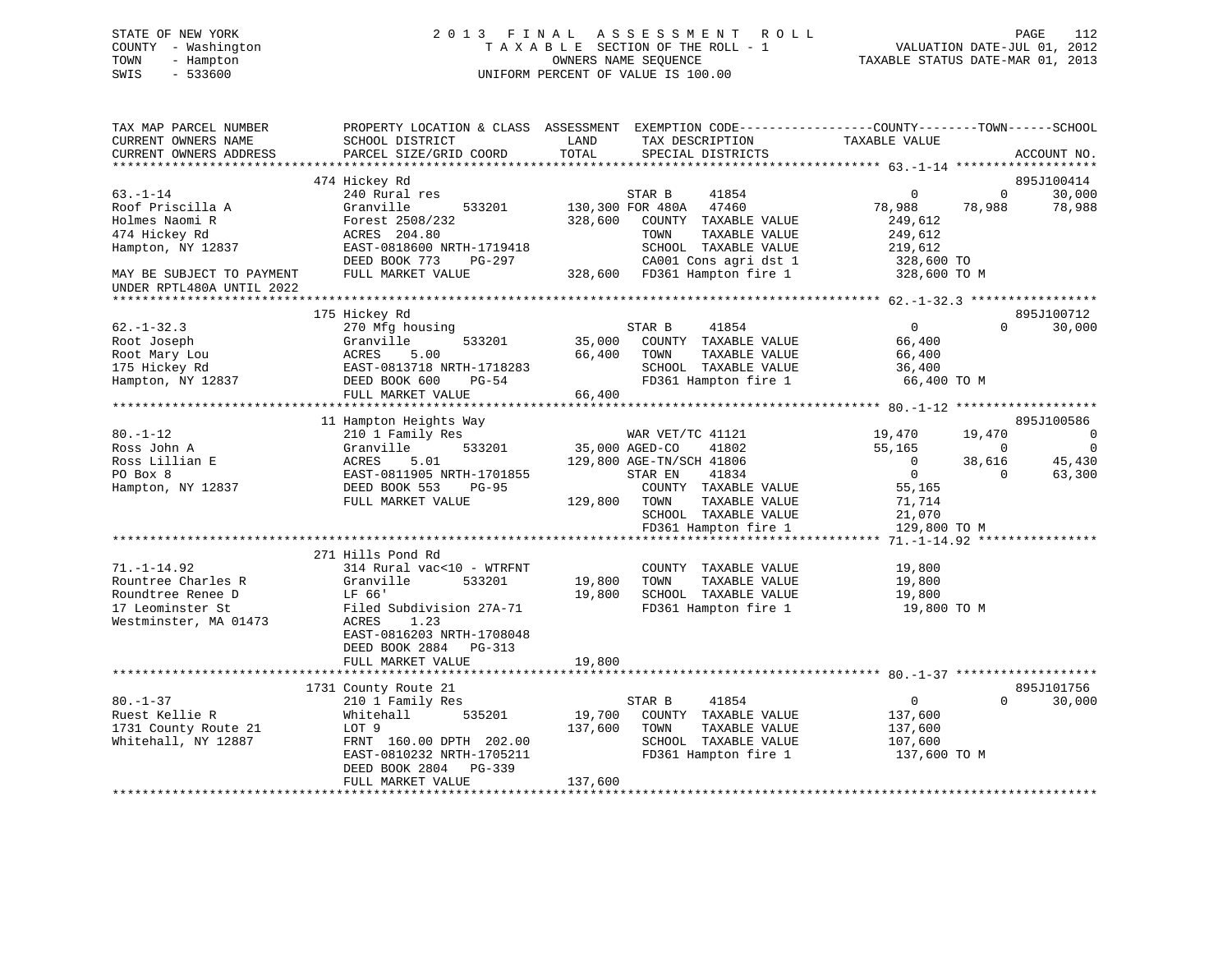# STATE OF NEW YORK 2 0 1 3 F I N A L A S S E S S M E N T R O L L PAGE 112 COUNTY - Washington T A X A B L E SECTION OF THE ROLL - 1 VALUATION DATE-JUL 01, 2012 TOWN - Hampton OWNERS NAME SEQUENCE TAXABLE STATUS DATE-MAR 01, 2013 SWIS - 533600 UNIFORM PERCENT OF VALUE IS 100.00

| TAX MAP PARCEL NUMBER<br>CURRENT OWNERS NAME                                                              | SCHOOL DISTRICT                                                                                                                                                                       | LAND<br>TAX DESCRIPTION                                                                                                                                                                                 | PROPERTY LOCATION & CLASS ASSESSMENT EXEMPTION CODE----------------COUNTY-------TOWN------SCHOOL<br>TAXABLE VALUE                                                     |        |
|-----------------------------------------------------------------------------------------------------------|---------------------------------------------------------------------------------------------------------------------------------------------------------------------------------------|---------------------------------------------------------------------------------------------------------------------------------------------------------------------------------------------------------|-----------------------------------------------------------------------------------------------------------------------------------------------------------------------|--------|
| CURRENT OWNERS ADDRESS                                                                                    | PARCEL SIZE/GRID COORD                                                                                                                                                                | TOTAL<br>SPECIAL DISTRICTS                                                                                                                                                                              | ACCOUNT NO.                                                                                                                                                           |        |
|                                                                                                           | 474 Hickey Rd                                                                                                                                                                         |                                                                                                                                                                                                         | 895J100414                                                                                                                                                            |        |
| $63. - 1 - 14$<br>Roof Priscilla A<br>Holmes Naomi R<br>474 Hickey Rd<br>Hampton, NY 12837                | 240 Rural res<br>Granville<br>533201<br>Forest 2508/232<br>ACRES 204.80<br>EAST-0818600 NRTH-1719418<br>DEED BOOK 773<br>PG-297                                                       | STAR B<br>41854<br>130,300 FOR 480A<br>47460<br>328,600<br>COUNTY TAXABLE VALUE<br>TAXABLE VALUE<br>TOWN<br>SCHOOL TAXABLE VALUE<br>CA001 Cons agri dst 1                                               | 30,000<br>$\overline{0}$<br>$\mathbf{0}$<br>78,988<br>78,988<br>78,988<br>249,612<br>249,612<br>219,612<br>328,600 TO                                                 |        |
| MAY BE SUBJECT TO PAYMENT                                                                                 | FULL MARKET VALUE                                                                                                                                                                     | 328,600 FD361 Hampton fire 1                                                                                                                                                                            | 328,600 TO M                                                                                                                                                          |        |
| UNDER RPTL480A UNTIL 2022                                                                                 |                                                                                                                                                                                       |                                                                                                                                                                                                         |                                                                                                                                                                       |        |
| $62. - 1 - 32.3$<br>Root Joseph<br>Root Mary Lou<br>175 Hickey Rd<br>Hampton, NY 12837                    | 175 Hickey Rd<br>270 Mfg housing<br>Granville<br>533201<br>ACRES<br>5.00<br>EAST-0813718 NRTH-1718283<br>DEED BOOK 600<br>$PG-54$<br>FULL MARKET VALUE                                | 41854<br>STAR B<br>35,000<br>COUNTY TAXABLE VALUE<br>66,400<br>TOWN<br>TAXABLE VALUE<br>SCHOOL TAXABLE VALUE<br>FD361 Hampton fire 1<br>66,400                                                          | 895J100712<br>$0 \qquad \qquad$<br>30,000<br>$\Omega$<br>66,400<br>66,400<br>36,400<br>66,400 TO M                                                                    |        |
|                                                                                                           |                                                                                                                                                                                       |                                                                                                                                                                                                         | 895J100586                                                                                                                                                            |        |
| $80. - 1 - 12$<br>Ross John A<br>Ross Lillian E<br>PO Box 8<br>Hampton, NY 12837                          | 11 Hampton Heights Way<br>210 1 Family Res<br>533201<br>Granville<br>5.01<br>ACRES<br>EAST-0811905 NRTH-1701855<br>DEED BOOK 553<br><b>PG-95</b><br>FULL MARKET VALUE                 | WAR VET/TC 41121<br>35,000 AGED-CO<br>41802<br>129,800 AGE-TN/SCH 41806<br>STAR EN<br>41834<br>COUNTY TAXABLE VALUE<br>129,800<br>TOWN<br>TAXABLE VALUE<br>SCHOOL TAXABLE VALUE<br>FD361 Hampton fire 1 | 19,470<br>19,470<br>55,165<br>$\mathbf 0$<br>$\overline{0}$<br>38,616<br>45,430<br>$\overline{0}$<br>63,300<br>$\Omega$<br>55,165<br>71,714<br>21,070<br>129,800 TO M | 0<br>0 |
|                                                                                                           |                                                                                                                                                                                       |                                                                                                                                                                                                         |                                                                                                                                                                       |        |
| $71. - 1 - 14.92$<br>Rountree Charles R<br>Roundtree Renee D<br>17 Leominster St<br>Westminster, MA 01473 | 271 Hills Pond Rd<br>314 Rural vac<10 - WTRFNT<br>Granville<br>533201<br>LF 66'<br>Filed Subdivision 27A-71<br>ACRES<br>1.23<br>EAST-0816203 NRTH-1708048<br>DEED BOOK 2884<br>PG-313 | COUNTY TAXABLE VALUE<br>19,800<br>TOWN<br>TAXABLE VALUE<br>19,800<br>SCHOOL TAXABLE VALUE<br>FD361 Hampton fire 1                                                                                       | 19,800<br>19,800<br>19,800<br>19,800 TO M                                                                                                                             |        |
|                                                                                                           | FULL MARKET VALUE                                                                                                                                                                     | 19,800                                                                                                                                                                                                  |                                                                                                                                                                       |        |
|                                                                                                           |                                                                                                                                                                                       |                                                                                                                                                                                                         | 895J101756                                                                                                                                                            |        |
| $80. - 1 - 37$<br>Ruest Kellie R<br>1731 County Route 21<br>Whitehall, NY 12887                           | 1731 County Route 21<br>210 1 Family Res<br>Whitehall<br>535201<br>LOT 9<br>FRNT 160.00 DPTH 202.00<br>EAST-0810232 NRTH-1705211<br>DEED BOOK 2804<br>PG-339<br>FULL MARKET VALUE     | 41854<br>STAR B<br>19,700<br>COUNTY TAXABLE VALUE<br>137,600<br>TAXABLE VALUE<br>TOWN<br>SCHOOL TAXABLE VALUE<br>FD361 Hampton fire 1<br>137,600                                                        | $\overline{0}$<br>$\Omega$<br>30,000<br>137,600<br>137,600<br>107,600<br>137,600 TO M                                                                                 |        |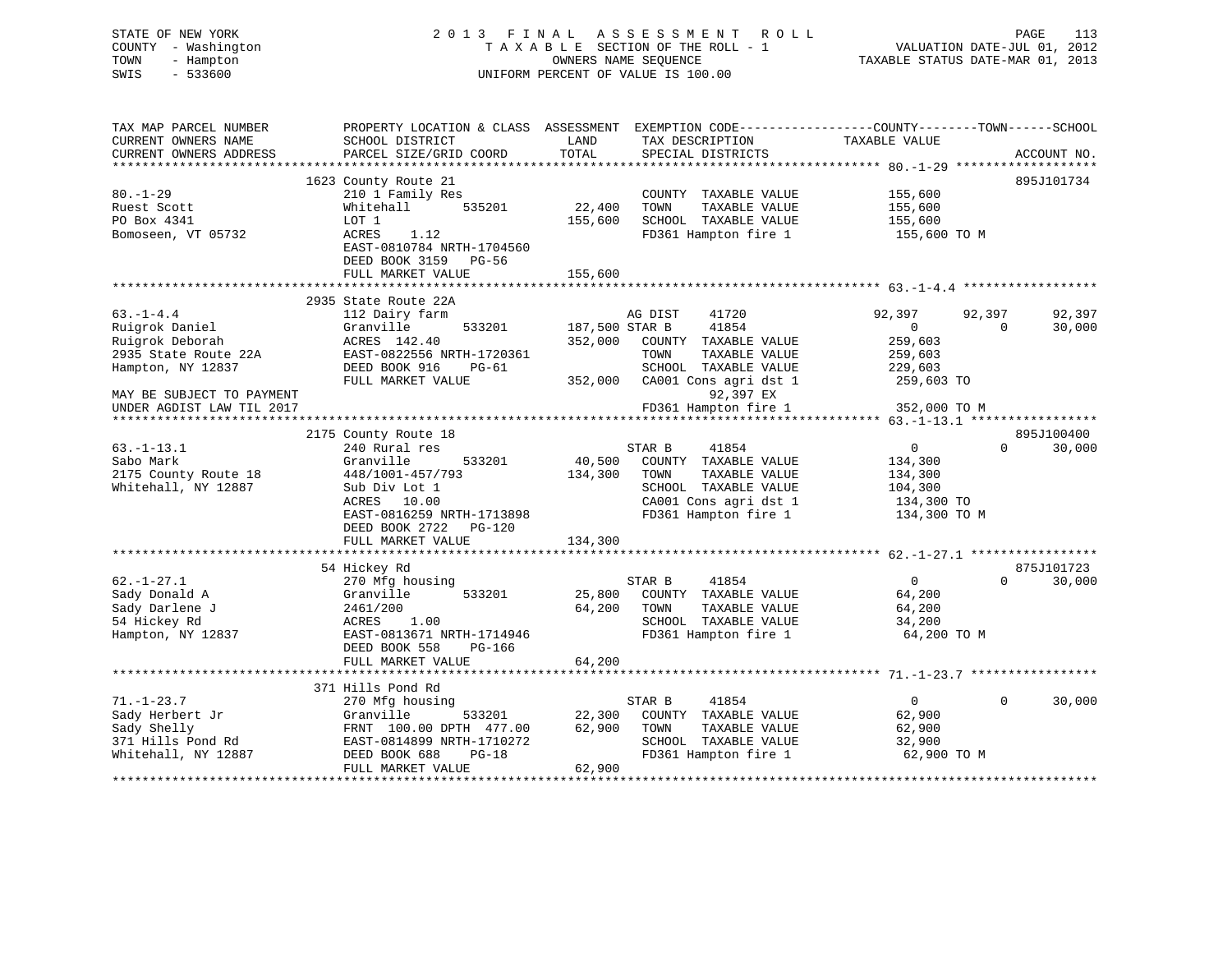# STATE OF NEW YORK 2 0 1 3 F I N A L A S S E S S M E N T R O L L PAGE 113 COUNTY - Washington T A X A B L E SECTION OF THE ROLL - 1 VALUATION DATE-JUL 01, 2012 TOWN - Hampton OWNERS NAME SEQUENCE TAXABLE STATUS DATE-MAR 01, 2013 SWIS - 533600 UNIFORM PERCENT OF VALUE IS 100.00

| TAX MAP PARCEL NUMBER<br>CURRENT OWNERS NAME<br>CURRENT OWNERS ADDRESS<br>************************          | PROPERTY LOCATION & CLASS ASSESSMENT EXEMPTION CODE---------------COUNTY-------TOWN------SCHOOL<br>SCHOOL DISTRICT<br>PARCEL SIZE/GRID COORD                                 | LAND<br>TOTAL                        | TAX DESCRIPTION<br>SPECIAL DISTRICTS                                                                                                      | TAXABLE VALUE                                                              |          | ACCOUNT NO.          |
|-------------------------------------------------------------------------------------------------------------|------------------------------------------------------------------------------------------------------------------------------------------------------------------------------|--------------------------------------|-------------------------------------------------------------------------------------------------------------------------------------------|----------------------------------------------------------------------------|----------|----------------------|
| $80. - 1 - 29$<br>Ruest Scott<br>PO Box 4341<br>Bomoseen, VT 05732                                          | 1623 County Route 21<br>210 1 Family Res<br>Whitehall<br>535201<br>LOT 1<br>ACRES<br>1.12<br>EAST-0810784 NRTH-1704560<br>DEED BOOK 3159<br>$PG-56$<br>FULL MARKET VALUE     | 22,400<br>155,600<br>155,600         | COUNTY TAXABLE VALUE<br>TOWN<br>TAXABLE VALUE<br>SCHOOL TAXABLE VALUE<br>FD361 Hampton fire 1                                             | 155,600<br>155,600<br>155,600<br>155,600 TO M                              |          | 895J101734           |
| $63. -1 - 4.4$                                                                                              | 2935 State Route 22A<br>112 Dairy farm                                                                                                                                       |                                      | 41720<br>AG DIST                                                                                                                          | 92,397                                                                     | 92,397   | 92,397               |
| Ruigrok Daniel<br>Ruigrok Deborah<br>2935 State Route 22A<br>Hampton, NY 12837<br>MAY BE SUBJECT TO PAYMENT | 533201<br>Granville<br>ACRES 142.40<br>EAST-0822556 NRTH-1720361<br>DEED BOOK 916<br>PG-61<br>FULL MARKET VALUE                                                              | 187,500 STAR B<br>352,000<br>352,000 | 41854<br>COUNTY TAXABLE VALUE<br>TAXABLE VALUE<br>TOWN<br>SCHOOL TAXABLE VALUE<br>CA001 Cons agri dst 1<br>92,397 EX                      | $\mathbf{0}$<br>259,603<br>259,603<br>229,603<br>259,603 TO                | $\Omega$ | 30,000               |
| UNDER AGDIST LAW TIL 2017                                                                                   |                                                                                                                                                                              |                                      | FD361 Hampton fire 1                                                                                                                      | 352,000 TO M                                                               |          |                      |
| $63. - 1 - 13.1$<br>Sabo Mark<br>2175 County Route 18<br>Whitehall, NY 12887                                | 2175 County Route 18<br>240 Rural res<br>Granville<br>533201<br>448/1001-457/793<br>Sub Div Lot 1<br>ACRES<br>10.00<br>EAST-0816259 NRTH-1713898<br>DEED BOOK 2722<br>PG-120 | 40,500<br>134,300                    | STAR B<br>41854<br>COUNTY TAXABLE VALUE<br>TOWN<br>TAXABLE VALUE<br>SCHOOL TAXABLE VALUE<br>CA001 Cons agri dst 1<br>FD361 Hampton fire 1 | $\mathbf 0$<br>134,300<br>134,300<br>104,300<br>134,300 TO<br>134,300 TO M | $\Omega$ | 895J100400<br>30,000 |
|                                                                                                             | FULL MARKET VALUE                                                                                                                                                            | 134,300<br>***********               | ******************************* 62. -1-27.1 *****************                                                                             |                                                                            |          |                      |
|                                                                                                             | 54 Hickey Rd                                                                                                                                                                 |                                      |                                                                                                                                           |                                                                            |          | 875J101723           |
| $62. - 1 - 27.1$<br>Sady Donald A<br>Sady Darlene J<br>54 Hickey Rd<br>Hampton, NY 12837                    | 270 Mfg housing<br>Granville<br>533201<br>2461/200<br>ACRES<br>1.00<br>EAST-0813671 NRTH-1714946<br>DEED BOOK 558<br>PG-166                                                  | 25,800<br>64,200                     | STAR B<br>41854<br>COUNTY TAXABLE VALUE<br>TOWN<br>TAXABLE VALUE<br>SCHOOL TAXABLE VALUE<br>FD361 Hampton fire 1                          | 0<br>64,200<br>64,200<br>34,200<br>64,200 TO M                             | $\Omega$ | 30,000               |
|                                                                                                             | FULL MARKET VALUE                                                                                                                                                            | 64,200                               |                                                                                                                                           |                                                                            |          |                      |
|                                                                                                             | 371 Hills Pond Rd                                                                                                                                                            |                                      |                                                                                                                                           |                                                                            |          |                      |
| $71. - 1 - 23.7$<br>Sady Herbert Jr<br>Sady Shelly<br>371 Hills Pond Rd<br>Whitehall, NY 12887              | 270 Mfg housing<br>Granville<br>533201<br>FRNT 100.00 DPTH 477.00<br>EAST-0814899 NRTH-1710272<br>DEED BOOK 688<br>$PG-18$<br>FULL MARKET VALUE                              | 22,300<br>62,900<br>62,900           | 41854<br>STAR B<br>COUNTY TAXABLE VALUE<br>TOWN<br>TAXABLE VALUE<br>SCHOOL TAXABLE VALUE<br>FD361 Hampton fire 1                          | $\overline{0}$<br>62,900<br>62,900<br>32,900<br>62,900 TO M                | $\Omega$ | 30,000               |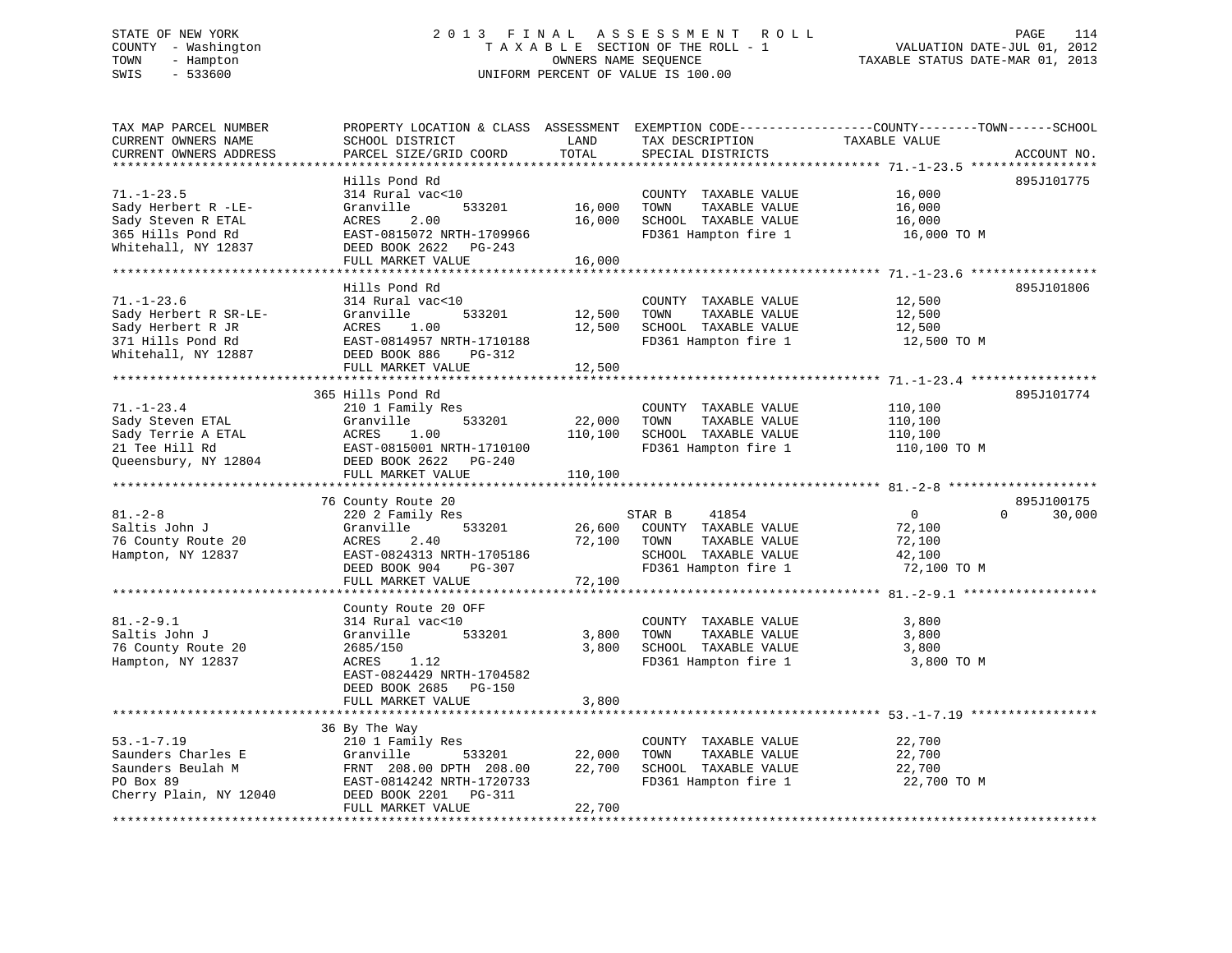# STATE OF NEW YORK 2 0 1 3 F I N A L A S S E S S M E N T R O L L PAGE 114 COUNTY - Washington T A X A B L E SECTION OF THE ROLL - 1 VALUATION DATE-JUL 01, 2012 TOWN - Hampton OWNERS NAME SEQUENCE TAXABLE STATUS DATE-MAR 01, 2013 SWIS - 533600 UNIFORM PERCENT OF VALUE IS 100.00

| TAX MAP PARCEL NUMBER<br>CURRENT OWNERS NAME<br>CURRENT OWNERS ADDRESS<br>********************             | PROPERTY LOCATION & CLASS ASSESSMENT<br>SCHOOL DISTRICT<br>PARCEL SIZE/GRID COORD                                                                                 | LAND<br>TOTAL                | TAX DESCRIPTION<br>SPECIAL DISTRICTS                                                                             | EXEMPTION CODE-----------------COUNTY-------TOWN------SCHOOL<br>TAXABLE VALUE | ACCOUNT NO. |
|------------------------------------------------------------------------------------------------------------|-------------------------------------------------------------------------------------------------------------------------------------------------------------------|------------------------------|------------------------------------------------------------------------------------------------------------------|-------------------------------------------------------------------------------|-------------|
| $71. - 1 - 23.5$<br>Sady Herbert R -LE-<br>Sady Steven R ETAL<br>365 Hills Pond Rd<br>Whitehall, NY 12837  | Hills Pond Rd<br>314 Rural vac<10<br>Granville<br>533201<br>ACRES<br>2.00<br>EAST-0815072 NRTH-1709966<br>DEED BOOK 2622<br>PG-243<br>FULL MARKET VALUE           | 16,000<br>16,000<br>16,000   | COUNTY TAXABLE VALUE<br>TAXABLE VALUE<br>TOWN<br>SCHOOL TAXABLE VALUE<br>FD361 Hampton fire 1                    | 16,000<br>16,000<br>16,000<br>16,000 TO M                                     | 895J101775  |
| $71. - 1 - 23.6$<br>Sady Herbert R SR-LE-<br>Sady Herbert R JR<br>371 Hills Pond Rd<br>Whitehall, NY 12887 | Hills Pond Rd<br>314 Rural vac<10<br>Granville<br>533201<br>ACRES<br>1.00<br>EAST-0814957 NRTH-1710188<br>DEED BOOK 886<br>PG-312<br>FULL MARKET VALUE            | 12,500<br>12,500<br>12,500   | COUNTY TAXABLE VALUE<br>TOWN<br>TAXABLE VALUE<br>SCHOOL TAXABLE VALUE<br>FD361 Hampton fire 1                    | 12,500<br>12,500<br>12,500<br>12,500 TO M                                     | 895J101806  |
| **********************                                                                                     |                                                                                                                                                                   |                              |                                                                                                                  |                                                                               |             |
| $71. - 1 - 23.4$<br>Sady Steven ETAL<br>Sady Terrie A ETAL<br>21 Tee Hill Rd<br>Queensbury, NY 12804       | 365 Hills Pond Rd<br>210 1 Family Res<br>Granville<br>533201<br>1.00<br>ACRES<br>EAST-0815001 NRTH-1710100<br>DEED BOOK 2622<br>PG-240<br>FULL MARKET VALUE       | 22,000<br>110,100<br>110,100 | COUNTY TAXABLE VALUE<br>TOWN<br>TAXABLE VALUE<br>SCHOOL TAXABLE VALUE<br>FD361 Hampton fire 1                    | 110,100<br>110,100<br>110,100<br>110,100 TO M                                 | 895J101774  |
|                                                                                                            | 76 County Route 20                                                                                                                                                | **********                   |                                                                                                                  | ************* 81.-2-8                                                         | 895J100175  |
| $81. - 2 - 8$<br>Saltis John J<br>76 County Route 20<br>Hampton, NY 12837                                  | 220 2 Family Res<br>Granville<br>533201<br>ACRES<br>2.40<br>EAST-0824313 NRTH-1705186<br>DEED BOOK 904<br>PG-307<br>FULL MARKET VALUE                             | 26,600<br>72,100<br>72,100   | 41854<br>STAR B<br>COUNTY TAXABLE VALUE<br>TAXABLE VALUE<br>TOWN<br>SCHOOL TAXABLE VALUE<br>FD361 Hampton fire 1 | $\mathbf 0$<br>$\Omega$<br>72,100<br>72,100<br>42,100<br>72,100 TO M          | 30,000      |
|                                                                                                            | *************************<br>County Route 20 OFF                                                                                                                  |                              |                                                                                                                  |                                                                               |             |
| $81. - 2 - 9.1$<br>Saltis John J<br>76 County Route 20<br>Hampton, NY 12837                                | 314 Rural vac<10<br>Granville<br>533201<br>2685/150<br>1.12<br>ACRES<br>EAST-0824429 NRTH-1704582                                                                 | 3,800<br>3,800               | COUNTY TAXABLE VALUE<br>TAXABLE VALUE<br>TOWN<br>SCHOOL TAXABLE VALUE<br>FD361 Hampton fire 1                    | 3,800<br>3,800<br>3,800<br>3,800 TO M                                         |             |
|                                                                                                            | DEED BOOK 2685<br>$PG-150$<br>FULL MARKET VALUE                                                                                                                   | 3,800                        |                                                                                                                  |                                                                               |             |
|                                                                                                            | **********************                                                                                                                                            | * * * * * * * * * * * * *    |                                                                                                                  | ******************************* 53.-1-7.19 *****                              |             |
| $53. - 1 - 7.19$<br>Saunders Charles E<br>Saunders Beulah M<br>PO Box 89<br>Cherry Plain, NY 12040         | 36 By The Way<br>210 1 Family Res<br>Granville<br>533201<br>FRNT 208.00 DPTH 208.00<br>EAST-0814242 NRTH-1720733<br>DEED BOOK 2201<br>PG-311<br>FULL MARKET VALUE | 22,000<br>22,700<br>22,700   | COUNTY TAXABLE VALUE<br>TOWN<br>TAXABLE VALUE<br>SCHOOL TAXABLE VALUE<br>FD361 Hampton fire 1                    | 22,700<br>22,700<br>22,700<br>22,700 TO M                                     |             |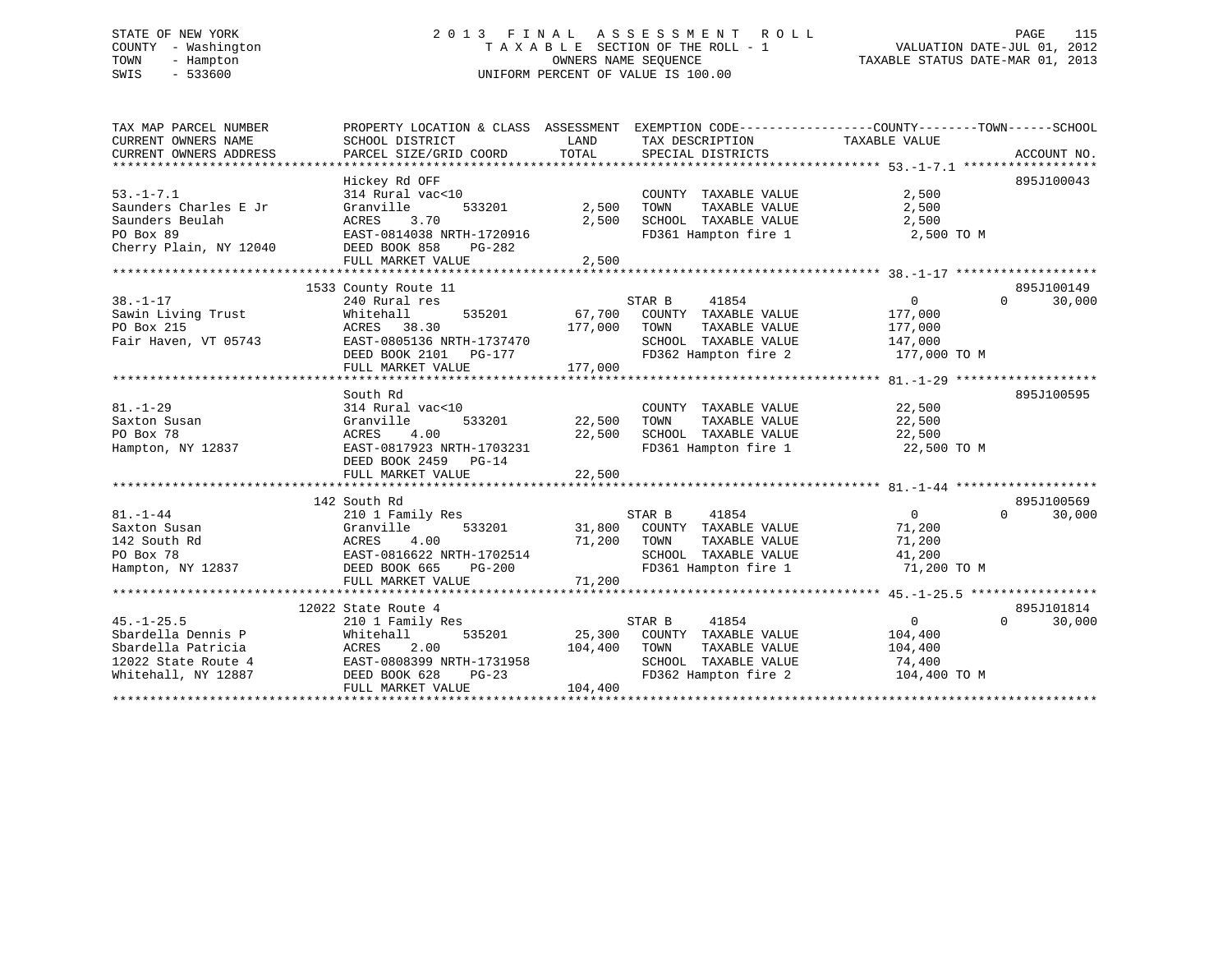# STATE OF NEW YORK 2 0 1 3 F I N A L A S S E S S M E N T R O L L PAGE 115 COUNTY - Washington T A X A B L E SECTION OF THE ROLL - 1 VALUATION DATE-JUL 01, 2012 TOWN - Hampton OWNERS NAME SEQUENCE TAXABLE STATUS DATE-MAR 01, 2013 SWIS - 533600 UNIFORM PERCENT OF VALUE IS 100.00

| TAX MAP PARCEL NUMBER<br>CURRENT OWNERS NAME<br>CURRENT OWNERS ADDRESS                                     | PROPERTY LOCATION & CLASS ASSESSMENT EXEMPTION CODE----------------COUNTY-------TOWN------SCHOOL<br>SCHOOL DISTRICT<br>PARCEL SIZE/GRID COORD             | LAND<br>TOTAL                | TAX DESCRIPTION TAXABLE VALUE<br>SPECIAL DISTRICTS                                                                      |                                                               | ACCOUNT NO.                      |
|------------------------------------------------------------------------------------------------------------|-----------------------------------------------------------------------------------------------------------------------------------------------------------|------------------------------|-------------------------------------------------------------------------------------------------------------------------|---------------------------------------------------------------|----------------------------------|
| $53. - 1 - 7.1$<br>Saunders Charles E Jr<br>Saunders Beulah<br>PO Box 89<br>Cherry Plain, NY 12040         | Hickey Rd OFF<br>314 Rural vac<10<br>Granville<br>533201<br>ACRES<br>3.70<br>EAST-0814038 NRTH-1720916<br>DEED BOOK 858<br>PG-282<br>FULL MARKET VALUE    | 2,500<br>2,500<br>2,500      | COUNTY TAXABLE VALUE<br>TOWN<br>TAXABLE VALUE<br>SCHOOL TAXABLE VALUE<br>FD361 Hampton fire 1                           | 2,500<br>2,500<br>2,500<br>2,500 TO M                         | 895J100043                       |
|                                                                                                            |                                                                                                                                                           |                              |                                                                                                                         |                                                               |                                  |
| $38. - 1 - 17$<br>Sawin Living Trust<br>PO Box 215<br>Fair Haven, VT 05743                                 | 1533 County Route 11<br>240 Rural res<br>Whitehall<br>535201<br>38.30<br>ACRES<br>EAST-0805136 NRTH-1737470<br>DEED BOOK 2101 PG-177<br>FULL MARKET VALUE | 67,700<br>177,000<br>177,000 | STAR B<br>41854<br>COUNTY TAXABLE VALUE<br>TAXABLE VALUE<br>TOWN<br>SCHOOL TAXABLE VALUE<br>FD362 Hampton fire 2        | $\mathbf{0}$<br>177,000<br>177,000<br>147,000<br>177,000 TO M | 895J100149<br>$\Omega$<br>30,000 |
|                                                                                                            |                                                                                                                                                           |                              |                                                                                                                         |                                                               |                                  |
| $81. - 1 - 29$<br>Saxton Susan<br>PO Box 78<br>Hampton, NY 12837                                           | South Rd<br>314 Rural vac<10<br>Granville<br>533201<br>4.00<br>ACRES<br>EAST-0817923 NRTH-1703231<br>DEED BOOK 2459 PG-14<br>FULL MARKET VALUE            | 22,500<br>22,500<br>22,500   | COUNTY TAXABLE VALUE<br>TAXABLE VALUE<br>TOWN<br>SCHOOL TAXABLE VALUE<br>FD361 Hampton fire 1                           | 22,500<br>22,500<br>22,500<br>22,500 TO M                     | 895J100595                       |
|                                                                                                            |                                                                                                                                                           |                              |                                                                                                                         |                                                               |                                  |
| $81. - 1 - 44$<br>Saxton Susan<br>142 South Rd<br>PO Box 78<br>Hampton, NY 12837                           | 142 South Rd<br>210 1 Family Res<br>533201<br>Granville<br>4.00<br>ACRES<br>EAST-0816622 NRTH-1702514<br>DEED BOOK 665<br>PG-200<br>FULL MARKET VALUE     | 31,800<br>71,200<br>71,200   | STAR B<br>41854<br>COUNTY TAXABLE VALUE<br>TOWN<br>TAXABLE VALUE<br>SCHOOL TAXABLE VALUE<br>FD361 Hampton fire 1        | $\overline{0}$<br>71,200<br>71,200<br>41,200<br>71,200 TO M   | 895J100569<br>$\Omega$<br>30,000 |
|                                                                                                            | 12022 State Route 4                                                                                                                                       |                              |                                                                                                                         |                                                               | 895J101814                       |
| $45. - 1 - 25.5$<br>Sbardella Dennis P<br>Sbardella Patricia<br>12022 State Route 4<br>Whitehall, NY 12887 | 210 1 Family Res<br>535201<br>Whitehall<br>ACRES<br>2.00<br>EAST-0808399 NRTH-1731958<br>DEED BOOK 628<br>$PG-23$<br>FULL MARKET VALUE                    | 104,400<br>104,400           | 41854<br>STAR B<br>25,300 COUNTY TAXABLE VALUE<br>TOWN<br>TAXABLE VALUE<br>SCHOOL TAXABLE VALUE<br>FD362 Hampton fire 2 | 0<br>104,400<br>104,400<br>74,400<br>104,400 TO M             | $\Omega$<br>30,000               |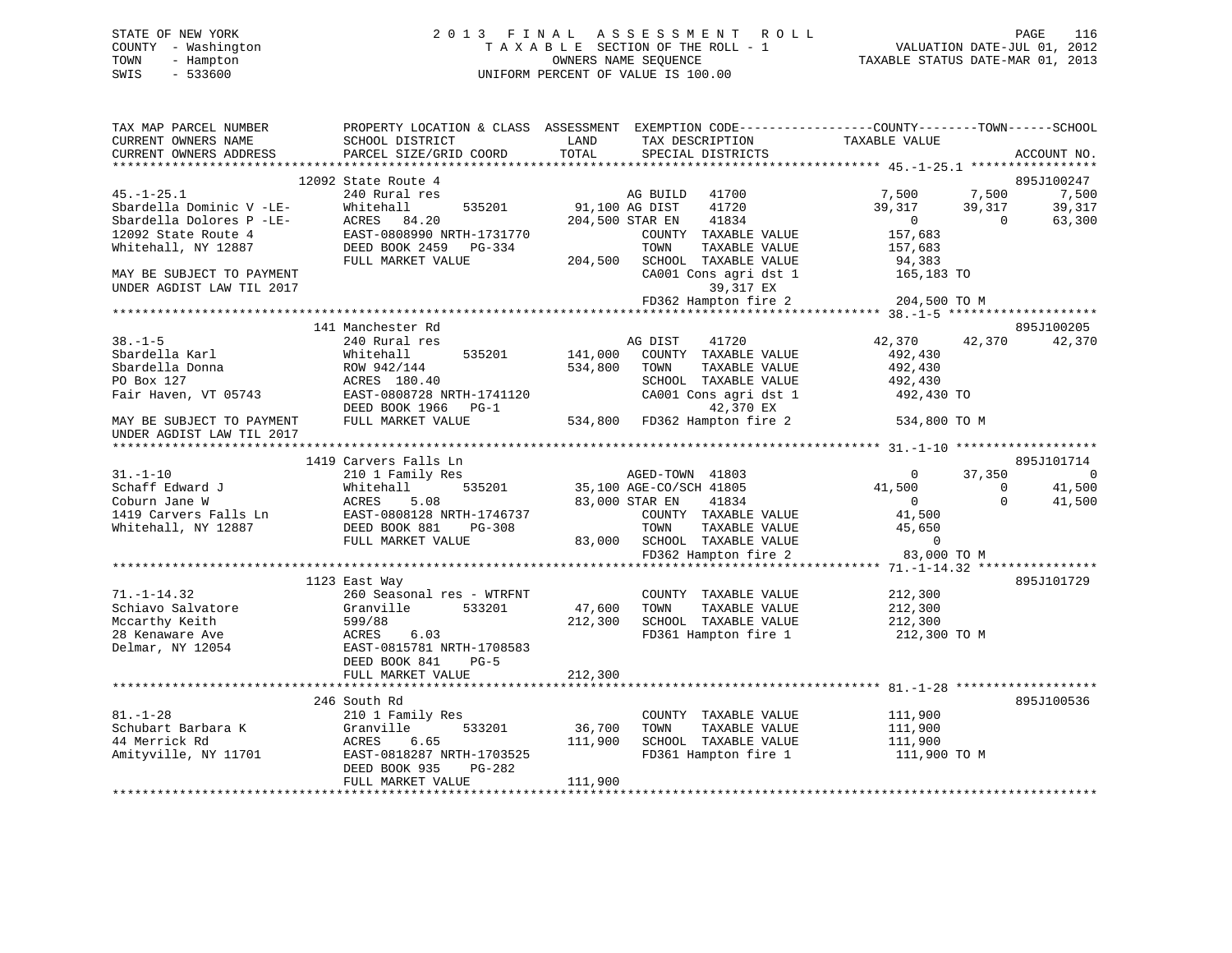# STATE OF NEW YORK 2 0 1 3 F I N A L A S S E S S M E N T R O L L PAGE 116 COUNTY - Washington T A X A B L E SECTION OF THE ROLL - 1 VALUATION DATE-JUL 01, 2012 TOWN - Hampton OWNERS NAME SEQUENCE TAXABLE STATUS DATE-MAR 01, 2013 SWIS - 533600 UNIFORM PERCENT OF VALUE IS 100.00

| TAX MAP PARCEL NUMBER<br>CURRENT OWNERS NAME                                   | SCHOOL DISTRICT                                           | PROPERTY LOCATION & CLASS ASSESSMENT EXEMPTION CODE---------------COUNTY-------TOWN------SCHOOL<br>LAND<br>TAX DESCRIPTION<br>TOTAL | TAXABLE VALUE                                                                                 |
|--------------------------------------------------------------------------------|-----------------------------------------------------------|-------------------------------------------------------------------------------------------------------------------------------------|-----------------------------------------------------------------------------------------------|
| CURRENT OWNERS ADDRESS                                                         | PARCEL SIZE/GRID COORD                                    | SPECIAL DISTRICTS                                                                                                                   | ACCOUNT NO.                                                                                   |
|                                                                                | 12092 State Route 4                                       |                                                                                                                                     | 895J100247                                                                                    |
| $45. - 1 - 25.1$<br>--<br>Sbardella Dominic V -LE-<br>Sbardella Dolores P -LE- | 240 Rural res<br>535201<br>Whitehall<br>ACRES 84.20       | AG BUILD 41700<br>91,100 AG DIST<br>41720<br>204,500 STAR EN<br>41834                                                               | 7,500<br>7,500<br>7,500<br>39,317<br>39,317<br>39,317<br>$\overline{0}$<br>$\Omega$<br>63,300 |
| 12092 State Route 4<br>Whitehall, NY 12887                                     | EAST-0808990 NRTH-1731770<br>DEED BOOK 2459 PG-334        | COUNTY TAXABLE VALUE<br>TOWN<br>TAXABLE VALUE                                                                                       | 157,683<br>157,683                                                                            |
| MAY BE SUBJECT TO PAYMENT<br>UNDER AGDIST LAW TIL 2017                         | FULL MARKET VALUE                                         | 204,500 SCHOOL TAXABLE VALUE<br>CA001 Cons agri dst 1<br>39,317 EX                                                                  | 94,383<br>165,183 TO                                                                          |
|                                                                                |                                                           | FD362 Hampton fire 2                                                                                                                | 204,500 TO M                                                                                  |
|                                                                                |                                                           |                                                                                                                                     |                                                                                               |
| $38. - 1 - 5$<br>Sbardella Karl                                                | 141 Manchester Rd<br>240 Rural res<br>535201<br>Whitehall | AG DIST<br>41720<br>141,000 COUNTY TAXABLE VALUE                                                                                    | 895J100205<br>42,370<br>42,370<br>42,370<br>492,430                                           |
| Sbardella Donna                                                                | ROW 942/144                                               | 534,800<br>TAXABLE VALUE<br>TOWN                                                                                                    | 492,430                                                                                       |
| PO Box 127                                                                     | ACRES 180.40                                              | SCHOOL TAXABLE VALUE                                                                                                                | 492,430                                                                                       |
| Fair Haven, VT 05743                                                           | EAST-0808728 NRTH-1741120<br>DEED BOOK 1966 PG-1          | CA001 Cons agri dst 1<br>42,370 EX                                                                                                  | 492,430 TO                                                                                    |
| MAY BE SUBJECT TO PAYMENT<br>UNDER AGDIST LAW TIL 2017                         | FULL MARKET VALUE                                         | 534,800 FD362 Hampton fire 2                                                                                                        | 534,800 TO M                                                                                  |
|                                                                                |                                                           |                                                                                                                                     |                                                                                               |
| $31. - 1 - 10$                                                                 | 1419 Carvers Falls Ln<br>210 1 Family Res                 |                                                                                                                                     | 895J101714<br>$\overline{0}$<br>37,350<br>$\overline{0}$                                      |
| Schaff Edward J                                                                | 535201<br>Whitehall                                       | AGED-TOWN 41803<br>35,100 AGE-CO/SCH 41805                                                                                          | 41,500<br>$\overline{0}$<br>41,500                                                            |
| Coburn Jane W                                                                  |                                                           | 83,000 STAR EN<br>41834                                                                                                             | 41,500<br>$\overline{0}$<br>$\Omega$                                                          |
| 1419 Carvers Falls Ln                                                          | ACRES 5.08<br>s Ln EAST-0808128 NRTH-1746737              | COUNTY TAXABLE VALUE                                                                                                                | 41,500                                                                                        |
| Whitehall, NY 12887                                                            | DEED BOOK 881<br>PG-308<br>FULL MARKET VALUE              | TOWN<br>TAXABLE VALUE<br>83,000 SCHOOL TAXABLE VALUE                                                                                | 45,650<br>$\overline{0}$                                                                      |
|                                                                                |                                                           | FD362 Hampton fire 2                                                                                                                | 83,000 TO M                                                                                   |
|                                                                                |                                                           |                                                                                                                                     |                                                                                               |
|                                                                                | 1123 East Way                                             |                                                                                                                                     | 895J101729                                                                                    |
| $71. - 1 - 14.32$                                                              | 260 Seasonal res - WTRFNT                                 | COUNTY TAXABLE VALUE                                                                                                                | 212,300                                                                                       |
| Schiavo Salvatore<br>Mccarthy Keith                                            | Granville<br>533201<br>599/88                             | 47,600<br>TOWN<br>TAXABLE VALUE<br>212,300<br>SCHOOL TAXABLE VALUE                                                                  | 212,300<br>212,300                                                                            |
| 28 Kenaware Ave                                                                | ACRES<br>6.03                                             | FD361 Hampton fire 1                                                                                                                | 212,300 TO M                                                                                  |
| Delmar, NY 12054                                                               | EAST-0815781 NRTH-1708583<br>DEED BOOK 841<br>$PG-5$      |                                                                                                                                     |                                                                                               |
|                                                                                | FULL MARKET VALUE                                         | 212,300                                                                                                                             |                                                                                               |
|                                                                                |                                                           |                                                                                                                                     |                                                                                               |
| $81. - 1 - 28$                                                                 | 246 South Rd<br>210 1 Family Res                          | COUNTY TAXABLE VALUE                                                                                                                | 895J100536<br>111,900                                                                         |
| Schubart Barbara K                                                             | 533201<br>Granville                                       | 36,700<br>TOWN<br>TAXABLE VALUE                                                                                                     | 111,900                                                                                       |
| 44 Merrick Rd                                                                  | ACRES<br>6.65                                             | 111,900<br>SCHOOL TAXABLE VALUE                                                                                                     | 111,900                                                                                       |
| Amityville, NY 11701                                                           | EAST-0818287 NRTH-1703525<br>DEED BOOK 935<br>PG-282      | FD361 Hampton fire 1                                                                                                                | 111,900 TO M                                                                                  |
|                                                                                | FULL MARKET VALUE                                         | 111,900                                                                                                                             |                                                                                               |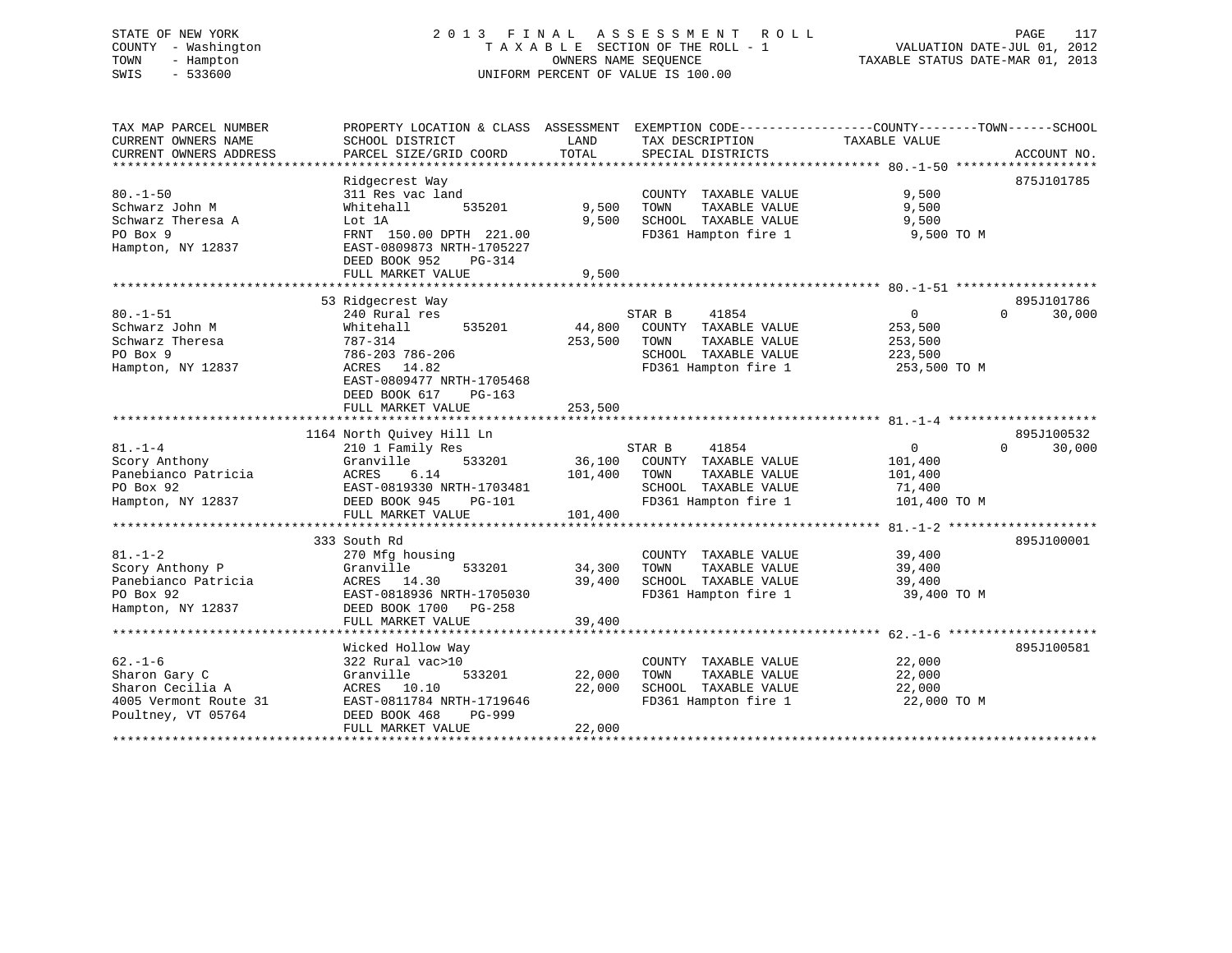# STATE OF NEW YORK 2 0 1 3 F I N A L A S S E S S M E N T R O L L PAGE 117 COUNTY - Washington T A X A B L E SECTION OF THE ROLL - 1 VALUATION DATE-JUL 01, 2012 TOWN - Hampton OWNERS NAME SEQUENCE TAXABLE STATUS DATE-MAR 01, 2013 SWIS - 533600 UNIFORM PERCENT OF VALUE IS 100.00

| TAX MAP PARCEL NUMBER<br>CURRENT OWNERS NAME<br>CURRENT OWNERS ADDRESS<br>************************* | PROPERTY LOCATION & CLASS ASSESSMENT<br>SCHOOL DISTRICT<br>PARCEL SIZE/GRID COORD                                                                        | LAND<br>TOTAL              | TAX DESCRIPTION<br>SPECIAL DISTRICTS                                                                             | EXEMPTION CODE----------------COUNTY-------TOWN------SCHOOL<br>TAXABLE VALUE | ACCOUNT NO.          |
|-----------------------------------------------------------------------------------------------------|----------------------------------------------------------------------------------------------------------------------------------------------------------|----------------------------|------------------------------------------------------------------------------------------------------------------|------------------------------------------------------------------------------|----------------------|
| $80. - 1 - 50$<br>Schwarz John M<br>Schwarz Theresa A<br>PO Box 9<br>Hampton, NY 12837              | Ridgecrest Way<br>311 Res vac land<br>Whitehall<br>535201<br>Lot 1A<br>FRNT 150.00 DPTH 221.00<br>EAST-0809873 NRTH-1705227                              | 9,500<br>9,500             | COUNTY TAXABLE VALUE<br>TOWN<br>TAXABLE VALUE<br>SCHOOL TAXABLE VALUE<br>FD361 Hampton fire 1                    | 9.500<br>9,500<br>9,500<br>9,500 TO M                                        | 875J101785           |
|                                                                                                     | DEED BOOK 952<br>PG-314<br>FULL MARKET VALUE                                                                                                             | 9,500                      |                                                                                                                  |                                                                              |                      |
|                                                                                                     |                                                                                                                                                          |                            |                                                                                                                  |                                                                              |                      |
| $80. - 1 - 51$<br>Schwarz John M<br>Schwarz Theresa<br>PO Box 9<br>Hampton, NY 12837                | 53 Ridgecrest Way<br>240 Rural res<br>535201<br>Whitehall<br>787-314<br>786-203 786-206<br>ACRES<br>14.82<br>EAST-0809477 NRTH-1705468                   | 44,800<br>253,500          | STAR B<br>41854<br>COUNTY TAXABLE VALUE<br>TOWN<br>TAXABLE VALUE<br>SCHOOL TAXABLE VALUE<br>FD361 Hampton fire 1 | $\mathbf{0}$<br>$\Omega$<br>253,500<br>253,500<br>223,500<br>253,500 TO M    | 895J101786<br>30,000 |
|                                                                                                     | DEED BOOK 617<br>$PG-163$<br>FULL MARKET VALUE                                                                                                           | 253,500                    |                                                                                                                  |                                                                              |                      |
|                                                                                                     |                                                                                                                                                          |                            |                                                                                                                  |                                                                              |                      |
|                                                                                                     | 1164 North Quivey Hill Ln                                                                                                                                |                            |                                                                                                                  |                                                                              | 895J100532           |
| $81. - 1 - 4$                                                                                       | 210 1 Family Res                                                                                                                                         |                            | STAR B<br>41854                                                                                                  | $\mathbf{0}$<br>$\Omega$                                                     | 30,000               |
| Scory Anthony                                                                                       | 533201<br>Granville                                                                                                                                      | 36,100                     | COUNTY TAXABLE VALUE                                                                                             | 101,400                                                                      |                      |
| Panebianco Patricia                                                                                 | 6.14<br>ACRES                                                                                                                                            | 101,400                    | TOWN<br>TAXABLE VALUE                                                                                            | 101,400                                                                      |                      |
| PO Box 92                                                                                           | EAST-0819330 NRTH-1703481                                                                                                                                |                            | SCHOOL TAXABLE VALUE                                                                                             | 71,400                                                                       |                      |
| Hampton, NY 12837                                                                                   | DEED BOOK 945<br>PG-101                                                                                                                                  |                            | FD361 Hampton fire 1                                                                                             | 101,400 TO M                                                                 |                      |
|                                                                                                     | FULL MARKET VALUE                                                                                                                                        | 101,400                    |                                                                                                                  |                                                                              |                      |
|                                                                                                     |                                                                                                                                                          |                            |                                                                                                                  |                                                                              |                      |
| $81. - 1 - 2$<br>Scory Anthony P<br>Panebianco Patricia<br>PO Box 92<br>Hampton, NY 12837           | 333 South Rd<br>270 Mfg housing<br>Granville<br>533201<br>ACRES<br>14.30<br>EAST-0818936 NRTH-1705030<br>DEED BOOK 1700<br>$PG-258$<br>FULL MARKET VALUE | 34,300<br>39,400<br>39,400 | COUNTY TAXABLE VALUE<br>TOWN<br>TAXABLE VALUE<br>SCHOOL TAXABLE VALUE<br>FD361 Hampton fire 1                    | 39,400<br>39,400<br>39,400<br>39,400 TO M                                    | 895J100001           |
|                                                                                                     |                                                                                                                                                          |                            |                                                                                                                  |                                                                              |                      |
| $62. - 1 - 6$<br>Sharon Gary C<br>Sharon Cecilia A<br>4005 Vermont Route 31<br>Poultney, VT 05764   | Wicked Hollow Way<br>322 Rural vac>10<br>Granville<br>533201<br>ACRES 10.10<br>EAST-0811784 NRTH-1719646<br>DEED BOOK 468<br>PG-999<br>FULL MARKET VALUE | 22,000<br>22,000<br>22,000 | COUNTY TAXABLE VALUE<br>TOWN<br>TAXABLE VALUE<br>SCHOOL TAXABLE VALUE<br>FD361 Hampton fire 1                    | 22,000<br>22,000<br>22,000<br>22,000 TO M                                    | 895J100581           |
|                                                                                                     |                                                                                                                                                          |                            |                                                                                                                  |                                                                              |                      |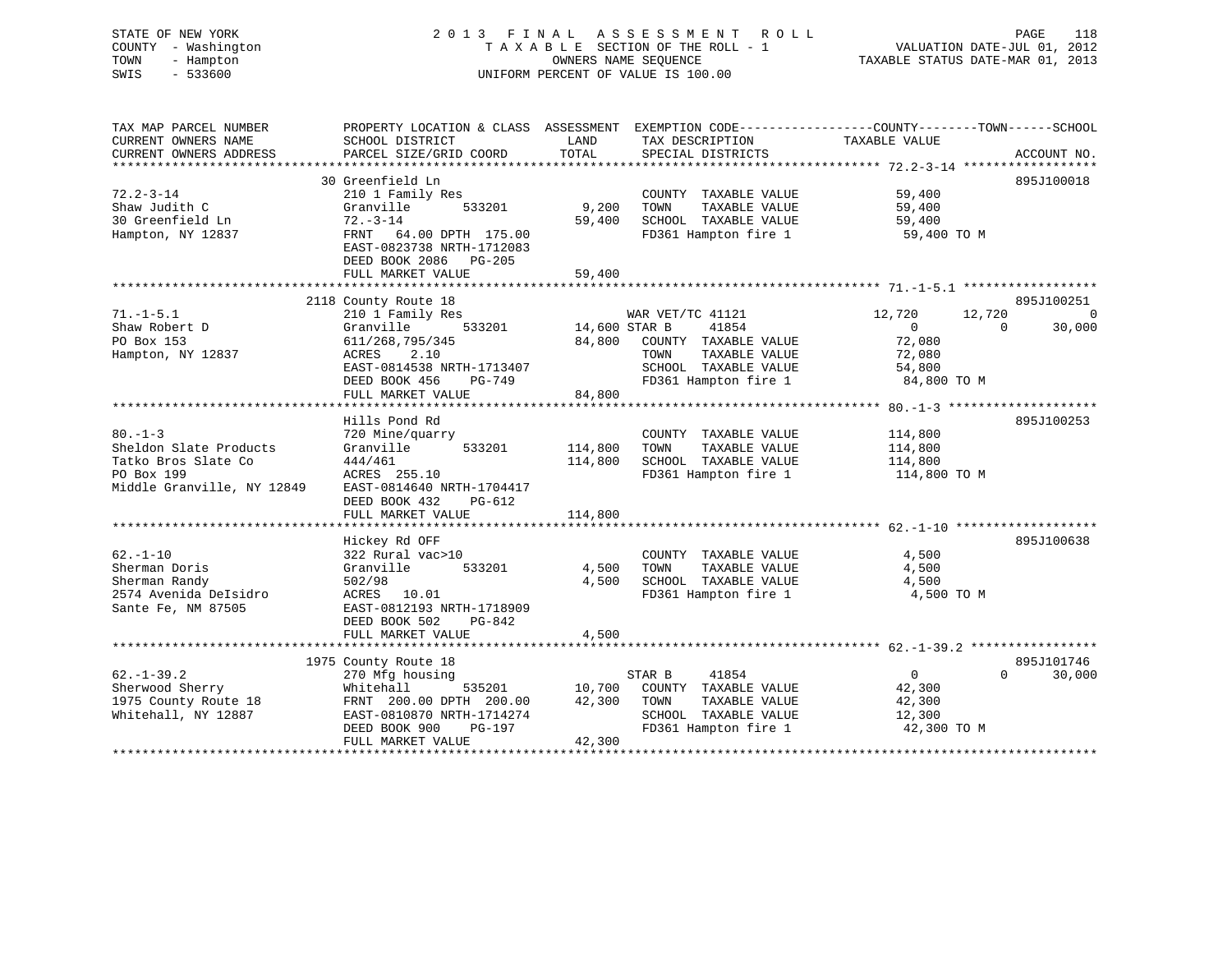# STATE OF NEW YORK 2 0 1 3 F I N A L A S S E S S M E N T R O L L PAGE 118 COUNTY - Washington T A X A B L E SECTION OF THE ROLL - 1 VALUATION DATE-JUL 01, 2012 TOWN - Hampton OWNERS NAME SEQUENCE TAXABLE STATUS DATE-MAR 01, 2013 SWIS - 533600 UNIFORM PERCENT OF VALUE IS 100.00

| TAX MAP PARCEL NUMBER<br>CURRENT OWNERS NAME                                                              | SCHOOL DISTRICT                                                                                                                                                        | LAND                                     | PROPERTY LOCATION & CLASS ASSESSMENT EXEMPTION CODE----------------COUNTY-------TOWN------SCHOOL<br>TAX DESCRIPTION        | TAXABLE VALUE                                                                               |                      |
|-----------------------------------------------------------------------------------------------------------|------------------------------------------------------------------------------------------------------------------------------------------------------------------------|------------------------------------------|----------------------------------------------------------------------------------------------------------------------------|---------------------------------------------------------------------------------------------|----------------------|
| CURRENT OWNERS ADDRESS                                                                                    | PARCEL SIZE/GRID COORD                                                                                                                                                 | TOTAL                                    | SPECIAL DISTRICTS                                                                                                          |                                                                                             | ACCOUNT NO.          |
|                                                                                                           | 30 Greenfield Ln                                                                                                                                                       |                                          |                                                                                                                            |                                                                                             | 895J100018           |
| $72.2 - 3 - 14$<br>Shaw Judith C<br>30 Greenfield Ln<br>Hampton, NY 12837                                 | 210 1 Family Res<br>533201<br>Granville<br>$72. - 3 - 14$<br>FRNT 64.00 DPTH 175.00<br>EAST-0823738 NRTH-1712083<br>DEED BOOK 2086 PG-205<br>FULL MARKET VALUE         | 9,200<br>59,400<br>59,400                | COUNTY TAXABLE VALUE<br>TOWN<br>TAXABLE VALUE<br>SCHOOL TAXABLE VALUE<br>FD361 Hampton fire 1                              | 59,400<br>59,400<br>59,400<br>59,400 TO M                                                   |                      |
|                                                                                                           | 2118 County Route 18                                                                                                                                                   |                                          |                                                                                                                            |                                                                                             | 895J100251           |
| $71. - 1 - 5.1$<br>Shaw Robert D<br>PO Box 153<br>Hampton, NY 12837                                       | 210 1 Family Res<br>Granville<br>611/268,795/345<br>ACRES<br>2.10<br>EAST-0814538 NRTH-1713407<br>DEED BOOK 456<br>PG-749<br>FULL MARKET VALUE                         | 533201 14,600 STAR B<br>84,800<br>84,800 | WAR VET/TC 41121<br>41854<br>COUNTY TAXABLE VALUE<br>TOWN<br>TAXABLE VALUE<br>SCHOOL TAXABLE VALUE<br>FD361 Hampton fire 1 | 12,720<br>12,720<br>$\overline{0}$<br>$\Omega$<br>72,080<br>72,080<br>54,800<br>84,800 TO M | $\Omega$<br>30,000   |
|                                                                                                           | Hills Pond Rd                                                                                                                                                          |                                          |                                                                                                                            |                                                                                             | 895J100253           |
| $80. -1 - 3$<br>Sheldon Slate Products<br>Tatko Bros Slate Co<br>PO Box 199<br>Middle Granville, NY 12849 | 720 Mine/quarry<br>533201<br>Granville<br>444/461<br>ACRES 255.10<br>EAST-0814640 NRTH-1704417<br>DEED BOOK 432<br>$PG-612$<br>FULL MARKET VALUE                       | 114,800<br>114,800<br>114,800            | COUNTY TAXABLE VALUE<br>TOWN<br>TAXABLE VALUE<br>SCHOOL TAXABLE VALUE<br>FD361 Hampton fire 1                              | 114,800<br>114,800<br>114,800<br>114,800 TO M                                               |                      |
|                                                                                                           |                                                                                                                                                                        |                                          |                                                                                                                            |                                                                                             |                      |
| $62. - 1 - 10$<br>Sherman Doris<br>Sherman Randy<br>2574 Avenida DeIsidro<br>Sante Fe, NM 87505           | Hickey Rd OFF<br>322 Rural vac>10<br>533201<br>Granville<br>502/98<br>ACRES 10.01<br>EAST-0812193 NRTH-1718909<br>DEED BOOK 502<br>PG-842<br>FULL MARKET VALUE         | 4,500<br>4,500<br>4,500                  | COUNTY TAXABLE VALUE<br>TAXABLE VALUE<br>TOWN<br>SCHOOL TAXABLE VALUE<br>FD361 Hampton fire 1                              | 4,500<br>4,500<br>4,500<br>4,500 TO M                                                       | 895J100638           |
|                                                                                                           |                                                                                                                                                                        |                                          |                                                                                                                            |                                                                                             |                      |
| $62. - 1 - 39.2$<br>Sherwood Sherry<br>1975 County Route 18<br>Whitehall, NY 12887                        | 1975 County Route 18<br>270 Mfg housing<br>Whitehall<br>535201<br>FRNT 200.00 DPTH 200.00<br>EAST-0810870 NRTH-1714274<br>DEED BOOK 900<br>PG-197<br>FULL MARKET VALUE | 10,700<br>42,300<br>42,300               | STAR B<br>41854<br>COUNTY TAXABLE VALUE<br>TOWN<br>TAXABLE VALUE<br>SCHOOL TAXABLE VALUE<br>FD361 Hampton fire 1           | $\overline{0}$<br>$\Omega$<br>42,300<br>42,300<br>12,300<br>42,300 TO M                     | 895J101746<br>30,000 |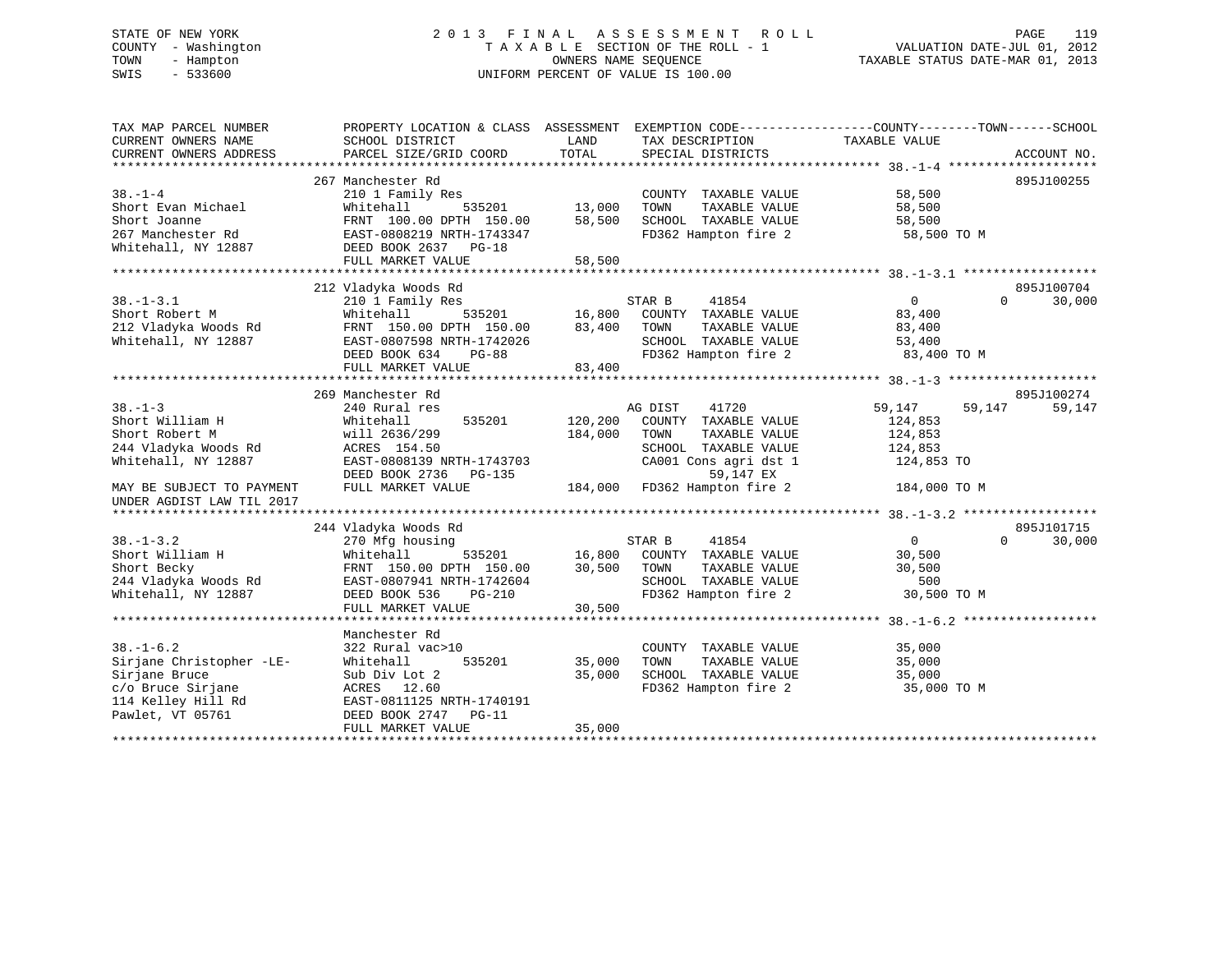# STATE OF NEW YORK 2 0 1 3 F I N A L A S S E S S M E N T R O L L PAGE 119 COUNTY - Washington T A X A B L E SECTION OF THE ROLL - 1 VALUATION DATE-JUL 01, 2012 TOWN - Hampton OWNERS NAME SEQUENCE TAXABLE STATUS DATE-MAR 01, 2013 SWIS - 533600 UNIFORM PERCENT OF VALUE IS 100.00

| TAX MAP PARCEL NUMBER<br>CURRENT OWNERS NAME                                  | PROPERTY LOCATION & CLASS ASSESSMENT EXEMPTION CODE---------------COUNTY-------TOWN-----SCHOOL<br>SCHOOL DISTRICT | LAND               | TAX DESCRIPTION                                                                              | TAXABLE VALUE                          |                                  |
|-------------------------------------------------------------------------------|-------------------------------------------------------------------------------------------------------------------|--------------------|----------------------------------------------------------------------------------------------|----------------------------------------|----------------------------------|
| CURRENT OWNERS ADDRESS                                                        | PARCEL SIZE/GRID COORD                                                                                            | TOTAL              | SPECIAL DISTRICTS                                                                            |                                        | ACCOUNT NO.                      |
|                                                                               | 267 Manchester Rd                                                                                                 |                    |                                                                                              |                                        | 895J100255                       |
| $38. - 1 - 4$<br>Short Evan Michael                                           | 210 1 Family Res<br>535201<br>Whitehall                                                                           | 13,000             | COUNTY TAXABLE VALUE<br>TAXABLE VALUE<br>TOWN                                                | 58,500<br>58,500                       |                                  |
| Short Joanne<br>267 Manchester Rd<br>Whitehall, NY 12887                      | FRNT 100.00 DPTH 150.00<br>EAST-0808219 NRTH-1743347<br>DEED BOOK 2637 PG-18                                      | 58,500             | SCHOOL TAXABLE VALUE<br>FD362 Hampton fire 2                                                 | 58,500<br>58,500 TO M                  |                                  |
|                                                                               | FULL MARKET VALUE                                                                                                 | 58,500             |                                                                                              |                                        |                                  |
|                                                                               |                                                                                                                   |                    |                                                                                              |                                        |                                  |
| $38. - 1 - 3.1$<br>Short Robert M                                             | 212 Vladyka Woods Rd<br>210 1 Family Res<br>Whitehall                                                             | 535201 16,800      | STAR B<br>41854<br>COUNTY TAXABLE VALUE                                                      | $\overline{0}$<br>83,400               | 895J100704<br>30,000<br>$\Omega$ |
| 212 Vladyka Woods Rd<br>Whitehall, NY 12887                                   | FRNT 150.00 DPTH 150.00<br>EAST-0807598 NRTH-1742026<br>DEED BOOK 634<br><b>PG-88</b>                             | 83,400             | TOWN<br>TAXABLE VALUE<br>SCHOOL TAXABLE VALUE<br>FD362 Hampton fire 2                        | 83,400<br>53,400<br>83,400 TO M        |                                  |
|                                                                               | FULL MARKET VALUE                                                                                                 | 83,400             |                                                                                              |                                        |                                  |
|                                                                               |                                                                                                                   |                    |                                                                                              |                                        |                                  |
|                                                                               | 269 Manchester Rd                                                                                                 |                    |                                                                                              |                                        | 895J100274                       |
| $38 - 1 - 3$<br>Short William H                                               | 240 Rural res<br>535201                                                                                           |                    | 41720<br>AG DIST                                                                             | 59,147                                 | 59,147<br>59,147                 |
| Short Robert M                                                                | Whitehall<br>will 2636/299                                                                                        | 120,200<br>184,000 | COUNTY TAXABLE VALUE<br>TOWN<br>TAXABLE VALUE                                                | 124,853<br>124,853                     |                                  |
| 244 Vladyka Woods Rd                                                          | ACRES 154.50                                                                                                      |                    | SCHOOL TAXABLE VALUE                                                                         | 124,853                                |                                  |
| Whitehall, NY 12887                                                           | EAST-0808139 NRTH-1743703<br>DEED BOOK 2736<br>PG-135                                                             |                    | CA001 Cons agri dst 1<br>59,147 EX                                                           | 124,853 TO                             |                                  |
| MAY BE SUBJECT TO PAYMENT<br>UNDER AGDIST LAW TIL 2017                        | FULL MARKET VALUE                                                                                                 |                    | 184,000 FD362 Hampton fire 2                                                                 | 184,000 TO M                           |                                  |
|                                                                               | 244 Vladyka Woods Rd                                                                                              |                    |                                                                                              |                                        | 895J101715                       |
| $38. - 1 - 3.2$                                                               | 270 Mfg housing                                                                                                   |                    | 41854<br>STAR B                                                                              | $\overline{0}$                         | $\Omega$<br>30,000               |
| Short William H<br>Short Becky<br>244 Vladyka Woods Rd<br>Whitehall, NY 12887 | 535201<br>Whitehall<br>FRNT 150.00 DPTH 150.00<br>EAST-0807941 NRTH-1742604<br>DEED BOOK 536<br>PG-210            | 30,500 TOWN        | 16,800 COUNTY TAXABLE VALUE<br>TAXABLE VALUE<br>SCHOOL TAXABLE VALUE<br>FD362 Hampton fire 2 | 30,500<br>30,500<br>500<br>30,500 TO M |                                  |
|                                                                               | FULL MARKET VALUE                                                                                                 | 30,500             |                                                                                              |                                        |                                  |
|                                                                               |                                                                                                                   |                    |                                                                                              |                                        |                                  |
| $38. - 1 - 6.2$                                                               | Manchester Rd<br>322 Rural vac>10                                                                                 |                    | COUNTY TAXABLE VALUE                                                                         | 35,000                                 |                                  |
| Sirjane Christopher -LE-                                                      | 535201<br>Whitehall                                                                                               | 35,000             | TOWN<br>TAXABLE VALUE                                                                        | 35,000                                 |                                  |
| Sirjane Bruce<br>c/o Bruce Sirjane<br>114 Kelley Hill Rd<br>Pawlet, VT 05761  | Sub Div Lot 2<br>ACRES 12.60<br>EAST-0811125 NRTH-1740191<br>DEED BOOK 2747 PG-11                                 | 35,000             | SCHOOL TAXABLE VALUE<br>FD362 Hampton fire 2                                                 | 35,000<br>35,000 TO M                  |                                  |
|                                                                               | FULL MARKET VALUE                                                                                                 | 35,000             |                                                                                              |                                        |                                  |
|                                                                               |                                                                                                                   |                    |                                                                                              |                                        |                                  |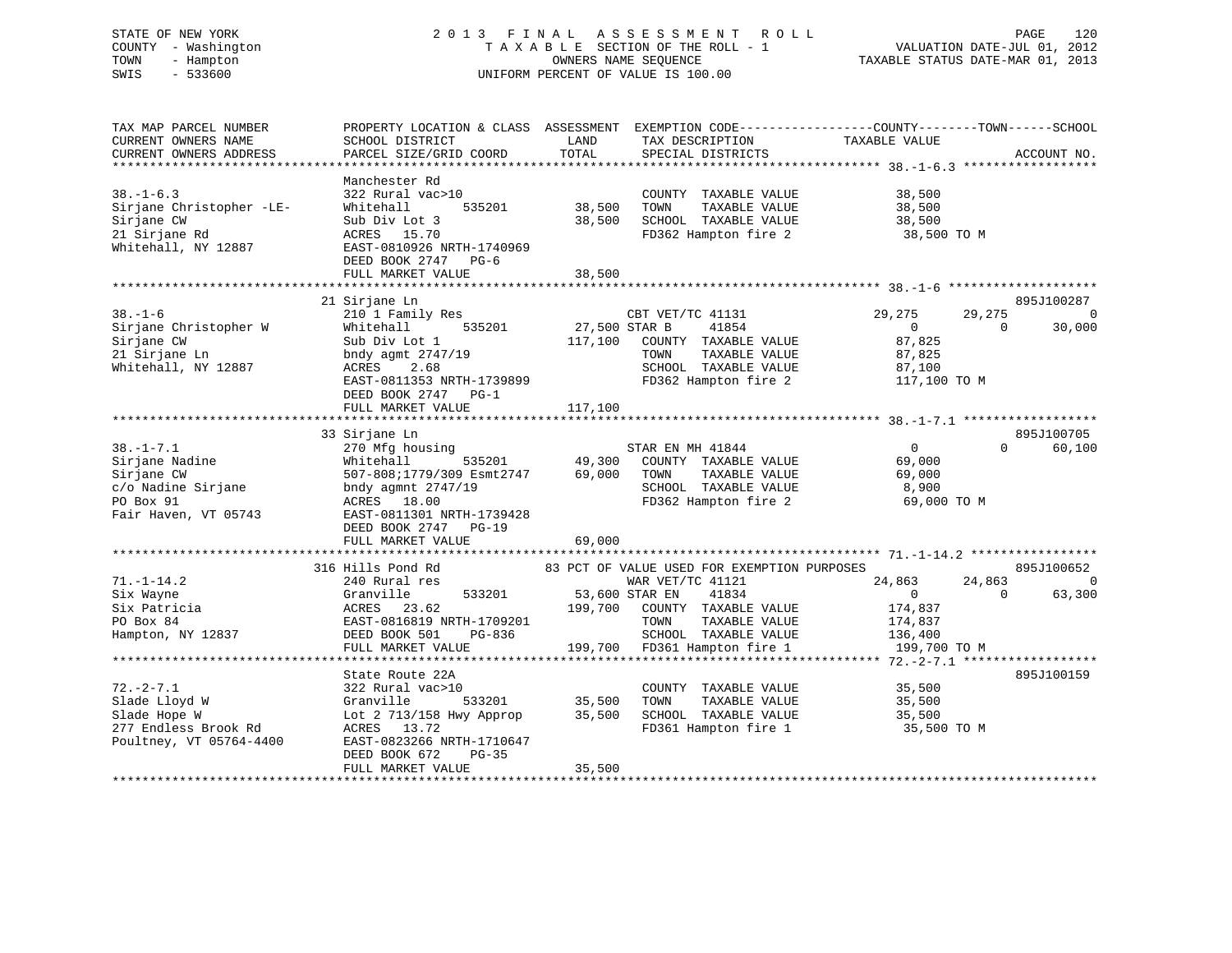# STATE OF NEW YORK 2 0 1 3 F I N A L A S S E S S M E N T R O L L PAGE 120 COUNTY - Washington T A X A B L E SECTION OF THE ROLL - 1 VALUATION DATE-JUL 01, 2012 TOWN - Hampton OWNERS NAME SEQUENCE TAXABLE STATUS DATE-MAR 01, 2013 SWIS - 533600 UNIFORM PERCENT OF VALUE IS 100.00

| TAX MAP PARCEL NUMBER<br>CURRENT OWNERS NAME<br>CURRENT OWNERS ADDRESS                                     | PROPERTY LOCATION & CLASS ASSESSMENT<br>SCHOOL DISTRICT<br>PARCEL SIZE/GRID COORD                                                                                                                          | LAND<br>TOTAL                       | EXEMPTION CODE-----------------COUNTY-------TOWN------SCHOOL<br>TAX DESCRIPTION<br>SPECIAL DISTRICTS                                                                                        | TAXABLE VALUE                                                             |                    | ACCOUNT NO.               |
|------------------------------------------------------------------------------------------------------------|------------------------------------------------------------------------------------------------------------------------------------------------------------------------------------------------------------|-------------------------------------|---------------------------------------------------------------------------------------------------------------------------------------------------------------------------------------------|---------------------------------------------------------------------------|--------------------|---------------------------|
| $38. - 1 - 6.3$<br>Sirjane Christopher -LE-<br>Sirjane CW<br>21 Sirjane Rd<br>Whitehall, NY 12887          | Manchester Rd<br>322 Rural vac>10<br>Whitehall<br>535201<br>Sub Div Lot 3<br>ACRES 15.70<br>EAST-0810926 NRTH-1740969<br>DEED BOOK 2747 PG-6<br>FULL MARKET VALUE<br>***********************               | 38,500<br>38,500<br>38,500          | COUNTY TAXABLE VALUE<br>TOWN<br>TAXABLE VALUE<br>SCHOOL TAXABLE VALUE<br>FD362 Hampton fire 2                                                                                               | 38,500<br>38,500<br>38,500<br>38,500 TO M                                 |                    |                           |
| $38. - 1 - 6$<br>Sirjane Christopher W<br>Sirjane CW<br>21 Sirjane Ln<br>Whitehall, NY 12887               | 21 Sirjane Ln<br>210 1 Family Res<br>Whitehall<br>535201<br>Sub Div Lot 1<br>bndy agmt 2747/19<br>2.68<br>ACRES<br>EAST-0811353 NRTH-1739899<br>DEED BOOK 2747 PG-1<br>FULL MARKET VALUE                   | 27,500 STAR B<br>117,100<br>117,100 | CBT VET/TC 41131<br>41854<br>COUNTY TAXABLE VALUE<br>TAXABLE VALUE<br>TOWN<br>SCHOOL TAXABLE VALUE<br>FD362 Hampton fire 2                                                                  | 29,275<br>$\mathbf{0}$<br>87,825<br>87,825<br>87,100<br>117,100 TO M      | 29,275<br>$\Omega$ | 895J100287<br>0<br>30,000 |
| $38. - 1 - 7.1$<br>Sirjane Nadine<br>Sirjane CW<br>c/o Nadine Sirjane<br>PO Box 91<br>Fair Haven, VT 05743 | 33 Sirjane Ln<br>270 Mfg housing<br>535201<br>Whitehall<br>507-808;1779/309 Esmt2747<br>bndy agmnt $2747/19$<br>ACRES 18.00<br>EAST-0811301 NRTH-1739428<br>DEED BOOK 2747<br>$PG-19$<br>FULL MARKET VALUE | 49,300<br>69,000<br>69,000          | STAR EN MH 41844<br>COUNTY TAXABLE VALUE<br>TAXABLE VALUE<br>TOWN<br>SCHOOL TAXABLE VALUE<br>FD362 Hampton fire 2                                                                           | $\overline{0}$<br>69,000<br>69,000<br>8,900<br>69,000 TO M                | $\Omega$           | 895J100705<br>60,100      |
| $71. - 1 - 14.2$<br>Six Wayne<br>Six Patricia<br>PO Box 84<br>Hampton, NY 12837                            | 316 Hills Pond Rd<br>240 Rural res<br>Granville<br>533201<br>ACRES<br>23.62<br>EAST-0816819 NRTH-1709201<br>DEED BOOK 501<br>$PG-836$<br>FULL MARKET VALUE                                                 | 199,700<br>199,700                  | 83 PCT OF VALUE USED FOR EXEMPTION PURPOSES<br>WAR VET/TC 41121<br>53,600 STAR EN<br>41834<br>COUNTY TAXABLE VALUE<br>TAXABLE VALUE<br>TOWN<br>SCHOOL TAXABLE VALUE<br>FD361 Hampton fire 1 | 24,863<br>$\overline{0}$<br>174,837<br>174,837<br>136,400<br>199,700 TO M | 24,863<br>$\Omega$ | 895J100652<br>0<br>63,300 |
| $72. - 2 - 7.1$<br>Slade Lloyd W<br>Slade Hope W<br>277 Endless Brook Rd<br>Poultney, VT 05764-4400        | State Route 22A<br>322 Rural vac>10<br>Granville<br>533201<br>Lot $2$ 713/158 Hwy Approp<br>ACRES 13.72<br>EAST-0823266 NRTH-1710647<br>DEED BOOK 672<br>$PG-35$<br>FULL MARKET VALUE                      | 35,500<br>35,500<br>35,500          | COUNTY TAXABLE VALUE<br>TOWN<br>TAXABLE VALUE<br>SCHOOL TAXABLE VALUE<br>FD361 Hampton fire 1                                                                                               | 35,500<br>35,500<br>35,500<br>35,500 TO M                                 |                    | 895J100159                |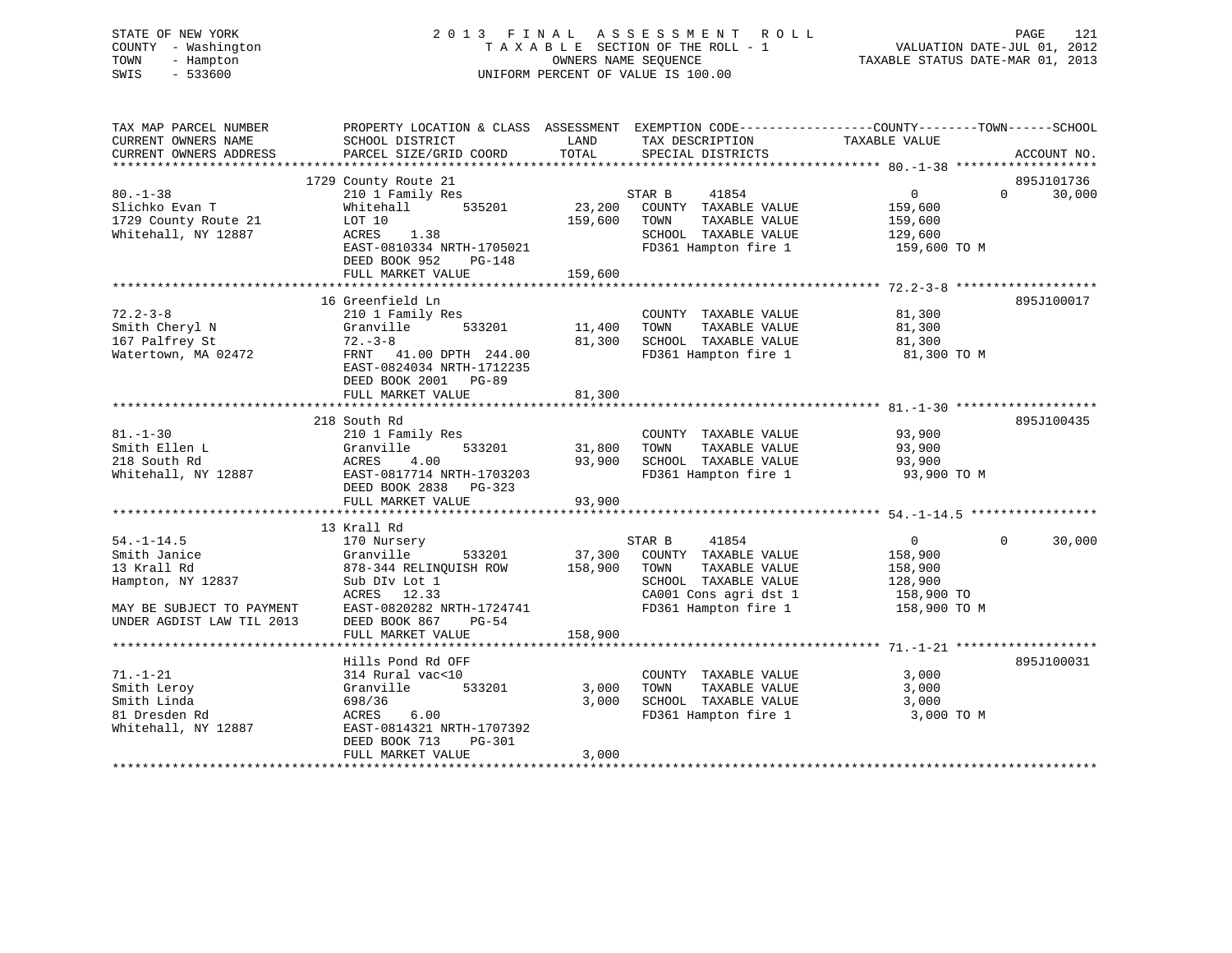# STATE OF NEW YORK 2 0 1 3 F I N A L A S S E S S M E N T R O L L PAGE 121 COUNTY - Washington T A X A B L E SECTION OF THE ROLL - 1 VALUATION DATE-JUL 01, 2012 TOWN - Hampton OWNERS NAME SEQUENCE TAXABLE STATUS DATE-MAR 01, 2013 SWIS - 533600 UNIFORM PERCENT OF VALUE IS 100.00

| TAX MAP PARCEL NUMBER<br>CURRENT OWNERS NAME<br>CURRENT OWNERS ADDRESS | PROPERTY LOCATION & CLASS ASSESSMENT EXEMPTION CODE---------------COUNTY-------TOWN-----SCHOOL<br>SCHOOL DISTRICT<br>PARCEL SIZE/GRID COORD | LAND<br>TOTAL  | TAX DESCRIPTION<br>SPECIAL DISTRICTS          | TAXABLE VALUE  | ACCOUNT NO.        |
|------------------------------------------------------------------------|---------------------------------------------------------------------------------------------------------------------------------------------|----------------|-----------------------------------------------|----------------|--------------------|
|                                                                        |                                                                                                                                             |                |                                               |                |                    |
|                                                                        | 1729 County Route 21                                                                                                                        |                |                                               |                | 895J101736         |
| $80. - 1 - 38$                                                         | 210 1 Family Res                                                                                                                            |                | STAR B<br>41854                               | $\overline{0}$ | $\Omega$<br>30,000 |
| Slichko Evan T                                                         | 535201<br>Whitehall                                                                                                                         | 23,200         | COUNTY TAXABLE VALUE                          | 159,600        |                    |
| 1729 County Route 21                                                   | LOT 10                                                                                                                                      | 159,600        | TOWN<br>TAXABLE VALUE                         | 159,600        |                    |
| Whitehall, NY 12887                                                    | ACRES<br>1.38                                                                                                                               |                | SCHOOL TAXABLE VALUE                          | 129,600        |                    |
|                                                                        | EAST-0810334 NRTH-1705021                                                                                                                   |                | FD361 Hampton fire 1                          | 159,600 TO M   |                    |
|                                                                        | DEED BOOK 952<br>$PG-148$                                                                                                                   |                |                                               |                |                    |
|                                                                        | FULL MARKET VALUE                                                                                                                           | 159,600        |                                               |                |                    |
|                                                                        |                                                                                                                                             |                |                                               |                |                    |
|                                                                        | 16 Greenfield Ln                                                                                                                            |                |                                               |                | 895J100017         |
| $72.2 - 3 - 8$                                                         | 210 1 Family Res                                                                                                                            |                | COUNTY TAXABLE VALUE                          | 81,300         |                    |
| Smith Cheryl N                                                         | 533201<br>Granville                                                                                                                         | 11,400         | TOWN<br>TAXABLE VALUE                         | 81,300         |                    |
| 167 Palfrey St                                                         | $72 - 3 - 8$                                                                                                                                | 81,300         | SCHOOL TAXABLE VALUE                          | 81,300         |                    |
| Watertown, MA 02472                                                    | FRNT 41.00 DPTH 244.00                                                                                                                      |                | FD361 Hampton fire 1                          | 81,300 TO M    |                    |
|                                                                        | EAST-0824034 NRTH-1712235                                                                                                                   |                |                                               |                |                    |
|                                                                        | DEED BOOK 2001 PG-89                                                                                                                        |                |                                               |                |                    |
|                                                                        | FULL MARKET VALUE                                                                                                                           | 81,300         |                                               |                |                    |
|                                                                        |                                                                                                                                             |                |                                               |                |                    |
|                                                                        | 218 South Rd                                                                                                                                |                |                                               |                | 895J100435         |
| $81. - 1 - 30$                                                         | 210 1 Family Res                                                                                                                            |                | COUNTY TAXABLE VALUE                          | 93,900         |                    |
| Smith Ellen L                                                          | 533201<br>Granville                                                                                                                         | 31,800         | TAXABLE VALUE<br>TOWN                         | 93,900         |                    |
| 218 South Rd                                                           | ACRES<br>4.00                                                                                                                               | 93,900         | SCHOOL TAXABLE VALUE                          | 93,900         |                    |
| Whitehall, NY 12887                                                    | EAST-0817714 NRTH-1703203                                                                                                                   |                | FD361 Hampton fire 1                          | 93,900 TO M    |                    |
|                                                                        | DEED BOOK 2838 PG-323                                                                                                                       |                |                                               |                |                    |
|                                                                        | FULL MARKET VALUE                                                                                                                           | 93,900         |                                               |                |                    |
|                                                                        |                                                                                                                                             |                |                                               |                |                    |
|                                                                        | 13 Krall Rd                                                                                                                                 |                |                                               |                |                    |
| $54. - 1 - 14.5$                                                       | 170 Nursery                                                                                                                                 |                | 41854<br>STAR B                               | $\overline{0}$ | $\Omega$<br>30,000 |
| Smith Janice                                                           | Granville<br>533201                                                                                                                         |                | 37,300 COUNTY TAXABLE VALUE                   | 158,900        |                    |
| 13 Krall Rd                                                            | 878-344 RELINQUISH ROW                                                                                                                      | 158,900        | TAXABLE VALUE<br>TOWN                         | 158,900        |                    |
| Hampton, NY 12837                                                      | Sub DIv Lot 1                                                                                                                               |                | SCHOOL TAXABLE VALUE                          | 128,900        |                    |
|                                                                        | ACRES 12.33                                                                                                                                 |                | CA001 Cons agri dst 1                         | 158,900 TO     |                    |
| MAY BE SUBJECT TO PAYMENT                                              | EAST-0820282 NRTH-1724741                                                                                                                   |                | FD361 Hampton fire 1                          | 158,900 TO M   |                    |
| UNDER AGDIST LAW TIL 2013                                              | $PG-54$<br>DEED BOOK 867                                                                                                                    |                |                                               |                |                    |
|                                                                        | FULL MARKET VALUE                                                                                                                           | 158,900        |                                               |                |                    |
|                                                                        | Hills Pond Rd OFF                                                                                                                           |                |                                               |                | 895J100031         |
| $71. - 1 - 21$                                                         | 314 Rural vac<10                                                                                                                            |                | COUNTY TAXABLE VALUE                          | 3,000          |                    |
|                                                                        |                                                                                                                                             |                |                                               |                |                    |
| Smith Leroy                                                            | Granville<br>533201                                                                                                                         | 3,000<br>3,000 | TOWN<br>TAXABLE VALUE<br>SCHOOL TAXABLE VALUE | 3,000<br>3,000 |                    |
| Smith Linda                                                            | 698/36                                                                                                                                      |                | FD361 Hampton fire 1                          |                |                    |
| 81 Dresden Rd                                                          | ACRES<br>6.00                                                                                                                               |                |                                               | 3,000 TO M     |                    |
| Whitehall, NY 12887                                                    | EAST-0814321 NRTH-1707392                                                                                                                   |                |                                               |                |                    |
|                                                                        | DEED BOOK 713<br>PG-301                                                                                                                     |                |                                               |                |                    |
|                                                                        | FULL MARKET VALUE                                                                                                                           | 3,000          |                                               |                |                    |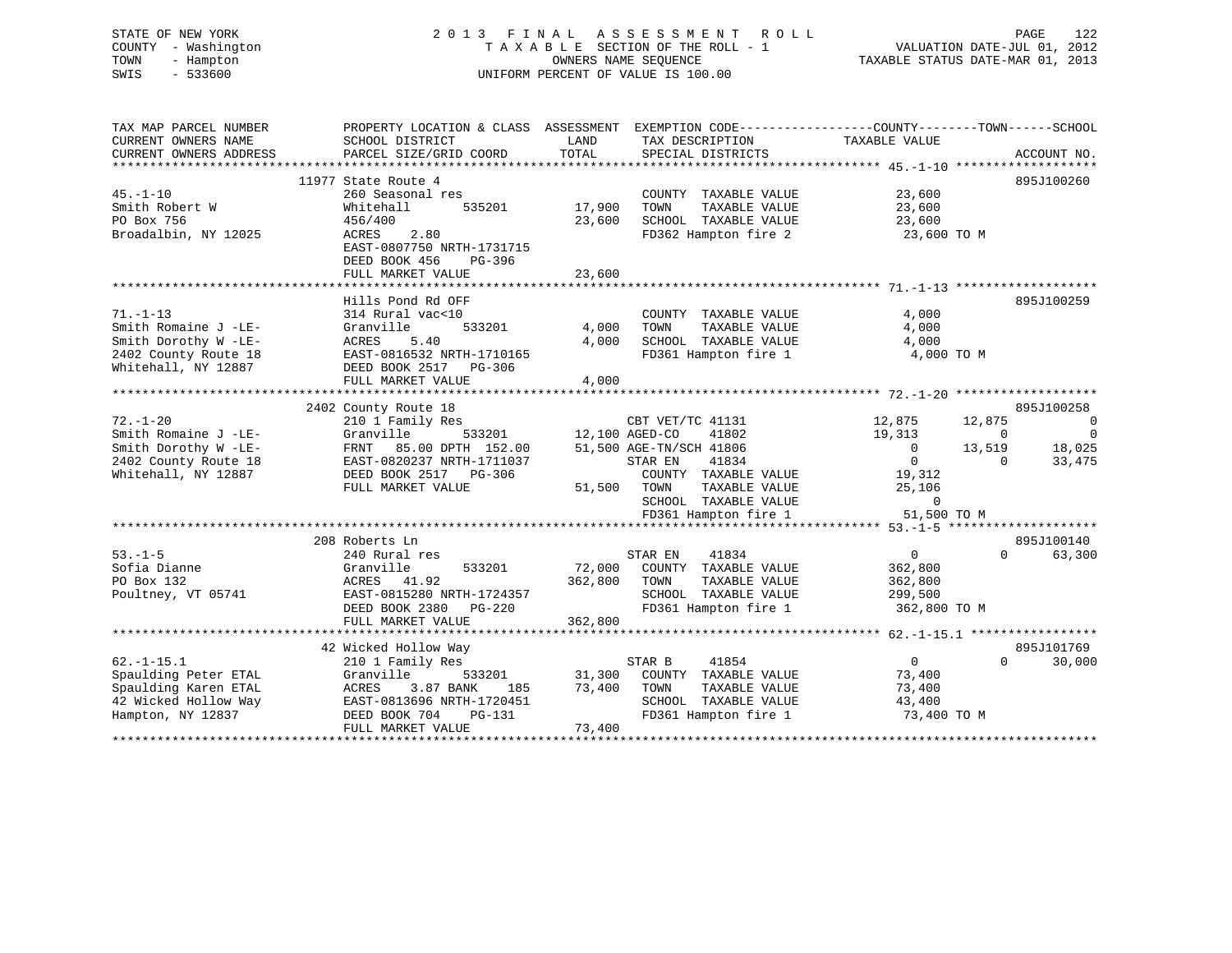| STATE OF NEW YORK<br>COUNTY - Washington<br>- Hampton<br>TOWN<br>SWIS<br>$-533600$ |                                                                                                                     |         | 2013 FINAL ASSESSMENT<br>ROLL<br>TAXABLE SECTION OF THE ROLL - 1<br>OWNERS NAME SEOUENCE<br>UNIFORM PERCENT OF VALUE IS 100.00 | TAXABLE STATUS DATE-MAR 01, 2013 | PAGE<br>122<br>VALUATION DATE-JUL 01, 2012 |
|------------------------------------------------------------------------------------|---------------------------------------------------------------------------------------------------------------------|---------|--------------------------------------------------------------------------------------------------------------------------------|----------------------------------|--------------------------------------------|
| TAX MAP PARCEL NUMBER<br>CURRENT OWNERS NAME                                       | PROPERTY LOCATION & CLASS ASSESSMENT EXEMPTION CODE----------------COUNTY-------TOWN------SCHOOL<br>SCHOOL DISTRICT | LAND    | TAX DESCRIPTION                                                                                                                | TAXABLE VALUE                    |                                            |
| CURRENT OWNERS ADDRESS                                                             | PARCEL SIZE/GRID COORD                                                                                              | TOTAL   | SPECIAL DISTRICTS                                                                                                              |                                  | ACCOUNT NO.                                |
|                                                                                    |                                                                                                                     |         |                                                                                                                                |                                  |                                            |
|                                                                                    | 11977 State Route 4                                                                                                 |         |                                                                                                                                |                                  | 895J100260                                 |
| $45. - 1 - 10$                                                                     | 260 Seasonal res                                                                                                    |         | COUNTY TAXABLE VALUE                                                                                                           | 23,600                           |                                            |
| Smith Robert W                                                                     | Whitehall<br>535201                                                                                                 | 17,900  | TAXABLE VALUE<br>TOWN                                                                                                          | 23,600                           |                                            |
| PO Box 756                                                                         | 456/400                                                                                                             | 23,600  | SCHOOL TAXABLE VALUE                                                                                                           | 23,600                           |                                            |
| Broadalbin, NY 12025                                                               | ACRES<br>2.80<br>EAST-0807750 NRTH-1731715                                                                          |         | FD362 Hampton fire 2                                                                                                           | 23,600 TO M                      |                                            |
|                                                                                    | DEED BOOK 456<br>PG-396                                                                                             |         |                                                                                                                                |                                  |                                            |
|                                                                                    | FULL MARKET VALUE                                                                                                   | 23,600  |                                                                                                                                |                                  |                                            |
|                                                                                    |                                                                                                                     |         |                                                                                                                                |                                  |                                            |
|                                                                                    | Hills Pond Rd OFF                                                                                                   |         |                                                                                                                                |                                  | 895J100259                                 |
| $71. - 1 - 13$                                                                     | 314 Rural vac<10                                                                                                    |         | COUNTY TAXABLE VALUE                                                                                                           | 4,000                            |                                            |
| Smith Romaine J -LE-                                                               | 533201<br>Granville<br>ACRES                                                                                        | 4,000   | TOWN<br>TAXABLE VALUE<br>SCHOOL TAXABLE VALUE                                                                                  | 4,000                            |                                            |
| Smith Dorothy W -LE-<br>2402 County Route 18                                       | 5.40<br>EAST-0816532 NRTH-1710165                                                                                   | 4,000   | FD361 Hampton fire 1                                                                                                           | 4,000<br>4,000 TO M              |                                            |
| Whitehall, NY 12887                                                                | DEED BOOK 2517 PG-306                                                                                               |         |                                                                                                                                |                                  |                                            |
|                                                                                    | FULL MARKET VALUE                                                                                                   | 4,000   |                                                                                                                                |                                  |                                            |
|                                                                                    |                                                                                                                     |         |                                                                                                                                |                                  |                                            |
|                                                                                    | 2402 County Route 18                                                                                                |         |                                                                                                                                |                                  | 895J100258                                 |
| $72. - 1 - 20$                                                                     | 210 1 Family Res                                                                                                    |         | CBT VET/TC 41131                                                                                                               | 12,875                           | 12,875<br>$\overline{0}$                   |
| Smith Romaine J -LE-                                                               | Granville<br>533201                                                                                                 |         | 12,100 AGED-CO<br>41802                                                                                                        | 19,313                           | $\overline{0}$<br>$\mathbf 0$              |
| Smith Dorothy W -LE-                                                               | 85.00 DPTH 152.00<br>FRNT                                                                                           |         | 51,500 AGE-TN/SCH 41806                                                                                                        | $\mathbf 0$                      | 13,519<br>18,025                           |
| 2402 County Route 18                                                               | EAST-0820237 NRTH-1711037                                                                                           |         | STAR EN<br>41834                                                                                                               | $\mathbf{0}$                     | 33,475<br>$\Omega$                         |
| Whitehall, NY 12887                                                                | DEED BOOK 2517 PG-306                                                                                               |         | COUNTY TAXABLE VALUE                                                                                                           | 19,312                           |                                            |
|                                                                                    | FULL MARKET VALUE                                                                                                   | 51,500  | TAXABLE VALUE<br>TOWN                                                                                                          | 25,106                           |                                            |
|                                                                                    |                                                                                                                     |         | SCHOOL TAXABLE VALUE                                                                                                           | $\mathbf 0$                      |                                            |
|                                                                                    |                                                                                                                     |         | FD361 Hampton fire 1                                                                                                           | 51,500 TO M                      |                                            |
|                                                                                    |                                                                                                                     |         |                                                                                                                                |                                  |                                            |
| $53 - 1 - 5$                                                                       | 208 Roberts Ln<br>240 Rural res                                                                                     |         | 41834<br>STAR EN                                                                                                               | $\mathbf 0$                      | 895J100140<br>$\Omega$<br>63,300           |
| Sofia Dianne                                                                       | Granville<br>533201                                                                                                 | 72,000  | COUNTY TAXABLE VALUE                                                                                                           | 362,800                          |                                            |
| PO Box 132                                                                         | ACRES 41.92                                                                                                         | 362,800 | TOWN<br>TAXABLE VALUE                                                                                                          | 362,800                          |                                            |
| Poultney, VT 05741                                                                 | EAST-0815280 NRTH-1724357                                                                                           |         | SCHOOL TAXABLE VALUE                                                                                                           | 299,500                          |                                            |
|                                                                                    | DEED BOOK 2380<br>$PG-220$                                                                                          |         | FD361 Hampton fire 1                                                                                                           | 362,800 TO M                     |                                            |
|                                                                                    | FULL MARKET VALUE                                                                                                   | 362,800 |                                                                                                                                |                                  |                                            |
|                                                                                    |                                                                                                                     |         |                                                                                                                                |                                  |                                            |
|                                                                                    | 42 Wicked Hollow Way                                                                                                |         |                                                                                                                                |                                  | 895J101769                                 |
| $62. -1 - 15.1$                                                                    | 210 1 Family Res                                                                                                    |         | STAR B<br>41854                                                                                                                | $\overline{0}$                   | $\Omega$<br>30,000                         |
| Spaulding Peter ETAL                                                               | Granville<br>533201                                                                                                 | 31,300  | COUNTY TAXABLE VALUE                                                                                                           | 73,400                           |                                            |
| Spaulding Karen ETAL                                                               | ACRES<br>3.87 BANK<br>185                                                                                           | 73,400  | TOWN<br>TAXABLE VALUE                                                                                                          | 73,400                           |                                            |
| 42 Wicked Hollow Way                                                               | EAST-0813696 NRTH-1720451                                                                                           |         | SCHOOL TAXABLE VALUE                                                                                                           | 43,400                           |                                            |
| Hampton, NY 12837                                                                  | DEED BOOK 704<br>$PG-131$<br>FULL MARKET VALUE                                                                      | 73,400  | FD361 Hampton fire 1                                                                                                           | 73,400 TO M                      |                                            |

\*\*\*\*\*\*\*\*\*\*\*\*\*\*\*\*\*\*\*\*\*\*\*\*\*\*\*\*\*\*\*\*\*\*\*\*\*\*\*\*\*\*\*\*\*\*\*\*\*\*\*\*\*\*\*\*\*\*\*\*\*\*\*\*\*\*\*\*\*\*\*\*\*\*\*\*\*\*\*\*\*\*\*\*\*\*\*\*\*\*\*\*\*\*\*\*\*\*\*\*\*\*\*\*\*\*\*\*\*\*\*\*\*\*\*\*\*\*\*\*\*\*\*\*\*\*\*\*\*\*\*\*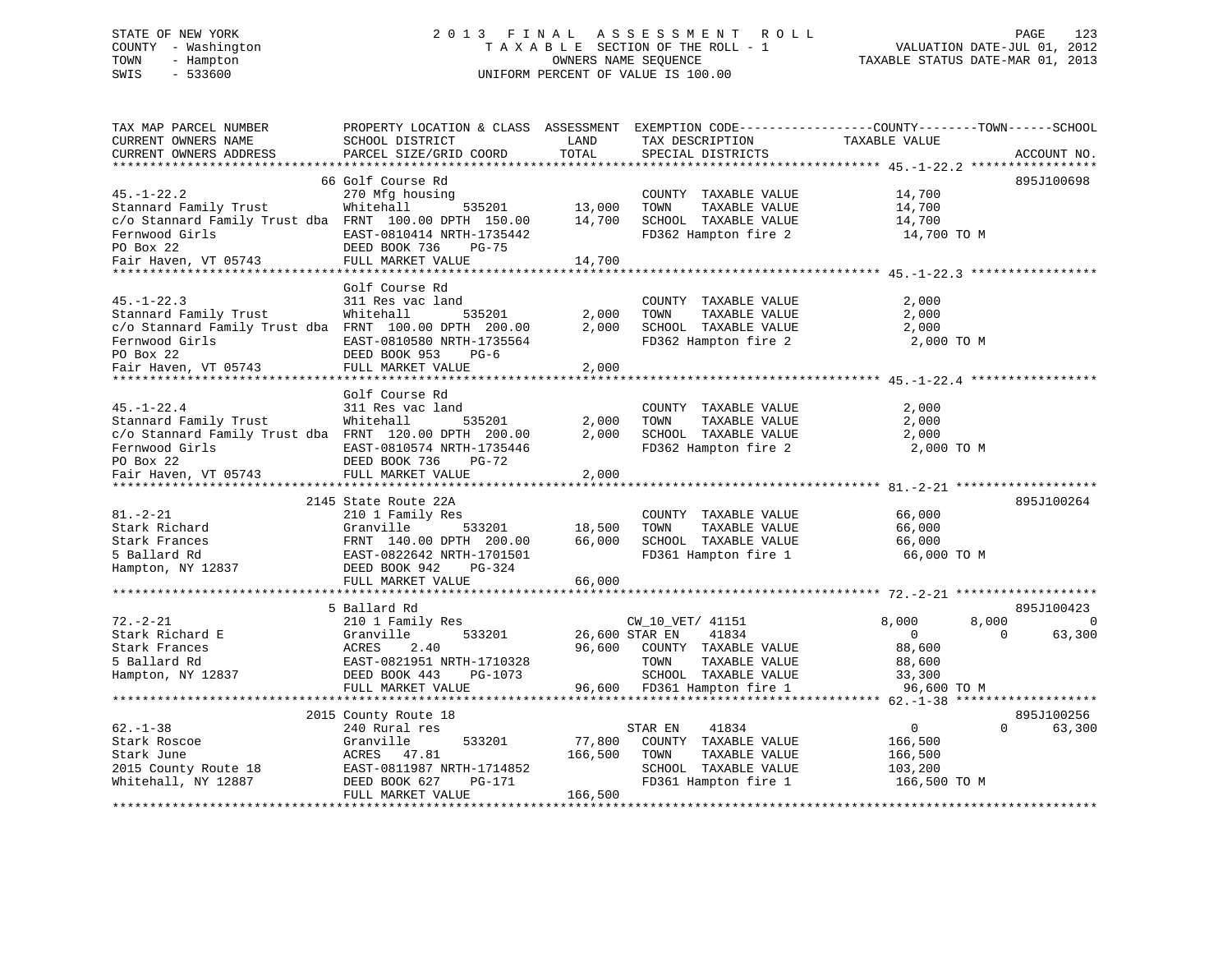# STATE OF NEW YORK 2 0 1 3 F I N A L A S S E S S M E N T R O L L PAGE 123 COUNTY - Washington T A X A B L E SECTION OF THE ROLL - 1 VALUATION DATE-JUL 01, 2012 TOWN - Hampton OWNERS NAME SEQUENCE TAXABLE STATUS DATE-MAR 01, 2013 SWIS - 533600 UNIFORM PERCENT OF VALUE IS 100.00UNIFORM PERCENT OF VALUE IS 100.00

| TAX MAP PARCEL NUMBER<br>CURRENT OWNERS NAME<br>CURRENT OWNERS ADDRESS                                                            | PROPERTY LOCATION & CLASS ASSESSMENT<br>SCHOOL DISTRICT<br>PARCEL SIZE/GRID COORD                                                               | LAND<br>TOTAL              | TAX DESCRIPTION<br>SPECIAL DISTRICTS                                                                                 | EXEMPTION CODE-----------------COUNTY-------TOWN------SCHOOL<br>TAXABLE VALUE | ACCOUNT NO.                      |
|-----------------------------------------------------------------------------------------------------------------------------------|-------------------------------------------------------------------------------------------------------------------------------------------------|----------------------------|----------------------------------------------------------------------------------------------------------------------|-------------------------------------------------------------------------------|----------------------------------|
| ************************                                                                                                          | 66 Golf Course Rd                                                                                                                               |                            |                                                                                                                      |                                                                               | 895J100698                       |
| $45. - 1 - 22.2$<br>Stannard Family Trust<br>c/o Stannard Family Trust dba FRNT 100.00 DPTH 150.00<br>Fernwood Girls<br>PO Box 22 | 270 Mfg housing<br>Whitehall<br>535201<br>EAST-0810414 NRTH-1735442<br>DEED BOOK 736<br>$PG-75$                                                 | 13,000<br>14,700           | COUNTY TAXABLE VALUE<br>TOWN<br>TAXABLE VALUE<br>SCHOOL TAXABLE VALUE<br>FD362 Hampton fire 2                        | 14,700<br>14,700<br>14,700<br>14,700 TO M                                     |                                  |
| Fair Haven, VT 05743                                                                                                              | FULL MARKET VALUE                                                                                                                               | 14,700                     |                                                                                                                      |                                                                               |                                  |
|                                                                                                                                   |                                                                                                                                                 |                            |                                                                                                                      |                                                                               |                                  |
| $45. - 1 - 22.3$<br>Stannard Family Trust<br>c/o Stannard Family Trust dba FRNT 100.00 DPTH 200.00<br>Fernwood Girls<br>PO Box 22 | Golf Course Rd<br>311 Res vac land<br>Whitehall<br>535201<br>EAST-0810580 NRTH-1735564<br>DEED BOOK 953<br>$PG-6$                               | 2,000<br>2,000             | COUNTY TAXABLE VALUE<br>TOWN<br>TAXABLE VALUE<br>SCHOOL TAXABLE VALUE<br>FD362 Hampton fire 2                        | 2,000<br>2,000<br>2,000<br>2,000 TO M                                         |                                  |
| Fair Haven, VT 05743                                                                                                              | FULL MARKET VALUE                                                                                                                               | 2,000                      |                                                                                                                      |                                                                               |                                  |
|                                                                                                                                   |                                                                                                                                                 |                            |                                                                                                                      |                                                                               |                                  |
| $45. - 1 - 22.4$<br>Stannard Family Trust<br>c/o Stannard Family Trust dba FRNT 120.00 DPTH 200.00<br>Fernwood Girls<br>PO Box 22 | Golf Course Rd<br>311 Res vac land<br>Whitehall<br>535201<br>EAST-0810574 NRTH-1735446<br>DEED BOOK 736<br>PG-72                                | 2,000<br>2,000             | COUNTY TAXABLE VALUE<br>TOWN<br>TAXABLE VALUE<br>SCHOOL TAXABLE VALUE<br>FD362 Hampton fire 2                        | 2,000<br>2,000<br>2,000<br>2,000 TO M                                         |                                  |
| Fair Haven, VT 05743                                                                                                              | FULL MARKET VALUE                                                                                                                               | 2,000                      |                                                                                                                      |                                                                               |                                  |
|                                                                                                                                   | 2145 State Route 22A                                                                                                                            |                            |                                                                                                                      |                                                                               | 895J100264                       |
| $81. - 2 - 21$<br>Stark Richard<br>Stark Frances<br>5 Ballard Rd<br>Hampton, NY 12837                                             | 210 1 Family Res<br>Granville<br>533201<br>FRNT 140.00 DPTH 200.00<br>EAST-0822642 NRTH-1701501<br>DEED BOOK 942<br>PG-324<br>FULL MARKET VALUE | 18,500<br>66,000<br>66,000 | COUNTY TAXABLE VALUE<br>TAXABLE VALUE<br>TOWN<br>SCHOOL TAXABLE VALUE<br>FD361 Hampton fire 1                        | 66,000<br>66,000<br>66,000<br>66,000 TO M                                     |                                  |
|                                                                                                                                   |                                                                                                                                                 |                            |                                                                                                                      |                                                                               |                                  |
| $72. - 2 - 21$<br>Stark Richard E<br>Stark Frances<br>5 Ballard Rd<br>Hampton, NY 12837                                           | 5 Ballard Rd<br>210 1 Family Res<br>Granville<br>533201<br>ACRES<br>2.40<br>EAST-0821951 NRTH-1710328<br>DEED BOOK 443<br>PG-1073               | 96,600                     | CW_10_VET/ 41151<br>26,600 STAR EN<br>41834<br>COUNTY TAXABLE VALUE<br>TAXABLE VALUE<br>TOWN<br>SCHOOL TAXABLE VALUE | 8,000<br>8,000<br>$\overline{0}$<br>$\Omega$<br>88,600<br>88,600<br>33,300    | 895J100423<br>$\Omega$<br>63,300 |
|                                                                                                                                   | FULL MARKET VALUE                                                                                                                               | 96,600                     | FD361 Hampton fire 1                                                                                                 | 96,600 TO M                                                                   |                                  |
|                                                                                                                                   | ***************************                                                                                                                     |                            |                                                                                                                      |                                                                               |                                  |
| $62 - 1 - 38$<br>Stark Roscoe<br>Stark June<br>2015 County Route 18<br>Whitehall, NY 12887                                        | 2015 County Route 18<br>240 Rural res<br>Granville<br>533201<br>ACRES<br>47.81<br>EAST-0811987 NRTH-1714852<br>DEED BOOK 627<br>PG-171          | 77,800<br>166,500          | STAR EN<br>41834<br>COUNTY TAXABLE VALUE<br>TAXABLE VALUE<br>TOWN<br>SCHOOL TAXABLE VALUE<br>FD361 Hampton fire 1    | $\mathbf 0$<br>$\Omega$<br>166,500<br>166,500<br>103,200<br>166,500 TO M      | 895J100256<br>63,300             |
|                                                                                                                                   | FULL MARKET VALUE                                                                                                                               | 166,500                    |                                                                                                                      |                                                                               |                                  |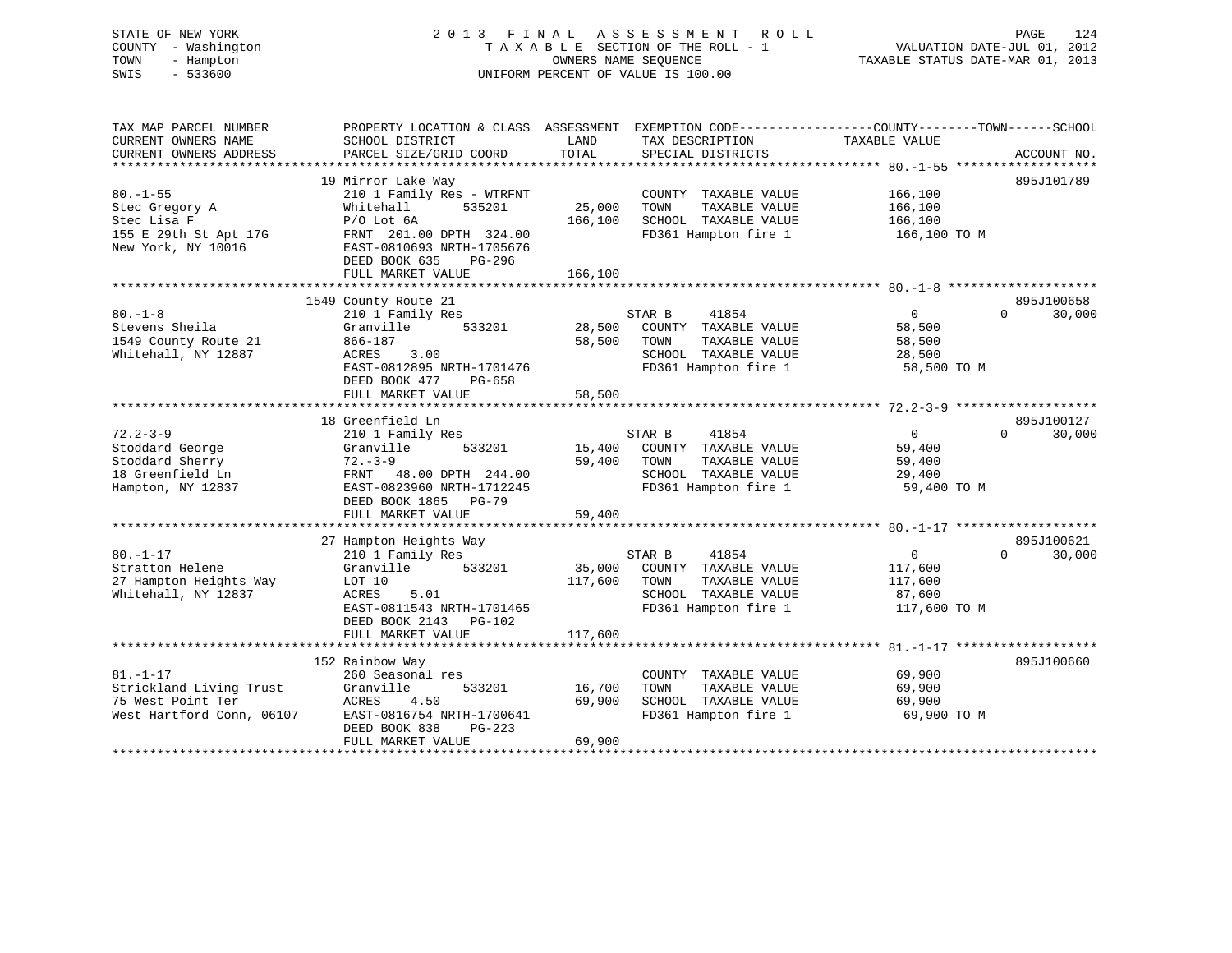# STATE OF NEW YORK 2 0 1 3 F I N A L A S S E S S M E N T R O L L PAGE 124 COUNTY - Washington T A X A B L E SECTION OF THE ROLL - 1 VALUATION DATE-JUL 01, 2012 TOWN - Hampton OWNERS NAME SEQUENCE TAXABLE STATUS DATE-MAR 01, 2013 SWIS - 533600 UNIFORM PERCENT OF VALUE IS 100.00

| TAX MAP PARCEL NUMBER<br>CURRENT OWNERS NAME<br>CURRENT OWNERS ADDRESS                         | PROPERTY LOCATION & CLASS ASSESSMENT<br>SCHOOL DISTRICT<br>PARCEL SIZE/GRID COORD                                                                                               | LAND<br>TOTAL                | EXEMPTION CODE-----------------COUNTY-------TOWN------SCHOOL<br>TAX DESCRIPTION<br>SPECIAL DISTRICTS             | TAXABLE VALUE                                                  | ACCOUNT NO.                      |
|------------------------------------------------------------------------------------------------|---------------------------------------------------------------------------------------------------------------------------------------------------------------------------------|------------------------------|------------------------------------------------------------------------------------------------------------------|----------------------------------------------------------------|----------------------------------|
|                                                                                                |                                                                                                                                                                                 |                              |                                                                                                                  |                                                                |                                  |
| $80. - 1 - 55$<br>Stec Gregory A<br>Stec Lisa F<br>155 E 29th St Apt 17G<br>New York, NY 10016 | 19 Mirror Lake Way<br>210 1 Family Res - WTRFNT<br>535201<br>Whitehall<br>$P/O$ Lot $6A$<br>FRNT 201.00 DPTH 324.00<br>EAST-0810693 NRTH-1705676<br>DEED BOOK 635<br>PG-296     | 25,000<br>166,100            | COUNTY TAXABLE VALUE<br>TOWN<br>TAXABLE VALUE<br>SCHOOL TAXABLE VALUE<br>FD361 Hampton fire 1                    | 166,100<br>166,100<br>166,100<br>166,100 то м                  | 895J101789                       |
|                                                                                                | FULL MARKET VALUE                                                                                                                                                               | 166,100                      |                                                                                                                  |                                                                |                                  |
|                                                                                                |                                                                                                                                                                                 |                              |                                                                                                                  |                                                                |                                  |
| $80. -1 - 8$<br>Stevens Sheila<br>1549 County Route 21<br>Whitehall, NY 12887                  | 1549 County Route 21<br>210 1 Family Res<br>533201<br>Granville<br>866-187<br>ACRES<br>3.00<br>EAST-0812895 NRTH-1701476<br>DEED BOOK 477<br>PG-658<br>FULL MARKET VALUE        | 28,500<br>58,500<br>58,500   | STAR B<br>41854<br>COUNTY TAXABLE VALUE<br>TAXABLE VALUE<br>TOWN<br>SCHOOL TAXABLE VALUE<br>FD361 Hampton fire 1 | 0<br>58,500<br>58,500<br>28,500<br>58,500 TO M                 | 895J100658<br>30,000<br>$\Omega$ |
|                                                                                                |                                                                                                                                                                                 |                              |                                                                                                                  |                                                                |                                  |
| $72.2 - 3 - 9$<br>Stoddard George<br>Stoddard Sherry<br>18 Greenfield Ln<br>Hampton, NY 12837  | 18 Greenfield Ln<br>210 1 Family Res<br>533201<br>Granville<br>$72 - 3 - 9$<br>FRNT 48.00 DPTH 244.00<br>EAST-0823960 NRTH-1712245<br>DEED BOOK 1865 PG-79<br>FULL MARKET VALUE | 15,400<br>59,400<br>59,400   | STAR B<br>41854<br>COUNTY TAXABLE VALUE<br>TAXABLE VALUE<br>TOWN<br>SCHOOL TAXABLE VALUE<br>FD361 Hampton fire 1 | $\Omega$<br>59,400<br>59,400<br>29,400<br>59,400 TO M          | 895J100127<br>$\Omega$<br>30,000 |
|                                                                                                |                                                                                                                                                                                 |                              |                                                                                                                  |                                                                |                                  |
| $80. - 1 - 17$<br>Stratton Helene<br>27 Hampton Heights Way<br>Whitehall, NY 12837             | 27 Hampton Heights Way<br>210 1 Family Res<br>Granville<br>533201<br>LOT 10<br>ACRES<br>5.01<br>EAST-0811543 NRTH-1701465<br>DEED BOOK 2143 PG-102<br>FULL MARKET VALUE         | 35,000<br>117,600<br>117,600 | STAR B<br>41854<br>COUNTY TAXABLE VALUE<br>TAXABLE VALUE<br>TOWN<br>SCHOOL TAXABLE VALUE<br>FD361 Hampton fire 1 | $\overline{0}$<br>117,600<br>117,600<br>87,600<br>117,600 TO M | 895J100621<br>30,000<br>$\Omega$ |
|                                                                                                |                                                                                                                                                                                 |                              |                                                                                                                  |                                                                |                                  |
| $81. - 1 - 17$<br>Strickland Living Trust<br>75 West Point Ter<br>West Hartford Conn, 06107    | 152 Rainbow Way<br>260 Seasonal res<br>Granville<br>533201<br>ACRES<br>4.50<br>EAST-0816754 NRTH-1700641<br>DEED BOOK 838<br>PG-223<br>FULL MARKET VALUE                        | 16,700<br>69,900<br>69,900   | COUNTY TAXABLE VALUE<br>TOWN<br>TAXABLE VALUE<br>SCHOOL TAXABLE VALUE<br>FD361 Hampton fire 1                    | 69,900<br>69,900<br>69,900<br>69,900 TO M                      | 895J100660                       |
|                                                                                                |                                                                                                                                                                                 |                              |                                                                                                                  |                                                                |                                  |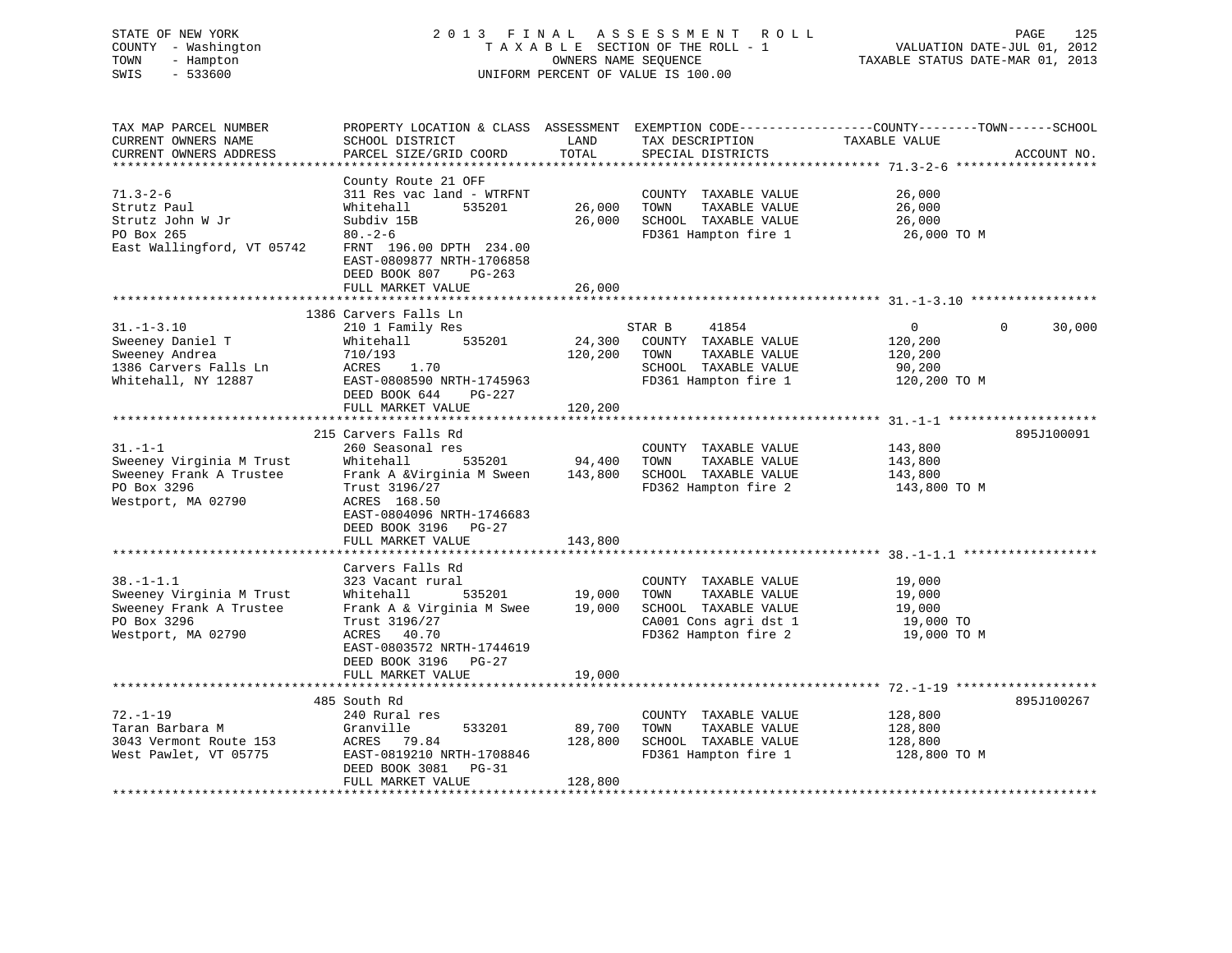# STATE OF NEW YORK 2 0 1 3 F I N A L A S S E S S M E N T R O L L PAGE 125 COUNTY - Washington T A X A B L E SECTION OF THE ROLL - 1 VALUATION DATE-JUL 01, 2012 TOWN - Hampton OWNERS NAME SEQUENCE TAXABLE STATUS DATE-MAR 01, 2013 SWIS - 533600 UNIFORM PERCENT OF VALUE IS 100.00

| PROPERTY LOCATION & CLASS ASSESSMENT EXEMPTION CODE----------------COUNTY-------TOWN-----SCHOOL<br>TAXABLE VALUE                                            |
|-------------------------------------------------------------------------------------------------------------------------------------------------------------|
| ACCOUNT NO.                                                                                                                                                 |
|                                                                                                                                                             |
| COUNTY TAXABLE VALUE<br>26,000<br>TAXABLE VALUE<br>26,000<br>26,000<br>FD361 Hampton fire 1<br>26,000 TO M                                                  |
|                                                                                                                                                             |
|                                                                                                                                                             |
|                                                                                                                                                             |
| $\overline{0}$<br>$\overline{0}$<br>30,000<br>120,200<br>TAXABLE VALUE<br>120,200<br>SCHOOL TAXABLE VALUE<br>90,200<br>FD361 Hampton fire 1<br>120,200 TO M |
|                                                                                                                                                             |
|                                                                                                                                                             |
| 895J100091<br>COUNTY TAXABLE VALUE<br>143,800<br>TAXABLE VALUE<br>143,800<br>SCHOOL TAXABLE VALUE<br>143,800<br>FD362 Hampton fire 2<br>143,800 TO M        |
|                                                                                                                                                             |
| 19,000<br>19,000<br>SCHOOL TAXABLE VALUE<br>19,000<br>19,000 TO<br>19,000 TO M                                                                              |
|                                                                                                                                                             |
|                                                                                                                                                             |
| 895J100267<br>128,800<br>128,800<br>SCHOOL TAXABLE VALUE<br>128,800<br>FD361 Hampton fire 1<br>128,800 TO M                                                 |
| CA001 Cons agri dst 1                                                                                                                                       |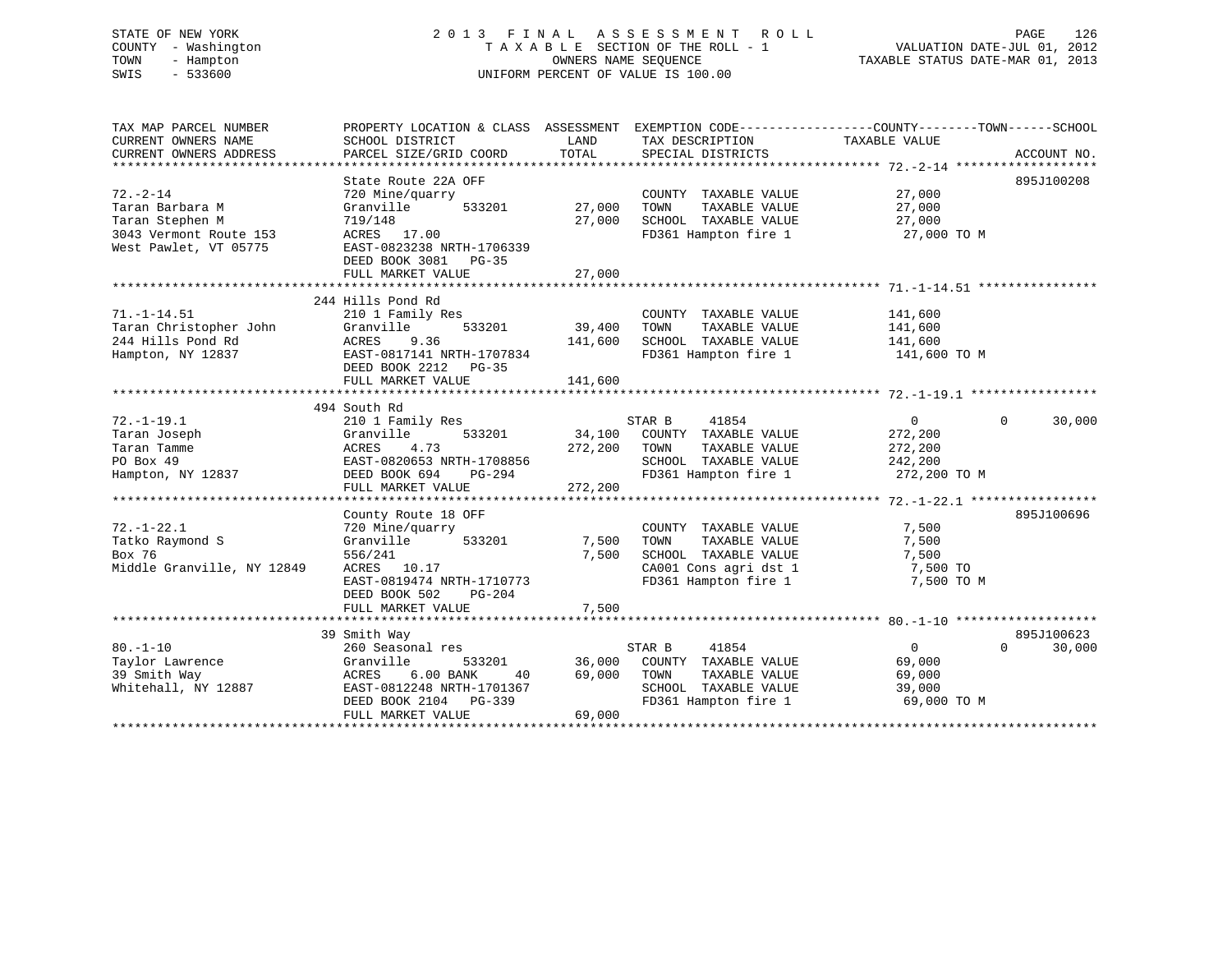# STATE OF NEW YORK 2 0 1 3 F I N A L A S S E S S M E N T R O L L PAGE 126 COUNTY - Washington T A X A B L E SECTION OF THE ROLL - 1 VALUATION DATE-JUL 01, 2012 TOWN - Hampton OWNERS NAME SEQUENCE TAXABLE STATUS DATE-MAR 01, 2013 SWIS - 533600 UNIFORM PERCENT OF VALUE IS 100.00

| TAX MAP PARCEL NUMBER<br>CURRENT OWNERS NAME<br>CURRENT OWNERS ADDRESS                | PROPERTY LOCATION & CLASS ASSESSMENT<br>SCHOOL DISTRICT<br>PARCEL SIZE/GRID COORD                                                                                    | LAND<br>TOTAL                | TAX DESCRIPTION<br>SPECIAL DISTRICTS                                                                                   | EXEMPTION CODE-----------------COUNTY-------TOWN------SCHOOL<br>TAXABLE VALUE | ACCOUNT NO.                      |
|---------------------------------------------------------------------------------------|----------------------------------------------------------------------------------------------------------------------------------------------------------------------|------------------------------|------------------------------------------------------------------------------------------------------------------------|-------------------------------------------------------------------------------|----------------------------------|
| $72. - 2 - 14$<br>Taran Barbara M<br>Taran Stephen M                                  | State Route 22A OFF<br>720 Mine/quarry<br>533201<br>Granville<br>719/148                                                                                             | 27,000<br>27,000             | COUNTY TAXABLE VALUE<br>TAXABLE VALUE<br>TOWN<br>SCHOOL TAXABLE VALUE                                                  | 27,000<br>27,000<br>27,000                                                    | 895J100208                       |
| 3043 Vermont Route 153<br>West Pawlet, VT 05775                                       | ACRES 17.00<br>EAST-0823238 NRTH-1706339<br>DEED BOOK 3081 PG-35<br>FULL MARKET VALUE                                                                                | 27,000                       | FD361 Hampton fire 1                                                                                                   | 27,000 TO M                                                                   |                                  |
|                                                                                       |                                                                                                                                                                      |                              |                                                                                                                        |                                                                               |                                  |
| $71. - 1 - 14.51$<br>Taran Christopher John<br>244 Hills Pond Rd<br>Hampton, NY 12837 | 244 Hills Pond Rd<br>210 1 Family Res<br>Granville<br>533201<br>9.36<br>ACRES<br>EAST-0817141 NRTH-1707834<br>DEED BOOK 2212 PG-35<br>FULL MARKET VALUE              | 39,400<br>141,600<br>141,600 | COUNTY TAXABLE VALUE<br>TOWN<br>TAXABLE VALUE<br>SCHOOL TAXABLE VALUE<br>FD361 Hampton fire 1                          | 141,600<br>141,600<br>141,600<br>141,600 TO M                                 |                                  |
|                                                                                       |                                                                                                                                                                      |                              |                                                                                                                        |                                                                               |                                  |
| $72. - 1 - 19.1$<br>Taran Joseph<br>Taran Tamme<br>PO Box 49<br>Hampton, NY 12837     | 494 South Rd<br>210 1 Family Res<br>Granville<br>533201<br>4.73<br>ACRES<br>EAST-0820653 NRTH-1708856<br>PG-294<br>DEED BOOK 694<br>FULL MARKET VALUE                | 34,100<br>272,200<br>272,200 | STAR B<br>41854<br>COUNTY TAXABLE VALUE<br>TOWN<br>TAXABLE VALUE<br>SCHOOL TAXABLE VALUE<br>FD361 Hampton fire 1       | 0<br>272,200<br>272,200<br>242,200<br>272,200 TO M                            | $\Omega$<br>30,000               |
|                                                                                       |                                                                                                                                                                      |                              |                                                                                                                        |                                                                               |                                  |
| $72. - 1 - 22.1$<br>Tatko Raymond S<br>Box 76<br>Middle Granville, NY 12849           | County Route 18 OFF<br>720 Mine/quarry<br>Granville<br>533201<br>556/241<br>ACRES 10.17<br>EAST-0819474 NRTH-1710773<br>DEED BOOK 502<br>PG-204<br>FULL MARKET VALUE | 7,500<br>7,500<br>7,500      | COUNTY TAXABLE VALUE<br>TOWN<br>TAXABLE VALUE<br>SCHOOL TAXABLE VALUE<br>CA001 Cons agri dst 1<br>FD361 Hampton fire 1 | 7,500<br>7,500<br>7,500<br>7,500 TO<br>7,500 TO M                             | 895J100696                       |
|                                                                                       |                                                                                                                                                                      |                              |                                                                                                                        |                                                                               |                                  |
| $80. -1 - 10$<br>Taylor Lawrence<br>39 Smith Way<br>Whitehall, NY 12887               | 39 Smith Way<br>260 Seasonal res<br>Granville<br>533201<br>$6.00$ BANK<br>ACRES<br>40<br>EAST-0812248 NRTH-1701367<br>DEED BOOK 2104 PG-339<br>FULL MARKET VALUE     | 36,000<br>69,000<br>69,000   | STAR B<br>41854<br>COUNTY TAXABLE VALUE<br>TAXABLE VALUE<br>TOWN<br>SCHOOL TAXABLE VALUE<br>FD361 Hampton fire 1       | $\Omega$<br>69,000<br>69,000<br>39,000<br>69,000 TO M                         | 895J100623<br>30,000<br>$\Omega$ |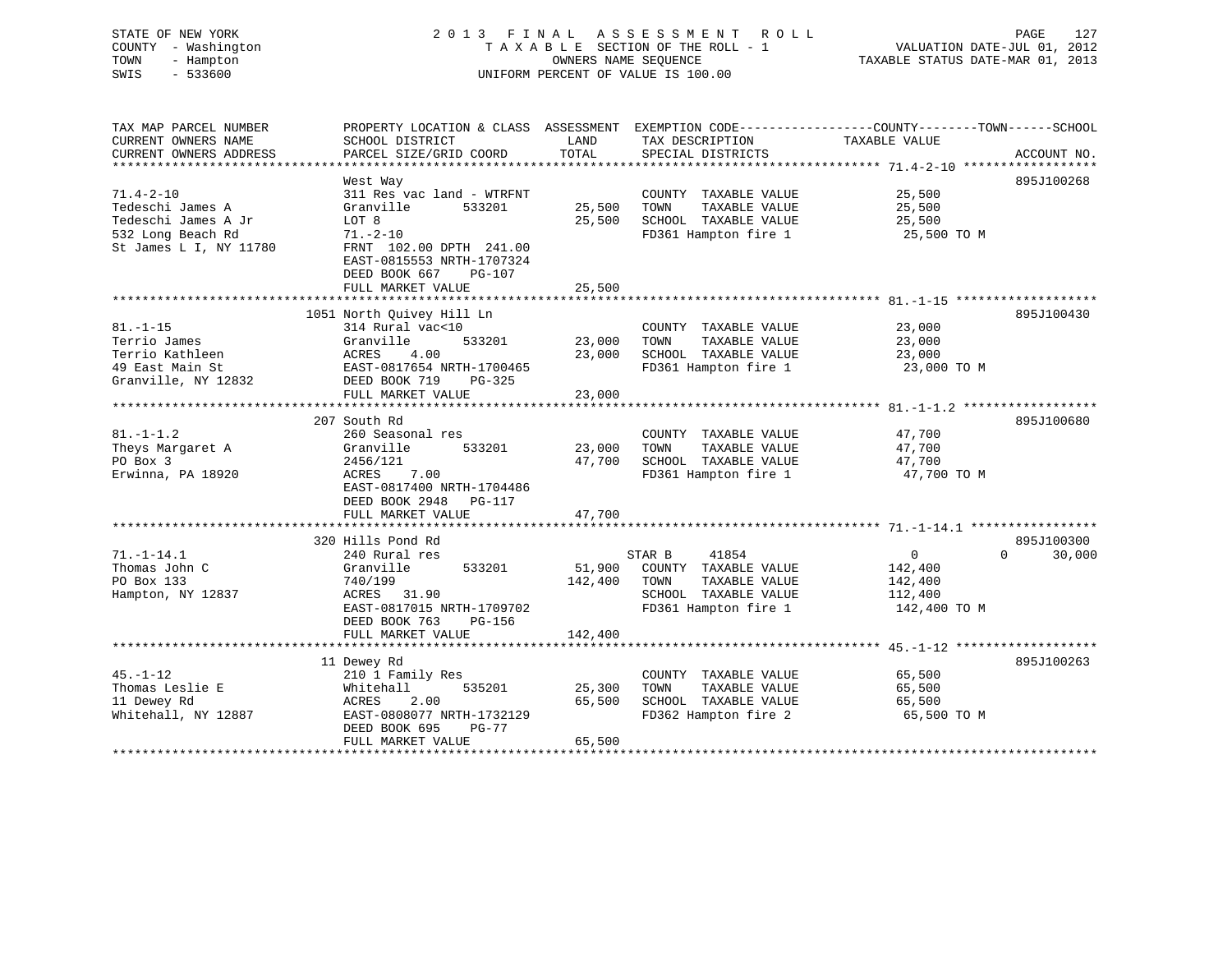| COUNTY<br>TOWN<br>SWIS | STATE OF NEW YORK<br>- Washington<br>- Hampton<br>$-533600$ |                                                         |      | 2013 FINAL ASSESSMENT ROLL<br>TAXABLE SECTION OF THE ROLL - 1<br>OWNERS NAME SEOUENCE<br>UNIFORM PERCENT OF VALUE IS 100.00 | VALUATION DATE-JUL 01, 2012<br>TAXABLE STATUS DATE-MAR 01, 2013 | PAGE | 127 |
|------------------------|-------------------------------------------------------------|---------------------------------------------------------|------|-----------------------------------------------------------------------------------------------------------------------------|-----------------------------------------------------------------|------|-----|
|                        | TAX MAP PARCEL NUMBER<br>CURRENT OWNERS NAME                | PROPERTY LOCATION & CLASS ASSESSMENT<br>SCHOOL DISTRICT | LAND | EXEMPTION CODE-----------------COUNTY-------TOWN------SCHOOL<br>TAX DESCRIPTION                                             | TAXABLE VALUE                                                   |      |     |

| CURRENT OWNERS ADDRESS       | PARCEL SIZE/GRID COORD                               | TOTAL   | SPECIAL DISTRICTS     |              | ACCOUNT NO. |
|------------------------------|------------------------------------------------------|---------|-----------------------|--------------|-------------|
| **************************** |                                                      |         |                       |              |             |
|                              | West Way                                             |         |                       |              | 895J100268  |
| $71.4 - 2 - 10$              | 311 Res vac land - WTRFNT                            |         | COUNTY TAXABLE VALUE  | 25,500       |             |
| Tedeschi James A             | Granville<br>533201                                  | 25,500  | TAXABLE VALUE<br>TOWN | 25,500       |             |
| Tedeschi James A Jr          | LOT 8                                                | 25,500  | SCHOOL TAXABLE VALUE  | 25,500       |             |
| 532 Long Beach Rd            | $71. - 2 - 10$                                       |         | FD361 Hampton fire 1  | 25,500 TO M  |             |
| St James L I, NY 11780       | FRNT 102.00 DPTH 241.00<br>EAST-0815553 NRTH-1707324 |         |                       |              |             |
|                              |                                                      |         |                       |              |             |
|                              | DEED BOOK 667<br>PG-107<br>FULL MARKET VALUE         | 25,500  |                       |              |             |
|                              |                                                      |         |                       |              |             |
|                              | 1051 North Ouivey Hill Ln                            |         |                       |              | 895J100430  |
| $81. - 1 - 15$               | 314 Rural vac<10                                     |         | COUNTY TAXABLE VALUE  | 23,000       |             |
| Terrio James                 | Granville<br>533201                                  | 23,000  | TOWN<br>TAXABLE VALUE | 23,000       |             |
| Terrio Kathleen              | ACRES<br>4.00                                        | 23,000  | SCHOOL TAXABLE VALUE  | 23,000       |             |
| 49 East Main St              | EAST-0817654 NRTH-1700465                            |         | FD361 Hampton fire 1  | 23,000 TO M  |             |
| Granville, NY 12832          | DEED BOOK 719<br>PG-325                              |         |                       |              |             |
|                              | FULL MARKET VALUE                                    | 23,000  |                       |              |             |
|                              |                                                      |         |                       |              |             |
|                              | 207 South Rd                                         |         |                       |              | 895J100680  |
| $81. - 1 - 1.2$              | 260 Seasonal res                                     |         | COUNTY TAXABLE VALUE  | 47,700       |             |
| Theys Margaret A             | Granville<br>533201                                  | 23,000  | TOWN<br>TAXABLE VALUE | 47,700       |             |
| PO Box 3                     | 2456/121                                             | 47,700  | SCHOOL TAXABLE VALUE  | 47,700       |             |
| Erwinna, PA 18920            | ACRES<br>7.00                                        |         | FD361 Hampton fire 1  | 47,700 TO M  |             |
|                              | EAST-0817400 NRTH-1704486                            |         |                       |              |             |
|                              | DEED BOOK 2948<br>PG-117                             |         |                       |              |             |
|                              | FULL MARKET VALUE                                    | 47,700  |                       |              |             |
|                              |                                                      |         |                       |              |             |
|                              | 320 Hills Pond Rd                                    |         |                       |              | 895J100300  |
| $71. - 1 - 14.1$             | 240 Rural res                                        |         | STAR B<br>41854       | $\mathbf 0$  | 0<br>30,000 |
| Thomas John C                | Granville<br>533201                                  | 51,900  | COUNTY TAXABLE VALUE  | 142,400      |             |
| PO Box 133                   | 740/199                                              | 142,400 | TOWN<br>TAXABLE VALUE | 142,400      |             |
| Hampton, NY 12837            | ACRES 31.90                                          |         | SCHOOL TAXABLE VALUE  | 112,400      |             |
|                              | EAST-0817015 NRTH-1709702                            |         | FD361 Hampton fire 1  | 142,400 TO M |             |
|                              | DEED BOOK 763<br>PG-156                              |         |                       |              |             |
|                              | FULL MARKET VALUE                                    | 142,400 |                       |              |             |
|                              |                                                      |         |                       |              |             |
|                              | 11 Dewey Rd                                          |         |                       |              | 895J100263  |
| $45. - 1 - 12$               | 210 1 Family Res                                     |         | COUNTY TAXABLE VALUE  | 65,500       |             |
| Thomas Leslie E              | 535201<br>Whitehall                                  | 25,300  | TOWN<br>TAXABLE VALUE | 65,500       |             |
| 11 Dewey Rd                  | 2.00<br>ACRES                                        | 65,500  | SCHOOL TAXABLE VALUE  | 65,500       |             |
| Whitehall, NY 12887          | EAST-0808077 NRTH-1732129                            |         | FD362 Hampton fire 2  | 65,500 TO M  |             |
|                              | DEED BOOK 695<br>$PG-77$                             |         |                       |              |             |
|                              | FULL MARKET VALUE                                    | 65,500  |                       |              |             |
|                              | **********************                               |         |                       |              |             |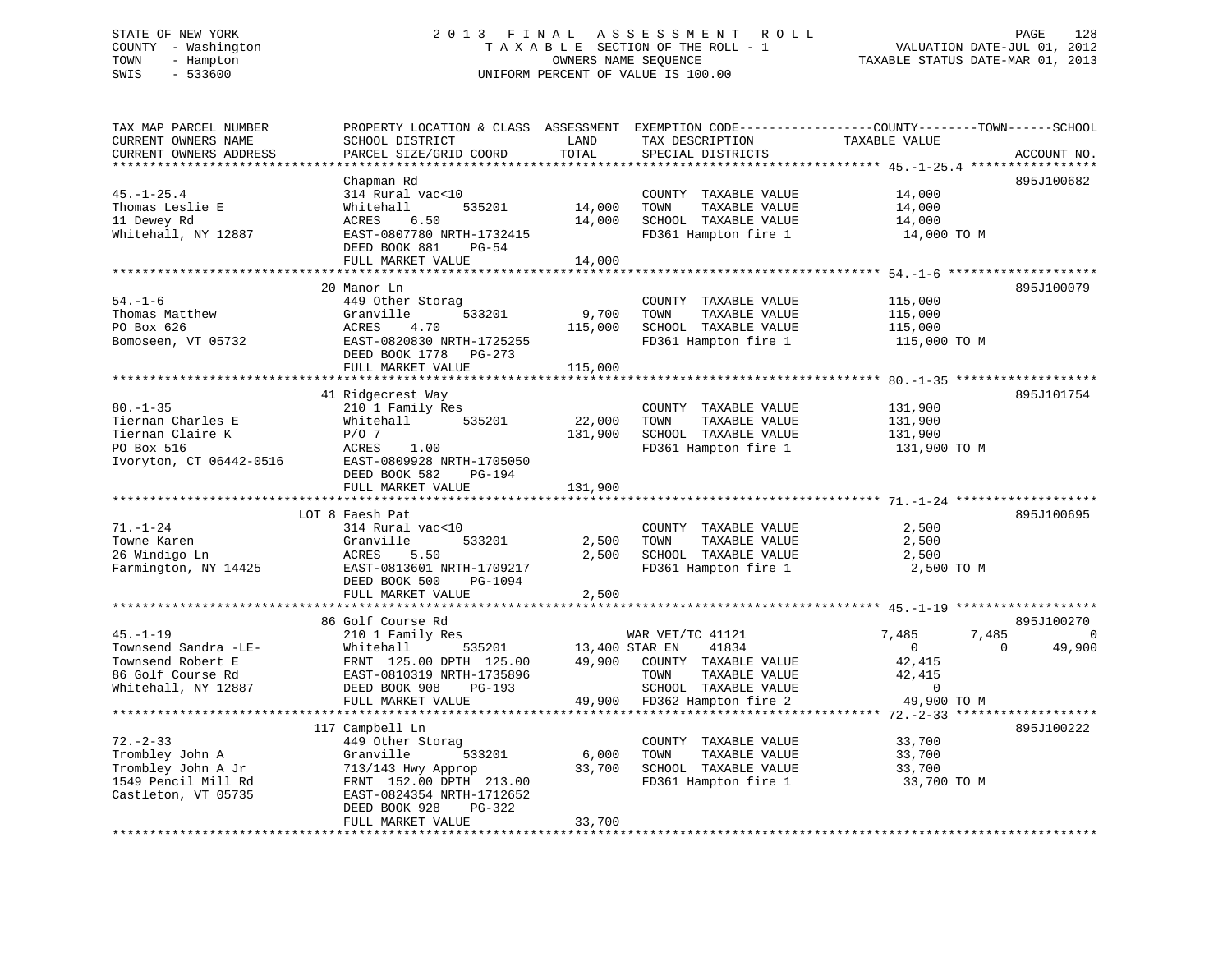# STATE OF NEW YORK 2 0 1 3 F I N A L A S S E S S M E N T R O L L PAGE 128 COUNTY - Washington T A X A B L E SECTION OF THE ROLL - 1 VALUATION DATE-JUL 01, 2012 TOWN - Hampton OWNERS NAME SEQUENCE TAXABLE STATUS DATE-MAR 01, 2013 SWIS - 533600 UNIFORM PERCENT OF VALUE IS 100.00

| TAX MAP PARCEL NUMBER<br>CURRENT OWNERS NAME | PROPERTY LOCATION & CLASS ASSESSMENT EXEMPTION CODE---------------COUNTY-------TOWN-----SCHOOL<br>SCHOOL DISTRICT | LAND           | TAX DESCRIPTION                              | TAXABLE VALUE  |                    |
|----------------------------------------------|-------------------------------------------------------------------------------------------------------------------|----------------|----------------------------------------------|----------------|--------------------|
| CURRENT OWNERS ADDRESS                       | PARCEL SIZE/GRID COORD                                                                                            | TOTAL          | SPECIAL DISTRICTS                            |                | ACCOUNT NO.        |
|                                              |                                                                                                                   |                |                                              |                |                    |
|                                              | Chapman Rd                                                                                                        |                |                                              |                | 895J100682         |
| $45. - 1 - 25.4$                             | 314 Rural vac<10                                                                                                  |                | COUNTY TAXABLE VALUE                         | 14,000         |                    |
| Thomas Leslie E                              | 535201<br>Whitehall                                                                                               | 14,000         | TAXABLE VALUE<br>TOWN                        | 14,000         |                    |
| 11 Dewey Rd                                  | 6.50<br>ACRES                                                                                                     | 14,000         | SCHOOL TAXABLE VALUE                         | 14,000         |                    |
| Whitehall, NY 12887                          | EAST-0807780 NRTH-1732415                                                                                         |                | FD361 Hampton fire 1                         | 14,000 TO M    |                    |
|                                              | DEED BOOK 881<br>$PG-54$                                                                                          |                |                                              |                |                    |
|                                              | FULL MARKET VALUE                                                                                                 | 14,000         |                                              |                |                    |
|                                              |                                                                                                                   |                |                                              |                |                    |
|                                              | 20 Manor Ln                                                                                                       |                |                                              |                | 895J100079         |
| $54. - 1 - 6$                                | 449 Other Storag                                                                                                  |                | COUNTY TAXABLE VALUE                         | 115,000        |                    |
|                                              | 533201                                                                                                            |                |                                              |                |                    |
| Thomas Matthew<br>PO Box 626                 | Granville<br>4.70<br>ACRES                                                                                        | 9,700          | TOWN<br>TAXABLE VALUE                        | 115,000        |                    |
|                                              |                                                                                                                   | 115,000        | SCHOOL TAXABLE VALUE<br>FD361 Hampton fire 1 | 115,000        |                    |
| Bomoseen, VT 05732                           | EAST-0820830 NRTH-1725255                                                                                         |                |                                              | 115,000 TO M   |                    |
|                                              | DEED BOOK 1778 PG-273                                                                                             |                |                                              |                |                    |
|                                              | FULL MARKET VALUE                                                                                                 | 115,000        |                                              |                |                    |
|                                              |                                                                                                                   |                |                                              |                |                    |
|                                              | 41 Ridgecrest Way                                                                                                 |                |                                              |                | 895J101754         |
| $80. - 1 - 35$                               | 210 1 Family Res                                                                                                  |                | COUNTY TAXABLE VALUE                         | 131,900        |                    |
| Tiernan Charles E                            | Whitehall<br>535201                                                                                               | 22,000         | TOWN<br>TAXABLE VALUE                        | 131,900        |                    |
| Tiernan Claire K                             | $P/O$ 7                                                                                                           | 131,900        | SCHOOL TAXABLE VALUE                         | 131,900        |                    |
| PO Box 516                                   | ACRES<br>1.00                                                                                                     |                | FD361 Hampton fire 1                         | 131,900 TO M   |                    |
| Ivoryton, CT 06442-0516                      | EAST-0809928 NRTH-1705050                                                                                         |                |                                              |                |                    |
|                                              | DEED BOOK 582<br>PG-194                                                                                           |                |                                              |                |                    |
|                                              | FULL MARKET VALUE                                                                                                 | 131,900        |                                              |                |                    |
|                                              |                                                                                                                   |                |                                              |                |                    |
|                                              | LOT 8 Faesh Pat                                                                                                   |                |                                              |                | 895J100695         |
| $71. - 1 - 24$                               | 314 Rural vac<10                                                                                                  |                | COUNTY TAXABLE VALUE                         | 2,500          |                    |
| Towne Karen                                  | Granville<br>533201                                                                                               | 2,500          | TAXABLE VALUE<br>TOWN                        | 2,500          |                    |
| 26 Windigo Ln                                | ACRES<br>5.50                                                                                                     | 2,500          | SCHOOL TAXABLE VALUE                         | 2,500          |                    |
| Farmington, NY 14425                         | EAST-0813601 NRTH-1709217                                                                                         |                | FD361 Hampton fire 1                         | 2,500 TO M     |                    |
|                                              | DEED BOOK 500<br>PG-1094                                                                                          |                |                                              |                |                    |
|                                              | FULL MARKET VALUE                                                                                                 | 2,500          |                                              |                |                    |
|                                              |                                                                                                                   |                |                                              |                |                    |
|                                              | 86 Golf Course Rd                                                                                                 |                |                                              |                | 895J100270         |
| $45. - 1 - 19$                               | 210 1 Family Res                                                                                                  |                | WAR VET/TC 41121                             | 7,485<br>7,485 | $\overline{0}$     |
| Townsend Sandra -LE-                         | Whitehall<br>535201                                                                                               | 13,400 STAR EN | 41834                                        | $\overline{0}$ | $\Omega$<br>49,900 |
| Townsend Robert E                            | FRNT 125.00 DPTH 125.00                                                                                           | 49,900         | COUNTY TAXABLE VALUE                         | 42,415         |                    |
| 86 Golf Course Rd                            | EAST-0810319 NRTH-1735896                                                                                         |                | TOWN<br>TAXABLE VALUE                        | 42,415         |                    |
| Whitehall, NY 12887                          | DEED BOOK 908<br>PG-193                                                                                           |                | SCHOOL TAXABLE VALUE                         | $\mathbf 0$    |                    |
|                                              | FULL MARKET VALUE                                                                                                 |                | 49,900 FD362 Hampton fire 2                  | 49,900 TO M    |                    |
|                                              |                                                                                                                   |                |                                              |                |                    |
|                                              | 117 Campbell Ln                                                                                                   |                |                                              |                | 895J100222         |
| $72. - 2 - 33$                               | 449 Other Storag                                                                                                  |                | COUNTY TAXABLE VALUE                         | 33,700         |                    |
| Trombley John A                              | 533201<br>Granville                                                                                               | 6,000          | TOWN<br>TAXABLE VALUE                        | 33,700         |                    |
| Trombley John A Jr                           | 713/143 Hwy Approp                                                                                                | 33,700         | SCHOOL TAXABLE VALUE                         | 33,700         |                    |
| 1549 Pencil Mill Rd                          | FRNT 152.00 DPTH 213.00                                                                                           |                | FD361 Hampton fire 1                         | 33,700 TO M    |                    |
| Castleton, VT 05735                          | EAST-0824354 NRTH-1712652                                                                                         |                |                                              |                |                    |
|                                              | DEED BOOK 928<br>PG-322                                                                                           |                |                                              |                |                    |
|                                              | FULL MARKET VALUE                                                                                                 | 33,700         |                                              |                |                    |
|                                              |                                                                                                                   |                |                                              |                |                    |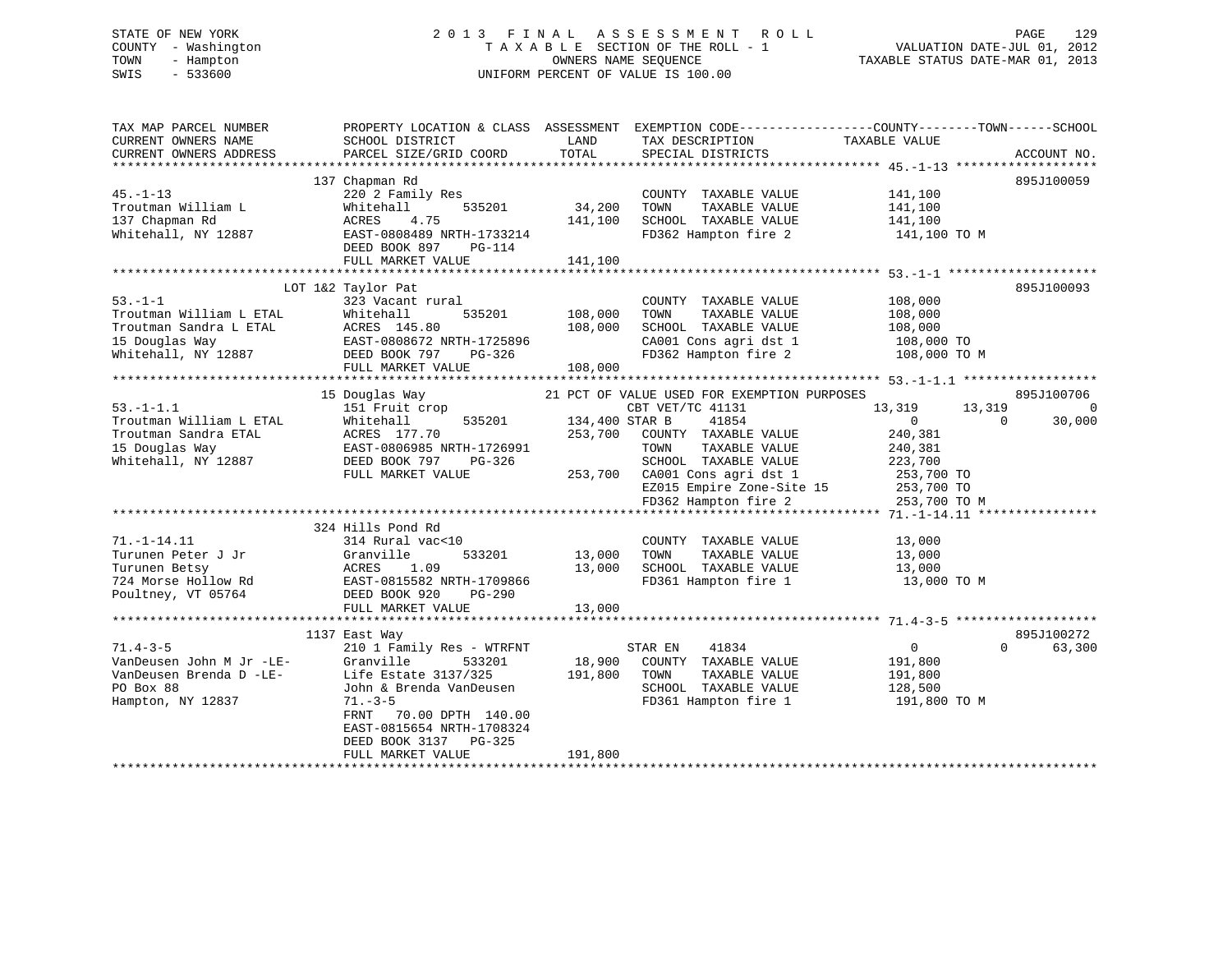# STATE OF NEW YORK 2 0 1 3 F I N A L A S S E S S M E N T R O L L PAGE 129 COUNTY - Washington T A X A B L E SECTION OF THE ROLL - 1 VALUATION DATE-JUL 01, 2012 TOWN - Hampton OWNERS NAME SEQUENCE TAXABLE STATUS DATE-MAR 01, 2013 SWIS - 533600 UNIFORM PERCENT OF VALUE IS 100.00

| TAX MAP PARCEL NUMBER<br>CURRENT OWNERS NAME<br>CURRENT OWNERS ADDRESS | SCHOOL DISTRICT<br>PARCEL SIZE/GRID COORD | LAND<br>TOTAL  | PROPERTY LOCATION & CLASS ASSESSMENT EXEMPTION CODE---------------COUNTY-------TOWN-----SCHOOL<br>TAX DESCRIPTION<br>SPECIAL DISTRICTS | TAXABLE VALUE    | ACCOUNT NO.            |
|------------------------------------------------------------------------|-------------------------------------------|----------------|----------------------------------------------------------------------------------------------------------------------------------------|------------------|------------------------|
|                                                                        |                                           |                |                                                                                                                                        |                  |                        |
|                                                                        | 137 Chapman Rd                            |                |                                                                                                                                        |                  | 895J100059             |
| $45. - 1 - 13$                                                         | 220 2 Family Res                          |                | COUNTY TAXABLE VALUE                                                                                                                   | 141,100          |                        |
| Troutman William L                                                     | Whitehall<br>535201                       | 34,200         | TOWN<br>TAXABLE VALUE                                                                                                                  | 141,100          |                        |
| 137 Chapman Rd                                                         | ACRES<br>4.75                             | 141,100        | SCHOOL TAXABLE VALUE                                                                                                                   | 141,100          |                        |
| Whitehall, NY 12887                                                    | EAST-0808489 NRTH-1733214                 |                | FD362 Hampton fire 2                                                                                                                   | 141,100 TO M     |                        |
|                                                                        | DEED BOOK 897<br>PG-114                   |                |                                                                                                                                        |                  |                        |
|                                                                        | FULL MARKET VALUE                         | 141,100        |                                                                                                                                        |                  |                        |
|                                                                        |                                           |                |                                                                                                                                        |                  |                        |
|                                                                        | LOT 1&2 Taylor Pat                        |                |                                                                                                                                        |                  | 895J100093             |
| $53. - 1 - 1$                                                          | 323 Vacant rural                          |                | COUNTY TAXABLE VALUE                                                                                                                   | 108,000          |                        |
| Troutman William L ETAL                                                | 535201<br>Whitehall                       | 108,000        | TOWN<br>TAXABLE VALUE                                                                                                                  | 108,000          |                        |
| Troutman Sandra L ETAL                                                 | ACRES 145.80                              | 108,000        | SCHOOL TAXABLE VALUE                                                                                                                   | 108,000          |                        |
| 15 Douglas Way                                                         | EAST-0808672 NRTH-1725896                 |                | CA001 Cons agri dst 1                                                                                                                  | 108,000 TO       |                        |
| Whitehall, NY 12887                                                    | DEED BOOK 797<br>PG-326                   |                | FD362 Hampton fire 2                                                                                                                   | 108,000 TO M     |                        |
|                                                                        | FULL MARKET VALUE                         | 108,000        |                                                                                                                                        |                  |                        |
|                                                                        |                                           |                |                                                                                                                                        |                  |                        |
|                                                                        | 15 Douglas Way                            |                | 21 PCT OF VALUE USED FOR EXEMPTION PURPOSES                                                                                            |                  | 895J100706             |
| $53. -1 - 1.1$                                                         | 151 Fruit crop                            |                | CBT VET/TC 41131                                                                                                                       | 13,319<br>13,319 | $\overline{0}$         |
| Troutman William L ETAL                                                | Whitehall<br>535201                       | 134,400 STAR B | 41854                                                                                                                                  | $\overline{0}$   | $\mathbf{0}$<br>30,000 |
| Troutman Sandra ETAL                                                   | ACRES 177.70                              | 253,700        | COUNTY TAXABLE VALUE                                                                                                                   | 240,381          |                        |
| 15 Douglas Way                                                         | EAST-0806985 NRTH-1726991                 |                | TOWN<br>TAXABLE VALUE                                                                                                                  | 240,381          |                        |
| Whitehall, NY 12887                                                    | DEED BOOK 797<br>PG-326                   |                | SCHOOL TAXABLE VALUE                                                                                                                   | 223,700          |                        |
|                                                                        | FULL MARKET VALUE                         |                | 253,700 CA001 Cons agri dst 1                                                                                                          | 253,700 TO       |                        |
|                                                                        |                                           |                | EZ015 Empire Zone-Site 15 253,700 TO                                                                                                   |                  |                        |
|                                                                        |                                           |                | FD362 Hampton fire 2                                                                                                                   | 253,700 TO M     |                        |
|                                                                        |                                           |                |                                                                                                                                        |                  |                        |
|                                                                        | 324 Hills Pond Rd                         |                |                                                                                                                                        |                  |                        |
| $71. - 1 - 14.11$                                                      | 314 Rural vac<10                          | 13,000         | COUNTY TAXABLE VALUE                                                                                                                   | 13,000           |                        |
| Turunen Peter J Jr                                                     | Granville<br>533201                       |                | TOWN<br>TAXABLE VALUE                                                                                                                  | 13,000           |                        |
| Turunen Betsy                                                          | 1.09<br>ACRES                             | 13,000         | SCHOOL TAXABLE VALUE                                                                                                                   | 13,000           |                        |
| 724 Morse Hollow Rd                                                    | EAST-0815582 NRTH-1709866                 |                | FD361 Hampton fire 1                                                                                                                   | 13,000 TO M      |                        |
| Poultney, VT 05764                                                     | DEED BOOK 920<br>PG-290                   | 13,000         |                                                                                                                                        |                  |                        |
|                                                                        | FULL MARKET VALUE                         |                |                                                                                                                                        |                  |                        |
|                                                                        | 1137 East Way                             |                |                                                                                                                                        |                  | 895J100272             |
| $71.4 - 3 - 5$                                                         | 210 1 Family Res - WTRFNT                 |                | STAR EN<br>41834                                                                                                                       | $\overline{0}$   | 63,300<br>$\Omega$     |
|                                                                        | Granville<br>533201                       | 18,900         | COUNTY TAXABLE VALUE                                                                                                                   | 191,800          |                        |
| VanDeusen John M Jr -LE-<br>VanDeusen Brenda D -LE-                    | Life Estate 3137/325                      | 191,800        | TOWN<br>TAXABLE VALUE                                                                                                                  | 191,800          |                        |
| PO Box 88                                                              | John & Brenda VanDeusen                   |                | SCHOOL TAXABLE VALUE                                                                                                                   | 128,500          |                        |
| Hampton, NY 12837                                                      | $71. - 3 - 5$                             |                | FD361 Hampton fire 1                                                                                                                   | 191,800 TO M     |                        |
|                                                                        | FRNT<br>70.00 DPTH 140.00                 |                |                                                                                                                                        |                  |                        |
|                                                                        | EAST-0815654 NRTH-1708324                 |                |                                                                                                                                        |                  |                        |
|                                                                        | DEED BOOK 3137 PG-325                     |                |                                                                                                                                        |                  |                        |
|                                                                        | FULL MARKET VALUE                         | 191,800        |                                                                                                                                        |                  |                        |
|                                                                        |                                           |                |                                                                                                                                        |                  |                        |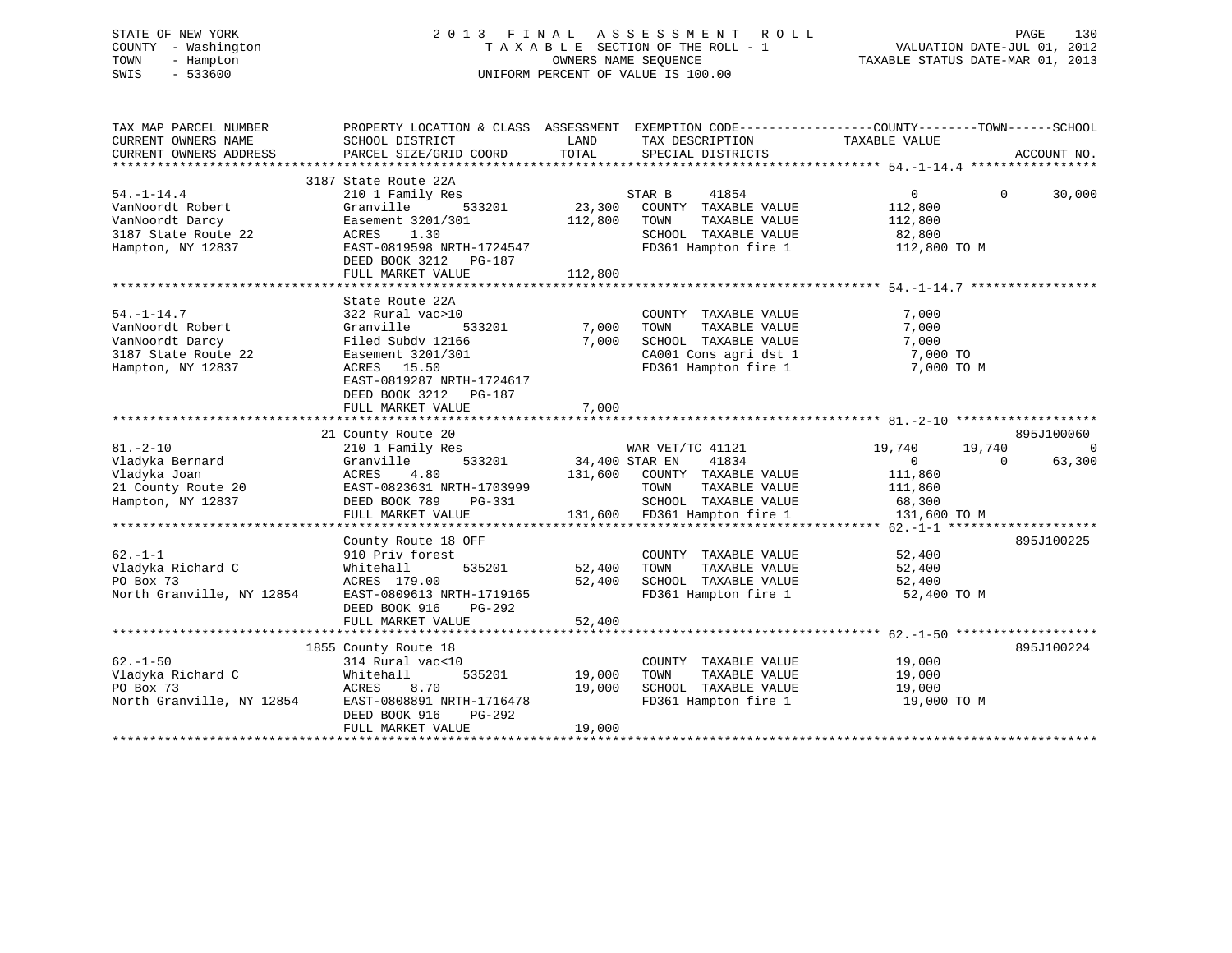# STATE OF NEW YORK 2 0 1 3 F I N A L A S S E S S M E N T R O L L PAGE 130 COUNTY - Washington T A X A B L E SECTION OF THE ROLL - 1 VALUATION DATE-JUL 01, 2012 TOWN - Hampton OWNERS NAME SEQUENCE TAXABLE STATUS DATE-MAR 01, 2013 SWIS - 533600 UNIFORM PERCENT OF VALUE IS 100.00

| TAX MAP PARCEL NUMBER<br>CURRENT OWNERS NAME<br>CURRENT OWNERS ADDRESS                              | PROPERTY LOCATION & CLASS ASSESSMENT EXEMPTION CODE----------------COUNTY-------TOWN------SCHOOL<br>SCHOOL DISTRICT<br>PARCEL SIZE/GRID COORD                                                  | LAND<br>TOTAL                | TAX DESCRIPTION TAXABLE VALUE<br>SPECIAL DISTRICTS                                                                                 |                                                                          | ACCOUNT NO.                                    |
|-----------------------------------------------------------------------------------------------------|------------------------------------------------------------------------------------------------------------------------------------------------------------------------------------------------|------------------------------|------------------------------------------------------------------------------------------------------------------------------------|--------------------------------------------------------------------------|------------------------------------------------|
| $54. - 1 - 14.4$<br>VanNoordt Robert<br>VanNoordt Darcy<br>3187 State Route 22<br>Hampton, NY 12837 | 3187 State Route 22A<br>210 1 Family Res<br>Granville<br>533201<br>Easement 3201/301<br>ACRES<br>1.30<br>EAST-0819598 NRTH-1724547<br>DEED BOOK 3212 PG-187<br>FULL MARKET VALUE               | 23,300<br>112,800<br>112,800 | STAR B<br>41854<br>COUNTY TAXABLE VALUE<br>TAXABLE VALUE<br>TOWN<br>SCHOOL TAXABLE VALUE<br>FD361 Hampton fire 1                   | $\overline{0}$<br>112,800<br>112,800<br>82,800<br>112,800 TO M           | $\Omega$<br>30,000                             |
|                                                                                                     |                                                                                                                                                                                                |                              |                                                                                                                                    |                                                                          |                                                |
| $54. -1 - 14.7$<br>VanNoordt Robert<br>VanNoordt Darcy<br>3187 State Route 22<br>Hampton, NY 12837  | State Route 22A<br>322 Rural vac>10<br>533201<br>Granville<br>Filed Subdy 12166<br>Easement 3201/301<br>ACRES 15.50<br>EAST-0819287 NRTH-1724617<br>DEED BOOK 3212 PG-187<br>FULL MARKET VALUE | 7,000<br>7,000<br>7,000      | COUNTY TAXABLE VALUE<br>TAXABLE VALUE<br>TOWN<br>SCHOOL TAXABLE VALUE<br>CA001 Cons agri dst 1<br>FD361 Hampton fire 1             | 7,000<br>7,000<br>7,000<br>7,000 TO<br>7,000 TO M                        |                                                |
|                                                                                                     |                                                                                                                                                                                                |                              |                                                                                                                                    |                                                                          |                                                |
|                                                                                                     | 21 County Route 20                                                                                                                                                                             |                              |                                                                                                                                    |                                                                          | 895J100060                                     |
| $81. - 2 - 10$<br>Vladyka Bernard<br>Vladyka Joan<br>21 County Route 20<br>Hampton, NY 12837        | 210 1 Family Res<br>533201<br>Granville<br>ACRES<br>4.80<br>EAST-0823631 NRTH-1703999<br>DEED BOOK 789<br>PG-331<br>FULL MARKET VALUE                                                          | 34,400 STAR EN<br>131,600    | WAR VET/TC 41121<br>41834<br>COUNTY TAXABLE VALUE<br>TOWN<br>TAXABLE VALUE<br>SCHOOL TAXABLE VALUE<br>131,600 FD361 Hampton fire 1 | 19,740<br>$\overline{0}$<br>111,860<br>111,860<br>68,300<br>131,600 TO M | 19,740<br>$\overline{0}$<br>$\Omega$<br>63,300 |
|                                                                                                     |                                                                                                                                                                                                |                              |                                                                                                                                    |                                                                          |                                                |
| $62. -1 - 1$<br>Vladyka Richard C<br>PO Box 73<br>North Granville, NY 12854                         | County Route 18 OFF<br>910 Priv forest<br>Whitehall<br>535201<br>ACRES 179.00<br>EAST-0809613 NRTH-1719165<br>DEED BOOK 916<br>PG-292<br>FULL MARKET VALUE                                     | 52,400<br>52,400<br>52,400   | COUNTY TAXABLE VALUE<br>TOWN<br>TAXABLE VALUE<br>SCHOOL TAXABLE VALUE<br>FD361 Hampton fire 1                                      | 52,400<br>52,400<br>52,400<br>52,400 TO M                                | 895J100225                                     |
|                                                                                                     |                                                                                                                                                                                                |                              |                                                                                                                                    |                                                                          |                                                |
| $62. - 1 - 50$<br>Vladyka Richard C<br>PO Box 73<br>North Granville, NY 12854                       | 1855 County Route 18<br>314 Rural vac<10<br>Whitehall<br>535201<br>ACRES<br>8.70<br>EAST-0808891 NRTH-1716478<br>DEED BOOK 916<br>PG-292<br>FULL MARKET VALUE                                  | 19,000<br>19,000<br>19,000   | COUNTY TAXABLE VALUE<br>TOWN<br>TAXABLE VALUE<br>SCHOOL TAXABLE VALUE<br>FD361 Hampton fire 1                                      | 19,000<br>19,000<br>19,000<br>19,000 TO M                                | 895J100224                                     |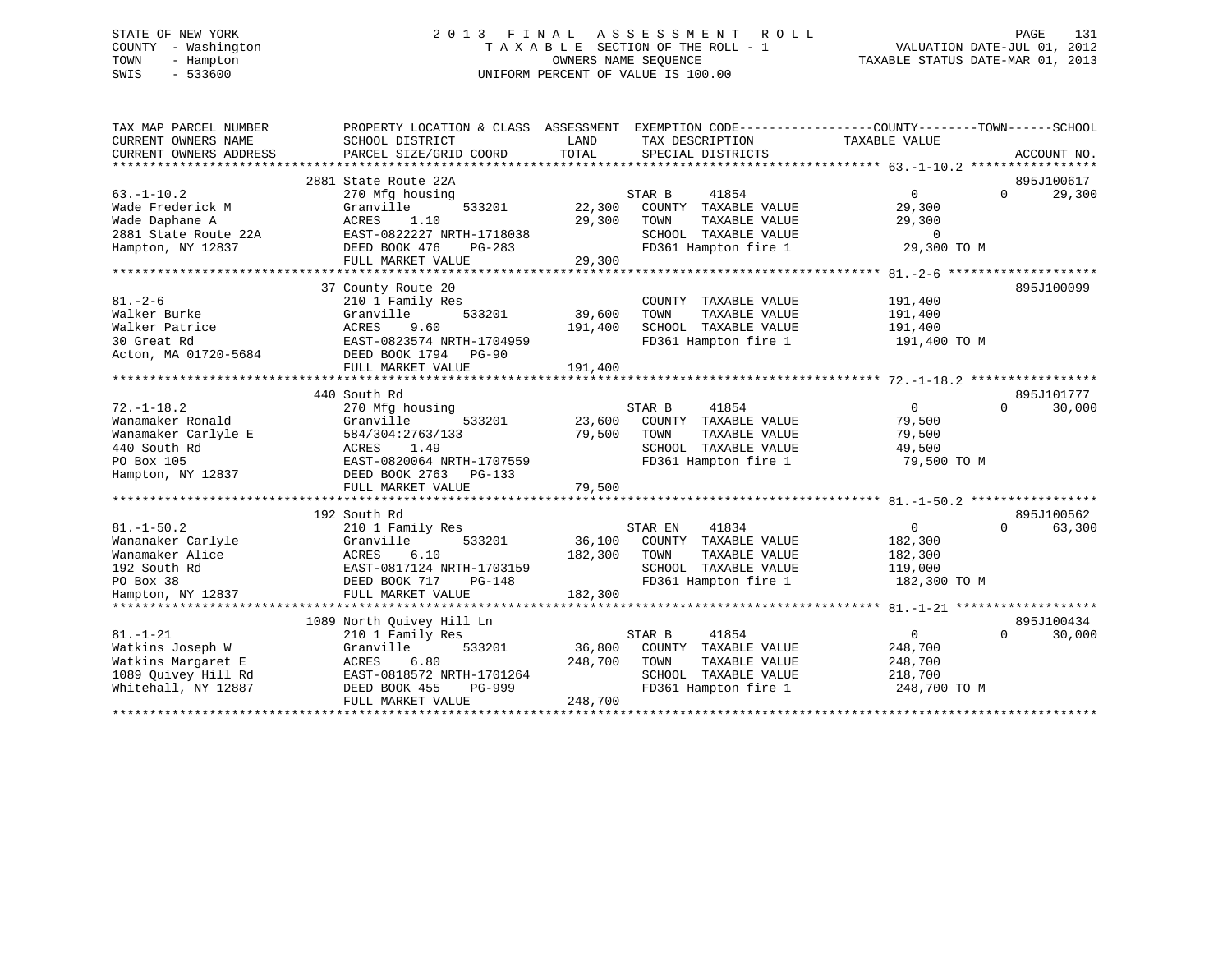# STATE OF NEW YORK 2 0 1 3 F I N A L A S S E S S M E N T R O L L PAGE 131 COUNTY - Washington T A X A B L E SECTION OF THE ROLL - 1 VALUATION DATE-JUL 01, 2012 TOWN - Hampton OWNERS NAME SEQUENCE TAXABLE STATUS DATE-MAR 01, 2013 SWIS - 533600 UNIFORM PERCENT OF VALUE IS 100.00

| TAX MAP PARCEL NUMBER<br>CURRENT OWNERS NAME<br>CURRENT OWNERS ADDRESS                                         | PROPERTY LOCATION & CLASS ASSESSMENT<br>SCHOOL DISTRICT<br>PARCEL SIZE/GRID COORD                                                                        | LAND<br>TOTAL                | EXEMPTION CODE-----------------COUNTY-------TOWN------SCHOOL<br>TAX DESCRIPTION<br>SPECIAL DISTRICTS             | TAXABLE VALUE                                                 | ACCOUNT NO.                      |
|----------------------------------------------------------------------------------------------------------------|----------------------------------------------------------------------------------------------------------------------------------------------------------|------------------------------|------------------------------------------------------------------------------------------------------------------|---------------------------------------------------------------|----------------------------------|
| $63. - 1 - 10.2$<br>Wade Frederick M<br>Wade Daphane A<br>2881 State Route 22A                                 | 2881 State Route 22A<br>270 Mfg housing<br>Granville<br>533201<br>1.10<br>ACRES<br>EAST-0822227 NRTH-1718038                                             | 22,300<br>29,300             | STAR B<br>41854<br>COUNTY TAXABLE VALUE<br>TAXABLE VALUE<br>TOWN<br>SCHOOL TAXABLE VALUE                         | $\Omega$<br>29,300<br>29,300<br>$\mathbf 0$                   | 895J100617<br>$\Omega$<br>29,300 |
| Hampton, NY 12837                                                                                              | DEED BOOK 476<br>PG-283<br>FULL MARKET VALUE                                                                                                             | 29,300                       | FD361 Hampton fire 1                                                                                             | 29,300 TO M                                                   |                                  |
| $81. - 2 - 6$<br>Walker Burke<br>Walker Patrice<br>30 Great Rd<br>Acton, MA 01720-5684                         | 37 County Route 20<br>210 1 Family Res<br>533201<br>Granville<br>ACRES<br>9.60<br>EAST-0823574 NRTH-1704959<br>DEED BOOK 1794 PG-90<br>FULL MARKET VALUE | 39,600<br>191,400<br>191,400 | COUNTY TAXABLE VALUE<br>TOWN<br>TAXABLE VALUE<br>SCHOOL TAXABLE VALUE<br>FD361 Hampton fire 1                    | 191,400<br>191,400<br>191,400<br>191,400 TO M                 | 895J100099                       |
|                                                                                                                | 440 South Rd                                                                                                                                             |                              |                                                                                                                  |                                                               | 895J101777                       |
| $72. - 1 - 18.2$<br>Wanamaker Ronald<br>Wanamaker Carlyle E<br>440 South Rd<br>PO Box 105<br>Hampton, NY 12837 | 270 Mfg housing<br>533201<br>Granville<br>584/304:2763/133<br>1.49<br>ACRES<br>EAST-0820064 NRTH-1707559<br>DEED BOOK 2763<br>PG-133                     | 23,600<br>79,500             | STAR B<br>41854<br>COUNTY TAXABLE VALUE<br>TOWN<br>TAXABLE VALUE<br>SCHOOL TAXABLE VALUE<br>FD361 Hampton fire 1 | $\Omega$<br>79,500<br>79,500<br>49,500<br>79,500 TO M         | 30,000<br>$\Omega$               |
|                                                                                                                | FULL MARKET VALUE                                                                                                                                        | 79,500                       |                                                                                                                  |                                                               |                                  |
| $81. - 1 - 50.2$<br>Wananaker Carlyle<br>Wanamaker Alice<br>192 South Rd                                       | 192 South Rd<br>210 1 Family Res<br>Granville<br>533201<br>ACRES<br>6.10<br>EAST-0817124 NRTH-1703159                                                    | 36,100<br>182,300            | STAR EN<br>41834<br>COUNTY TAXABLE VALUE<br>TOWN<br>TAXABLE VALUE<br>SCHOOL TAXABLE VALUE                        | $\overline{0}$<br>182,300<br>182,300<br>119,000               | 895J100562<br>63,300<br>$\Omega$ |
| PO Box 38<br>Hampton, NY 12837                                                                                 | <b>PG-148</b><br>DEED BOOK 717<br>FULL MARKET VALUE                                                                                                      | 182,300                      | FD361 Hampton fire 1                                                                                             | 182,300 TO M                                                  |                                  |
|                                                                                                                | 1089 North Quivey Hill Ln                                                                                                                                |                              |                                                                                                                  |                                                               | 895J100434                       |
| $81. - 1 - 21$<br>Watkins Joseph W<br>Watkins Margaret E<br>1089 Quivey Hill Rd<br>Whitehall, NY 12887         | 210 1 Family Res<br>Granville<br>533201<br>ACRES<br>6.80<br>EAST-0818572 NRTH-1701264<br>DEED BOOK 455<br>PG-999<br>FULL MARKET VALUE                    | 36,800<br>248,700<br>248,700 | STAR B<br>41854<br>COUNTY TAXABLE VALUE<br>TOWN<br>TAXABLE VALUE<br>SCHOOL TAXABLE VALUE<br>FD361 Hampton fire 1 | $\mathbf{0}$<br>248,700<br>248,700<br>218,700<br>248,700 TO M | 30,000<br>$\Omega$               |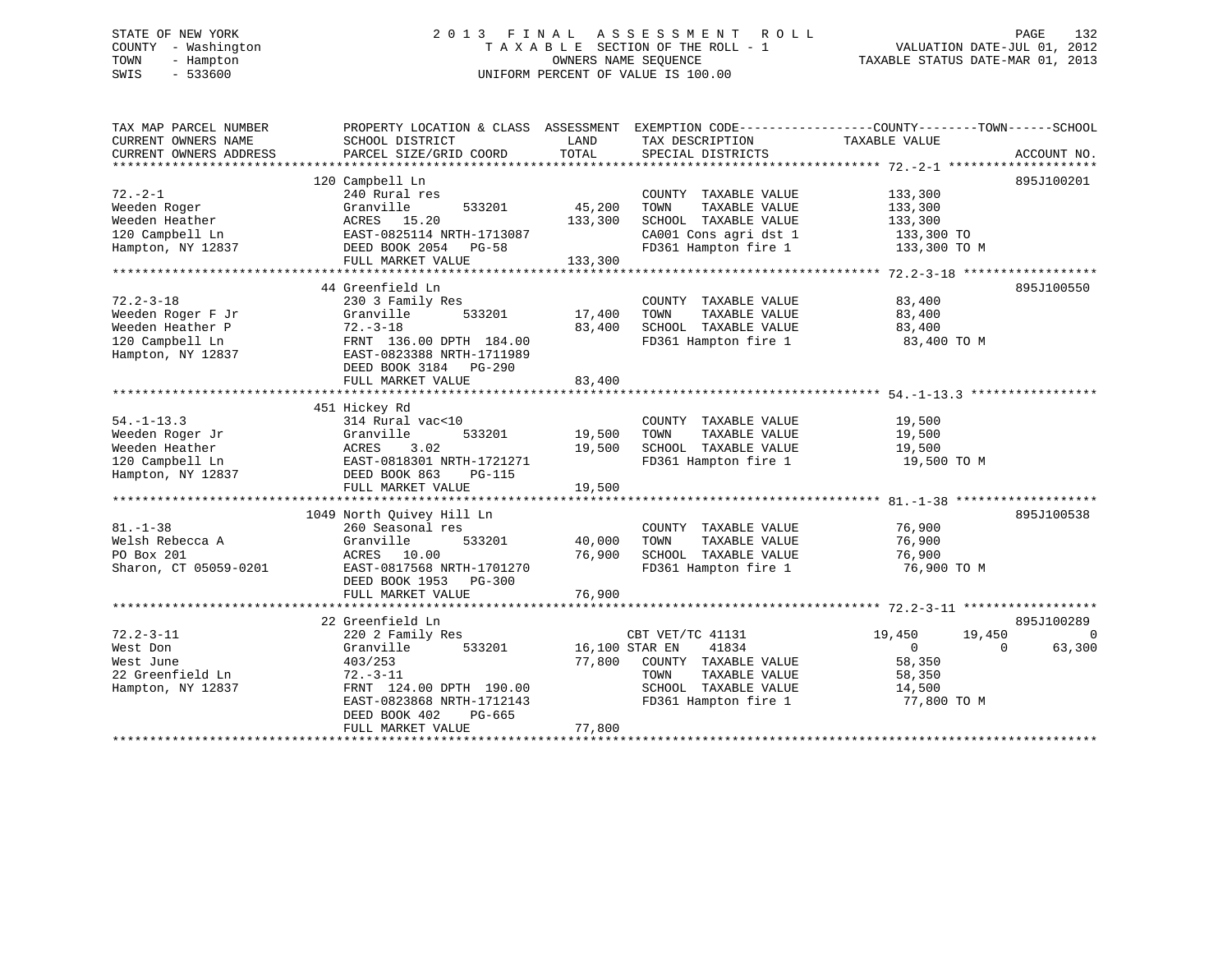# STATE OF NEW YORK 2 0 1 3 F I N A L A S S E S S M E N T R O L L PAGE 132 COUNTY - Washington T A X A B L E SECTION OF THE ROLL - 1 VALUATION DATE-JUL 01, 2012 TOWN - Hampton OWNERS NAME SEQUENCE TAXABLE STATUS DATE-MAR 01, 2013 SWIS - 533600 UNIFORM PERCENT OF VALUE IS 100.00

| TAX MAP PARCEL NUMBER<br>CURRENT OWNERS NAME | PROPERTY LOCATION & CLASS ASSESSMENT<br>SCHOOL DISTRICT | LAND           | EXEMPTION CODE-----------------COUNTY-------TOWN------SCHOOL<br>TAX DESCRIPTION | TAXABLE VALUE            |                       |
|----------------------------------------------|---------------------------------------------------------|----------------|---------------------------------------------------------------------------------|--------------------------|-----------------------|
| CURRENT OWNERS ADDRESS                       | PARCEL SIZE/GRID COORD                                  | TOTAL          | SPECIAL DISTRICTS                                                               |                          | ACCOUNT NO.           |
|                                              |                                                         |                |                                                                                 |                          |                       |
|                                              | 120 Campbell Ln                                         |                |                                                                                 |                          | 895J100201            |
| $72. - 2 - 1$                                | 240 Rural res                                           |                | COUNTY TAXABLE VALUE                                                            | 133,300                  |                       |
| Weeden Roger                                 | Granville<br>533201                                     | 45,200         | TAXABLE VALUE<br>TOWN                                                           | 133,300                  |                       |
| Weeden Heather                               | ACRES 15.20                                             | 133,300        | SCHOOL TAXABLE VALUE                                                            | 133,300                  |                       |
| 120 Campbell Ln                              | EAST-0825114 NRTH-1713087                               |                | CA001 Cons agri dst 1                                                           | 133,300 TO               |                       |
| Hampton, NY 12837                            | DEED BOOK 2054 PG-58                                    |                | FD361 Hampton fire 1                                                            | 133,300 TO M             |                       |
|                                              | FULL MARKET VALUE                                       | 133,300        |                                                                                 |                          |                       |
|                                              |                                                         |                |                                                                                 |                          |                       |
|                                              | 44 Greenfield Ln                                        |                |                                                                                 |                          | 895J100550            |
| $72.2 - 3 - 18$                              | 230 3 Family Res                                        |                | COUNTY TAXABLE VALUE                                                            | 83,400                   |                       |
|                                              | 533201<br>Granville                                     | 17,400         | TAXABLE VALUE<br>TOWN                                                           | 83,400                   |                       |
| Weeden Roger F Jr                            |                                                         |                |                                                                                 |                          |                       |
| Weeden Heather P                             | $72. - 3 - 18$                                          | 83,400         | SCHOOL TAXABLE VALUE                                                            | 83,400                   |                       |
| 120 Campbell Ln                              | FRNT 136.00 DPTH 184.00                                 |                | FD361 Hampton fire 1                                                            | 83,400 TO M              |                       |
| Hampton, NY 12837                            | EAST-0823388 NRTH-1711989                               |                |                                                                                 |                          |                       |
|                                              | DEED BOOK 3184 PG-290                                   |                |                                                                                 |                          |                       |
|                                              | FULL MARKET VALUE                                       | 83,400         |                                                                                 |                          |                       |
|                                              |                                                         |                |                                                                                 |                          |                       |
|                                              | 451 Hickey Rd                                           |                |                                                                                 |                          |                       |
| $54. -1 - 13.3$                              | 314 Rural vac<10                                        |                | COUNTY TAXABLE VALUE                                                            | 19,500                   |                       |
| Weeden Roger Jr                              | Granville<br>533201                                     | 19,500         | TOWN<br>TAXABLE VALUE                                                           | 19,500                   |                       |
| Weeden Heather                               | ACRES<br>3.02                                           | 19,500         | SCHOOL TAXABLE VALUE                                                            | 19,500                   |                       |
| 120 Campbell Ln                              | EAST-0818301 NRTH-1721271                               |                | FD361 Hampton fire 1                                                            | 19,500 TO M              |                       |
| Hampton, NY 12837                            | DEED BOOK 863<br><b>PG-115</b>                          |                |                                                                                 |                          |                       |
|                                              | FULL MARKET VALUE                                       | 19,500         |                                                                                 |                          |                       |
|                                              |                                                         |                |                                                                                 |                          |                       |
|                                              | 1049 North Ouivey Hill Ln                               |                |                                                                                 |                          | 895J100538            |
| $81. - 1 - 38$                               | 260 Seasonal res                                        |                | COUNTY TAXABLE VALUE                                                            | 76,900                   |                       |
| Welsh Rebecca A                              | Granville<br>533201                                     | 40,000         | TAXABLE VALUE<br>TOWN                                                           | 76,900                   |                       |
| PO Box 201                                   | ACRES 10.00                                             | 76,900         | SCHOOL TAXABLE VALUE                                                            | 76,900                   |                       |
| Sharon, CT 05059-0201                        | EAST-0817568 NRTH-1701270                               |                | FD361 Hampton fire 1                                                            | 76,900 TO M              |                       |
|                                              | DEED BOOK 1953 PG-300                                   |                |                                                                                 |                          |                       |
|                                              | FULL MARKET VALUE                                       | 76,900         |                                                                                 |                          |                       |
|                                              |                                                         |                |                                                                                 |                          |                       |
|                                              | 22 Greenfield Ln                                        |                |                                                                                 |                          | 895J100289            |
| $72.2 - 3 - 11$                              | 220 2 Family Res                                        |                | CBT VET/TC 41131                                                                | 19,450                   | $\mathbf 0$<br>19,450 |
|                                              | 533201                                                  | 16,100 STAR EN | 41834                                                                           |                          | $\Omega$              |
| West Don                                     | Granville                                               | 77,800         |                                                                                 | $\overline{0}$<br>58,350 | 63,300                |
| West June                                    | 403/253                                                 |                | COUNTY TAXABLE VALUE                                                            |                          |                       |
| 22 Greenfield Ln                             | $72. - 3 - 11$                                          |                | TOWN<br>TAXABLE VALUE                                                           | 58,350                   |                       |
| Hampton, NY 12837                            | FRNT 124.00 DPTH 190.00                                 |                | SCHOOL TAXABLE VALUE                                                            | 14,500                   |                       |
|                                              | EAST-0823868 NRTH-1712143                               |                | FD361 Hampton fire 1                                                            | 77,800 TO M              |                       |
|                                              | DEED BOOK 402<br>PG-665                                 |                |                                                                                 |                          |                       |
|                                              | FULL MARKET VALUE                                       | 77,800         |                                                                                 |                          |                       |
|                                              |                                                         |                |                                                                                 |                          |                       |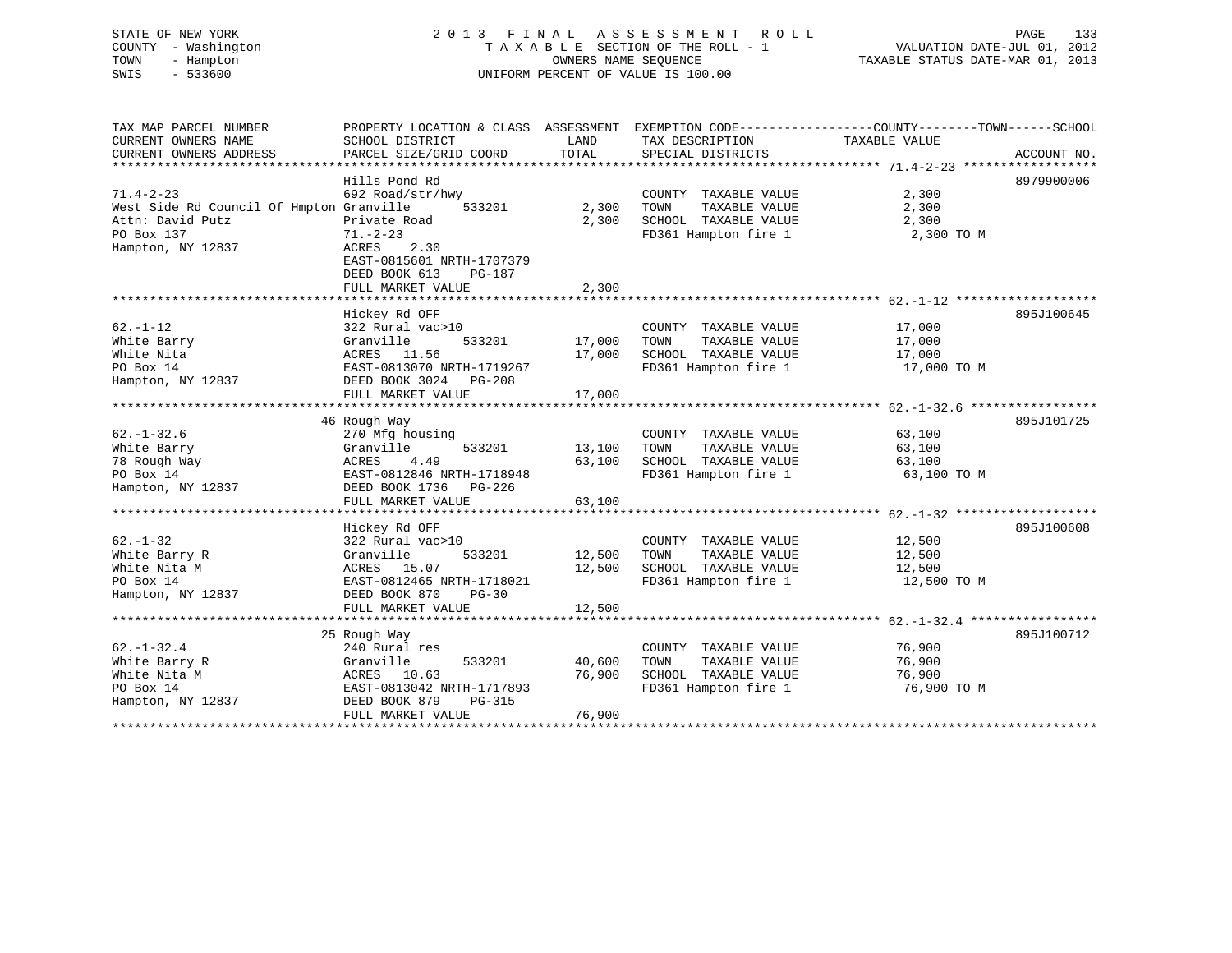| TOWN<br>SWIS | STATE OF NEW YORK<br>COUNTY - Washington<br>- Hampton<br>$-533600$ | 2013 FINAL ASSESSMENT ROLL                                                                                   | TAXABLE SECTION OF THE ROLL - 1<br>OWNERS NAME SEOUENCE<br>UNIFORM PERCENT OF VALUE IS 100.00 | TAXABLE STATUS DATE-MAR 01, 2013 | PAGE<br>VALUATION DATE-JUL 01, 2012 | 133 |         |
|--------------|--------------------------------------------------------------------|--------------------------------------------------------------------------------------------------------------|-----------------------------------------------------------------------------------------------|----------------------------------|-------------------------------------|-----|---------|
|              | TAX MAP PARCEL NUMBER<br>CURRENT OWNERS NAME                       | PROPERTY LOCATION & CLASS ASSESSMENT EXEMPTION CODE----------------COUNTY-------TOWN-----<br>SCHOOL DISTRICT | LAND                                                                                          | TAX DESCRIPTION                  | TAXABLE VALUE                       |     | -SCHOOL |

| CURRENT OWNERS ADDRESS                                                                                             | PARCEL SIZE/GRID COORD                                                                                                                                  | TOTAL                      | SPECIAL DISTRICTS                                                                             | ACCOUNT NO.                                             |
|--------------------------------------------------------------------------------------------------------------------|---------------------------------------------------------------------------------------------------------------------------------------------------------|----------------------------|-----------------------------------------------------------------------------------------------|---------------------------------------------------------|
|                                                                                                                    |                                                                                                                                                         |                            |                                                                                               |                                                         |
| $71.4 - 2 - 23$<br>West Side Rd Council Of Hmpton Granville<br>Attn: David Putz<br>PO Box 137<br>Hampton, NY 12837 | Hills Pond Rd<br>692 Road/str/hwy<br>533201<br>Private Road<br>$71. - 2 - 23$<br>2.30<br>ACRES<br>EAST-0815601 NRTH-1707379<br>DEED BOOK 613            | 2,300<br>2,300             | COUNTY TAXABLE VALUE<br>TAXABLE VALUE<br>TOWN<br>SCHOOL TAXABLE VALUE<br>FD361 Hampton fire 1 | 8979900006<br>2,300<br>2,300<br>2,300<br>2,300 TO M     |
|                                                                                                                    | PG-187<br>FULL MARKET VALUE                                                                                                                             | 2,300                      |                                                                                               |                                                         |
|                                                                                                                    |                                                                                                                                                         |                            |                                                                                               |                                                         |
| $62. - 1 - 12$<br>White Barry<br>White Nita<br>PO Box 14<br>Hampton, NY 12837                                      | Hickey Rd OFF<br>322 Rural vac>10<br>533201<br>Granville<br>ACRES 11.56<br>EAST-0813070 NRTH-1719267<br>DEED BOOK 3024 PG-208                           | 17,000<br>17,000           | COUNTY TAXABLE VALUE<br>TOWN<br>TAXABLE VALUE<br>SCHOOL TAXABLE VALUE<br>FD361 Hampton fire 1 | 895J100645<br>17,000<br>17,000<br>17,000<br>17,000 TO M |
|                                                                                                                    | FULL MARKET VALUE                                                                                                                                       | 17,000                     |                                                                                               |                                                         |
|                                                                                                                    |                                                                                                                                                         |                            |                                                                                               |                                                         |
| $62. - 1 - 32.6$<br>White Barry<br>78 Rough Way<br>PO Box 14<br>Hampton, NY 12837                                  | 46 Rough Way<br>270 Mfg housing<br>533201<br>Granville<br>4.49<br>ACRES<br>EAST-0812846 NRTH-1718948<br>DEED BOOK 1736 PG-226                           | 13,100<br>63,100           | COUNTY TAXABLE VALUE<br>TOWN<br>TAXABLE VALUE<br>SCHOOL TAXABLE VALUE<br>FD361 Hampton fire 1 | 895J101725<br>63,100<br>63,100<br>63,100<br>63,100 TO M |
|                                                                                                                    | FULL MARKET VALUE                                                                                                                                       | 63,100                     |                                                                                               |                                                         |
|                                                                                                                    |                                                                                                                                                         |                            |                                                                                               |                                                         |
| $62. - 1 - 32$<br>White Barry R<br>White Nita M<br>PO Box 14<br>Hampton, NY 12837                                  | Hickey Rd OFF<br>322 Rural vac>10<br>533201<br>Granville<br>ACRES 15.07<br>EAST-0812465 NRTH-1718021<br>DEED BOOK 870<br>$PG-30$<br>FULL MARKET VALUE   | 12,500<br>12,500<br>12,500 | COUNTY TAXABLE VALUE<br>TOWN<br>TAXABLE VALUE<br>SCHOOL TAXABLE VALUE<br>FD361 Hampton fire 1 | 895J100608<br>12,500<br>12,500<br>12,500<br>12,500 TO M |
|                                                                                                                    |                                                                                                                                                         |                            |                                                                                               |                                                         |
| $62. - 1 - 32.4$<br>White Barry R<br>White Nita M<br>PO Box 14<br>Hampton, NY 12837                                | 25 Rough Way<br>240 Rural res<br>Granville<br>533201<br>ACRES 10.63<br>EAST-0813042 NRTH-1717893<br>DEED BOOK 879<br><b>PG-315</b><br>FULL MARKET VALUE | 40,600<br>76,900<br>76,900 | COUNTY TAXABLE VALUE<br>TOWN<br>TAXABLE VALUE<br>SCHOOL TAXABLE VALUE<br>FD361 Hampton fire 1 | 895J100712<br>76,900<br>76,900<br>76,900<br>76,900 TO M |
|                                                                                                                    |                                                                                                                                                         |                            |                                                                                               |                                                         |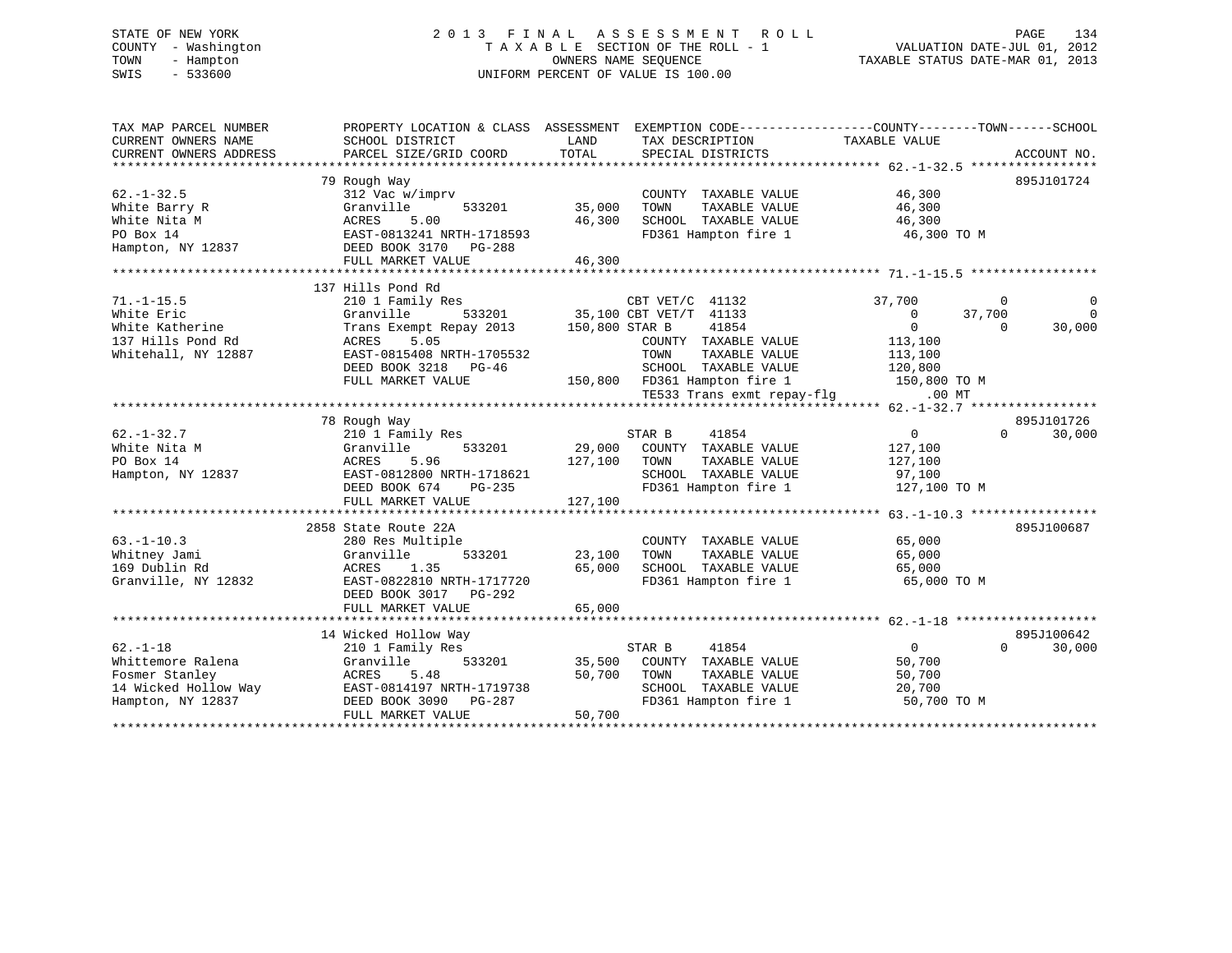# STATE OF NEW YORK 2 0 1 3 F I N A L A S S E S S M E N T R O L L PAGE 134 COUNTY - Washington T A X A B L E SECTION OF THE ROLL - 1 VALUATION DATE-JUL 01, 2012 TOWN - Hampton OWNERS NAME SEQUENCE TAXABLE STATUS DATE-MAR 01, 2013 SWIS - 533600 UNIFORM PERCENT OF VALUE IS 100.00

| TAX MAP PARCEL NUMBER<br>CURRENT OWNERS NAME<br>CURRENT OWNERS ADDRESS | SCHOOL DISTRICT<br>PARCEL SIZE/GRID COORD     | LAND<br>TOTAL  | TAX DESCRIPTION<br>SPECIAL DISTRICTS | PROPERTY LOCATION & CLASS ASSESSMENT EXEMPTION CODE----------------COUNTY-------TOWN------SCHOOL<br>TAXABLE VALUE<br>ACCOUNT NO. |          |
|------------------------------------------------------------------------|-----------------------------------------------|----------------|--------------------------------------|----------------------------------------------------------------------------------------------------------------------------------|----------|
|                                                                        |                                               |                |                                      |                                                                                                                                  |          |
|                                                                        | 79 Rough Way                                  |                |                                      | 895J101724                                                                                                                       |          |
| $62. -1 - 32.5$                                                        | 312 Vac w/imprv                               |                | COUNTY TAXABLE VALUE                 | 46,300                                                                                                                           |          |
| White Barry R                                                          | Granville<br>533201                           | 35,000         | TOWN<br>TAXABLE VALUE                | 46,300                                                                                                                           |          |
| White Nita M                                                           | ACRES<br>5.00                                 | 46,300         | SCHOOL TAXABLE VALUE                 | 46,300                                                                                                                           |          |
| PO Box 14                                                              | EAST-0813241 NRTH-1718593                     |                | FD361 Hampton fire 1                 | 46,300 TO M                                                                                                                      |          |
| Hampton, NY 12837                                                      | DEED BOOK 3170<br>PG-288                      |                |                                      |                                                                                                                                  |          |
|                                                                        | FULL MARKET VALUE                             | 46,300         |                                      |                                                                                                                                  |          |
|                                                                        |                                               |                |                                      |                                                                                                                                  |          |
|                                                                        | 137 Hills Pond Rd                             |                |                                      |                                                                                                                                  |          |
| $71. -1 - 15.5$                                                        | 210 1 Family Res                              |                | CBT VET/C 41132                      | 37,700<br>0                                                                                                                      | 0        |
| White Eric                                                             | Granville<br>533201                           |                | 35,100 CBT VET/T 41133               | $\overline{0}$<br>37,700                                                                                                         | $\Omega$ |
| White Katherine                                                        | Trans Exempt Repay 2013                       | 150,800 STAR B | 41854                                | $\overline{0}$<br>$\Omega$                                                                                                       | 30,000   |
| 137 Hills Pond Rd                                                      | 5.05<br>ACRES                                 |                | COUNTY TAXABLE VALUE                 | 113,100                                                                                                                          |          |
| Whitehall, NY 12887                                                    | EAST-0815408 NRTH-1705532                     |                | TOWN<br>TAXABLE VALUE                | 113,100                                                                                                                          |          |
|                                                                        | DEED BOOK 3218<br>PG-46                       |                | SCHOOL TAXABLE VALUE                 | 120,800                                                                                                                          |          |
|                                                                        | FULL MARKET VALUE                             |                | 150,800 FD361 Hampton fire 1         | 150,800 TO M                                                                                                                     |          |
|                                                                        |                                               |                | TE533 Trans exmt repay-flg           | $.00$ MT                                                                                                                         |          |
|                                                                        |                                               |                |                                      |                                                                                                                                  |          |
|                                                                        | 78 Rough Way                                  |                |                                      | 895J101726                                                                                                                       |          |
| $62. - 1 - 32.7$                                                       | 210 1 Family Res                              |                | 41854<br>STAR B                      | $\overline{0}$<br>$\Omega$                                                                                                       | 30,000   |
| White Nita M                                                           | Granville<br>533201                           | 29,000         | COUNTY TAXABLE VALUE                 | 127,100                                                                                                                          |          |
| PO Box 14                                                              | ACRES<br>5.96                                 | 127,100        | TOWN<br>TAXABLE VALUE                | 127,100                                                                                                                          |          |
| Hampton, NY 12837                                                      | EAST-0812800 NRTH-1718621                     |                | SCHOOL TAXABLE VALUE                 | 97,100                                                                                                                           |          |
|                                                                        | DEED BOOK 674<br>PG-235                       |                | FD361 Hampton fire 1                 | 127,100 TO M                                                                                                                     |          |
|                                                                        | FULL MARKET VALUE                             | 127,100        |                                      |                                                                                                                                  |          |
|                                                                        |                                               |                |                                      |                                                                                                                                  |          |
|                                                                        | 2858 State Route 22A                          |                |                                      | 895J100687                                                                                                                       |          |
| $63. - 1 - 10.3$                                                       | 280 Res Multiple                              |                | COUNTY TAXABLE VALUE                 | 65,000                                                                                                                           |          |
| Whitney Jami                                                           | Granville<br>533201                           | 23,100         | TAXABLE VALUE<br>TOWN                | 65,000                                                                                                                           |          |
| 169 Dublin Rd                                                          | 1.35<br>ACRES                                 | 65,000         | SCHOOL TAXABLE VALUE                 | 65,000                                                                                                                           |          |
| Granville, NY 12832                                                    | EAST-0822810 NRTH-1717720                     |                | FD361 Hampton fire 1                 | 65,000 TO M                                                                                                                      |          |
|                                                                        | DEED BOOK 3017 PG-292                         |                |                                      |                                                                                                                                  |          |
|                                                                        | FULL MARKET VALUE                             | 65,000         |                                      |                                                                                                                                  |          |
|                                                                        |                                               |                |                                      |                                                                                                                                  |          |
|                                                                        | 14 Wicked Hollow Way                          |                |                                      | 895J100642                                                                                                                       |          |
| $62 - 1 - 18$                                                          |                                               |                | STAR B<br>41854                      | $\Omega$<br>$\Omega$                                                                                                             | 30,000   |
| Whittemore Ralena                                                      | 210 1 Family Res<br>Granville<br>533201       | 35,500         | COUNTY TAXABLE VALUE                 | 50,700                                                                                                                           |          |
| Fosmer Stanley                                                         | ACRES<br>5.48                                 | 50,700         | TOWN<br>TAXABLE VALUE                | 50,700                                                                                                                           |          |
| 14 Wicked Hollow Way                                                   | EAST-0814197 NRTH-1719738                     |                | SCHOOL TAXABLE VALUE                 | 20,700                                                                                                                           |          |
|                                                                        |                                               |                | FD361 Hampton fire 1                 | 50,700 TO M                                                                                                                      |          |
| Hampton, NY 12837                                                      | DEED BOOK 3090<br>PG-287<br>FULL MARKET VALUE | 50,700         |                                      |                                                                                                                                  |          |
|                                                                        |                                               |                |                                      |                                                                                                                                  |          |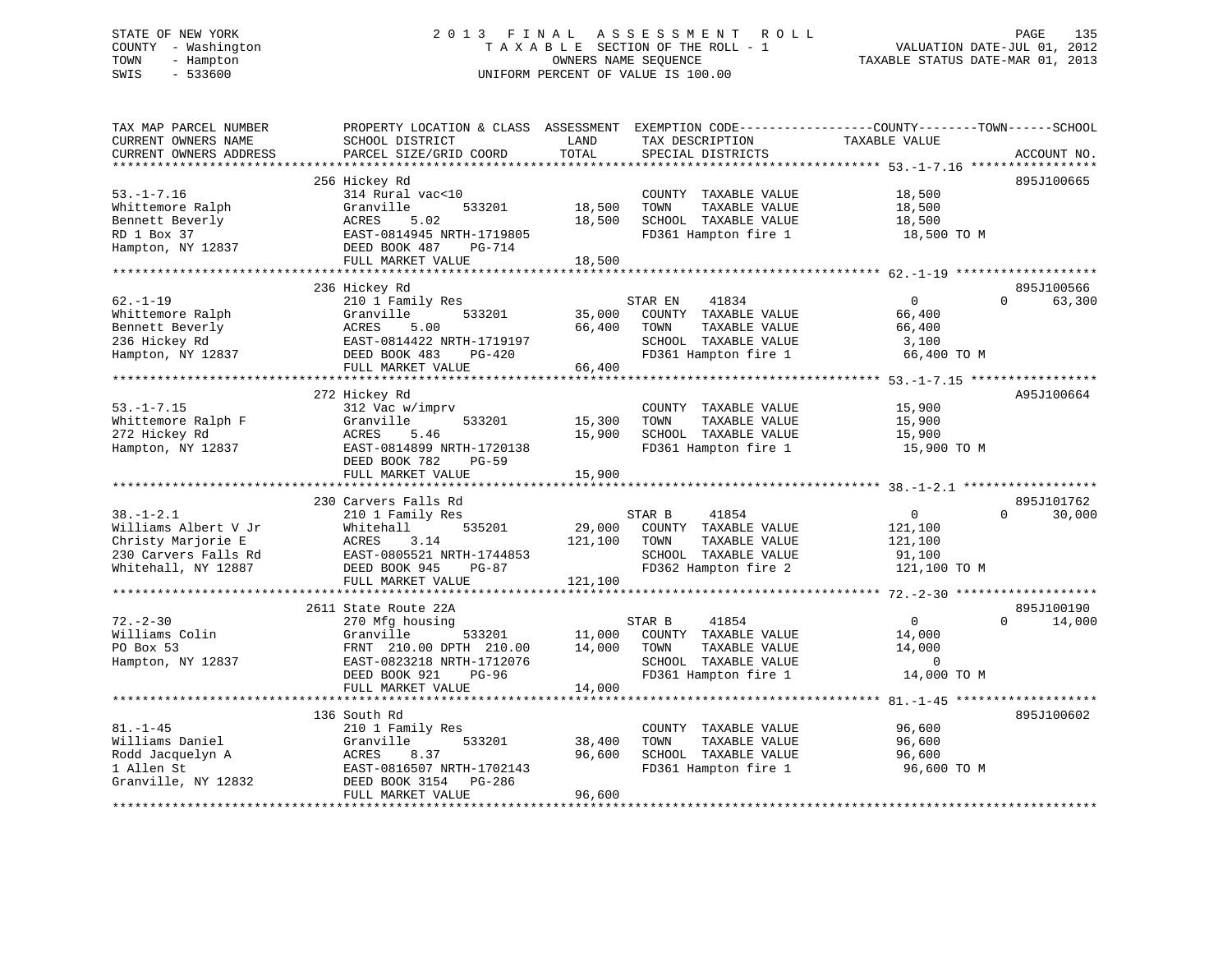# STATE OF NEW YORK 2 0 1 3 F I N A L A S S E S S M E N T R O L L PAGE 135 COUNTY - Washington T A X A B L E SECTION OF THE ROLL - 1 VALUATION DATE-JUL 01, 2012 TOWN - Hampton OWNERS NAME SEQUENCE TAXABLE STATUS DATE-MAR 01, 2013 SWIS - 533600 UNIFORM PERCENT OF VALUE IS 100.00

| TAX MAP PARCEL NUMBER<br>CURRENT OWNERS NAME<br>CURRENT OWNERS ADDRESS                                                   | PROPERTY LOCATION & CLASS ASSESSMENT<br>SCHOOL DISTRICT<br>PARCEL SIZE/GRID COORD                                                                                     | LAND<br>TOTAL                | TAX DESCRIPTION<br>SPECIAL DISTRICTS                                                                              | EXEMPTION CODE-----------------COUNTY-------TOWN------SCHOOL<br>TAXABLE VALUE<br>ACCOUNT NO.                                                  |  |
|--------------------------------------------------------------------------------------------------------------------------|-----------------------------------------------------------------------------------------------------------------------------------------------------------------------|------------------------------|-------------------------------------------------------------------------------------------------------------------|-----------------------------------------------------------------------------------------------------------------------------------------------|--|
| *************************<br>$53. - 1 - 7.16$<br>Whittemore Ralph<br>Bennett Beverly<br>RD 1 Box 37<br>Hampton, NY 12837 | 256 Hickey Rd<br>314 Rural vac<10<br>Granville<br>533201<br>5.02<br>ACRES<br>EAST-0814945 NRTH-1719805<br>DEED BOOK 487<br>PG-714<br>FULL MARKET VALUE                | 18,500<br>18,500<br>18,500   | COUNTY TAXABLE VALUE<br>TOWN<br>TAXABLE VALUE<br>SCHOOL TAXABLE VALUE<br>FD361 Hampton fire 1                     | 895J100665<br>18,500<br>18,500<br>18,500<br>18,500 TO M                                                                                       |  |
| $62. - 1 - 19$<br>Whittemore Ralph<br>Bennett Beverly<br>236 Hickey Rd<br>Hampton, NY 12837                              | 236 Hickey Rd<br>210 1 Family Res<br>Granville<br>533201<br>5.00<br>ACRES<br>EAST-0814422 NRTH-1719197<br>DEED BOOK 483<br>PG-420<br>FULL MARKET VALUE                | 35,000<br>66,400<br>66,400   | STAR EN<br>41834<br>COUNTY TAXABLE VALUE<br>TOWN<br>TAXABLE VALUE<br>SCHOOL TAXABLE VALUE<br>FD361 Hampton fire 1 | 895J100566<br>$\mathbf{0}$<br>$\Omega$<br>63,300<br>66,400<br>66,400<br>3,100<br>66,400 TO M<br>*************** 53.-1-7.15 ****************** |  |
| $53. - 1 - 7.15$<br>Whittemore Ralph F<br>272 Hickey Rd<br>Hampton, NY 12837                                             | 272 Hickey Rd<br>312 Vac w/imprv<br>Granville<br>533201<br>ACRES<br>5.46<br>EAST-0814899 NRTH-1720138<br>DEED BOOK 782<br><b>PG-59</b><br>FULL MARKET VALUE           | 15,300<br>15,900<br>15,900   | COUNTY TAXABLE VALUE<br>TOWN<br>TAXABLE VALUE<br>SCHOOL TAXABLE VALUE<br>FD361 Hampton fire 1                     | A95J100664<br>15,900<br>15,900<br>15,900<br>15,900 TO M                                                                                       |  |
| $38. - 1 - 2.1$<br>Williams Albert V Jr<br>Christy Marjorie E<br>230 Carvers Falls Rd<br>Whitehall, NY 12887             | 230 Carvers Falls Rd<br>210 1 Family Res<br>535201<br>Whitehall<br>ACRES<br>3.14<br>EAST-0805521 NRTH-1744853<br>DEED BOOK 945<br>PG-87<br>FULL MARKET VALUE          | 29,000<br>121,100<br>121,100 | 41854<br>STAR B<br>COUNTY TAXABLE VALUE<br>TAXABLE VALUE<br>TOWN<br>SCHOOL TAXABLE VALUE<br>FD362 Hampton fire 2  | 895J101762<br>$\Omega$<br>30,000<br>$\cap$<br>121,100<br>121,100<br>91,100<br>121,100 TO M                                                    |  |
| $72. - 2 - 30$<br>Williams Colin<br>PO Box 53<br>Hampton, NY 12837                                                       | 2611 State Route 22A<br>270 Mfg housing<br>Granville<br>533201<br>FRNT 210.00 DPTH 210.00<br>EAST-0823218 NRTH-1712076<br>DEED BOOK 921<br>PG-96<br>FULL MARKET VALUE | 11,000<br>14,000<br>14,000   | STAR B<br>41854<br>COUNTY TAXABLE VALUE<br>TAXABLE VALUE<br>TOWN<br>SCHOOL TAXABLE VALUE<br>FD361 Hampton fire 1  | 895J100190<br>0<br>$\Omega$<br>14,000<br>14,000<br>14,000<br>$\Omega$<br>14,000 TO M                                                          |  |
| $81. - 1 - 45$<br>Williams Daniel<br>Rodd Jacquelyn A<br>1 Allen St<br>Granville, NY 12832                               | 136 South Rd<br>210 1 Family Res<br>Granville<br>533201<br>ACRES<br>8.37<br>EAST-0816507 NRTH-1702143<br>DEED BOOK 3154 PG-286<br>FULL MARKET VALUE                   | 38,400<br>96,600<br>96,600   | COUNTY TAXABLE VALUE<br>TAXABLE VALUE<br>TOWN<br>SCHOOL TAXABLE VALUE<br>FD361 Hampton fire 1                     | 895J100602<br>96,600<br>96,600<br>96,600<br>96,600 TO M                                                                                       |  |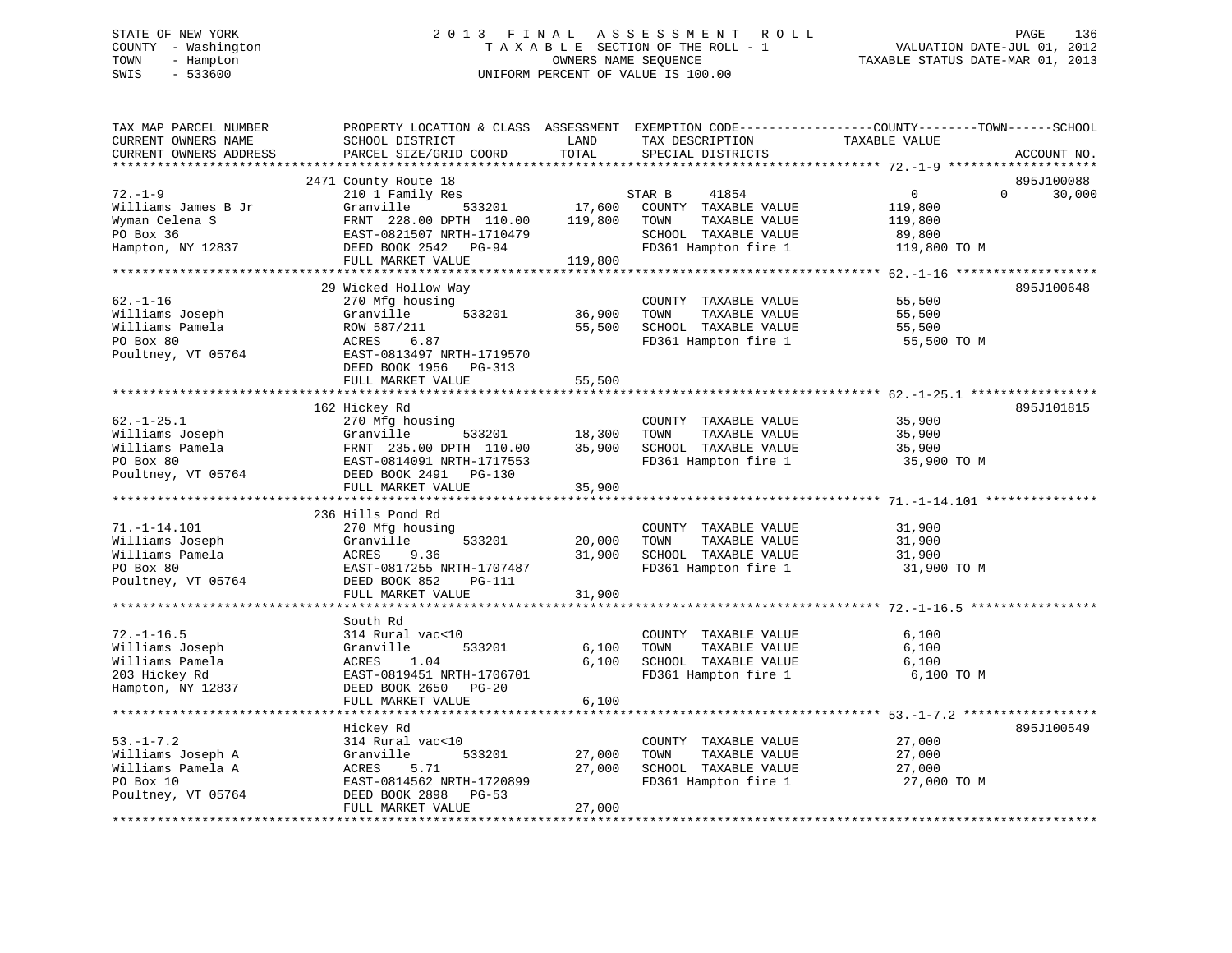# STATE OF NEW YORK 2 0 1 3 F I N A L A S S E S S M E N T R O L L PAGE 136 COUNTY - Washington T A X A B L E SECTION OF THE ROLL - 1 VALUATION DATE-JUL 01, 2012 TOWN - Hampton OWNERS NAME SEQUENCE TAXABLE STATUS DATE-MAR 01, 2013 SWIS - 533600 UNIFORM PERCENT OF VALUE IS 100.00

| TAX MAP PARCEL NUMBER<br>CURRENT OWNERS NAME<br>CURRENT OWNERS ADDRESS | SCHOOL DISTRICT<br>PARCEL SIZE/GRID COORD | LAND<br>TOTAL           | TAX DESCRIPTION<br>SPECIAL DISTRICTS | PROPERTY LOCATION & CLASS ASSESSMENT EXEMPTION CODE----------------COUNTY-------TOWN-----SCHOOL<br>TAXABLE VALUE |             |
|------------------------------------------------------------------------|-------------------------------------------|-------------------------|--------------------------------------|------------------------------------------------------------------------------------------------------------------|-------------|
| ***********************                                                |                                           |                         |                                      |                                                                                                                  | ACCOUNT NO. |
|                                                                        | 2471 County Route 18                      |                         |                                      |                                                                                                                  | 895J100088  |
| $72. - 1 - 9$                                                          | 210 1 Family Res                          |                         | STAR B<br>41854                      | $\mathbf{0}$<br>$\Omega$                                                                                         | 30,000      |
| Williams James B Jr                                                    | 533201<br>Granville                       | 17,600                  | COUNTY TAXABLE VALUE                 | 119,800                                                                                                          |             |
| Wyman Celena S                                                         | FRNT 228.00 DPTH 110.00                   | 119,800                 | TOWN<br>TAXABLE VALUE                | 119,800                                                                                                          |             |
| PO Box 36                                                              | EAST-0821507 NRTH-1710479                 |                         | SCHOOL TAXABLE VALUE                 | 89,800                                                                                                           |             |
| Hampton, NY 12837                                                      | DEED BOOK 2542 PG-94                      |                         | FD361 Hampton fire 1                 | 119,800 TO M                                                                                                     |             |
|                                                                        | FULL MARKET VALUE                         | 119,800                 |                                      |                                                                                                                  |             |
|                                                                        |                                           |                         |                                      |                                                                                                                  |             |
|                                                                        | 29 Wicked Hollow Way                      |                         |                                      |                                                                                                                  | 895J100648  |
| $62. - 1 - 16$                                                         | 270 Mfg housing                           |                         | COUNTY TAXABLE VALUE                 | 55,500                                                                                                           |             |
| Williams Joseph                                                        | Granville<br>533201                       | 36,900                  | TOWN<br>TAXABLE VALUE                | 55,500                                                                                                           |             |
| Williams Pamela                                                        | ROW 587/211                               | 55,500                  | SCHOOL TAXABLE VALUE                 | 55,500                                                                                                           |             |
| PO Box 80                                                              | 6.87<br>ACRES                             |                         | FD361 Hampton fire 1                 | 55,500 TO M                                                                                                      |             |
| Poultney, VT 05764                                                     | EAST-0813497 NRTH-1719570                 |                         |                                      |                                                                                                                  |             |
|                                                                        | DEED BOOK 1956 PG-313                     |                         |                                      |                                                                                                                  |             |
|                                                                        | FULL MARKET VALUE                         | 55,500                  |                                      |                                                                                                                  |             |
|                                                                        |                                           | * * * * * * * * * * * * |                                      |                                                                                                                  |             |
|                                                                        | 162 Hickey Rd                             |                         |                                      |                                                                                                                  | 895J101815  |
| $62. - 1 - 25.1$                                                       | 270 Mfg housing                           |                         | COUNTY TAXABLE VALUE                 | 35,900                                                                                                           |             |
| Williams Joseph                                                        | Granville<br>533201                       | 18,300                  | TOWN<br>TAXABLE VALUE                | 35,900                                                                                                           |             |
| Williams Pamela                                                        | FRNT 235.00 DPTH 110.00                   | 35,900                  | SCHOOL TAXABLE VALUE                 | 35,900                                                                                                           |             |
| PO Box 80                                                              | EAST-0814091 NRTH-1717553                 |                         | FD361 Hampton fire 1                 | 35,900 TO M                                                                                                      |             |
| Poultney, VT 05764                                                     | DEED BOOK 2491 PG-130                     |                         |                                      |                                                                                                                  |             |
|                                                                        | FULL MARKET VALUE                         | 35,900                  |                                      |                                                                                                                  |             |
|                                                                        |                                           |                         |                                      |                                                                                                                  |             |
|                                                                        | 236 Hills Pond Rd                         |                         |                                      |                                                                                                                  |             |
| $71. - 1 - 14.101$                                                     | 270 Mfg housing                           |                         | COUNTY TAXABLE VALUE                 | 31,900                                                                                                           |             |
| Williams Joseph                                                        | Granville<br>533201                       | 20,000                  | TOWN<br>TAXABLE VALUE                | 31,900                                                                                                           |             |
| Williams Pamela                                                        | ACRES<br>9.36                             | 31,900                  | SCHOOL TAXABLE VALUE                 | 31,900                                                                                                           |             |
| PO Box 80                                                              | EAST-0817255 NRTH-1707487                 |                         | FD361 Hampton fire 1                 | 31,900 TO M                                                                                                      |             |
| Poultney, VT 05764                                                     | DEED BOOK 852<br>PG-111                   |                         |                                      |                                                                                                                  |             |
|                                                                        | FULL MARKET VALUE                         | 31,900                  |                                      |                                                                                                                  |             |
|                                                                        | ****************************              |                         |                                      |                                                                                                                  |             |
|                                                                        | South Rd                                  |                         |                                      |                                                                                                                  |             |
| $72. - 1 - 16.5$                                                       | 314 Rural vac<10                          |                         | COUNTY TAXABLE VALUE                 | 6,100                                                                                                            |             |
| Williams Joseph                                                        | 533201<br>Granville                       | 6,100                   | TOWN<br>TAXABLE VALUE                | 6,100                                                                                                            |             |
| Williams Pamela                                                        | ACRES<br>1.04                             | $6,100$                 | SCHOOL TAXABLE VALUE                 | 6,100                                                                                                            |             |
| 203 Hickey Rd                                                          | EAST-0819451 NRTH-1706701                 |                         | FD361 Hampton fire 1                 | 6,100 TO M                                                                                                       |             |
| Hampton, NY 12837                                                      | DEED BOOK 2650 PG-20                      |                         |                                      |                                                                                                                  |             |
|                                                                        | FULL MARKET VALUE                         | 6,100                   |                                      |                                                                                                                  |             |
|                                                                        |                                           |                         |                                      |                                                                                                                  |             |
|                                                                        | Hickey Rd                                 |                         |                                      |                                                                                                                  | 895J100549  |
| $53. - 1 - 7.2$                                                        | 314 Rural vac<10                          |                         | COUNTY TAXABLE VALUE                 | 27,000                                                                                                           |             |
| Williams Joseph A                                                      | Granville<br>533201                       | 27,000                  | TOWN<br>TAXABLE VALUE                | 27,000                                                                                                           |             |
| Williams Pamela A                                                      | ACRES<br>5.71                             | 27,000                  | SCHOOL TAXABLE VALUE                 | 27,000                                                                                                           |             |
| PO Box 10                                                              | EAST-0814562 NRTH-1720899                 |                         | FD361 Hampton fire 1                 | 27,000 TO M                                                                                                      |             |
| Poultney, VT 05764                                                     | DEED BOOK 2898<br>$PG-53$                 |                         |                                      |                                                                                                                  |             |
|                                                                        | FULL MARKET VALUE                         | 27,000                  |                                      |                                                                                                                  |             |
|                                                                        |                                           |                         |                                      |                                                                                                                  |             |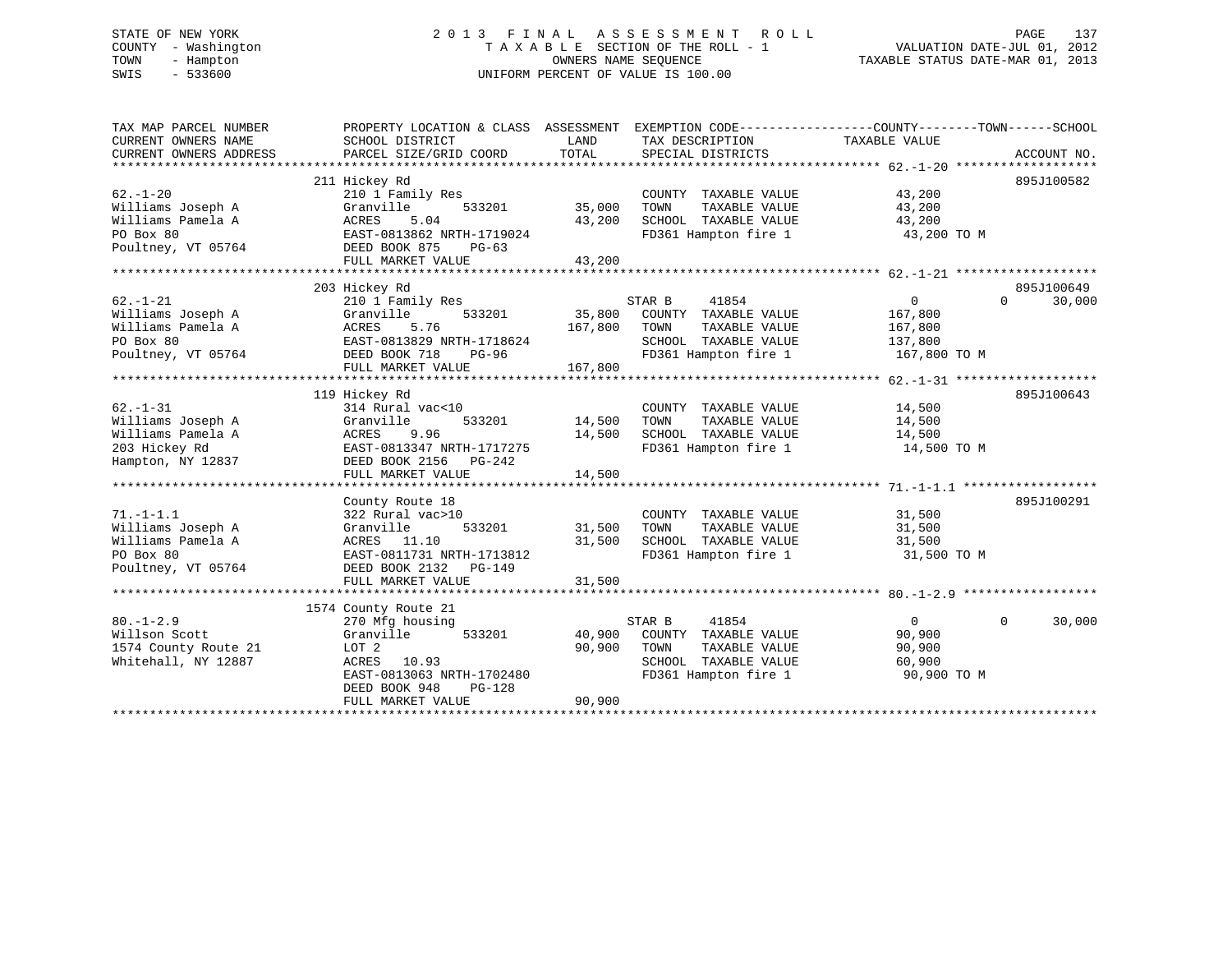# STATE OF NEW YORK 2 0 1 3 F I N A L A S S E S S M E N T R O L L PAGE 137 COUNTY - Washington T A X A B L E SECTION OF THE ROLL - 1 VALUATION DATE-JUL 01, 2012 TOWN - Hampton OWNERS NAME SEQUENCE TAXABLE STATUS DATE-MAR 01, 2013 SWIS - 533600 UNIFORM PERCENT OF VALUE IS 100.00

| TAX MAP PARCEL NUMBER<br>CURRENT OWNERS NAME | PROPERTY LOCATION & CLASS ASSESSMENT EXEMPTION CODE----------------COUNTY-------TOWN------SCHOOL<br>SCHOOL DISTRICT | LAND    | TAX DESCRIPTION                       | TAXABLE VALUE    |                    |
|----------------------------------------------|---------------------------------------------------------------------------------------------------------------------|---------|---------------------------------------|------------------|--------------------|
| CURRENT OWNERS ADDRESS                       | PARCEL SIZE/GRID COORD                                                                                              | TOTAL   | SPECIAL DISTRICTS                     |                  | ACCOUNT NO.        |
|                                              |                                                                                                                     |         |                                       |                  |                    |
|                                              | 211 Hickey Rd                                                                                                       |         |                                       |                  | 895J100582         |
| $62. - 1 - 20$                               | 210 1 Family Res                                                                                                    |         | COUNTY TAXABLE VALUE                  | 43,200           |                    |
| Williams Joseph A                            | Granville<br>533201                                                                                                 | 35,000  | TOWN<br>TAXABLE VALUE                 | 43,200           |                    |
| Williams Pamela A                            | 5.04<br>ACRES                                                                                                       | 43,200  | SCHOOL TAXABLE VALUE                  | 43,200           |                    |
| PO Box 80                                    | EAST-0813862 NRTH-1719024                                                                                           |         | FD361 Hampton fire 1                  | 43,200 TO M      |                    |
| Poultney, VT 05764                           | DEED BOOK 875<br>$PG-63$                                                                                            |         |                                       |                  |                    |
|                                              | FULL MARKET VALUE                                                                                                   | 43,200  |                                       |                  |                    |
|                                              |                                                                                                                     |         |                                       |                  |                    |
|                                              | 203 Hickey Rd                                                                                                       |         |                                       |                  | 895J100649         |
| $62. - 1 - 21$                               | 210 1 Family Res                                                                                                    |         | STAR B<br>41854                       | $\overline{0}$   | $\Omega$<br>30,000 |
| Williams Joseph A                            | 533201<br>Granville                                                                                                 | 35,800  | COUNTY TAXABLE VALUE                  | 167,800          |                    |
| Williams Pamela A                            | ACRES<br>5.76                                                                                                       | 167,800 | TOWN<br>TAXABLE VALUE                 | 167,800          |                    |
| PO Box 80                                    | EAST-0813829 NRTH-1718624                                                                                           |         | SCHOOL TAXABLE VALUE                  | 137,800          |                    |
| Poultney, VT 05764                           | DEED BOOK 718<br>PG-96                                                                                              |         | FD361 Hampton fire 1                  | 167,800 TO M     |                    |
|                                              | FULL MARKET VALUE                                                                                                   | 167,800 |                                       |                  |                    |
|                                              |                                                                                                                     |         |                                       |                  |                    |
|                                              | 119 Hickey Rd                                                                                                       |         |                                       |                  | 895J100643         |
| $62. - 1 - 31$                               | 314 Rural vac<10                                                                                                    |         | COUNTY TAXABLE VALUE                  | 14,500           |                    |
| Williams Joseph A                            | 533201<br>Granville                                                                                                 | 14,500  | TAXABLE VALUE<br>TOWN                 | 14,500           |                    |
| Williams Pamela A                            | ACRES<br>9.96                                                                                                       | 14,500  | SCHOOL TAXABLE VALUE                  | 14,500           |                    |
| 203 Hickey Rd                                | EAST-0813347 NRTH-1717275                                                                                           |         | FD361 Hampton fire 1                  | 14,500 TO M      |                    |
| Hampton, NY 12837                            | DEED BOOK 2156 PG-242                                                                                               |         |                                       |                  |                    |
|                                              | FULL MARKET VALUE                                                                                                   | 14,500  |                                       |                  |                    |
|                                              |                                                                                                                     |         |                                       |                  | 895J100291         |
| $71. - 1 - 1.1$                              | County Route 18                                                                                                     |         |                                       |                  |                    |
| Williams Joseph A                            | 322 Rural vac>10<br>533201                                                                                          | 31,500  | COUNTY TAXABLE VALUE<br>TAXABLE VALUE | 31,500<br>31,500 |                    |
| Williams Pamela A                            | Granville<br>ACRES 11.10                                                                                            | 31,500  | TOWN<br>SCHOOL TAXABLE VALUE          | 31,500           |                    |
| PO Box 80                                    | EAST-0811731 NRTH-1713812                                                                                           |         | FD361 Hampton fire 1                  | 31,500 TO M      |                    |
| Poultney, VT 05764                           | DEED BOOK 2132 PG-149                                                                                               |         |                                       |                  |                    |
|                                              | FULL MARKET VALUE                                                                                                   | 31,500  |                                       |                  |                    |
|                                              |                                                                                                                     |         |                                       |                  |                    |
|                                              | 1574 County Route 21                                                                                                |         |                                       |                  |                    |
| $80. -1 - 2.9$                               | 270 Mfg housing                                                                                                     |         | STAR B<br>41854                       | $\overline{0}$   | $\Omega$<br>30,000 |
| Willson Scott                                | 533201<br>Granville                                                                                                 | 40,900  | COUNTY TAXABLE VALUE                  | 90,900           |                    |
| 1574 County Route 21                         | LOT 2                                                                                                               | 90,900  | TOWN<br>TAXABLE VALUE                 | 90,900           |                    |
| Whitehall, NY 12887                          | ACRES 10.93                                                                                                         |         | SCHOOL TAXABLE VALUE                  | 60,900           |                    |
|                                              | EAST-0813063 NRTH-1702480                                                                                           |         | FD361 Hampton fire 1                  | 90,900 TO M      |                    |
|                                              | DEED BOOK 948<br>PG-128                                                                                             |         |                                       |                  |                    |
|                                              | FULL MARKET VALUE                                                                                                   | 90,900  |                                       |                  |                    |
|                                              |                                                                                                                     |         |                                       |                  |                    |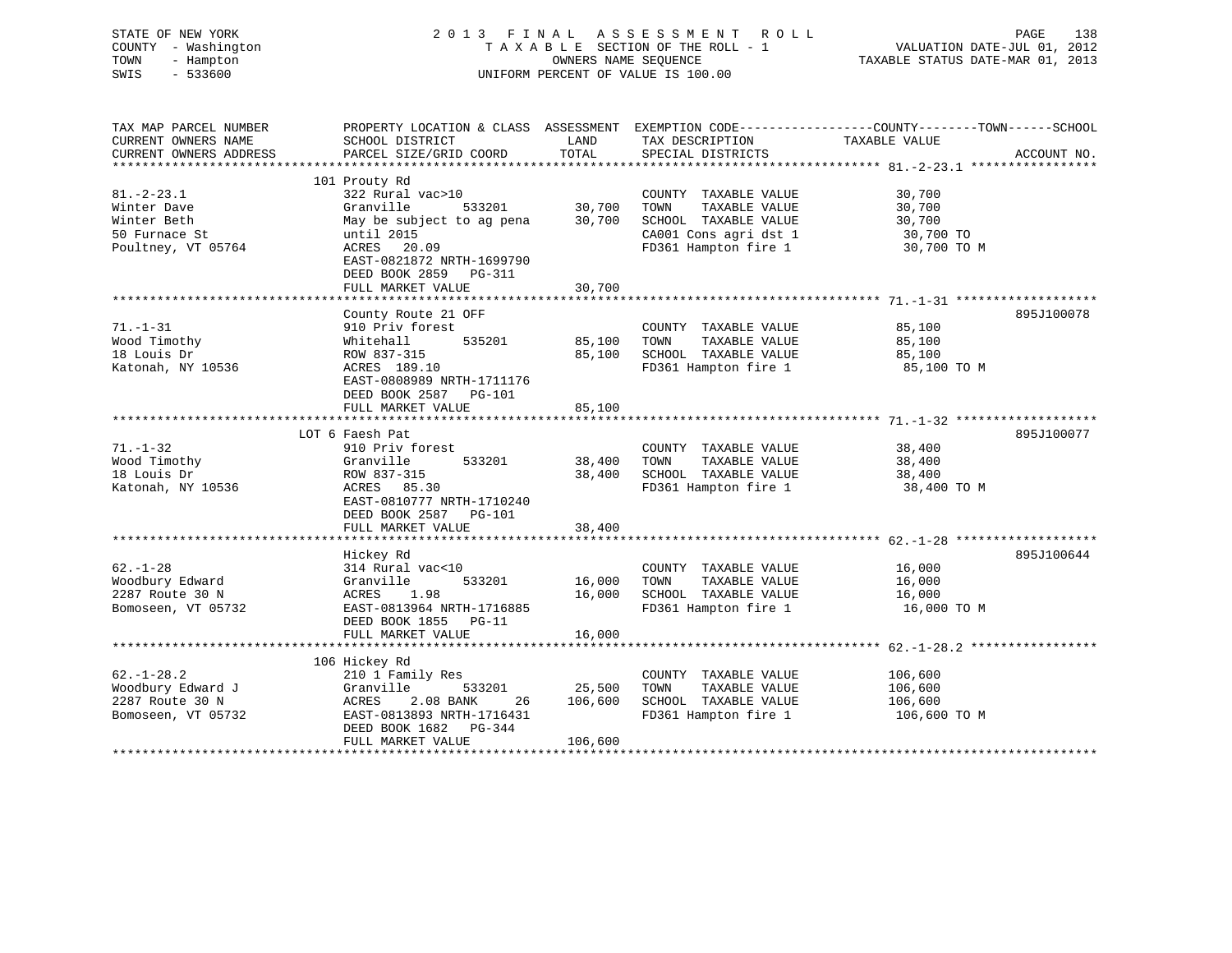| STATE OF NEW YORK<br>COUNTY - Washington<br>TOWN<br>- Hampton<br>$-533600$<br>SWIS |                                                                   | OWNERS NAME SEQUENCE | 2013 FINAL ASSESSMENT ROLL<br>TAXABLE SECTION OF THE ROLL - 1<br>UNIFORM PERCENT OF VALUE IS 100.00 | PAGE<br>138<br>VALUATION DATE-JUL 01, 2012<br>TAXABLE STATUS DATE-MAR 01, 2013                  |
|------------------------------------------------------------------------------------|-------------------------------------------------------------------|----------------------|-----------------------------------------------------------------------------------------------------|-------------------------------------------------------------------------------------------------|
| TAX MAP PARCEL NUMBER                                                              |                                                                   |                      |                                                                                                     | PROPERTY LOCATION & CLASS ASSESSMENT EXEMPTION CODE---------------COUNTY-------TOWN------SCHOOL |
| CURRENT OWNERS NAME<br>CURRENT OWNERS ADDRESS                                      | SCHOOL DISTRICT<br>PARCEL SIZE/GRID COORD                         | LAND<br>TOTAL        | TAX DESCRIPTION<br>SPECIAL DISTRICTS                                                                | TAXABLE VALUE<br>ACCOUNT NO.                                                                    |
|                                                                                    |                                                                   |                      |                                                                                                     |                                                                                                 |
|                                                                                    | 101 Prouty Rd                                                     |                      |                                                                                                     |                                                                                                 |
| $81. - 2 - 23.1$                                                                   | 322 Rural vac>10                                                  |                      | COUNTY TAXABLE VALUE                                                                                | 30,700                                                                                          |
| Winter Dave                                                                        | Granville<br>533201                                               | 30,700               | TOWN<br>TAXABLE VALUE                                                                               | 30,700                                                                                          |
| Winter Beth                                                                        | May be subject to ag pena                                         | 30,700               | SCHOOL TAXABLE VALUE                                                                                | 30,700                                                                                          |
| 50 Furnace St                                                                      | until 2015                                                        |                      | CA001 Cons agri dst 1                                                                               | 30,700 TO                                                                                       |
| Poultney, VT 05764                                                                 | ACRES 20.09<br>EAST-0821872 NRTH-1699790<br>DEED BOOK 2859 PG-311 |                      | FD361 Hampton fire 1                                                                                | 30,700 TO M                                                                                     |
|                                                                                    | FULL MARKET VALUE                                                 | 30,700               |                                                                                                     |                                                                                                 |
|                                                                                    |                                                                   |                      |                                                                                                     |                                                                                                 |
| $71. - 1 - 31$                                                                     | County Route 21 OFF<br>910 Priv forest                            |                      | COUNTY TAXABLE VALUE                                                                                | 895J100078<br>85,100                                                                            |
| Wood Timothy                                                                       | Whitehall<br>535201                                               | 85,100               | TAXABLE VALUE<br>TOWN                                                                               | 85,100                                                                                          |
| 18 Louis Dr                                                                        | ROW 837-315                                                       | 85,100               | SCHOOL TAXABLE VALUE                                                                                | 85,100                                                                                          |
| Katonah, NY 10536                                                                  | ACRES 189.10                                                      |                      | FD361 Hampton fire 1                                                                                | 85,100 TO M                                                                                     |
|                                                                                    | EAST-0808989 NRTH-1711176<br>DEED BOOK 2587 PG-101                |                      |                                                                                                     |                                                                                                 |
|                                                                                    | FULL MARKET VALUE                                                 | 85,100               |                                                                                                     |                                                                                                 |
|                                                                                    |                                                                   |                      |                                                                                                     |                                                                                                 |
|                                                                                    | LOT 6 Faesh Pat                                                   |                      |                                                                                                     | 895J100077                                                                                      |
| $71. - 1 - 32$<br>Wood Timothy                                                     | 910 Priv forest<br>533201<br>Granville                            |                      | COUNTY TAXABLE VALUE<br>TAXABLE VALUE<br>TOWN                                                       | 38,400                                                                                          |
| 18 Louis Dr                                                                        | ROW 837-315                                                       | 38,400<br>38,400     | SCHOOL TAXABLE VALUE                                                                                | 38,400<br>38,400                                                                                |
| Katonah, NY 10536                                                                  | ACRES 85.30                                                       |                      | FD361 Hampton fire 1                                                                                | 38,400 TO M                                                                                     |
|                                                                                    | EAST-0810777 NRTH-1710240                                         |                      |                                                                                                     |                                                                                                 |
|                                                                                    | DEED BOOK 2587 PG-101                                             |                      |                                                                                                     |                                                                                                 |
|                                                                                    | FULL MARKET VALUE                                                 | 38,400               |                                                                                                     |                                                                                                 |
|                                                                                    | Hickey Rd                                                         |                      |                                                                                                     | 895J100644                                                                                      |
| $62. - 1 - 28$                                                                     | 314 Rural vac<10                                                  |                      | COUNTY TAXABLE VALUE                                                                                | 16,000                                                                                          |
| Woodbury Edward                                                                    | Granville<br>533201                                               | 16,000               | TOWN<br>TAXABLE VALUE                                                                               | 16,000                                                                                          |
| 2287 Route 30 N                                                                    | ACRES<br>1.98                                                     | 16,000               | SCHOOL TAXABLE VALUE                                                                                | 16,000                                                                                          |
| Bomoseen, VT 05732                                                                 | EAST-0813964 NRTH-1716885                                         |                      | FD361 Hampton fire 1                                                                                | 16,000 TO M                                                                                     |
|                                                                                    | DEED BOOK 1855 PG-11                                              |                      |                                                                                                     |                                                                                                 |
|                                                                                    | FULL MARKET VALUE                                                 | 16,000               |                                                                                                     |                                                                                                 |
|                                                                                    |                                                                   |                      |                                                                                                     |                                                                                                 |
|                                                                                    | 106 Hickey Rd                                                     |                      |                                                                                                     |                                                                                                 |
| $62. - 1 - 28.2$                                                                   | 210 1 Family Res                                                  |                      | COUNTY TAXABLE VALUE                                                                                | 106,600                                                                                         |
| Woodbury Edward J                                                                  | Granville<br>533201                                               | 25,500               | TOWN<br>TAXABLE VALUE                                                                               | 106,600                                                                                         |
| 2287 Route 30 N                                                                    | <b>ACRES</b><br>2.08 BANK<br>26                                   | 106,600              | SCHOOL TAXABLE VALUE                                                                                | 106,600                                                                                         |
| Bomoseen, VT 05732                                                                 | EAST-0813893 NRTH-1716431<br>DEED BOOK 1682 PG-344                |                      | FD361 Hampton fire 1                                                                                | 106,600 TO M                                                                                    |
|                                                                                    | FULL MARKET VALUE                                                 | 106,600              |                                                                                                     |                                                                                                 |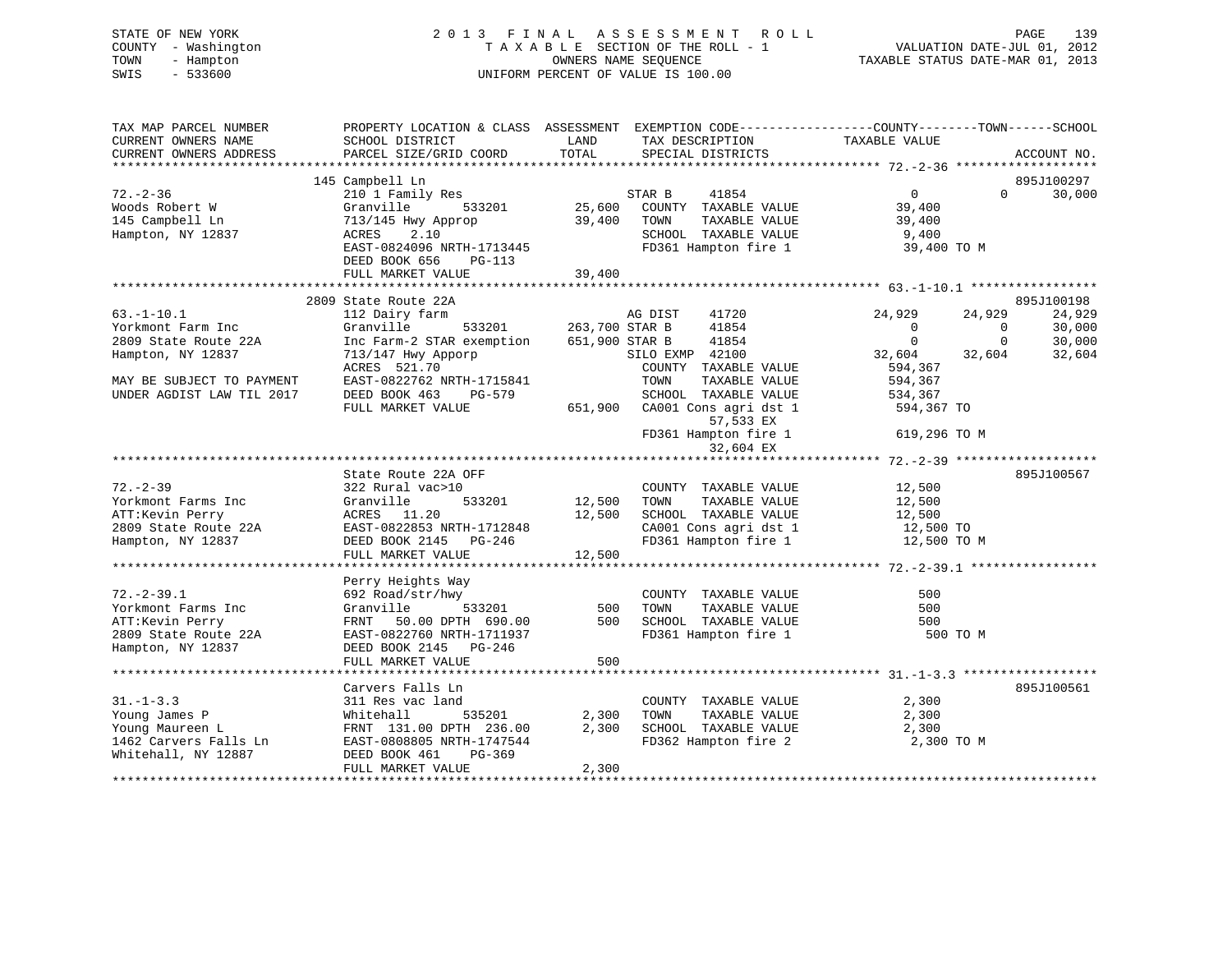| STATE OF NEW YORK<br>COUNTY - Washington<br>TOWN<br>- Hampton<br>SWIS<br>$-533600$ | 2013 FINAL ASSESSMENT<br>TAXABLE SECTION OF THE ROLL - 1<br>UNIFORM PERCENT OF VALUE IS 100.00 | R O L L<br>PAGE<br>139<br>VALUATION DATE-JUL 01, 2012<br>TAXABLE STATUS DATE-MAR 01, 2013 |                                                                                                |
|------------------------------------------------------------------------------------|------------------------------------------------------------------------------------------------|-------------------------------------------------------------------------------------------|------------------------------------------------------------------------------------------------|
| TAX MAP PARCEL NUMBER<br>CURRENT OWNERS NAME                                       | SCHOOL DISTRICT                                                                                | TAX DESCRIPTION TAXABLE VALUE<br>LAND                                                     | PROPERTY LOCATION & CLASS ASSESSMENT EXEMPTION CODE---------------COUNTY-------TOWN-----SCHOOL |
| CURRENT OWNERS ADDRESS                                                             | PARCEL SIZE/GRID COORD                                                                         | TOTAL<br>SPECIAL DISTRICTS                                                                | ACCOUNT NO.                                                                                    |
|                                                                                    |                                                                                                |                                                                                           |                                                                                                |
|                                                                                    | 145 Campbell Ln                                                                                |                                                                                           | 895J100297                                                                                     |
| $72. - 2 - 36$                                                                     | 210 1 Family Res                                                                               | STAR B<br>41854                                                                           | $\overline{0}$<br>$\Omega$<br>30,000                                                           |
| Woods Robert W                                                                     | 533201<br>Granville                                                                            | 25,600<br>COUNTY TAXABLE VALUE                                                            | 39,400                                                                                         |
| 145 Campbell Ln                                                                    | 713/145 Hwy Approp                                                                             | 39,400 TOWN<br>TAXABLE VALUE                                                              | 39,400                                                                                         |
| Hampton, NY 12837                                                                  | ACRES<br>2.10                                                                                  | SCHOOL TAXABLE VALUE                                                                      | 9,400                                                                                          |
|                                                                                    | EAST-0824096 NRTH-1713445<br>DEED BOOK 656 PG-113                                              | FD361 Hampton fire 1                                                                      | 39,400 TO M                                                                                    |
|                                                                                    | FULL MARKET VALUE                                                                              | 39,400                                                                                    |                                                                                                |
|                                                                                    | 2809 State Route 22A                                                                           |                                                                                           | 895J100198                                                                                     |
| $63. - 1 - 10.1$                                                                   | 112 Dairy farm                                                                                 | AG DIST<br>41720                                                                          | 24,929<br>24,929<br>24,929                                                                     |
| Yorkmont Farm Inc                                                                  | Granville                                                                                      | 533201 263,700 STAR B<br>41854                                                            | $\overline{\phantom{0}}$<br>$\sim$ 0<br>30,000                                                 |
| 2809 State Route 22A                                                               | Inc Farm-2 STAR exemption 651,900 STAR B                                                       | 41854                                                                                     | $\overline{0}$<br>30,000                                                                       |
| Hampton, NY 12837                                                                  | $713/147$ Hwy Apporp                                                                           | SILO EXMP 42100                                                                           | $\frac{0}{32,604}$<br>32,604<br>32,604                                                         |
|                                                                                    | ACRES 521.70                                                                                   | COUNTY TAXABLE VALUE                                                                      | 594,367                                                                                        |
| MAY BE SUBJECT TO PAYMENT                                                          | EAST-0822762 NRTH-1715841                                                                      | TOWN<br>TAXABLE VALUE                                                                     | 594,367                                                                                        |
| UNDER AGDIST LAW TIL 2017                                                          | DEED BOOK 463<br>PG-579                                                                        | SCHOOL TAXABLE VALUE                                                                      | 534,367                                                                                        |
|                                                                                    | FULL MARKET VALUE                                                                              | 651,900 CA001 Cons agri dst 1<br>57,533 EX                                                | 594,367 TO                                                                                     |
|                                                                                    |                                                                                                | FD361 Hampton fire 1<br>32,604 EX                                                         | 619,296 TO M                                                                                   |
|                                                                                    |                                                                                                |                                                                                           |                                                                                                |
|                                                                                    | State Route 22A OFF                                                                            |                                                                                           | 895J100567                                                                                     |
| $72. - 2 - 39$                                                                     | 322 Rural vac>10                                                                               | COUNTY TAXABLE VALUE                                                                      | 12,500                                                                                         |
| Yorkmont Farms Inc                                                                 | Granville<br>533201                                                                            | 12,500 TOWN<br>TAXABLE VALUE                                                              | 12,500                                                                                         |
| ATT:Kevin Perry                                                                    | ACRES 11.20                                                                                    | 12,500 SCHOOL TAXABLE VALUE                                                               | 12,500                                                                                         |
| 2809 State Route 22A<br>Hampton, NY 12837                                          | EAST-0822853 NRTH-1712848<br>DEED BOOK 2145 PG-246                                             | CA001 Cons agri dst 1<br>FD361 Hampton fire 1                                             | 12,500 TO<br>12,500 TO M                                                                       |
|                                                                                    | FULL MARKET VALUE                                                                              | 12,500                                                                                    |                                                                                                |
|                                                                                    |                                                                                                |                                                                                           |                                                                                                |
|                                                                                    | Perry Heights Way                                                                              |                                                                                           |                                                                                                |
| $72. - 2 - 39.1$                                                                   | 692 Road/str/hwy                                                                               | COUNTY TAXABLE VALUE                                                                      | 500                                                                                            |
| Yorkmont Farms Inc                                                                 | 533201<br>Granville                                                                            | 500<br>TAXABLE VALUE<br>TOWN                                                              | 500                                                                                            |
| ATT:Kevin Perry                                                                    | FRNT 50.00 DPTH 690.00                                                                         | 500 SCHOOL TAXABLE VALUE                                                                  | 500                                                                                            |
| 2809 State Route 22A                                                               | EAST-0822760 NRTH-1711937                                                                      | FD361 Hampton fire 1                                                                      | 500 TO M                                                                                       |
| Hampton, NY 12837                                                                  | DEED BOOK 2145 PG-246                                                                          |                                                                                           |                                                                                                |
|                                                                                    | FULL MARKET VALUE                                                                              | 500                                                                                       |                                                                                                |
|                                                                                    |                                                                                                |                                                                                           |                                                                                                |
|                                                                                    | Carvers Falls Ln                                                                               |                                                                                           | 895J100561                                                                                     |
| $31. - 1 - 3.3$                                                                    | 311 Res vac land                                                                               | COUNTY TAXABLE VALUE                                                                      | 2,300                                                                                          |
| Young James P                                                                      | Whitehall<br>535201                                                                            | 2,300<br>TOWN<br>TAXABLE VALUE                                                            | 2,300                                                                                          |
| Young Maureen L                                                                    | FRNT 131.00 DPTH 236.00                                                                        | 2,300 SCHOOL TAXABLE VALUE                                                                | 2,300                                                                                          |
| 1462 Carvers Falls Ln<br>Whitehall, NY 12887                                       | EAST-0808805 NRTH-1747544<br>DEED BOOK 461<br>PG-369                                           | FD362 Hampton fire 2                                                                      | 2,300 TO M                                                                                     |
|                                                                                    |                                                                                                |                                                                                           |                                                                                                |

FULL MARKET VALUE 2,300 \*\*\*\*\*\*\*\*\*\*\*\*\*\*\*\*\*\*\*\*\*\*\*\*\*\*\*\*\*\*\*\*\*\*\*\*\*\*\*\*\*\*\*\*\*\*\*\*\*\*\*\*\*\*\*\*\*\*\*\*\*\*\*\*\*\*\*\*\*\*\*\*\*\*\*\*\*\*\*\*\*\*\*\*\*\*\*\*\*\*\*\*\*\*\*\*\*\*\*\*\*\*\*\*\*\*\*\*\*\*\*\*\*\*\*\*\*\*\*\*\*\*\*\*\*\*\*\*\*\*\*\*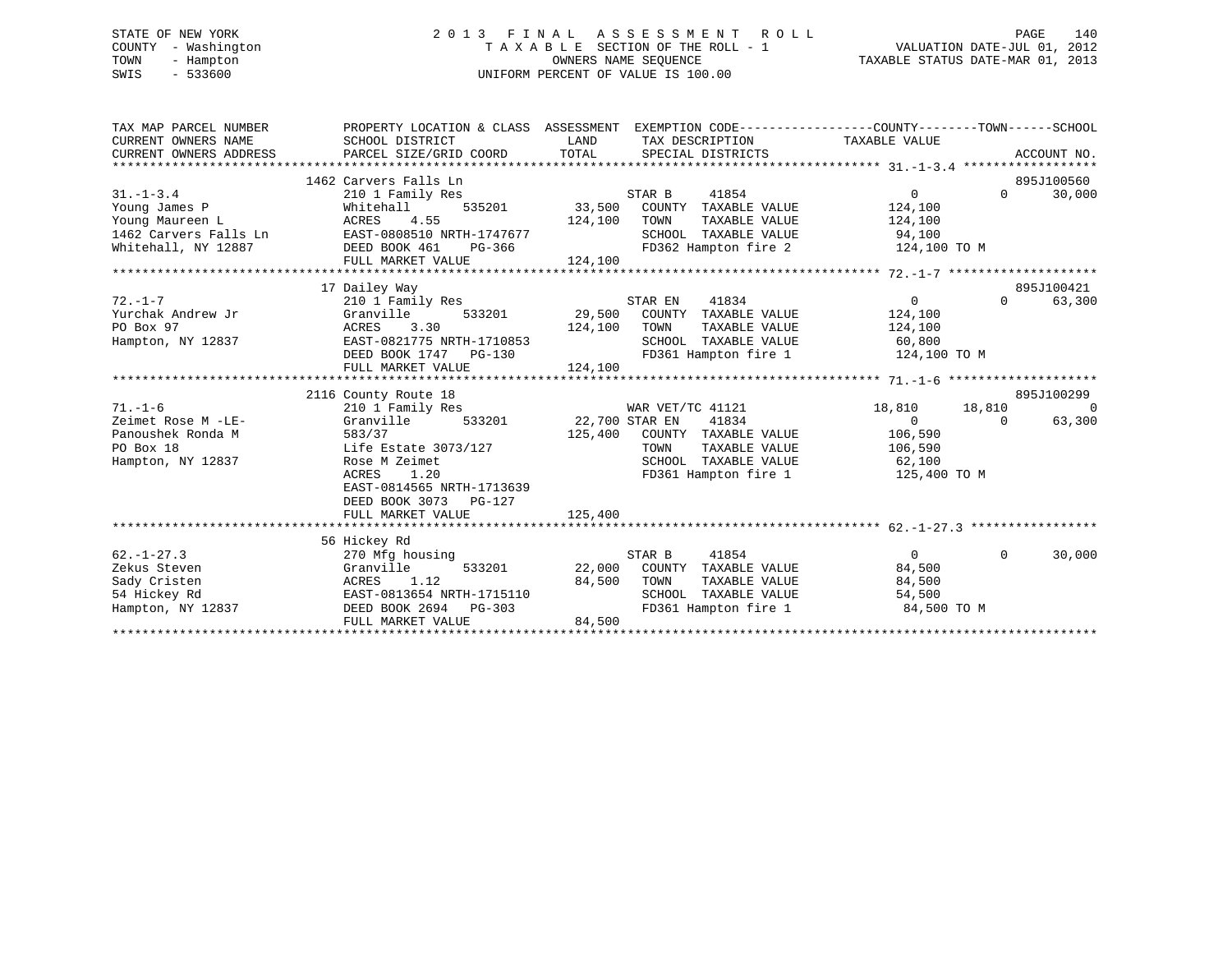# STATE OF NEW YORK 2 0 1 3 F I N A L A S S E S S M E N T R O L L PAGE 140 COUNTY - Washington T A X A B L E SECTION OF THE ROLL - 1 VALUATION DATE-JUL 01, 2012 TOWN - Hampton OWNERS NAME SEQUENCE TAXABLE STATUS DATE-MAR 01, 2013 SWIS - 533600 UNIFORM PERCENT OF VALUE IS 100.00

| TAX MAP PARCEL NUMBER<br>CURRENT OWNERS NAME<br>CURRENT OWNERS ADDRESS<br>************************* | PROPERTY LOCATION & CLASS ASSESSMENT<br>SCHOOL DISTRICT<br>PARCEL SIZE/GRID COORD                                             | LAND<br>TOTAL<br>SPECIAL DISTRICTS | TAX DESCRIPTION                                                                                | EXEMPTION CODE----------------COUNTY-------TOWN-----SCHOOL<br>TAXABLE VALUE |          | ACCOUNT NO. |
|-----------------------------------------------------------------------------------------------------|-------------------------------------------------------------------------------------------------------------------------------|------------------------------------|------------------------------------------------------------------------------------------------|-----------------------------------------------------------------------------|----------|-------------|
|                                                                                                     | 1462 Carvers Falls Ln                                                                                                         |                                    |                                                                                                |                                                                             |          | 895J100560  |
| $31. - 1 - 3.4$<br>Young James P                                                                    | 210 1 Family Res<br>Whitehall<br>535201                                                                                       | STAR B<br>33,500                   | 41854<br>COUNTY TAXABLE VALUE                                                                  | $\overline{0}$<br>124,100                                                   | $\Omega$ | 30,000      |
| Young Maureen L<br>1462 Carvers Falls Ln<br>Whitehall, NY 12887                                     | ACRES<br>4.55<br>EAST-0808510 NRTH-1747677<br>DEED BOOK 461<br>PG-366                                                         | 124,100<br>TOWN                    | TAXABLE VALUE<br>SCHOOL TAXABLE VALUE<br>FD362 Hampton fire 2                                  | 124,100<br>94,100<br>124,100 TO M                                           |          |             |
|                                                                                                     | FULL MARKET VALUE                                                                                                             | 124,100                            |                                                                                                |                                                                             |          |             |
|                                                                                                     |                                                                                                                               |                                    |                                                                                                |                                                                             |          | 895J100421  |
| $72. - 1 - 7$<br>Yurchak Andrew Jr                                                                  | 17 Dailey Way<br>210 1 Family Res<br>Granville<br>533201                                                                      | STAR EN<br>29,500                  | 41834<br>COUNTY TAXABLE VALUE                                                                  | $\overline{0}$<br>124,100                                                   | $\Omega$ | 63,300      |
| PO Box 97<br>Hampton, NY 12837                                                                      | ACRES<br>3.30<br>EAST-0821775 NRTH-1710853<br>DEED BOOK 1747 PG-130                                                           | 124,100<br>TOWN                    | TAXABLE VALUE<br>SCHOOL TAXABLE VALUE<br>FD361 Hampton fire 1                                  | 124,100<br>60,800<br>124,100 TO M                                           |          |             |
|                                                                                                     | FULL MARKET VALUE                                                                                                             | 124,100                            |                                                                                                |                                                                             |          |             |
|                                                                                                     | 2116 County Route 18                                                                                                          |                                    |                                                                                                |                                                                             |          | 895J100299  |
| $71. - 1 - 6$                                                                                       | 210 1 Family Res                                                                                                              | WAR VET/TC 41121                   |                                                                                                | 18,810                                                                      | 18,810   | $\Omega$    |
| Zeimet Rose M -LE-<br>Panoushek Ronda M<br>PO Box 18<br>Hampton, NY 12837                           | Granville<br>533201<br>583/37<br>Life Estate 3073/127<br>Rose M Zeimet<br>ACRES<br>1.20                                       | 22,700 STAR EN<br>125,400<br>TOWN  | 41834<br>COUNTY TAXABLE VALUE<br>TAXABLE VALUE<br>SCHOOL TAXABLE VALUE<br>FD361 Hampton fire 1 | $\Omega$<br>106,590<br>106,590<br>62,100<br>125,400 TO M                    | $\Omega$ | 63,300      |
|                                                                                                     | EAST-0814565 NRTH-1713639<br>DEED BOOK 3073 PG-127<br>FULL MARKET VALUE                                                       | 125,400                            |                                                                                                |                                                                             |          |             |
|                                                                                                     |                                                                                                                               |                                    |                                                                                                |                                                                             |          |             |
| $62. - 1 - 27.3$<br>Zekus Steven<br>Sady Cristen<br>54 Hickey Rd<br>Hampton, NY 12837               | 56 Hickey Rd<br>270 Mfg housing<br>533201<br>Granville<br>1.12<br>ACRES<br>EAST-0813654 NRTH-1715110<br>DEED BOOK 2694 PG-303 | STAR B<br>22,000<br>84,500<br>TOWN | 41854<br>COUNTY TAXABLE VALUE<br>TAXABLE VALUE<br>SCHOOL TAXABLE VALUE<br>FD361 Hampton fire 1 | $\Omega$<br>84,500<br>84,500<br>54,500<br>84,500 TO M                       | $\Omega$ | 30,000      |
|                                                                                                     | FULL MARKET VALUE                                                                                                             | 84,500                             |                                                                                                |                                                                             |          |             |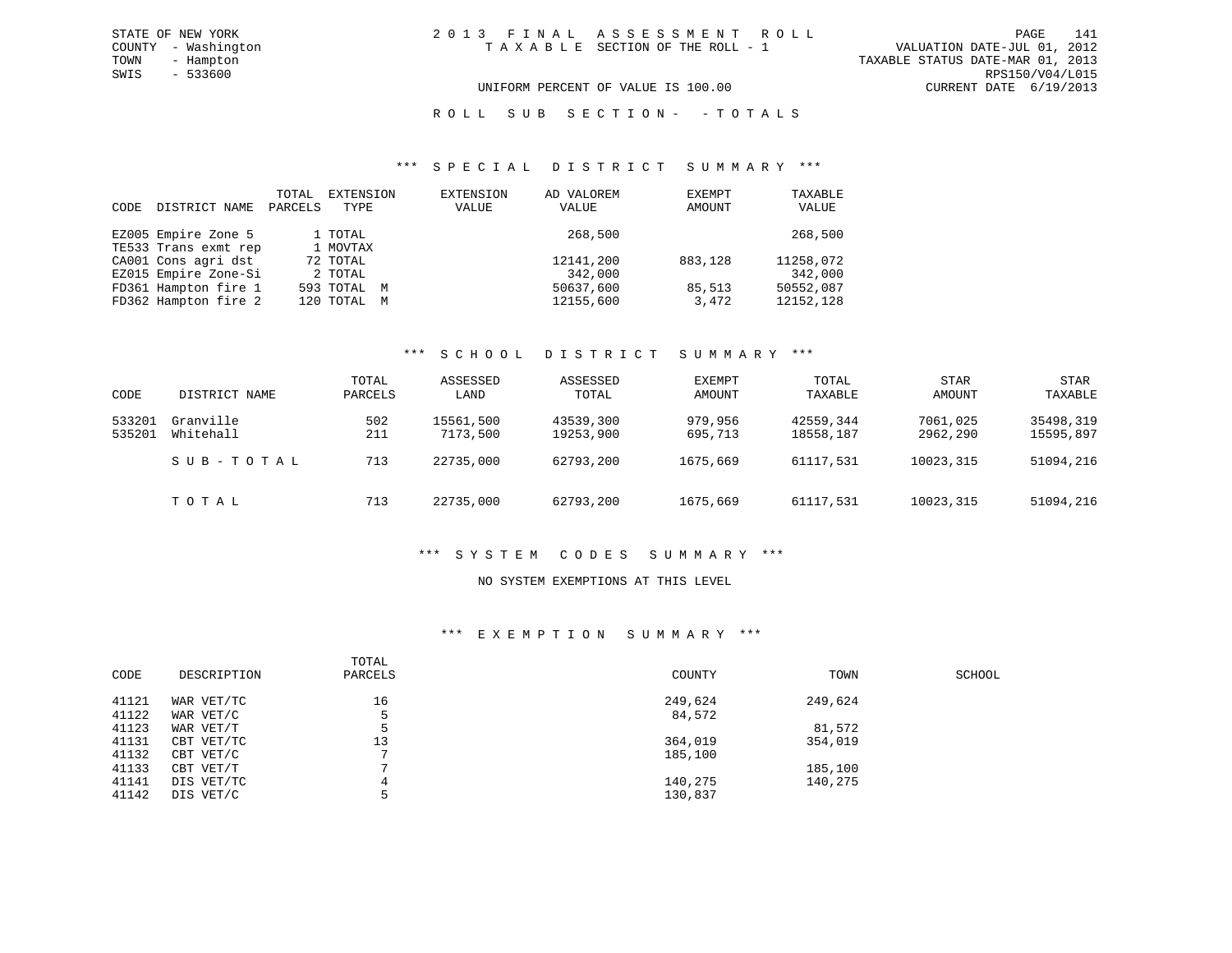#### UNIFORM PERCENT OF VALUE IS 100.00 CURRENT DATE 6/19/2013

#### ROLL SUB SECTION - - TOTALS

#### \*\*\* S P E C I A L D I S T R I C T S U M M A R Y \*\*\*

| CODE | DISTRICT NAME        | TOTAL<br>PARCELS | EXTENSION<br>TYPE | EXTENSION<br>VALUE | AD VALOREM<br>VALUE | EXEMPT<br>AMOUNT | TAXABLE<br>VALUE |
|------|----------------------|------------------|-------------------|--------------------|---------------------|------------------|------------------|
|      | EZ005 Empire Zone 5  |                  | 1 TOTAL           |                    | 268,500             |                  | 268,500          |
|      | TE533 Trans exmt rep |                  | 1 MOVTAX          |                    |                     |                  |                  |
|      | CA001 Cons agri dst  |                  | 72 TOTAL          |                    | 12141,200           | 883,128          | 11258,072        |
|      | EZ015 Empire Zone-Si |                  | 2 TOTAL           |                    | 342,000             |                  | 342,000          |
|      | FD361 Hampton fire 1 |                  | 593 TOTAL M       |                    | 50637,600           | 85,513           | 50552,087        |
|      | FD362 Hampton fire 2 |                  | 120 TOTAL M       |                    | 12155,600           | 3,472            | 12152,128        |

#### \*\*\* S C H O O L D I S T R I C T S U M M A R Y \*\*\*

| CODE             | DISTRICT NAME          | TOTAL<br>PARCELS | ASSESSED<br>LAND      | ASSESSED<br>TOTAL      | EXEMPT<br>AMOUNT   | TOTAL<br>TAXABLE       | <b>STAR</b><br>AMOUNT | <b>STAR</b><br>TAXABLE |
|------------------|------------------------|------------------|-----------------------|------------------------|--------------------|------------------------|-----------------------|------------------------|
| 533201<br>535201 | Granville<br>Whitehall | 502<br>211       | 15561,500<br>7173,500 | 43539,300<br>19253,900 | 979,956<br>695,713 | 42559,344<br>18558,187 | 7061,025<br>2962,290  | 35498,319<br>15595,897 |
|                  | SUB-TOTAL              | 713              | 22735,000             | 62793,200              | 1675,669           | 61117,531              | 10023,315             | 51094,216              |
|                  | TOTAL                  | 713              | 22735,000             | 62793,200              | 1675,669           | 61117.531              | 10023,315             | 51094,216              |

#### \*\*\* S Y S T E M C O D E S S U M M A R Y \*\*\*

#### NO SYSTEM EXEMPTIONS AT THIS LEVEL

#### \*\*\* E X E M P T I O N S U M M A R Y \*\*\*

| CODE  | DESCRIPTION | TOTAL<br>PARCELS | COUNTY  | TOWN    | SCHOOL |
|-------|-------------|------------------|---------|---------|--------|
| 41121 | WAR VET/TC  | 16               | 249,624 | 249,624 |        |
| 41122 | WAR VET/C   |                  | 84,572  |         |        |
| 41123 | WAR VET/T   |                  |         | 81,572  |        |
| 41131 | CBT VET/TC  | 13               | 364,019 | 354,019 |        |
| 41132 | CBT VET/C   |                  | 185,100 |         |        |
| 41133 | CBT VET/T   |                  |         | 185,100 |        |
| 41141 | DIS VET/TC  |                  | 140,275 | 140,275 |        |
| 41142 | DIS VET/C   |                  | 130,837 |         |        |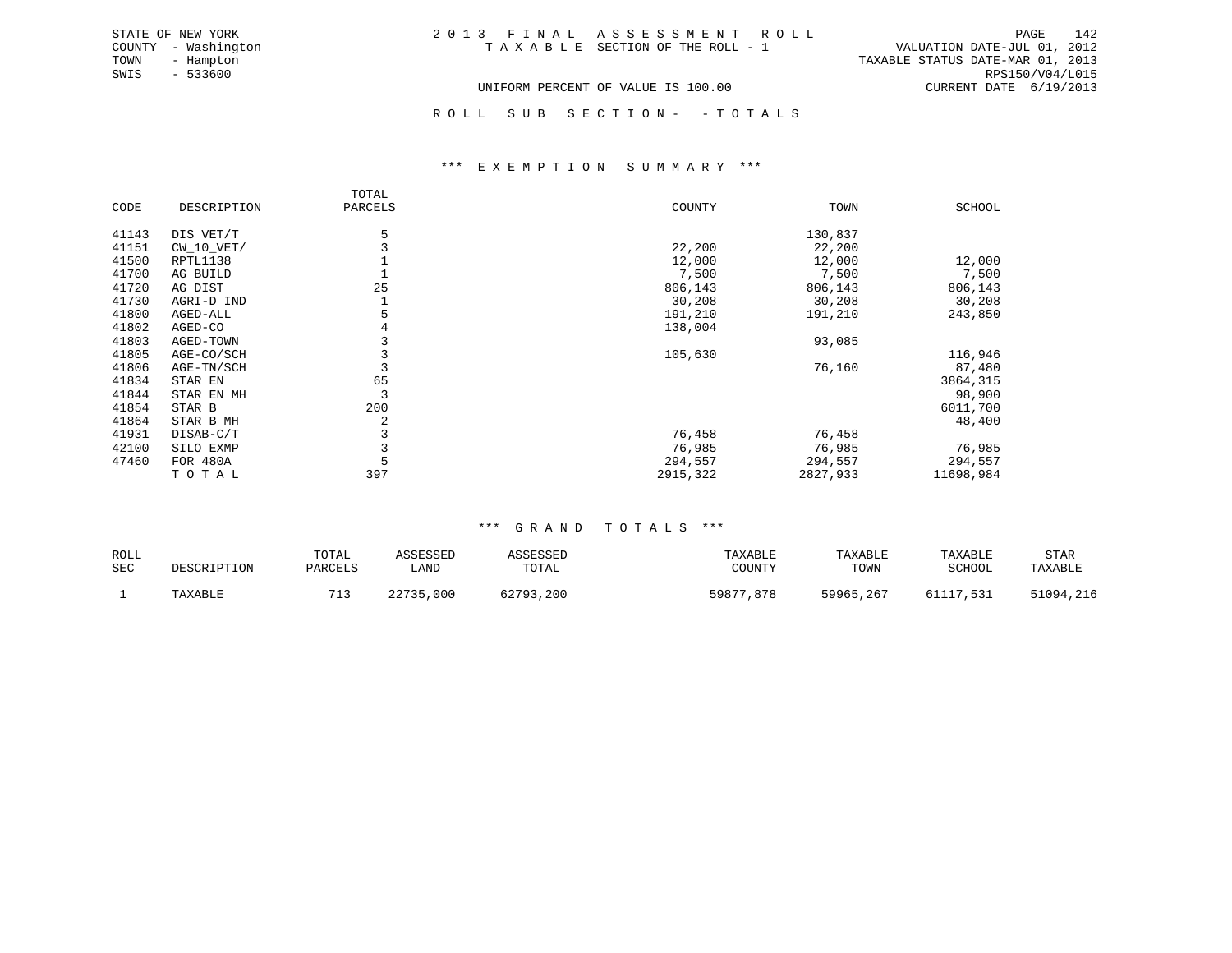| 2013 FINAL ASSESSMENT ROLL         |  |                                  | PAGE                     | 142             |
|------------------------------------|--|----------------------------------|--------------------------|-----------------|
| TAXABLE SECTION OF THE ROLL - 1    |  | VALUATION DATE-JUL 01, 2012      |                          |                 |
|                                    |  | TAXABLE STATUS DATE-MAR 01, 2013 |                          |                 |
|                                    |  |                                  |                          | RPS150/V04/L015 |
| UNIFORM PERCENT OF VALUE IS 100.00 |  |                                  | CURRENT DATE $6/19/2013$ |                 |

ROLL SUB SECTION - - TOTALS

#### \*\*\* E X E M P T I O N S U M M A R Y \*\*\*

|       |              | TOTAL   |          |          |           |
|-------|--------------|---------|----------|----------|-----------|
| CODE  | DESCRIPTION  | PARCELS | COUNTY   | TOWN     | SCHOOL    |
| 41143 | DIS VET/T    | 5       |          | 130,837  |           |
| 41151 | $CW_10_VET/$ |         | 22,200   | 22,200   |           |
| 41500 | RPTL1138     |         | 12,000   | 12,000   | 12,000    |
| 41700 | AG BUILD     |         | 7,500    | 7,500    | 7,500     |
| 41720 | AG DIST      | 25      | 806,143  | 806,143  | 806,143   |
| 41730 | AGRI-D IND   |         | 30,208   | 30,208   | 30,208    |
| 41800 | AGED-ALL     |         | 191,210  | 191,210  | 243,850   |
| 41802 | AGED-CO      | 4       | 138,004  |          |           |
| 41803 | AGED-TOWN    |         |          | 93,085   |           |
| 41805 | AGE-CO/SCH   |         | 105,630  |          | 116,946   |
| 41806 | AGE-TN/SCH   |         |          | 76,160   | 87,480    |
| 41834 | STAR EN      | 65      |          |          | 3864,315  |
| 41844 | STAR EN MH   | 3       |          |          | 98,900    |
| 41854 | STAR B       | 200     |          |          | 6011,700  |
| 41864 | STAR B MH    | 2       |          |          | 48,400    |
| 41931 | DISAB-C/T    |         | 76,458   | 76,458   |           |
| 42100 | SILO EXMP    |         | 76,985   | 76,985   | 76,985    |
| 47460 | FOR 480A     | 5       | 294,557  | 294,557  | 294,557   |
|       | TOTAL        | 397     | 2915,322 | 2827,933 | 11698,984 |

STATE OF NEW YORK COUNTY - Washington TOWN - Hampton  $SWIS - 533600$ 

#### \*\*\* G R A N D T O T A L S \*\*\*

| ROLL<br><b>SEC</b> | DESCRIPTION | TOTAL<br>PARCELS | ASSESSED<br>LAND | ASSESSED<br>TOTAL | TAXABLE<br>COUNTY | TAXABLE<br>TOWN | TAXABLE<br>SCHOOL | STAR<br>TAXABLE |
|--------------------|-------------|------------------|------------------|-------------------|-------------------|-----------------|-------------------|-----------------|
|                    | TAXABLE     |                  | 22735,000        | 62793,200         | 59877,878         | 59965,267       | 61117.531         | 51094,216       |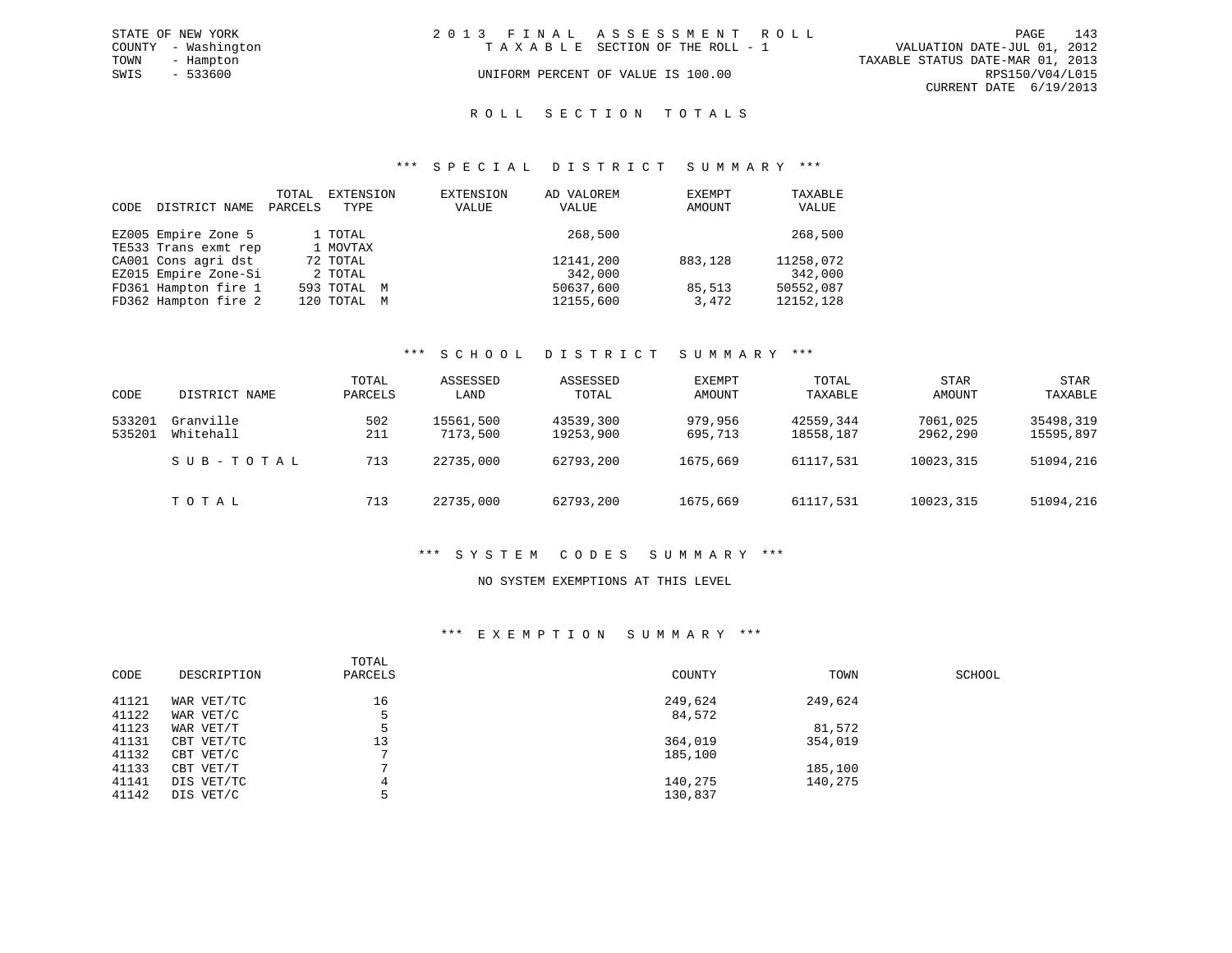| STATE OF NEW YORK   |  |                                    |                                                               |  | 143                                                                                                                  |
|---------------------|--|------------------------------------|---------------------------------------------------------------|--|----------------------------------------------------------------------------------------------------------------------|
| COUNTY - Washington |  |                                    |                                                               |  |                                                                                                                      |
| - Hampton           |  |                                    |                                                               |  |                                                                                                                      |
| - 533600            |  |                                    |                                                               |  |                                                                                                                      |
|                     |  |                                    |                                                               |  |                                                                                                                      |
|                     |  | UNIFORM PERCENT OF VALUE IS 100.00 | 2013 FINAL ASSESSMENT ROLL<br>TAXABLE SECTION OF THE ROLL - 1 |  | PAGE<br>VALUATION DATE-JUL 01, 2012<br>TAXABLE STATUS DATE-MAR 01, 2013<br>RPS150/V04/L015<br>CURRENT DATE 6/19/2013 |

#### ROLL SECTION TOTALS

#### \*\*\* S P E C I A L D I S T R I C T S U M M A R Y \*\*\*

| CODE | DISTRICT NAME        | TOTAL<br>PARCELS | EXTENSION<br>TYPE | EXTENSION<br>VALUE | AD VALOREM<br>VALUE | EXEMPT<br>AMOUNT | TAXABLE<br>VALUE |
|------|----------------------|------------------|-------------------|--------------------|---------------------|------------------|------------------|
|      | EZ005 Empire Zone 5  |                  | 1 TOTAL           |                    | 268,500             |                  | 268,500          |
|      | TE533 Trans exmt rep |                  | 1 MOVTAX          |                    |                     |                  |                  |
|      | CA001 Cons agri dst  |                  | 72 TOTAL          |                    | 12141,200           | 883,128          | 11258,072        |
|      | EZ015 Empire Zone-Si |                  | 2 TOTAL           |                    | 342,000             |                  | 342,000          |
|      | FD361 Hampton fire 1 |                  | 593 TOTAL M       |                    | 50637,600           | 85,513           | 50552,087        |
|      | FD362 Hampton fire 2 |                  | 120 TOTAL M       |                    | 12155,600           | 3,472            | 12152,128        |

#### \*\*\* S C H O O L D I S T R I C T S U M M A R Y \*\*\*

| CODE             | DISTRICT NAME          | TOTAL<br>PARCELS | ASSESSED<br>LAND      | ASSESSED<br>TOTAL      | EXEMPT<br>AMOUNT   | TOTAL<br>TAXABLE       | <b>STAR</b><br>AMOUNT | <b>STAR</b><br>TAXABLE |
|------------------|------------------------|------------------|-----------------------|------------------------|--------------------|------------------------|-----------------------|------------------------|
| 533201<br>535201 | Granville<br>Whitehall | 502<br>211       | 15561,500<br>7173,500 | 43539,300<br>19253,900 | 979,956<br>695,713 | 42559,344<br>18558,187 | 7061,025<br>2962,290  | 35498,319<br>15595,897 |
|                  | SUB-TOTAL              | 713              | 22735,000             | 62793,200              | 1675,669           | 61117,531              | 10023,315             | 51094,216              |
|                  | TOTAL                  | 713              | 22735,000             | 62793,200              | 1675,669           | 61117,531              | 10023,315             | 51094,216              |

#### \*\*\* S Y S T E M C O D E S S U M M A R Y \*\*\*

#### NO SYSTEM EXEMPTIONS AT THIS LEVEL

#### \*\*\* E X E M P T I O N S U M M A R Y \*\*\*

| CODE  | DESCRIPTION | TOTAL<br>PARCELS | COUNTY  | TOWN    | SCHOOL |
|-------|-------------|------------------|---------|---------|--------|
| 41121 | WAR VET/TC  | 16               | 249,624 | 249,624 |        |
| 41122 | WAR VET/C   | 5                | 84,572  |         |        |
| 41123 | WAR VET/T   | 5                |         | 81,572  |        |
| 41131 | CBT VET/TC  | 13               | 364,019 | 354,019 |        |
| 41132 | CBT VET/C   | $\overline{ }$   | 185,100 |         |        |
| 41133 | CBT VET/T   |                  |         | 185,100 |        |
| 41141 | DIS VET/TC  | 4                | 140,275 | 140,275 |        |
| 41142 | DIS VET/C   | 5                | 130,837 |         |        |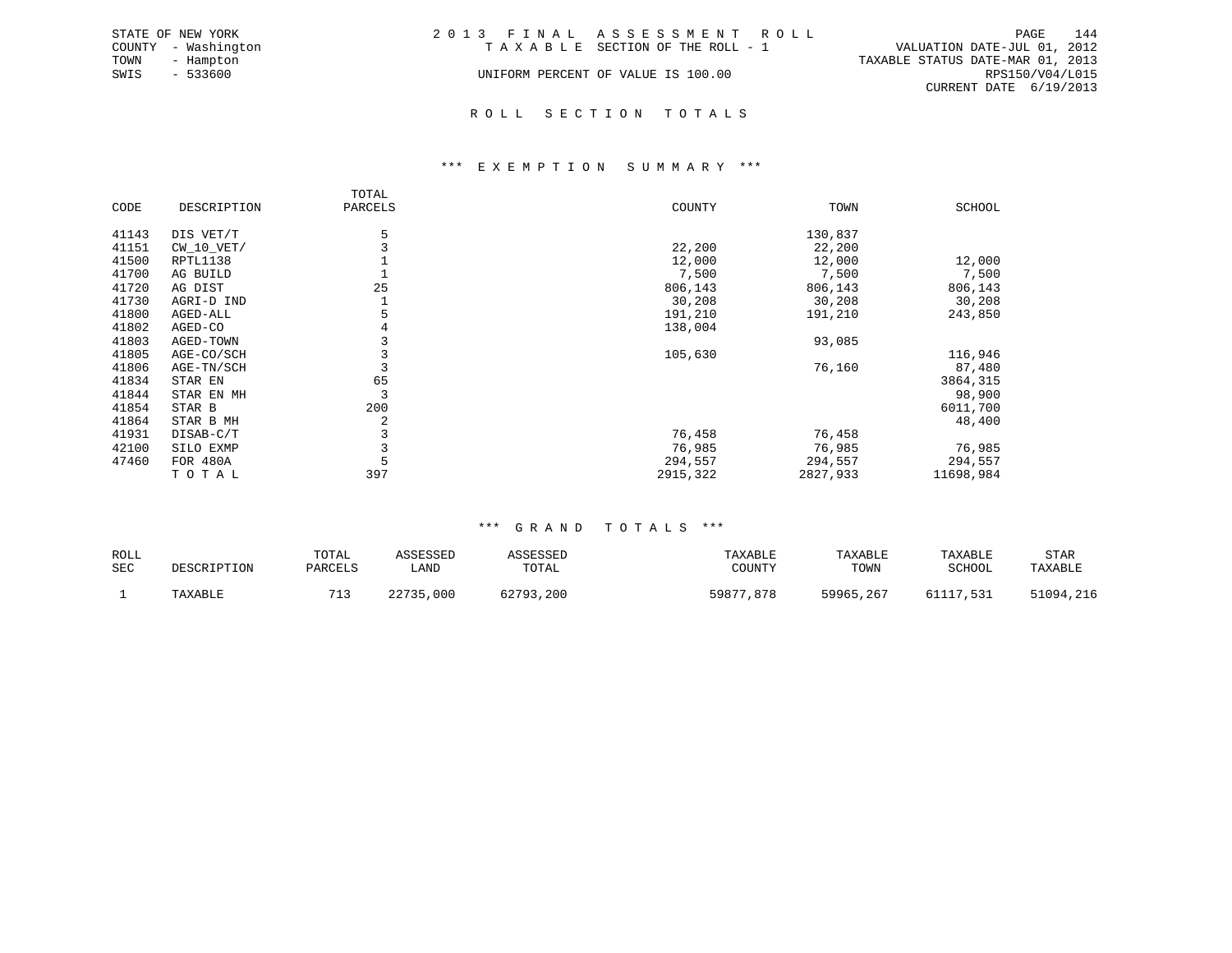|      | STATE OF NEW YORK   | 2013 FINAL ASSESSMENT ROLL         |                                  | PAGE            | 144 |
|------|---------------------|------------------------------------|----------------------------------|-----------------|-----|
|      | COUNTY - Washington | TAXABLE SECTION OF THE ROLL - 1    | VALUATION DATE-JUL 01, 2012      |                 |     |
| TOWN | - Hampton           |                                    | TAXABLE STATUS DATE-MAR 01, 2013 |                 |     |
| SWIS | $-533600$           | UNIFORM PERCENT OF VALUE IS 100.00 |                                  | RPS150/V04/L015 |     |
|      |                     |                                    | CURRENT DATE 6/19/2013           |                 |     |
|      |                     |                                    |                                  |                 |     |

# R O L L S E C T I O N T O T A L S

#### \*\*\* E X E M P T I O N S U M M A R Y \*\*\*

|       |              | TOTAL   |          |          |               |
|-------|--------------|---------|----------|----------|---------------|
| CODE  | DESCRIPTION  | PARCELS | COUNTY   | TOWN     | <b>SCHOOL</b> |
| 41143 | DIS VET/T    | 5       |          | 130,837  |               |
| 41151 | $CW_10_VET/$ |         | 22,200   | 22,200   |               |
| 41500 | RPTL1138     |         | 12,000   | 12,000   | 12,000        |
| 41700 | AG BUILD     |         | 7,500    | 7,500    | 7,500         |
| 41720 | AG DIST      | 25      | 806,143  | 806,143  | 806,143       |
| 41730 | AGRI-D IND   |         | 30,208   | 30,208   | 30,208        |
| 41800 | AGED-ALL     |         | 191,210  | 191,210  | 243,850       |
| 41802 | AGED-CO      | 4       | 138,004  |          |               |
| 41803 | AGED-TOWN    |         |          | 93,085   |               |
| 41805 | AGE-CO/SCH   |         | 105,630  |          | 116,946       |
| 41806 | AGE-TN/SCH   |         |          | 76,160   | 87,480        |
| 41834 | STAR EN      | 65      |          |          | 3864,315      |
| 41844 | STAR EN MH   |         |          |          | 98,900        |
| 41854 | STAR B       | 200     |          |          | 6011,700      |
| 41864 | STAR B MH    | 2       |          |          | 48,400        |
| 41931 | DISAB-C/T    |         | 76,458   | 76,458   |               |
| 42100 | SILO EXMP    |         | 76,985   | 76,985   | 76,985        |
| 47460 | FOR 480A     |         | 294,557  | 294,557  | 294,557       |
|       | TOTAL        | 397     | 2915,322 | 2827,933 | 11698,984     |

#### \*\*\* G R A N D T O T A L S \*\*\*

| ROLL<br><b>SEC</b> | DESCRIPTION | TOTAL<br>PARCELS | ASSESSED<br>LAND | ASSESSED<br>TOTAL | TAXABLE<br>COUNTY | TAXABLE<br>TOWN | TAXABLE<br>SCHOOL | STAR<br>TAXABLE |
|--------------------|-------------|------------------|------------------|-------------------|-------------------|-----------------|-------------------|-----------------|
|                    | TAXABLE     |                  | 22735,000        | 62793,200         | 59877,878         | 59965,267       | 61117.531         | 51094,216       |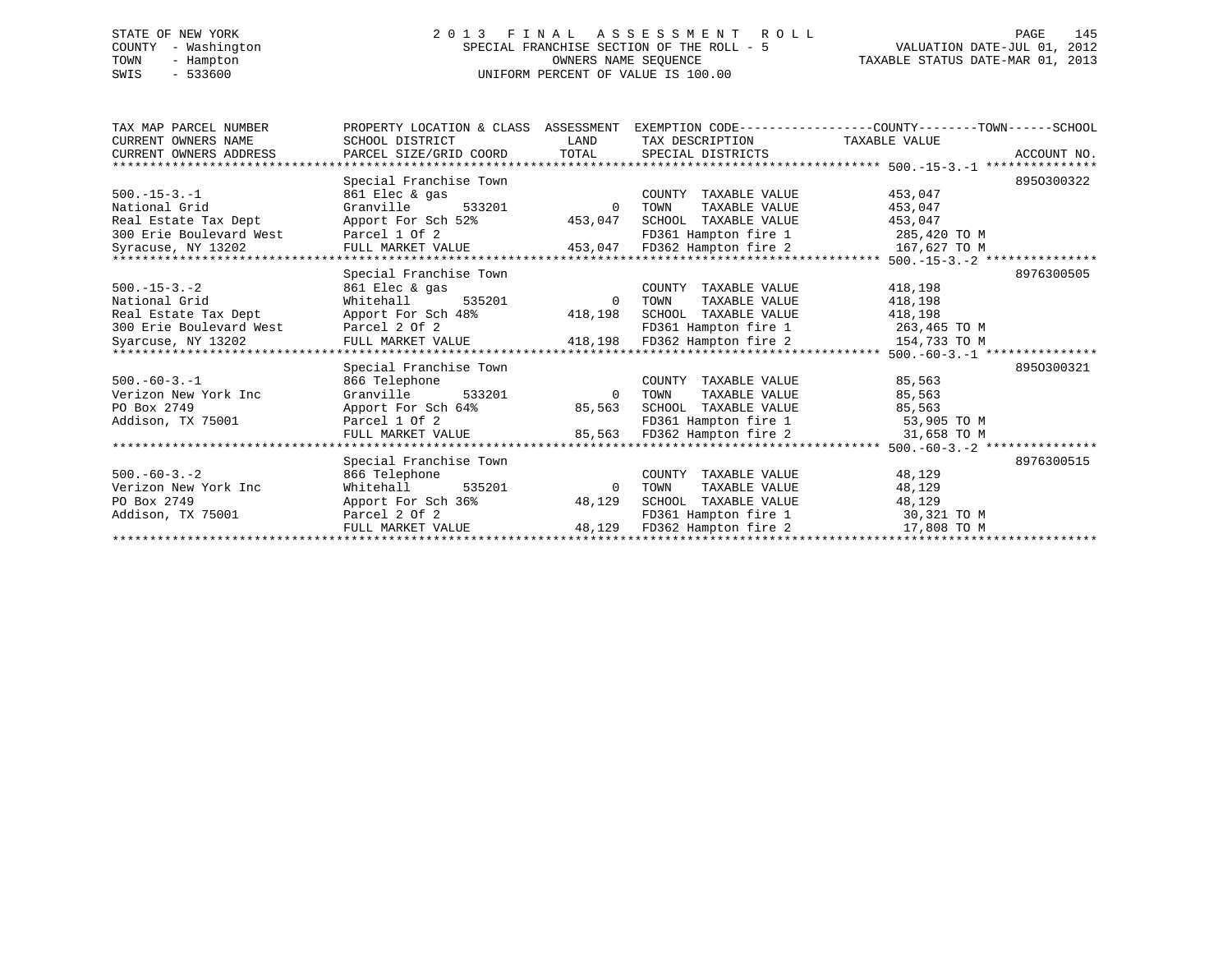# STATE OF NEW YORK 2 0 1 3 F I N A L A S S E S S M E N T R O L L PAGE 145 COUNTY - Washington SPECIAL FRANCHISE SECTION OF THE ROLL - 5 VALUATION DATE-JUL 01, 2012 TOWN - Hampton OWNERS NAME SEQUENCE TAXABLE STATUS DATE-MAR 01, 2013 SWIS - 533600 UNIFORM PERCENT OF VALUE IS 100.00

| TAX MAP PARCEL NUMBER<br>CURRENT OWNERS NAME<br>CURRENT OWNERS ADDRESS | PROPERTY LOCATION & CLASS ASSESSMENT<br>SCHOOL DISTRICT<br>PARCEL SIZE/GRID COORD | LAND<br>TOTAL | TAX DESCRIPTION<br>SPECIAL DISTRICTS | EXEMPTION CODE----------------COUNTY-------TOWN------SCHOOL<br>TAXABLE VALUE<br>ACCOUNT NO. |
|------------------------------------------------------------------------|-----------------------------------------------------------------------------------|---------------|--------------------------------------|---------------------------------------------------------------------------------------------|
|                                                                        |                                                                                   |               |                                      |                                                                                             |
|                                                                        | Special Franchise Town                                                            |               |                                      | 8950300322                                                                                  |
| $500. -15 - 3. -1$                                                     | 861 Elec & gas                                                                    |               | COUNTY TAXABLE VALUE                 | 453,047                                                                                     |
| National Grid                                                          | Granville<br>533201                                                               | $\Omega$      | TAXABLE VALUE<br>TOWN                | 453,047                                                                                     |
| Real Estate Tax Dept                                                   | Apport For Sch 52%                                                                | 453,047       | SCHOOL TAXABLE VALUE                 | 453,047                                                                                     |
| 300 Erie Boulevard West                                                | Parcel 1 Of 2                                                                     |               | FD361 Hampton fire 1                 | 285,420 TO M                                                                                |
| Syracuse, NY 13202                                                     | FULL MARKET VALUE                                                                 | 453,047       | FD362 Hampton fire 2                 | 167,627 TO M                                                                                |
|                                                                        |                                                                                   |               |                                      |                                                                                             |
|                                                                        | Special Franchise Town                                                            |               |                                      | 8976300505                                                                                  |
| $500. -15 - 3. -2$                                                     | 861 Elec & gas                                                                    |               | COUNTY TAXABLE VALUE                 | 418,198                                                                                     |
| National Grid                                                          | 535201<br>Whitehall                                                               | $\Omega$      | TOWN<br>TAXABLE VALUE                | 418,198                                                                                     |
| Real Estate Tax Dept                                                   | Apport For Sch 48%                                                                | 418,198       | SCHOOL TAXABLE VALUE                 | 418,198                                                                                     |
| 300 Erie Boulevard West                                                | Parcel 2 Of 2                                                                     |               | FD361 Hampton fire 1                 | 263,465 TO M                                                                                |
| Syarcuse, NY 13202<br>******************************                   | FULL MARKET VALUE                                                                 | 418,198       | FD362 Hampton fire 2                 | 154,733 TO M                                                                                |
|                                                                        |                                                                                   |               |                                      | $500, -60-3, -1$ ****************                                                           |
|                                                                        | Special Franchise Town                                                            |               |                                      | 8950300321                                                                                  |
| $500. -60 - 3. -1$                                                     | 866 Telephone                                                                     |               | COUNTY TAXABLE VALUE                 | 85,563                                                                                      |
| Verizon New York Inc                                                   | Granville<br>533201                                                               | $\Omega$      | TOWN<br>TAXABLE VALUE                | 85,563                                                                                      |
| PO Box 2749                                                            | Apport For Sch 64%                                                                | 85,563        | TAXABLE VALUE<br>SCHOOL              | 85,563                                                                                      |
| Addison, TX 75001                                                      | Parcel 1 Of 2                                                                     |               | FD361 Hampton fire 1                 | 53,905 TO M                                                                                 |
|                                                                        | FULL MARKET VALUE                                                                 | 85,563        | FD362 Hampton fire 2                 | 31,658 TO M                                                                                 |
|                                                                        |                                                                                   |               |                                      | $500, -60-3, -2$ ***************                                                            |
|                                                                        | Special Franchise Town                                                            |               |                                      | 8976300515                                                                                  |
| $500. -60 - 3. - 2$                                                    | 866 Telephone                                                                     |               | COUNTY TAXABLE VALUE                 | 48,129                                                                                      |
| Verizon New York Inc                                                   | Whitehall<br>535201                                                               | $\Omega$      | TOWN<br>TAXABLE VALUE                | 48,129                                                                                      |
| PO Box 2749                                                            | Apport For Sch 36%                                                                | 48,129        | SCHOOL TAXABLE VALUE                 | 48,129                                                                                      |
| Addison, TX 75001                                                      | Parcel 2 Of 2                                                                     |               | FD361 Hampton fire 1                 | 30,321 TO M                                                                                 |
|                                                                        | FULL MARKET VALUE                                                                 | 48,129        | FD362 Hampton fire 2                 | 17,808 TO M                                                                                 |
|                                                                        |                                                                                   |               |                                      |                                                                                             |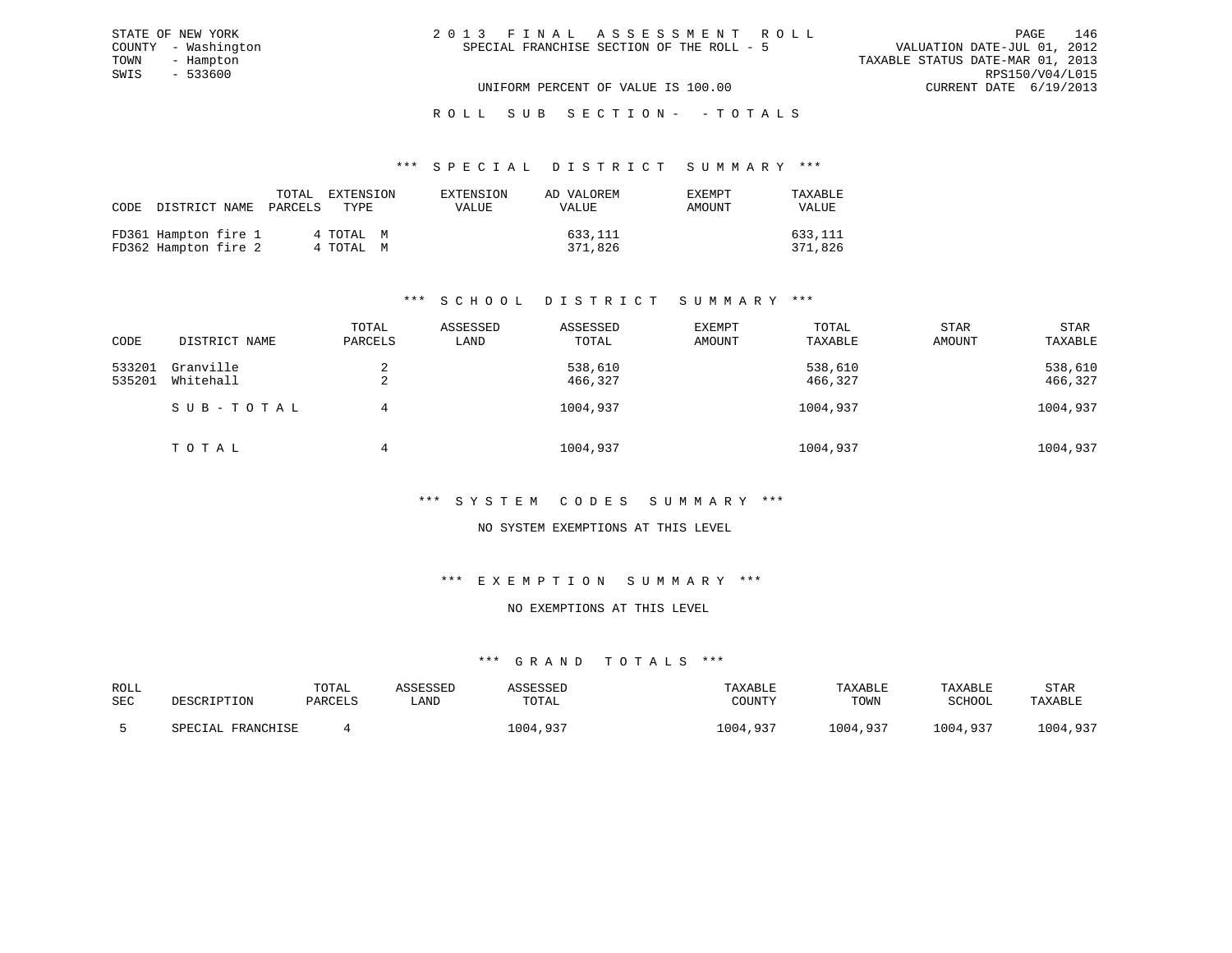| 2013 FINAL ASSESSMENT ROLL                | PAGE                             | 146             |
|-------------------------------------------|----------------------------------|-----------------|
| SPECIAL FRANCHISE SECTION OF THE ROLL - 5 | VALUATION DATE-JUL 01, 2012      |                 |
|                                           | TAXABLE STATUS DATE-MAR 01, 2013 |                 |
|                                           |                                  | RPS150/V04/L015 |
| UNIFORM PERCENT OF VALUE IS 100.00        | CURRENT DATE 6/19/2013           |                 |

STATE OF NEW YORK COUNTY - Washington TOWN - Hampton  $SWIS$  - 533600

# ROLL SUB SECTION - - TOTALS

#### \*\*\* S P E C I A L D I S T R I C T S U M M A R Y \*\*\*

|                                              | TOTAL<br>CODE DISTRICT NAME PARCELS TYPE | EXTENSION              | EXTENSION<br>VALUE | AD VALOREM<br>VALUE | EXEMPT<br>AMOUNT | TAXABLE<br><b>VALUE</b> |
|----------------------------------------------|------------------------------------------|------------------------|--------------------|---------------------|------------------|-------------------------|
| FD361 Hampton fire 1<br>FD362 Hampton fire 2 |                                          | 4 ТОТАЬ М<br>4 TOTAL M |                    | 633,111<br>371,826  |                  | 633,111<br>371,826      |

# \*\*\* S C H O O L D I S T R I C T S U M M A R Y \*\*\*

| CODE             | DISTRICT NAME          | TOTAL<br>PARCELS | ASSESSED<br>LAND | ASSESSED<br>TOTAL  | EXEMPT<br>AMOUNT | TOTAL<br>TAXABLE   | <b>STAR</b><br>AMOUNT | <b>STAR</b><br>TAXABLE |
|------------------|------------------------|------------------|------------------|--------------------|------------------|--------------------|-----------------------|------------------------|
| 533201<br>535201 | Granville<br>Whitehall | ▵                |                  | 538,610<br>466,327 |                  | 538,610<br>466,327 |                       | 538,610<br>466,327     |
|                  | SUB-TOTAL              | 4                |                  | 1004,937           |                  | 1004,937           |                       | 1004,937               |
|                  | TOTAL                  | 4                |                  | 1004,937           |                  | 1004,937           |                       | 1004,937               |

#### \*\*\* S Y S T E M C O D E S S U M M A R Y \*\*\*

#### NO SYSTEM EXEMPTIONS AT THIS LEVEL

#### \*\*\* E X E M P T I O N S U M M A R Y \*\*\*

### NO EXEMPTIONS AT THIS LEVEL

| ROLL       |                   | TOTAL   | ASSESSED | <i><b>\SSESSED</b></i> | TAXABLE  | TAXABLE  | TAXABLE  | <b>STAR</b> |
|------------|-------------------|---------|----------|------------------------|----------|----------|----------|-------------|
| <b>SEC</b> | DESCRIPTION       | PARCELS | . AND    | TOTAL                  | COUNTY   | TOWN     | SCHOOL   | TAXABLE     |
|            | SPECIAL FRANCHISE |         |          | 1004,937               | 1004,937 | 1004,937 | 1004,937 | 1004,937    |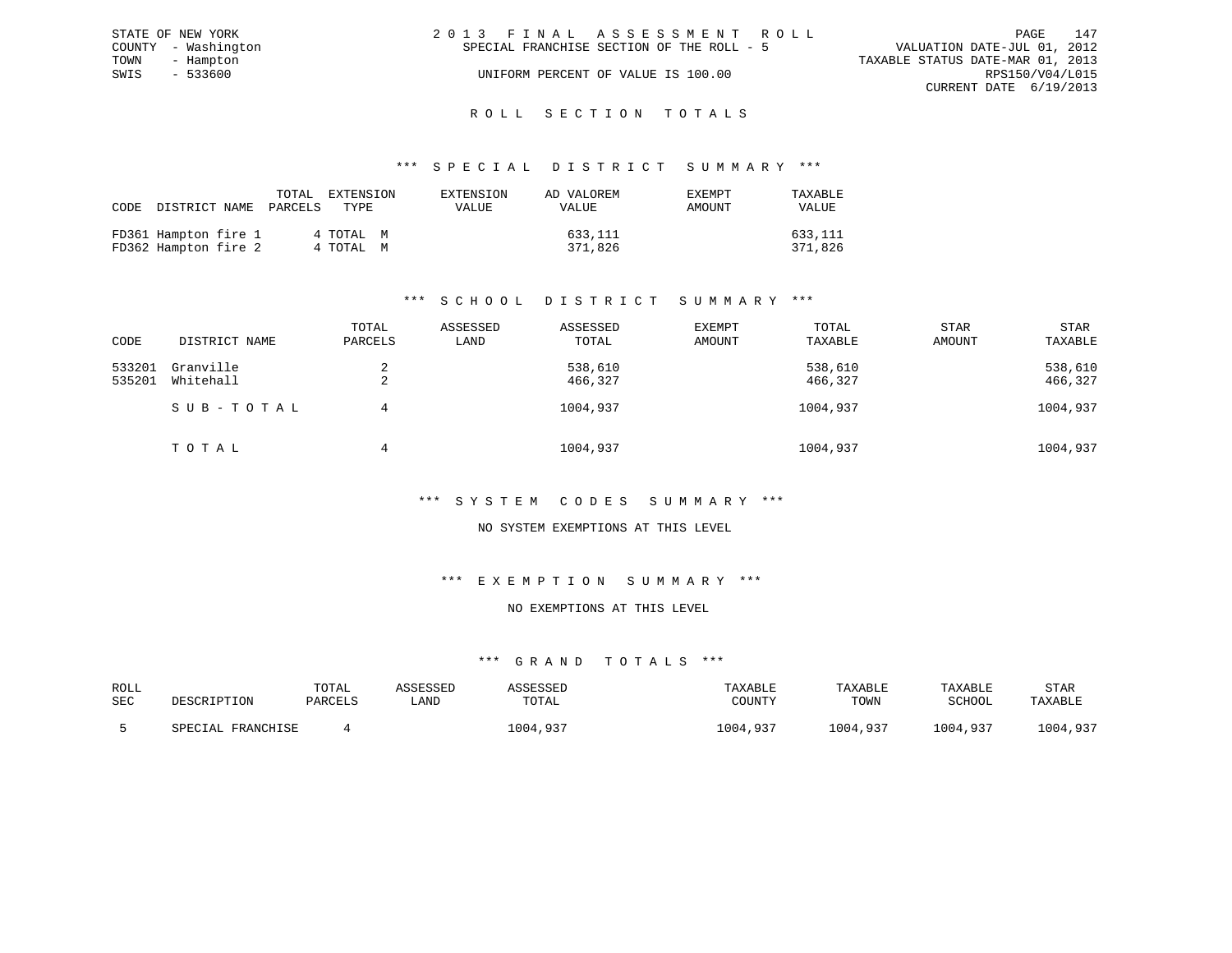| STATE OF NEW YORK   | 2013 FINAL ASSESSMENT ROLL                | 147<br>PAGE                      |
|---------------------|-------------------------------------------|----------------------------------|
| COUNTY - Washington | SPECIAL FRANCHISE SECTION OF THE ROLL - 5 | VALUATION DATE-JUL 01, 2012      |
| TOWN<br>- Hampton   |                                           | TAXABLE STATUS DATE-MAR 01, 2013 |
| SWIS<br>- 533600    | UNIFORM PERCENT OF VALUE IS 100.00        | RPS150/V04/L015                  |
|                     |                                           | CURRENT DATE 6/19/2013           |
|                     |                                           |                                  |

# ROLL SECTION TOTALS

#### \*\*\* S P E C I A L D I S T R I C T S U M M A R Y \*\*\*

| CODE | DISTRICT NAME                                | TOTAL<br>PARCELS | EXTENSION<br>TYPE      | EXTENSION<br>VALUE | AD VALOREM<br>VALUE | EXEMPT<br>AMOUNT | TAXABLE<br><b>VALUE</b> |
|------|----------------------------------------------|------------------|------------------------|--------------------|---------------------|------------------|-------------------------|
|      | FD361 Hampton fire 1<br>FD362 Hampton fire 2 |                  | 4 ТОТАЬ М<br>4 TOTAL M |                    | 633,111<br>371,826  |                  | 633,111<br>371,826      |

# \*\*\* S C H O O L D I S T R I C T S U M M A R Y \*\*\*

| CODE             | DISTRICT NAME          | TOTAL<br>PARCELS | ASSESSED<br>LAND | ASSESSED<br>TOTAL  | EXEMPT<br>AMOUNT | TOTAL<br>TAXABLE   | <b>STAR</b><br>AMOUNT | <b>STAR</b><br>TAXABLE |
|------------------|------------------------|------------------|------------------|--------------------|------------------|--------------------|-----------------------|------------------------|
| 533201<br>535201 | Granville<br>Whitehall | ▵                |                  | 538,610<br>466,327 |                  | 538,610<br>466,327 |                       | 538,610<br>466,327     |
|                  | SUB-TOTAL              | 4                |                  | 1004,937           |                  | 1004,937           |                       | 1004,937               |
|                  | TOTAL                  | 4                |                  | 1004,937           |                  | 1004,937           |                       | 1004,937               |

#### \*\*\* S Y S T E M C O D E S S U M M A R Y \*\*\*

#### NO SYSTEM EXEMPTIONS AT THIS LEVEL

#### \*\*\* E X E M P T I O N S U M M A R Y \*\*\*

#### NO EXEMPTIONS AT THIS LEVEL

| ROLL       |                   | TOTAL   | ASSESSED | <i><b>\SSESSED</b></i> | TAXABLE  | TAXABLE  | TAXABLE  | <b>STAR</b> |
|------------|-------------------|---------|----------|------------------------|----------|----------|----------|-------------|
| <b>SEC</b> | DESCRIPTION       | PARCELS | . AND    | TOTAL                  | COUNTY   | TOWN     | SCHOOL   | TAXABLE     |
|            | SPECIAL FRANCHISE |         |          | 1004,937               | 1004,937 | 1004,937 | 1004,937 | 1004,937    |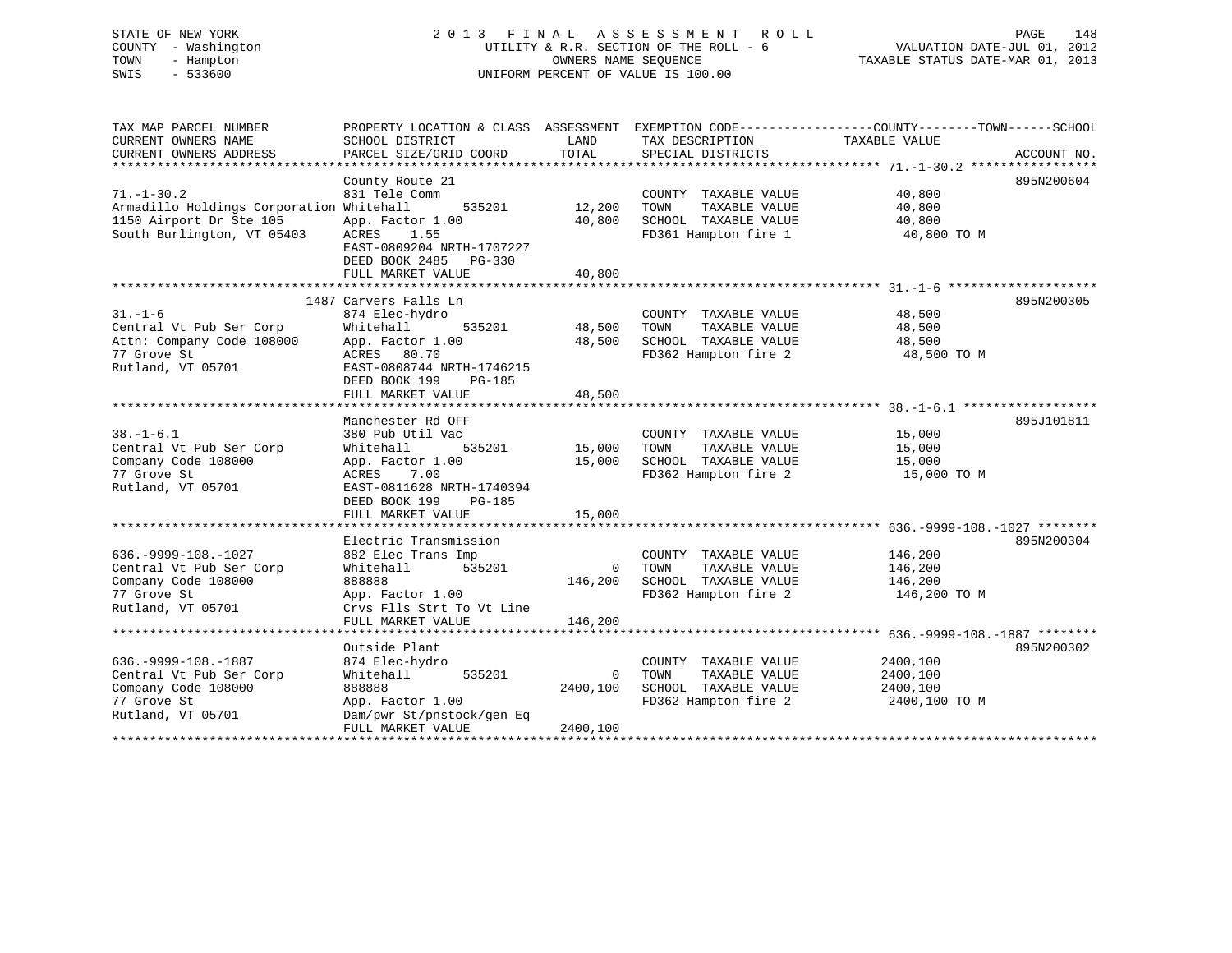STATE OF NEW YORK 2 0 1 3 F I N A L A S S E S S M E N T R O L L PAGE 148 COUNTY - Washington UTILITY & R.R. SECTION OF THE ROLL - 6 VALUATION DATE-JUL 01, 2012 TOWN - Hampton OWNERS NAME SEQUENCE TAXABLE STATUS DATE-MAR 01, 2013 SWIS - 533600 UNIFORM PERCENT OF VALUE IS 100.00

| TAX MAP PARCEL NUMBER                    | PROPERTY LOCATION & CLASS ASSESSMENT EXEMPTION CODE---------------COUNTY-------TOWN-----SCHOOL |          |                                              |                            |             |
|------------------------------------------|------------------------------------------------------------------------------------------------|----------|----------------------------------------------|----------------------------|-------------|
| CURRENT OWNERS NAME                      | SCHOOL DISTRICT                                                                                | LAND     | TAX DESCRIPTION                              | TAXABLE VALUE              |             |
| CURRENT OWNERS ADDRESS                   | PARCEL SIZE/GRID COORD                                                                         | TOTAL    | SPECIAL DISTRICTS                            |                            | ACCOUNT NO. |
|                                          |                                                                                                |          |                                              |                            |             |
|                                          | County Route 21                                                                                |          |                                              |                            | 895N200604  |
| $71. - 1 - 30.2$                         | 831 Tele Comm                                                                                  |          | COUNTY TAXABLE VALUE                         | 40,800                     |             |
| Armadillo Holdings Corporation Whitehall | 535201 12,200                                                                                  |          | TOWN<br>TAXABLE VALUE                        | 40,800                     |             |
| 1150 Airport Dr Ste 105                  | App. Factor 1.00                                                                               | 40,800   |                                              |                            |             |
| South Burlington, VT 05403               | ACRES 1.55                                                                                     |          | SCHOOL TAXABLE VALUE<br>FD361 Hampton fire 1 |                            |             |
|                                          | EAST-0809204 NRTH-1707227                                                                      |          |                                              | 40,800 TO M<br>40,800 TO M |             |
|                                          | DEED BOOK 2485 PG-330                                                                          |          |                                              |                            |             |
|                                          | FULL MARKET VALUE                                                                              | 40,800   |                                              |                            |             |
|                                          |                                                                                                |          |                                              |                            |             |
|                                          | 1487 Carvers Falls Ln                                                                          |          |                                              |                            | 895N200305  |
| $31. - 1 - 6$                            | 874 Elec-hydro                                                                                 |          | COUNTY TAXABLE VALUE                         | 48,500                     |             |
| Central Vt Pub Ser Corp                  | 535201<br>Whitehall                                                                            | 48,500   | TOWN<br>TAXABLE VALUE                        | 48,500                     |             |
| Attn: Company Code 108000                | App. Factor 1.00                                                                               | 48,500   | SCHOOL TAXABLE VALUE                         | 48,500                     |             |
| 77 Grove St                              | ACRES 80.70                                                                                    |          | FD362 Hampton fire 2                         | 48,500 TO M                |             |
| Rutland, VT 05701                        | EAST-0808744 NRTH-1746215                                                                      |          |                                              |                            |             |
|                                          | DEED BOOK 199<br>PG-185                                                                        |          |                                              |                            |             |
|                                          | FULL MARKET VALUE                                                                              | 48,500   |                                              |                            |             |
|                                          |                                                                                                |          |                                              |                            |             |
|                                          | Manchester Rd OFF                                                                              |          |                                              |                            | 895J101811  |
| $38. - 1 - 6.1$                          | 380 Pub Util Vac                                                                               |          | COUNTY TAXABLE VALUE                         | 15,000                     |             |
| Central Vt Pub Ser Corp                  | 535201<br>Whitehall                                                                            | 15,000   | TOWN<br>TAXABLE VALUE                        | 15,000                     |             |
| Company Code 108000                      | App. Factor 1.00                                                                               | 15,000   | SCHOOL TAXABLE VALUE                         | 15,000                     |             |
| 77 Grove St                              | 7.00<br>ACRES                                                                                  |          | FD362 Hampton fire 2 15,000 TO M             |                            |             |
| Rutland, VT 05701                        | EAST-0811628 NRTH-1740394                                                                      |          |                                              |                            |             |
|                                          | DEED BOOK 199 PG-185                                                                           |          |                                              |                            |             |
|                                          | FULL MARKET VALUE                                                                              | 15,000   |                                              |                            |             |
|                                          |                                                                                                |          |                                              |                            |             |
|                                          | Electric Transmission                                                                          |          |                                              |                            | 895N200304  |
| $636. -9999 - 108. - 1027$               | 882 Elec Trans Imp                                                                             |          | COUNTY TAXABLE VALUE                         | 146,200                    |             |
| Central Vt Pub Ser Corp                  | Whitehall 535201                                                                               |          | 0 TOWN<br>TAXABLE VALUE                      | 146,200                    |             |
| Company Code 108000                      | 888888                                                                                         | 146,200  | SCHOOL TAXABLE VALUE                         | 146,200                    |             |
| 77 Grove St                              | App. Factor 1.00                                                                               |          | FD362 Hampton fire 2                         | 146,200 TO M               |             |
| Rutland, VT 05701                        | Crvs Flls Strt To Vt Line                                                                      |          |                                              |                            |             |
|                                          | FULL MARKET VALUE                                                                              | 146,200  |                                              |                            |             |
|                                          |                                                                                                |          |                                              |                            |             |
|                                          | Outside Plant                                                                                  |          |                                              |                            | 895N200302  |
| $636. -9999 - 108. - 1887$               | 874 Elec-hydro                                                                                 |          | COUNTY TAXABLE VALUE                         | 2400,100                   |             |
| Central Vt Pub Ser Corp                  | Whitehall<br>535201                                                                            | $\Omega$ | TOWN<br>TAXABLE VALUE                        | 2400,100                   |             |
| Company Code 108000                      | 888888                                                                                         | 2400,100 | SCHOOL TAXABLE VALUE                         | 2400,100                   |             |
| 77 Grove St                              | App. Factor 1.00                                                                               |          | FD362 Hampton fire 2                         | 2400,100 TO M              |             |
| Rutland, VT 05701                        | Dam/pwr St/pnstock/gen Eq                                                                      |          |                                              |                            |             |
|                                          | FULL MARKET VALUE                                                                              | 2400,100 |                                              |                            |             |
|                                          |                                                                                                |          |                                              |                            |             |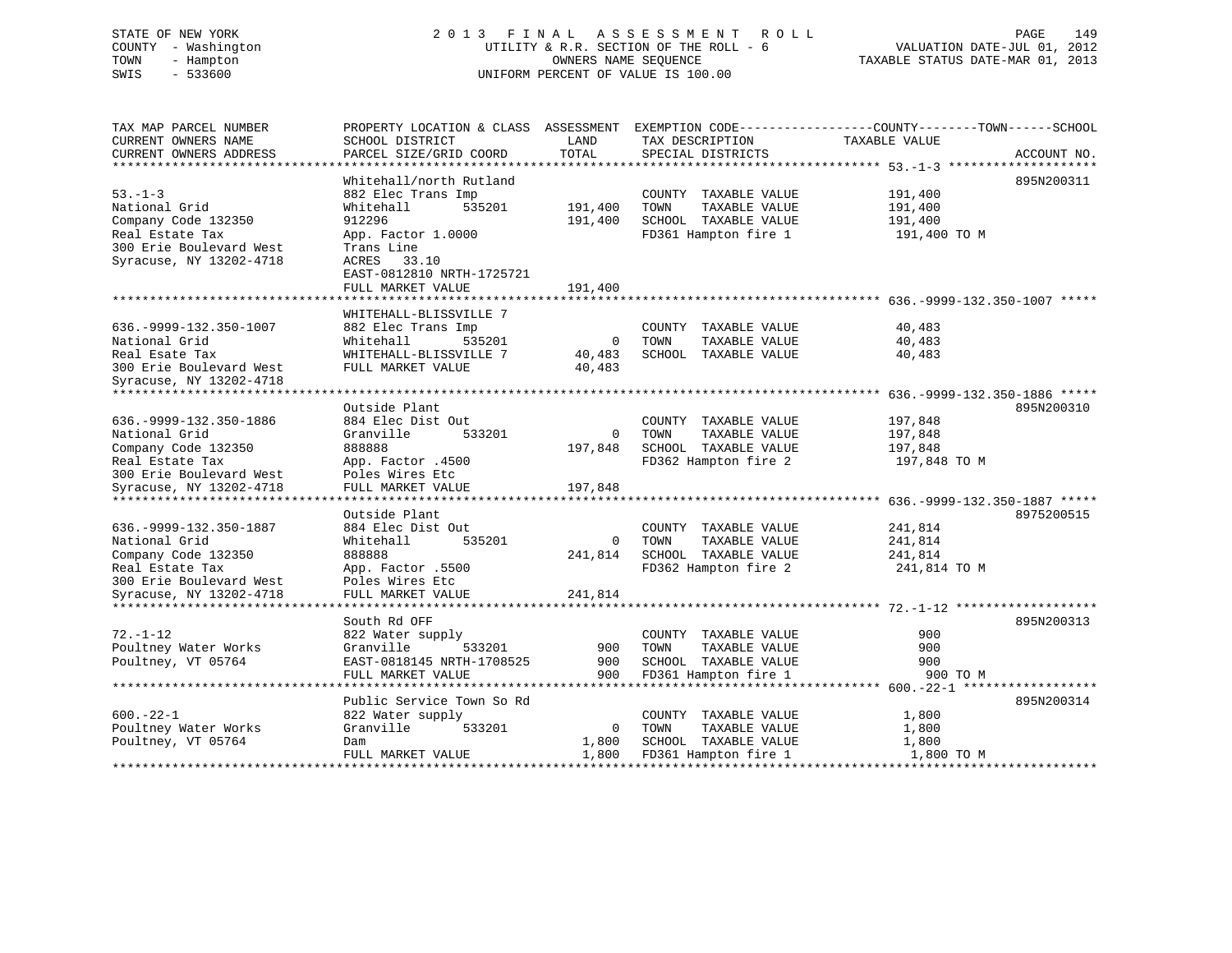# STATE OF NEW YORK 2 0 1 3 F I N A L A S S E S S M E N T R O L L PAGE 149 COUNTY - Washington UTILITY & R.R. SECTION OF THE ROLL - 6 VALUATION DATE-JUL 01, 2012 TOWN - Hampton OWNERS NAME SEQUENCE TAXABLE STATUS DATE-MAR 01, 2013 SWIS - 533600 UNIFORM PERCENT OF VALUE IS 100.00

| TAX MAP PARCEL NUMBER<br>CURRENT OWNERS NAME<br>CURRENT OWNERS ADDRESS | PROPERTY LOCATION & CLASS ASSESSMENT<br>SCHOOL DISTRICT<br>PARCEL SIZE/GRID COORD | LAND<br>TOTAL    | TAX DESCRIPTION<br>SPECIAL DISTRICTS          | EXEMPTION CODE----------------COUNTY-------TOWN------SCHOOL<br>TAXABLE VALUE | ACCOUNT NO. |
|------------------------------------------------------------------------|-----------------------------------------------------------------------------------|------------------|-----------------------------------------------|------------------------------------------------------------------------------|-------------|
| ************************                                               | **********************                                                            |                  |                                               |                                                                              |             |
| $53 - 1 - 3$<br>National Grid                                          | Whitehall/north Rutland<br>882 Elec Trans Imp<br>535201<br>Whitehall              | 191,400          | COUNTY TAXABLE VALUE<br>TOWN<br>TAXABLE VALUE | 191,400<br>191,400                                                           | 895N200311  |
| Company Code 132350                                                    | 912296                                                                            | 191,400          | SCHOOL TAXABLE VALUE                          | 191,400                                                                      |             |
| Real Estate Tax<br>300 Erie Boulevard West<br>Syracuse, NY 13202-4718  | App. Factor 1.0000<br>Trans Line<br>33.10<br>ACRES<br>EAST-0812810 NRTH-1725721   |                  | FD361 Hampton fire 1                          | 191,400 TO M                                                                 |             |
|                                                                        | FULL MARKET VALUE                                                                 | 191,400          |                                               |                                                                              |             |
|                                                                        |                                                                                   |                  |                                               |                                                                              |             |
|                                                                        | WHITEHALL-BLISSVILLE 7                                                            |                  |                                               |                                                                              |             |
| 636. - 9999 - 132. 350 - 1007                                          | 882 Elec Trans Imp                                                                |                  | COUNTY TAXABLE VALUE                          | 40,483                                                                       |             |
| National Grid                                                          | 535201<br>Whitehall                                                               | $\overline{0}$   | TOWN<br>TAXABLE VALUE                         | 40,483                                                                       |             |
| Real Esate Tax<br>300 Erie Boulevard West<br>Syracuse, NY 13202-4718   | WHITEHALL-BLISSVILLE 7<br>FULL MARKET VALUE                                       | 40,483<br>40,483 | SCHOOL TAXABLE VALUE                          | 40,483                                                                       |             |
| *******************                                                    |                                                                                   |                  |                                               |                                                                              |             |
|                                                                        | Outside Plant                                                                     |                  |                                               |                                                                              | 895N200310  |
| 636. - 9999 - 132. 350 - 1886                                          | 884 Elec Dist Out                                                                 |                  | COUNTY TAXABLE VALUE                          | 197,848                                                                      |             |
| National Grid                                                          | Granville<br>533201                                                               | $\Omega$         | TAXABLE VALUE<br>TOWN                         | 197,848                                                                      |             |
| Company Code 132350                                                    | 888888                                                                            | 197,848          | SCHOOL TAXABLE VALUE                          | 197,848                                                                      |             |
| Real Estate Tax                                                        | App. Factor .4500                                                                 |                  | FD362 Hampton fire 2                          | 197,848 TO M                                                                 |             |
| 300 Erie Boulevard West                                                | Poles Wires Etc                                                                   |                  |                                               |                                                                              |             |
| Syracuse, NY 13202-4718                                                | FULL MARKET VALUE                                                                 | 197,848          |                                               |                                                                              |             |
|                                                                        | Outside Plant                                                                     |                  |                                               |                                                                              | 8975200515  |
| 636. - 9999 - 132. 350 - 1887                                          | 884 Elec Dist Out                                                                 |                  | COUNTY TAXABLE VALUE                          | 241,814                                                                      |             |
| National Grid                                                          | Whitehall<br>535201                                                               | $\overline{0}$   | TAXABLE VALUE<br>TOWN                         | 241,814                                                                      |             |
| Company Code 132350                                                    | 888888                                                                            | 241,814          | SCHOOL TAXABLE VALUE                          | 241,814                                                                      |             |
| Real Estate Tax                                                        | App. Factor .5500                                                                 |                  | FD362 Hampton fire 2                          | 241,814 TO M                                                                 |             |
| 300 Erie Boulevard West                                                | Poles Wires Etc                                                                   |                  |                                               |                                                                              |             |
| Syracuse, NY 13202-4718                                                | FULL MARKET VALUE                                                                 | 241,814          |                                               |                                                                              |             |
|                                                                        |                                                                                   |                  |                                               |                                                                              |             |
|                                                                        | South Rd OFF                                                                      |                  |                                               |                                                                              | 895N200313  |
| $72. - 1 - 12$                                                         | 822 Water supply                                                                  |                  | COUNTY TAXABLE VALUE                          | 900                                                                          |             |
| Poultney Water Works                                                   | Granville<br>533201                                                               | 900              | TAXABLE VALUE<br>TOWN                         | 900                                                                          |             |
| Poultney, VT 05764                                                     | EAST-0818145 NRTH-1708525                                                         | 900              | SCHOOL TAXABLE VALUE                          | 900                                                                          |             |
|                                                                        | FULL MARKET VALUE                                                                 | 900              | FD361 Hampton fire 1                          | 900 TO M                                                                     |             |
|                                                                        | ***********************                                                           |                  |                                               |                                                                              |             |
|                                                                        | Public Service Town So Rd                                                         |                  |                                               |                                                                              | 895N200314  |
| $600. -22 - 1$                                                         | 822 Water supply                                                                  |                  | COUNTY TAXABLE VALUE                          | 1,800                                                                        |             |
| Poultney Water Works                                                   | Granville<br>533201                                                               | $\overline{0}$   | TOWN<br>TAXABLE VALUE                         | 1,800                                                                        |             |
| Poultney, VT 05764                                                     | Dam                                                                               | 1,800            | SCHOOL TAXABLE VALUE                          | 1,800                                                                        |             |
|                                                                        | FULL MARKET VALUE                                                                 | 1,800            | FD361 Hampton fire 1                          | 1,800 TO M                                                                   |             |
|                                                                        |                                                                                   |                  |                                               |                                                                              |             |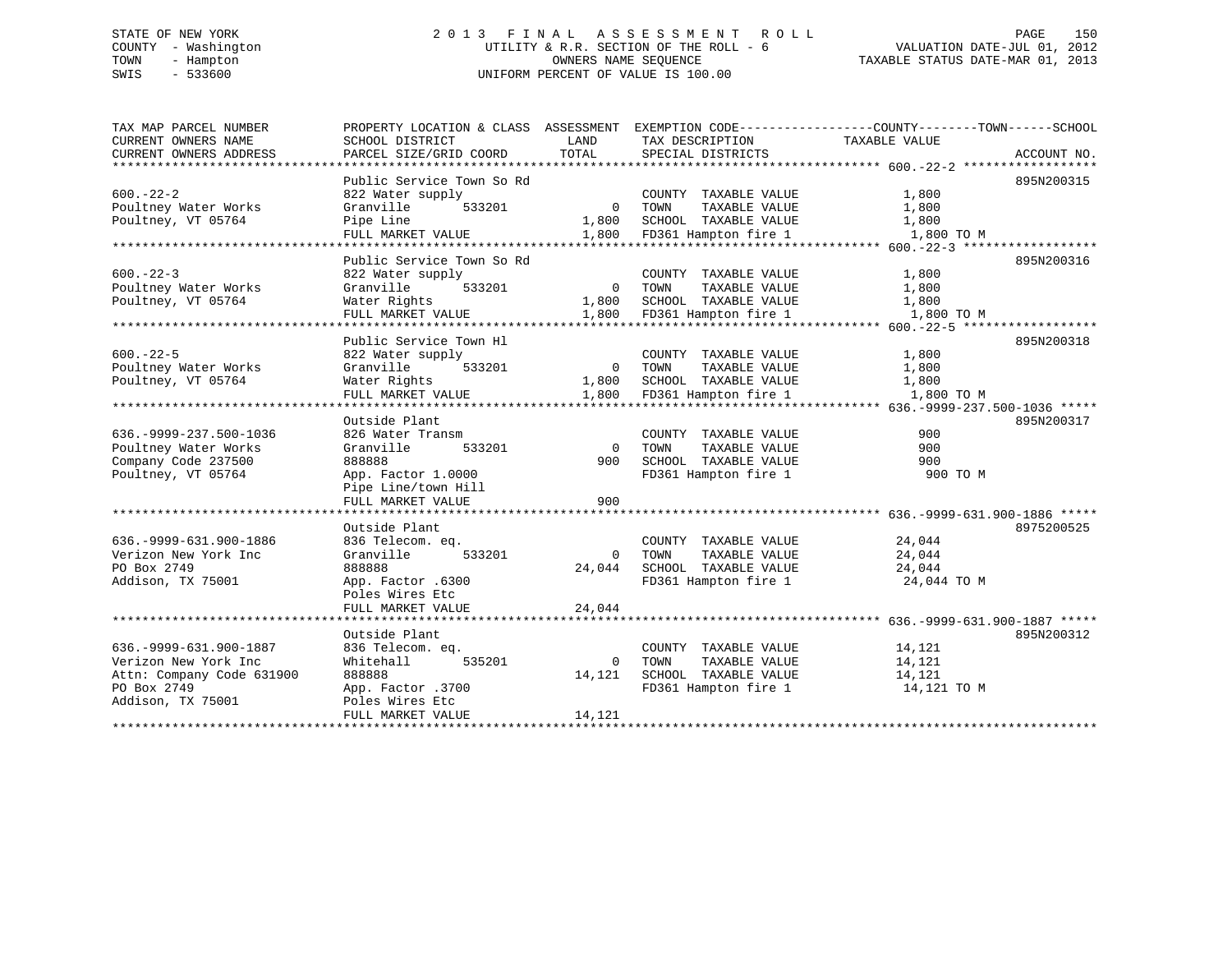# STATE OF NEW YORK 2 0 1 3 F I N A L A S S E S S M E N T R O L L PAGE 150 COUNTY - Washington UTILITY & R.R. SECTION OF THE ROLL - 6 VALUATION DATE-JUL 01, 2012 TOWN - Hampton OWNERS NAME SEQUENCE TAXABLE STATUS DATE-MAR 01, 2013 SWIS - 533600 UNIFORM PERCENT OF VALUE IS 100.00

| TAX MAP PARCEL NUMBER         | PROPERTY LOCATION & CLASS ASSESSMENT |                |                       | EXEMPTION CODE-----------------COUNTY-------TOWN------SCHOOL |             |
|-------------------------------|--------------------------------------|----------------|-----------------------|--------------------------------------------------------------|-------------|
| CURRENT OWNERS NAME           | SCHOOL DISTRICT                      | LAND           | TAX DESCRIPTION       | TAXABLE VALUE                                                |             |
| CURRENT OWNERS ADDRESS        | PARCEL SIZE/GRID COORD               | TOTAL          | SPECIAL DISTRICTS     |                                                              | ACCOUNT NO. |
|                               |                                      |                |                       |                                                              |             |
|                               | Public Service Town So Rd            |                |                       |                                                              | 895N200315  |
| $600 - 22 - 2$                | 822 Water supply                     |                | COUNTY TAXABLE VALUE  | 1,800                                                        |             |
| Poultney Water Works          | Granville<br>533201                  | $\Omega$       | TOWN<br>TAXABLE VALUE | 1,800                                                        |             |
| Poultney, VT 05764            | Pipe Line                            | 1,800          | SCHOOL TAXABLE VALUE  | 1,800                                                        |             |
|                               | FULL MARKET VALUE                    | 1,800          | FD361 Hampton fire 1  | 1,800 TO M                                                   |             |
|                               | Public Service Town So Rd            |                |                       |                                                              | 895N200316  |
|                               |                                      |                |                       |                                                              |             |
| $600 - 22 - 3$                | 822 Water supply                     |                | COUNTY TAXABLE VALUE  | 1,800                                                        |             |
| Poultney Water Works          | Granville<br>533201                  | $\overline{0}$ | TAXABLE VALUE<br>TOWN | 1,800                                                        |             |
| Poultney, VT 05764            | Water Rights                         | 1,800          | SCHOOL TAXABLE VALUE  | 1,800                                                        |             |
|                               | FULL MARKET VALUE                    | 1,800          | FD361 Hampton fire 1  | 1,800 TO M                                                   |             |
|                               |                                      |                |                       |                                                              |             |
|                               | Public Service Town Hl               |                |                       |                                                              | 895N200318  |
| $600. -22 - 5$                | 822 Water supply                     |                | COUNTY TAXABLE VALUE  | 1,800                                                        |             |
| Poultney Water Works          | Granville<br>533201                  | $\Omega$       | TOWN<br>TAXABLE VALUE | 1,800                                                        |             |
| Poultney, VT 05764            | Water Rights                         | 1,800          | SCHOOL TAXABLE VALUE  | 1,800                                                        |             |
|                               | FULL MARKET VALUE                    | 1,800          | FD361 Hampton fire 1  | 1,800 TO M                                                   |             |
|                               |                                      |                |                       |                                                              |             |
|                               | Outside Plant                        |                |                       |                                                              | 895N200317  |
| 636. - 9999 - 237. 500 - 1036 | 826 Water Transm                     |                | COUNTY TAXABLE VALUE  | 900                                                          |             |
| Poultney Water Works          | Granville<br>533201                  | $\Omega$       | TOWN<br>TAXABLE VALUE | 900                                                          |             |
| Company Code 237500           | 888888                               | 900            | SCHOOL TAXABLE VALUE  | 900                                                          |             |
| Poultney, VT 05764            | App. Factor 1.0000                   |                | FD361 Hampton fire 1  | 900 TO M                                                     |             |
|                               | Pipe Line/town Hill                  |                |                       |                                                              |             |
|                               | FULL MARKET VALUE                    | 900            |                       |                                                              |             |
|                               |                                      |                |                       |                                                              |             |
|                               | Outside Plant                        |                |                       |                                                              | 8975200525  |
| 636. - 9999 - 631. 900 - 1886 | 836 Telecom. eq.                     |                | COUNTY TAXABLE VALUE  | 24,044                                                       |             |
| Verizon New York Inc          | 533201<br>Granville                  | $\Omega$       | TOWN<br>TAXABLE VALUE | 24,044                                                       |             |
| PO Box 2749                   | 888888                               | 24,044         | SCHOOL TAXABLE VALUE  | 24,044                                                       |             |
| Addison, TX 75001             | App. Factor .6300                    |                | FD361 Hampton fire 1  | 24,044 TO M                                                  |             |
|                               | Poles Wires Etc                      |                |                       |                                                              |             |
|                               | FULL MARKET VALUE                    | 24,044         |                       |                                                              |             |
|                               |                                      |                |                       |                                                              |             |
|                               | Outside Plant                        |                |                       |                                                              | 895N200312  |
| 636. - 9999 - 631. 900 - 1887 | 836 Telecom. eq.                     |                | COUNTY TAXABLE VALUE  | 14,121                                                       |             |
| Verizon New York Inc          | Whitehall<br>535201                  | $\mathbf 0$    | TOWN<br>TAXABLE VALUE | 14,121                                                       |             |
| Attn: Company Code 631900     | 888888                               | 14,121         | SCHOOL TAXABLE VALUE  | 14,121                                                       |             |
| PO Box 2749                   | App. Factor .3700                    |                | FD361 Hampton fire 1  | 14,121 TO M                                                  |             |
| Addison, TX 75001             | Poles Wires Etc                      |                |                       |                                                              |             |
|                               | FULL MARKET VALUE                    | 14,121         |                       |                                                              |             |
|                               | **********************               |                |                       |                                                              |             |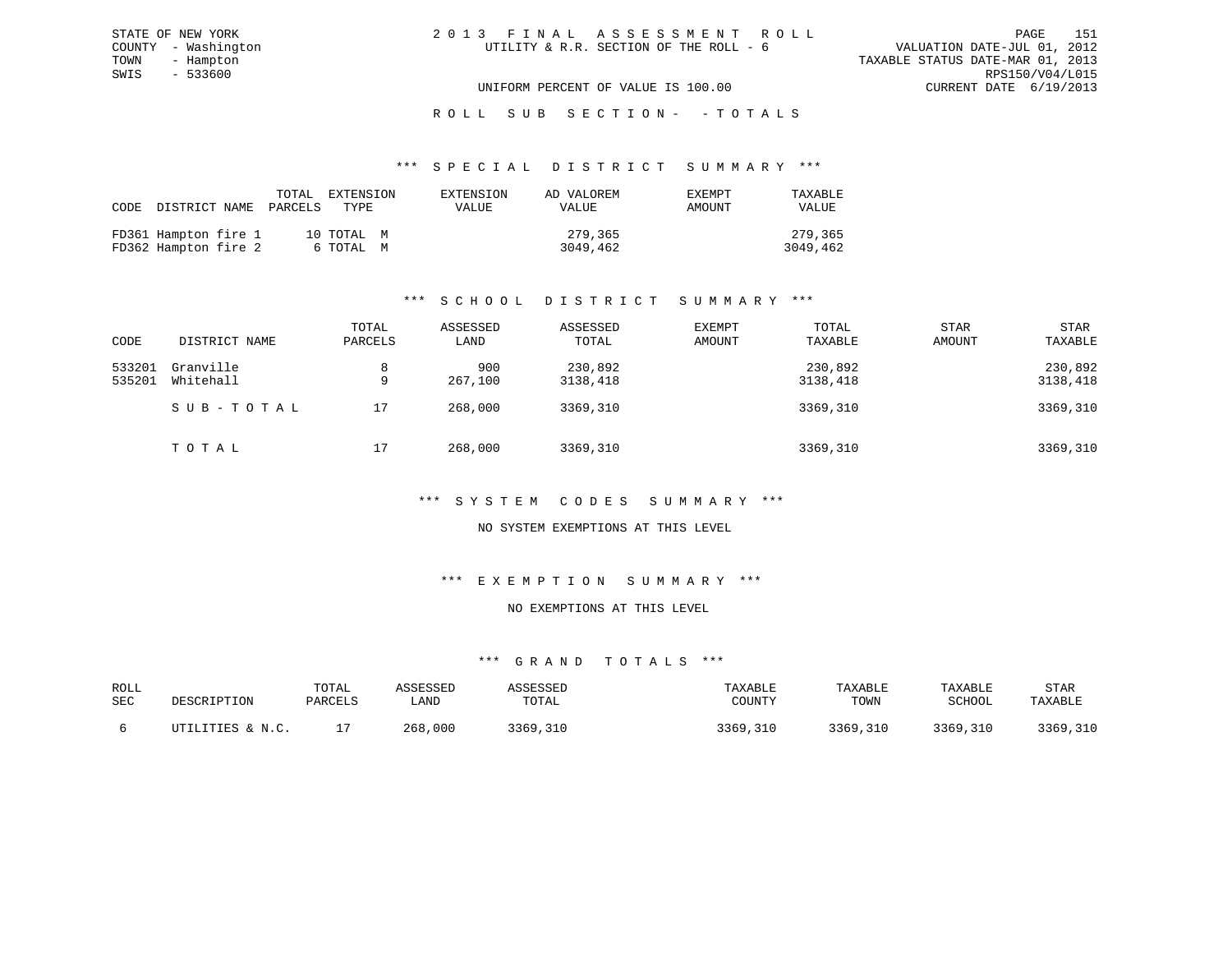| 2013 FINAL ASSESSMENT ROLL             |                                  | PAGE.                       | 151 |
|----------------------------------------|----------------------------------|-----------------------------|-----|
| UTILITY & R.R. SECTION OF THE ROLL - 6 |                                  | VALUATION DATE-JUL 01, 2012 |     |
|                                        | TAXABLE STATUS DATE-MAR 01, 2013 |                             |     |
|                                        |                                  | RPS150/V04/L015             |     |
| UNIFORM PERCENT OF VALUE IS 100.00     |                                  | CURRENT DATE 6/19/2013      |     |

ROLL SUB SECTION - - TOTALS

#### \*\*\* S P E C I A L D I S T R I C T S U M M A R Y \*\*\*

| CODE |                                              | TOTAL<br>DISTRICT NAME PARCELS | EXTENSION<br>TYPE.      | EXTENSION<br>VALUE | AD VALOREM<br>VALUE | <b>EXEMPT</b><br>AMOUNT | TAXABLE<br><b>VALUE</b> |
|------|----------------------------------------------|--------------------------------|-------------------------|--------------------|---------------------|-------------------------|-------------------------|
|      | FD361 Hampton fire 1<br>FD362 Hampton fire 2 |                                | 10 TOTAL M<br>6 ТОТАL М |                    | 279,365<br>3049,462 |                         | 279,365<br>3049,462     |

STATE OF NEW YORK COUNTY - Washington TOWN - Hampton  $SWIS$  - 533600

# \*\*\* S C H O O L D I S T R I C T S U M M A R Y \*\*\*

| CODE             | DISTRICT NAME          | TOTAL<br>PARCELS | ASSESSED<br>LAND | ASSESSED<br>TOTAL   | EXEMPT<br>AMOUNT | TOTAL<br>TAXABLE    | <b>STAR</b><br>AMOUNT | STAR<br>TAXABLE     |
|------------------|------------------------|------------------|------------------|---------------------|------------------|---------------------|-----------------------|---------------------|
| 533201<br>535201 | Granville<br>Whitehall | 8<br>9           | 900<br>267,100   | 230,892<br>3138,418 |                  | 230,892<br>3138,418 |                       | 230,892<br>3138,418 |
|                  | SUB-TOTAL              | 17               | 268,000          | 3369,310            |                  | 3369,310            |                       | 3369,310            |
|                  | TOTAL                  | 17               | 268,000          | 3369,310            |                  | 3369,310            |                       | 3369,310            |

#### \*\*\* S Y S T E M C O D E S S U M M A R Y \*\*\*

#### NO SYSTEM EXEMPTIONS AT THIS LEVEL

#### \*\*\* E X E M P T I O N S U M M A R Y \*\*\*

### NO EXEMPTIONS AT THIS LEVEL

| ROLL<br>SEC | DESCRIPTION                | TOTAL<br>PARCELS | <b>\SSESSED</b><br>LAND | SSESSED<br>TOTAL | TAXABLE<br>COUNTY | TAXABLE<br>TOWN | TAXABLE<br>SCHOOL | STAR<br>TAXABLE |
|-------------|----------------------------|------------------|-------------------------|------------------|-------------------|-----------------|-------------------|-----------------|
|             | TILITIES & N.C.<br>ו דידיו |                  | 268,000                 | 3369,310         | 3369<br>,310      | 3369,310        | 3369,310          | 3369,310        |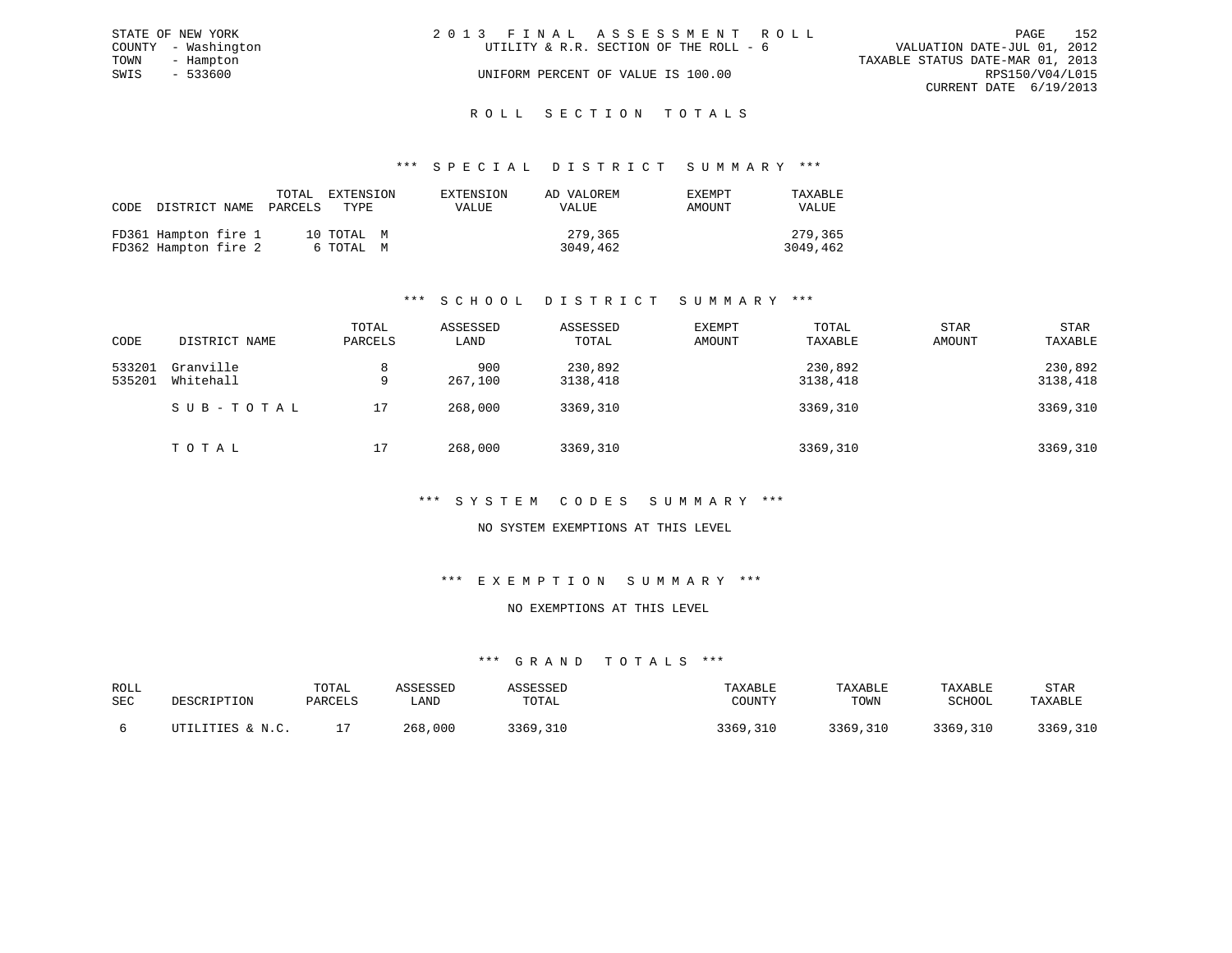| STATE OF NEW YORK   | 2013 FINAL ASSESSMENT ROLL             | 152<br>PAGE                      |
|---------------------|----------------------------------------|----------------------------------|
| COUNTY - Washington | UTILITY & R.R. SECTION OF THE ROLL - 6 | VALUATION DATE-JUL 01, 2012      |
| TOWN<br>- Hampton   |                                        | TAXABLE STATUS DATE-MAR 01, 2013 |
| SWIS<br>$-533600$   | UNIFORM PERCENT OF VALUE IS 100.00     | RPS150/V04/L015                  |
|                     |                                        | CURRENT DATE 6/19/2013           |
|                     |                                        |                                  |

# ROLL SECTION TOTALS

#### \*\*\* S P E C I A L D I S T R I C T S U M M A R Y \*\*\*

| CODE |                                              | TOTAL<br>DISTRICT NAME PARCELS | EXTENSION<br>TYPE       | EXTENSION<br>VALUE | AD VALOREM<br>VALUE | EXEMPT<br>AMOUNT | TAXABLE<br><b>VALUE</b> |
|------|----------------------------------------------|--------------------------------|-------------------------|--------------------|---------------------|------------------|-------------------------|
|      | FD361 Hampton fire 1<br>FD362 Hampton fire 2 |                                | 10 TOTAL M<br>6 ТОТАL М |                    | 279,365<br>3049,462 |                  | 279,365<br>3049,462     |

# \*\*\* S C H O O L D I S T R I C T S U M M A R Y \*\*\*

| CODE             | DISTRICT NAME          | TOTAL<br>PARCELS | ASSESSED<br>LAND | ASSESSED<br>TOTAL   | EXEMPT<br>AMOUNT | TOTAL<br>TAXABLE    | <b>STAR</b><br>AMOUNT | <b>STAR</b><br>TAXABLE |
|------------------|------------------------|------------------|------------------|---------------------|------------------|---------------------|-----------------------|------------------------|
| 533201<br>535201 | Granville<br>Whitehall | 8<br>9           | 900<br>267,100   | 230,892<br>3138,418 |                  | 230,892<br>3138,418 |                       | 230,892<br>3138,418    |
|                  | SUB-TOTAL              | 17               | 268,000          | 3369,310            |                  | 3369,310            |                       | 3369,310               |
|                  | TOTAL                  | 17               | 268,000          | 3369,310            |                  | 3369,310            |                       | 3369,310               |

#### \*\*\* S Y S T E M C O D E S S U M M A R Y \*\*\*

#### NO SYSTEM EXEMPTIONS AT THIS LEVEL

#### \*\*\* E X E M P T I O N S U M M A R Y \*\*\*

#### NO EXEMPTIONS AT THIS LEVEL

| ROLL<br>SEC | DESCRIPTION            | TOTAL<br>PARCELS | . AND       | TOTAL        | TAXABLE<br>COUNT. | TAXABLE<br>TOWN | TAXABLE<br>SCHOOL | STAR<br>TAXABLE |
|-------------|------------------------|------------------|-------------|--------------|-------------------|-----------------|-------------------|-----------------|
|             | LITTES & N C<br>ד יחיד |                  | ,000<br>268 | 3369<br>.310 | 3369.310          | 3369,310        | 3369,310          | 3369,310        |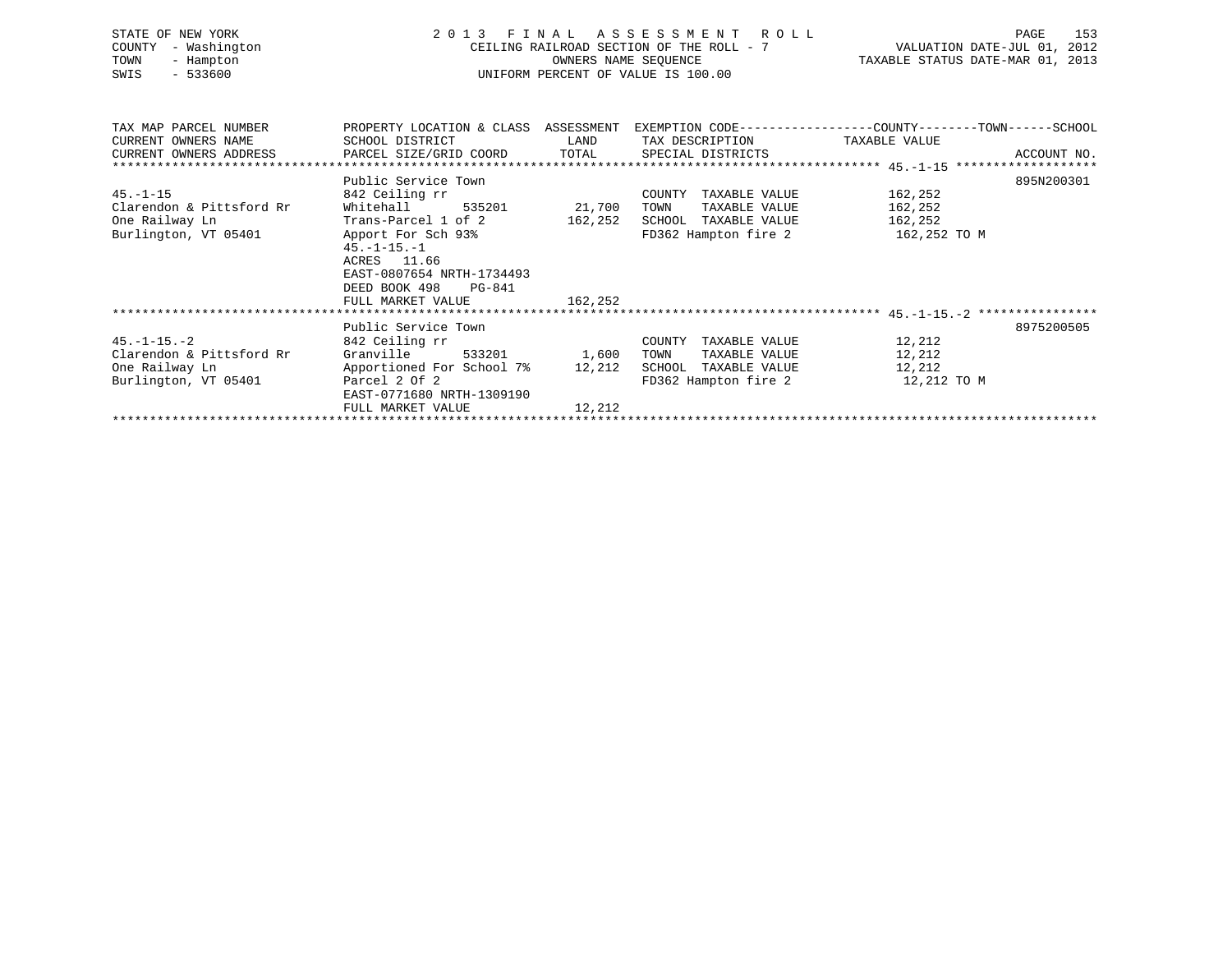| STATE OF NEW YORK<br>COUNTY<br>- Washington<br>TOWN<br>- Hampton<br>$-533600$<br>SWIS | FINAL ASSESSMENT ROLL<br>2 0 1 3<br>CEILING RAILROAD SECTION OF THE ROLL - 7<br>UNIFORM PERCENT OF VALUE IS 100.00 | 153<br>PAGE<br>VALUATION DATE-JUL 01, 2012<br>TAXABLE STATUS DATE-MAR 01, 2013 |                         |                                                                                                |
|---------------------------------------------------------------------------------------|--------------------------------------------------------------------------------------------------------------------|--------------------------------------------------------------------------------|-------------------------|------------------------------------------------------------------------------------------------|
| TAX MAP PARCEL NUMBER                                                                 |                                                                                                                    |                                                                                |                         | PROPERTY LOCATION & CLASS ASSESSMENT EXEMPTION CODE--------------COUNTY-------TOWN------SCHOOL |
| CURRENT OWNERS NAME                                                                   | SCHOOL DISTRICT                                                                                                    | LAND                                                                           | TAX DESCRIPTION         | TAXABLE VALUE                                                                                  |
| CURRENT OWNERS ADDRESS                                                                | PARCEL SIZE/GRID COORD                                                                                             | TOTAL                                                                          | SPECIAL DISTRICTS       | ACCOUNT NO.                                                                                    |
|                                                                                       | Public Service Town                                                                                                |                                                                                |                         | 895N200301                                                                                     |
| $45. - 1 - 15$                                                                        | 842 Ceiling rr                                                                                                     |                                                                                | COUNTY<br>TAXABLE VALUE | 162,252                                                                                        |
| Clarendon & Pittsford Rr                                                              | Whitehall<br>535201                                                                                                | 21,700                                                                         | TOWN<br>TAXABLE VALUE   | 162,252                                                                                        |
| One Railway Ln                                                                        | Trans-Parcel 1 of 2                                                                                                | 162,252                                                                        | SCHOOL TAXABLE VALUE    | 162,252                                                                                        |
| Burlington, VT 05401                                                                  | Apport For Sch 93%                                                                                                 |                                                                                | FD362 Hampton fire 2    | 162,252 TO M                                                                                   |
|                                                                                       | $45. - 1 - 15. - 1$                                                                                                |                                                                                |                         |                                                                                                |
|                                                                                       | ACRES 11.66                                                                                                        |                                                                                |                         |                                                                                                |
|                                                                                       | EAST-0807654 NRTH-1734493                                                                                          |                                                                                |                         |                                                                                                |
|                                                                                       | DEED BOOK 498<br>PG-841                                                                                            |                                                                                |                         |                                                                                                |
|                                                                                       | FULL MARKET VALUE                                                                                                  | 162,252                                                                        |                         |                                                                                                |
|                                                                                       |                                                                                                                    |                                                                                |                         |                                                                                                |
|                                                                                       | Public Service Town                                                                                                |                                                                                |                         | 8975200505                                                                                     |
| $45. -1 - 15. -2$                                                                     | 842 Ceiling rr                                                                                                     |                                                                                | COUNTY TAXABLE VALUE    | 12,212                                                                                         |
| Clarendon & Pittsford Rr                                                              | Granville<br>533201                                                                                                | 1,600                                                                          | TAXABLE VALUE<br>TOWN   | 12,212                                                                                         |
| One Railway Ln                                                                        | Apportioned For School 7%                                                                                          | 12,212                                                                         | SCHOOL TAXABLE VALUE    | 12,212                                                                                         |
| Burlington, VT 05401                                                                  | Parcel 2 Of 2                                                                                                      | FD362 Hampton fire 2                                                           |                         | 12,212 TO M                                                                                    |
|                                                                                       | EAST-0771680 NRTH-1309190<br>FULL MARKET VALUE                                                                     | 12,212                                                                         |                         |                                                                                                |
|                                                                                       |                                                                                                                    |                                                                                |                         |                                                                                                |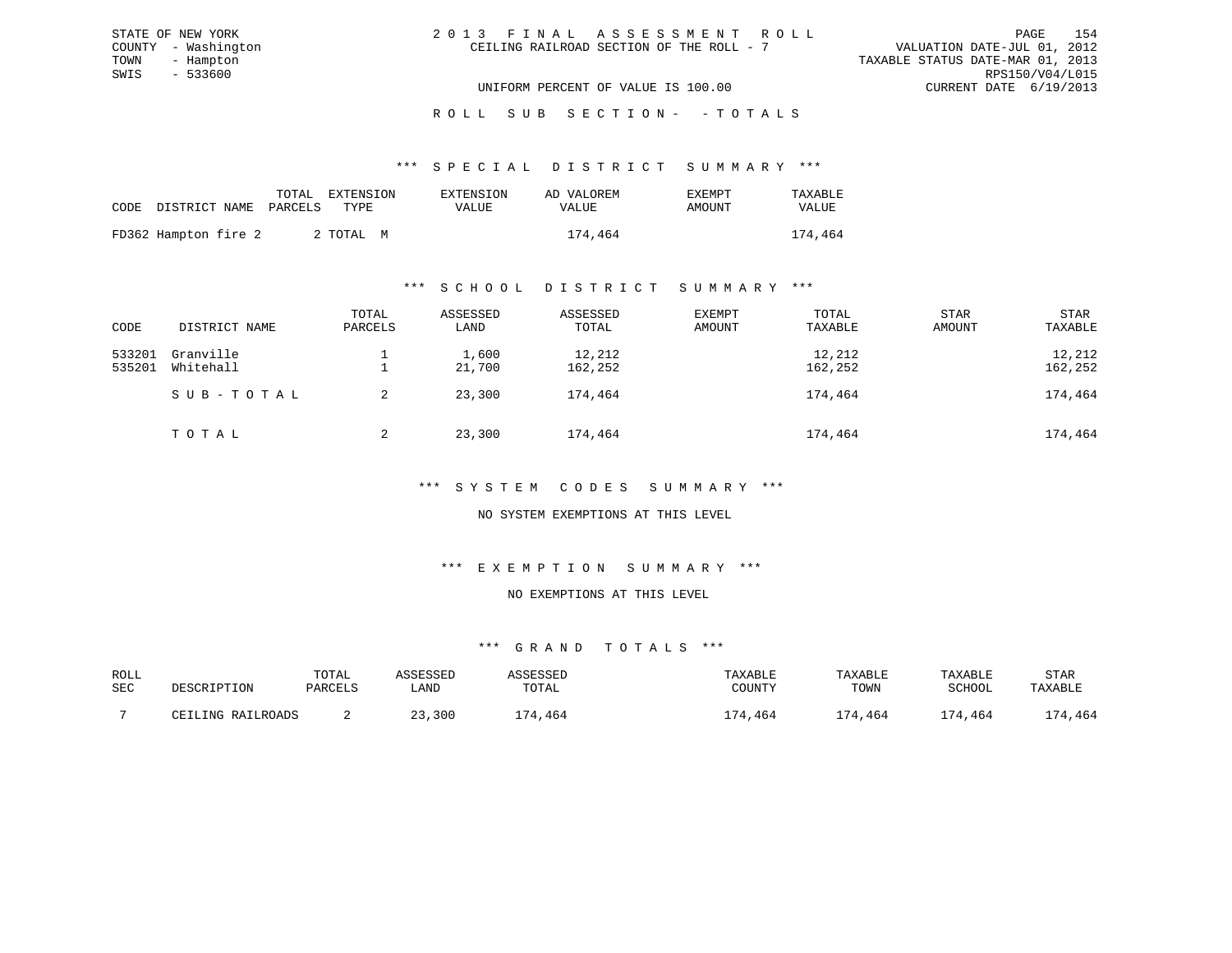| 2013 FINAL ASSESSMENT ROLL |                                          |                                  | PAGE                   | 154 |
|----------------------------|------------------------------------------|----------------------------------|------------------------|-----|
|                            | CEILING RAILROAD SECTION OF THE ROLL - 7 | VALUATION DATE-JUL 01, 2012      |                        |     |
|                            |                                          | TAXABLE STATUS DATE-MAR 01, 2013 |                        |     |
|                            |                                          |                                  | RPS150/V04/L015        |     |
|                            | UNIFORM PERCENT OF VALUE IS 100.00       |                                  | CURRENT DATE 6/19/2013 |     |

STATE OF NEW YORK

# ROLL SUB SECTION - - TOTALS

#### \*\*\* S P E C I A L D I S T R I C T S U M M A R Y \*\*\*

|                      | TOTAL<br>CODE DISTRICT NAME PARCELS | EXTENSION<br>TYPE. | EXTENSION<br>VALUE | AD VALOREM<br><b>VALUE</b> | EXEMPT<br>AMOUNT | TAXABLE<br><b>VALUE</b> |
|----------------------|-------------------------------------|--------------------|--------------------|----------------------------|------------------|-------------------------|
| FD362 Hampton fire 2 |                                     | 2 ТОТАЬ М          |                    | 174,464                    |                  | 174,464                 |

### \*\*\* S C H O O L D I S T R I C T S U M M A R Y \*\*\*

| CODE             | DISTRICT NAME          | TOTAL<br>PARCELS | ASSESSED<br>LAND | ASSESSED<br>TOTAL | EXEMPT<br>AMOUNT | TOTAL<br>TAXABLE  | STAR<br>AMOUNT | STAR<br>TAXABLE   |
|------------------|------------------------|------------------|------------------|-------------------|------------------|-------------------|----------------|-------------------|
| 533201<br>535201 | Granville<br>Whitehall |                  | 1,600<br>21,700  | 12,212<br>162,252 |                  | 12,212<br>162,252 |                | 12,212<br>162,252 |
|                  | SUB-TOTAL              | 2                | 23,300           | 174,464           |                  | 174,464           |                | 174,464           |
|                  | ТОТАЬ                  | 2                | 23,300           | 174,464           |                  | 174,464           |                | 174,464           |

# \*\*\* S Y S T E M C O D E S S U M M A R Y \*\*\*

# NO SYSTEM EXEMPTIONS AT THIS LEVEL

### \*\*\* E X E M P T I O N S U M M A R Y \*\*\*

### NO EXEMPTIONS AT THIS LEVEL

| ROLL |                   | TOTAL   | ASSESSED | ASSESSED | TAXABLE | TAXABLE | TAXABLE | STAR    |
|------|-------------------|---------|----------|----------|---------|---------|---------|---------|
| SEC  | DESCRIPTION       | PARCELS | LAND     | TOTAL    | COUNTY  | TOWN    | SCHOOL  | TAXABLE |
|      |                   |         |          |          |         |         |         |         |
|      | CEILING RAILROADS |         | 23,300   | 174,464  | 174,464 | 174,464 | 174,464 | 174,464 |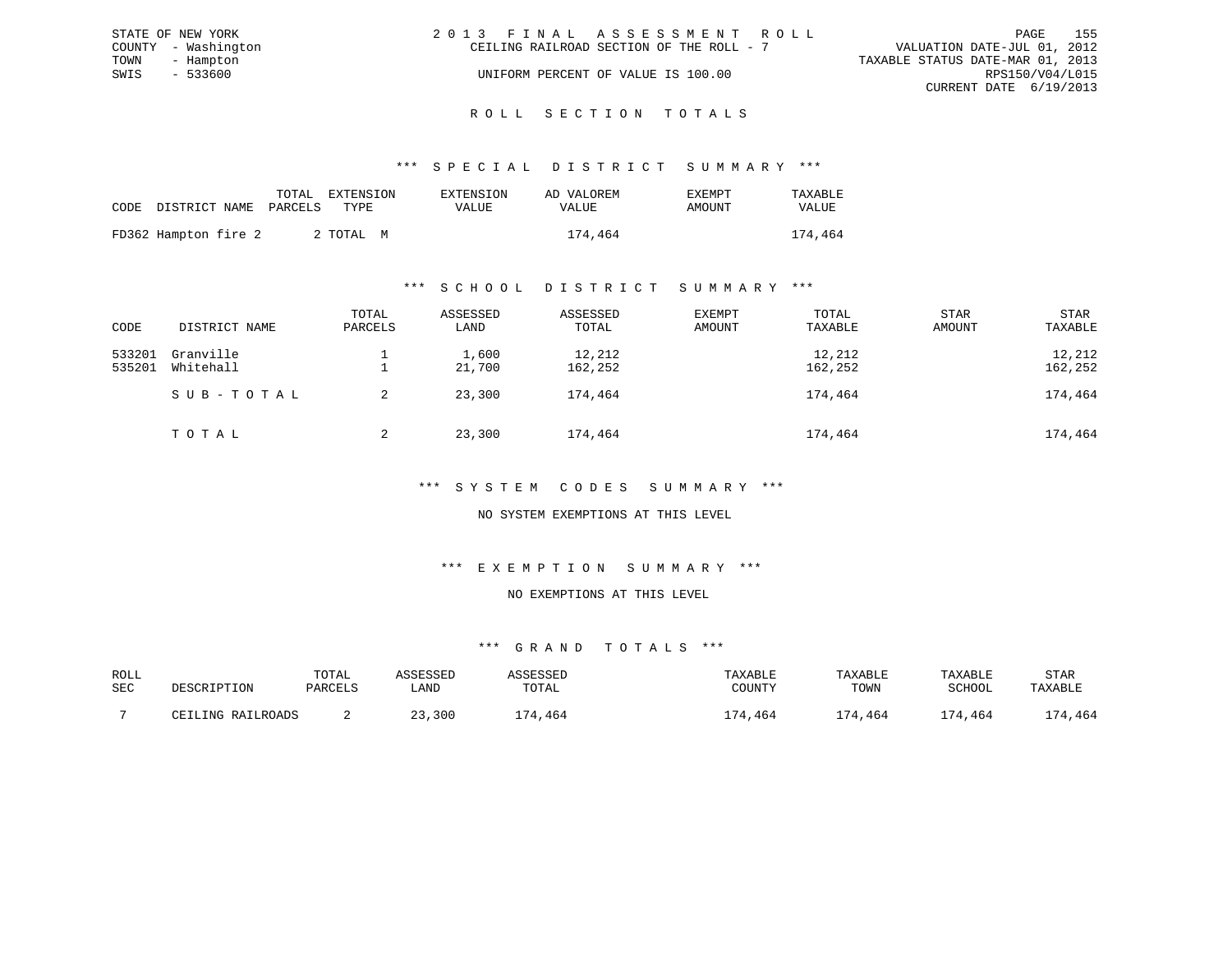| STATE OF NEW YORK   | 2013 FINAL ASSESSMENT ROLL               | 155<br>PAGE                      |
|---------------------|------------------------------------------|----------------------------------|
| COUNTY - Washington | CEILING RAILROAD SECTION OF THE ROLL - 7 | VALUATION DATE-JUL 01, 2012      |
| TOWN<br>- Hampton   |                                          | TAXABLE STATUS DATE-MAR 01, 2013 |
| $-533600$<br>SWIS   | UNIFORM PERCENT OF VALUE IS 100.00       | RPS150/V04/L015                  |
|                     |                                          | CURRENT DATE 6/19/2013           |
|                     |                                          |                                  |

#### R O L L S E C T I O N T O T A L S

#### \*\*\* S P E C I A L D I S T R I C T S U M M A R Y \*\*\*

|                                 | TOTAL | EXTENSION | EXTENSION | AD VALOREM | EXEMPT | TAXABLE |
|---------------------------------|-------|-----------|-----------|------------|--------|---------|
| CODE DISTRICT NAME PARCELS TYPE |       |           | VALUE     | VALUE      | AMOUNT | VALUE   |
| FD362 Hampton fire 2            |       | 2 ТОТАЬ М |           | 174,464    |        | 174,464 |

#### \*\*\* S C H O O L D I S T R I C T S U M M A R Y \*\*\*

| CODE             | DISTRICT NAME          | TOTAL<br>PARCELS | ASSESSED<br>LAND | ASSESSED<br>TOTAL | EXEMPT<br>AMOUNT | TOTAL<br>TAXABLE  | STAR<br><b>AMOUNT</b> | STAR<br>TAXABLE   |
|------------------|------------------------|------------------|------------------|-------------------|------------------|-------------------|-----------------------|-------------------|
| 533201<br>535201 | Granville<br>Whitehall |                  | 1,600<br>21,700  | 12,212<br>162,252 |                  | 12,212<br>162,252 |                       | 12,212<br>162,252 |
|                  | SUB-TOTAL              | 2                | 23,300           | 174,464           |                  | 174,464           |                       | 174,464           |
|                  | TOTAL                  | 2                | 23,300           | 174,464           |                  | 174,464           |                       | 174,464           |

#### \*\*\* S Y S T E M C O D E S S U M M A R Y \*\*\*

### NO SYSTEM EXEMPTIONS AT THIS LEVEL

# \*\*\* E X E M P T I O N S U M M A R Y \*\*\*

#### NO EXEMPTIONS AT THIS LEVEL

| ROLL |                   | TOTAL   | <i>CCTCCT</i> |             | TAXABLE | TAXABLE  | TAXABLE    | STAR    |
|------|-------------------|---------|---------------|-------------|---------|----------|------------|---------|
| SEC  | DESCRIPTION       | PARCELS | ∟AND          | TOTAL       | COUNTY  | TOWN     | SCHOOL     | TAXABLE |
|      | CEILING RAILROADS |         | ,300          | 171<br>.464 | L74,464 | ' 74,464 | ,464<br>74 | 174,464 |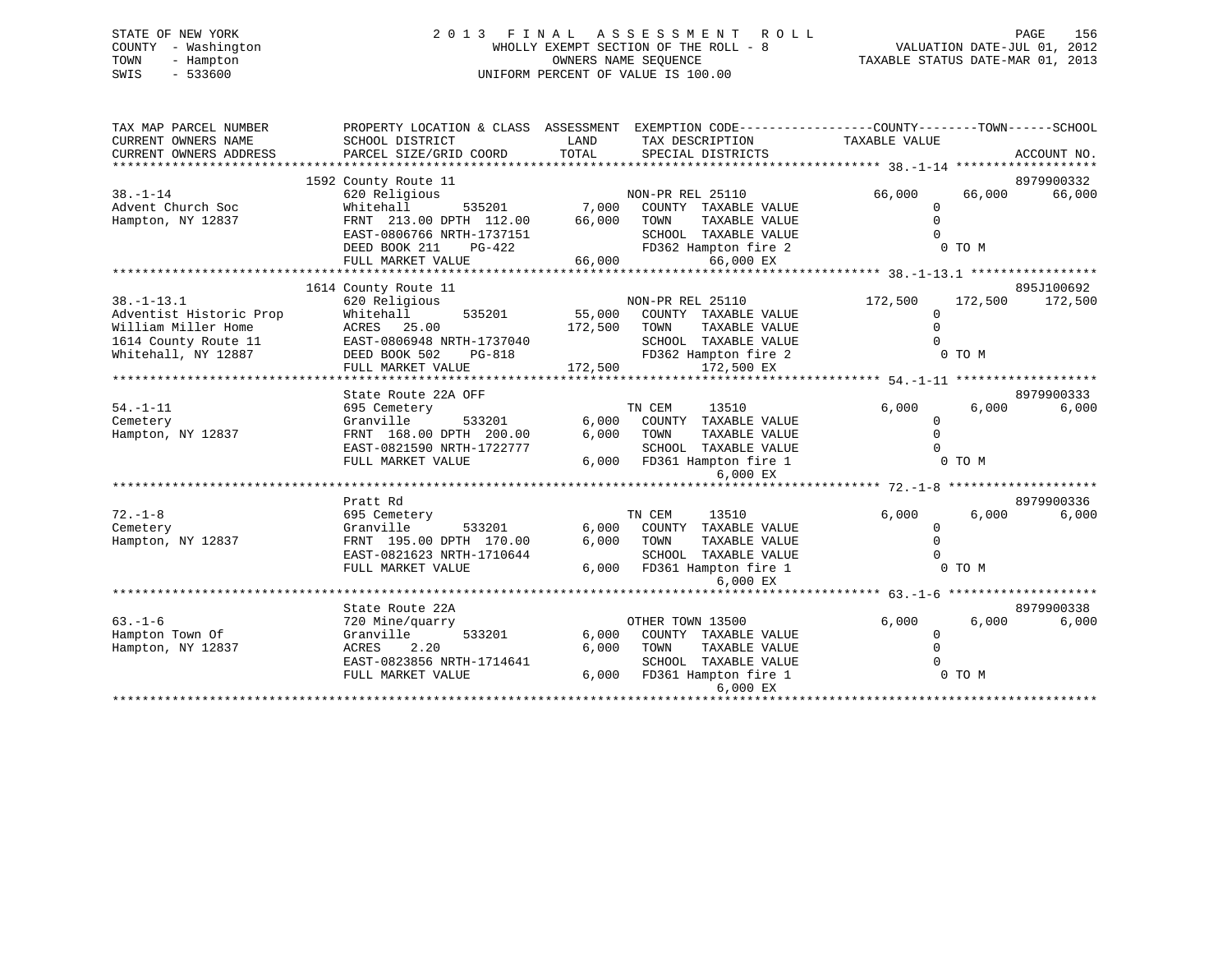# STATE OF NEW YORK 2 0 1 3 F I N A L A S S E S S M E N T R O L L PAGE 156 COUNTY - Washington WHOLLY EXEMPT SECTION OF THE ROLL - 8 VALUATION DATE-JUL 01, 2012 TOWN - Hampton OWNERS NAME SEQUENCE TAXABLE STATUS DATE-MAR 01, 2013 SWIS - 533600 UNIFORM PERCENT OF VALUE IS 100.00

| SCHOOL DISTRICT                                                                                                                  | LAND<br>TAX DESCRIPTION                                                                                                                                         | TAXABLE VALUE                                                                                                                                      |        | ACCOUNT NO.                                                                                                                                  |
|----------------------------------------------------------------------------------------------------------------------------------|-----------------------------------------------------------------------------------------------------------------------------------------------------------------|----------------------------------------------------------------------------------------------------------------------------------------------------|--------|----------------------------------------------------------------------------------------------------------------------------------------------|
|                                                                                                                                  |                                                                                                                                                                 |                                                                                                                                                    |        |                                                                                                                                              |
| 1592 County Route 11                                                                                                             |                                                                                                                                                                 |                                                                                                                                                    |        | 8979900332                                                                                                                                   |
| Whitehall<br>FRNT 213.00 DPTH 112.00<br>EAST-0806766 NRTH-1737151                                                                | COUNTY TAXABLE VALUE<br>66,000<br>TOWN<br>TAXABLE VALUE<br>SCHOOL TAXABLE VALUE                                                                                 | $\Omega$<br>$\Omega$<br>$\cap$                                                                                                                     |        | 66,000                                                                                                                                       |
| DEED BOOK 211<br>PG-422<br>FULL MARKET VALUE                                                                                     | FD362 Hampton fire 2<br>66,000<br>66,000 EX                                                                                                                     |                                                                                                                                                    |        |                                                                                                                                              |
|                                                                                                                                  |                                                                                                                                                                 |                                                                                                                                                    |        | 895J100692                                                                                                                                   |
| 620 Religious<br>Whitehall<br>535201<br>ACRES 25.00<br>EAST-0806948 NRTH-1737040<br>DEED BOOK 502<br>PG-818<br>FULL MARKET VALUE | NON-PR REL 25110<br>55,000<br>COUNTY TAXABLE VALUE<br>172,500<br>TAXABLE VALUE<br>TOWN<br>SCHOOL TAXABLE VALUE<br>FD362 Hampton fire 2<br>172,500<br>172,500 EX | 172,500<br>$\mathbf 0$<br>$\Omega$                                                                                                                 |        | 172,500                                                                                                                                      |
|                                                                                                                                  |                                                                                                                                                                 |                                                                                                                                                    |        | 8979900333                                                                                                                                   |
| 695 Cemetery<br>Granville<br>533201<br>FRNT 168.00 DPTH 200.00<br>EAST-0821590 NRTH-1722777<br>FULL MARKET VALUE                 | TN CEM<br>13510<br>6,000<br>COUNTY TAXABLE VALUE<br>6,000<br>TOWN<br>TAXABLE VALUE<br>SCHOOL TAXABLE VALUE<br>6,000 FD361 Hampton fire 1                        | 6.000<br>0<br>$\Omega$<br>$\cap$                                                                                                                   | 6,000  | 6,000                                                                                                                                        |
|                                                                                                                                  |                                                                                                                                                                 |                                                                                                                                                    |        |                                                                                                                                              |
| 695 Cemetery<br>Granville<br>533201<br>FRNT 195.00 DPTH 170.00<br>EAST-0821623 NRTH-1710644<br>FULL MARKET VALUE                 | TN CEM<br>13510<br>6.000<br>COUNTY TAXABLE VALUE<br>6,000<br>TOWN<br>TAXABLE VALUE<br>SCHOOL TAXABLE VALUE<br>6,000 FD361 Hampton fire 1                        | 6,000<br>$\mathbf{0}$<br>$\Omega$                                                                                                                  | 6,000  | 8979900336<br>6,000                                                                                                                          |
|                                                                                                                                  |                                                                                                                                                                 |                                                                                                                                                    |        |                                                                                                                                              |
| State Route 22A                                                                                                                  |                                                                                                                                                                 |                                                                                                                                                    |        | 8979900338                                                                                                                                   |
| 720 Mine/quarry<br>533201<br>Granville<br>2.20<br>ACRES<br>EAST-0823856 NRTH-1714641<br>FULL MARKET VALUE                        | 6,000<br>COUNTY TAXABLE VALUE<br>6,000<br>TOWN<br>TAXABLE VALUE<br>SCHOOL TAXABLE VALUE<br>6.000<br>FD361 Hampton fire 1<br>6,000 EX                            | 6,000<br>$\Omega$<br>$\mathbf 0$<br>$\Omega$                                                                                                       |        | 6,000                                                                                                                                        |
|                                                                                                                                  | PARCEL SIZE/GRID COORD<br>620 Religious<br>1614 County Route 11<br>State Route 22A OFF<br>Pratt Rd                                                              | PROPERTY LOCATION & CLASS ASSESSMENT<br>TOTAL<br>SPECIAL DISTRICTS<br>NON-PR REL 25110<br>535201 7,000<br>6,000 EX<br>6,000 EX<br>OTHER TOWN 13500 | 66,000 | EXEMPTION CODE-----------------COUNTY-------TOWN------SCHOOL<br>66,000<br>0 TO M<br>172,500<br>0 TO M<br>0 TO M<br>0 TO M<br>6,000<br>0 TO M |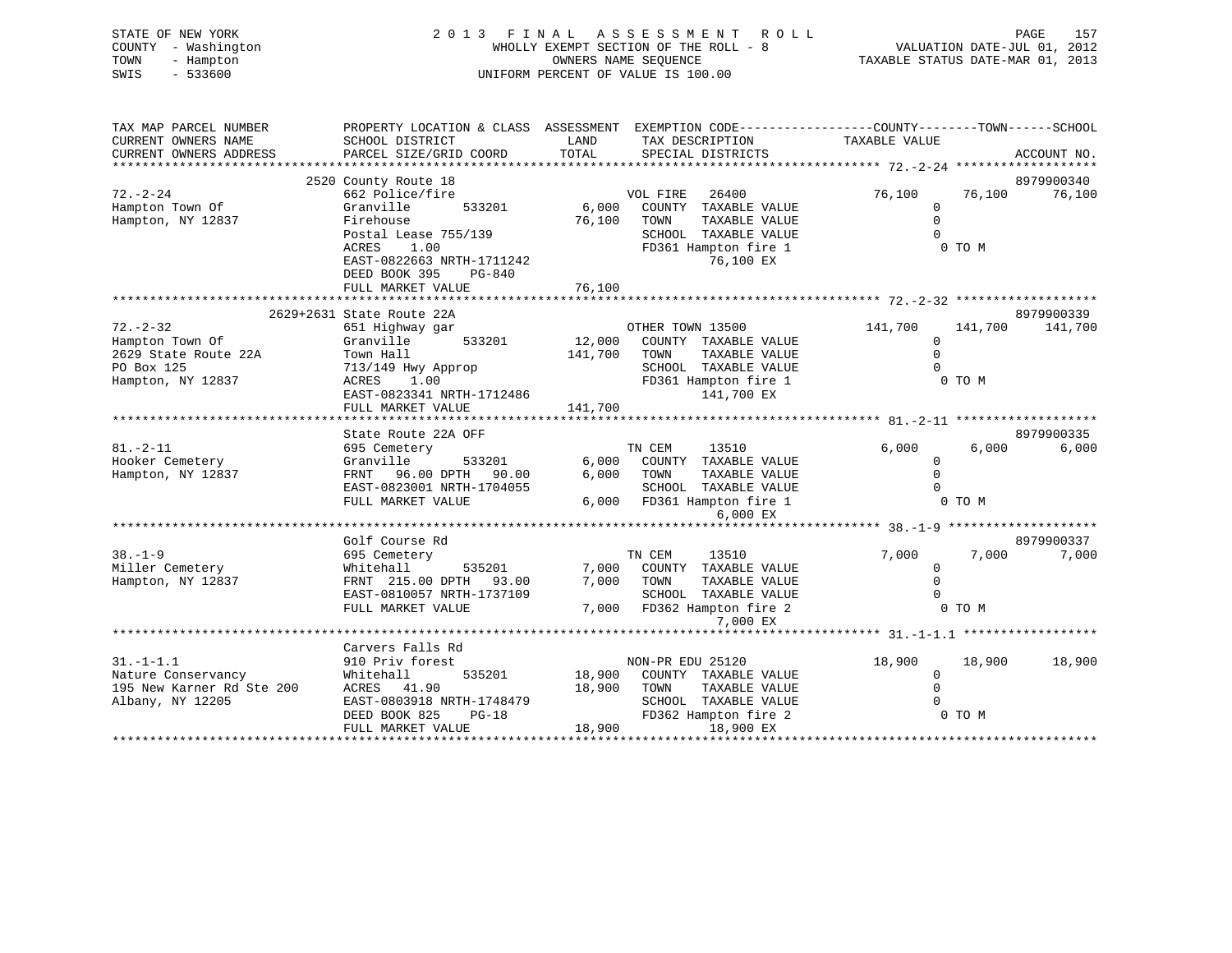| STATE OF NEW YORK<br>COUNTY - Washington<br>TOWN<br>- Hampton<br>SWIS<br>$-533600$               | 2013 FINAL ASSESSMENT<br>WHOLLY EXEMPT SECTION OF THE ROLL - 8<br>UNIFORM PERCENT OF VALUE IS 100.00 | R O L L<br>PAGE<br>157<br>VALUATION DATE-JUL 01, 2012<br>TAXABLE STATUS DATE-MAR 01, 2013 |                                                                                                                                 |
|--------------------------------------------------------------------------------------------------|------------------------------------------------------------------------------------------------------|-------------------------------------------------------------------------------------------|---------------------------------------------------------------------------------------------------------------------------------|
| TAX MAP PARCEL NUMBER<br>CURRENT OWNERS NAME<br>CURRENT OWNERS ADDRESS<br>********************** | SCHOOL DISTRICT<br>PARCEL SIZE/GRID COORD<br>***************************                             | LAND<br>TAX DESCRIPTION<br>TOTAL<br>SPECIAL DISTRICTS                                     | PROPERTY LOCATION & CLASS ASSESSMENT EXEMPTION CODE---------------COUNTY-------TOWN------SCHOOL<br>TAXABLE VALUE<br>ACCOUNT NO. |
|                                                                                                  | 2520 County Route 18                                                                                 |                                                                                           | 8979900340                                                                                                                      |
| $72. - 2 - 24$                                                                                   | 662 Police/fire                                                                                      | VOL FIRE<br>26400                                                                         | 76,100<br>76,100<br>76,100                                                                                                      |
| Hampton Town Of                                                                                  | Granville<br>533201                                                                                  | 6,000<br>COUNTY TAXABLE VALUE                                                             | $\mathbf 0$                                                                                                                     |
| Hampton, NY 12837                                                                                | Firehouse                                                                                            | 76,100<br>TOWN<br>TAXABLE VALUE                                                           | $\mathbf 0$                                                                                                                     |
|                                                                                                  | Postal Lease 755/139                                                                                 | SCHOOL TAXABLE VALUE                                                                      | $\Omega$                                                                                                                        |
|                                                                                                  | 1.00<br>ACRES                                                                                        | FD361 Hampton fire 1                                                                      | 0 TO M                                                                                                                          |
|                                                                                                  | EAST-0822663 NRTH-1711242<br>DEED BOOK 395<br>$PG-840$                                               | 76,100 EX                                                                                 |                                                                                                                                 |
|                                                                                                  | FULL MARKET VALUE                                                                                    | 76,100                                                                                    |                                                                                                                                 |
|                                                                                                  |                                                                                                      |                                                                                           |                                                                                                                                 |
|                                                                                                  | 2629+2631 State Route 22A                                                                            |                                                                                           | 8979900339                                                                                                                      |
| $72. - 2 - 32$                                                                                   | 651 Highway gar                                                                                      | OTHER TOWN 13500                                                                          | 141,700<br>141,700<br>141,700                                                                                                   |
| Hampton Town Of                                                                                  | Granville<br>533201                                                                                  | 12,000<br>COUNTY TAXABLE VALUE                                                            | $\mathbf 0$                                                                                                                     |
| 2629 State Route 22A                                                                             | Town Hall                                                                                            | 141,700<br>TAXABLE VALUE<br>TOWN                                                          | $\Omega$                                                                                                                        |
| PO Box 125                                                                                       | 713/149 Hwy Approp                                                                                   | SCHOOL TAXABLE VALUE                                                                      | $\Omega$                                                                                                                        |
| Hampton, NY 12837                                                                                | ACRES<br>1.00                                                                                        | FD361 Hampton fire 1<br>141,700 EX                                                        | 0 TO M                                                                                                                          |
|                                                                                                  | EAST-0823341 NRTH-1712486<br>FULL MARKET VALUE                                                       | 141,700                                                                                   |                                                                                                                                 |
|                                                                                                  |                                                                                                      |                                                                                           |                                                                                                                                 |
|                                                                                                  | State Route 22A OFF                                                                                  |                                                                                           | 8979900335                                                                                                                      |
| $81. - 2 - 11$                                                                                   | 695 Cemetery                                                                                         | TN CEM<br>13510                                                                           | 6.000<br>6.000<br>6.000                                                                                                         |
| Hooker Cemetery                                                                                  | Granville<br>533201                                                                                  | 6,000 COUNTY TAXABLE VALUE                                                                | $\mathbf 0$                                                                                                                     |
| Hampton, NY 12837                                                                                | FRNT 96.00 DPTH 90.00                                                                                | 6,000<br>TOWN<br>TAXABLE VALUE                                                            | $\Omega$                                                                                                                        |
|                                                                                                  | EAST-0823001 NRTH-1704055                                                                            | SCHOOL TAXABLE VALUE                                                                      | $\Omega$                                                                                                                        |
|                                                                                                  | FULL MARKET VALUE                                                                                    | FD361 Hampton fire 1<br>6,000                                                             | $0$ TO M                                                                                                                        |
|                                                                                                  |                                                                                                      | 6,000 EX                                                                                  | *********************** 38.-1-9 *********************                                                                           |
|                                                                                                  | Golf Course Rd                                                                                       |                                                                                           | 8979900337                                                                                                                      |
| $38. - 1 - 9$                                                                                    | 695 Cemetery                                                                                         | TN CEM<br>13510                                                                           | 7,000<br>7,000<br>7,000                                                                                                         |
| Miller Cemetery                                                                                  | Whitehall<br>535201                                                                                  | 7,000<br>COUNTY TAXABLE VALUE                                                             | $\mathbf 0$                                                                                                                     |
| Hampton, NY 12837                                                                                | FRNT 215.00 DPTH 93.00                                                                               | 7,000<br>TOWN<br>TAXABLE VALUE                                                            | $\mathbf 0$                                                                                                                     |
|                                                                                                  | EAST-0810057 NRTH-1737109                                                                            | SCHOOL TAXABLE VALUE                                                                      | $\Omega$                                                                                                                        |
|                                                                                                  | FULL MARKET VALUE                                                                                    | 7,000<br>FD362 Hampton fire 2                                                             | 0 TO M                                                                                                                          |
|                                                                                                  |                                                                                                      | 7,000 EX                                                                                  |                                                                                                                                 |
|                                                                                                  |                                                                                                      |                                                                                           | *********** 31.-1-1.1 *****************                                                                                         |
| $31. - 1 - 1.1$                                                                                  | Carvers Falls Rd<br>910 Priv forest                                                                  | NON-PR EDU 25120                                                                          | 18,900<br>18,900<br>18,900                                                                                                      |
| Nature Conservancy                                                                               | 535201<br>Whitehall                                                                                  | 18,900<br>COUNTY TAXABLE VALUE                                                            | $\mathbf 0$                                                                                                                     |
| 195 New Karner Rd Ste 200                                                                        | ACRES 41.90                                                                                          | 18,900<br>TOWN<br>TAXABLE VALUE                                                           | $\mathbf 0$                                                                                                                     |
| Albany, NY 12205                                                                                 | EAST-0803918 NRTH-1748479                                                                            | SCHOOL TAXABLE VALUE                                                                      | $\Omega$                                                                                                                        |
|                                                                                                  | DEED BOOK 825<br>$PG-18$                                                                             | FD362 Hampton fire 2                                                                      | 0 TO M                                                                                                                          |
|                                                                                                  | FULL MARKET VALUE                                                                                    | 18,900<br>18,900 EX                                                                       |                                                                                                                                 |
|                                                                                                  |                                                                                                      |                                                                                           |                                                                                                                                 |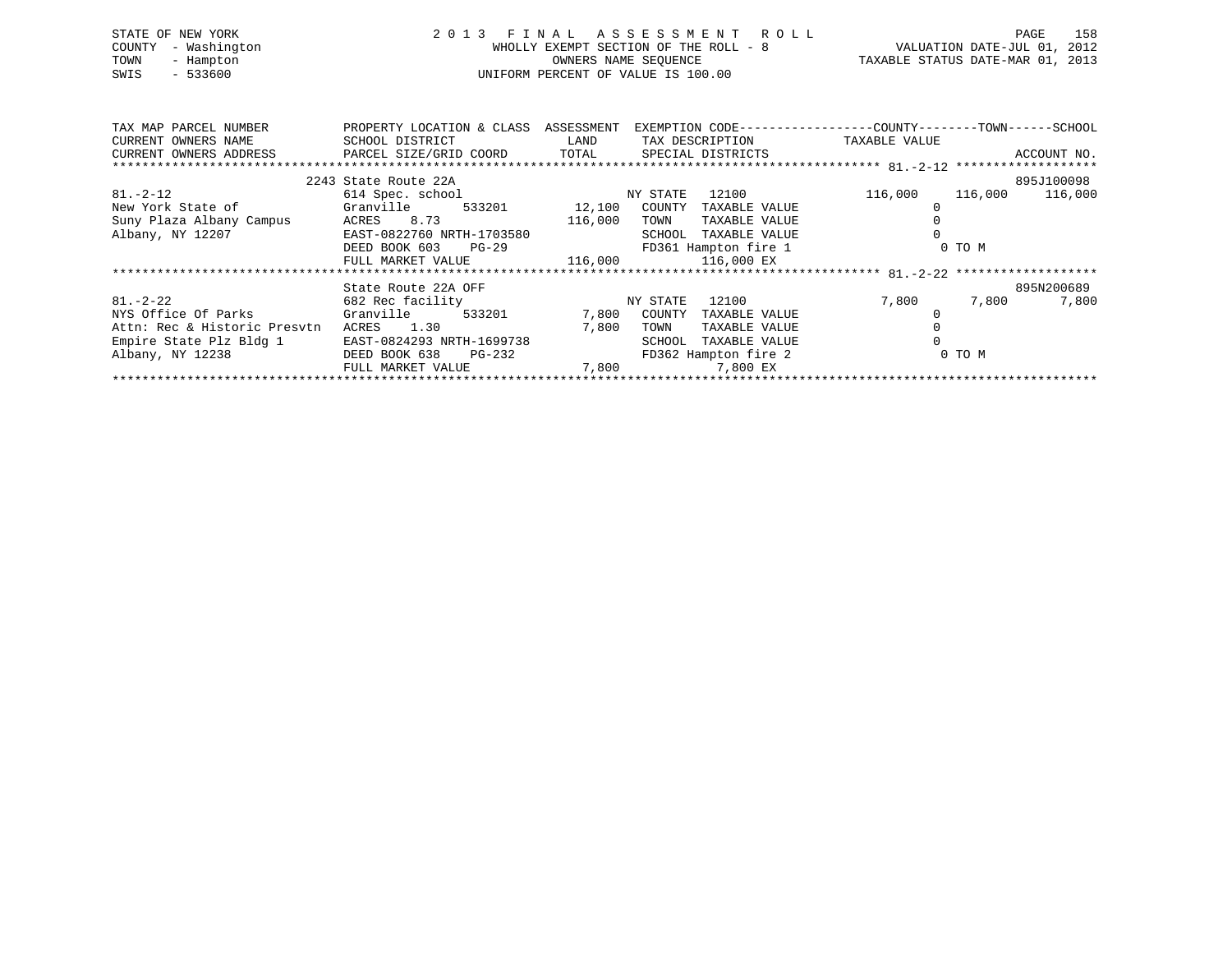| STATE OF NEW YORK   | 2013 FINAL ASSESSMENT ROLL            | 158<br>PAGE                      |
|---------------------|---------------------------------------|----------------------------------|
| COUNTY - Washington | WHOLLY EXEMPT SECTION OF THE ROLL - 8 | VALUATION DATE-JUL 01, 2012      |
| TOWN<br>- Hampton   | OWNERS NAME SEOUENCE                  | TAXABLE STATUS DATE-MAR 01, 2013 |
| $-533600$<br>SWIS   | UNIFORM PERCENT OF VALUE IS 100.00    |                                  |
|                     |                                       |                                  |
|                     |                                       |                                  |

| TAX MAP PARCEL NUMBER                                                                           | PROPERTY LOCATION & CLASS ASSESSMENT                                                                           |             | EXEMPTION CODE------------------COUNTY-------TOWN------SCHOOL |         |        |                 |
|-------------------------------------------------------------------------------------------------|----------------------------------------------------------------------------------------------------------------|-------------|---------------------------------------------------------------|---------|--------|-----------------|
| CURRENT OWNERS NAME                                                                             | SCHOOL DISTRICT                                                                                                | <b>LAND</b> | TAX DESCRIPTION TAXABLE VALUE                                 |         |        |                 |
| CURRENT OWNERS ADDRESS             PARCEL SIZE/GRID COORD         TOTAL       SPECIAL DISTRICTS |                                                                                                                |             |                                                               |         |        | ACCOUNT NO.     |
|                                                                                                 |                                                                                                                |             |                                                               |         |        |                 |
|                                                                                                 | 2243 State Route 22A                                                                                           |             |                                                               |         |        | 895J100098      |
| $81. - 2 - 12$                                                                                  | 614 Spec. school and the state of the state of the state of the state of the state of the state of the state o |             | 12100<br>NY STATE                                             | 116,000 |        | 116,000 116,000 |
| New York State of Granville 533201 12,100 COUNTY                                                |                                                                                                                |             | TAXABLE VALUE                                                 |         |        |                 |
| Suny Plaza Albany Campus                                                                        | ACRES 8.73 116,000                                                                                             |             | TOWN<br>TAXABLE VALUE                                         |         |        |                 |
| Albany, NY 12207                                                                                | EAST-0822760 NRTH-1703580                                                                                      |             | SCHOOL TAXABLE VALUE                                          |         |        |                 |
|                                                                                                 | DEED BOOK 603 PG-29                                                                                            |             | FD361 Hampton fire 1                                          |         | 0 TO M |                 |
|                                                                                                 | FULL MARKET VALUE $116,000$ $116,000$ EX                                                                       |             |                                                               |         |        |                 |
|                                                                                                 |                                                                                                                |             |                                                               |         |        |                 |
|                                                                                                 | State Route 22A OFF                                                                                            |             |                                                               |         |        | 895N200689      |
| $81. - 2 - 22$                                                                                  | 682 Rec facility                                                                                               |             | 12100<br>NY STATE                                             | 7,800   | 7,800  | 7,800           |
|                                                                                                 |                                                                                                                |             | 7,800 COUNTY TAXABLE VALUE                                    |         |        |                 |
| Attn: Rec & Historic Presvtn                                                                    | ACRES 1.30                                                                                                     | 7,800       | TOWN<br>TAXABLE VALUE                                         |         |        |                 |
| Empire State Plz Bldg 1                                                                         | EAST-0824293 NRTH-1699738                                                                                      |             | TAXABLE VALUE<br>SCHOOL                                       |         |        |                 |
| Albany, NY 12238                                                                                | DEED BOOK 638 PG-232                                                                                           |             | FD362 Hampton fire 2                                          |         | 0 TO M |                 |
|                                                                                                 | FULL MARKET VALUE 7,800 7,800 7,800 EX                                                                         |             |                                                               |         |        |                 |
|                                                                                                 |                                                                                                                |             |                                                               |         |        |                 |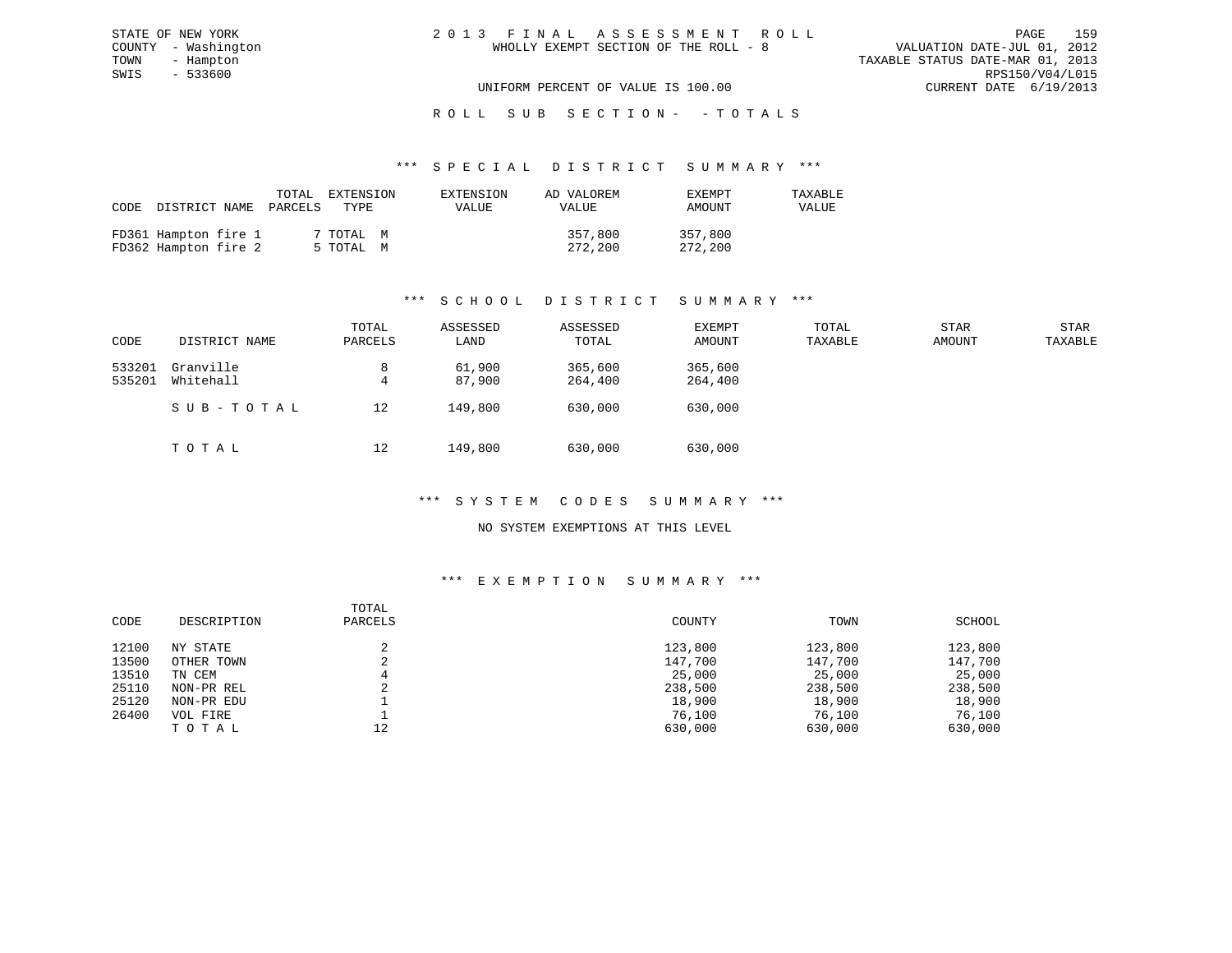| 2013 FINAL ASSESSMENT ROLL            | 159<br>PAGE                      |
|---------------------------------------|----------------------------------|
| WHOLLY EXEMPT SECTION OF THE ROLL - 8 | VALUATION DATE-JUL 01, 2012      |
|                                       | TAXABLE STATUS DATE-MAR 01, 2013 |
|                                       | RPS150/V04/L015                  |
| UNIFORM PERCENT OF VALUE IS 100.00    | CURRENT DATE 6/19/2013           |

STATE OF NEW YORK COUNTY - Washington TOWN - Hampton  $SWIS$  - 533600

#### \*\*\* S P E C I A L D I S T R I C T S U M M A R Y \*\*\*

| CODE DISTRICT NAME PARCELS                   | TOTAL | EXTENSION<br>TYPE      | EXTENSION<br><b>VALUE</b> | AD VALOREM<br><b>VALUE</b> | EXEMPT<br>AMOUNT   | TAXABLE<br>VALUE |
|----------------------------------------------|-------|------------------------|---------------------------|----------------------------|--------------------|------------------|
| FD361 Hampton fire 1<br>FD362 Hampton fire 2 |       | 7 TOTAL M<br>5 TOTAL M |                           | 357,800<br>272,200         | 357,800<br>272,200 |                  |

# \*\*\* S C H O O L D I S T R I C T S U M M A R Y \*\*\*

| CODE             | DISTRICT NAME          | TOTAL<br>PARCELS | ASSESSED<br>LAND | ASSESSED<br>TOTAL  | EXEMPT<br>AMOUNT   | TOTAL<br>TAXABLE | <b>STAR</b><br>AMOUNT | STAR<br>TAXABLE |
|------------------|------------------------|------------------|------------------|--------------------|--------------------|------------------|-----------------------|-----------------|
| 533201<br>535201 | Granville<br>Whitehall | 8<br>4           | 61,900<br>87,900 | 365,600<br>264,400 | 365,600<br>264,400 |                  |                       |                 |
|                  | SUB-TOTAL              | 12               | 149,800          | 630,000            | 630,000            |                  |                       |                 |
|                  | TOTAL                  | 12               | 149,800          | 630,000            | 630,000            |                  |                       |                 |

#### \*\*\* S Y S T E M C O D E S S U M M A R Y \*\*\*

#### NO SYSTEM EXEMPTIONS AT THIS LEVEL

#### \*\*\* E X E M P T I O N S U M M A R Y \*\*\*

| CODE  | DESCRIPTION | TOTAL<br>PARCELS | COUNTY  | TOWN    | SCHOOL  |
|-------|-------------|------------------|---------|---------|---------|
| 12100 | NY STATE    |                  | 123,800 | 123,800 | 123,800 |
| 13500 | OTHER TOWN  |                  | 147,700 | 147,700 | 147,700 |
| 13510 | TN CEM      |                  | 25,000  | 25,000  | 25,000  |
| 25110 | NON-PR REL  |                  | 238,500 | 238,500 | 238,500 |
| 25120 | NON-PR EDU  |                  | 18,900  | 18,900  | 18,900  |
| 26400 | VOL FIRE    |                  | 76,100  | 76,100  | 76,100  |
|       | TOTAL       | 12               | 630,000 | 630,000 | 630,000 |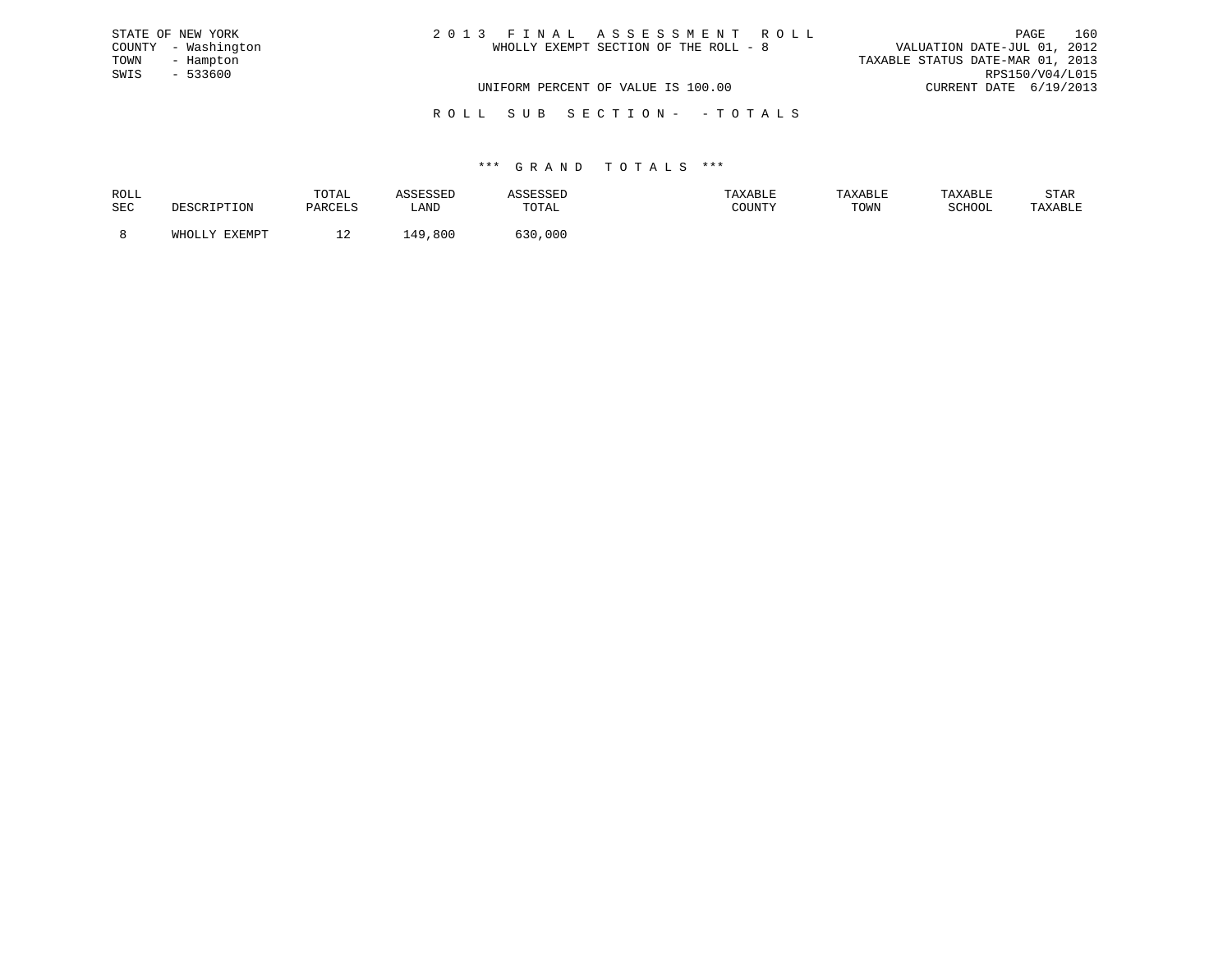| STATE OF NEW YORK   | 2013 FINAL ASSESSMENT ROLL            | 160<br>PAGE                      |
|---------------------|---------------------------------------|----------------------------------|
| COUNTY - Washington | WHOLLY EXEMPT SECTION OF THE ROLL - 8 | VALUATION DATE-JUL 01, 2012      |
| TOWN<br>- Hampton   |                                       | TAXABLE STATUS DATE-MAR 01, 2013 |
| SWIS - 533600       |                                       | RPS150/V04/L015                  |
|                     | UNIFORM PERCENT OF VALUE IS 100.00    | CURRENT DATE 6/19/2013           |
|                     |                                       |                                  |

R O L L S U B S E C T I O N - - T O T A L S

| ROLL |               | TOTAL   | COFCOFT<br>ىمەدە |             | TAXABLE | TAXABLE | TAXABLE | STAR    |
|------|---------------|---------|------------------|-------------|---------|---------|---------|---------|
| SEC  | DESCRIPTION   | PARCELS | LAND             | TOTAL       | COUNTY  | TOWN    | SCHOOL  | TAXABLE |
|      | <b>TYFMDT</b> |         | ,800<br>49       | ころひ<br>,000 |         |         |         |         |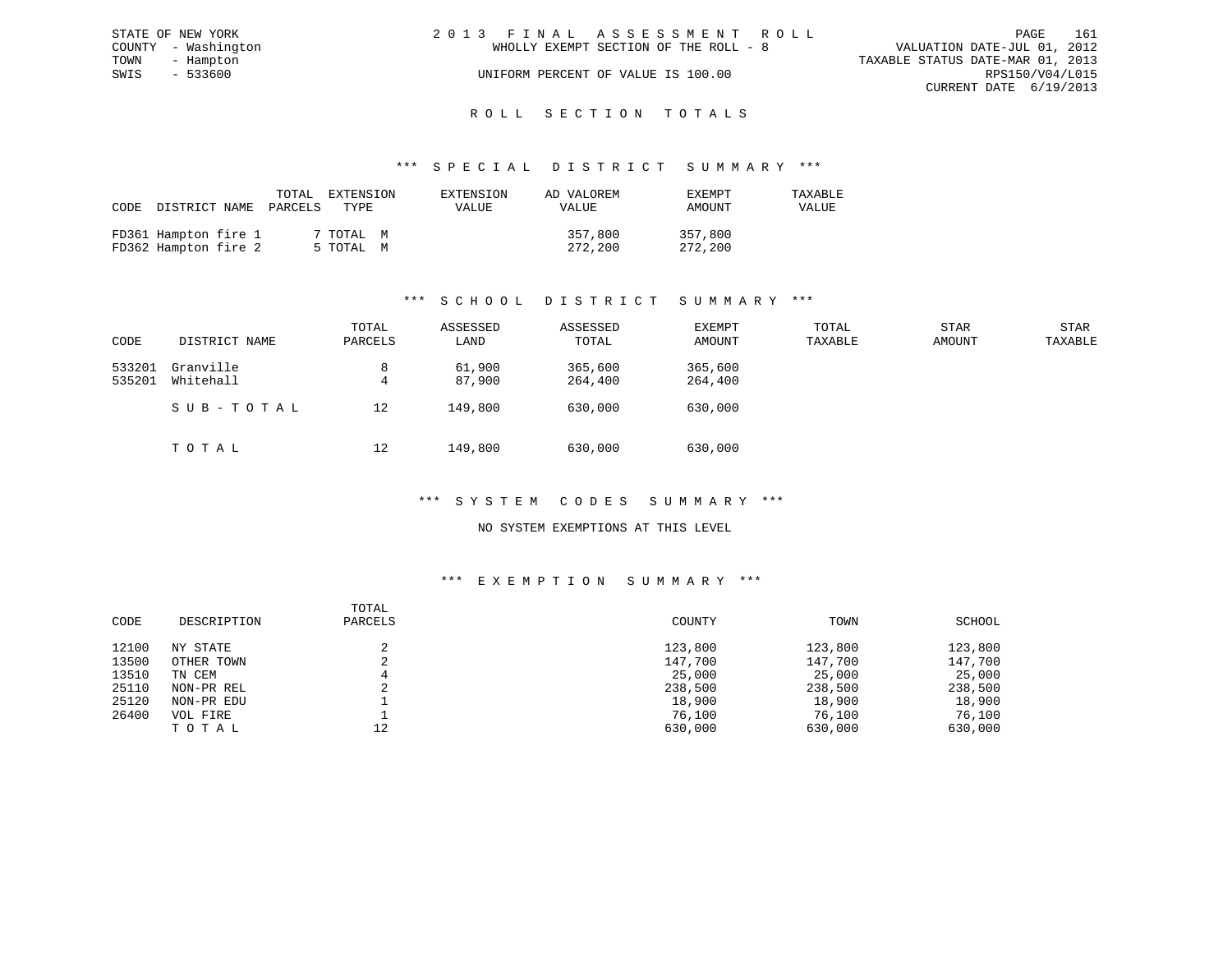|      | STATE OF NEW YORK   | 2013 FINAL ASSESSMENT ROLL |                                       |                                  |                        | PAGE | 161 |
|------|---------------------|----------------------------|---------------------------------------|----------------------------------|------------------------|------|-----|
|      | COUNTY - Washington |                            | WHOLLY EXEMPT SECTION OF THE ROLL - 8 | VALUATION DATE-JUL 01, 2012      |                        |      |     |
| TOWN | - Hampton           |                            |                                       | TAXABLE STATUS DATE-MAR 01, 2013 |                        |      |     |
| SWIS | $-533600$           |                            | UNIFORM PERCENT OF VALUE IS 100.00    |                                  | RPS150/V04/L015        |      |     |
|      |                     |                            |                                       |                                  | CURRENT DATE 6/19/2013 |      |     |
|      |                     |                            |                                       |                                  |                        |      |     |

# ROLL SECTION TOTALS

#### \*\*\* S P E C I A L D I S T R I C T S U M M A R Y \*\*\*

| CODE | DISTRICT NAME                                | TOTAL<br>PARCELS | EXTENSION<br>TYPE      | EXTENSION<br>VALUE | AD VALOREM<br>VALUE | EXEMPT<br>AMOUNT   | TAXABLE<br>VALUE |
|------|----------------------------------------------|------------------|------------------------|--------------------|---------------------|--------------------|------------------|
|      | FD361 Hampton fire 1<br>FD362 Hampton fire 2 |                  | 7 TOTAL M<br>5 TOTAL M |                    | 357,800<br>272,200  | 357,800<br>272,200 |                  |

# \*\*\* S C H O O L D I S T R I C T S U M M A R Y \*\*\*

| CODE             | DISTRICT NAME          | TOTAL<br>PARCELS | ASSESSED<br>LAND | ASSESSED<br>TOTAL  | EXEMPT<br>AMOUNT   | TOTAL<br>TAXABLE | <b>STAR</b><br>AMOUNT | STAR<br>TAXABLE |
|------------------|------------------------|------------------|------------------|--------------------|--------------------|------------------|-----------------------|-----------------|
| 533201<br>535201 | Granville<br>Whitehall | 8<br>4           | 61,900<br>87,900 | 365,600<br>264,400 | 365,600<br>264,400 |                  |                       |                 |
|                  | SUB-TOTAL              | 12               | 149,800          | 630,000            | 630,000            |                  |                       |                 |
|                  | TOTAL                  | 12               | 149,800          | 630,000            | 630,000            |                  |                       |                 |

#### \*\*\* S Y S T E M C O D E S S U M M A R Y \*\*\*

#### NO SYSTEM EXEMPTIONS AT THIS LEVEL

#### \*\*\* E X E M P T I O N S U M M A R Y \*\*\*

| CODE  | DESCRIPTION | TOTAL<br>PARCELS | COUNTY  | TOWN    | SCHOOL  |
|-------|-------------|------------------|---------|---------|---------|
| 12100 | NY STATE    |                  | 123,800 | 123,800 | 123,800 |
| 13500 | OTHER TOWN  | $\sim$           | 147,700 | 147,700 | 147,700 |
| 13510 | TN CEM      |                  | 25,000  | 25,000  | 25,000  |
| 25110 | NON-PR REL  |                  | 238,500 | 238,500 | 238,500 |
| 25120 | NON-PR EDU  |                  | 18,900  | 18,900  | 18,900  |
| 26400 | VOL FIRE    |                  | 76,100  | 76,100  | 76,100  |
|       | TOTAL       | 12               | 630,000 | 630,000 | 630,000 |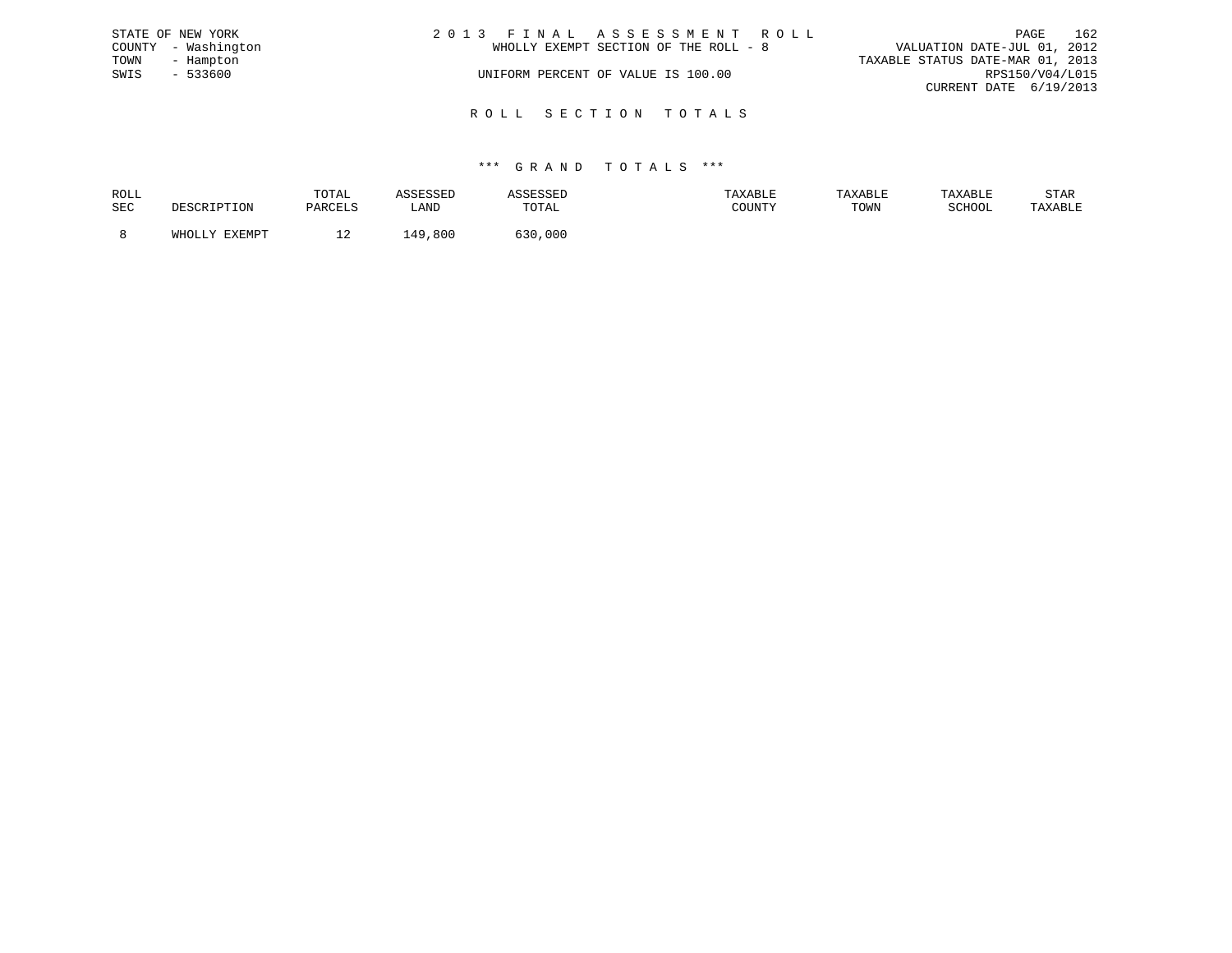|      | STATE OF NEW YORK   | 2013 FINAL ASSESSMENT ROLL                                           | PAGE                   | 162 |
|------|---------------------|----------------------------------------------------------------------|------------------------|-----|
|      | COUNTY - Washington | VALUATION DATE-JUL 01, 2012<br>WHOLLY EXEMPT SECTION OF THE ROLL - 8 |                        |     |
| TOWN | - Hampton           | TAXABLE STATUS DATE-MAR 01, 2013                                     |                        |     |
| SWIS | $-533600$           | UNIFORM PERCENT OF VALUE IS 100.00                                   | RPS150/V04/L015        |     |
|      |                     |                                                                      | CURRENT DATE 6/19/2013 |     |
|      |                     |                                                                      |                        |     |

R O L L S E C T I O N T O T A L S

| ROLL       |                  | TOTAL   | عىدىن                      |              | AXABLE |      |        | STAR    |
|------------|------------------|---------|----------------------------|--------------|--------|------|--------|---------|
| <b>SEC</b> |                  | DARCTIS | LAND                       | <b>TOTAL</b> | COUNTY | TOWN | SCHOOL | 'AXABLE |
|            |                  |         |                            |              |        |      |        |         |
|            | FYFMDT<br>771700 | ᅩᄼ      | .800<br>$\Lambda$ $\Omega$ | 000          |        |      |        |         |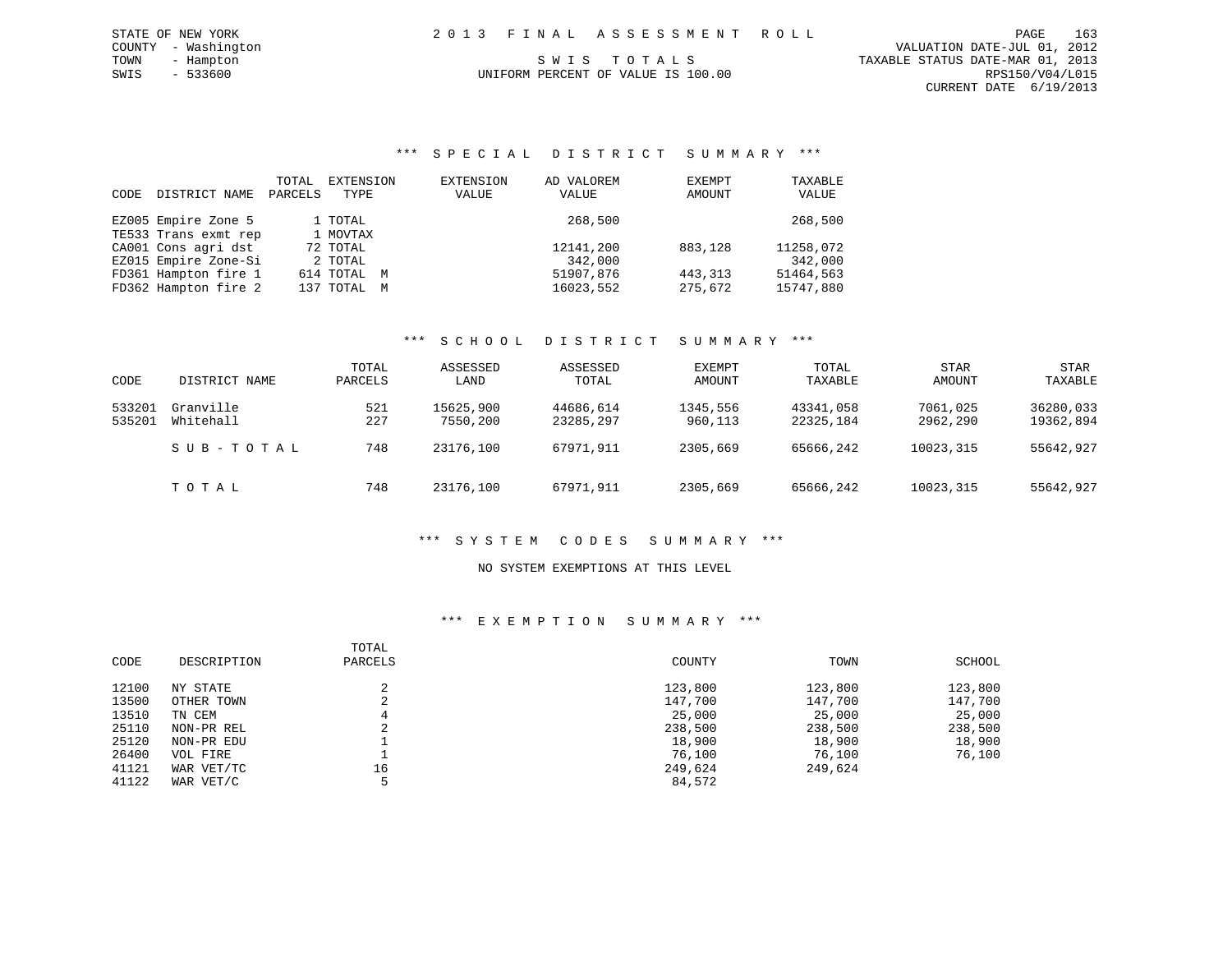# UNIFORM PERCENT OF VALUE IS 100.00

### \*\*\* S P E C I A L D I S T R I C T S U M M A R Y \*\*\*

| CODE | DISTRICT NAME        | TOTAL<br>PARCELS | EXTENSION<br>TYPE | EXTENSION<br>VALUE | AD VALOREM<br>VALUE | EXEMPT<br>AMOUNT | TAXABLE<br>VALUE |
|------|----------------------|------------------|-------------------|--------------------|---------------------|------------------|------------------|
|      | EZ005 Empire Zone 5  |                  | 1 TOTAL           |                    | 268,500             |                  | 268,500          |
|      | TE533 Trans exmt rep |                  | 1 MOVTAX          |                    |                     |                  |                  |
|      | CA001 Cons agri dst  |                  | 72 TOTAL          |                    | 12141,200           | 883,128          | 11258,072        |
|      | EZ015 Empire Zone-Si |                  | 2 TOTAL           |                    | 342,000             |                  | 342,000          |
|      | FD361 Hampton fire 1 |                  | 614 TOTAL M       |                    | 51907,876           | 443, 313         | 51464,563        |
|      | FD362 Hampton fire 2 |                  | 137 TOTAL M       |                    | 16023,552           | 275,672          | 15747,880        |

#### \*\*\* S C H O O L D I S T R I C T S U M M A R Y \*\*\*

| CODE   | DISTRICT NAME | TOTAL<br>PARCELS | ASSESSED<br>LAND | ASSESSED<br>TOTAL | EXEMPT<br>AMOUNT | TOTAL<br>TAXABLE | <b>STAR</b><br>AMOUNT | <b>STAR</b><br>TAXABLE |
|--------|---------------|------------------|------------------|-------------------|------------------|------------------|-----------------------|------------------------|
| 533201 | Granville     | 521              | 15625,900        | 44686,614         | 1345,556         | 43341,058        | 7061,025              | 36280,033              |
| 535201 | Whitehall     | 227              | 7550,200         | 23285,297         | 960,113          | 22325,184        | 2962,290              | 19362,894              |
|        | SUB-TOTAL     | 748              | 23176,100        | 67971,911         | 2305,669         | 65666,242        | 10023,315             | 55642,927              |
|        | TOTAL         | 748              | 23176,100        | 67971,911         | 2305,669         | 65666,242        | 10023,315             | 55642,927              |

### \*\*\* S Y S T E M C O D E S S U M M A R Y \*\*\*

#### NO SYSTEM EXEMPTIONS AT THIS LEVEL

#### \*\*\* E X E M P T I O N S U M M A R Y \*\*\*

| CODE  | DESCRIPTION | TOTAL<br>PARCELS | COUNTY  | TOWN    | SCHOOL  |
|-------|-------------|------------------|---------|---------|---------|
| 12100 | NY STATE    |                  | 123,800 | 123,800 | 123,800 |
| 13500 | OTHER TOWN  | C.<br>∠          | 147,700 | 147,700 | 147,700 |
| 13510 | TN CEM      | 4                | 25,000  | 25,000  | 25,000  |
| 25110 | NON-PR REL  | ◠<br>∠           | 238,500 | 238,500 | 238,500 |
| 25120 | NON-PR EDU  |                  | 18,900  | 18,900  | 18,900  |
| 26400 | VOL FIRE    |                  | 76,100  | 76,100  | 76,100  |
| 41121 | WAR VET/TC  | 16               | 249,624 | 249,624 |         |
| 41122 | WAR VET/C   |                  | 84,572  |         |         |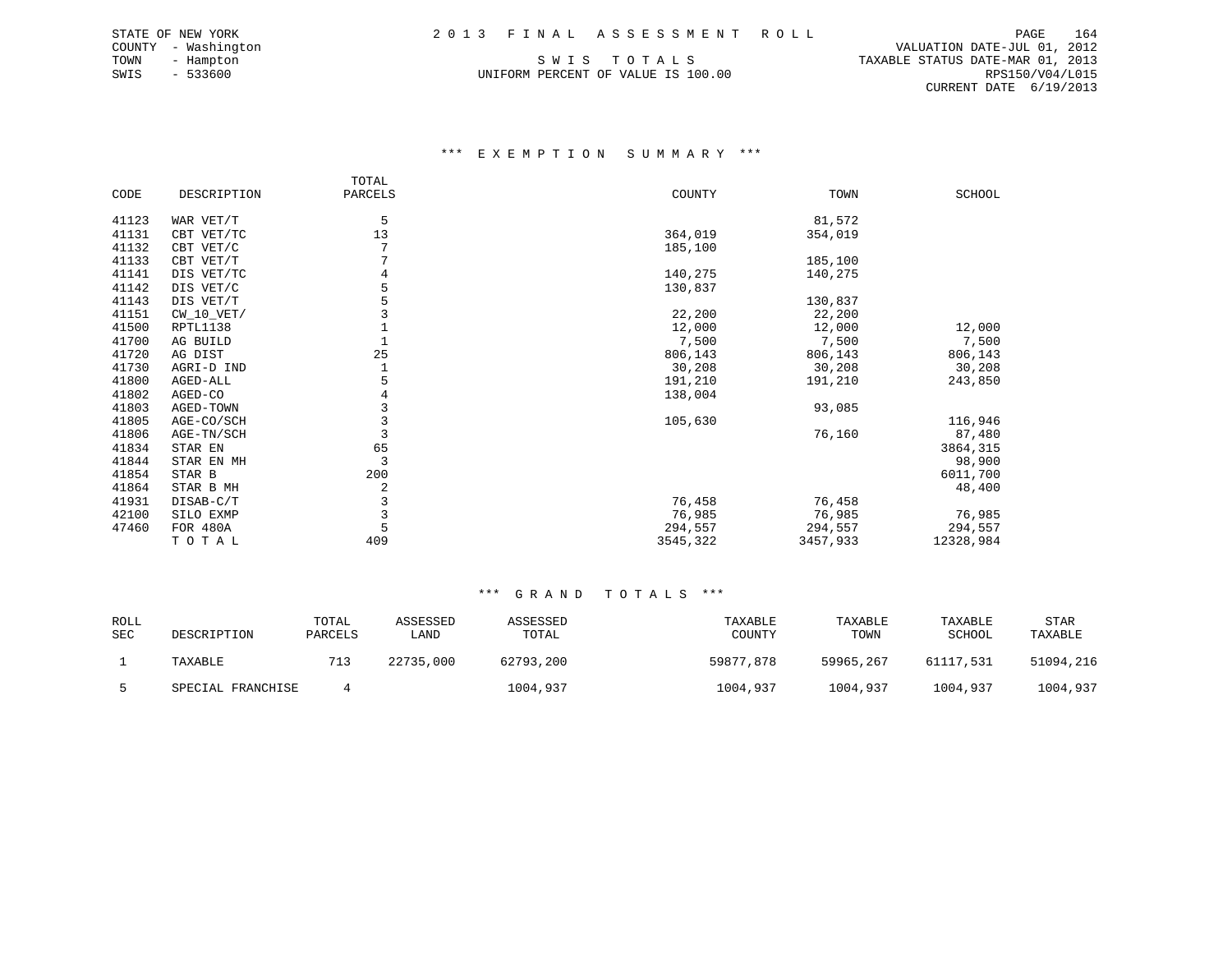UNIFORM PERCENT OF VALUE IS 100.00

 COUNTY - Washington VALUATION DATE-JUL 01, 2012 TOWN - Hampton S W I S T O T A L S TAXABLE STATUS DATE-MAR 01, 2013 CURRENT DATE 6/19/2013

#### \*\*\* E X E M P T I O N S U M M A R Y \*\*\*

|       |                 | TOTAL   |          |          |           |
|-------|-----------------|---------|----------|----------|-----------|
| CODE  | DESCRIPTION     | PARCELS | COUNTY   | TOWN     | SCHOOL    |
| 41123 | WAR VET/T       | 5       |          | 81,572   |           |
|       |                 |         |          |          |           |
| 41131 | CBT VET/TC      | 13      | 364,019  | 354,019  |           |
| 41132 | CBT VET/C       |         | 185,100  |          |           |
| 41133 | CBT VET/T       | 7       |          | 185,100  |           |
| 41141 | DIS VET/TC      |         | 140,275  | 140,275  |           |
| 41142 | DIS VET/C       |         | 130,837  |          |           |
| 41143 | DIS VET/T       | 5       |          | 130,837  |           |
| 41151 | $CW_10_VET/$    |         | 22,200   | 22,200   |           |
| 41500 | RPTL1138        |         | 12,000   | 12,000   | 12,000    |
| 41700 | AG BUILD        |         | 7,500    | 7,500    | 7,500     |
| 41720 | AG DIST         | 25      | 806,143  | 806,143  | 806,143   |
| 41730 | AGRI-D IND      |         | 30,208   | 30,208   | 30,208    |
| 41800 | AGED-ALL        | 5       | 191,210  | 191,210  | 243,850   |
| 41802 | AGED-CO         |         | 138,004  |          |           |
| 41803 | AGED-TOWN       | 3       |          | 93,085   |           |
| 41805 | AGE-CO/SCH      | 3       | 105,630  |          | 116,946   |
| 41806 | AGE-TN/SCH      | 3       |          | 76,160   | 87,480    |
| 41834 | STAR EN         | 65      |          |          | 3864,315  |
| 41844 | STAR EN MH      | 3       |          |          | 98,900    |
| 41854 | STAR B          | 200     |          |          | 6011,700  |
| 41864 | STAR B MH       | 2       |          |          | 48,400    |
| 41931 | DISAB-C/T       | 3       | 76,458   | 76,458   |           |
| 42100 | SILO EXMP       | 3       | 76,985   | 76,985   | 76,985    |
| 47460 | <b>FOR 480A</b> | 5       | 294,557  | 294,557  | 294,557   |
|       | TOTAL           | 409     | 3545,322 | 3457,933 | 12328,984 |

| ROLL<br>SEC | DESCRIPTION       | TOTAL<br>PARCELS | ASSESSED<br>LAND | ASSESSED<br>TOTAL | TAXABLE<br>COUNTY | TAXABLE<br>TOWN | TAXABLE<br>SCHOOL | <b>STAR</b><br>TAXABLE |
|-------------|-------------------|------------------|------------------|-------------------|-------------------|-----------------|-------------------|------------------------|
|             | TAXABLE           | 713              | 22735,000        | 62793,200         | 59877,878         | 59965,267       | 61117,531         | 51094,216              |
|             | SPECIAL FRANCHISE |                  |                  | 1004,937          | 1004,937          | 1004,937        | 1004,937          | 1004,937               |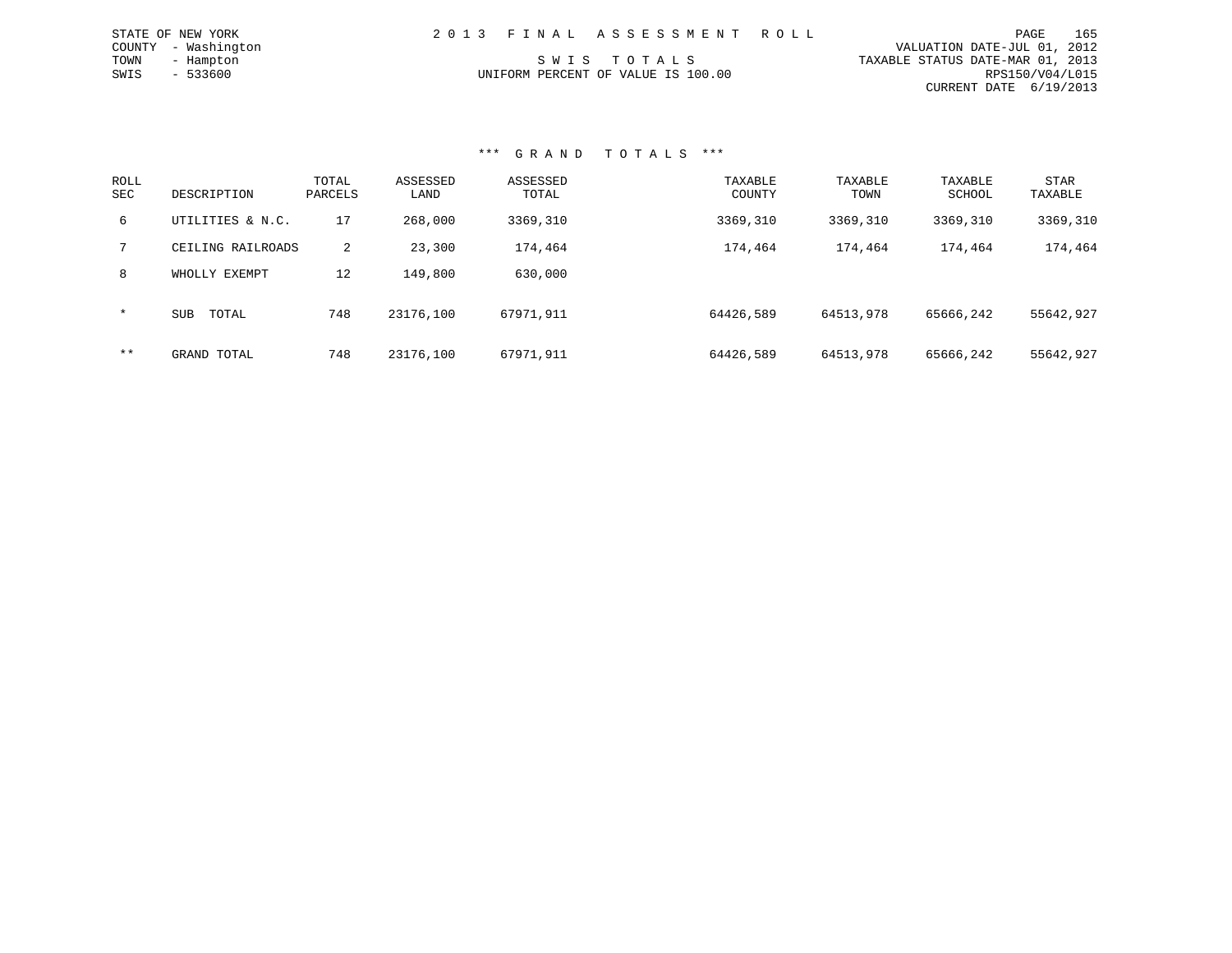|      | STATE OF NEW YORK   | 2013 FINAL ASSESSMENT ROLL                      | PAGE                   | 165 |
|------|---------------------|-------------------------------------------------|------------------------|-----|
|      | COUNTY - Washington | VALUATION DATE-JUL 01, 2012                     |                        |     |
| TOWN | - Hampton           | TAXABLE STATUS DATE-MAR 01, 2013<br>SWIS TOTALS |                        |     |
| SWIS | $-533600$           | UNIFORM PERCENT OF VALUE IS 100.00              | RPS150/V04/L015        |     |
|      |                     |                                                 | CURRENT DATE 6/19/2013 |     |

| ROLL<br><b>SEC</b> | DESCRIPTION         | TOTAL<br>PARCELS | ASSESSED<br>LAND | ASSESSED<br>TOTAL | TAXABLE<br>COUNTY | TAXABLE<br>TOWN | TAXABLE<br>SCHOOL | <b>STAR</b><br>TAXABLE |
|--------------------|---------------------|------------------|------------------|-------------------|-------------------|-----------------|-------------------|------------------------|
| 6                  | UTILITIES & N.C.    | 17               | 268,000          | 3369,310          | 3369,310          | 3369,310        | 3369,310          | 3369,310               |
| 7                  | CEILING RAILROADS   | $\overline{2}$   | 23,300           | 174,464           | 174,464           | 174,464         | 174,464           | 174,464                |
| 8                  | WHOLLY EXEMPT       | 12               | 149,800          | 630,000           |                   |                 |                   |                        |
| $\star$            | <b>SUB</b><br>TOTAL | 748              | 23176,100        | 67971,911         | 64426,589         | 64513,978       | 65666,242         | 55642,927              |
| $***$              | GRAND TOTAL         | 748              | 23176,100        | 67971,911         | 64426,589         | 64513,978       | 65666,242         | 55642,927              |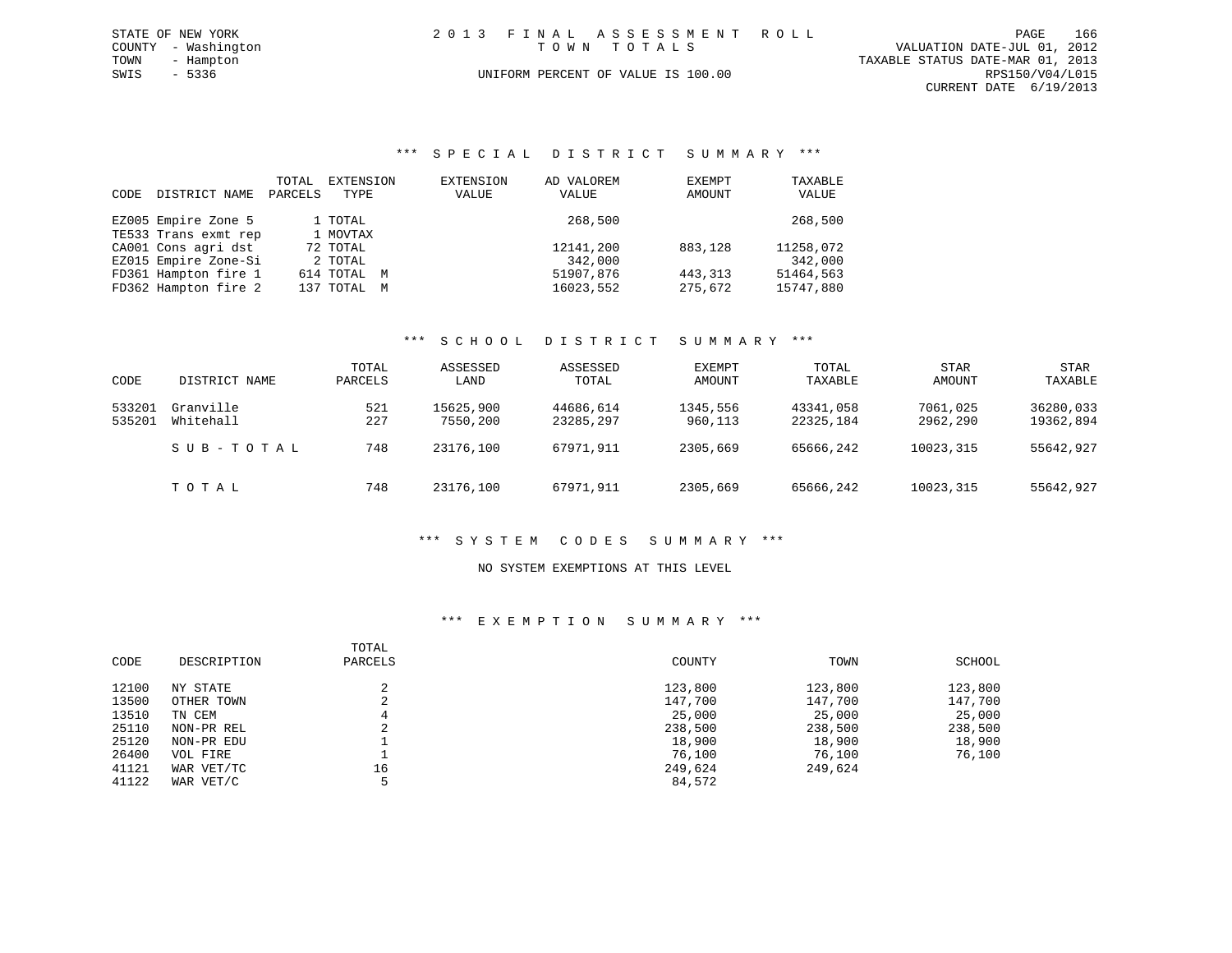| STATE OF NEW YORK   | 2013 FINAL ASSESSMENT ROLL         | 166<br>PAGE                      |
|---------------------|------------------------------------|----------------------------------|
| COUNTY - Washington | TOWN TOTALS                        | VALUATION DATE-JUL 01, 2012      |
| TOWN<br>- Hampton   |                                    | TAXABLE STATUS DATE-MAR 01, 2013 |
| SWIS - 5336         | UNIFORM PERCENT OF VALUE IS 100.00 | RPS150/V04/L015                  |
|                     |                                    | CURRENT DATE 6/19/2013           |
|                     |                                    |                                  |

#### \*\*\* S P E C I A L D I S T R I C T S U M M A R Y \*\*\*

| CODE | DISTRICT NAME        | TOTAL<br>PARCELS | EXTENSION<br>TYPE | EXTENSION<br>VALUE | AD VALOREM<br>VALUE | EXEMPT<br>AMOUNT | TAXABLE<br>VALUE |
|------|----------------------|------------------|-------------------|--------------------|---------------------|------------------|------------------|
|      | EZ005 Empire Zone 5  |                  | 1 TOTAL           |                    | 268,500             |                  | 268,500          |
|      | TE533 Trans exmt rep |                  | 1 MOVTAX          |                    |                     |                  |                  |
|      | CA001 Cons agri dst  |                  | 72 TOTAL          |                    | 12141,200           | 883,128          | 11258,072        |
|      | EZ015 Empire Zone-Si |                  | 2 TOTAL           |                    | 342,000             |                  | 342,000          |
|      | FD361 Hampton fire 1 |                  | 614 TOTAL M       |                    | 51907,876           | 443, 313         | 51464,563        |
|      | FD362 Hampton fire 2 |                  | 137 TOTAL M       |                    | 16023,552           | 275,672          | 15747,880        |

#### \*\*\* S C H O O L D I S T R I C T S U M M A R Y \*\*\*

| CODE             | DISTRICT NAME          | TOTAL<br>PARCELS | ASSESSED<br>LAND      | ASSESSED<br>TOTAL      | EXEMPT<br>AMOUNT    | TOTAL<br>TAXABLE       | <b>STAR</b><br>AMOUNT | <b>STAR</b><br>TAXABLE |
|------------------|------------------------|------------------|-----------------------|------------------------|---------------------|------------------------|-----------------------|------------------------|
| 533201<br>535201 | Granville<br>Whitehall | 521<br>227       | 15625,900<br>7550,200 | 44686,614<br>23285,297 | 1345,556<br>960,113 | 43341,058<br>22325,184 | 7061,025<br>2962,290  | 36280,033<br>19362,894 |
|                  | SUB-TOTAL              | 748              | 23176,100             | 67971,911              | 2305,669            | 65666,242              | 10023,315             | 55642,927              |
|                  | TOTAL                  | 748              | 23176,100             | 67971,911              | 2305,669            | 65666,242              | 10023,315             | 55642,927              |

#### \*\*\* S Y S T E M C O D E S S U M M A R Y \*\*\*

#### NO SYSTEM EXEMPTIONS AT THIS LEVEL

#### \*\*\* E X E M P T I O N S U M M A R Y \*\*\*

| CODE  | DESCRIPTION | TOTAL<br>PARCELS | COUNTY  | TOWN    | SCHOOL  |
|-------|-------------|------------------|---------|---------|---------|
| 12100 | NY STATE    |                  | 123,800 | 123,800 | 123,800 |
| 13500 | OTHER TOWN  | ∠                | 147,700 | 147,700 | 147,700 |
| 13510 | TN CEM      |                  | 25,000  | 25,000  | 25,000  |
| 25110 | NON-PR REL  |                  | 238,500 | 238,500 | 238,500 |
| 25120 | NON-PR EDU  |                  | 18,900  | 18,900  | 18,900  |
| 26400 | VOL FIRE    |                  | 76,100  | 76,100  | 76,100  |
| 41121 | WAR VET/TC  | 16               | 249,624 | 249,624 |         |
| 41122 | WAR VET/C   |                  | 84,572  |         |         |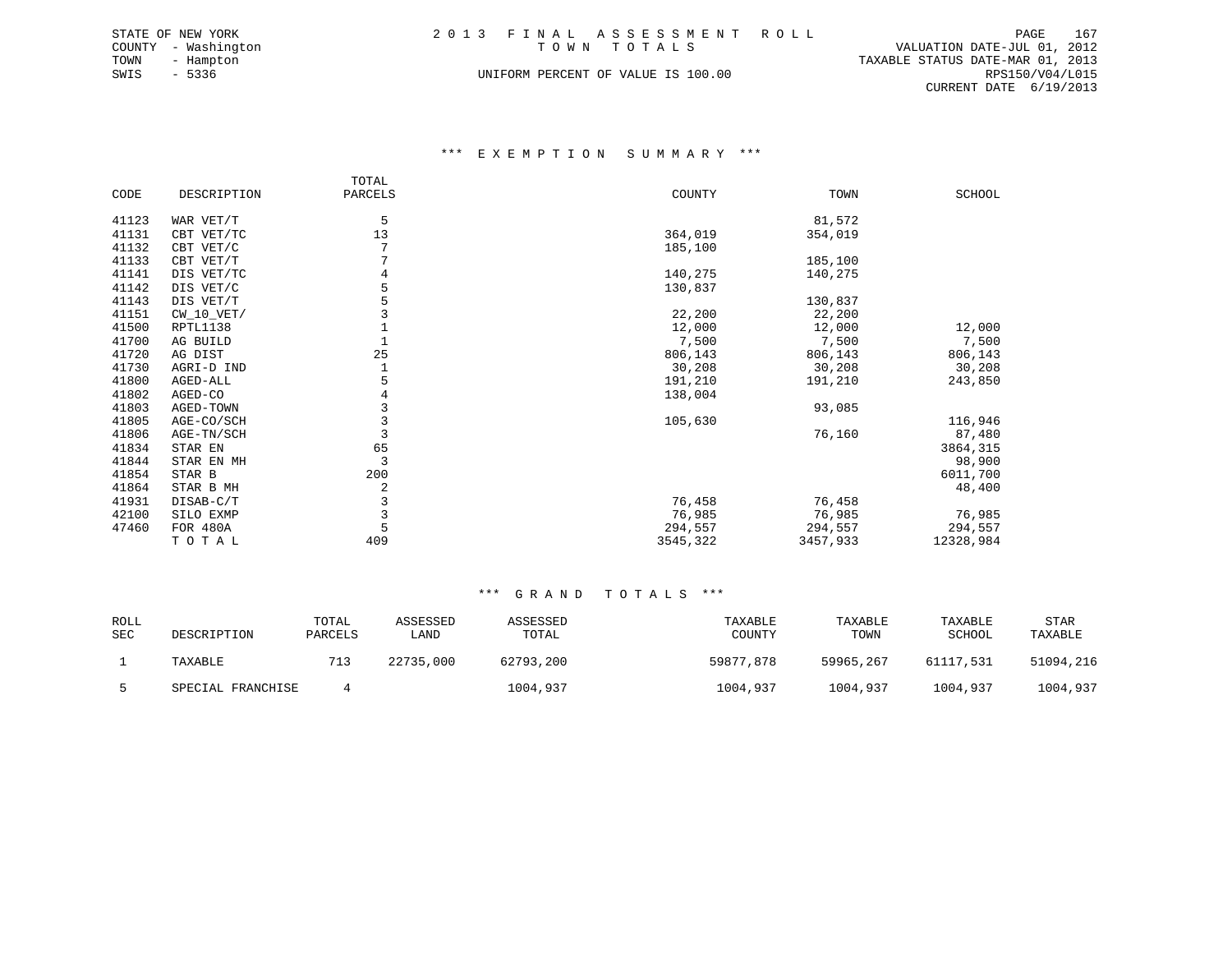|      | STATE OF NEW YORK   | 2013 FINAL ASSESSMENT ROLL         |                                  | PAGE            | 167 |
|------|---------------------|------------------------------------|----------------------------------|-----------------|-----|
|      | COUNTY - Washington | TOWN TOTALS                        | VALUATION DATE-JUL 01, 2012      |                 |     |
| TOWN | - Hampton           |                                    | TAXABLE STATUS DATE-MAR 01, 2013 |                 |     |
| SWIS | - 5336              | UNIFORM PERCENT OF VALUE IS 100.00 |                                  | RPS150/V04/L015 |     |
|      |                     |                                    | CURRENT DATE 6/19/2013           |                 |     |

#### \*\*\* E X E M P T I O N S U M M A R Y \*\*\*

|       |              | TOTAL          |          |          |           |
|-------|--------------|----------------|----------|----------|-----------|
| CODE  | DESCRIPTION  | PARCELS        | COUNTY   | TOWN     | SCHOOL    |
|       |              |                |          |          |           |
| 41123 | WAR VET/T    | 5              |          | 81,572   |           |
| 41131 | CBT VET/TC   | 13             | 364,019  | 354,019  |           |
| 41132 | CBT VET/C    |                | 185,100  |          |           |
| 41133 | CBT VET/T    | 7              |          | 185,100  |           |
| 41141 | DIS VET/TC   | 4              | 140,275  | 140,275  |           |
| 41142 | DIS VET/C    | 5              | 130,837  |          |           |
| 41143 | DIS VET/T    | 5              |          | 130,837  |           |
| 41151 | $CW_10_VET/$ |                | 22,200   | 22,200   |           |
| 41500 | RPTL1138     |                | 12,000   | 12,000   | 12,000    |
| 41700 | AG BUILD     |                | 7,500    | 7,500    | 7,500     |
| 41720 | AG DIST      | 25             | 806,143  | 806,143  | 806,143   |
| 41730 | AGRI-D IND   |                | 30,208   | 30,208   | 30,208    |
| 41800 | AGED-ALL     | 5              | 191,210  | 191,210  | 243,850   |
| 41802 | AGED-CO      | 4              | 138,004  |          |           |
| 41803 | AGED-TOWN    | 3              |          | 93,085   |           |
| 41805 | AGE-CO/SCH   | $\mathbf{3}$   | 105,630  |          | 116,946   |
| 41806 | AGE-TN/SCH   | 3              |          | 76,160   | 87,480    |
| 41834 | STAR EN      | 65             |          |          | 3864,315  |
| 41844 | STAR EN MH   | 3              |          |          | 98,900    |
| 41854 | STAR B       | 200            |          |          | 6011,700  |
| 41864 | STAR B MH    | 2              |          |          | 48,400    |
| 41931 | DISAB-C/T    | $\overline{3}$ | 76,458   | 76,458   |           |
| 42100 | SILO EXMP    | 3              | 76,985   | 76,985   | 76,985    |
| 47460 | FOR 480A     | 5              | 294,557  | 294,557  | 294,557   |
|       | TOTAL        | 409            | 3545,322 | 3457,933 | 12328,984 |

| ROLL<br>SEC | DESCRIPTION       | TOTAL<br>PARCELS | ASSESSED<br>LAND | ASSESSED<br>TOTAL | TAXABLE<br>COUNTY | TAXABLE<br>TOWN | TAXABLE<br>SCHOOL | <b>STAR</b><br>TAXABLE |
|-------------|-------------------|------------------|------------------|-------------------|-------------------|-----------------|-------------------|------------------------|
|             | TAXABLE           | 713              | 22735,000        | 62793,200         | 59877,878         | 59965,267       | 61117,531         | 51094,216              |
|             | SPECIAL FRANCHISE |                  |                  | 1004,937          | 1004,937          | 1004,937        | 1004,937          | 1004,937               |